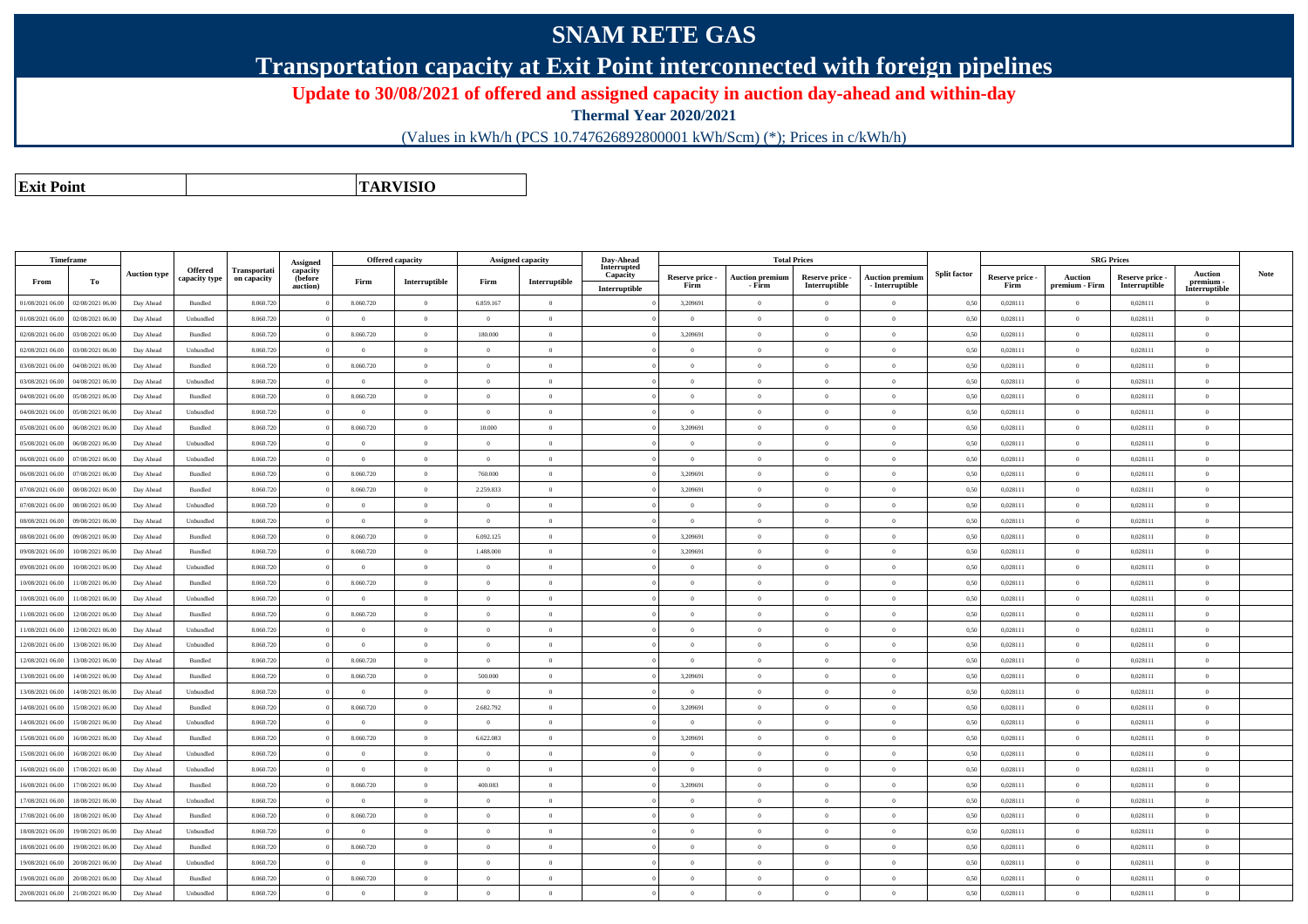## **SNAM RETE GAS**

**Transportation capacity at Exit Point interconnected with foreign pipelines**

**Update to 30/08/2021 of offered and assigned capacity in auction day-ahead and within-day**

**Thermal Year 2020/2021**

(Values in kWh/h (PCS 10.747626892800001 kWh/Scm) (\*); Prices in c/kWh/h)

**Exit PointTARVISIO**

|                  | Timeframe        |                     |                                 |                                    | Assigned                        |                | <b>Offered capacity</b> |                | Assigned capacity | Day-Ahead<br>Interrupted  |                         |                                  | <b>Total Prices</b>              |                                           |                     |                         | <b>SRG Prices</b>                |                                  |                                              |             |
|------------------|------------------|---------------------|---------------------------------|------------------------------------|---------------------------------|----------------|-------------------------|----------------|-------------------|---------------------------|-------------------------|----------------------------------|----------------------------------|-------------------------------------------|---------------------|-------------------------|----------------------------------|----------------------------------|----------------------------------------------|-------------|
| From             | To               | <b>Auction type</b> | <b>Offered</b><br>capacity type | <b>Transportati</b><br>on capacity | capacity<br>(before<br>auction) | Firm           | Interruptible           | Firm           | Interruptible     | Capacity<br>Interruptible | Reserve price -<br>Firm | <b>Auction premium</b><br>- Firm | Reserve price -<br>Interruptible | <b>Auction premium</b><br>- Interruptible | <b>Split factor</b> | Reserve price -<br>Firm | <b>Auction</b><br>premium - Firm | Reserve price -<br>Interruptible | <b>Auction</b><br>premium -<br>Interruptible | <b>Note</b> |
| 01/08/2021 06:00 | 02/08/2021 06:00 | Day Ahead           | Bundled                         | 8.060.720                          |                                 | 8.060.720      | $\overline{0}$          | 6.859.167      | $\overline{0}$    |                           | 3,209691                | $\overline{0}$                   | $\overline{0}$                   | $\theta$                                  | 0,50                | 0,028111                | $\theta$                         | 0,028111                         | $\Omega$                                     |             |
| 01/08/2021 06:00 | 02/08/2021 06:00 | Day Ahead           | Unbundled                       | 8.060.720                          |                                 | $\theta$       | $\overline{0}$          | $\theta$       | $\Omega$          |                           | $\Omega$                | $\theta$                         | $\theta$                         | $\Omega$                                  | 0,50                | 0,028111                | $\overline{0}$                   | 0,028111                         | $\bf{0}$                                     |             |
| 02/08/2021 06:00 | 03/08/2021 06.00 | Day Ahead           | Bundled                         | 8.060.720                          |                                 | 8.060.720      | $\overline{0}$          | 180,000        | $\Omega$          |                           | 3,209691                | $\overline{0}$                   | $\Omega$                         | $\Omega$                                  | 0,50                | 0,028111                | $\theta$                         | 0,028111                         | $\Omega$                                     |             |
| 02/08/2021 06:00 | 03/08/2021 06:00 | Day Ahead           | Unbundled                       | 8.060.720                          |                                 | $\mathbf{a}$   | $\overline{0}$          | $\Omega$       | $\Omega$          |                           | $\sqrt{2}$              | $\Omega$                         | $\Omega$                         | $\Omega$                                  | 0,50                | 0,028111                | $\Omega$                         | 0,028111                         | $\Omega$                                     |             |
| 03/08/2021 06:00 | 04/08/2021 06.00 | Day Ahead           | Bundled                         | 8.060.72                           |                                 | 8.060.720      | $\theta$                | $\theta$       | $\overline{0}$    |                           | $\Omega$                | $\overline{0}$                   | $\overline{0}$                   | $\Omega$                                  | 0,50                | 0,028111                | $\theta$                         | 0,028111                         | $\Omega$                                     |             |
| 03/08/2021 06:00 | 04/08/2021 06:00 | Day Ahead           | Unbundled                       | 8.060.720                          |                                 | $\overline{0}$ | $\overline{0}$          | $\theta$       | $\overline{0}$    |                           | $\theta$                | $\overline{0}$                   | $\overline{0}$                   | $\Omega$                                  | 0,50                | 0,028111                | $\theta$                         | 0,028111                         | $\theta$                                     |             |
| 04/08/2021 06:00 | 05/08/2021 06:00 | Day Ahead           | Bundled                         | 8.060.720                          |                                 | 8.060.720      | $\overline{0}$          | $\theta$       | $\overline{0}$    |                           | $\theta$                | $\theta$                         | $\theta$                         | $\theta$                                  | 0,50                | 0,028111                | $\theta$                         | 0,028111                         | $\Omega$                                     |             |
| 04/08/2021 06:00 | 05/08/2021 06:00 | Day Ahead           | Unbundled                       | 8.060.720                          |                                 | $\overline{0}$ | $\Omega$                | $\overline{0}$ | $\overline{0}$    |                           | $\Omega$                | $\overline{0}$                   | $\theta$                         | $\theta$                                  | 0,50                | 0.028111                | $\Omega$                         | 0.028111                         | $\overline{0}$                               |             |
| 05/08/2021 06:00 | 06/08/2021 06:00 | Day Ahead           | Bundled                         | 8.060.720                          |                                 | 8.060.720      | $\theta$                | 10,000         | $\Omega$          |                           | 3,209691                | $\theta$                         | $\Omega$                         | $\Omega$                                  | 0,50                | 0,028111                | $\Omega$                         | 0.028111                         | $\theta$                                     |             |
| 05/08/2021 06:00 | 06/08/2021 06:00 | Day Ahead           | Unbundled                       | 8.060.720                          |                                 | $\theta$       | $\theta$                | $\theta$       | $\Omega$          |                           | $\Omega$                | $\overline{0}$                   | $\overline{0}$                   | $\theta$                                  | 0,50                | 0,028111                | $\overline{0}$                   | 0,028111                         | $\theta$                                     |             |
| 06/08/2021 06:00 | 07/08/2021 06:00 | Day Ahead           | Unbundled                       | 8.060.720                          |                                 | $\overline{0}$ | $\overline{0}$          | $\theta$       | $\overline{0}$    |                           | $\sqrt{2}$              | $\overline{0}$                   | $\overline{0}$                   | $\mathbf{0}$                              | 0,50                | 0,028111                | $\,$ 0 $\,$                      | 0,028111                         | $\overline{0}$                               |             |
| 06/08/2021 06:00 | 07/08/2021 06.00 | Day Ahead           | Bundled                         | 8.060.720                          |                                 | 8.060.720      | $\,$ 0 $\,$             | 760.000        | $\theta$          |                           | 3,209691                | $\theta$                         | $\overline{0}$                   | $\theta$                                  | 0,50                | 0,028111                | $\theta$                         | 0,028111                         | $\theta$                                     |             |
| 07/08/2021 06:00 | 08/08/2021 06:00 | Day Ahead           | Bundled                         | 8.060.720                          |                                 | 8.060.720      | $\theta$                | 2.259.833      | $\overline{0}$    |                           | 3,209691                | $\overline{0}$                   | $\overline{0}$                   | $\theta$                                  | 0,50                | 0,028111                | $\theta$                         | 0,028111                         | $\mathbf{0}$                                 |             |
| 07/08/2021 06:00 | 08/08/2021 06:00 | Day Ahead           | Unbundled                       | 8.060.720                          |                                 | $\theta$       | $\theta$                |                | $\overline{0}$    |                           |                         | $\overline{0}$                   | $\overline{0}$                   | $\theta$                                  | 0,50                | 0,028111                | $\theta$                         | 0,028111                         | $\theta$                                     |             |
| 08/08/2021 06:00 | 09/08/2021 06:00 | Day Ahead           | Unbundled                       | 8.060.720                          |                                 | $\theta$       | $\overline{0}$          | $\overline{0}$ | $\overline{0}$    |                           | $\theta$                | $\mathbf{0}$                     | $\overline{0}$                   | $\theta$                                  | 0,50                | 0,028111                | $\overline{0}$                   | 0,028111                         | $\overline{0}$                               |             |
| 08/08/2021 06:00 | 09/08/2021 06.00 | Day Ahead           | $\mathbf B$ undled              | 8.060.720                          |                                 | 8.060.720      | $\overline{0}$          | 6.092.125      | $\bf{0}$          |                           | 3,209691                | $\overline{0}$                   | $\overline{0}$                   | $\theta$                                  | 0,50                | 0,028111                | $\overline{0}$                   | 0,028111                         | $\overline{0}$                               |             |
| 09/08/2021 06:00 | 10/08/2021 06:00 | Day Ahead           | Bundled                         | 8.060.720                          |                                 | 8.060.720      | $\overline{0}$          | 1.488,000      | $\Omega$          |                           | 3,209691                | $\overline{0}$                   | $\overline{0}$                   | $\Omega$                                  | 0,50                | 0,028111                | $\theta$                         | 0,028111                         | $\Omega$                                     |             |
| 09/08/2021 06:00 | 10/08/2021 06:00 | Day Ahead           | Unbundled                       | 8.060.720                          |                                 | $\Omega$       | $\overline{0}$          | $\Omega$       | $\overline{0}$    |                           | $\sqrt{2}$              | $\overline{0}$                   | $\overline{0}$                   | $\Omega$                                  | 0,50                | 0,028111                | $\theta$                         | 0,028111                         | $\theta$                                     |             |
| 10/08/2021 06:00 | 11/08/2021 06:00 | Day Ahead           | Bundled                         | 8.060.720                          |                                 | 8.060.720      | $\theta$                | $\Omega$       | $\theta$          |                           |                         | $\overline{0}$                   | $\overline{0}$                   | $\theta$                                  | 0,50                | 0,028111                | $\Omega$                         | 0,028111                         | $\Omega$                                     |             |
| 10/08/2021 06:00 | 11/08/2021 06:00 | Day Ahead           | Unbundled                       | 8.060.720                          |                                 | $\overline{0}$ | $\overline{0}$          | $\theta$       | $\overline{0}$    |                           | $\theta$                | $\overline{0}$                   | $\overline{0}$                   | $\Omega$                                  | 0,50                | 0,028111                | $\theta$                         | 0,028111                         | $\bf{0}$                                     |             |
| 11/08/2021 06:00 | 12/08/2021 06:00 | Day Ahead           | Bundled                         | 8.060.720                          |                                 | 8.060.720      | $\theta$                | $\Omega$       | $\theta$          |                           | $\Omega$                | $\theta$                         | $\theta$                         | $\theta$                                  | 0,50                | 0.028111                | $\theta$                         | 0.028111                         | $\theta$                                     |             |
| 11/08/2021 06:00 | 12/08/2021 06:00 | Day Ahead           | Unbundled                       | 8.060.720                          |                                 | $\theta$       | $\theta$                | $\theta$       | $\Omega$          |                           | $\Omega$                | $\overline{0}$                   | $\theta$                         | $\Omega$                                  | 0,50                | 0,028111                | $\overline{0}$                   | 0,028111                         | $\Omega$                                     |             |
| 12/08/2021 06:00 | 13/08/2021 06:00 | Day Ahead           | Unbundled                       | 8.060.720                          |                                 | $\mathbf{a}$   | $\theta$                | $\Omega$       | $\Omega$          |                           | $\sqrt{2}$              | $\theta$                         | $\Omega$                         | $\Omega$                                  | 0,50                | 0,028111                | $\Omega$                         | 0,028111                         | $\Omega$                                     |             |
| 12/08/2021 06:00 | 13/08/2021 06:00 | Day Ahead           | Bundled                         | 8.060.72                           |                                 | 8.060.720      | $\theta$                | $\theta$       | $\theta$          |                           | $\Omega$                | $\overline{0}$                   | $\overline{0}$                   | $\Omega$                                  | 0,50                | 0,028111                | $\Omega$                         | 0,028111                         | $\Omega$                                     |             |
| 13/08/2021 06:00 | 14/08/2021 06:00 | Day Ahead           | Bundled                         | 8.060.720                          |                                 | 8.060.720      | $\overline{0}$          | 500,000        | $\overline{0}$    |                           | 3,209691                | $\overline{0}$                   | $\overline{0}$                   | $\theta$                                  | 0,50                | 0,028111                | $\theta$                         | 0,028111                         | $\overline{0}$                               |             |
| 13/08/2021 06:00 | 14/08/2021 06:00 | Day Ahead           | Unbundled                       | 8.060.720                          |                                 | $\overline{0}$ | $\,$ 0 $\,$             | $\overline{0}$ | $\overline{0}$    |                           |                         | $\overline{0}$                   | $\overline{0}$                   | $\theta$                                  | 0,50                | 0,028111                | $\theta$                         | 0,028111                         | $\theta$                                     |             |
| 14/08/2021 06:00 | 15/08/2021 06:00 | Day Ahead           | Bundled                         | 8.060.720                          |                                 | 8.060.720      | $\theta$                | 2.682.792      | $\overline{0}$    |                           | 3,209691                | $\mathbf{0}$                     | $\overline{0}$                   | $\mathbf{0}$                              | 0,50                | 0,028111                | $\theta$                         | 0,028111                         | $\mathbf{0}$                                 |             |
| 14/08/2021 06:00 | 15/08/2021 06:00 | Day Ahead           | Unbundled                       | 8.060.720                          |                                 | $\theta$       | $\theta$                | $\theta$       | $\Omega$          |                           | $\sqrt{2}$              | $\theta$                         | $\theta$                         | $\theta$                                  | 0,50                | 0,028111                | $\theta$                         | 0,028111                         | $\theta$                                     |             |
| 15/08/2021 06:00 | 16/08/2021 06:00 | Day Ahead           | <b>Bundled</b>                  | 8.060.720                          |                                 | 8.060.720      | $\overline{0}$          | 6.622.083      | $\Omega$          |                           | 3,209691                | $\mathbf{0}$                     | $\overline{0}$                   | $\theta$                                  | 0,50                | 0,028111                | $\overline{0}$                   | 0,028111                         | $\theta$                                     |             |
| 15/08/2021 06:00 | 16/08/2021 06:00 | Day Ahead           | Unbundled                       | 8.060.720                          |                                 | $\bf{0}$       | $\overline{0}$          | $\theta$       | $\bf{0}$          |                           | $\theta$                | $\overline{0}$                   | $\overline{0}$                   | $\theta$                                  | 0,50                | 0,028111                | $\overline{0}$                   | 0,028111                         | $\overline{0}$                               |             |
| 16/08/2021 06:00 | 17/08/2021 06.00 | Day Ahead           | Unbundled                       | 8.060.720                          |                                 | $\theta$       | $\theta$                | $\overline{0}$ | $\overline{0}$    |                           | $\theta$                | $\overline{0}$                   | $\overline{0}$                   | $\mathbf{0}$                              | 0,50                | 0,028111                | $\theta$                         | 0,028111                         | $\theta$                                     |             |
| 16/08/2021 06:00 | 17/08/2021 06:00 | Day Ahead           | Bundled                         | 8.060.720                          |                                 | 8.060.720      | $\overline{0}$          | 400.083        | $\overline{0}$    |                           | 3,209691                | $\overline{0}$                   | $\overline{0}$                   | $\theta$                                  | 0,50                | 0,028111                | $\overline{0}$                   | 0,028111                         | $\bf{0}$                                     |             |
| 17/08/2021 06:00 | 18/08/2021 06:00 | Day Ahead           | Unbundled                       | 8.060.720                          |                                 | $\Omega$       | $\theta$                | $\Omega$       | $\theta$          |                           |                         | $\theta$                         | $\Omega$                         | $\theta$                                  | 0,50                | 0,028111                | $\Omega$                         | 0,028111                         | $\Omega$                                     |             |
| 17/08/2021 06:00 | 18/08/2021 06:00 | Day Ahead           | Bundled                         | 8.060.720                          |                                 | 8.060.720      | $\overline{0}$          | $\overline{0}$ | $\overline{0}$    |                           | $\theta$                | $\theta$                         | $\overline{0}$                   | $\theta$                                  | 0,50                | 0,028111                | $\overline{0}$                   | 0,028111                         | $\overline{0}$                               |             |
| 18/08/2021 06:00 | 19/08/2021 06:00 | Day Ahead           | Unbundled                       | 8.060.720                          |                                 | $\overline{0}$ | $\theta$                | $\theta$       | $\Omega$          |                           | $\Omega$                | $\theta$                         | $\theta$                         | $\theta$                                  | 0,50                | 0,028111                | $\theta$                         | 0.028111                         | $\theta$                                     |             |
| 18/08/2021 06:00 | 19/08/2021 06.00 | Day Ahead           | Bundled                         | 8.060.720                          |                                 | 8.060.720      | $\theta$                | $\theta$       | $\Omega$          |                           | $\Omega$                | $\overline{0}$                   | $\theta$                         | $\Omega$                                  | 0,50                | 0,028111                | $\overline{0}$                   | 0,028111                         | $\theta$                                     |             |
| 19/08/2021 06:00 | 20/08/2021 06:00 | Day Ahead           | Unbundled                       | 8.060.720                          |                                 | $\Omega$       | $\theta$                | $\sqrt{2}$     | $\overline{0}$    |                           | $\Omega$                | $\theta$                         | $\Omega$                         | $\Omega$                                  | 0,50                | 0,028111                | $\theta$                         | 0,028111                         | $\Omega$                                     |             |
| 19/08/2021 06:00 | 20/08/2021 06:00 | Day Ahead           | Bundled                         | 8.060.720                          |                                 | 8.060.720      | $\theta$                | $\theta$       | $\overline{0}$    |                           | $\theta$                | $\overline{0}$                   | $\overline{0}$                   | $\theta$                                  | 0,50                | 0,028111                | $\overline{0}$                   | 0,028111                         | $\mathbf{0}$                                 |             |
| 20/08/2021 06:00 | 21/08/2021 06:00 | Day Ahead           | Unbundled                       | 8.060.720                          |                                 | $\Omega$       | $\theta$                |                |                   |                           |                         |                                  | $\Omega$                         | $\theta$                                  | 0.50                | 0.028111                | $\Omega$                         | 0.028111                         | $\theta$                                     |             |

0 | 21/08/2021 06.00 | Day Ahead | Unbundled | 8.060.720 | 0 | 0 | 0 | 0 | 0,00 | 0,0 | 0 | 0,028111 | 0 | 0,028111 | 0 | 0,028111 | 0 | 0,028111 | 0 | 0,028111 | 0 |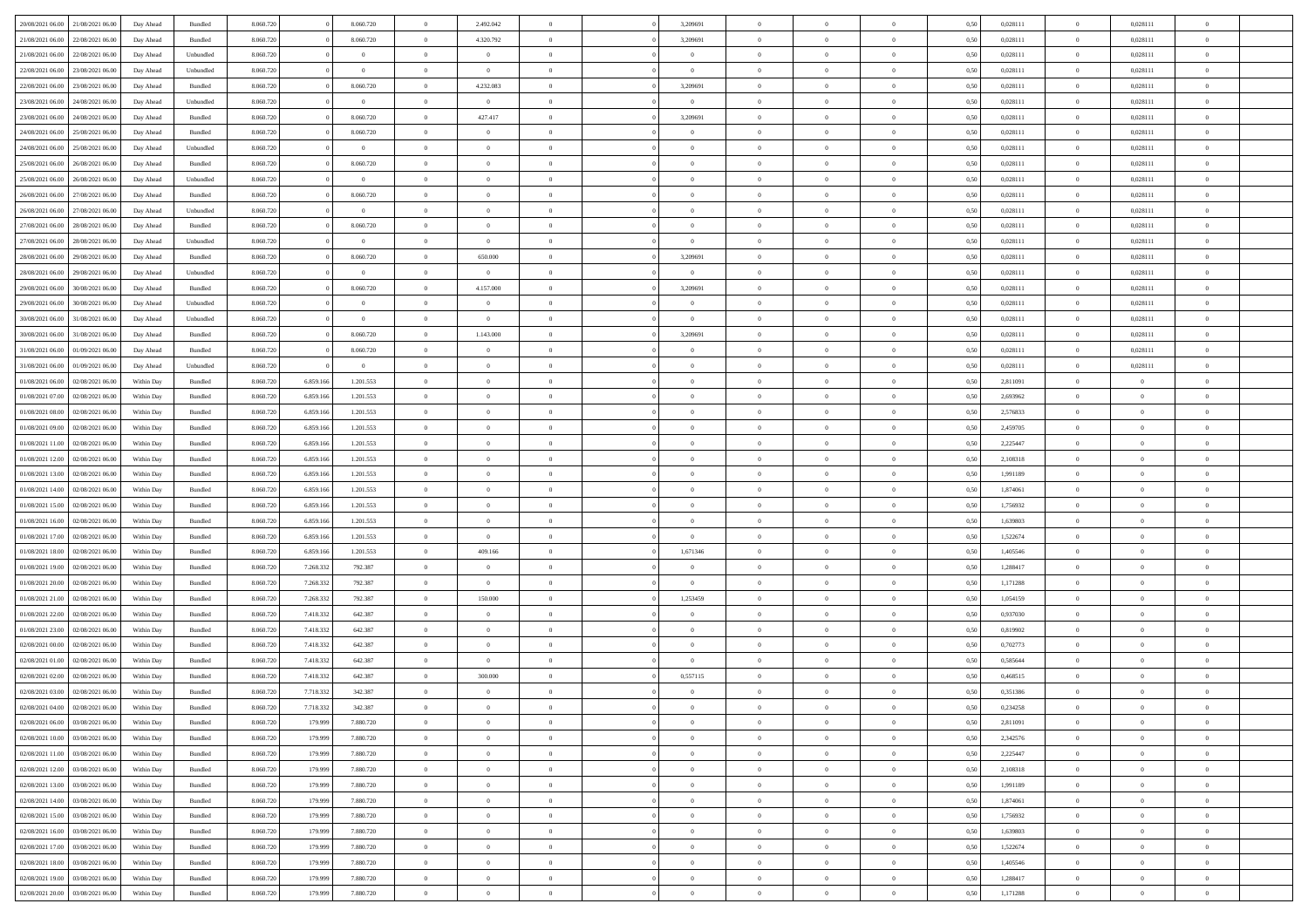| 20/08/2021 06:00 21/08/2021 06:00    | Day Ahead  | Bundled   | 8.060.720 |           | 8.060.720      | $\overline{0}$ | 2.492.042      | $\Omega$       | 3,209691       | $\theta$       | $\Omega$       | $\overline{0}$ | 0,50 | 0,028111 | $\theta$       | 0,028111       | $\overline{0}$ |  |
|--------------------------------------|------------|-----------|-----------|-----------|----------------|----------------|----------------|----------------|----------------|----------------|----------------|----------------|------|----------|----------------|----------------|----------------|--|
| 21/08/2021 06:00<br>22/08/2021 06:00 | Day Ahead  | Bundled   | 8.060.720 |           | 8.060.720      | $\overline{0}$ | 4.320.792      | $\overline{0}$ | 3,209691       | $\theta$       | $\overline{0}$ | $\bf{0}$       | 0,50 | 0,028111 | $\theta$       | 0,028111       | $\overline{0}$ |  |
| 21/08/2021 06:00<br>22/08/2021 06:00 | Day Ahead  | Unbundled | 8.060.720 |           | $\overline{0}$ | $\overline{0}$ | $\bf{0}$       | $\overline{0}$ | $\overline{0}$ | $\bf{0}$       | $\overline{0}$ | $\bf{0}$       | 0,50 | 0,028111 | $\overline{0}$ | 0,028111       | $\overline{0}$ |  |
| 22/08/2021 06:00<br>23/08/2021 06:00 | Day Ahead  | Unbundled | 8.060.720 |           | $\overline{0}$ | $\overline{0}$ | $\overline{0}$ | $\overline{0}$ | $\overline{0}$ | $\overline{0}$ | $\overline{0}$ | $\overline{0}$ | 0.50 | 0.028111 | $\overline{0}$ | 0,028111       | $\overline{0}$ |  |
| 22/08/2021 06:00<br>23/08/2021 06:00 | Day Ahead  | Bundled   | 8.060.720 |           | 8.060.720      | $\bf{0}$       | 4.232.083      | $\overline{0}$ | 3,209691       | $\theta$       | $\overline{0}$ | $\bf{0}$       | 0,50 | 0,028111 | $\theta$       | 0,028111       | $\overline{0}$ |  |
|                                      |            |           |           |           |                |                |                |                |                |                |                |                |      |          |                |                |                |  |
| 23/08/2021 06:00<br>24/08/2021 06:00 | Day Ahead  | Unbundled | 8.060.720 |           | $\bf{0}$       | $\overline{0}$ | $\overline{0}$ | $\overline{0}$ | $\overline{0}$ | $\overline{0}$ | $\overline{0}$ | $\bf{0}$       | 0,50 | 0,028111 | $\overline{0}$ | 0,028111       | $\bf{0}$       |  |
| 23/08/2021 06:00<br>24/08/2021 06:00 | Day Ahead  | Bundled   | 8.060.720 |           | 8.060.720      | $\overline{0}$ | 427.417        | $\overline{0}$ | 3,209691       | $\overline{0}$ | $\overline{0}$ | $\overline{0}$ | 0.5( | 0,028111 | $\overline{0}$ | 0,028111       | $\overline{0}$ |  |
| 24/08/2021 06:00<br>25/08/2021 06:00 | Day Ahead  | Bundled   | 8.060.720 |           | 8.060.720      | $\overline{0}$ | $\overline{0}$ | $\overline{0}$ | $\overline{0}$ | $\overline{0}$ | $\overline{0}$ | $\bf{0}$       | 0,50 | 0,028111 | $\theta$       | 0,028111       | $\overline{0}$ |  |
| 24/08/2021 06:00<br>25/08/2021 06:00 | Day Ahead  | Unbundled | 8.060.720 |           | $\overline{0}$ | $\overline{0}$ | $\bf{0}$       | $\overline{0}$ | $\overline{0}$ | $\overline{0}$ | $\bf{0}$       | $\bf{0}$       | 0,50 | 0,028111 | $\overline{0}$ | 0,028111       | $\overline{0}$ |  |
| 25/08/2021 06:00<br>26/08/2021 06:00 | Day Ahead  | Bundled   | 8.060.720 |           | 8.060.720      | $\overline{0}$ | $\overline{0}$ | $\overline{0}$ | $\overline{0}$ | $\overline{0}$ | $\overline{0}$ | $\bf{0}$       | 0.5( | 0,028111 | $\overline{0}$ | 0,028111       | $\overline{0}$ |  |
| 25/08/2021 06:00<br>26/08/2021 06:00 | Day Ahead  | Unbundled | 8.060.720 |           | $\,$ 0         | $\bf{0}$       | $\overline{0}$ | $\overline{0}$ | $\overline{0}$ | $\theta$       | $\overline{0}$ | $\bf{0}$       | 0,50 | 0,028111 | $\theta$       | 0,028111       | $\overline{0}$ |  |
| 26/08/2021 06:00<br>27/08/2021 06:00 | Day Ahead  | Bundled   | 8.060.720 |           | 8.060.720      | $\overline{0}$ | $\bf{0}$       | $\overline{0}$ | $\overline{0}$ | $\bf{0}$       | $\overline{0}$ | $\bf{0}$       | 0,50 | 0,028111 | $\overline{0}$ | 0,028111       | $\overline{0}$ |  |
| 26/08/2021 06:00<br>27/08/2021 06:00 | Day Ahead  | Unbundled | 8.060.720 |           | $\bf{0}$       | $\overline{0}$ | $\overline{0}$ | $\overline{0}$ | $\overline{0}$ | $\overline{0}$ | $\overline{0}$ | $\overline{0}$ | 0.5( | 0.028111 | $\overline{0}$ | 0,028111       | $\overline{0}$ |  |
| 27/08/2021 06:00<br>28/08/2021 06:00 | Day Ahead  | Bundled   | 8.060.720 |           | 8.060.720      | $\overline{0}$ | $\theta$       | $\overline{0}$ | $\overline{0}$ | $\theta$       | $\overline{0}$ | $\bf{0}$       | 0,50 | 0,028111 | $\theta$       | 0,028111       | $\overline{0}$ |  |
| 27/08/2021 06:00<br>28/08/2021 06:00 | Day Ahead  | Unbundled | 8.060.720 |           | $\bf{0}$       | $\overline{0}$ | $\overline{0}$ | $\overline{0}$ | $\overline{0}$ | $\overline{0}$ | $\overline{0}$ | $\bf{0}$       | 0,50 | 0,028111 | $\overline{0}$ | 0,028111       | $\bf{0}$       |  |
|                                      |            |           |           |           |                |                |                |                |                |                |                |                |      |          | $\overline{0}$ |                | $\overline{0}$ |  |
| 28/08/2021 06:00<br>29/08/2021 06:00 | Day Ahead  | Bundled   | 8.060.720 |           | 8.060.720      | $\overline{0}$ | 650.000        | $\overline{0}$ | 3,209691       | $\overline{0}$ | $\overline{0}$ | $\overline{0}$ | 0.5( | 0,028111 |                | 0,028111       |                |  |
| 28/08/2021 06:00<br>29/08/2021 06:00 | Day Ahead  | Unbundled | 8.060.720 |           | $\overline{0}$ | $\bf{0}$       | $\overline{0}$ | $\overline{0}$ | $\overline{0}$ | $\theta$       | $\overline{0}$ | $\bf{0}$       | 0,50 | 0,028111 | $\theta$       | 0,028111       | $\overline{0}$ |  |
| 29/08/2021 06:00<br>30/08/2021 06:00 | Day Ahead  | Bundled   | 8.060.720 |           | 8.060.720      | $\overline{0}$ | 4.157.000      | $\overline{0}$ | 3,209691       | $\overline{0}$ | $\bf{0}$       | $\bf{0}$       | 0,50 | 0,028111 | $\bf{0}$       | 0,028111       | $\overline{0}$ |  |
| 29/08/2021 06:00<br>30/08/2021 06:00 | Day Ahead  | Unbundled | 8.060.720 |           | $\bf{0}$       | $\overline{0}$ | $\overline{0}$ | $\overline{0}$ | $\overline{0}$ | $\overline{0}$ | $\overline{0}$ | $\overline{0}$ | 0.5( | 0,028111 | $\overline{0}$ | 0,028111       | $\overline{0}$ |  |
| 30/08/2021 06:00<br>31/08/2021 06:00 | Day Ahead  | Unbundled | 8.060.720 |           | $\,$ 0         | $\overline{0}$ | $\bf{0}$       | $\overline{0}$ | $\overline{0}$ | $\overline{0}$ | $\overline{0}$ | $\bf{0}$       | 0,50 | 0,028111 | $\,$ 0 $\,$    | 0,028111       | $\overline{0}$ |  |
| 30/08/2021 06:00<br>31/08/2021 06:00 | Day Ahead  | Bundled   | 8.060.720 |           | 8.060.720      | $\overline{0}$ | 1.143.000      | $\overline{0}$ | 3,209691       | $\overline{0}$ | $\overline{0}$ | $\bf{0}$       | 0,50 | 0,028111 | $\bf{0}$       | 0,028111       | $\overline{0}$ |  |
| 31/08/2021 06:00<br>01/09/2021 06:00 | Day Ahead  | Bundled   | 8.060.720 |           | 8.060.720      | $\overline{0}$ | $\overline{0}$ | $\overline{0}$ | $\overline{0}$ | $\overline{0}$ | $\overline{0}$ | $\overline{0}$ | 0.50 | 0.028111 | $\overline{0}$ | 0.028111       | $\overline{0}$ |  |
| 31/08/2021 06:00<br>01/09/2021 06:00 | Day Ahead  | Unbundled | 8.060.720 |           | $\bf{0}$       | $\overline{0}$ | $\overline{0}$ | $\overline{0}$ | $\overline{0}$ | $\theta$       | $\overline{0}$ | $\bf{0}$       | 0,50 | 0,028111 | $\theta$       | 0,028111       | $\overline{0}$ |  |
| 01/08/2021 06:00<br>02/08/2021 06:00 | Within Day | Bundled   | 8.060.720 | 6.859.166 | 1.201.553      | $\overline{0}$ | $\bf{0}$       | $\overline{0}$ | $\overline{0}$ | $\overline{0}$ | $\overline{0}$ | $\bf{0}$       | 0,50 | 2,811091 | $\bf{0}$       | $\overline{0}$ | $\bf{0}$       |  |
| 01/08/2021 07:00<br>02/08/2021 06:00 | Within Day | Bundled   | 8.060.720 | 6.859.16  | 1.201.553      | $\overline{0}$ | $\overline{0}$ | $\overline{0}$ | $\overline{0}$ | $\overline{0}$ | $\overline{0}$ | $\overline{0}$ | 0.5( | 2,693962 | $\overline{0}$ | $\overline{0}$ | $\overline{0}$ |  |
| 01/08/2021 08:00<br>02/08/2021 06:00 | Within Day | Bundled   | 8.060.720 | 6.859.166 | 1.201.553      | $\overline{0}$ | $\overline{0}$ | $\overline{0}$ | $\overline{0}$ | $\overline{0}$ | $\overline{0}$ | $\bf{0}$       | 0,50 | 2,576833 | $\theta$       | $\theta$       | $\overline{0}$ |  |
|                                      |            |           |           |           |                |                |                |                |                |                |                |                |      |          |                |                |                |  |
| 01/08/2021 09:00<br>02/08/2021 06:00 | Within Day | Bundled   | 8.060.720 | 6.859.166 | 1.201.553      | $\overline{0}$ | $\bf{0}$       | $\overline{0}$ | $\overline{0}$ | $\overline{0}$ | $\bf{0}$       | $\bf{0}$       | 0,50 | 2,459705 | $\bf{0}$       | $\bf{0}$       | $\overline{0}$ |  |
| 01/08/2021 11:00<br>02/08/2021 06:00 | Within Day | Bundled   | 8.060.720 | 6.859.166 | 1.201.553      | $\overline{0}$ | $\overline{0}$ | $\overline{0}$ | $\overline{0}$ | $\overline{0}$ | $\overline{0}$ | $\overline{0}$ | 0.5( | 2.225447 | $\theta$       | $\theta$       | $\overline{0}$ |  |
| 01/08/2021 12:00<br>02/08/2021 06:00 | Within Day | Bundled   | 8.060.720 | 6.859.166 | 1.201.553      | $\bf{0}$       | $\overline{0}$ | $\overline{0}$ | $\overline{0}$ | $\theta$       | $\overline{0}$ | $\bf{0}$       | 0,50 | 2,108318 | $\,$ 0 $\,$    | $\theta$       | $\overline{0}$ |  |
| 01/08/2021 13:00<br>02/08/2021 06:00 | Within Day | Bundled   | 8.060.720 | 6.859.166 | 1.201.553      | $\overline{0}$ | $\bf{0}$       | $\overline{0}$ | $\overline{0}$ | $\bf{0}$       | $\overline{0}$ | $\bf{0}$       | 0,50 | 1,991189 | $\bf{0}$       | $\overline{0}$ | $\bf{0}$       |  |
| 01/08/2021 14:00<br>02/08/2021 06:00 | Within Day | Bundled   | 8.060.72  | 6.859.16  | 1.201.553      | $\overline{0}$ | $\overline{0}$ | $\overline{0}$ | $\Omega$       | $\Omega$       | $\Omega$       | $\overline{0}$ | 0.50 | 1,874061 | $\bf{0}$       | $\overline{0}$ | $\theta$       |  |
| 01/08/2021 15:00<br>02/08/2021 06:00 | Within Day | Bundled   | 8.060.720 | 6.859.166 | 1.201.553      | $\bf{0}$       | $\theta$       | $\overline{0}$ | $\overline{0}$ | $\theta$       | $\overline{0}$ | $\bf{0}$       | 0,50 | 1,756932 | $\theta$       | $\theta$       | $\overline{0}$ |  |
| 01/08/2021 16:00<br>02/08/2021 06:00 | Within Day | Bundled   | 8.060.720 | 6.859.166 | 1.201.553      | $\overline{0}$ | $\overline{0}$ | $\overline{0}$ | $\overline{0}$ | $\overline{0}$ | $\overline{0}$ | $\bf{0}$       | 0,50 | 1,639803 | $\bf{0}$       | $\overline{0}$ | $\bf{0}$       |  |
| 01/08/2021 17:00<br>02/08/2021 06:00 | Within Day | Bundled   | 8.060.72  | 6.859.166 | 1.201.553      | $\overline{0}$ | $\overline{0}$ | $\Omega$       | $\Omega$       | $\overline{0}$ | $\Omega$       | $\overline{0}$ | 0.50 | 1,522674 | $\bf{0}$       | $\theta$       | $\theta$       |  |
| 01/08/2021 18:00<br>02/08/2021 06:00 | Within Day | Bundled   | 8.060.720 | 6.859.166 | 1.201.553      | $\bf{0}$       | 409.166        | $\overline{0}$ | 1,671346       | $\theta$       | $\overline{0}$ | $\bf{0}$       | 0,50 | 1,405546 | $\,$ 0 $\,$    | $\theta$       | $\overline{0}$ |  |
| 01/08/2021 19:00<br>02/08/2021 06:00 | Within Day | Bundled   | 8.060.720 | 7.268.332 | 792.387        | $\overline{0}$ | $\bf{0}$       | $\overline{0}$ | $\overline{0}$ | $\overline{0}$ | $\bf{0}$       | $\bf{0}$       | 0,50 | 1,288417 | $\bf{0}$       | $\overline{0}$ | $\overline{0}$ |  |
| 01/08/2021 20:00<br>02/08/2021 06:00 | Within Day | Bundled   | 8.060.72  | 7.268.33  | 792.387        | $\overline{0}$ | $\overline{0}$ | $\Omega$       | $\Omega$       | $\overline{0}$ | $\Omega$       | $\overline{0}$ | 0.50 | 1,171288 | $\bf{0}$       | $\theta$       | $\theta$       |  |
| 01/08/2021 21:00<br>02/08/2021 06:00 | Within Day | Bundled   | 8.060.720 | 7.268.332 | 792.387        | $\bf{0}$       | 150.000        | $\overline{0}$ | 1,253459       | $\theta$       | $\overline{0}$ | $\bf{0}$       | 0,50 | 1,054159 | $\,$ 0 $\,$    | $\theta$       | $\overline{0}$ |  |
|                                      |            |           |           |           |                |                |                |                |                |                |                |                |      |          |                |                |                |  |
| 01/08/2021 22:00<br>02/08/2021 06:00 | Within Day | Bundled   | 8.060.720 | 7.418.332 | 642.387        | $\overline{0}$ | $\bf{0}$       | $\overline{0}$ | $\overline{0}$ | $\overline{0}$ | $\overline{0}$ | $\bf{0}$       | 0,50 | 0,937030 | $\bf{0}$       | $\overline{0}$ | $\overline{0}$ |  |
| 01/08/2021 23:00<br>02/08/2021 06:00 | Within Day | Bundled   | 8.060.72  | 7.418.332 | 642.387        | $\overline{0}$ | $\overline{0}$ | $\overline{0}$ | $\Omega$       | $\theta$       | $\Omega$       | $\overline{0}$ | 0.50 | 0,819902 | $\bf{0}$       | $\overline{0}$ | $\theta$       |  |
| 02/08/2021 00:00<br>02/08/2021 06:00 | Within Day | Bundled   | 8.060.720 | 7.418.332 | 642.387        | $\bf{0}$       | $\overline{0}$ | $\overline{0}$ | $\overline{0}$ | $\theta$       | $\overline{0}$ | $\bf{0}$       | 0,50 | 0,702773 | $\,$ 0 $\,$    | $\theta$       | $\overline{0}$ |  |
| 02/08/2021 01:00<br>02/08/2021 06:00 | Within Day | Bundled   | 8.060.720 | 7.418.332 | 642.387        | $\overline{0}$ | $\overline{0}$ | $\overline{0}$ | $\overline{0}$ | $\overline{0}$ | $\overline{0}$ | $\bf{0}$       | 0,50 | 0,585644 | $\overline{0}$ | $\overline{0}$ | $\bf{0}$       |  |
| 02/08/2021 02:00<br>02/08/2021 06:00 | Within Day | Bundled   | 8.060.72  | 7.418.33  | 642.387        | $\overline{0}$ | 300,000        | $\Omega$       | 0,557115       | $\Omega$       | $\theta$       | $\overline{0}$ | 0.50 | 0.468515 | $\bf{0}$       | $\overline{0}$ | $\theta$       |  |
| 02/08/2021 03:00<br>02/08/2021 06:00 | Within Day | Bundled   | 8.060.720 | 7.718.332 | 342.387        | $\overline{0}$ | $\overline{0}$ | $\overline{0}$ | $\overline{0}$ | $\overline{0}$ | $\overline{0}$ | $\bf{0}$       | 0,50 | 0,351386 | $\bf{0}$       | $\,$ 0 $\,$    | $\overline{0}$ |  |
| 02/08/2021 04:00 02/08/2021 06:00    | Within Day | Bundled   | 8.060.720 | 7.718.332 | 342.387        | $\bf{0}$       | $\bf{0}$       |                | $\bf{0}$       |                |                |                | 0,50 | 0,234258 | $\bf{0}$       | $\bf{0}$       |                |  |
| 02/08/2021 06:00 03/08/2021 06:00    | Within Day | Bundled   | 8.060.720 | 179.999   | 7.880.720      | $\Omega$       | $\overline{0}$ | $\Omega$       | $\theta$       | $\overline{0}$ | $\theta$       | $\overline{0}$ | 0.50 | 2,811091 | $\theta$       | $\theta$       | $\theta$       |  |
| 02/08/2021 10:00<br>03/08/2021 06:00 | Within Day | Bundled   | 8.060.720 | 179.999   | 7.880.720      | $\overline{0}$ | $\overline{0}$ | $\overline{0}$ | $\overline{0}$ | $\,$ 0 $\,$    | $\overline{0}$ | $\,$ 0 $\,$    | 0,50 | 2,342576 | $\,$ 0 $\,$    | $\,$ 0 $\,$    | $\bf{0}$       |  |
| 02/08/2021 11:00 03/08/2021 06:00    | Within Day | Bundled   | 8.060.720 | 179.999   | 7.880.720      | $\overline{0}$ | $\overline{0}$ | $\overline{0}$ | $\overline{0}$ | $\overline{0}$ | $\overline{0}$ | $\bf{0}$       | 0,50 | 2,225447 | $\overline{0}$ | $\bf{0}$       | $\overline{0}$ |  |
| 03/08/2021 06:00                     |            |           |           |           |                |                | $\bf{0}$       | $\overline{0}$ | $\overline{0}$ | $\overline{0}$ | $\overline{0}$ |                |      |          | $\overline{0}$ | $\theta$       | $\overline{0}$ |  |
| 02/08/2021 12:00                     | Within Day | Bundled   | 8.060.720 | 179.999   | 7.880.720      | $\overline{0}$ |                |                |                |                |                | $\bf{0}$       | 0,50 | 2,108318 |                |                |                |  |
| 02/08/2021 13:00<br>03/08/2021 06:00 | Within Day | Bundled   | 8.060.720 | 179.999   | 7.880.720      | $\overline{0}$ | $\overline{0}$ | $\overline{0}$ | $\overline{0}$ | $\overline{0}$ | $\overline{0}$ | $\,$ 0 $\,$    | 0,50 | 1,991189 | $\,$ 0 $\,$    | $\theta$       | $\overline{0}$ |  |
| 02/08/2021 14:00 03/08/2021 06:00    | Within Day | Bundled   | 8.060.720 | 179.999   | 7.880.720      | $\overline{0}$ | $\overline{0}$ | $\overline{0}$ | $\overline{0}$ | $\overline{0}$ | $\overline{0}$ | $\bf{0}$       | 0,50 | 1,874061 | $\overline{0}$ | $\overline{0}$ | $\overline{0}$ |  |
| 02/08/2021 15:00<br>03/08/2021 06:00 | Within Day | Bundled   | 8.060.720 | 179.999   | 7.880.720      | $\overline{0}$ | $\bf{0}$       | $\overline{0}$ | $\overline{0}$ | $\overline{0}$ | $\overline{0}$ | $\bf{0}$       | 0.50 | 1,756932 | $\overline{0}$ | $\theta$       | $\overline{0}$ |  |
| 02/08/2021 16:00<br>03/08/2021 06:00 | Within Day | Bundled   | 8.060.720 | 179.999   | 7.880.720      | $\overline{0}$ | $\bf{0}$       | $\overline{0}$ | $\overline{0}$ | $\overline{0}$ | $\overline{0}$ | $\bf{0}$       | 0,50 | 1,639803 | $\,$ 0 $\,$    | $\bf{0}$       | $\overline{0}$ |  |
| 02/08/2021 17:00 03/08/2021 06:00    | Within Day | Bundled   | 8.060.720 | 179.999   | 7.880.720      | $\overline{0}$ | $\bf{0}$       | $\overline{0}$ | $\overline{0}$ | $\overline{0}$ | $\overline{0}$ | $\bf{0}$       | 0,50 | 1,522674 | $\overline{0}$ | $\overline{0}$ | $\bf{0}$       |  |
| 02/08/2021 18:00<br>03/08/2021 06:00 | Within Day | Bundled   | 8.060.720 | 179.999   | 7.880.720      | $\overline{0}$ | $\overline{0}$ | $\overline{0}$ | $\overline{0}$ | $\overline{0}$ | $\overline{0}$ | $\bf{0}$       | 0.50 | 1,405546 | $\overline{0}$ | $\theta$       | $\overline{0}$ |  |
| 02/08/2021 19:00<br>03/08/2021 06:00 | Within Day | Bundled   | 8.060.720 | 179.999   | 7.880.720      | $\overline{0}$ | $\,$ 0         | $\overline{0}$ | $\overline{0}$ | $\bf{0}$       | $\bf{0}$       | $\bf{0}$       | 0,50 | 1,288417 | $\,$ 0 $\,$    | $\,$ 0 $\,$    | $\bf{0}$       |  |
| 02/08/2021 20:00 03/08/2021 06:00    | Within Day | Bundled   | 8.060.720 | 179.999   | 7.880.720      | $\overline{0}$ | $\bf{0}$       | $\overline{0}$ | $\overline{0}$ | $\overline{0}$ | $\overline{0}$ | $\bf{0}$       | 0,50 | 1,171288 | $\overline{0}$ | $\bf{0}$       | $\overline{0}$ |  |
|                                      |            |           |           |           |                |                |                |                |                |                |                |                |      |          |                |                |                |  |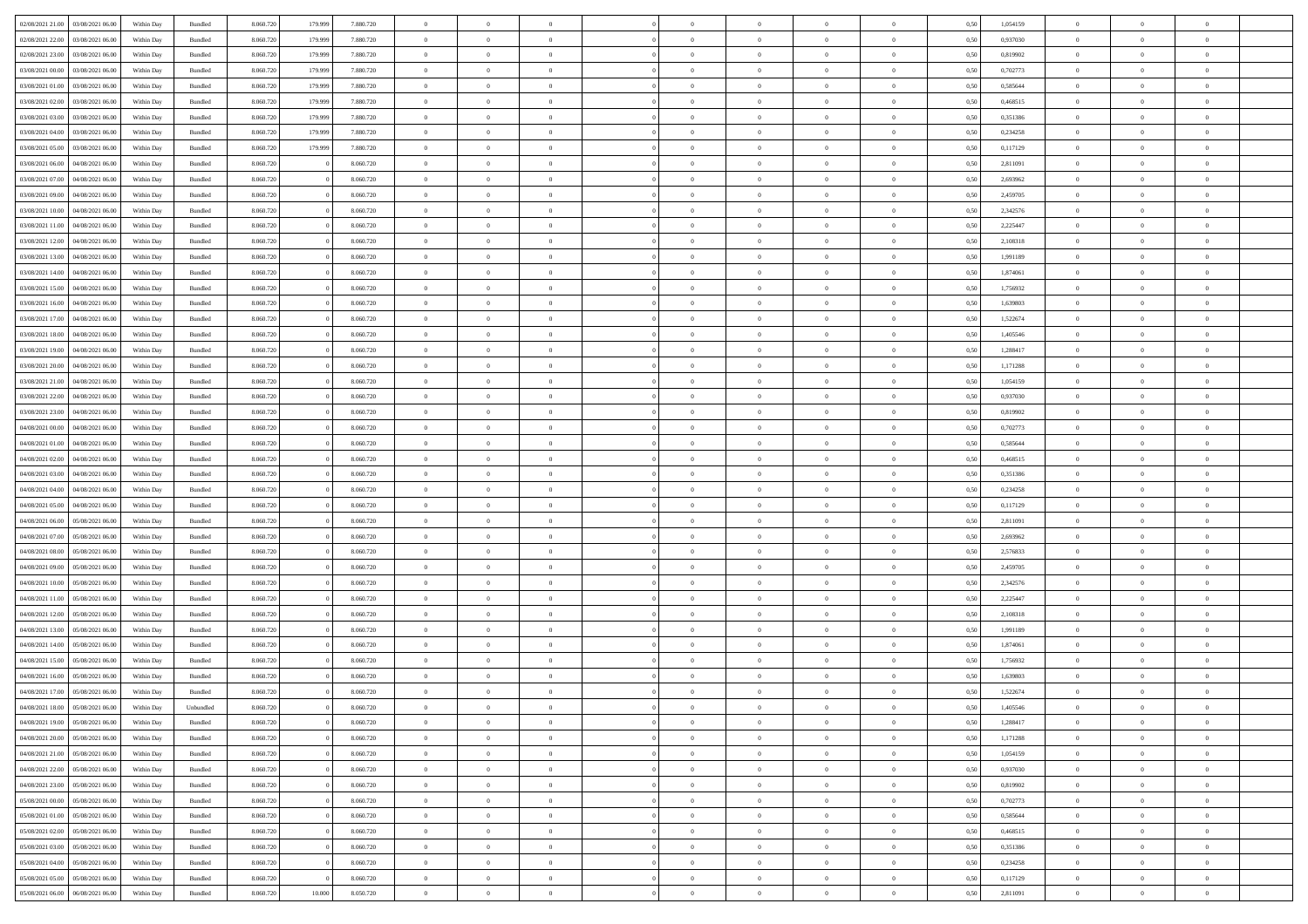| 02/08/2021 21:00                  | 03/08/2021 06:00 | Within Day | Bundled   | 8.060.720 | 179.999 | 7.880.720 | $\overline{0}$ | $\Omega$       |                | $\Omega$       | $\Omega$       | $\Omega$       | $\theta$       | 0.50 | 1,054159 | $\theta$       | $\theta$       | $\theta$       |  |
|-----------------------------------|------------------|------------|-----------|-----------|---------|-----------|----------------|----------------|----------------|----------------|----------------|----------------|----------------|------|----------|----------------|----------------|----------------|--|
|                                   |                  |            |           |           |         |           |                |                |                |                |                |                |                |      |          |                |                |                |  |
| 02/08/2021 22:00                  | 03/08/2021 06:00 | Within Day | Bundled   | 8.060.720 | 179.999 | 7.880.720 | $\overline{0}$ | $\theta$       | $\overline{0}$ | $\overline{0}$ | $\bf{0}$       | $\overline{0}$ | $\bf{0}$       | 0,50 | 0,937030 | $\theta$       | $\theta$       | $\overline{0}$ |  |
| 02/08/2021 23:00                  | 03/08/2021 06:00 | Within Day | Bundled   | 8.060.720 | 179.999 | 7.880.720 | $\overline{0}$ | $\overline{0}$ | $\overline{0}$ | $\bf{0}$       | $\bf{0}$       | $\bf{0}$       | $\mathbf{0}$   | 0,50 | 0,819902 | $\overline{0}$ | $\overline{0}$ | $\overline{0}$ |  |
| 03/08/2021 00:00                  | 03/08/2021 06:00 | Within Dav | Bundled   | 8.060.720 | 179,999 | 7.880.720 | $\overline{0}$ | $\overline{0}$ | $\overline{0}$ | $\overline{0}$ | $\bf{0}$       | $\overline{0}$ | $\overline{0}$ | 0.50 | 0,702773 | $\theta$       | $\theta$       | $\overline{0}$ |  |
| 03/08/2021 01:00                  | 03/08/2021 06:00 | Within Day | Bundled   | 8.060.720 | 179.999 | 7.880.720 | $\overline{0}$ | $\theta$       | $\overline{0}$ | $\overline{0}$ | $\bf{0}$       | $\overline{0}$ | $\bf{0}$       | 0,50 | 0,585644 | $\theta$       | $\theta$       | $\overline{0}$ |  |
| 03/08/2021 02:00                  | 03/08/2021 06:00 | Within Day | Bundled   | 8.060.720 | 179.999 | 7.880.720 | $\overline{0}$ | $\bf{0}$       | $\overline{0}$ | $\bf{0}$       | $\overline{0}$ | $\overline{0}$ | $\mathbf{0}$   | 0,50 | 0,468515 | $\overline{0}$ | $\overline{0}$ | $\bf{0}$       |  |
|                                   |                  |            |           |           |         |           |                |                |                |                |                |                |                |      |          |                |                |                |  |
| 03/08/2021 03:00                  | 03/08/2021 06:00 | Within Dav | Bundled   | 8.060.720 | 179,999 | 7.880.720 | $\overline{0}$ | $\overline{0}$ | $\overline{0}$ | $\overline{0}$ | $\overline{0}$ | $\overline{0}$ | $\overline{0}$ | 0.50 | 0,351386 | $\theta$       | $\overline{0}$ | $\overline{0}$ |  |
| 03/08/2021 04:00                  | 03/08/2021 06:00 | Within Day | Bundled   | 8.060.720 | 179.999 | 7.880.720 | $\overline{0}$ | $\theta$       | $\overline{0}$ | $\overline{0}$ | $\bf{0}$       | $\overline{0}$ | $\bf{0}$       | 0,50 | 0,234258 | $\theta$       | $\theta$       | $\overline{0}$ |  |
| 03/08/2021 05:00                  | 03/08/2021 06:00 | Within Day | Bundled   | 8.060.720 | 179.999 | 7.880.720 | $\overline{0}$ | $\overline{0}$ | $\overline{0}$ | $\bf{0}$       | $\bf{0}$       | $\bf{0}$       | $\bf{0}$       | 0,50 | 0,117129 | $\,0\,$        | $\overline{0}$ | $\overline{0}$ |  |
| 03/08/2021 06:00                  | 04/08/2021 06:00 | Within Dav | Bundled   | 8.060.720 |         | 8.060.720 | $\overline{0}$ | $\overline{0}$ | $\overline{0}$ | $\overline{0}$ | $\overline{0}$ | $\overline{0}$ | $\overline{0}$ | 0.50 | 2,811091 | $\theta$       | $\overline{0}$ | $\overline{0}$ |  |
| 03/08/2021 07:00                  | 04/08/2021 06:00 | Within Day | Bundled   | 8.060.720 |         | 8.060.720 | $\overline{0}$ | $\theta$       | $\overline{0}$ | $\overline{0}$ | $\bf{0}$       | $\overline{0}$ | $\bf{0}$       | 0,50 | 2,693962 | $\,$ 0 $\,$    | $\theta$       | $\overline{0}$ |  |
| 03/08/2021 09:00                  | 04/08/2021 06:00 | Within Day | Bundled   | 8.060.720 |         | 8.060.720 | $\overline{0}$ | $\overline{0}$ | $\overline{0}$ | $\bf{0}$       | $\bf{0}$       | $\bf{0}$       | $\bf{0}$       | 0,50 | 2,459705 | $\overline{0}$ | $\overline{0}$ | $\overline{0}$ |  |
| 03/08/2021 10:00                  | 04/08/2021 06:00 | Within Day | Bundled   | 8.060.720 |         | 8.060.720 | $\overline{0}$ | $\overline{0}$ | $\overline{0}$ | $\overline{0}$ | $\bf{0}$       | $\overline{0}$ | $\overline{0}$ | 0.50 | 2,342576 | $\theta$       | $\theta$       | $\overline{0}$ |  |
|                                   |                  |            |           |           |         |           |                |                |                |                |                |                |                |      |          |                |                |                |  |
| 03/08/2021 11:00                  | 04/08/2021 06:00 | Within Day | Bundled   | 8.060.720 |         | 8.060.720 | $\overline{0}$ | $\theta$       | $\overline{0}$ | $\overline{0}$ | $\bf{0}$       | $\overline{0}$ | $\bf{0}$       | 0,50 | 2,225447 | $\theta$       | $\overline{0}$ | $\overline{0}$ |  |
| 03/08/2021 12:00                  | 04/08/2021 06:00 | Within Day | Bundled   | 8.060.720 |         | 8.060.720 | $\overline{0}$ | $\bf{0}$       | $\overline{0}$ | $\bf{0}$       | $\overline{0}$ | $\overline{0}$ | $\mathbf{0}$   | 0,50 | 2,108318 | $\overline{0}$ | $\overline{0}$ | $\bf{0}$       |  |
| 03/08/2021 13:00                  | 04/08/2021 06:00 | Within Dav | Bundled   | 8.060.720 |         | 8.060.720 | $\overline{0}$ | $\overline{0}$ | $\overline{0}$ | $\overline{0}$ | $\overline{0}$ | $\overline{0}$ | $\overline{0}$ | 0.50 | 1,991189 | $\theta$       | $\overline{0}$ | $\overline{0}$ |  |
| 03/08/2021 14:00                  | 04/08/2021 06:00 | Within Day | Bundled   | 8.060.720 |         | 8.060.720 | $\overline{0}$ | $\theta$       | $\overline{0}$ | $\overline{0}$ | $\bf{0}$       | $\overline{0}$ | $\bf{0}$       | 0,50 | 1,874061 | $\theta$       | $\theta$       | $\overline{0}$ |  |
| 03/08/2021 15:00                  | 04/08/2021 06:00 | Within Day | Bundled   | 8.060.720 |         | 8.060.720 | $\overline{0}$ | $\overline{0}$ | $\overline{0}$ | $\bf{0}$       | $\bf{0}$       | $\bf{0}$       | $\bf{0}$       | 0,50 | 1,756932 | $\,0\,$        | $\overline{0}$ | $\overline{0}$ |  |
| 03/08/2021 16:00                  | 04/08/2021 06:00 | Within Day | Bundled   | 8.060.720 |         | 8.060.720 | $\overline{0}$ | $\overline{0}$ | $\overline{0}$ | $\overline{0}$ | $\overline{0}$ | $\overline{0}$ | $\overline{0}$ | 0.50 | 1,639803 | $\theta$       | $\overline{0}$ | $\overline{0}$ |  |
|                                   |                  |            |           |           |         |           | $\overline{0}$ | $\theta$       | $\overline{0}$ |                | $\bf{0}$       | $\overline{0}$ |                |      |          |                | $\theta$       | $\overline{0}$ |  |
| 03/08/2021 17:00                  | 04/08/2021 06:00 | Within Day | Bundled   | 8.060.720 |         | 8.060.720 |                |                |                | $\overline{0}$ |                |                | $\bf{0}$       | 0,50 | 1,522674 | $\,$ 0 $\,$    |                |                |  |
| 03/08/2021 18:00                  | 04/08/2021 06:00 | Within Day | Bundled   | 8.060.720 |         | 8.060.720 | $\overline{0}$ | $\overline{0}$ | $\overline{0}$ | $\bf{0}$       | $\bf{0}$       | $\bf{0}$       | $\bf{0}$       | 0,50 | 1,405546 | $\,0\,$        | $\overline{0}$ | $\overline{0}$ |  |
| 03/08/2021 19:00                  | 04/08/2021 06:00 | Within Day | Bundled   | 8.060.720 |         | 8.060.720 | $\overline{0}$ | $\overline{0}$ | $\overline{0}$ | $\overline{0}$ | $\bf{0}$       | $\overline{0}$ | $\overline{0}$ | 0.50 | 1.288417 | $\theta$       | $\theta$       | $\overline{0}$ |  |
| 03/08/2021 20:00                  | 04/08/2021 06:00 | Within Day | Bundled   | 8.060.720 |         | 8.060.720 | $\overline{0}$ | $\theta$       | $\overline{0}$ | $\overline{0}$ | $\bf{0}$       | $\overline{0}$ | $\bf{0}$       | 0,50 | 1,171288 | $\,$ 0 $\,$    | $\overline{0}$ | $\overline{0}$ |  |
| 03/08/2021 21.00                  | 04/08/2021 06:00 | Within Day | Bundled   | 8.060.720 |         | 8.060.720 | $\overline{0}$ | $\bf{0}$       | $\overline{0}$ | $\bf{0}$       | $\overline{0}$ | $\overline{0}$ | $\mathbf{0}$   | 0,50 | 1,054159 | $\overline{0}$ | $\overline{0}$ | $\bf{0}$       |  |
| 03/08/2021 22:00                  | 04/08/2021 06:00 | Within Dav | Bundled   | 8.060.720 |         | 8.060.720 | $\overline{0}$ | $\overline{0}$ | $\overline{0}$ | $\overline{0}$ | $\overline{0}$ | $\overline{0}$ | $\overline{0}$ | 0.50 | 0,937030 | $\theta$       | $\overline{0}$ | $\overline{0}$ |  |
| 03/08/2021 23:00                  | 04/08/2021 06:00 | Within Day | Bundled   | 8.060.720 |         | 8.060.720 | $\overline{0}$ | $\theta$       | $\overline{0}$ | $\overline{0}$ | $\bf{0}$       | $\overline{0}$ | $\bf{0}$       | 0,50 | 0,819902 | $\theta$       | $\theta$       | $\overline{0}$ |  |
|                                   |                  |            |           |           |         |           |                |                |                |                |                |                |                |      |          |                |                |                |  |
| 04/08/2021 00:00                  | 04/08/2021 06:00 | Within Day | Bundled   | 8.060.720 |         | 8.060.720 | $\overline{0}$ | $\overline{0}$ | $\overline{0}$ | $\bf{0}$       | $\bf{0}$       | $\bf{0}$       | $\bf{0}$       | 0,50 | 0,702773 | $\,0\,$        | $\overline{0}$ | $\overline{0}$ |  |
| 04/08/2021 01:00                  | 04/08/2021 06:00 | Within Day | Bundled   | 8.060.720 |         | 8.060.720 | $\overline{0}$ | $\overline{0}$ | $\overline{0}$ | $\overline{0}$ | $\overline{0}$ | $\overline{0}$ | $\overline{0}$ | 0.50 | 0.585644 | $\theta$       | $\overline{0}$ | $\overline{0}$ |  |
| 04/08/2021 02:00                  | 04/08/2021 06:00 | Within Day | Bundled   | 8.060.720 |         | 8.060.720 | $\overline{0}$ | $\theta$       | $\overline{0}$ | $\overline{0}$ | $\bf{0}$       | $\overline{0}$ | $\bf{0}$       | 0,50 | 0,468515 | $\,$ 0 $\,$    | $\overline{0}$ | $\overline{0}$ |  |
| 04/08/2021 03:00                  | 04/08/2021 06:00 | Within Day | Bundled   | 8.060.720 |         | 8.060.720 | $\overline{0}$ | $\overline{0}$ | $\overline{0}$ | $\bf{0}$       | $\bf{0}$       | $\bf{0}$       | $\bf{0}$       | 0,50 | 0,351386 | $\overline{0}$ | $\overline{0}$ | $\overline{0}$ |  |
| 04/08/2021 04:00                  | 04/08/2021 06:00 | Within Day | Bundled   | 8.060.720 |         | 8.060.720 | $\overline{0}$ | $\Omega$       | $\Omega$       | $\Omega$       | $\Omega$       | $\overline{0}$ | $\overline{0}$ | 0,50 | 0,234258 | $\,0\,$        | $\theta$       | $\theta$       |  |
| 04/08/2021 05:00                  | 04/08/2021 06:00 | Within Day | Bundled   | 8.060.720 |         | 8.060.720 | $\overline{0}$ | $\theta$       | $\overline{0}$ | $\overline{0}$ | $\bf{0}$       | $\overline{0}$ | $\bf{0}$       | 0,50 | 0,117129 | $\theta$       | $\theta$       | $\overline{0}$ |  |
|                                   |                  |            |           |           |         |           |                |                |                |                |                |                |                |      |          |                |                |                |  |
| 04/08/2021 06:00                  | 05/08/2021 06:00 | Within Day | Bundled   | 8.060.720 |         | 8.060.720 | $\overline{0}$ | $\overline{0}$ | $\overline{0}$ | $\bf{0}$       | $\bf{0}$       | $\overline{0}$ | $\mathbf{0}$   | 0,50 | 2,811091 | $\overline{0}$ | $\overline{0}$ | $\bf{0}$       |  |
| 04/08/2021 07:00                  | 05/08/2021 06:00 | Within Day | Bundled   | 8.060.720 |         | 8.060.720 | $\overline{0}$ | $\Omega$       | $\Omega$       | $\Omega$       | $\bf{0}$       | $\overline{0}$ | $\overline{0}$ | 0.50 | 2,693962 | $\,0\,$        | $\theta$       | $\theta$       |  |
| 04/08/2021 08:00                  | 05/08/2021 06:00 | Within Day | Bundled   | 8.060.720 |         | 8.060.720 | $\overline{0}$ | $\theta$       | $\overline{0}$ | $\overline{0}$ | $\bf{0}$       | $\overline{0}$ | $\bf{0}$       | 0,50 | 2,576833 | $\theta$       | $\theta$       | $\overline{0}$ |  |
| 04/08/2021 09:00                  | 05/08/2021 06:00 | Within Day | Bundled   | 8.060.720 |         | 8.060.720 | $\overline{0}$ | $\overline{0}$ | $\overline{0}$ | $\bf{0}$       | $\bf{0}$       | $\bf{0}$       | $\bf{0}$       | 0,50 | 2,459705 | $\,0\,$        | $\overline{0}$ | $\overline{0}$ |  |
| 04/08/2021 10:00                  | 05/08/2021 06:00 | Within Day | Bundled   | 8.060.720 |         | 8.060.720 | $\overline{0}$ | $\Omega$       | $\Omega$       | $\Omega$       | $\theta$       | $\theta$       | $\overline{0}$ | 0.50 | 2,342576 | $\theta$       | $\theta$       | $\theta$       |  |
| 04/08/2021 11:00                  | 05/08/2021 06:00 | Within Day | Bundled   | 8.060.720 |         | 8.060.720 | $\overline{0}$ | $\theta$       | $\overline{0}$ | $\overline{0}$ | $\bf{0}$       | $\overline{0}$ | $\bf{0}$       | 0,50 | 2,225447 | $\,$ 0 $\,$    | $\overline{0}$ | $\overline{0}$ |  |
| 04/08/2021 12:00                  | 05/08/2021 06:00 | Within Day | Bundled   | 8.060.720 |         | 8.060.720 | $\overline{0}$ | $\overline{0}$ | $\overline{0}$ | $\overline{0}$ | $\bf{0}$       | $\overline{0}$ | $\bf{0}$       | 0,50 | 2,108318 | $\overline{0}$ | $\overline{0}$ | $\overline{0}$ |  |
|                                   |                  |            |           |           |         |           | $\overline{0}$ | $\Omega$       | $\overline{0}$ | $\Omega$       | $\overline{0}$ | $\overline{0}$ | $\overline{0}$ | 0.50 |          | $\,0\,$        | $\theta$       | $\theta$       |  |
| 04/08/2021 13:00                  | 05/08/2021 06:00 | Within Day | Bundled   | 8.060.720 |         | 8.060.720 |                |                |                |                |                |                |                |      | 1,991189 |                |                |                |  |
| 04/08/2021 14:00                  | 05/08/2021 06:00 | Within Day | Bundled   | 8.060.720 |         | 8.060.720 | $\overline{0}$ | $\theta$       | $\overline{0}$ | $\overline{0}$ | $\bf{0}$       | $\overline{0}$ | $\bf{0}$       | 0,50 | 1,874061 | $\,$ 0 $\,$    | $\overline{0}$ | $\overline{0}$ |  |
| 04/08/2021 15:00                  | 05/08/2021 06:00 | Within Day | Bundled   | 8.060.720 |         | 8.060.720 | $\overline{0}$ | $\overline{0}$ | $\overline{0}$ | $\overline{0}$ | $\bf{0}$       | $\overline{0}$ | $\mathbf{0}$   | 0,50 | 1,756932 | $\overline{0}$ | $\overline{0}$ | $\bf{0}$       |  |
| 04/08/2021 16:00                  | 05/08/2021 06:00 | Within Day | Bundled   | 8.060.720 |         | 8.060.720 | $\overline{0}$ | $\Omega$       | $\Omega$       | $\Omega$       | $\Omega$       | $\Omega$       | $\overline{0}$ | 0.50 | 1,639803 | $\theta$       | $\theta$       | $\theta$       |  |
| 04/08/2021 17:00                  | 05/08/2021 06:00 | Within Day | Bundled   | 8.060.720 |         | 8.060.720 | $\overline{0}$ | $\overline{0}$ | $\overline{0}$ | $\bf{0}$       | $\,$ 0         | $\overline{0}$ | $\bf{0}$       | 0,50 | 1,522674 | $\,0\,$        | $\,$ 0 $\,$    | $\overline{0}$ |  |
| 04/08/2021 18:00 05/08/2021 06:00 |                  | Within Day | Unbundled | 8.060.720 |         | 8.060.720 | $\bf{0}$       | $\bf{0}$       |                |                | $\bf{0}$       |                |                | 0,50 | 1,405546 | $\bf{0}$       | $\overline{0}$ |                |  |
| 04/08/2021 19:00                  | 05/08/2021 06:00 | Within Day | Bundled   | 8.060.720 |         | 8.060.720 | $\overline{0}$ | $\overline{0}$ | $\overline{0}$ | $\Omega$       | $\overline{0}$ | $\overline{0}$ | $\overline{0}$ | 0.50 | 1,288417 | $\theta$       | $\theta$       | $\theta$       |  |
| 04/08/2021 20:00                  | 05/08/2021 06:00 | Within Day | Bundled   | 8.060.720 |         | 8.060.720 | $\overline{0}$ | $\,$ 0         | $\overline{0}$ | $\overline{0}$ | $\,$ 0 $\,$    | $\overline{0}$ | $\mathbf{0}$   | 0,50 | 1,171288 | $\,$ 0 $\,$    | $\,$ 0 $\,$    | $\,$ 0         |  |
|                                   |                  |            |           |           |         |           |                |                |                |                |                |                |                |      |          |                |                |                |  |
| 04/08/2021 21:00                  | 05/08/2021 06:00 | Within Day | Bundled   | 8.060.720 |         | 8.060.720 | $\overline{0}$ | $\overline{0}$ | $\overline{0}$ | $\overline{0}$ | $\overline{0}$ | $\overline{0}$ | $\mathbf{0}$   | 0,50 | 1,054159 | $\overline{0}$ | $\bf{0}$       | $\overline{0}$ |  |
| 04/08/2021 22:00                  | 05/08/2021 06:00 | Within Day | Bundled   | 8.060.720 |         | 8.060.720 | $\overline{0}$ | $\overline{0}$ | $\overline{0}$ | $\Omega$       | $\overline{0}$ | $\overline{0}$ | $\overline{0}$ | 0,50 | 0,937030 | $\overline{0}$ | $\theta$       | $\overline{0}$ |  |
| 04/08/2021 23:00                  | 05/08/2021 06:00 | Within Day | Bundled   | 8.060.720 |         | 8.060.720 | $\overline{0}$ | $\,$ 0         | $\overline{0}$ | $\overline{0}$ | $\,$ 0 $\,$    | $\overline{0}$ | $\mathbf{0}$   | 0,50 | 0,819902 | $\,$ 0 $\,$    | $\overline{0}$ | $\overline{0}$ |  |
| 05/08/2021 00:00                  | 05/08/2021 06:00 | Within Day | Bundled   | 8.060.720 |         | 8.060.720 | $\overline{0}$ | $\overline{0}$ | $\overline{0}$ | $\overline{0}$ | $\overline{0}$ | $\overline{0}$ | $\mathbf{0}$   | 0,50 | 0,702773 | $\overline{0}$ | $\overline{0}$ | $\bf{0}$       |  |
| 05/08/2021 01:00                  | 05/08/2021 06:00 | Within Day | Bundled   | 8.060.720 |         | 8.060.720 | $\overline{0}$ | $\overline{0}$ | $\overline{0}$ | $\Omega$       | $\overline{0}$ | $\overline{0}$ | $\bf{0}$       | 0.50 | 0,585644 | $\overline{0}$ | $\theta$       | $\overline{0}$ |  |
| 05/08/2021 02:00                  | 05/08/2021 06:00 | Within Day | Bundled   | 8.060.720 |         | 8.060.720 | $\overline{0}$ | $\,$ 0         | $\overline{0}$ | $\overline{0}$ | $\bf{0}$       | $\overline{0}$ | $\bf{0}$       | 0,50 | 0,468515 | $\,$ 0 $\,$    | $\overline{0}$ | $\overline{0}$ |  |
| 05/08/2021 03:00                  | 05/08/2021 06:00 | Within Day | Bundled   | 8.060.720 |         | 8.060.720 | $\overline{0}$ | $\bf{0}$       | $\overline{0}$ | $\overline{0}$ | $\overline{0}$ | $\overline{0}$ | $\mathbf{0}$   | 0,50 | 0,351386 | $\overline{0}$ | $\overline{0}$ | $\bf{0}$       |  |
|                                   |                  |            |           |           |         |           |                |                |                |                |                |                |                |      |          |                |                |                |  |
| 05/08/2021 04:00                  | 05/08/2021 06:00 | Within Day | Bundled   | 8.060.720 |         | 8.060.720 | $\overline{0}$ | $\overline{0}$ | $\overline{0}$ | $\Omega$       | $\overline{0}$ | $\overline{0}$ | $\overline{0}$ | 0.50 | 0,234258 | $\overline{0}$ | $\overline{0}$ | $\overline{0}$ |  |
| 05/08/2021 05:00                  | 05/08/2021 06:00 | Within Day | Bundled   | 8.060.720 |         | 8.060.720 | $\overline{0}$ | $\bf{0}$       | $\overline{0}$ | $\overline{0}$ | $\bf{0}$       | $\bf{0}$       | $\bf{0}$       | 0,50 | 0,117129 | $\,$ 0 $\,$    | $\,$ 0 $\,$    | $\bf{0}$       |  |
| 05/08/2021 06:00                  | 06/08/2021 06:00 | Within Day | Bundled   | 8.060.720 | 10.000  | 8.050.720 | $\overline{0}$ | $\bf{0}$       | $\overline{0}$ | $\bf{0}$       | $\bf{0}$       | $\bf{0}$       | $\bf{0}$       | 0,50 | 2,811091 | $\overline{0}$ | $\overline{0}$ | $\bf{0}$       |  |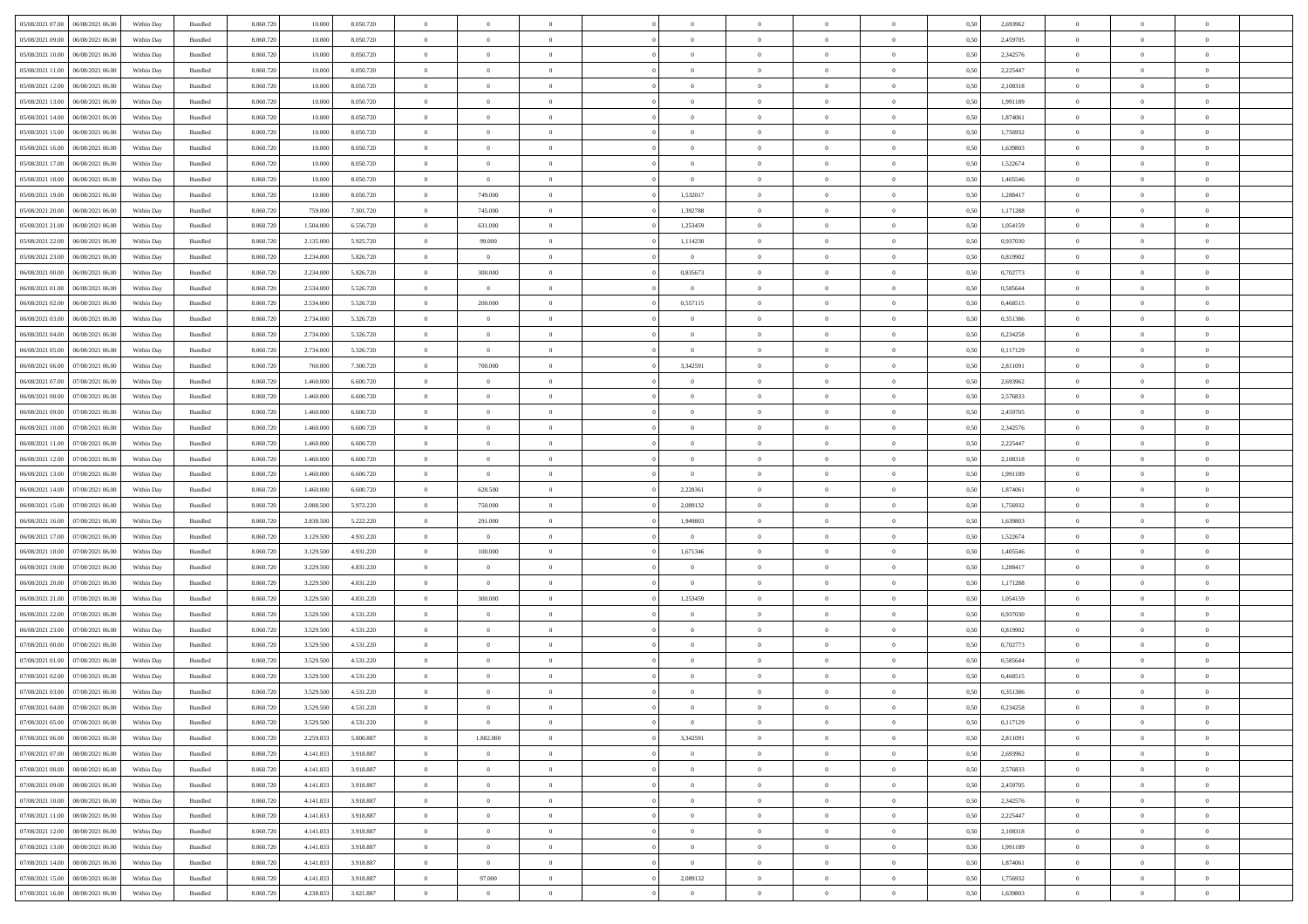| 05/08/2021 07:00                  | 06/08/2021 06:00 | Within Day | Bundled            | 8.060.720 | 10,000    | 8.050.720 | $\Omega$       | $\Omega$       |                | $\Omega$       | $\Omega$       | $\Omega$       | $\Omega$       | 0,50 | 2,693962 | $\theta$       | $\theta$       | $\Omega$       |  |
|-----------------------------------|------------------|------------|--------------------|-----------|-----------|-----------|----------------|----------------|----------------|----------------|----------------|----------------|----------------|------|----------|----------------|----------------|----------------|--|
|                                   |                  |            |                    |           |           |           |                |                |                |                |                |                |                |      |          |                |                |                |  |
| 05/08/2021 09:00                  | 06/08/2021 06:00 | Within Day | Bundled            | 8.060.720 | 10.000    | 8.050.720 | $\overline{0}$ | $\theta$       | $\overline{0}$ | $\overline{0}$ | $\bf{0}$       | $\overline{0}$ | $\overline{0}$ | 0,50 | 2,459705 | $\theta$       | $\theta$       | $\overline{0}$ |  |
| 05/08/2021 10:00                  | 06/08/2021 06:00 | Within Day | Bundled            | 8.060.720 | 10.000    | 8.050.720 | $\overline{0}$ | $\overline{0}$ | $\overline{0}$ | $\bf{0}$       | $\bf{0}$       | $\bf{0}$       | $\bf{0}$       | 0,50 | 2,342576 | $\overline{0}$ | $\overline{0}$ | $\overline{0}$ |  |
| 05/08/2021 11:00                  | 06/08/2021 06:00 | Within Dav | Bundled            | 8.060.720 | 10,000    | 8.050.720 | $\overline{0}$ | $\overline{0}$ | $\overline{0}$ | $\overline{0}$ | $\bf{0}$       | $\overline{0}$ | $\overline{0}$ | 0.50 | 2.225447 | $\theta$       | $\theta$       | $\overline{0}$ |  |
|                                   |                  |            |                    |           |           |           | $\overline{0}$ | $\theta$       |                |                |                |                |                |      |          | $\theta$       |                |                |  |
| 05/08/2021 12:00                  | 06/08/2021 06:00 | Within Day | Bundled            | 8.060.720 | 10.000    | 8.050.720 |                |                | $\overline{0}$ | $\overline{0}$ | $\bf{0}$       | $\overline{0}$ | $\bf{0}$       | 0,50 | 2,108318 |                | $\theta$       | $\overline{0}$ |  |
| 05/08/2021 13:00                  | 06/08/2021 06:00 | Within Day | Bundled            | 8.060.720 | 10.000    | 8.050.720 | $\overline{0}$ | $\bf{0}$       | $\overline{0}$ | $\bf{0}$       | $\overline{0}$ | $\overline{0}$ | $\mathbf{0}$   | 0,50 | 1,991189 | $\overline{0}$ | $\overline{0}$ | $\bf{0}$       |  |
| 05/08/2021 14:00                  | 06/08/2021 06:00 | Within Dav | Bundled            | 8.060.720 | 10,000    | 8.050.720 | $\overline{0}$ | $\overline{0}$ | $\overline{0}$ | $\overline{0}$ | $\overline{0}$ | $\overline{0}$ | $\overline{0}$ | 0.50 | 1,874061 | $\theta$       | $\overline{0}$ | $\overline{0}$ |  |
| 05/08/2021 15:00                  | 06/08/2021 06:00 | Within Day | Bundled            | 8.060.720 | 10.000    | 8.050.720 | $\overline{0}$ | $\theta$       | $\overline{0}$ | $\overline{0}$ | $\bf{0}$       | $\overline{0}$ | $\bf{0}$       | 0,50 | 1,756932 | $\theta$       | $\theta$       | $\overline{0}$ |  |
| 05/08/2021 16:00                  | 06/08/2021 06:00 | Within Day | Bundled            | 8.060.720 | 10.000    | 8.050.720 | $\overline{0}$ | $\overline{0}$ | $\overline{0}$ | $\bf{0}$       | $\bf{0}$       | $\bf{0}$       | $\bf{0}$       | 0,50 | 1,639803 | $\,0\,$        | $\overline{0}$ | $\overline{0}$ |  |
|                                   |                  |            |                    |           |           |           |                |                |                |                |                |                |                |      |          |                |                |                |  |
| 05/08/2021 17:00                  | 06/08/2021 06:00 | Within Dav | Bundled            | 8.060.720 | 10,000    | 8.050.720 | $\overline{0}$ | $\overline{0}$ | $\overline{0}$ | $\overline{0}$ | $\overline{0}$ | $\overline{0}$ | $\overline{0}$ | 0.50 | 1,522674 | $\theta$       | $\overline{0}$ | $\overline{0}$ |  |
| 05/08/2021 18:00                  | 06/08/2021 06:00 | Within Day | Bundled            | 8.060.720 | 10.000    | 8.050.720 | $\overline{0}$ | $\overline{0}$ | $\overline{0}$ | $\overline{0}$ | $\bf{0}$       | $\overline{0}$ | $\bf{0}$       | 0,50 | 1,405546 | $\,$ 0 $\,$    | $\theta$       | $\overline{0}$ |  |
| 05/08/2021 19:00                  | 06/08/2021 06:00 | Within Day | Bundled            | 8.060.720 | 10.000    | 8.050.720 | $\overline{0}$ | 749.000        | $\overline{0}$ | 1,532017       | $\bf{0}$       | $\bf{0}$       | $\bf{0}$       | 0,50 | 1,288417 | $\overline{0}$ | $\overline{0}$ | $\overline{0}$ |  |
| 05/08/2021 20:00                  | 06/08/2021 06:00 | Within Dav | Bundled            | 8.060.720 | 759,000   | 7.301.720 | $\overline{0}$ | 745,000        | $\overline{0}$ | 1,392788       | $\bf{0}$       | $\overline{0}$ | $\overline{0}$ | 0.50 | 1,171288 | $\theta$       | $\theta$       | $\overline{0}$ |  |
|                                   |                  |            |                    |           |           |           |                |                |                |                |                |                |                |      |          |                |                |                |  |
| 05/08/2021 21:00                  | 06/08/2021 06:00 | Within Day | Bundled            | 8.060.720 | 1.504.000 | 6.556.720 | $\overline{0}$ | 631.000        | $\overline{0}$ | 1,253459       | $\bf{0}$       | $\overline{0}$ | $\overline{0}$ | 0,50 | 1,054159 | $\theta$       | $\overline{0}$ | $\overline{0}$ |  |
| 05/08/2021 22.00                  | 06/08/2021 06:00 | Within Day | Bundled            | 8.060.720 | 2.135.000 | 5.925.720 | $\overline{0}$ | 99.000         | $\overline{0}$ | 1,114230       | $\overline{0}$ | $\overline{0}$ | $\mathbf{0}$   | 0,50 | 0,937030 | $\overline{0}$ | $\overline{0}$ | $\bf{0}$       |  |
| 05/08/2021 23:00                  | 06/08/2021 06:00 | Within Dav | Bundled            | 8.060.720 | 2.234.000 | 5.826.720 | $\overline{0}$ | $\overline{0}$ | $\overline{0}$ | $\overline{0}$ | $\overline{0}$ | $\overline{0}$ | $\overline{0}$ | 0.50 | 0,819902 | $\theta$       | $\overline{0}$ | $\overline{0}$ |  |
| 06/08/2021 00:00                  | 06/08/2021 06:00 | Within Day | Bundled            | 8.060.720 | 2.234.000 | 5.826.720 | $\overline{0}$ | 300,000        | $\overline{0}$ | 0,835673       | $\bf{0}$       | $\overline{0}$ | $\bf{0}$       | 0,50 | 0,702773 | $\theta$       | $\theta$       | $\overline{0}$ |  |
| 06/08/2021 01:00                  | 06/08/2021 06:00 | Within Day | Bundled            | 8.060.720 | 2.534.000 | 5.526.720 | $\overline{0}$ | $\bf{0}$       | $\overline{0}$ | $\bf{0}$       | $\bf{0}$       | $\bf{0}$       | $\bf{0}$       | 0,50 | 0,585644 | $\,0\,$        | $\overline{0}$ | $\overline{0}$ |  |
|                                   |                  |            |                    |           |           |           |                |                |                |                |                |                |                |      |          |                |                |                |  |
| 06/08/2021 02:00                  | 06/08/2021 06:00 | Within Dav | Bundled            | 8.060.720 | 2.534,000 | 5.526.720 | $\overline{0}$ | 200.000        | $\overline{0}$ | 0,557115       | $\overline{0}$ | $\overline{0}$ | $\overline{0}$ | 0.50 | 0,468515 | $\theta$       | $\overline{0}$ | $\overline{0}$ |  |
| 06/08/2021 03:00                  | 06/08/2021 06:00 | Within Day | Bundled            | 8.060.720 | 2.734.000 | 5.326.720 | $\overline{0}$ | $\theta$       | $\overline{0}$ | $\overline{0}$ | $\bf{0}$       | $\overline{0}$ | $\bf{0}$       | 0,50 | 0,351386 | $\,$ 0 $\,$    | $\theta$       | $\overline{0}$ |  |
| 06/08/2021 04:00                  | 06/08/2021 06:00 | Within Day | Bundled            | 8.060.720 | 2.734.000 | 5.326.720 | $\overline{0}$ | $\overline{0}$ | $\overline{0}$ | $\bf{0}$       | $\bf{0}$       | $\bf{0}$       | $\bf{0}$       | 0,50 | 0,234258 | $\bf{0}$       | $\overline{0}$ | $\overline{0}$ |  |
| 06/08/2021 05:00                  | 06/08/2021 06:00 | Within Dav | Bundled            | 8.060.720 | 2.734,000 | 5.326.720 | $\overline{0}$ | $\overline{0}$ | $\overline{0}$ | $\overline{0}$ | $\bf{0}$       | $\overline{0}$ | $\overline{0}$ | 0.50 | 0,117129 | $\theta$       | $\overline{0}$ | $\overline{0}$ |  |
|                                   |                  |            |                    |           |           |           |                |                |                |                |                |                |                |      |          |                |                |                |  |
| 06/08/2021 06:00                  | 07/08/2021 06:00 | Within Day | Bundled            | 8.060.720 | 760,000   | 7.300.720 | $\overline{0}$ | 700.000        | $\overline{0}$ | 3,342591       | $\bf{0}$       | $\overline{0}$ | $\bf{0}$       | 0,50 | 2,811091 | $\theta$       | $\overline{0}$ | $\overline{0}$ |  |
| 06/08/2021 07:00                  | 07/08/2021 06:00 | Within Day | Bundled            | 8.060.720 | 1.460.000 | 6.600.720 | $\overline{0}$ | $\bf{0}$       | $\overline{0}$ | $\overline{0}$ | $\overline{0}$ | $\overline{0}$ | $\mathbf{0}$   | 0,50 | 2,693962 | $\bf{0}$       | $\overline{0}$ | $\bf{0}$       |  |
| 06/08/2021 08:00                  | 07/08/2021 06:00 | Within Dav | Bundled            | 8.060.720 | 1.460,000 | 6.600.720 | $\overline{0}$ | $\overline{0}$ | $\overline{0}$ | $\overline{0}$ | $\overline{0}$ | $\overline{0}$ | $\overline{0}$ | 0.50 | 2,576833 | $\theta$       | $\overline{0}$ | $\overline{0}$ |  |
| 06/08/2021 09:00                  | 07/08/2021 06:00 | Within Day | Bundled            | 8.060.720 | 1.460.000 | 6.600.720 | $\overline{0}$ | $\theta$       | $\overline{0}$ | $\overline{0}$ | $\bf{0}$       | $\overline{0}$ | $\bf{0}$       | 0,50 | 2,459705 | $\theta$       | $\theta$       | $\overline{0}$ |  |
| 06/08/2021 10:00                  | 07/08/2021 06:00 | Within Day | Bundled            | 8.060.720 | 1.460.000 | 6.600.720 | $\overline{0}$ | $\overline{0}$ | $\overline{0}$ | $\bf{0}$       | $\bf{0}$       | $\overline{0}$ | $\bf{0}$       | 0,50 | 2,342576 | $\,0\,$        | $\overline{0}$ | $\overline{0}$ |  |
|                                   |                  |            |                    |           |           |           |                |                |                |                |                |                |                |      |          |                |                |                |  |
| 06/08/2021 11:00                  | 07/08/2021 06:00 | Within Dav | Bundled            | 8.060.720 | 1.460,000 | 6.600.720 | $\overline{0}$ | $\overline{0}$ | $\overline{0}$ | $\overline{0}$ | $\bf{0}$       | $\overline{0}$ | $\overline{0}$ | 0.50 | 2,225447 | $\theta$       | $\overline{0}$ | $\overline{0}$ |  |
| 06/08/2021 12:00                  | 07/08/2021 06:00 | Within Day | Bundled            | 8.060.720 | 1.460.000 | 6.600.720 | $\overline{0}$ | $\overline{0}$ | $\overline{0}$ | $\overline{0}$ | $\bf{0}$       | $\overline{0}$ | $\bf{0}$       | 0,50 | 2,108318 | $\,$ 0 $\,$    | $\theta$       | $\overline{0}$ |  |
| 06/08/2021 13:00                  | 07/08/2021 06:00 | Within Day | Bundled            | 8.060.720 | 1.460.000 | 6.600.720 | $\overline{0}$ | $\bf{0}$       | $\overline{0}$ | $\overline{0}$ | $\bf{0}$       | $\overline{0}$ | $\bf{0}$       | 0,50 | 1,991189 | $\bf{0}$       | $\overline{0}$ | $\overline{0}$ |  |
| 06/08/2021 14:00                  | 07/08/2021 06:00 | Within Day | Bundled            | 8.060.720 | 1.460.000 | 6.600.720 | $\bf{0}$       | 628.500        | $\overline{0}$ | 2,228361       | $\Omega$       | $\Omega$       | $\overline{0}$ | 0,50 | 1,874061 | $\,0\,$        | $\theta$       | $\theta$       |  |
| 06/08/2021 15:00                  | 07/08/2021 06:00 | Within Day | Bundled            | 8.060.720 | 2.088.500 | 5.972.220 | $\overline{0}$ | 750,000        | $\overline{0}$ | 2,089132       | $\bf{0}$       | $\overline{0}$ | $\bf{0}$       | 0,50 | 1,756932 | $\theta$       | $\theta$       | $\overline{0}$ |  |
|                                   |                  |            |                    |           |           |           |                |                |                |                |                |                |                |      |          |                |                |                |  |
| 06/08/2021 16:00                  | 07/08/2021 06:00 | Within Day | Bundled            | 8.060.720 | 2.838.500 | 5.222.220 | $\overline{0}$ | 291.000        | $\overline{0}$ | 1,949803       | $\bf{0}$       | $\overline{0}$ | $\mathbf{0}$   | 0,50 | 1,639803 | $\bf{0}$       | $\overline{0}$ | $\bf{0}$       |  |
| 06/08/2021 17:00                  | 07/08/2021 06:00 | Within Day | Bundled            | 8.060.720 | 3.129.500 | 4.931.220 | $\overline{0}$ | $\overline{0}$ | $\Omega$       | $\Omega$       | $\bf{0}$       | $\overline{0}$ | $\overline{0}$ | 0.50 | 1,522674 | $\,$ 0 $\,$    | $\theta$       | $\theta$       |  |
| 06/08/2021 18:00                  | 07/08/2021 06:00 | Within Day | Bundled            | 8.060.720 | 3.129.500 | 4.931.220 | $\overline{0}$ | 100.000        | $\overline{0}$ | 1,671346       | $\bf{0}$       | $\overline{0}$ | $\bf{0}$       | 0,50 | 1,405546 | $\,$ 0 $\,$    | $\theta$       | $\overline{0}$ |  |
| 06/08/2021 19:00                  | 07/08/2021 06:00 | Within Day | Bundled            | 8.060.720 | 3.229.500 | 4.831.220 | $\overline{0}$ | $\overline{0}$ | $\overline{0}$ | $\overline{0}$ | $\bf{0}$       | $\overline{0}$ | $\bf{0}$       | 0,50 | 1,288417 | $\,0\,$        | $\overline{0}$ | $\overline{0}$ |  |
|                                   |                  |            |                    |           |           |           |                |                |                |                |                |                |                |      |          |                |                |                |  |
| 06/08/2021 20:00                  | 07/08/2021 06:00 | Within Day | Bundled            | 8.060.72  | 3.229.500 | 4.831.220 | $\overline{0}$ | $\overline{0}$ | $\overline{0}$ | $\Omega$       | $\Omega$       | $\theta$       | $\overline{0}$ | 0.50 | 1,171288 | $\,$ 0 $\,$    | $\theta$       | $\theta$       |  |
| 06/08/2021 21:00                  | 07/08/2021 06:00 | Within Day | Bundled            | 8.060.720 | 3.229.500 | 4.831.220 | $\overline{0}$ | 300,000        | $\overline{0}$ | 1,253459       | $\bf{0}$       | $\overline{0}$ | $\bf{0}$       | 0,50 | 1,054159 | $\,$ 0 $\,$    | $\overline{0}$ | $\overline{0}$ |  |
| 06/08/2021 22.00                  | 07/08/2021 06:00 | Within Day | Bundled            | 8.060.720 | 3.529.500 | 4.531.220 | $\overline{0}$ | $\bf{0}$       | $\overline{0}$ | $\overline{0}$ | $\bf{0}$       | $\overline{0}$ | $\bf{0}$       | 0,50 | 0,937030 | $\bf{0}$       | $\overline{0}$ | $\overline{0}$ |  |
| 06/08/2021 23:00                  | 07/08/2021 06:00 | Within Day | Bundled            | 8.060.720 | 3.529.500 | 4.531.220 | $\overline{0}$ | $\Omega$       | $\overline{0}$ | $\Omega$       | $\overline{0}$ | $\overline{0}$ | $\overline{0}$ | 0.50 | 0,819902 | $\,0\,$        | $\theta$       | $\theta$       |  |
| 07/08/2021 00:00                  | 07/08/2021 06:00 | Within Day | Bundled            | 8.060.720 | 3.529.500 | 4.531.220 | $\overline{0}$ | $\theta$       | $\overline{0}$ | $\overline{0}$ | $\bf{0}$       | $\overline{0}$ | $\bf{0}$       | 0,50 | 0,702773 | $\,$ 0 $\,$    | $\overline{0}$ | $\overline{0}$ |  |
|                                   |                  |            |                    |           |           |           |                |                |                |                |                |                |                |      |          |                |                |                |  |
| 07/08/2021 01:00                  | 07/08/2021 06:00 | Within Day | Bundled            | 8.060.720 | 3.529.500 | 4.531.220 | $\overline{0}$ | $\overline{0}$ | $\overline{0}$ | $\overline{0}$ | $\bf{0}$       | $\overline{0}$ | $\mathbf{0}$   | 0,50 | 0,585644 | $\bf{0}$       | $\overline{0}$ | $\bf{0}$       |  |
| 07/08/2021 02:00                  | 07/08/2021 06:00 | Within Day | Bundled            | 8.060.72  | 3.529.500 | 4.531.220 | $\overline{0}$ | $\Omega$       | $\Omega$       | $\Omega$       | $\Omega$       | $\Omega$       | $\Omega$       | 0.50 | 0.468515 | $\theta$       | $\theta$       | $\theta$       |  |
| 07/08/2021 03:00                  | 07/08/2021 06:00 | Within Day | Bundled            | 8.060.720 | 3.529.500 | 4.531.220 | $\overline{0}$ | $\,$ 0 $\,$    | $\overline{0}$ | $\bf{0}$       | $\,$ 0         | $\overline{0}$ | $\bf{0}$       | 0,50 | 0,351386 | $\,0\,$        | $\,$ 0 $\,$    | $\overline{0}$ |  |
| 07/08/2021 04:00 07/08/2021 06:00 |                  | Within Day | $\mathbf B$ undled | 8.060.720 | 3.529.500 | 4.531.220 | $\bf{0}$       |                |                |                |                |                |                | 0,50 | 0,234258 | $\bf{0}$       | $\overline{0}$ |                |  |
| 07/08/2021 05:00                  | 07/08/2021 06:00 | Within Day | Bundled            | 8.060.720 | 3.529.500 | 4.531.220 | $\overline{0}$ | $\overline{0}$ | $\overline{0}$ | $\Omega$       | $\overline{0}$ | $\overline{0}$ | $\overline{0}$ | 0,50 | 0,117129 | $\theta$       | $\theta$       | $\theta$       |  |
|                                   |                  |            |                    |           |           |           |                |                |                |                |                |                |                |      |          |                |                |                |  |
| 07/08/2021 06:00                  | 08/08/2021 06:00 | Within Day | Bundled            | 8.060.720 | 2.259.833 | 5.800.887 | $\overline{0}$ | 1.882.000      | $\overline{0}$ | 3,342591       | $\bf{0}$       | $\overline{0}$ | $\mathbf{0}$   | 0,50 | 2,811091 | $\,$ 0 $\,$    | $\,$ 0 $\,$    | $\,$ 0         |  |
| 07/08/2021 07:00                  | 08/08/2021 06:00 | Within Day | Bundled            | 8.060.720 | 4.141.833 | 3.918.887 | $\overline{0}$ | $\overline{0}$ | $\overline{0}$ | $\overline{0}$ | $\overline{0}$ | $\overline{0}$ | $\mathbf{0}$   | 0,50 | 2,693962 | $\overline{0}$ | $\bf{0}$       | $\overline{0}$ |  |
| 07/08/2021 08:00                  | 08/08/2021 06:00 | Within Day | Bundled            | 8.060.720 | 4.141.833 | 3.918.887 | $\overline{0}$ | $\overline{0}$ | $\overline{0}$ | $\overline{0}$ | $\overline{0}$ | $\overline{0}$ | $\overline{0}$ | 0,50 | 2,576833 | $\overline{0}$ | $\theta$       | $\overline{0}$ |  |
| 07/08/2021 09:00                  | 08/08/2021 06:00 | Within Day | Bundled            | 8.060.720 | 4.141.833 | 3.918.887 | $\overline{0}$ | $\bf{0}$       | $\overline{0}$ | $\overline{0}$ | $\,$ 0 $\,$    | $\overline{0}$ | $\mathbf{0}$   | 0,50 | 2,459705 | $\,$ 0 $\,$    | $\overline{0}$ | $\,$ 0         |  |
|                                   |                  |            |                    |           |           |           |                |                |                |                |                |                |                |      |          |                |                |                |  |
| 07/08/2021 10:00                  | 08/08/2021 06:00 | Within Day | Bundled            | 8.060.720 | 4.141.833 | 3.918.887 | $\overline{0}$ | $\overline{0}$ | $\overline{0}$ | $\overline{0}$ | $\overline{0}$ | $\overline{0}$ | $\mathbf{0}$   | 0,50 | 2,342576 | $\overline{0}$ | $\overline{0}$ | $\overline{0}$ |  |
| 07/08/2021 11:00                  | 08/08/2021 06:00 | Within Day | Bundled            | 8.060.720 | 4.141.833 | 3.918.887 | $\overline{0}$ | $\overline{0}$ | $\overline{0}$ | $\overline{0}$ | $\overline{0}$ | $\overline{0}$ | $\bf{0}$       | 0.50 | 2,225447 | $\overline{0}$ | $\theta$       | $\overline{0}$ |  |
| 07/08/2021 12:00                  | 08/08/2021 06:00 | Within Day | Bundled            | 8.060.720 | 4.141.833 | 3.918.887 | $\overline{0}$ | $\overline{0}$ | $\overline{0}$ | $\bf{0}$       | $\bf{0}$       | $\bf{0}$       | $\bf{0}$       | 0,50 | 2,108318 | $\,$ 0 $\,$    | $\overline{0}$ | $\overline{0}$ |  |
| 07/08/2021 13:00                  | 08/08/2021 06:00 | Within Day | Bundled            | 8.060.720 | 4.141.833 | 3.918.887 | $\overline{0}$ | $\overline{0}$ | $\overline{0}$ | $\overline{0}$ | $\overline{0}$ | $\overline{0}$ | $\mathbf{0}$   | 0,50 | 1,991189 | $\overline{0}$ | $\overline{0}$ | $\bf{0}$       |  |
| 07/08/2021 14:00                  | 08/08/2021 06:00 | Within Day | Bundled            | 8.060.720 | 4.141.833 | 3.918.887 | $\overline{0}$ | $\overline{0}$ | $\overline{0}$ | $\overline{0}$ | $\overline{0}$ | $\overline{0}$ | $\overline{0}$ | 0.50 | 1,874061 | $\overline{0}$ | $\theta$       | $\overline{0}$ |  |
|                                   |                  |            |                    |           |           |           |                |                |                |                |                |                |                |      |          |                |                |                |  |
| 07/08/2021 15:00                  | 08/08/2021 06:00 | Within Day | Bundled            | 8.060.720 | 4.141.833 | 3.918.887 | $\overline{0}$ | 97.000         | $\overline{0}$ | 2,089132       | $\bf{0}$       | $\bf{0}$       | $\mathbf{0}$   | 0,50 | 1,756932 | $\,$ 0 $\,$    | $\,$ 0 $\,$    | $\bf{0}$       |  |
| 07/08/2021 16:00                  | 08/08/2021 06:00 | Within Day | Bundled            | 8.060.720 | 4.238.833 | 3.821.887 | $\overline{0}$ | $\overline{0}$ | $\overline{0}$ | $\overline{0}$ | $\overline{0}$ | $\bf{0}$       | $\mathbf{0}$   | 0,50 | 1,639803 | $\overline{0}$ | $\bf{0}$       | $\overline{0}$ |  |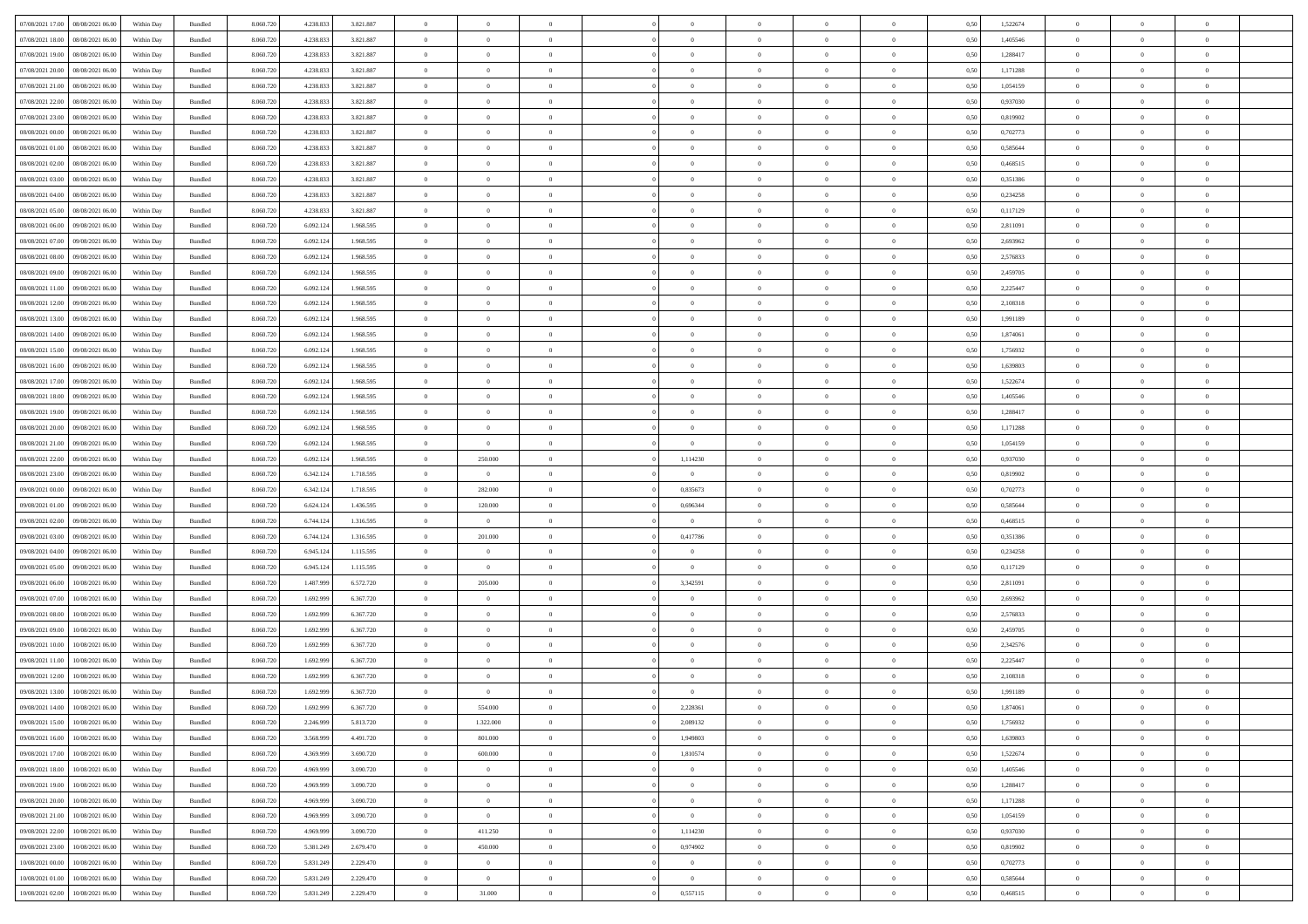| 07/08/2021 17:00 | 08/08/2021 06:00 | Within Day | Bundled            | 8.060.720 | 4.238.833 | 3.821.887 | $\Omega$       | $\Omega$       |                | $\Omega$       | $\Omega$       | $\Omega$       | $\theta$       | 0,50 | 1,522674 | $\theta$       | $\theta$       | $\theta$       |  |
|------------------|------------------|------------|--------------------|-----------|-----------|-----------|----------------|----------------|----------------|----------------|----------------|----------------|----------------|------|----------|----------------|----------------|----------------|--|
|                  |                  |            |                    |           |           |           |                |                |                |                |                |                |                |      |          |                |                |                |  |
| 07/08/2021 18:00 | 08/08/2021 06:00 | Within Day | Bundled            | 8.060.720 | 4.238.833 | 3.821.887 | $\overline{0}$ | $\theta$       | $\overline{0}$ | $\overline{0}$ | $\bf{0}$       | $\overline{0}$ | $\bf{0}$       | 0,50 | 1,405546 | $\theta$       | $\theta$       | $\overline{0}$ |  |
| 07/08/2021 19:00 | 08/08/2021 06:00 | Within Day | Bundled            | 8.060.720 | 4.238.833 | 3.821.887 | $\overline{0}$ | $\overline{0}$ | $\overline{0}$ | $\bf{0}$       | $\bf{0}$       | $\bf{0}$       | $\mathbf{0}$   | 0,50 | 1,288417 | $\overline{0}$ | $\overline{0}$ | $\overline{0}$ |  |
|                  |                  |            |                    |           |           |           |                |                |                |                |                |                |                |      |          | $\theta$       |                |                |  |
| 07/08/2021 20:00 | 08/08/2021 06:00 | Within Dav | Bundled            | 8.060.720 | 4.238.833 | 3.821.887 | $\overline{0}$ | $\overline{0}$ | $\overline{0}$ | $\overline{0}$ | $\bf{0}$       | $\overline{0}$ | $\overline{0}$ | 0.50 | 1,171288 |                | $\theta$       | $\overline{0}$ |  |
| 07/08/2021 21:00 | 08/08/2021 06:00 | Within Day | Bundled            | 8.060.720 | 4.238.833 | 3.821.887 | $\overline{0}$ | $\theta$       | $\overline{0}$ | $\overline{0}$ | $\bf{0}$       | $\overline{0}$ | $\bf{0}$       | 0,50 | 1,054159 | $\theta$       | $\overline{0}$ | $\overline{0}$ |  |
| 07/08/2021 22.00 | 08/08/2021 06:00 | Within Day | Bundled            | 8.060.720 | 4.238.833 | 3.821.887 | $\overline{0}$ | $\bf{0}$       | $\overline{0}$ | $\bf{0}$       | $\overline{0}$ | $\overline{0}$ | $\mathbf{0}$   | 0,50 | 0,937030 | $\overline{0}$ | $\overline{0}$ | $\bf{0}$       |  |
| 07/08/2021 23:00 | 08/08/2021 06:00 | Within Dav | Bundled            | 8.060.720 | 4.238.833 | 3.821.887 | $\overline{0}$ | $\overline{0}$ | $\overline{0}$ |                | $\overline{0}$ | $\overline{0}$ | $\overline{0}$ | 0.50 | 0,819902 | $\theta$       | $\overline{0}$ | $\overline{0}$ |  |
|                  |                  |            |                    |           |           |           |                |                |                | $\overline{0}$ |                |                |                |      |          |                |                |                |  |
| 08/08/2021 00:00 | 08/08/2021 06:00 | Within Day | Bundled            | 8.060.720 | 4.238.833 | 3.821.887 | $\overline{0}$ | $\theta$       | $\overline{0}$ | $\overline{0}$ | $\bf{0}$       | $\overline{0}$ | $\bf{0}$       | 0,50 | 0,702773 | $\theta$       | $\theta$       | $\overline{0}$ |  |
| 08/08/2021 01:00 | 08/08/2021 06:00 | Within Day | Bundled            | 8.060.720 | 4.238.833 | 3.821.887 | $\overline{0}$ | $\overline{0}$ | $\overline{0}$ | $\bf{0}$       | $\bf{0}$       | $\bf{0}$       | $\bf{0}$       | 0,50 | 0,585644 | $\,0\,$        | $\overline{0}$ | $\overline{0}$ |  |
| 08/08/2021 02:00 | 08/08/2021 06:00 | Within Dav | Bundled            | 8.060.720 | 4.238.833 | 3.821.887 | $\overline{0}$ | $\overline{0}$ | $\overline{0}$ | $\overline{0}$ | $\overline{0}$ | $\overline{0}$ | $\overline{0}$ | 0.50 | 0,468515 | $\theta$       | $\overline{0}$ | $\overline{0}$ |  |
|                  |                  |            |                    |           |           |           |                |                |                |                |                |                |                |      |          |                |                |                |  |
| 08/08/2021 03:00 | 08/08/2021 06:00 | Within Day | Bundled            | 8.060.720 | 4.238.833 | 3.821.887 | $\overline{0}$ | $\theta$       | $\overline{0}$ | $\overline{0}$ | $\bf{0}$       | $\overline{0}$ | $\bf{0}$       | 0,50 | 0,351386 | $\theta$       | $\theta$       | $\overline{0}$ |  |
| 08/08/2021 04:00 | 08/08/2021 06:00 | Within Day | Bundled            | 8.060.720 | 4.238.833 | 3.821.887 | $\overline{0}$ | $\overline{0}$ | $\overline{0}$ | $\bf{0}$       | $\bf{0}$       | $\bf{0}$       | $\mathbf{0}$   | 0,50 | 0,234258 | $\overline{0}$ | $\overline{0}$ | $\overline{0}$ |  |
| 08/08/2021 05:00 | 08/08/2021 06:00 | Within Dav | Bundled            | 8.060.720 | 4.238.833 | 3.821.887 | $\overline{0}$ | $\overline{0}$ | $\overline{0}$ | $\overline{0}$ | $\overline{0}$ | $\overline{0}$ | $\overline{0}$ | 0.50 | 0,117129 | $\theta$       | $\theta$       | $\overline{0}$ |  |
|                  |                  |            |                    |           |           |           |                |                |                |                |                |                |                |      |          |                |                |                |  |
| 08/08/2021 06:00 | 09/08/2021 06:00 | Within Day | Bundled            | 8.060.720 | 6.092.124 | 1.968.595 | $\overline{0}$ | $\theta$       | $\overline{0}$ | $\overline{0}$ | $\bf{0}$       | $\overline{0}$ | $\bf{0}$       | 0,50 | 2,811091 | $\theta$       | $\overline{0}$ | $\overline{0}$ |  |
| 08/08/2021 07:00 | 09/08/2021 06:00 | Within Day | Bundled            | 8.060.720 | 6.092.124 | 1.968.595 | $\overline{0}$ | $\overline{0}$ | $\overline{0}$ | $\bf{0}$       | $\overline{0}$ | $\overline{0}$ | $\mathbf{0}$   | 0,50 | 2,693962 | $\overline{0}$ | $\overline{0}$ | $\bf{0}$       |  |
| 08/08/2021 08:00 | 09/08/2021 06:00 | Within Dav | Bundled            | 8.060.720 | 6.092.124 | 1.968.595 | $\overline{0}$ | $\overline{0}$ | $\overline{0}$ | $\overline{0}$ | $\overline{0}$ | $\overline{0}$ | $\overline{0}$ | 0.50 | 2,576833 | $\theta$       | $\overline{0}$ | $\overline{0}$ |  |
|                  |                  |            |                    |           |           |           |                |                |                |                |                |                |                |      |          |                |                |                |  |
| 08/08/2021 09:00 | 09/08/2021 06:00 | Within Day | Bundled            | 8.060.720 | 6.092.124 | 1.968.595 | $\overline{0}$ | $\theta$       | $\overline{0}$ | $\overline{0}$ | $\bf{0}$       | $\overline{0}$ | $\bf{0}$       | 0,50 | 2,459705 | $\theta$       | $\theta$       | $\overline{0}$ |  |
| 08/08/2021 11:00 | 09/08/2021 06:00 | Within Day | Bundled            | 8.060.720 | 6.092.124 | 1.968.595 | $\overline{0}$ | $\overline{0}$ | $\overline{0}$ | $\bf{0}$       | $\bf{0}$       | $\bf{0}$       | $\mathbf{0}$   | 0,50 | 2,225447 | $\,0\,$        | $\overline{0}$ | $\overline{0}$ |  |
| 08/08/2021 12:00 | 09/08/2021 06:00 | Within Dav | Bundled            | 8.060.720 | 6.092.124 | 1.968.595 | $\overline{0}$ | $\overline{0}$ | $\overline{0}$ | $\overline{0}$ | $\overline{0}$ | $\overline{0}$ | $\overline{0}$ | 0.50 | 2,108318 | $\theta$       | $\overline{0}$ | $\overline{0}$ |  |
| 08/08/2021 13:00 | 09/08/2021 06:00 |            |                    | 8.060.720 | 6.092.124 | 1.968.595 | $\overline{0}$ | $\theta$       | $\overline{0}$ | $\overline{0}$ | $\bf{0}$       | $\overline{0}$ |                |      | 1,991189 | $\,$ 0 $\,$    | $\theta$       | $\overline{0}$ |  |
|                  |                  | Within Day | Bundled            |           |           |           |                |                |                |                |                |                | $\bf{0}$       | 0,50 |          |                |                |                |  |
| 08/08/2021 14:00 | 09/08/2021 06:00 | Within Day | Bundled            | 8.060.720 | 6.092.124 | 1.968.595 | $\overline{0}$ | $\overline{0}$ | $\overline{0}$ | $\bf{0}$       | $\bf{0}$       | $\overline{0}$ | $\bf{0}$       | 0,50 | 1,874061 | $\bf{0}$       | $\overline{0}$ | $\overline{0}$ |  |
| 08/08/2021 15:00 | 09/08/2021 06:00 | Within Dav | Bundled            | 8.060.720 | 6.092.124 | 1.968.595 | $\overline{0}$ | $\overline{0}$ | $\overline{0}$ | $\overline{0}$ | $\overline{0}$ | $\overline{0}$ | $\overline{0}$ | 0.50 | 1,756932 | $\theta$       | $\overline{0}$ | $\overline{0}$ |  |
| 08/08/2021 16:00 | 09/08/2021 06:00 | Within Day | Bundled            | 8.060.720 | 6.092.124 | 1.968.595 | $\overline{0}$ | $\theta$       | $\overline{0}$ | $\overline{0}$ | $\bf{0}$       | $\overline{0}$ | $\bf{0}$       | 0,50 | 1,639803 | $\theta$       | $\overline{0}$ | $\overline{0}$ |  |
|                  |                  |            |                    |           |           |           |                |                |                |                |                |                |                |      |          |                |                |                |  |
| 08/08/2021 17:00 | 09/08/2021 06:00 | Within Day | Bundled            | 8.060.720 | 6.092.124 | 1.968.595 | $\overline{0}$ | $\bf{0}$       | $\overline{0}$ | $\overline{0}$ | $\overline{0}$ | $\overline{0}$ | $\mathbf{0}$   | 0,50 | 1,522674 | $\bf{0}$       | $\overline{0}$ | $\bf{0}$       |  |
| 08/08/2021 18:00 | 09/08/2021 06:00 | Within Dav | Bundled            | 8.060.720 | 6.092.124 | 1.968.595 | $\overline{0}$ | $\overline{0}$ | $\overline{0}$ | $\overline{0}$ | $\overline{0}$ | $\overline{0}$ | $\overline{0}$ | 0.50 | 1,405546 | $\theta$       | $\overline{0}$ | $\overline{0}$ |  |
| 08/08/2021 19:00 | 09/08/2021 06:00 | Within Day | Bundled            | 8.060.720 | 6.092.124 | 1.968.595 | $\overline{0}$ | $\theta$       | $\overline{0}$ | $\overline{0}$ | $\bf{0}$       | $\overline{0}$ | $\bf{0}$       | 0,50 | 1,288417 | $\theta$       | $\theta$       | $\overline{0}$ |  |
|                  |                  |            |                    |           |           |           |                |                |                |                |                |                |                |      |          |                |                |                |  |
| 08/08/2021 20:00 | 09/08/2021 06:00 | Within Day | Bundled            | 8.060.720 | 6.092.124 | 1.968.595 | $\overline{0}$ | $\overline{0}$ | $\overline{0}$ | $\overline{0}$ | $\bf{0}$       | $\overline{0}$ | $\bf{0}$       | 0,50 | 1,171288 | $\,0\,$        | $\overline{0}$ | $\overline{0}$ |  |
| 08/08/2021 21:00 | 09/08/2021 06:00 | Within Day | Bundled            | 8.060.720 | 6.092.124 | 1.968.595 | $\overline{0}$ | $\overline{0}$ | $\overline{0}$ | $\overline{0}$ | $\overline{0}$ | $\overline{0}$ | $\overline{0}$ | 0.50 | 1,054159 | $\theta$       | $\overline{0}$ | $\overline{0}$ |  |
| 08/08/2021 22:00 | 09/08/2021 06:00 | Within Day | Bundled            | 8.060.720 | 6.092.124 | 1.968.595 | $\overline{0}$ | 250.000        | $\overline{0}$ | 1,114230       | $\bf{0}$       | $\overline{0}$ | $\bf{0}$       | 0,50 | 0,937030 | $\,$ 0 $\,$    | $\overline{0}$ | $\overline{0}$ |  |
|                  |                  |            |                    |           |           |           |                |                |                |                | $\bf{0}$       |                |                |      |          | $\bf{0}$       | $\overline{0}$ | $\overline{0}$ |  |
| 08/08/2021 23.00 | 09/08/2021 06:00 | Within Day | Bundled            | 8.060.720 | 6.342.124 | 1.718.595 | $\overline{0}$ | $\overline{0}$ | $\overline{0}$ | $\bf{0}$       |                | $\bf{0}$       | $\bf{0}$       | 0,50 | 0,819902 |                |                |                |  |
| 09/08/2021 00:00 | 09/08/2021 06:00 | Within Day | Bundled            | 8.060.720 | 6.342.124 | 1.718.595 | $\overline{0}$ | 282.000        | $\Omega$       | 0.835673       | $\Omega$       | $\overline{0}$ | $\overline{0}$ | 0,50 | 0,702773 | $\,0\,$        | $\theta$       | $\theta$       |  |
| 09/08/2021 01:00 | 09/08/2021 06:00 | Within Day | Bundled            | 8.060.720 | 6.624.124 | 1.436.595 | $\overline{0}$ | 120.000        | $\overline{0}$ | 0,696344       | $\bf{0}$       | $\overline{0}$ | $\bf{0}$       | 0,50 | 0,585644 | $\theta$       | $\overline{0}$ | $\overline{0}$ |  |
| 09/08/2021 02:00 | 09/08/2021 06:00 | Within Day | Bundled            | 8.060.720 | 6.744.124 | 1.316.595 | $\overline{0}$ | $\overline{0}$ | $\overline{0}$ | $\bf{0}$       | $\overline{0}$ | $\overline{0}$ | $\mathbf{0}$   | 0,50 | 0,468515 | $\overline{0}$ | $\overline{0}$ | $\bf{0}$       |  |
|                  |                  |            |                    |           |           |           |                |                |                |                |                |                |                |      |          |                |                |                |  |
| 09/08/2021 03:00 | 09/08/2021 06:00 | Within Day | Bundled            | 8.060.720 | 6.744.124 | 1.316.595 | $\overline{0}$ | 201.000        | $\Omega$       | 0,417786       | $\bf{0}$       | $\overline{0}$ | $\overline{0}$ | 0.50 | 0,351386 | $\,0\,$        | $\theta$       | $\theta$       |  |
| 09/08/2021 04:00 | 09/08/2021 06:00 | Within Day | Bundled            | 8.060.720 | 6.945.124 | 1.115.595 | $\overline{0}$ | $\theta$       | $\overline{0}$ | $\overline{0}$ | $\,$ 0         | $\overline{0}$ | $\bf{0}$       | 0,50 | 0,234258 | $\,$ 0 $\,$    | $\theta$       | $\overline{0}$ |  |
| 09/08/2021 05:00 | 09/08/2021 06:00 | Within Day | Bundled            | 8.060.720 | 6.945.124 | 1.115.595 | $\overline{0}$ | $\bf{0}$       | $\overline{0}$ | $\bf{0}$       | $\bf{0}$       | $\bf{0}$       | $\bf{0}$       | 0,50 | 0,117129 | $\,0\,$        | $\overline{0}$ | $\overline{0}$ |  |
|                  |                  |            |                    |           |           |           |                |                |                |                |                |                |                |      |          |                |                |                |  |
| 09/08/2021 06:00 | 10/08/2021 06:00 | Within Day | Bundled            | 8.060.72  | 1.487.999 | 6.572.720 | $\overline{0}$ | 205,000        | $\overline{0}$ | 3,342591       | $\Omega$       | $\overline{0}$ | $\overline{0}$ | 0.50 | 2,811091 | $\,$ 0 $\,$    | $\theta$       | $\theta$       |  |
| 09/08/2021 07:00 | 10/08/2021 06:00 | Within Day | Bundled            | 8.060.720 | 1.692.999 | 6.367.720 | $\overline{0}$ | $\theta$       | $\overline{0}$ | $\overline{0}$ | $\bf{0}$       | $\overline{0}$ | $\bf{0}$       | 0,50 | 2,693962 | $\,$ 0 $\,$    | $\overline{0}$ | $\overline{0}$ |  |
| 09/08/2021 08:00 | 10/08/2021 06:00 | Within Day | Bundled            | 8.060.720 | 1.692.999 | 6.367.720 | $\overline{0}$ | $\overline{0}$ | $\overline{0}$ | $\bf{0}$       | $\bf{0}$       | $\bf{0}$       | $\bf{0}$       | 0,50 | 2,576833 | $\overline{0}$ | $\overline{0}$ | $\overline{0}$ |  |
| 09/08/2021 09:00 | 10/08/2021 06:00 | Within Day | Bundled            | 8.060.720 | 1.692.999 | 6.367.720 | $\overline{0}$ | $\Omega$       | $\overline{0}$ | $\Omega$       | $\overline{0}$ | $\overline{0}$ | $\overline{0}$ | 0,50 | 2,459705 | $\,0\,$        | $\theta$       | $\theta$       |  |
|                  |                  |            |                    |           |           |           |                |                |                |                |                |                |                |      |          |                |                |                |  |
| 09/08/2021 10:00 | 10/08/2021 06:00 | Within Day | Bundled            | 8.060.720 | 1.692.999 | 6.367.720 | $\overline{0}$ | $\overline{0}$ | $\overline{0}$ | $\overline{0}$ | $\bf{0}$       | $\overline{0}$ | $\bf{0}$       | 0,50 | 2,342576 | $\,$ 0 $\,$    | $\overline{0}$ | $\overline{0}$ |  |
| 09/08/2021 11:00 | 10/08/2021 06:00 | Within Day | Bundled            | 8.060.720 | 1.692.999 | 6.367.720 | $\overline{0}$ | $\bf{0}$       | $\overline{0}$ | $\bf{0}$       | $\bf{0}$       | $\bf{0}$       | $\mathbf{0}$   | 0,50 | 2,225447 | $\overline{0}$ | $\overline{0}$ | $\bf{0}$       |  |
| 09/08/2021 12:00 | 10/08/2021 06:00 | Within Day | Bundled            | 8.060.72  | 1.692.99  | 6.367.720 | $\overline{0}$ | $\Omega$       | $\overline{0}$ | $\Omega$       | $\Omega$       | $\overline{0}$ | $\overline{0}$ | 0.50 | 2,108318 | $\theta$       | $\theta$       | $\theta$       |  |
|                  |                  |            |                    |           |           |           | $\overline{0}$ |                | $\overline{0}$ |                |                |                |                |      |          |                |                |                |  |
| 09/08/2021 13:00 | 10/08/2021 06:00 | Within Day | Bundled            | 8.060.720 | 1.692.999 | 6.367.720 |                | $\overline{0}$ |                | $\overline{0}$ | $\,$ 0         | $\bf{0}$       | $\bf{0}$       | 0,50 | 1,991189 | $\,0\,$        | $\,$ 0 $\,$    | $\overline{0}$ |  |
| 09/08/2021 14:00 | 10/08/2021 06:00 | Within Day | $\mathbf B$ undled | 8.060.720 | 1.692.999 | 6.367.720 | $\bf{0}$       | 554.000        |                | 2,228361       |                |                |                | 0,50 | 1,874061 | $\bf{0}$       | $\overline{0}$ |                |  |
| 09/08/2021 15:00 | 10/08/2021 06:00 | Within Day | Bundled            | 8.060.720 | 2.246.999 | 5.813.720 | $\overline{0}$ | 1.322.000      | $\overline{0}$ | 2.089132       | $\overline{0}$ | $\overline{0}$ | $\overline{0}$ | 0.50 | 1,756932 | $\theta$       | $\theta$       | $\theta$       |  |
| 09/08/2021 16:00 | 10/08/2021 06:00 | Within Day | Bundled            | 8.060.720 | 3.568.999 | 4.491.720 | $\overline{0}$ | 801.000        | $\overline{0}$ | 1,949803       | $\bf{0}$       | $\overline{0}$ | $\mathbf{0}$   | 0,50 | 1,639803 | $\,$ 0 $\,$    | $\,$ 0 $\,$    | $\bf{0}$       |  |
|                  |                  |            |                    |           |           |           |                |                |                |                |                |                |                |      |          |                |                |                |  |
| 09/08/2021 17:00 | 10/08/2021 06:00 | Within Day | Bundled            | 8.060.720 | 4.369.999 | 3.690.720 | $\overline{0}$ | 600.000        | $\overline{0}$ | 1,810574       | $\overline{0}$ | $\overline{0}$ | $\mathbf{0}$   | 0,50 | 1,522674 | $\overline{0}$ | $\bf{0}$       | $\bf{0}$       |  |
| 09/08/2021 18:00 | 10/08/2021 06:00 | Within Day | Bundled            | 8.060.720 | 4.969.999 | 3.090.720 | $\overline{0}$ | $\overline{0}$ | $\overline{0}$ | $\overline{0}$ | $\overline{0}$ | $\overline{0}$ | $\bf{0}$       | 0,50 | 1,405546 | $\overline{0}$ | $\theta$       | $\overline{0}$ |  |
| 09/08/2021 19:00 | 10/08/2021 06:00 | Within Day | Bundled            | 8.060.720 | 4.969.999 | 3.090.720 | $\overline{0}$ | $\,$ 0         | $\overline{0}$ | $\overline{0}$ | $\,$ 0 $\,$    | $\overline{0}$ | $\mathbf{0}$   | 0,50 | 1,288417 | $\,$ 0 $\,$    | $\overline{0}$ | $\overline{0}$ |  |
|                  |                  |            |                    |           |           |           |                |                |                |                |                |                |                |      |          |                |                |                |  |
| 09/08/2021 20:00 | 10/08/2021 06:00 | Within Day | Bundled            | 8.060.720 | 4.969.999 | 3.090.720 | $\overline{0}$ | $\overline{0}$ | $\overline{0}$ | $\overline{0}$ | $\overline{0}$ | $\overline{0}$ | $\mathbf{0}$   | 0,50 | 1,171288 | $\overline{0}$ | $\bf{0}$       | $\bf{0}$       |  |
| 09/08/2021 21.00 | 10/08/2021 06:00 | Within Day | Bundled            | 8.060.720 | 4.969.999 | 3.090.720 | $\overline{0}$ | $\overline{0}$ | $\overline{0}$ | $\overline{0}$ | $\overline{0}$ | $\overline{0}$ | $\bf{0}$       | 0.50 | 1,054159 | $\overline{0}$ | $\theta$       | $\overline{0}$ |  |
| 09/08/2021 22.00 | 10/08/2021 06:00 | Within Day | Bundled            | 8.060.720 | 4.969.999 | 3.090.720 | $\overline{0}$ | 411.250        | $\overline{0}$ | 1,114230       | $\bf{0}$       | $\bf{0}$       | $\bf{0}$       | 0,50 | 0,937030 | $\,$ 0 $\,$    | $\overline{0}$ | $\overline{0}$ |  |
|                  |                  |            |                    |           |           |           |                |                |                |                |                |                |                |      |          |                |                |                |  |
| 09/08/2021 23:00 | 10/08/2021 06:00 | Within Day | Bundled            | 8.060.720 | 5.381.249 | 2.679.470 | $\overline{0}$ | 450.000        | $\overline{0}$ | 0,974902       | $\overline{0}$ | $\bf{0}$       | $\mathbf{0}$   | 0,50 | 0,819902 | $\overline{0}$ | $\overline{0}$ | $\bf{0}$       |  |
| 10/08/2021 00:00 | 10/08/2021 06:00 | Within Day | Bundled            | 8.060.720 | 5.831.249 | 2.229.470 | $\overline{0}$ | $\overline{0}$ | $\overline{0}$ | $\overline{0}$ | $\overline{0}$ | $\overline{0}$ | $\overline{0}$ | 0.50 | 0,702773 | $\overline{0}$ | $\theta$       | $\overline{0}$ |  |
| 10/08/2021 01:00 | 10/08/2021 06:00 | Within Day | Bundled            | 8.060.720 | 5.831.249 | 2.229.470 | $\overline{0}$ | $\bf{0}$       | $\overline{0}$ | $\bf{0}$       | $\bf{0}$       | $\bf{0}$       | $\mathbf{0}$   | 0,50 | 0,585644 | $\,$ 0 $\,$    | $\,$ 0 $\,$    | $\bf{0}$       |  |
|                  |                  |            |                    |           |           |           |                |                |                |                |                |                |                |      |          |                |                |                |  |
| 10/08/2021 02:00 | 10/08/2021 06:00 | Within Day | Bundled            | 8.060.720 | 5.831.249 | 2.229.470 | $\overline{0}$ | 31.000         | $\overline{0}$ | 0,557115       | $\bf{0}$       | $\bf{0}$       | $\mathbf{0}$   | 0,50 | 0,468515 | $\overline{0}$ | $\bf{0}$       | $\bf{0}$       |  |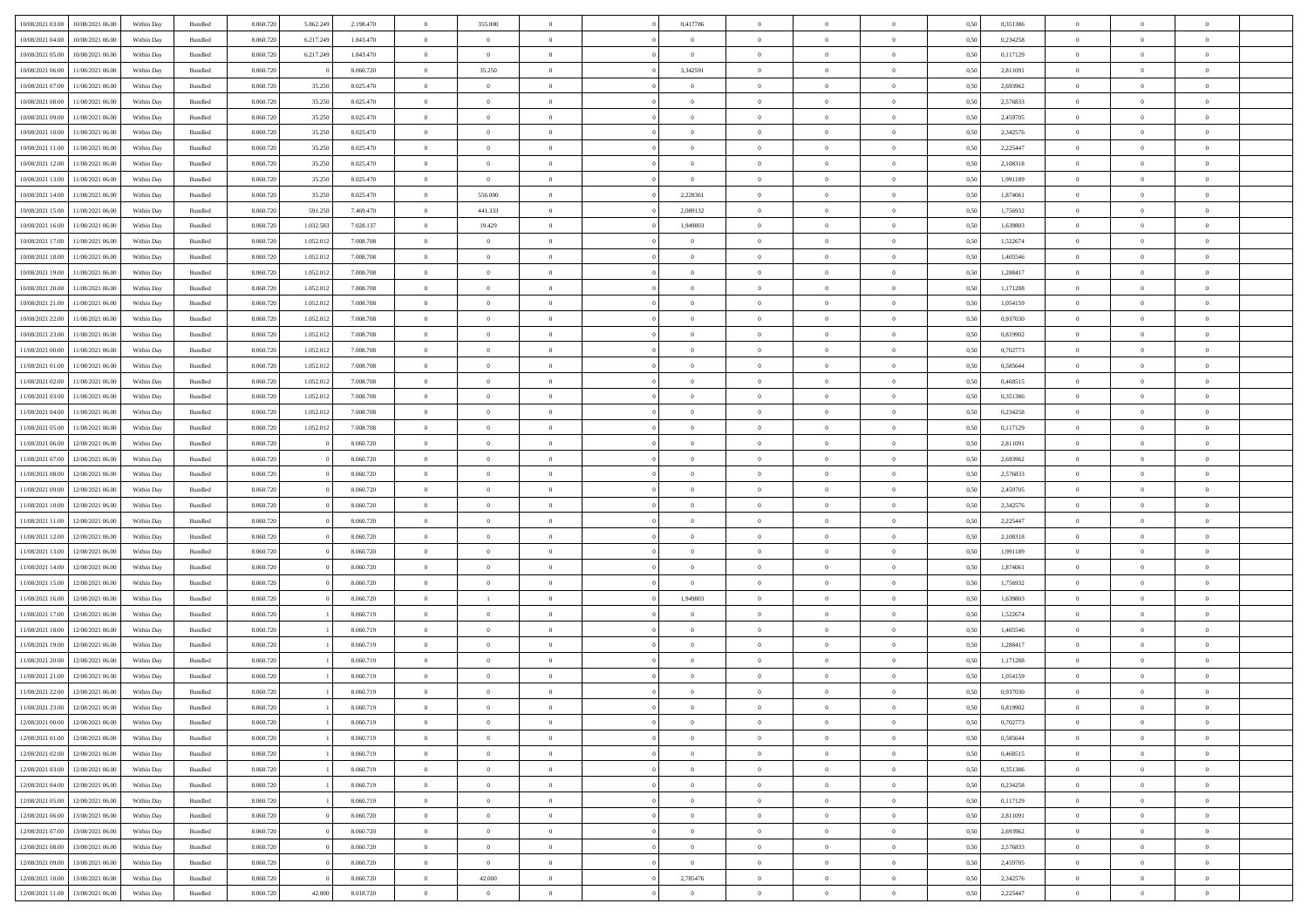| 10/08/2021 03:00 | 10/08/2021 06:00 | Within Day | Bundled | 8.060.720 | 5.862.249 | 2.198.470 | $\overline{0}$ | 355.000        |                | 0,417786       | $\Omega$       | $\Omega$       | $\theta$       | 0.50 | 0,351386 | $\theta$       | $\theta$       | $\theta$       |  |
|------------------|------------------|------------|---------|-----------|-----------|-----------|----------------|----------------|----------------|----------------|----------------|----------------|----------------|------|----------|----------------|----------------|----------------|--|
|                  |                  |            |         |           |           |           |                |                |                |                |                |                |                |      |          |                |                |                |  |
| 10/08/2021 04:00 | 10/08/2021 06:00 | Within Day | Bundled | 8.060.720 | 6.217.249 | 1.843.470 | $\overline{0}$ | $\overline{0}$ | $\overline{0}$ | $\overline{0}$ | $\bf{0}$       | $\overline{0}$ | $\bf{0}$       | 0,50 | 0,234258 | $\theta$       | $\theta$       | $\overline{0}$ |  |
| 10/08/2021 05:00 | 10/08/2021 06:00 | Within Day | Bundled | 8.060.720 | 6.217.249 | 1.843.470 | $\overline{0}$ | $\bf{0}$       | $\overline{0}$ | $\bf{0}$       | $\bf{0}$       | $\bf{0}$       | $\mathbf{0}$   | 0,50 | 0,117129 | $\bf{0}$       | $\overline{0}$ | $\overline{0}$ |  |
| 10/08/2021 06:00 | 11/08/2021 06:00 | Within Dav | Bundled | 8.060.720 |           | 8.060.720 | $\overline{0}$ | 35.250         | $\overline{0}$ | 3,342591       | $\bf{0}$       | $\overline{0}$ | $\overline{0}$ | 0.50 | 2.811091 | $\theta$       | $\theta$       | $\overline{0}$ |  |
| 10/08/2021 07:00 | 11/08/2021 06:00 | Within Day | Bundled | 8.060.720 | 35.250    | 8.025.470 | $\overline{0}$ | $\theta$       | $\overline{0}$ | $\overline{0}$ | $\bf{0}$       | $\overline{0}$ | $\bf{0}$       | 0,50 | 2,693962 | $\theta$       | $\theta$       | $\overline{0}$ |  |
| 10/08/2021 08:00 | 11/08/2021 06:00 | Within Day | Bundled | 8.060.720 | 35.250    | 8.025.470 | $\overline{0}$ | $\bf{0}$       | $\overline{0}$ | $\bf{0}$       | $\overline{0}$ | $\overline{0}$ | $\mathbf{0}$   | 0,50 | 2,576833 | $\bf{0}$       | $\overline{0}$ | $\bf{0}$       |  |
|                  |                  |            |         |           |           |           |                |                |                |                |                |                |                |      |          |                |                |                |  |
| 10/08/2021 09:00 | 11/08/2021 06:00 | Within Dav | Bundled | 8.060.720 | 35.250    | 8.025.470 | $\overline{0}$ | $\overline{0}$ | $\overline{0}$ | $\overline{0}$ | $\overline{0}$ | $\overline{0}$ | $\overline{0}$ | 0.50 | 2,459705 | $\theta$       | $\overline{0}$ | $\overline{0}$ |  |
| 10/08/2021 10:00 | 11/08/2021 06:00 | Within Day | Bundled | 8.060.720 | 35.250    | 8.025.470 | $\overline{0}$ | $\theta$       | $\overline{0}$ | $\overline{0}$ | $\bf{0}$       | $\overline{0}$ | $\bf{0}$       | 0,50 | 2,342576 | $\theta$       | $\theta$       | $\overline{0}$ |  |
| 10/08/2021 11:00 | 11/08/2021 06:00 | Within Day | Bundled | 8.060.720 | 35.250    | 8.025.470 | $\overline{0}$ | $\overline{0}$ | $\overline{0}$ | $\bf{0}$       | $\bf{0}$       | $\bf{0}$       | $\bf{0}$       | 0,50 | 2,225447 | $\,0\,$        | $\overline{0}$ | $\overline{0}$ |  |
| 10/08/2021 12:00 | 11/08/2021 06:00 | Within Dav | Bundled | 8.060.720 | 35.250    | 8.025.470 | $\overline{0}$ | $\overline{0}$ | $\overline{0}$ | $\overline{0}$ | $\overline{0}$ | $\overline{0}$ | $\overline{0}$ | 0.50 | 2,108318 | $\theta$       | $\overline{0}$ | $\overline{0}$ |  |
| 10/08/2021 13:00 | 11/08/2021 06:00 | Within Day | Bundled | 8.060.720 | 35.250    | 8.025.470 | $\overline{0}$ | $\overline{0}$ | $\overline{0}$ | $\overline{0}$ | $\bf{0}$       | $\overline{0}$ | $\bf{0}$       | 0,50 | 1,991189 | $\,$ 0 $\,$    | $\theta$       | $\overline{0}$ |  |
| 10/08/2021 14:00 | 11/08/2021 06:00 | Within Day | Bundled | 8.060.720 | 35.250    | 8.025.470 | $\overline{0}$ | 556.000        | $\overline{0}$ | 2,228361       | $\bf{0}$       | $\bf{0}$       | $\bf{0}$       | 0,50 | 1,874061 | $\overline{0}$ | $\overline{0}$ | $\overline{0}$ |  |
| 10/08/2021 15:00 | 11/08/2021 06:00 | Within Dav | Bundled | 8.060.720 | 591.250   | 7.469.470 | $\overline{0}$ | 441.333        | $\overline{0}$ | 2.089132       | $\bf{0}$       | $\overline{0}$ | $\overline{0}$ | 0.50 | 1.756932 | $\theta$       | $\theta$       | $\overline{0}$ |  |
|                  |                  |            |         |           |           |           |                |                |                |                |                |                |                |      |          |                |                |                |  |
| 10/08/2021 16:00 | 11/08/2021 06:00 | Within Day | Bundled | 8.060.720 | 1.032.583 | 7.028.137 | $\overline{0}$ | 19.429         | $\overline{0}$ | 1,949803       | $\bf{0}$       | $\overline{0}$ | $\bf{0}$       | 0,50 | 1,639803 | $\theta$       | $\overline{0}$ | $\overline{0}$ |  |
| 10/08/2021 17:00 | 11/08/2021 06:00 | Within Day | Bundled | 8.060.720 | 1.052.012 | 7.008.708 | $\overline{0}$ | $\overline{0}$ | $\overline{0}$ | $\bf{0}$       | $\overline{0}$ | $\overline{0}$ | $\mathbf{0}$   | 0,50 | 1,522674 | $\overline{0}$ | $\overline{0}$ | $\bf{0}$       |  |
| 10/08/2021 18:00 | 11/08/2021 06:00 | Within Dav | Bundled | 8.060.720 | 1.052.012 | 7.008.708 | $\overline{0}$ | $\overline{0}$ | $\overline{0}$ | $\overline{0}$ | $\overline{0}$ | $\overline{0}$ | $\overline{0}$ | 0.50 | 1,405546 | $\theta$       | $\overline{0}$ | $\overline{0}$ |  |
| 10/08/2021 19:00 | 11/08/2021 06:00 | Within Day | Bundled | 8.060.720 | 1.052.012 | 7.008.708 | $\overline{0}$ | $\theta$       | $\overline{0}$ | $\overline{0}$ | $\bf{0}$       | $\overline{0}$ | $\bf{0}$       | 0,50 | 1,288417 | $\theta$       | $\theta$       | $\overline{0}$ |  |
| 10/08/2021 20:00 | 11/08/2021 06:00 | Within Day | Bundled | 8.060.720 | 1.052.012 | 7.008.708 | $\overline{0}$ | $\overline{0}$ | $\overline{0}$ | $\bf{0}$       | $\bf{0}$       | $\bf{0}$       | $\mathbf{0}$   | 0,50 | 1,171288 | $\,0\,$        | $\overline{0}$ | $\overline{0}$ |  |
| 10/08/2021 21:00 | 11/08/2021 06:00 | Within Dav | Bundled | 8.060.720 | 1.052.012 | 7.008.708 | $\overline{0}$ | $\overline{0}$ | $\overline{0}$ | $\overline{0}$ | $\overline{0}$ | $\overline{0}$ | $\overline{0}$ | 0.50 | 1,054159 | $\theta$       | $\overline{0}$ | $\overline{0}$ |  |
| 10/08/2021 22:00 | 11/08/2021 06:00 | Within Day | Bundled | 8.060.720 | 1.052.012 | 7.008.708 | $\overline{0}$ | $\theta$       | $\overline{0}$ | $\overline{0}$ | $\bf{0}$       | $\overline{0}$ | $\bf{0}$       | 0,50 | 0,937030 | $\,$ 0 $\,$    | $\overline{0}$ | $\overline{0}$ |  |
|                  |                  |            |         |           |           |           |                |                |                |                |                |                |                |      |          |                |                |                |  |
| 10/08/2021 23:00 | 11/08/2021 06:00 | Within Day | Bundled | 8.060.720 | 1.052.012 | 7.008.708 | $\overline{0}$ | $\overline{0}$ | $\overline{0}$ | $\bf{0}$       | $\bf{0}$       | $\bf{0}$       | $\bf{0}$       | 0,50 | 0,819902 | $\bf{0}$       | $\overline{0}$ | $\overline{0}$ |  |
| 11/08/2021 00:00 | 11/08/2021 06:00 | Within Dav | Bundled | 8.060.720 | 1.052.012 | 7.008.708 | $\overline{0}$ | $\overline{0}$ | $\overline{0}$ | $\overline{0}$ | $\bf{0}$       | $\overline{0}$ | $\overline{0}$ | 0.50 | 0,702773 | $\theta$       | $\theta$       | $\overline{0}$ |  |
| 11/08/2021 01:00 | 11/08/2021 06:00 | Within Day | Bundled | 8.060.720 | 1.052.012 | 7.008.708 | $\overline{0}$ | $\theta$       | $\overline{0}$ | $\overline{0}$ | $\bf{0}$       | $\overline{0}$ | $\bf{0}$       | 0,50 | 0,585644 | $\theta$       | $\overline{0}$ | $\overline{0}$ |  |
| 11/08/2021 02:00 | 11/08/2021 06:00 | Within Day | Bundled | 8.060.720 | 1.052.012 | 7.008.708 | $\overline{0}$ | $\bf{0}$       | $\overline{0}$ | $\bf{0}$       | $\overline{0}$ | $\overline{0}$ | $\mathbf{0}$   | 0,50 | 0,468515 | $\overline{0}$ | $\overline{0}$ | $\bf{0}$       |  |
| 11/08/2021 03:00 | 11/08/2021 06:00 | Within Dav | Bundled | 8.060.720 | 1.052.012 | 7.008.708 | $\overline{0}$ | $\overline{0}$ | $\overline{0}$ | $\overline{0}$ | $\overline{0}$ | $\overline{0}$ | $\overline{0}$ | 0.50 | 0,351386 | $\theta$       | $\overline{0}$ | $\overline{0}$ |  |
| 11/08/2021 04:00 | 11/08/2021 06:00 | Within Day | Bundled | 8.060.720 | 1.052.012 | 7.008.708 | $\overline{0}$ | $\theta$       | $\overline{0}$ | $\overline{0}$ | $\bf{0}$       | $\overline{0}$ | $\bf{0}$       | 0,50 | 0,234258 | $\theta$       | $\theta$       | $\overline{0}$ |  |
|                  |                  |            |         |           |           |           |                | $\overline{0}$ |                | $\bf{0}$       | $\bf{0}$       |                |                |      |          | $\,0\,$        | $\overline{0}$ | $\overline{0}$ |  |
| 11/08/2021 05:00 | 11/08/2021 06:00 | Within Day | Bundled | 8.060.720 | 1.052.012 | 7.008.708 | $\overline{0}$ |                | $\overline{0}$ |                |                | $\bf{0}$       | $\bf{0}$       | 0,50 | 0,117129 |                |                |                |  |
| 11/08/2021 06:00 | 12/08/2021 06:00 | Within Day | Bundled | 8.060.720 |           | 8.060.720 | $\overline{0}$ | $\overline{0}$ | $\overline{0}$ | $\overline{0}$ | $\overline{0}$ | $\overline{0}$ | $\overline{0}$ | 0.50 | 2,811091 | $\theta$       | $\overline{0}$ | $\overline{0}$ |  |
| 11/08/2021 07:00 | 12/08/2021 06:00 | Within Day | Bundled | 8.060.720 |           | 8.060.720 | $\overline{0}$ | $\theta$       | $\overline{0}$ | $\overline{0}$ | $\bf{0}$       | $\overline{0}$ | $\bf{0}$       | 0,50 | 2,693962 | $\,$ 0 $\,$    | $\overline{0}$ | $\overline{0}$ |  |
| 11/08/2021 08:00 | 12/08/2021 06:00 | Within Day | Bundled | 8.060.720 |           | 8.060.720 | $\overline{0}$ | $\overline{0}$ | $\overline{0}$ | $\bf{0}$       | $\bf{0}$       | $\bf{0}$       | $\bf{0}$       | 0,50 | 2,576833 | $\bf{0}$       | $\overline{0}$ | $\overline{0}$ |  |
| 11/08/2021 09:00 | 12/08/2021 06:00 | Within Day | Bundled | 8.060.720 |           | 8.060.720 | $\overline{0}$ | $\Omega$       | $\Omega$       | $\Omega$       | $\Omega$       | $\Omega$       | $\overline{0}$ | 0,50 | 2,459705 | $\,0\,$        | $\theta$       | $\theta$       |  |
| 11/08/2021 10:00 | 12/08/2021 06:00 | Within Day | Bundled | 8.060.720 |           | 8.060.720 | $\overline{0}$ | $\theta$       | $\overline{0}$ | $\overline{0}$ | $\bf{0}$       | $\overline{0}$ | $\bf{0}$       | 0,50 | 2,342576 | $\,$ 0 $\,$    | $\overline{0}$ | $\overline{0}$ |  |
| 11/08/2021 11:00 | 12/08/2021 06:00 | Within Day | Bundled | 8.060.720 |           | 8.060.720 | $\overline{0}$ | $\bf{0}$       | $\overline{0}$ | $\bf{0}$       | $\bf{0}$       | $\overline{0}$ | $\mathbf{0}$   | 0,50 | 2,225447 | $\overline{0}$ | $\overline{0}$ | $\bf{0}$       |  |
| 11/08/2021 12:00 | 12/08/2021 06:00 |            | Bundled | 8.060.720 |           | 8.060.720 | $\overline{0}$ | $\Omega$       | $\Omega$       | $\Omega$       | $\bf{0}$       | $\overline{0}$ | $\overline{0}$ | 0.50 | 2,108318 | $\,0\,$        | $\theta$       | $\theta$       |  |
|                  |                  | Within Day |         |           |           |           |                |                |                |                |                |                |                |      |          |                |                |                |  |
| 11/08/2021 13:00 | 12/08/2021 06:00 | Within Day | Bundled | 8.060.720 |           | 8.060.720 | $\overline{0}$ | $\theta$       | $\overline{0}$ | $\overline{0}$ | $\bf{0}$       | $\overline{0}$ | $\bf{0}$       | 0,50 | 1,991189 | $\,$ 0 $\,$    | $\theta$       | $\overline{0}$ |  |
| 11/08/2021 14:00 | 12/08/2021 06:00 | Within Day | Bundled | 8.060.720 |           | 8.060.720 | $\overline{0}$ | $\overline{0}$ | $\overline{0}$ | $\bf{0}$       | $\bf{0}$       | $\bf{0}$       | $\bf{0}$       | 0,50 | 1,874061 | $\,0\,$        | $\overline{0}$ | $\overline{0}$ |  |
| 11/08/2021 15:00 | 12/08/2021 06:00 | Within Day | Bundled | 8.060.720 |           | 8.060.720 | $\overline{0}$ | $\Omega$       | $\Omega$       | $\Omega$       | $\Omega$       | $\theta$       | $\overline{0}$ | 0.50 | 1,756932 | $\,$ 0 $\,$    | $\theta$       | $\theta$       |  |
| 11/08/2021 16:00 | 12/08/2021 06:00 | Within Day | Bundled | 8.060.720 |           | 8.060.720 | $\overline{0}$ | <sup>1</sup>   | $\overline{0}$ | 1,949803       | $\bf{0}$       | $\overline{0}$ | $\bf{0}$       | 0,50 | 1,639803 | $\,$ 0 $\,$    | $\overline{0}$ | $\overline{0}$ |  |
| 11/08/2021 17:00 | 12/08/2021 06:00 | Within Day | Bundled | 8.060.720 |           | 8.060.719 | $\overline{0}$ | $\overline{0}$ | $\overline{0}$ | $\bf{0}$       | $\bf{0}$       | $\bf{0}$       | $\bf{0}$       | 0,50 | 1,522674 | $\overline{0}$ | $\overline{0}$ | $\overline{0}$ |  |
| 11/08/2021 18:00 | 12/08/2021 06:00 | Within Day | Bundled | 8.060.720 |           | 8.060.719 | $\overline{0}$ | $\Omega$       | $\overline{0}$ | $\Omega$       | $\overline{0}$ | $\overline{0}$ | $\overline{0}$ | 0.50 | 1,405546 | $\,0\,$        | $\theta$       | $\theta$       |  |
| 11/08/2021 19:00 | 12/08/2021 06:00 | Within Day | Bundled | 8.060.720 |           | 8.060.719 | $\overline{0}$ | $\theta$       | $\overline{0}$ | $\overline{0}$ | $\bf{0}$       | $\overline{0}$ | $\bf{0}$       | 0,50 | 1,288417 | $\,$ 0 $\,$    | $\overline{0}$ | $\overline{0}$ |  |
|                  |                  |            |         |           |           |           |                |                |                |                |                |                |                |      |          |                |                |                |  |
| 11/08/2021 20:00 | 12/08/2021 06:00 | Within Day | Bundled | 8.060.720 |           | 8.060.719 | $\overline{0}$ | $\overline{0}$ | $\overline{0}$ | $\bf{0}$       | $\bf{0}$       | $\bf{0}$       | $\mathbf{0}$   | 0,50 | 1,171288 | $\overline{0}$ | $\overline{0}$ | $\bf{0}$       |  |
| 11/08/2021 21:00 | 12/08/2021 06:00 | Within Day | Bundled | 8.060.720 |           | 8.060.719 | $\overline{0}$ | $\Omega$       | $\Omega$       | $\Omega$       | $\Omega$       | $\Omega$       | $\Omega$       | 0.50 | 1,054159 | $\theta$       | $\theta$       | $\theta$       |  |
| 11/08/2021 22:00 | 12/08/2021 06:00 | Within Day | Bundled | 8.060.720 |           | 8.060.719 | $\overline{0}$ | $\overline{0}$ | $\overline{0}$ | $\bf{0}$       | $\,$ 0         | $\bf{0}$       | $\bf{0}$       | 0,50 | 0,937030 | $\,0\,$        | $\overline{0}$ | $\overline{0}$ |  |
| 11/08/2021 23:00 | 12/08/2021 06:00 | Within Day | Bundled | 8.060.720 |           | 8.060.719 | $\bf{0}$       | $\bf{0}$       |                |                |                |                |                | 0,50 | 0,819902 | $\bf{0}$       | $\overline{0}$ |                |  |
| 12/08/2021 00:00 | 12/08/2021 06:00 | Within Day | Bundled | 8.060.720 |           | 8.060.719 | $\overline{0}$ | $\overline{0}$ | $\overline{0}$ | $\Omega$       | $\overline{0}$ | $\overline{0}$ | $\overline{0}$ | 0.50 | 0.702773 | $\theta$       | $\theta$       | $\theta$       |  |
| 12/08/2021 01:00 | 12/08/2021 06:00 | Within Day | Bundled | 8.060.720 |           | 8.060.719 | $\overline{0}$ | $\,$ 0         | $\overline{0}$ | $\bf{0}$       | $\,$ 0 $\,$    | $\overline{0}$ | $\mathbf{0}$   | 0,50 | 0,585644 | $\,$ 0 $\,$    | $\,$ 0 $\,$    | $\,$ 0         |  |
| 12/08/2021 02:00 | 12/08/2021 06:00 | Within Day | Bundled | 8.060.720 |           | 8.060.719 | $\overline{0}$ | $\overline{0}$ | $\overline{0}$ | $\overline{0}$ | $\overline{0}$ | $\overline{0}$ | $\mathbf{0}$   | 0,50 | 0,468515 | $\overline{0}$ | $\bf{0}$       | $\bf{0}$       |  |
|                  |                  |            |         |           |           |           | $\overline{0}$ | $\overline{0}$ |                | $\Omega$       | $\overline{0}$ | $\overline{0}$ |                |      |          |                | $\theta$       | $\overline{0}$ |  |
| 12/08/2021 03:00 | 12/08/2021 06:00 | Within Day | Bundled | 8.060.720 |           | 8.060.719 |                |                | $\overline{0}$ |                |                |                | $\bf{0}$       | 0,50 | 0,351386 | $\bf{0}$       |                |                |  |
| 12/08/2021 04:00 | 12/08/2021 06:00 | Within Day | Bundled | 8.060.720 |           | 8.060.719 | $\overline{0}$ | $\,$ 0         | $\overline{0}$ | $\overline{0}$ | $\,$ 0 $\,$    | $\overline{0}$ | $\mathbf{0}$   | 0,50 | 0,234258 | $\,$ 0 $\,$    | $\overline{0}$ | $\overline{0}$ |  |
| 12/08/2021 05:00 | 12/08/2021 06:00 | Within Day | Bundled | 8.060.720 |           | 8.060.719 | $\overline{0}$ | $\overline{0}$ | $\overline{0}$ | $\overline{0}$ | $\overline{0}$ | $\overline{0}$ | $\mathbf{0}$   | 0,50 | 0,117129 | $\overline{0}$ | $\overline{0}$ | $\bf{0}$       |  |
| 12/08/2021 06:00 | 13/08/2021 06:00 | Within Day | Bundled | 8.060.720 |           | 8.060.720 | $\overline{0}$ | $\overline{0}$ | $\overline{0}$ | $\Omega$       | $\overline{0}$ | $\overline{0}$ | $\bf{0}$       | 0.50 | 2,811091 | $\overline{0}$ | $\theta$       | $\overline{0}$ |  |
| 12/08/2021 07:00 | 13/08/2021 06:00 | Within Day | Bundled | 8.060.720 |           | 8.060.720 | $\overline{0}$ | $\,$ 0         | $\overline{0}$ | $\bf{0}$       | $\bf{0}$       | $\bf{0}$       | $\bf{0}$       | 0,50 | 2,693962 | $\,$ 0 $\,$    | $\overline{0}$ | $\overline{0}$ |  |
| 12/08/2021 08:00 | 13/08/2021 06:00 | Within Day | Bundled | 8.060.720 |           | 8.060.720 | $\overline{0}$ | $\bf{0}$       | $\overline{0}$ | $\overline{0}$ | $\overline{0}$ | $\overline{0}$ | $\mathbf{0}$   | 0,50 | 2,576833 | $\overline{0}$ | $\overline{0}$ | $\bf{0}$       |  |
| 12/08/2021 09:00 | 13/08/2021 06:00 | Within Day | Bundled | 8.060.720 |           | 8.060.720 | $\overline{0}$ | $\overline{0}$ | $\overline{0}$ | $\Omega$       | $\overline{0}$ | $\overline{0}$ | $\bf{0}$       | 0.50 | 2,459705 | $\overline{0}$ | $\theta$       | $\overline{0}$ |  |
| 12/08/2021 10:00 | 13/08/2021 06:00 |            |         | 8.060.720 |           | 8.060.720 | $\overline{0}$ | 42.000         |                | 2,785476       | $\bf{0}$       |                |                |      | 2,342576 | $\,$ 0 $\,$    | $\,$ 0 $\,$    | $\bf{0}$       |  |
|                  |                  | Within Day | Bundled |           |           |           |                |                | $\overline{0}$ |                |                | $\bf{0}$       | $\bf{0}$       | 0,50 |          |                |                |                |  |
| 12/08/2021 11:00 | 13/08/2021 06:00 | Within Day | Bundled | 8.060.720 | 42.000    | 8.018.720 | $\overline{0}$ | $\overline{0}$ | $\overline{0}$ | $\overline{0}$ | $\bf{0}$       | $\bf{0}$       | $\bf{0}$       | 0,50 | 2,225447 | $\overline{0}$ | $\overline{0}$ | $\bf{0}$       |  |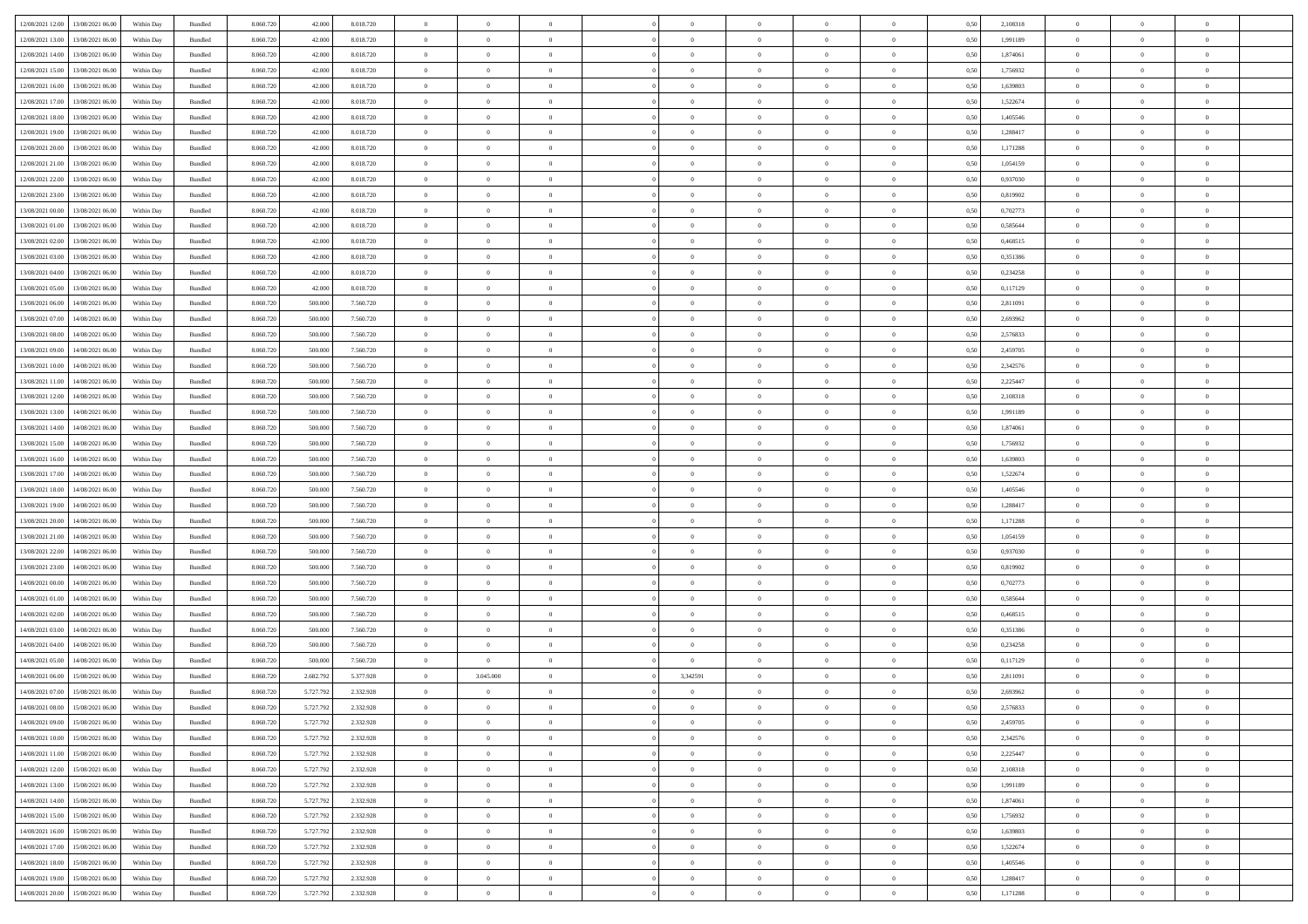|                  |                  |            |                    |           |           |           | $\overline{0}$ | $\Omega$       |                |                | $\Omega$       | $\Omega$       | $\theta$       |      |          | $\theta$       | $\theta$       | $\theta$       |  |
|------------------|------------------|------------|--------------------|-----------|-----------|-----------|----------------|----------------|----------------|----------------|----------------|----------------|----------------|------|----------|----------------|----------------|----------------|--|
| 12/08/2021 12:00 | 13/08/2021 06:00 | Within Dav | Bundled            | 8.060.720 | 42,000    | 8.018.720 |                |                |                | $\Omega$       |                |                |                | 0.50 | 2,108318 |                |                |                |  |
| 12/08/2021 13:00 | 13/08/2021 06:00 | Within Day | Bundled            | 8.060.720 | 42.000    | 8.018.720 | $\overline{0}$ | $\theta$       | $\overline{0}$ | $\overline{0}$ | $\bf{0}$       | $\overline{0}$ | $\bf{0}$       | 0,50 | 1,991189 | $\theta$       | $\theta$       | $\overline{0}$ |  |
| 12/08/2021 14:00 | 13/08/2021 06:00 | Within Day | Bundled            | 8.060.720 | 42.000    | 8.018.720 | $\overline{0}$ | $\bf{0}$       | $\overline{0}$ | $\bf{0}$       | $\bf{0}$       | $\bf{0}$       | $\mathbf{0}$   | 0,50 | 1,874061 | $\bf{0}$       | $\overline{0}$ | $\overline{0}$ |  |
| 12/08/2021 15:00 | 13/08/2021 06:00 | Within Dav | Bundled            | 8.060.720 | 42,000    | 8.018.720 | $\overline{0}$ | $\overline{0}$ | $\overline{0}$ | $\overline{0}$ | $\theta$       | $\overline{0}$ | $\overline{0}$ | 0.50 | 1,756932 | $\theta$       | $\theta$       | $\overline{0}$ |  |
|                  |                  |            |                    |           |           |           |                |                |                |                |                |                |                |      |          |                |                |                |  |
| 12/08/2021 16:00 | 13/08/2021 06:00 | Within Day | Bundled            | 8.060.720 | 42.000    | 8.018.720 | $\overline{0}$ | $\theta$       | $\overline{0}$ | $\overline{0}$ | $\bf{0}$       | $\overline{0}$ | $\bf{0}$       | 0,50 | 1,639803 | $\theta$       | $\overline{0}$ | $\overline{0}$ |  |
| 12/08/2021 17:00 | 13/08/2021 06:00 | Within Day | Bundled            | 8.060.720 | 42.000    | 8.018.720 | $\overline{0}$ | $\overline{0}$ | $\overline{0}$ | $\bf{0}$       | $\overline{0}$ | $\overline{0}$ | $\mathbf{0}$   | 0,50 | 1,522674 | $\bf{0}$       | $\overline{0}$ | $\bf{0}$       |  |
| 12/08/2021 18:00 | 13/08/2021 06:00 | Within Dav | Bundled            | 8.060.720 | 42,000    | 8.018.720 | $\overline{0}$ | $\overline{0}$ | $\overline{0}$ | $\overline{0}$ | $\overline{0}$ | $\overline{0}$ | $\overline{0}$ | 0.50 | 1,405546 | $\theta$       | $\overline{0}$ | $\overline{0}$ |  |
| 12/08/2021 19:00 | 13/08/2021 06:00 | Within Day | Bundled            | 8.060.720 | 42.000    | 8.018.720 | $\overline{0}$ | $\theta$       | $\overline{0}$ | $\overline{0}$ | $\,$ 0         | $\overline{0}$ | $\bf{0}$       | 0,50 | 1,288417 | $\,$ 0 $\,$    | $\theta$       | $\overline{0}$ |  |
|                  |                  |            |                    |           |           |           |                | $\overline{0}$ |                |                | $\bf{0}$       |                |                |      |          | $\,0\,$        | $\overline{0}$ | $\overline{0}$ |  |
| 12/08/2021 20:00 | 13/08/2021 06:00 | Within Day | Bundled            | 8.060.720 | 42.000    | 8.018.720 | $\overline{0}$ |                | $\overline{0}$ | $\bf{0}$       |                | $\bf{0}$       | $\mathbf{0}$   | 0,50 | 1,171288 |                |                |                |  |
| 12/08/2021 21:00 | 13/08/2021 06:00 | Within Dav | Bundled            | 8.060.720 | 42.000    | 8.018.720 | $\overline{0}$ | $\overline{0}$ | $\overline{0}$ | $\overline{0}$ | $\overline{0}$ | $\overline{0}$ | $\overline{0}$ | 0.50 | 1,054159 | $\theta$       | $\overline{0}$ | $\overline{0}$ |  |
| 12/08/2021 22:00 | 13/08/2021 06:00 | Within Day | Bundled            | 8.060.720 | 42.000    | 8.018.720 | $\overline{0}$ | $\theta$       | $\overline{0}$ | $\overline{0}$ | $\bf{0}$       | $\overline{0}$ | $\bf{0}$       | 0,50 | 0,937030 | $\,$ 0 $\,$    | $\overline{0}$ | $\overline{0}$ |  |
| 12/08/2021 23:00 | 13/08/2021 06:00 | Within Day | Bundled            | 8.060.720 | 42.000    | 8.018.720 | $\overline{0}$ | $\overline{0}$ | $\overline{0}$ | $\bf{0}$       | $\bf{0}$       | $\bf{0}$       | $\mathbf{0}$   | 0,50 | 0,819902 | $\bf{0}$       | $\overline{0}$ | $\bf{0}$       |  |
| 13/08/2021 00:00 | 13/08/2021 06:00 | Within Day | Bundled            | 8.060.720 | 42,000    | 8.018.720 | $\overline{0}$ | $\overline{0}$ | $\overline{0}$ | $\overline{0}$ | $\overline{0}$ | $\overline{0}$ | $\overline{0}$ | 0.50 | 0,702773 | $\theta$       | $\theta$       | $\overline{0}$ |  |
|                  |                  |            |                    |           |           |           |                |                |                |                |                |                |                |      |          |                |                |                |  |
| 13/08/2021 01:00 | 13/08/2021 06:00 | Within Day | Bundled            | 8.060.720 | 42.000    | 8.018.720 | $\overline{0}$ | $\theta$       | $\overline{0}$ | $\overline{0}$ | $\bf{0}$       | $\overline{0}$ | $\bf{0}$       | 0,50 | 0,585644 | $\theta$       | $\overline{0}$ | $\overline{0}$ |  |
| 13/08/2021 02:00 | 13/08/2021 06:00 | Within Day | Bundled            | 8.060.720 | 42.000    | 8.018.720 | $\overline{0}$ | $\overline{0}$ | $\overline{0}$ | $\bf{0}$       | $\overline{0}$ | $\overline{0}$ | $\mathbf{0}$   | 0,50 | 0,468515 | $\bf{0}$       | $\overline{0}$ | $\bf{0}$       |  |
| 13/08/2021 03:00 | 13/08/2021 06:00 | Within Dav | Bundled            | 8.060.720 | 42.000    | 8.018.720 | $\overline{0}$ | $\overline{0}$ | $\overline{0}$ | $\overline{0}$ | $\overline{0}$ | $\overline{0}$ | $\overline{0}$ | 0.50 | 0,351386 | $\theta$       | $\overline{0}$ | $\overline{0}$ |  |
| 13/08/2021 04:00 | 13/08/2021 06:00 | Within Day | Bundled            | 8.060.720 | 42.000    | 8.018.720 | $\overline{0}$ | $\theta$       | $\overline{0}$ | $\overline{0}$ | $\bf{0}$       | $\overline{0}$ | $\bf{0}$       | 0,50 | 0,234258 | $\,$ 0 $\,$    | $\theta$       | $\overline{0}$ |  |
|                  |                  |            |                    |           |           |           |                | $\overline{0}$ |                |                | $\bf{0}$       |                |                |      |          | $\bf{0}$       | $\overline{0}$ | $\overline{0}$ |  |
| 13/08/2021 05:00 | 13/08/2021 06:00 | Within Day | Bundled            | 8.060.720 | 42.000    | 8.018.720 | $\overline{0}$ |                | $\overline{0}$ | $\bf{0}$       |                | $\bf{0}$       | $\mathbf{0}$   | 0,50 | 0,117129 |                |                |                |  |
| 13/08/2021 06:00 | 14/08/2021 06:00 | Within Day | Bundled            | 8.060.720 | 500,000   | 7.560.720 | $\overline{0}$ | $\overline{0}$ | $\overline{0}$ | $\overline{0}$ | $\overline{0}$ | $\overline{0}$ | $\overline{0}$ | 0.50 | 2,811091 | $\theta$       | $\overline{0}$ | $\overline{0}$ |  |
| 13/08/2021 07:00 | 14/08/2021 06:00 | Within Day | Bundled            | 8.060.720 | 500.000   | 7.560.720 | $\overline{0}$ | $\theta$       | $\overline{0}$ | $\overline{0}$ | $\bf{0}$       | $\overline{0}$ | $\bf{0}$       | 0,50 | 2,693962 | $\,$ 0 $\,$    | $\overline{0}$ | $\overline{0}$ |  |
| 13/08/2021 08:00 | 14/08/2021 06:00 | Within Day | Bundled            | 8.060.720 | 500.000   | 7.560.720 | $\overline{0}$ | $\overline{0}$ | $\overline{0}$ | $\bf{0}$       | $\bf{0}$       | $\bf{0}$       | $\mathbf{0}$   | 0,50 | 2,576833 | $\bf{0}$       | $\overline{0}$ | $\overline{0}$ |  |
| 13/08/2021 09:00 | 14/08/2021 06:00 | Within Day | Bundled            | 8.060.720 | 500,000   | 7.560.720 | $\overline{0}$ | $\overline{0}$ | $\overline{0}$ | $\overline{0}$ | $\overline{0}$ | $\overline{0}$ | $\overline{0}$ | 0.50 | 2,459705 | $\theta$       | $\overline{0}$ | $\overline{0}$ |  |
|                  |                  |            |                    |           |           |           |                |                |                |                |                |                |                |      |          |                |                |                |  |
| 13/08/2021 10:00 | 14/08/2021 06:00 | Within Day | Bundled            | 8.060.720 | 500.000   | 7.560.720 | $\overline{0}$ | $\theta$       | $\overline{0}$ | $\overline{0}$ | $\bf{0}$       | $\overline{0}$ | $\,$ 0 $\,$    | 0,50 | 2,342576 | $\,$ 0 $\,$    | $\overline{0}$ | $\overline{0}$ |  |
| 13/08/2021 11:00 | 14/08/2021 06:00 | Within Day | Bundled            | 8.060.720 | 500.000   | 7.560.720 | $\overline{0}$ | $\overline{0}$ | $\overline{0}$ | $\bf{0}$       | $\overline{0}$ | $\overline{0}$ | $\mathbf{0}$   | 0,50 | 2,225447 | $\overline{0}$ | $\overline{0}$ | $\bf{0}$       |  |
| 13/08/2021 12:00 | 14/08/2021 06:00 | Within Dav | Bundled            | 8.060.720 | 500,000   | 7.560.720 | $\overline{0}$ | $\overline{0}$ | $\overline{0}$ | $\overline{0}$ | $\overline{0}$ | $\overline{0}$ | $\overline{0}$ | 0.50 | 2,108318 | $\overline{0}$ | $\overline{0}$ | $\overline{0}$ |  |
| 13/08/2021 13:00 | 14/08/2021 06:00 | Within Day | Bundled            | 8.060.720 | 500.000   | 7.560.720 | $\overline{0}$ | $\theta$       | $\overline{0}$ | $\overline{0}$ | $\,$ 0         | $\overline{0}$ | $\bf{0}$       | 0,50 | 1,991189 | $\,$ 0 $\,$    | $\theta$       | $\overline{0}$ |  |
|                  |                  |            |                    |           |           |           |                |                |                |                |                |                |                |      |          |                |                |                |  |
| 13/08/2021 14:00 | 14/08/2021 06:00 | Within Day | Bundled            | 8.060.720 | 500.000   | 7.560.720 | $\overline{0}$ | $\overline{0}$ | $\overline{0}$ | $\bf{0}$       | $\bf{0}$       | $\bf{0}$       | $\mathbf{0}$   | 0,50 | 1,874061 | $\,0\,$        | $\overline{0}$ | $\overline{0}$ |  |
| 13/08/2021 15:00 | 14/08/2021 06:00 | Within Day | Bundled            | 8.060.720 | 500.000   | 7.560.720 | $\overline{0}$ | $\overline{0}$ | $\overline{0}$ | $\overline{0}$ | $\overline{0}$ | $\overline{0}$ | $\overline{0}$ | 0.50 | 1,756932 | $\theta$       | $\overline{0}$ | $\overline{0}$ |  |
| 13/08/2021 16:00 | 14/08/2021 06:00 | Within Day | Bundled            | 8.060.720 | 500.000   | 7.560.720 | $\overline{0}$ | $\theta$       | $\overline{0}$ | $\overline{0}$ | $\bf{0}$       | $\overline{0}$ | $\bf{0}$       | 0,50 | 1,639803 | $\,$ 0 $\,$    | $\overline{0}$ | $\overline{0}$ |  |
| 13/08/2021 17:00 | 14/08/2021 06:00 | Within Day | Bundled            | 8.060.720 | 500.000   | 7.560.720 | $\overline{0}$ | $\overline{0}$ | $\overline{0}$ | $\bf{0}$       | $\bf{0}$       | $\bf{0}$       | $\mathbf{0}$   | 0,50 | 1,522674 | $\overline{0}$ | $\overline{0}$ | $\bf{0}$       |  |
| 13/08/2021 18:00 | 14/08/2021 06:00 | Within Day | Bundled            | 8.060.720 | 500.000   | 7.560.720 | $\overline{0}$ | $\theta$       | $\overline{0}$ | $\Omega$       | $\bf{0}$       | $\overline{0}$ | $\overline{0}$ | 0.50 | 1,405546 | $\,0\,$        | $\theta$       | $\theta$       |  |
|                  |                  |            |                    |           |           |           |                |                |                |                |                |                |                |      |          |                |                |                |  |
| 13/08/2021 19:00 | 14/08/2021 06:00 | Within Day | Bundled            | 8.060.720 | 500.000   | 7.560.720 | $\overline{0}$ | $\theta$       | $\overline{0}$ | $\overline{0}$ | $\bf{0}$       | $\overline{0}$ | $\bf{0}$       | 0,50 | 1,288417 | $\,$ 0 $\,$    | $\overline{0}$ | $\overline{0}$ |  |
| 13/08/2021 20:00 | 14/08/2021 06:00 | Within Day | Bundled            | 8.060.720 | 500.000   | 7.560.720 | $\overline{0}$ | $\overline{0}$ | $\overline{0}$ | $\bf{0}$       | $\bf{0}$       | $\overline{0}$ | $\mathbf{0}$   | 0,50 | 1,171288 | $\overline{0}$ | $\overline{0}$ | $\bf{0}$       |  |
| 13/08/2021 21:00 | 14/08/2021 06:00 | Within Day | Bundled            | 8.060.720 | 500,000   | 7.560.720 | $\overline{0}$ | $\overline{0}$ | $\overline{0}$ | $\Omega$       | $\overline{0}$ | $\overline{0}$ | $\overline{0}$ | 0.50 | 1,054159 | $\,0\,$        | $\theta$       | $\overline{0}$ |  |
| 13/08/2021 22:00 | 14/08/2021 06:00 | Within Day | Bundled            | 8.060.720 | 500.000   | 7.560.720 | $\overline{0}$ | $\theta$       | $\overline{0}$ | $\overline{0}$ | $\bf{0}$       | $\overline{0}$ | $\bf{0}$       | 0,50 | 0,937030 | $\,$ 0 $\,$    | $\overline{0}$ | $\overline{0}$ |  |
|                  |                  |            |                    |           |           |           |                | $\overline{0}$ |                |                | $\bf{0}$       |                |                |      |          | $\,0\,$        | $\overline{0}$ | $\bf{0}$       |  |
| 13/08/2021 23:00 | 14/08/2021 06:00 | Within Day | Bundled            | 8.060.720 | 500.000   | 7.560.720 | $\overline{0}$ |                | $\overline{0}$ | $\bf{0}$       |                | $\bf{0}$       | $\mathbf{0}$   | 0,50 | 0,819902 |                |                |                |  |
| 14/08/2021 00:00 | 14/08/2021 06:00 | Within Day | Bundled            | 8.060.720 | 500,000   | 7.560.720 | $\overline{0}$ | $\overline{0}$ | $\overline{0}$ | $\Omega$       | $\overline{0}$ | $\overline{0}$ | $\overline{0}$ | 0.50 | 0,702773 | $\,$ 0 $\,$    | $\theta$       | $\theta$       |  |
| 14/08/2021 01:00 | 14/08/2021 06:00 | Within Day | Bundled            | 8.060.720 | 500.000   | 7.560.720 | $\overline{0}$ | $\theta$       | $\overline{0}$ | $\overline{0}$ | $\,$ 0         | $\overline{0}$ | $\bf{0}$       | 0,50 | 0,585644 | $\,$ 0 $\,$    | $\overline{0}$ | $\overline{0}$ |  |
| 14/08/2021 02:00 | 14/08/2021 06:00 | Within Day | Bundled            | 8.060.720 | 500.000   | 7.560.720 | $\overline{0}$ | $\bf{0}$       | $\overline{0}$ | $\bf{0}$       | $\bf{0}$       | $\bf{0}$       | $\mathbf{0}$   | 0,50 | 0,468515 | $\bf{0}$       | $\overline{0}$ | $\overline{0}$ |  |
| 14/08/2021 03:00 | 14/08/2021 06:00 | Within Day | Bundled            | 8.060.720 | 500.000   | 7.560.720 | $\bf{0}$       | $\theta$       | $\overline{0}$ | $\Omega$       | $\bf{0}$       | $\overline{0}$ | $\overline{0}$ | 0.50 | 0,351386 | $\,0\,$        | $\theta$       | $\overline{0}$ |  |
| 14/08/2021 04:00 | 14/08/2021 06:00 |            |                    | 8.060.720 | 500.000   | 7.560.720 | $\overline{0}$ | $\theta$       | $\overline{0}$ | $\overline{0}$ | $\,$ 0         | $\overline{0}$ |                |      | 0,234258 | $\,$ 0 $\,$    | $\overline{0}$ | $\overline{0}$ |  |
|                  |                  | Within Day | Bundled            |           |           |           |                |                |                |                |                |                | $\bf{0}$       | 0,50 |          |                |                |                |  |
| 14/08/2021 05:00 | 14/08/2021 06:00 | Within Day | Bundled            | 8.060.720 | 500.000   | 7.560.720 | $\overline{0}$ | $\overline{0}$ | $\overline{0}$ | $\bf{0}$       | $\bf{0}$       | $\bf{0}$       | $\mathbf{0}$   | 0,50 | 0,117129 | $\bf{0}$       | $\overline{0}$ | $\bf{0}$       |  |
| 14/08/2021 06:00 | 15/08/2021 06:00 | Within Day | Bundled            | 8.060.720 | 2.682.792 | 5.377.928 | $\overline{0}$ | 3.045.000      | $\overline{0}$ | 3,342591       | $\Omega$       | $\overline{0}$ | $\overline{0}$ | 0.50 | 2,811091 | $\,0\,$        | $\theta$       | $\theta$       |  |
| 14/08/2021 07:00 | 15/08/2021 06:00 | Within Day | Bundled            | 8.060.720 | 5.727.792 | 2.332.928 | $\bf{0}$       | $\bf{0}$       | $\overline{0}$ | $\overline{0}$ | $\,$ 0         | $\bf{0}$       | $\bf{0}$       | 0,50 | 2,693962 | $\,0\,$        | $\,$ 0 $\,$    | $\overline{0}$ |  |
| 14/08/2021 08:00 | 15/08/2021 06:00 | Within Day | $\mathbf B$ undled | 8.060.720 | 5.727.792 | 2.332.928 | $\bf{0}$       | $\bf{0}$       |                |                |                |                |                | 0,50 | 2,576833 | $\bf{0}$       | $\overline{0}$ |                |  |
|                  |                  |            |                    |           |           |           |                |                |                |                |                |                |                |      |          |                |                |                |  |
| 14/08/2021 09:00 | 15/08/2021 06:00 | Within Day | Bundled            | 8.060.720 | 5.727.792 | 2.332.928 | $\overline{0}$ | $\overline{0}$ | $\Omega$       | $\Omega$       | $\theta$       | $\overline{0}$ | $\overline{0}$ | 0.50 | 2,459705 | $\theta$       | $\theta$       | $\theta$       |  |
| 14/08/2021 10:00 | 15/08/2021 06:00 | Within Day | Bundled            | 8.060.720 | 5.727.792 | 2.332.928 | $\overline{0}$ | $\,$ 0         | $\overline{0}$ | $\bf{0}$       | $\,$ 0 $\,$    | $\overline{0}$ | $\mathbf{0}$   | 0,50 | 2,342576 | $\,$ 0 $\,$    | $\,$ 0 $\,$    | $\,$ 0         |  |
| 14/08/2021 11:00 | 15/08/2021 06:00 | Within Day | Bundled            | 8.060.720 | 5.727.792 | 2.332.928 | $\overline{0}$ | $\overline{0}$ | $\overline{0}$ | $\overline{0}$ | $\overline{0}$ | $\overline{0}$ | $\mathbf{0}$   | 0,50 | 2,225447 | $\overline{0}$ | $\bf{0}$       | $\bf{0}$       |  |
| 14/08/2021 12:00 | 15/08/2021 06:00 | Within Day | Bundled            | 8.060.720 | 5.727.792 | 2.332.928 | $\overline{0}$ | $\overline{0}$ | $\overline{0}$ | $\Omega$       | $\overline{0}$ | $\overline{0}$ | $\overline{0}$ | 0,50 | 2,108318 | $\bf{0}$       | $\theta$       | $\overline{0}$ |  |
| 14/08/2021 13:00 | 15/08/2021 06:00 | Within Day | Bundled            | 8.060.720 | 5.727.792 | 2.332.928 | $\overline{0}$ | $\,$ 0         | $\overline{0}$ | $\overline{0}$ | $\,$ 0 $\,$    | $\overline{0}$ | $\mathbf{0}$   | 0,50 | 1,991189 | $\,$ 0 $\,$    | $\overline{0}$ | $\overline{0}$ |  |
|                  |                  |            |                    |           |           |           |                |                |                |                |                |                |                |      |          |                |                |                |  |
| 14/08/2021 14:00 | 15/08/2021 06:00 | Within Day | Bundled            | 8.060.720 | 5.727.792 | 2.332.928 | $\overline{0}$ | $\overline{0}$ | $\overline{0}$ | $\overline{0}$ | $\overline{0}$ | $\overline{0}$ | $\mathbf{0}$   | 0,50 | 1,874061 | $\overline{0}$ | $\overline{0}$ | $\bf{0}$       |  |
| 14/08/2021 15:00 | 15/08/2021 06:00 | Within Day | Bundled            | 8.060.720 | 5.727.792 | 2.332.928 | $\overline{0}$ | $\overline{0}$ | $\overline{0}$ | $\Omega$       | $\overline{0}$ | $\overline{0}$ | $\bf{0}$       | 0.50 | 1,756932 | $\overline{0}$ | $\theta$       | $\overline{0}$ |  |
| 14/08/2021 16:00 | 15/08/2021 06:00 | Within Day | Bundled            | 8.060.720 | 5.727.792 | 2.332.928 | $\overline{0}$ | $\overline{0}$ | $\overline{0}$ | $\bf{0}$       | $\bf{0}$       | $\bf{0}$       | $\bf{0}$       | 0,50 | 1,639803 | $\,$ 0 $\,$    | $\overline{0}$ | $\overline{0}$ |  |
| 14/08/2021 17:00 | 15/08/2021 06:00 | Within Day | Bundled            | 8.060.720 | 5.727.792 | 2.332.928 | $\overline{0}$ | $\bf{0}$       | $\overline{0}$ | $\overline{0}$ | $\overline{0}$ | $\bf{0}$       | $\mathbf{0}$   | 0,50 | 1,522674 | $\overline{0}$ | $\overline{0}$ | $\bf{0}$       |  |
|                  |                  |            |                    |           |           |           |                |                |                |                |                |                |                |      |          |                |                |                |  |
| 14/08/2021 18:00 | 15/08/2021 06:00 | Within Day | Bundled            | 8.060.720 | 5.727.792 | 2.332.928 | $\overline{0}$ | $\overline{0}$ | $\overline{0}$ | $\Omega$       | $\overline{0}$ | $\overline{0}$ | $\bf{0}$       | 0.50 | 1.405546 | $\overline{0}$ | $\theta$       | $\overline{0}$ |  |
| 14/08/2021 19:00 | 15/08/2021 06:00 | Within Day | Bundled            | 8.060.720 | 5.727.792 | 2.332.928 | $\overline{0}$ | $\bf{0}$       | $\overline{0}$ | $\overline{0}$ | $\bf{0}$       | $\bf{0}$       | $\mathbf{0}$   | 0,50 | 1,288417 | $\,$ 0 $\,$    | $\,$ 0 $\,$    | $\bf{0}$       |  |
| 14/08/2021 20:00 | 15/08/2021 06:00 | Within Day | Bundled            | 8.060.720 | 5.727.792 | 2.332.928 | $\overline{0}$ | $\overline{0}$ | $\overline{0}$ | $\overline{0}$ | $\bf{0}$       | $\bf{0}$       | $\mathbf{0}$   | 0,50 | 1,171288 | $\overline{0}$ | $\bf{0}$       | $\bf{0}$       |  |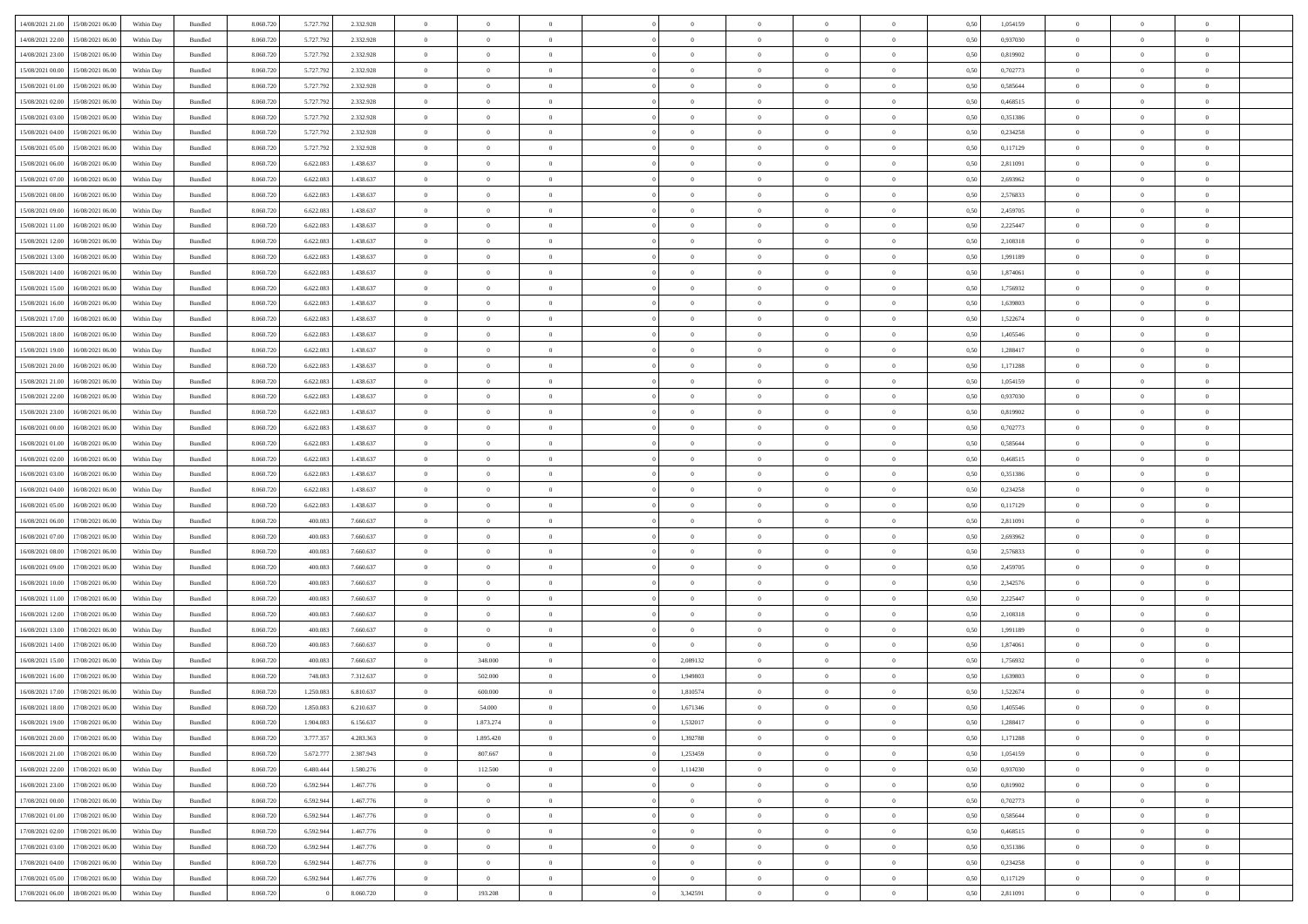| 14/08/2021 21:00                  | 15/08/2021 06:00 | Within Day | Bundled | 8.060.720 | 5.727.792 | 2.332.928 | $\overline{0}$ | $\theta$       |                | $\overline{0}$ | $\bf{0}$       | $\overline{0}$ | $\theta$       | 0,50 | 1,054159 | $\theta$       | $\theta$       | $\overline{0}$           |  |
|-----------------------------------|------------------|------------|---------|-----------|-----------|-----------|----------------|----------------|----------------|----------------|----------------|----------------|----------------|------|----------|----------------|----------------|--------------------------|--|
|                                   |                  |            |         |           |           |           |                |                |                |                |                |                |                |      |          |                |                |                          |  |
| 14/08/2021 22.00                  | 15/08/2021 06.00 | Within Day | Bundled | 8.060.72  | 5.727.792 | 2.332.928 | $\bf{0}$       | $\overline{0}$ | $\overline{0}$ | $\overline{0}$ | $\,$ 0         | $\bf{0}$       | $\bf{0}$       | 0,50 | 0,937030 | $\,$ 0 $\,$    | $\overline{0}$ | $\overline{0}$           |  |
| 14/08/2021 23:00                  | 15/08/2021 06:00 | Within Day | Bundled | 8.060.720 | 5.727.792 | 2.332.928 | $\overline{0}$ | $\overline{0}$ | $\overline{0}$ | $\overline{0}$ | $\bf{0}$       | $\overline{0}$ | $\mathbf{0}$   | 0.50 | 0.819902 | $\overline{0}$ | $\overline{0}$ | $\overline{0}$           |  |
| 15/08/2021 00:00                  | 15/08/2021 06:00 | Within Day | Bundled | 8.060.720 | 5.727.792 | 2.332.928 | $\overline{0}$ | $\overline{0}$ | $\overline{0}$ | $\overline{0}$ | $\,0\,$        | $\overline{0}$ | $\overline{0}$ | 0,50 | 0,702773 | $\,$ 0 $\,$    | $\overline{0}$ | $\overline{0}$           |  |
| 15/08/2021 01:00                  | 15/08/2021 06.00 | Within Day | Bundled | 8.060.720 | 5.727.792 | 2.332.928 | $\overline{0}$ | $\theta$       | $\overline{0}$ | $\overline{0}$ | $\,$ 0         | $\overline{0}$ | $\bf{0}$       | 0,50 | 0,585644 | $\,$ 0 $\,$    | $\overline{0}$ | $\overline{0}$           |  |
| 15/08/2021 02:00                  | 15/08/2021 06:00 | Within Day | Bundled | 8.060.720 | 5.727.792 | 2.332.928 | $\overline{0}$ | $\overline{0}$ | $\overline{0}$ | $\overline{0}$ | $\bf{0}$       | $\overline{0}$ | $\bf{0}$       | 0.50 | 0.468515 | $\,0\,$        | $\theta$       | $\overline{0}$           |  |
| 15/08/2021 03:00                  | 15/08/2021 06:00 | Within Day | Bundled | 8.060.720 | 5.727.792 | 2.332.928 | $\overline{0}$ | $\overline{0}$ | $\overline{0}$ | $\overline{0}$ | $\bf{0}$       | $\overline{0}$ | $\overline{0}$ | 0,50 | 0,351386 | $\,$ 0 $\,$    | $\theta$       | $\overline{0}$           |  |
| 15/08/2021 04:00                  | 15/08/2021 06.00 | Within Day | Bundled | 8.060.720 | 5.727.79  | 2.332.928 | $\overline{0}$ | $\overline{0}$ | $\overline{0}$ | $\overline{0}$ | $\,$ 0         | $\bf{0}$       | $\bf{0}$       | 0,50 | 0,234258 | $\,$ 0 $\,$    | $\overline{0}$ | $\overline{0}$           |  |
| 15/08/2021 05:00                  | 15/08/2021 06:00 | Within Day | Bundled | 8.060.720 | 5.727.792 | 2.332.928 | $\overline{0}$ | $\overline{0}$ | $\overline{0}$ | $\overline{0}$ | $\bf{0}$       | $\overline{0}$ | $\bf{0}$       | 0.50 | 0,117129 | $\bf{0}$       | $\overline{0}$ | $\overline{0}$           |  |
|                                   |                  |            |         |           |           |           |                |                |                |                |                |                |                |      |          |                |                |                          |  |
| 15/08/2021 06:00                  | 16/08/2021 06:00 | Within Day | Bundled | 8.060.720 | 6.622.083 | 1.438.637 | $\overline{0}$ | $\overline{0}$ | $\overline{0}$ | $\overline{0}$ | $\bf{0}$       | $\overline{0}$ | $\bf{0}$       | 0,50 | 2,811091 | $\,$ 0 $\,$    | $\overline{0}$ | $\overline{0}$           |  |
| 15/08/2021 07:00                  | 16/08/2021 06.00 | Within Day | Bundled | 8.060.720 | 6.622.083 | 1.438.637 | $\overline{0}$ | $\theta$       | $\overline{0}$ | $\overline{0}$ | $\,$ 0         | $\bf{0}$       | $\bf{0}$       | 0,50 | 2,693962 | $\,$ 0 $\,$    | $\overline{0}$ | $\overline{0}$           |  |
| 15/08/2021 08:00                  | 16/08/2021 06:00 | Within Day | Bundled | 8.060.720 | 6.622.083 | 1.438.637 | $\overline{0}$ | $\overline{0}$ | $\overline{0}$ | $\overline{0}$ | $\bf{0}$       | $\overline{0}$ | $\mathbf{0}$   | 0.50 | 2,576833 | $\,$ 0 $\,$    | $\,$ 0 $\,$    | $\overline{0}$           |  |
| 15/08/2021 09:00                  | 16/08/2021 06:00 | Within Day | Bundled | 8.060.720 | 6.622.083 | 1.438.637 | $\overline{0}$ | $\overline{0}$ | $\overline{0}$ | $\overline{0}$ | $\,$ 0         | $\overline{0}$ | $\overline{0}$ | 0,50 | 2,459705 | $\,$ 0 $\,$    | $\overline{0}$ | $\overline{0}$           |  |
| 15/08/2021 11:00                  | 16/08/2021 06.00 | Within Day | Bundled | 8.060.720 | 6.622.083 | 1.438.637 | $\overline{0}$ | $\theta$       | $\overline{0}$ | $\overline{0}$ | $\,$ 0         | $\overline{0}$ | $\bf{0}$       | 0,50 | 2,225447 | $\,$ 0 $\,$    | $\overline{0}$ | $\overline{0}$           |  |
| 15/08/2021 12:00                  | 16/08/2021 06:00 | Within Day | Bundled | 8.060.720 | 6.622.083 | 1.438.637 | $\overline{0}$ | $\overline{0}$ | $\overline{0}$ | $\overline{0}$ | $\bf{0}$       | $\overline{0}$ | $\bf{0}$       | 0.50 | 2.108318 | $\,0\,$        | $\theta$       | $\overline{0}$           |  |
| 15/08/2021 13:00                  | 16/08/2021 06:00 | Within Day | Bundled | 8.060.720 | 6.622.083 | 1.438.637 | $\overline{0}$ | $\overline{0}$ | $\overline{0}$ | $\overline{0}$ | $\bf{0}$       | $\overline{0}$ | $\bf{0}$       | 0,50 | 1,991189 | $\,$ 0 $\,$    | $\theta$       | $\overline{0}$           |  |
| 15/08/2021 14:00                  | 16/08/2021 06.00 | Within Day | Bundled | 8.060.720 | 6.622.083 | 1.438.637 | $\overline{0}$ | $\theta$       | $\overline{0}$ | $\overline{0}$ | $\,$ 0         | $\bf{0}$       | $\bf{0}$       | 0,50 | 1,874061 | $\,$ 0 $\,$    | $\overline{0}$ | $\overline{0}$           |  |
| 15/08/2021 15:00                  | 16/08/2021 06:00 | Within Day | Bundled | 8.060.720 | 6.622.083 | 1.438.637 | $\overline{0}$ | $\overline{0}$ | $\overline{0}$ | $\overline{0}$ | $\bf{0}$       | $\overline{0}$ | $\mathbf{0}$   | 0.50 | 1.756932 | $\bf{0}$       | $\overline{0}$ | $\bf{0}$                 |  |
|                                   |                  |            |         |           |           |           |                |                |                |                |                |                |                |      |          |                |                |                          |  |
| 15/08/2021 16:00                  | 16/08/2021 06:00 | Within Day | Bundled | 8.060.720 | 6.622.083 | 1.438.637 | $\overline{0}$ | $\overline{0}$ | $\overline{0}$ | $\overline{0}$ | $\bf{0}$       | $\overline{0}$ | $\bf{0}$       | 0,50 | 1,639803 | $\,$ 0 $\,$    | $\overline{0}$ | $\overline{0}$           |  |
| 15/08/2021 17:00                  | 16/08/2021 06.00 | Within Day | Bundled | 8.060.720 | 6.622.083 | 1.438.637 | $\bf{0}$       | $\overline{0}$ | $\overline{0}$ | $\overline{0}$ | $\bf{0}$       | $\bf{0}$       | $\bf{0}$       | 0,50 | 1,522674 | $\,$ 0 $\,$    | $\overline{0}$ | $\overline{0}$           |  |
| 15/08/2021 18:00                  | 16/08/2021 06:00 | Within Day | Bundled | 8.060.720 | 6.622.083 | 1.438.637 | $\overline{0}$ | $\overline{0}$ | $\overline{0}$ | $\overline{0}$ | $\bf{0}$       | $\overline{0}$ | $\mathbf{0}$   | 0.50 | 1.405546 | $\,$ 0 $\,$    | $\,$ 0 $\,$    | $\overline{0}$           |  |
| 15/08/2021 19:00                  | 16/08/2021 06:00 | Within Day | Bundled | 8.060.720 | 6.622.083 | 1.438.637 | $\overline{0}$ | $\overline{0}$ | $\overline{0}$ | $\overline{0}$ | $\bf{0}$       | $\overline{0}$ | $\overline{0}$ | 0,50 | 1,288417 | $\,$ 0 $\,$    | $\overline{0}$ | $\overline{0}$           |  |
| 15/08/2021 20:00                  | 16/08/2021 06.00 | Within Day | Bundled | 8.060.720 | 6.622.083 | 1.438.637 | $\overline{0}$ | $\overline{0}$ | $\overline{0}$ | $\overline{0}$ | $\,$ 0         | $\overline{0}$ | $\bf{0}$       | 0,50 | 1,171288 | $\,$ 0 $\,$    | $\overline{0}$ | $\overline{0}$           |  |
| 15/08/2021 21:00                  | 16/08/2021 06:00 | Within Day | Bundled | 8.060.720 | 6.622.083 | 1.438.637 | $\overline{0}$ | $\overline{0}$ | $\overline{0}$ | $\overline{0}$ | $\bf{0}$       | $\overline{0}$ | $\bf{0}$       | 0.50 | 1.054159 | $\,0\,$        | $\theta$       | $\overline{0}$           |  |
| 15/08/2021 22:00                  | 16/08/2021 06:00 | Within Day | Bundled | 8.060.720 | 6.622.083 | 1.438.637 | $\overline{0}$ | $\overline{0}$ | $\overline{0}$ | $\overline{0}$ | $\,$ 0         | $\overline{0}$ | $\overline{0}$ | 0,50 | 0,937030 | $\,0\,$        | $\theta$       | $\overline{0}$           |  |
| 15/08/2021 23:00                  | 16/08/2021 06.00 | Within Day | Bundled | 8.060.720 | 6.622.083 | 1.438.637 | $\overline{0}$ | $\theta$       | $\overline{0}$ | $\overline{0}$ | $\,$ 0         | $\bf{0}$       | $\bf{0}$       | 0,50 | 0,819902 | $\,$ 0 $\,$    | $\overline{0}$ | $\overline{0}$           |  |
| 16/08/2021 00:00                  | 16/08/2021 06:00 | Within Day | Bundled | 8.060.720 | 6.622.083 | 1.438.637 | $\overline{0}$ | $\overline{0}$ | $\overline{0}$ | $\overline{0}$ | $\bf{0}$       | $\overline{0}$ | $\mathbf{0}$   | 0.50 | 0.702773 | $\bf{0}$       | $\overline{0}$ | $\overline{0}$           |  |
| 16/08/2021 01:00                  | 16/08/2021 06:00 | Within Day | Bundled | 8.060.720 | 6.622.083 | 1.438.637 | $\overline{0}$ | $\overline{0}$ | $\overline{0}$ | $\overline{0}$ | $\bf{0}$       | $\overline{0}$ | $\bf{0}$       | 0,50 | 0,585644 | $\,$ 0 $\,$    | $\overline{0}$ | $\overline{0}$           |  |
|                                   |                  |            |         |           |           |           |                |                |                |                |                |                |                |      |          |                |                |                          |  |
| 16/08/2021 02:00                  | 16/08/2021 06.00 | Within Day | Bundled | 8.060.720 | 6.622.083 | 1.438.637 | $\bf{0}$       | $\overline{0}$ | $\overline{0}$ | $\overline{0}$ | $\bf{0}$       | $\bf{0}$       | $\bf{0}$       | 0,50 | 0,468515 | $\,$ 0 $\,$    | $\overline{0}$ | $\overline{0}$           |  |
| 16/08/2021 03:00                  | 16/08/2021 06:00 | Within Day | Bundled | 8.060.720 | 6.622.083 | 1.438.637 | $\overline{0}$ | $\bf{0}$       | $\overline{0}$ | $\overline{0}$ | $\bf{0}$       | $\overline{0}$ | $\mathbf{0}$   | 0.50 | 0,351386 | $\overline{0}$ | $\,$ 0 $\,$    | $\overline{0}$           |  |
| 16/08/2021 04:00                  | 16/08/2021 06:00 | Within Dav | Bundled | 8.060.720 | 6.622.083 | 1.438.637 | $\overline{0}$ | $\overline{0}$ | $\overline{0}$ | $\overline{0}$ | $\overline{0}$ | $\overline{0}$ | $\overline{0}$ | 0.50 | 0,234258 | $\theta$       | $\overline{0}$ | $\overline{0}$           |  |
| 16/08/2021 05:00                  | 16/08/2021 06.00 | Within Day | Bundled | 8.060.720 | 6.622.083 | 1.438.637 | $\overline{0}$ | $\theta$       | $\overline{0}$ | $\overline{0}$ | $\,$ 0         | $\bf{0}$       | $\bf{0}$       | 0,50 | 0,117129 | $\,$ 0 $\,$    | $\overline{0}$ | $\overline{0}$           |  |
| 16/08/2021 06:00                  | 17/08/2021 06:00 | Within Day | Bundled | 8.060.720 | 400,083   | 7.660.637 | $\overline{0}$ | $\overline{0}$ | $\overline{0}$ | $\overline{0}$ | $\bf{0}$       | $\overline{0}$ | $\bf{0}$       | 0.50 | 2.811091 | $\,0\,$        | $\overline{0}$ | $\overline{0}$           |  |
| 16/08/2021 07:00                  | 17/08/2021 06:00 | Within Dav | Bundled | 8.060.720 | 400.083   | 7.660.637 | $\overline{0}$ | $\overline{0}$ | $\Omega$       | $\overline{0}$ | $\mathbf{0}$   | $\overline{0}$ | $\overline{0}$ | 0.50 | 2,693962 | $\theta$       | $\overline{0}$ | $\overline{0}$           |  |
| 16/08/2021 08:00                  | 17/08/2021 06.00 | Within Day | Bundled | 8.060.720 | 400.083   | 7.660.637 | $\overline{0}$ | $\overline{0}$ | $\overline{0}$ | $\overline{0}$ | $\,$ 0         | $\bf{0}$       | $\bf{0}$       | 0,50 | 2,576833 | $\,$ 0 $\,$    | $\overline{0}$ | $\overline{0}$           |  |
| 16/08/2021 09:00                  | 17/08/2021 06:00 | Within Day | Bundled | 8.060.720 | 400,083   | 7.660.637 | $\overline{0}$ | $\overline{0}$ | $\overline{0}$ | $\overline{0}$ | $\bf{0}$       | $\overline{0}$ | $\mathbf{0}$   | 0.50 | 2.459705 | $\bf{0}$       | $\overline{0}$ | $\overline{\phantom{a}}$ |  |
| 16/08/2021 10:00                  | 17/08/2021 06:00 | Within Dav | Bundled | 8.060.720 | 400,083   | 7.660.637 | $\overline{0}$ | $\overline{0}$ | $\overline{0}$ | $\overline{0}$ | $\overline{0}$ | $\overline{0}$ | $\overline{0}$ | 0.50 | 2,342576 | $\theta$       | $\overline{0}$ | $\overline{0}$           |  |
|                                   | 17/08/2021 06.00 | Within Day | Bundled | 8.060.720 | 400.083   | 7.660.637 | $\overline{0}$ | $\overline{0}$ | $\overline{0}$ | $\bf{0}$       | $\bf{0}$       | $\bf{0}$       | $\bf{0}$       | 0,50 | 2,225447 | $\,$ 0 $\,$    | $\overline{0}$ | $\overline{0}$           |  |
| 16/08/2021 11:00                  |                  |            |         |           |           |           |                |                |                |                |                |                |                |      |          |                |                |                          |  |
| 16/08/2021 12:00                  | 17/08/2021 06:00 | Within Day | Bundled | 8.060.720 | 400,083   | 7.660.637 | $\overline{0}$ | $\overline{0}$ | $\overline{0}$ | $\overline{0}$ | $\bf{0}$       | $\overline{0}$ | $\mathbf{0}$   | 0.50 | 2.108318 | $\overline{0}$ | $\,$ 0 $\,$    | $\overline{\phantom{a}}$ |  |
| 16/08/2021 13:00                  | 17/08/2021 06:00 | Within Dav | Bundled | 8.060.720 | 400.083   | 7.660.637 | $\overline{0}$ | $\overline{0}$ | $\overline{0}$ | $\overline{0}$ | $\mathbf{0}$   | $\overline{0}$ | $\overline{0}$ | 0.50 | 1,991189 | $\theta$       | $\overline{0}$ | $\overline{0}$           |  |
| 16/08/2021 14:00                  | 17/08/2021 06.00 | Within Day | Bundled | 8.060.720 | 400.083   | 7.660.637 | $\bf{0}$       | $\overline{0}$ | $\overline{0}$ | $\overline{0}$ | $\,$ 0         | $\bf{0}$       | $\bf{0}$       | 0,50 | 1,874061 | $\,$ 0 $\,$    | $\overline{0}$ | $\overline{0}$           |  |
| 16/08/2021 15:00                  | 17/08/2021 06:00 | Within Day | Bundled | 8.060.720 | 400,083   | 7.660.637 | $\overline{0}$ | 348,000        | $\overline{0}$ | 2.089132       | $\,$ 0         | $\overline{0}$ | $\overline{0}$ | 0.50 | 1,756932 | $\,0\,$        | $\theta$       | $\overline{0}$           |  |
| 16/08/2021 16:00                  | 17/08/2021 06:00 | Within Dav | Bundled | 8.060.720 | 748,083   | 7.312.637 | $\overline{0}$ | 502,000        | $\Omega$       | 1,949803       | $\bf{0}$       | $\overline{0}$ | $\overline{0}$ | 0.50 | 1,639803 | $\theta$       | $\overline{0}$ | $\overline{0}$           |  |
| 16/08/2021 17:00                  | 17/08/2021 06:00 | Within Day | Bundled | 8.060.720 | 1.250.083 | 6.810.637 | $\bf{0}$       | 600.000        | $\overline{0}$ | 1,810574       | $\,$ 0         | $\bf{0}$       | $\bf{0}$       | 0,50 | 1,522674 | $\,$ 0 $\,$    | $\overline{0}$ | $\overline{0}$           |  |
| 16/08/2021 18:00                  | 17/08/2021 06:00 | Within Day | Bundled | 8.060.720 | 1.850.083 | 6.210.637 | $\bf{0}$       | 54.000         |                | 1,671346       | $\Omega$       |                |                | 0,50 | 1.405546 | $\bf{0}$       | $\theta$       |                          |  |
| 16/08/2021 19:00 17/08/2021 06:00 |                  | Within Day | Bundled | 8.060.720 | 1.904.083 | 6.156.637 | $\overline{0}$ | 1.873.274      | $\overline{0}$ | 1,532017       | $\overline{0}$ | $\overline{0}$ | $\mathbf{0}$   | 0,50 | 1,288417 | $\theta$       | $\overline{0}$ | $\overline{0}$           |  |
| 16/08/2021 20:00                  | 17/08/2021 06:00 | Within Day | Bundled | 8.060.720 | 3.777.357 | 4.283.363 | $\overline{0}$ | 1.895.420      | $\overline{0}$ | 1,392788       | $\overline{0}$ | $\overline{0}$ | $\bf{0}$       | 0,50 | 1,171288 | $\bf{0}$       | $\overline{0}$ | $\bf{0}$                 |  |
| 16/08/2021 21:00                  | 17/08/2021 06:00 | Within Day | Bundled | 8.060.720 | 5.672.777 | 2.387.943 | $\overline{0}$ | 807.667        | $\overline{0}$ | 1,253459       | $\bf{0}$       | $\overline{0}$ | $\mathbf{0}$   | 0.50 | 1.054159 | $\overline{0}$ | $\bf{0}$       | $\bf{0}$                 |  |
|                                   |                  |            |         |           |           |           |                |                |                |                |                |                |                |      |          |                |                |                          |  |
| 16/08/2021 22:00                  | 17/08/2021 06:00 | Within Day | Bundled | 8.060.720 | 6.480.444 | 1.580.276 | $\overline{0}$ | 112.500        | $\overline{0}$ | 1,114230       | $\overline{0}$ | $\overline{0}$ | $\mathbf{0}$   | 0.50 | 0,937030 | $\overline{0}$ | $\theta$       | $\overline{0}$           |  |
| 16/08/2021 23:00                  | 17/08/2021 06:00 | Within Day | Bundled | 8.060.720 | 6.592.944 | 1.467.776 | $\bf{0}$       | $\overline{0}$ | $\overline{0}$ | $\overline{0}$ | $\bf{0}$       | $\bf{0}$       | $\bf{0}$       | 0,50 | 0,819902 | $\bf{0}$       | $\overline{0}$ | $\overline{0}$           |  |
| 17/08/2021 00:00                  | 17/08/2021 06:00 | Within Day | Bundled | 8.060.720 | 6.592.944 | 1.467.776 | $\overline{0}$ | $\overline{0}$ | $\overline{0}$ | $\overline{0}$ | $\bf{0}$       | $\overline{0}$ | $\mathbf{0}$   | 0.50 | 0,702773 | $\,$ 0 $\,$    | $\overline{0}$ | $\overline{0}$           |  |
| 17/08/2021 01:00                  | 17/08/2021 06:00 | Within Day | Bundled | 8.060.720 | 6.592.944 | 1.467.776 | $\overline{0}$ | $\overline{0}$ | $\overline{0}$ | $\overline{0}$ | $\overline{0}$ | $\overline{0}$ | $\overline{0}$ | 0.50 | 0,585644 | $\overline{0}$ | $\theta$       | $\overline{0}$           |  |
| 17/08/2021 02:00                  | 17/08/2021 06:00 | Within Day | Bundled | 8.060.720 | 6.592.944 | 1.467.776 | $\overline{0}$ | $\,$ 0         | $\overline{0}$ | $\bf{0}$       | $\,$ 0 $\,$    | $\overline{0}$ | $\bf{0}$       | 0,50 | 0,468515 | $\,$ 0 $\,$    | $\overline{0}$ | $\overline{0}$           |  |
| 17/08/2021 03:00                  | 17/08/2021 06:00 | Within Day | Bundled | 8.060.720 | 6.592.944 | 1.467.776 | $\overline{0}$ | $\overline{0}$ | $\overline{0}$ | $\overline{0}$ | $\bf{0}$       | $\overline{0}$ | $\mathbf{0}$   | 0.50 | 0.351386 | $\mathbf{0}$   | $\bf{0}$       | $\bf{0}$                 |  |
| 17/08/2021 04:00                  | 17/08/2021 06:00 | Within Dav | Bundled | 8.060.720 | 6.592.944 | 1.467.776 | $\overline{0}$ | $\overline{0}$ | $\overline{0}$ | $\overline{0}$ | $\overline{0}$ | $\overline{0}$ | $\overline{0}$ | 0,50 | 0,234258 | $\overline{0}$ | $\theta$       | $\overline{0}$           |  |
| 17/08/2021 05:00                  | 17/08/2021 06:00 | Within Day | Bundled | 8.060.720 | 6.592.944 | 1.467.776 | $\overline{0}$ | $\overline{0}$ | $\overline{0}$ | $\bf{0}$       | $\bf{0}$       | $\bf{0}$       | $\bf{0}$       | 0,50 | 0,117129 | $\bf{0}$       | $\overline{0}$ | $\bf{0}$                 |  |
|                                   |                  |            |         |           |           |           |                |                |                |                |                |                |                |      |          |                |                |                          |  |
| 17/08/2021 06:00 18/08/2021 06:00 |                  | Within Day | Bundled | 8.060.720 |           | 8.060.720 | $\overline{0}$ | 193.208        | $\overline{0}$ | 3,342591       | $\bf{0}$       | $\,$ 0 $\,$    | $\,$ 0 $\,$    | 0,50 | 2,811091 | $\overline{0}$ | $\,$ 0 $\,$    | $\,$ 0 $\,$              |  |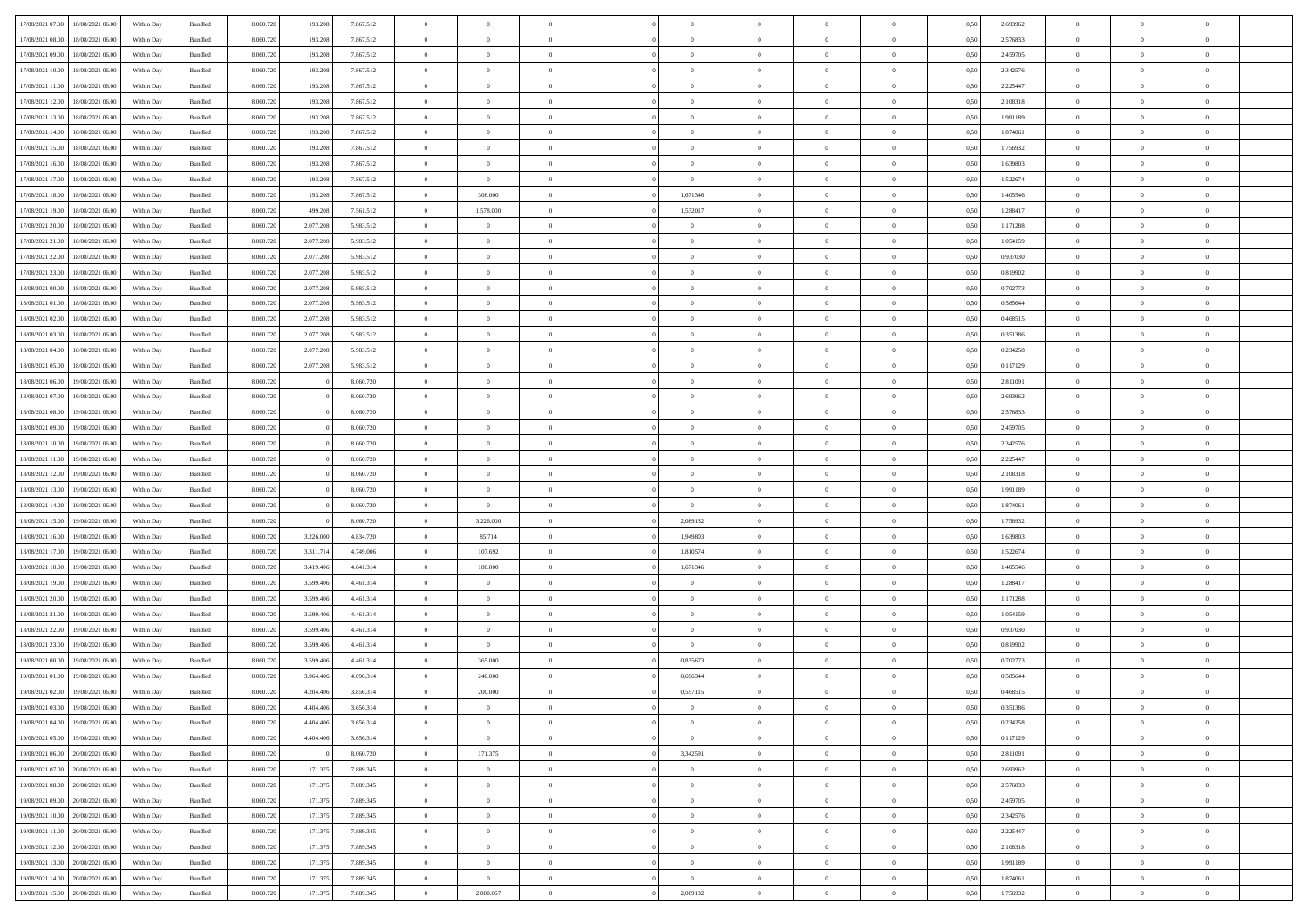| 17/08/2021 07:00 | 18/08/2021 06:00 | Within Dav | Bundled | 8.060.720 | 193.208   | 7.867.512 | $\Omega$       | $\Omega$       |                | $\Omega$       | $\Omega$       | $\Omega$       | $\theta$       | 0.50 | 2,693962 | $\theta$       | $\theta$       | $\theta$       |  |
|------------------|------------------|------------|---------|-----------|-----------|-----------|----------------|----------------|----------------|----------------|----------------|----------------|----------------|------|----------|----------------|----------------|----------------|--|
| 17/08/2021 08:00 | 18/08/2021 06:00 | Within Day | Bundled | 8.060.720 | 193.208   | 7.867.512 | $\overline{0}$ | $\theta$       | $\overline{0}$ | $\overline{0}$ | $\bf{0}$       | $\overline{0}$ | $\overline{0}$ | 0,50 | 2,576833 | $\theta$       | $\theta$       | $\overline{0}$ |  |
| 17/08/2021 09:00 | 18/08/2021 06:00 | Within Day | Bundled | 8.060.720 | 193.208   | 7.867.512 | $\overline{0}$ | $\overline{0}$ | $\overline{0}$ | $\bf{0}$       | $\bf{0}$       | $\bf{0}$       | $\bf{0}$       | 0,50 | 2,459705 | $\overline{0}$ | $\overline{0}$ | $\overline{0}$ |  |
|                  |                  |            |         |           |           |           |                |                |                |                |                |                |                |      |          |                |                |                |  |
| 17/08/2021 10:00 | 18/08/2021 06:00 | Within Dav | Bundled | 8.060.720 | 193,208   | 7.867.512 | $\overline{0}$ | $\theta$       | $\overline{0}$ | $\overline{0}$ | $\bf{0}$       | $\overline{0}$ | $\overline{0}$ | 0.50 | 2,342576 | $\theta$       | $\theta$       | $\overline{0}$ |  |
| 17/08/2021 11:00 | 18/08/2021 06:00 | Within Day | Bundled | 8.060.720 | 193.208   | 7.867.512 | $\overline{0}$ | $\theta$       | $\overline{0}$ | $\overline{0}$ | $\bf{0}$       | $\overline{0}$ | $\bf{0}$       | 0,50 | 2,225447 | $\theta$       | $\theta$       | $\overline{0}$ |  |
| 17/08/2021 12:00 | 18/08/2021 06:00 | Within Day | Bundled | 8.060.720 | 193.208   | 7.867.512 | $\overline{0}$ | $\bf{0}$       | $\overline{0}$ | $\bf{0}$       | $\overline{0}$ | $\overline{0}$ | $\mathbf{0}$   | 0,50 | 2,108318 | $\overline{0}$ | $\overline{0}$ | $\bf{0}$       |  |
| 17/08/2021 13:00 | 18/08/2021 06:00 | Within Dav | Bundled | 8.060.720 | 193,208   | 7.867.512 | $\overline{0}$ | $\overline{0}$ | $\overline{0}$ | $\overline{0}$ | $\overline{0}$ | $\overline{0}$ | $\overline{0}$ | 0.50 | 1,991189 | $\theta$       | $\overline{0}$ | $\overline{0}$ |  |
|                  |                  |            |         |           |           |           |                |                |                |                |                |                |                |      |          |                |                |                |  |
| 17/08/2021 14:00 | 18/08/2021 06:00 | Within Day | Bundled | 8.060.720 | 193.208   | 7.867.512 | $\overline{0}$ | $\theta$       | $\overline{0}$ | $\overline{0}$ | $\bf{0}$       | $\overline{0}$ | $\bf{0}$       | 0,50 | 1,874061 | $\theta$       | $\theta$       | $\overline{0}$ |  |
| 17/08/2021 15:00 | 18/08/2021 06:00 | Within Day | Bundled | 8.060.720 | 193.208   | 7.867.512 | $\overline{0}$ | $\overline{0}$ | $\overline{0}$ | $\bf{0}$       | $\bf{0}$       | $\bf{0}$       | $\bf{0}$       | 0,50 | 1,756932 | $\,0\,$        | $\overline{0}$ | $\overline{0}$ |  |
| 17/08/2021 16:00 | 18/08/2021 06:00 | Within Dav | Bundled | 8.060.720 | 193.208   | 7.867.512 | $\overline{0}$ | $\overline{0}$ | $\overline{0}$ | $\overline{0}$ | $\bf{0}$       | $\overline{0}$ | $\overline{0}$ | 0.50 | 1,639803 | $\theta$       | $\overline{0}$ | $\overline{0}$ |  |
| 17/08/2021 17:00 | 18/08/2021 06:00 |            |         | 8.060.720 | 193.208   | 7.867.512 | $\overline{0}$ | $\overline{0}$ | $\overline{0}$ | $\overline{0}$ | $\bf{0}$       | $\overline{0}$ |                |      | 1,522674 | $\theta$       | $\theta$       | $\overline{0}$ |  |
|                  |                  | Within Day | Bundled |           |           |           |                |                |                |                |                |                | $\bf{0}$       | 0,50 |          |                |                |                |  |
| 17/08/2021 18:00 | 18/08/2021 06:00 | Within Day | Bundled | 8.060.720 | 193.208   | 7.867.512 | $\overline{0}$ | 306.000        | $\overline{0}$ | 1,671346       | $\bf{0}$       | $\bf{0}$       | $\bf{0}$       | 0,50 | 1,405546 | $\,0\,$        | $\overline{0}$ | $\overline{0}$ |  |
| 17/08/2021 19:00 | 18/08/2021 06:00 | Within Dav | Bundled | 8.060.720 | 499.208   | 7.561.512 | $\overline{0}$ | 1.578.000      | $\overline{0}$ | 1,532017       | $\bf{0}$       | $\overline{0}$ | $\overline{0}$ | 0.50 | 1,288417 | $\theta$       | $\theta$       | $\overline{0}$ |  |
| 17/08/2021 20:00 | 18/08/2021 06:00 | Within Day | Bundled | 8.060.720 | 2.077.208 | 5.983.512 | $\overline{0}$ | $\theta$       | $\overline{0}$ | $\overline{0}$ | $\bf{0}$       | $\overline{0}$ | $\overline{0}$ | 0,50 | 1,171288 | $\theta$       | $\overline{0}$ | $\overline{0}$ |  |
|                  |                  |            |         |           |           |           |                |                |                |                |                |                |                |      |          |                |                |                |  |
| 17/08/2021 21.00 | 18/08/2021 06:00 | Within Day | Bundled | 8.060.720 | 2.077.208 | 5.983.512 | $\overline{0}$ | $\bf{0}$       | $\overline{0}$ | $\bf{0}$       | $\bf{0}$       | $\overline{0}$ | $\mathbf{0}$   | 0,50 | 1,054159 | $\overline{0}$ | $\overline{0}$ | $\bf{0}$       |  |
| 17/08/2021 22:00 | 18/08/2021 06:00 | Within Dav | Bundled | 8.060.720 | 2.077.208 | 5.983.512 | $\overline{0}$ | $\overline{0}$ | $\overline{0}$ | $\overline{0}$ | $\overline{0}$ | $\overline{0}$ | $\overline{0}$ | 0.50 | 0,937030 | $\theta$       | $\overline{0}$ | $\overline{0}$ |  |
| 17/08/2021 23:00 | 18/08/2021 06:00 | Within Day | Bundled | 8.060.720 | 2.077.208 | 5.983.512 | $\overline{0}$ | $\theta$       | $\overline{0}$ | $\overline{0}$ | $\bf{0}$       | $\overline{0}$ | $\bf{0}$       | 0,50 | 0,819902 | $\theta$       | $\theta$       | $\overline{0}$ |  |
| 18/08/2021 00:00 | 18/08/2021 06:00 | Within Day | Bundled | 8.060.720 | 2.077.208 | 5.983.512 | $\overline{0}$ | $\overline{0}$ | $\overline{0}$ | $\bf{0}$       | $\bf{0}$       | $\bf{0}$       | $\bf{0}$       | 0,50 | 0,702773 | $\,0\,$        | $\overline{0}$ | $\overline{0}$ |  |
|                  |                  |            |         |           |           |           |                |                |                |                |                |                |                |      |          |                |                |                |  |
| 18/08/2021 01:00 | 18/08/2021 06:00 | Within Dav | Bundled | 8.060.720 | 2.077.208 | 5.983.512 | $\overline{0}$ | $\overline{0}$ | $\overline{0}$ | $\overline{0}$ | $\overline{0}$ | $\overline{0}$ | $\overline{0}$ | 0.50 | 0,585644 | $\theta$       | $\overline{0}$ | $\overline{0}$ |  |
| 18/08/2021 02:00 | 18/08/2021 06:00 | Within Day | Bundled | 8.060.720 | 2.077.208 | 5.983.512 | $\overline{0}$ | $\theta$       | $\overline{0}$ | $\overline{0}$ | $\bf{0}$       | $\overline{0}$ | $\bf{0}$       | 0,50 | 0,468515 | $\,$ 0 $\,$    | $\theta$       | $\overline{0}$ |  |
| 18/08/2021 03:00 | 18/08/2021 06:00 | Within Day | Bundled | 8.060.720 | 2.077.208 | 5.983.512 | $\overline{0}$ | $\overline{0}$ | $\overline{0}$ | $\bf{0}$       | $\bf{0}$       | $\bf{0}$       | $\bf{0}$       | 0,50 | 0,351386 | $\,0\,$        | $\overline{0}$ | $\overline{0}$ |  |
| 18/08/2021 04:00 | 18/08/2021 06:00 | Within Dav | Bundled | 8.060.720 | 2.077.208 | 5.983.512 | $\overline{0}$ | $\overline{0}$ | $\overline{0}$ | $\overline{0}$ | $\bf{0}$       | $\overline{0}$ | $\overline{0}$ | 0.50 | 0,234258 | $\theta$       | $\theta$       | $\overline{0}$ |  |
|                  |                  |            |         |           |           |           | $\overline{0}$ | $\theta$       |                |                |                |                |                |      |          | $\theta$       | $\overline{0}$ |                |  |
| 18/08/2021 05:00 | 18/08/2021 06:00 | Within Day | Bundled | 8.060.720 | 2.077.208 | 5.983.512 |                |                | $\overline{0}$ | $\overline{0}$ | $\bf{0}$       | $\overline{0}$ | $\bf{0}$       | 0,50 | 0,117129 |                |                | $\overline{0}$ |  |
| 18/08/2021 06:00 | 19/08/2021 06:00 | Within Day | Bundled | 8.060.720 |           | 8.060.720 | $\overline{0}$ | $\bf{0}$       | $\overline{0}$ | $\bf{0}$       | $\overline{0}$ | $\overline{0}$ | $\mathbf{0}$   | 0,50 | 2,811091 | $\overline{0}$ | $\overline{0}$ | $\bf{0}$       |  |
| 18/08/2021 07:00 | 19/08/2021 06:00 | Within Dav | Bundled | 8.060.720 |           | 8.060.720 | $\overline{0}$ | $\overline{0}$ | $\overline{0}$ | $\overline{0}$ | $\overline{0}$ | $\overline{0}$ | $\overline{0}$ | 0.50 | 2,693962 | $\theta$       | $\overline{0}$ | $\overline{0}$ |  |
| 18/08/2021 08:00 | 19/08/2021 06:00 | Within Day | Bundled | 8.060.720 |           | 8.060.720 | $\overline{0}$ | $\theta$       | $\overline{0}$ | $\overline{0}$ | $\bf{0}$       | $\overline{0}$ | $\bf{0}$       | 0,50 | 2,576833 | $\theta$       | $\theta$       | $\overline{0}$ |  |
|                  |                  |            |         |           |           |           |                |                |                |                |                |                |                |      |          |                |                |                |  |
| 18/08/2021 09:00 | 19/08/2021 06:00 | Within Day | Bundled | 8.060.720 |           | 8.060.720 | $\overline{0}$ | $\overline{0}$ | $\overline{0}$ | $\bf{0}$       | $\bf{0}$       | $\bf{0}$       | $\bf{0}$       | 0,50 | 2,459705 | $\,0\,$        | $\overline{0}$ | $\overline{0}$ |  |
| 18/08/2021 10:00 | 19/08/2021 06:00 | Within Dav | Bundled | 8.060.720 |           | 8.060.720 | $\overline{0}$ | $\overline{0}$ | $\overline{0}$ | $\overline{0}$ | $\overline{0}$ | $\overline{0}$ | $\overline{0}$ | 0.50 | 2,342576 | $\theta$       | $\overline{0}$ | $\overline{0}$ |  |
| 18/08/2021 11:00 | 19/08/2021 06:00 | Within Day | Bundled | 8.060.720 |           | 8.060.720 | $\overline{0}$ | $\theta$       | $\overline{0}$ | $\overline{0}$ | $\bf{0}$       | $\overline{0}$ | $\bf{0}$       | 0,50 | 2,225447 | $\,$ 0 $\,$    | $\theta$       | $\overline{0}$ |  |
| 18/08/2021 12:00 | 19/08/2021 06:00 | Within Day | Bundled | 8.060.720 |           | 8.060.720 | $\overline{0}$ | $\overline{0}$ | $\overline{0}$ | $\bf{0}$       | $\bf{0}$       | $\bf{0}$       | $\bf{0}$       | 0,50 | 2,108318 | $\bf{0}$       | $\overline{0}$ | $\overline{0}$ |  |
|                  |                  |            |         |           |           |           |                |                |                |                |                |                |                |      |          |                |                | $\theta$       |  |
| 18/08/2021 13:00 | 19/08/2021 06:00 | Within Day | Bundled | 8.060.720 |           | 8.060.720 | $\overline{0}$ | $\Omega$       | $\Omega$       | $\Omega$       | $\Omega$       | $\Omega$       | $\overline{0}$ | 0.50 | 1,991189 | $\,0\,$        | $\theta$       |                |  |
| 18/08/2021 14:00 | 19/08/2021 06:00 | Within Day | Bundled | 8.060.720 |           | 8.060.720 | $\overline{0}$ | $\overline{0}$ | $\overline{0}$ | $\overline{0}$ | $\bf{0}$       | $\overline{0}$ | $\bf{0}$       | 0,50 | 1,874061 | $\theta$       | $\theta$       | $\overline{0}$ |  |
| 18/08/2021 15:00 | 19/08/2021 06:00 | Within Day | Bundled | 8.060.720 |           | 8.060.720 | $\overline{0}$ | 3.226.000      | $\overline{0}$ | 2,089132       | $\bf{0}$       | $\bf{0}$       | $\mathbf{0}$   | 0,50 | 1,756932 | $\overline{0}$ | $\overline{0}$ | $\bf{0}$       |  |
| 18/08/2021 16:00 | 19/08/2021 06:00 | Within Day | Bundled | 8.060.720 | 3.226.000 | 4.834.720 | $\overline{0}$ | 85.714         | $\overline{0}$ | 1,949803       | $\Omega$       | $\overline{0}$ | $\overline{0}$ | 0.50 | 1,639803 | $\,0\,$        | $\theta$       | $\theta$       |  |
|                  |                  |            |         |           |           |           | $\overline{0}$ |                | $\overline{0}$ |                | $\bf{0}$       | $\overline{0}$ |                |      |          | $\theta$       | $\theta$       | $\overline{0}$ |  |
| 18/08/2021 17:00 | 19/08/2021 06:00 | Within Day | Bundled | 8.060.720 | 3.311.714 | 4.749.006 |                | 107.692        |                | 1,810574       |                |                | $\bf{0}$       | 0,50 | 1,522674 |                |                |                |  |
| 18/08/2021 18:00 | 19/08/2021 06:00 | Within Day | Bundled | 8.060.720 | 3.419.406 | 4.641.314 | $\overline{0}$ | 180.000        | $\overline{0}$ | 1,671346       | $\bf{0}$       | $\bf{0}$       | $\bf{0}$       | 0,50 | 1,405546 | $\,0\,$        | $\overline{0}$ | $\overline{0}$ |  |
| 18/08/2021 19:00 | 19/08/2021 06:00 | Within Day | Bundled | 8.060.72  | 3.599.406 | 4.461.314 | $\overline{0}$ | $\Omega$       | $\Omega$       | $\Omega$       | $\Omega$       | $\theta$       | $\overline{0}$ | 0.50 | 1.288417 | $\,$ 0 $\,$    | $\theta$       | $\theta$       |  |
| 18/08/2021 20:00 | 19/08/2021 06:00 | Within Day | Bundled | 8.060.720 | 3.599.406 | 4.461.314 | $\overline{0}$ | $\theta$       | $\overline{0}$ | $\overline{0}$ | $\bf{0}$       | $\overline{0}$ | $\bf{0}$       | 0,50 | 1,171288 | $\,$ 0 $\,$    | $\overline{0}$ | $\overline{0}$ |  |
|                  |                  |            |         |           |           |           |                | $\overline{0}$ |                |                | $\bf{0}$       |                |                |      |          | $\bf{0}$       | $\overline{0}$ | $\overline{0}$ |  |
| 18/08/2021 21:00 | 19/08/2021 06:00 | Within Day | Bundled | 8.060.720 | 3.599.406 | 4.461.314 | $\overline{0}$ |                | $\overline{0}$ | $\bf{0}$       |                | $\bf{0}$       | $\bf{0}$       | 0,50 | 1,054159 |                |                |                |  |
| 18/08/2021 22:00 | 19/08/2021 06:00 | Within Day | Bundled | 8.060.720 | 3.599.406 | 4.461.314 | $\overline{0}$ | $\Omega$       | $\overline{0}$ | $\Omega$       | $\Omega$       | $\overline{0}$ | $\overline{0}$ | 0.50 | 0,937030 | $\,0\,$        | $\theta$       | $\theta$       |  |
| 18/08/2021 23:00 | 19/08/2021 06:00 | Within Day | Bundled | 8.060.720 | 3.599.406 | 4.461.314 | $\overline{0}$ | $\overline{0}$ | $\overline{0}$ | $\overline{0}$ | $\bf{0}$       | $\overline{0}$ | $\bf{0}$       | 0,50 | 0,819902 | $\,$ 0 $\,$    | $\overline{0}$ | $\overline{0}$ |  |
| 19/08/2021 00:00 | 19/08/2021 06:00 | Within Day | Bundled | 8.060.720 | 3.599.406 | 4.461.314 | $\overline{0}$ | 365.000        | $\overline{0}$ | 0,835673       | $\bf{0}$       | $\bf{0}$       | $\mathbf{0}$   | 0,50 | 0,702773 | $\overline{0}$ | $\overline{0}$ | $\bf{0}$       |  |
|                  | 19/08/2021 06:00 |            |         | 8.060.72  |           | 4.096.314 | $\overline{0}$ | 240,000        | $\Omega$       | 0.696344       | $\Omega$       | $\Omega$       | $\Omega$       | 0.50 | 0.585644 | $\theta$       | $\theta$       | $\theta$       |  |
| 19/08/2021 01:00 |                  | Within Day | Bundled |           | 3.964.406 |           |                |                |                |                |                |                |                |      |          |                |                |                |  |
| 19/08/2021 02:00 | 19/08/2021 06:00 | Within Day | Bundled | 8.060.720 | 4.204.406 | 3.856.314 | $\overline{0}$ | 200.000        | $\overline{0}$ | 0,557115       | $\,$ 0         | $\bf{0}$       | $\bf{0}$       | 0,50 | 0,468515 | $\,0\,$        | $\overline{0}$ | $\overline{0}$ |  |
| 19/08/2021 03:00 | 19/08/2021 06:00 | Within Day | Bundled | 8.060.720 | 4.404.406 | 3.656.314 | $\bf{0}$       |                |                |                |                |                |                | 0,50 | 0,351386 | $\bf{0}$       | $\overline{0}$ |                |  |
| 19/08/2021 04:00 | 19/08/2021 06:00 | Within Day | Bundled | 8.060.720 | 4.404.406 | 3.656.314 | $\overline{0}$ | $\Omega$       | $\Omega$       | $\Omega$       | $\overline{0}$ | $\overline{0}$ | $\overline{0}$ | 0.50 | 0,234258 | $\theta$       | $\theta$       | $\theta$       |  |
| 19/08/2021 05:00 | 19/08/2021 06:00 | Within Day | Bundled | 8.060.720 | 4.404.406 | 3.656.314 | $\overline{0}$ | $\overline{0}$ | $\overline{0}$ | $\bf{0}$       | $\,$ 0 $\,$    | $\overline{0}$ | $\mathbf{0}$   | 0,50 | 0,117129 | $\,$ 0 $\,$    | $\,$ 0 $\,$    | $\bf{0}$       |  |
|                  |                  |            |         |           |           |           |                |                |                |                |                |                |                |      |          |                |                |                |  |
| 19/08/2021 06:00 | 20/08/2021 06:00 | Within Day | Bundled | 8.060.720 |           | 8.060.720 | $\overline{0}$ | 171.375        | $\overline{0}$ | 3,342591       | $\overline{0}$ | $\overline{0}$ | $\mathbf{0}$   | 0,50 | 2,811091 | $\overline{0}$ | $\bf{0}$       | $\bf{0}$       |  |
| 19/08/2021 07:00 | 20/08/2021 06:00 | Within Day | Bundled | 8.060.720 | 171.375   | 7.889.345 | $\overline{0}$ | $\overline{0}$ | $\overline{0}$ | $\overline{0}$ | $\overline{0}$ | $\overline{0}$ | $\overline{0}$ | 0,50 | 2,693962 | $\overline{0}$ | $\theta$       | $\overline{0}$ |  |
| 19/08/2021 08:00 | 20/08/2021 06:00 | Within Day | Bundled | 8.060.720 | 171.375   | 7.889.345 | $\overline{0}$ | $\,$ 0         | $\overline{0}$ | $\overline{0}$ | $\,$ 0 $\,$    | $\overline{0}$ | $\mathbf{0}$   | 0,50 | 2,576833 | $\,$ 0 $\,$    | $\overline{0}$ | $\overline{0}$ |  |
|                  |                  |            |         |           |           |           |                |                |                |                |                |                |                |      |          |                |                |                |  |
| 19/08/2021 09:00 | 20/08/2021 06:00 | Within Day | Bundled | 8.060.720 | 171.375   | 7.889.345 | $\overline{0}$ | $\overline{0}$ | $\overline{0}$ | $\overline{0}$ | $\overline{0}$ | $\overline{0}$ | $\mathbf{0}$   | 0,50 | 2,459705 | $\overline{0}$ | $\overline{0}$ | $\bf{0}$       |  |
| 19/08/2021 10:00 | 20/08/2021 06:00 | Within Day | Bundled | 8.060.720 | 171.375   | 7.889.345 | $\overline{0}$ | $\overline{0}$ | $\overline{0}$ | $\Omega$       | $\overline{0}$ | $\overline{0}$ | $\bf{0}$       | 0.50 | 2,342576 | $\overline{0}$ | $\theta$       | $\overline{0}$ |  |
| 19/08/2021 11:00 | 20/08/2021 06:00 | Within Day | Bundled | 8.060.720 | 171.375   | 7.889.345 | $\overline{0}$ | $\,$ 0         | $\overline{0}$ | $\bf{0}$       | $\bf{0}$       | $\bf{0}$       | $\bf{0}$       | 0,50 | 2,225447 | $\,$ 0 $\,$    | $\overline{0}$ | $\overline{0}$ |  |
| 19/08/2021 12:00 | 20/08/2021 06:00 | Within Day | Bundled | 8.060.720 | 171.375   | 7.889.345 | $\overline{0}$ | $\bf{0}$       | $\overline{0}$ | $\overline{0}$ | $\overline{0}$ | $\overline{0}$ | $\mathbf{0}$   | 0,50 | 2,108318 | $\overline{0}$ | $\overline{0}$ | $\bf{0}$       |  |
|                  |                  |            |         |           |           |           |                |                |                |                |                |                |                |      |          |                |                |                |  |
| 19/08/2021 13:00 | 20/08/2021 06:00 | Within Day | Bundled | 8.060.720 | 171.375   | 7.889.345 | $\overline{0}$ | $\overline{0}$ | $\overline{0}$ | $\Omega$       | $\overline{0}$ | $\overline{0}$ | $\overline{0}$ | 0.50 | 1,991189 | $\overline{0}$ | $\theta$       | $\overline{0}$ |  |
| 19/08/2021 14:00 | 20/08/2021 06:00 | Within Day | Bundled | 8.060.720 | 171.375   | 7.889.345 | $\overline{0}$ | $\bf{0}$       | $\overline{0}$ | $\overline{0}$ | $\bf{0}$       | $\bf{0}$       | $\mathbf{0}$   | 0,50 | 1,874061 | $\,$ 0 $\,$    | $\,$ 0 $\,$    | $\bf{0}$       |  |
| 19/08/2021 15:00 | 20/08/2021 06:00 | Within Day | Bundled | 8.060.720 | 171.375   | 7.889.345 | $\overline{0}$ | 2.800.067      | $\overline{0}$ | 2,089132       | $\bf{0}$       | $\bf{0}$       | $\bf{0}$       | 0,50 | 1,756932 | $\overline{0}$ | $\overline{0}$ | $\bf{0}$       |  |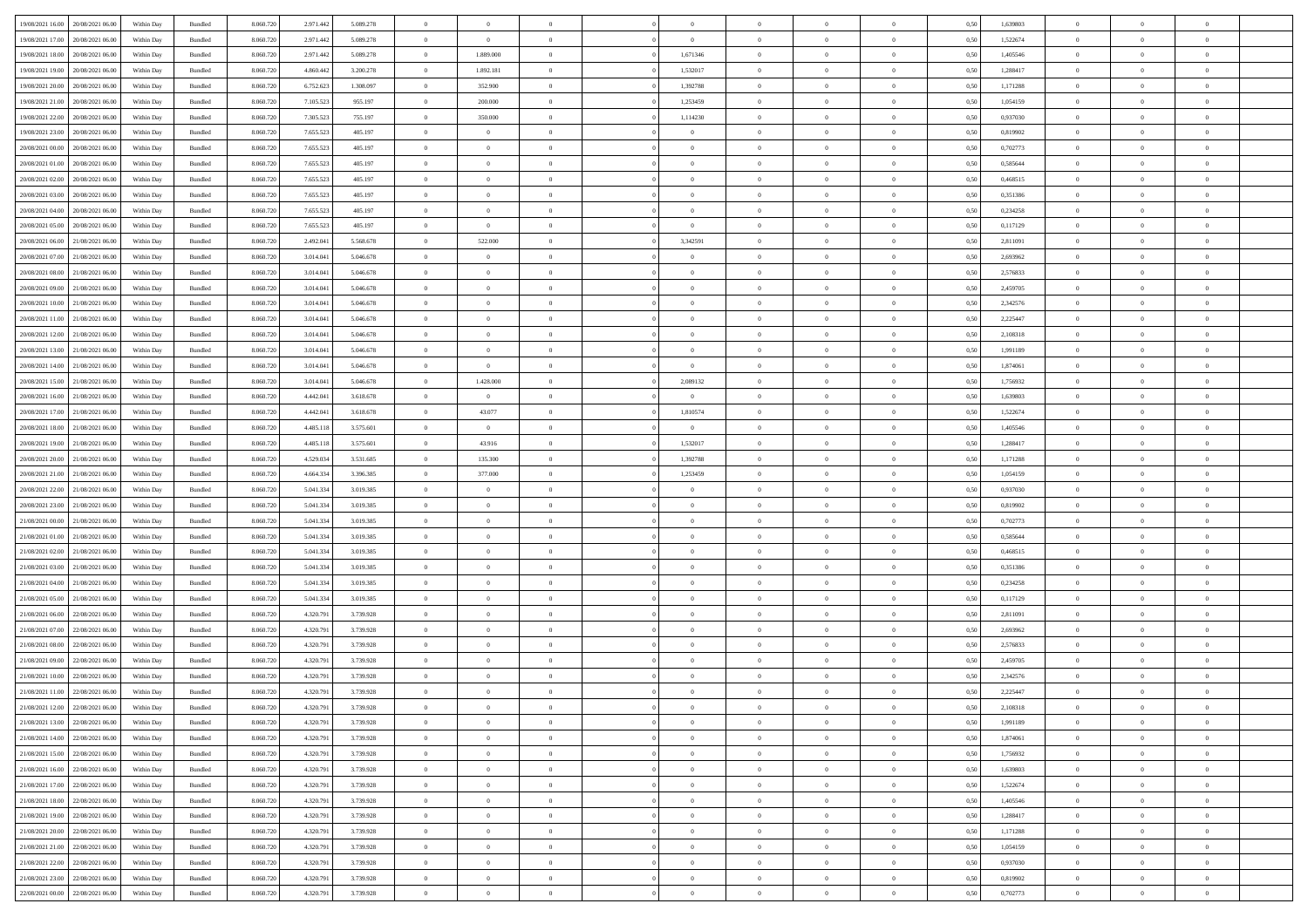| 19/08/2021 16:00                  | 20/08/2021 06:00 | Within Dav | Bundled            | 8.060.720 | 2.971.442 | 5.089.278 | $\theta$       | $\Omega$       |                | $\Omega$       | $\Omega$       | $\Omega$       | $\Omega$       | 0,50 | 1,639803 | $\theta$       | $\theta$       | $\theta$       |  |
|-----------------------------------|------------------|------------|--------------------|-----------|-----------|-----------|----------------|----------------|----------------|----------------|----------------|----------------|----------------|------|----------|----------------|----------------|----------------|--|
|                                   |                  |            |                    |           |           |           |                |                |                |                |                |                |                |      |          |                |                |                |  |
| 19/08/2021 17:00                  | 20/08/2021 06:00 | Within Day | Bundled            | 8.060.720 | 2.971.442 | 5.089.278 | $\overline{0}$ | $\overline{0}$ | $\overline{0}$ | $\overline{0}$ | $\bf{0}$       | $\overline{0}$ | $\bf{0}$       | 0,50 | 1,522674 | $\theta$       | $\theta$       | $\overline{0}$ |  |
| 19/08/2021 18:00                  | 20/08/2021 06:00 | Within Day | Bundled            | 8.060.720 | 2.971.442 | 5.089.278 | $\overline{0}$ | 1.889.000      | $\overline{0}$ | 1,671346       | $\bf{0}$       | $\overline{0}$ | $\mathbf{0}$   | 0,50 | 1,405546 | $\bf{0}$       | $\overline{0}$ | $\overline{0}$ |  |
|                                   |                  |            |                    |           |           |           |                |                |                |                |                |                |                |      |          | $\theta$       |                |                |  |
| 19/08/2021 19:00                  | 20/08/2021 06:00 | Within Dav | Bundled            | 8.060.720 | 4.860,442 | 3.200.278 | $\overline{0}$ | 1.892.181      | $\overline{0}$ | 1,532017       | $\bf{0}$       | $\overline{0}$ | $\overline{0}$ | 0.50 | 1.288417 |                | $\theta$       | $\overline{0}$ |  |
| 19/08/2021 20:00                  | 20/08/2021 06:00 | Within Day | Bundled            | 8.060.720 | 6.752.623 | 1.308.097 | $\overline{0}$ | 352.900        | $\overline{0}$ | 1,392788       | $\bf{0}$       | $\overline{0}$ | $\bf{0}$       | 0,50 | 1,171288 | $\theta$       | $\overline{0}$ | $\overline{0}$ |  |
| 19/08/2021 21:00                  | 20/08/2021 06:00 | Within Day | Bundled            | 8.060.720 | 7.105.523 | 955.197   | $\overline{0}$ | 200.000        | $\overline{0}$ | 1,253459       | $\bf{0}$       | $\overline{0}$ | $\mathbf{0}$   | 0,50 | 1,054159 | $\overline{0}$ | $\overline{0}$ | $\bf{0}$       |  |
| 19/08/2021 22:00                  | 20/08/2021 06:00 | Within Dav | Bundled            | 8.060.720 | 7.305.523 | 755.197   | $\overline{0}$ | 350,000        | $\overline{0}$ | 1,114230       | $\overline{0}$ | $\overline{0}$ | $\overline{0}$ | 0.50 | 0,937030 | $\theta$       | $\overline{0}$ | $\overline{0}$ |  |
|                                   |                  |            |                    |           |           |           |                |                |                |                |                |                |                |      |          |                |                |                |  |
| 19/08/2021 23:00                  | 20/08/2021 06:00 | Within Day | Bundled            | 8.060.720 | 7.655.523 | 405.197   | $\overline{0}$ | $\theta$       | $\overline{0}$ | $\overline{0}$ | $\bf{0}$       | $\overline{0}$ | $\bf{0}$       | 0,50 | 0,819902 | $\theta$       | $\theta$       | $\overline{0}$ |  |
| 20/08/2021 00:00                  | 20/08/2021 06:00 | Within Day | Bundled            | 8.060.720 | 7.655.523 | 405.197   | $\overline{0}$ | $\overline{0}$ | $\overline{0}$ | $\overline{0}$ | $\bf{0}$       | $\overline{0}$ | $\mathbf{0}$   | 0,50 | 0,702773 | $\,0\,$        | $\overline{0}$ | $\overline{0}$ |  |
| 20/08/2021 01:00                  | 20/08/2021 06:00 | Within Dav | Bundled            | 8.060.720 | 7.655.523 | 405.197   | $\overline{0}$ | $\overline{0}$ | $\overline{0}$ | $\overline{0}$ | $\overline{0}$ | $\overline{0}$ | $\overline{0}$ | 0.50 | 0,585644 | $\theta$       | $\overline{0}$ | $\overline{0}$ |  |
|                                   |                  |            |                    |           |           |           |                |                |                |                |                |                |                |      |          |                |                |                |  |
| 20/08/2021 02:00                  | 20/08/2021 06:00 | Within Day | Bundled            | 8.060.720 | 7.655.523 | 405.197   | $\overline{0}$ | $\theta$       | $\overline{0}$ | $\overline{0}$ | $\bf{0}$       | $\overline{0}$ | $\bf{0}$       | 0,50 | 0,468515 | $\theta$       | $\theta$       | $\overline{0}$ |  |
| 20/08/2021 03:00                  | 20/08/2021 06:00 | Within Day | Bundled            | 8.060.720 | 7.655.523 | 405.197   | $\overline{0}$ | $\bf{0}$       | $\overline{0}$ | $\overline{0}$ | $\bf{0}$       | $\overline{0}$ | $\mathbf{0}$   | 0,50 | 0,351386 | $\overline{0}$ | $\overline{0}$ | $\overline{0}$ |  |
| 20/08/2021 04:00                  | 20/08/2021 06:00 | Within Dav | Bundled            | 8.060.720 | 7.655.523 | 405.197   | $\overline{0}$ | $\overline{0}$ | $\overline{0}$ | $\overline{0}$ | $\bf{0}$       | $\overline{0}$ | $\overline{0}$ | 0.50 | 0,234258 | $\theta$       | $\theta$       | $\overline{0}$ |  |
|                                   |                  |            |                    |           |           |           |                |                |                |                |                |                |                |      |          |                |                |                |  |
| 20/08/2021 05:00                  | 20/08/2021 06:00 | Within Day | Bundled            | 8.060.720 | 7.655.523 | 405.197   | $\overline{0}$ | $\overline{0}$ | $\overline{0}$ | $\overline{0}$ | $\bf{0}$       | $\overline{0}$ | $\bf{0}$       | 0,50 | 0,117129 | $\theta$       | $\overline{0}$ | $\overline{0}$ |  |
| 20/08/2021 06:00                  | 21/08/2021 06:00 | Within Day | Bundled            | 8.060.720 | 2.492.041 | 5.568.678 | $\overline{0}$ | 522.000        | $\overline{0}$ | 3,342591       | $\bf{0}$       | $\overline{0}$ | $\mathbf{0}$   | 0,50 | 2,811091 | $\overline{0}$ | $\overline{0}$ | $\bf{0}$       |  |
| 20/08/2021 07:00                  | 21/08/2021 06:00 | Within Dav | Bundled            | 8.060.720 | 3.014.041 | 5.046.678 | $\overline{0}$ | $\overline{0}$ | $\overline{0}$ | $\overline{0}$ | $\overline{0}$ | $\overline{0}$ | $\overline{0}$ | 0.50 | 2,693962 | $\theta$       | $\overline{0}$ | $\overline{0}$ |  |
|                                   |                  |            |                    |           |           |           |                |                |                |                |                |                |                |      |          |                |                |                |  |
| 20/08/2021 08:00                  | 21/08/2021 06:00 | Within Day | Bundled            | 8.060.720 | 3.014.041 | 5.046.678 | $\overline{0}$ | $\theta$       | $\overline{0}$ | $\overline{0}$ | $\bf{0}$       | $\overline{0}$ | $\bf{0}$       | 0,50 | 2,576833 | $\theta$       | $\theta$       | $\overline{0}$ |  |
| 20/08/2021 09:00                  | 21/08/2021 06:00 | Within Day | Bundled            | 8.060.720 | 3.014.041 | 5.046.678 | $\overline{0}$ | $\overline{0}$ | $\overline{0}$ | $\overline{0}$ | $\bf{0}$       | $\overline{0}$ | $\mathbf{0}$   | 0,50 | 2,459705 | $\,0\,$        | $\overline{0}$ | $\overline{0}$ |  |
| 20/08/2021 10:00                  | 21/08/2021 06:00 | Within Dav | Bundled            | 8.060.720 | 3.014.041 | 5.046.678 | $\overline{0}$ | $\overline{0}$ | $\overline{0}$ | $\overline{0}$ | $\overline{0}$ | $\overline{0}$ | $\overline{0}$ | 0.50 | 2,342576 | $\theta$       | $\overline{0}$ | $\overline{0}$ |  |
| 20/08/2021 11:00                  | 21/08/2021 06:00 | Within Day | Bundled            | 8.060.720 | 3.014.041 | 5.046.678 | $\overline{0}$ | $\theta$       | $\overline{0}$ | $\overline{0}$ | $\bf{0}$       | $\overline{0}$ | $\bf{0}$       | 0,50 | 2,225447 | $\,$ 0 $\,$    | $\theta$       | $\overline{0}$ |  |
|                                   |                  |            |                    |           |           |           |                |                |                |                |                |                |                |      |          |                |                |                |  |
| 20/08/2021 12:00                  | 21/08/2021 06:00 | Within Day | Bundled            | 8.060.720 | 3.014.041 | 5.046.678 | $\overline{0}$ | $\overline{0}$ | $\overline{0}$ | $\bf{0}$       | $\bf{0}$       | $\bf{0}$       | $\mathbf{0}$   | 0,50 | 2,108318 | $\bf{0}$       | $\overline{0}$ | $\overline{0}$ |  |
| 20/08/2021 13:00                  | 21/08/2021 06:00 | Within Day | Bundled            | 8.060.720 | 3.014.041 | 5.046.678 | $\overline{0}$ | $\overline{0}$ | $\overline{0}$ | $\overline{0}$ | $\bf{0}$       | $\overline{0}$ | $\overline{0}$ | 0.50 | 1.991189 | $\theta$       | $\overline{0}$ | $\overline{0}$ |  |
| 20/08/2021 14:00                  | 21/08/2021 06:00 | Within Day | Bundled            | 8.060.720 | 3.014.041 | 5.046.678 | $\overline{0}$ | $\overline{0}$ | $\overline{0}$ | $\overline{0}$ | $\bf{0}$       | $\overline{0}$ | $\bf{0}$       | 0,50 | 1,874061 | $\theta$       | $\overline{0}$ | $\overline{0}$ |  |
|                                   |                  |            |                    |           |           |           |                |                |                |                |                |                |                |      |          |                |                |                |  |
| 20/08/2021 15:00                  | 21/08/2021 06:00 | Within Day | Bundled            | 8.060.720 | 3.014.041 | 5.046.678 | $\overline{0}$ | 1.428.000      | $\overline{0}$ | 2,089132       | $\bf{0}$       | $\overline{0}$ | $\mathbf{0}$   | 0,50 | 1,756932 | $\bf{0}$       | $\overline{0}$ | $\bf{0}$       |  |
| 20/08/2021 16:00                  | 21/08/2021 06:00 | Within Dav | Bundled            | 8.060.720 | 4.442.041 | 3.618.678 | $\overline{0}$ | $\overline{0}$ | $\overline{0}$ | $\overline{0}$ | $\overline{0}$ | $\overline{0}$ | $\overline{0}$ | 0.50 | 1,639803 | $\theta$       | $\overline{0}$ | $\overline{0}$ |  |
| 20/08/2021 17:00                  | 21/08/2021 06:00 | Within Day | Bundled            | 8.060.720 | 4.442.041 | 3.618.678 | $\overline{0}$ | 43.077         | $\overline{0}$ | 1,810574       | $\bf{0}$       | $\overline{0}$ | $\bf{0}$       | 0,50 | 1,522674 | $\theta$       | $\theta$       | $\overline{0}$ |  |
|                                   |                  |            |                    |           |           |           |                |                |                |                |                |                |                |      |          |                |                |                |  |
| 20/08/2021 18:00                  | 21/08/2021 06:00 | Within Day | Bundled            | 8.060.720 | 4.485.118 | 3.575.601 | $\overline{0}$ | $\bf{0}$       | $\overline{0}$ | $\bf{0}$       | $\bf{0}$       | $\bf{0}$       | $\bf{0}$       | 0,50 | 1,405546 | $\,0\,$        | $\overline{0}$ | $\overline{0}$ |  |
| 20/08/2021 19:00                  | 21/08/2021 06:00 | Within Day | Bundled            | 8.060.720 | 4.485.118 | 3.575.601 | $\overline{0}$ | 43.916         | $\overline{0}$ | 1,532017       | $\overline{0}$ | $\overline{0}$ | $\overline{0}$ | 0.50 | 1,288417 | $\theta$       | $\overline{0}$ | $\overline{0}$ |  |
| 20/08/2021 20:00                  | 21/08/2021 06:00 | Within Day | Bundled            | 8.060.720 | 4.529.034 | 3.531.685 | $\overline{0}$ | 135.300        | $\overline{0}$ | 1,392788       | $\bf{0}$       | $\overline{0}$ | $\bf{0}$       | 0,50 | 1,171288 | $\,0\,$        | $\overline{0}$ | $\overline{0}$ |  |
| 20/08/2021 21:00                  | 21/08/2021 06:00 | Within Day | Bundled            | 8.060.720 | 4.664.334 | 3.396.385 | $\overline{0}$ | 377.000        | $\overline{0}$ | 1,253459       | $\bf{0}$       | $\bf{0}$       | $\bf{0}$       | 0,50 | 1,054159 | $\bf{0}$       | $\overline{0}$ | $\overline{0}$ |  |
|                                   |                  |            |                    |           |           |           |                |                |                |                |                |                |                |      |          |                |                |                |  |
| 20/08/2021 22:00                  | 21/08/2021 06:00 | Within Day | Bundled            | 8.060.720 | 5.041.334 | 3.019.385 | $\bf{0}$       | $\Omega$       | $\Omega$       | $\Omega$       | $\Omega$       | $\overline{0}$ | $\overline{0}$ | 0,50 | 0,937030 | $\,0\,$        | $\theta$       | $\theta$       |  |
| 20/08/2021 23:00                  | 21/08/2021 06:00 | Within Day | Bundled            | 8.060.720 | 5.041.334 | 3.019.385 | $\overline{0}$ | $\theta$       | $\overline{0}$ | $\overline{0}$ | $\bf{0}$       | $\overline{0}$ | $\bf{0}$       | 0,50 | 0,819902 | $\theta$       | $\theta$       | $\overline{0}$ |  |
| 21/08/2021 00:00                  | 21/08/2021 06:00 | Within Day | Bundled            | 8.060.720 | 5.041.334 | 3.019.385 | $\overline{0}$ | $\overline{0}$ | $\overline{0}$ | $\bf{0}$       | $\bf{0}$       | $\overline{0}$ | $\mathbf{0}$   | 0,50 | 0,702773 | $\bf{0}$       | $\overline{0}$ | $\bf{0}$       |  |
|                                   |                  |            |                    |           |           |           |                |                |                |                |                |                |                |      |          |                |                |                |  |
| 21/08/2021 01:00                  | 21/08/2021 06:00 | Within Day | Bundled            | 8.060.720 | 5.041.334 | 3.019.385 | $\overline{0}$ | $\Omega$       | $\Omega$       | $\Omega$       | $\overline{0}$ | $\overline{0}$ | $\overline{0}$ | 0.50 | 0.585644 | $\,0\,$        | $\theta$       | $\theta$       |  |
| 21/08/2021 02:00                  | 21/08/2021 06:00 | Within Day | Bundled            | 8.060.720 | 5.041.334 | 3.019.385 | $\overline{0}$ | $\theta$       | $\overline{0}$ | $\overline{0}$ | $\bf{0}$       | $\overline{0}$ | $\bf{0}$       | 0,50 | 0,468515 | $\theta$       | $\theta$       | $\overline{0}$ |  |
| 21/08/2021 03:00                  | 21/08/2021 06:00 | Within Day | Bundled            | 8.060.720 | 5.041.334 | 3.019.385 | $\overline{0}$ | $\overline{0}$ | $\overline{0}$ | $\bf{0}$       | $\bf{0}$       | $\bf{0}$       | $\mathbf{0}$   | 0,50 | 0,351386 | $\,0\,$        | $\overline{0}$ | $\overline{0}$ |  |
| 21/08/2021 04:00                  | 21/08/2021 06:00 |            |                    |           |           | 3.019.385 | $\overline{0}$ | $\Omega$       | $\overline{0}$ | $\Omega$       | $\theta$       | $\overline{0}$ | $\overline{0}$ | 0.50 |          | $\,$ 0 $\,$    | $\theta$       | $\theta$       |  |
|                                   |                  | Within Day | Bundled            | 8.060.720 | 5.041.334 |           |                |                |                |                |                |                |                |      | 0,234258 |                |                |                |  |
| 21/08/2021 05:00                  | 21/08/2021 06:00 | Within Day | Bundled            | 8.060.720 | 5.041.334 | 3.019.385 | $\overline{0}$ | $\theta$       | $\overline{0}$ | $\overline{0}$ | $\bf{0}$       | $\overline{0}$ | $\bf{0}$       | 0,50 | 0,117129 | $\,$ 0 $\,$    | $\overline{0}$ | $\overline{0}$ |  |
| 21/08/2021 06:00                  | 22/08/2021 06:00 | Within Day | Bundled            | 8.060.720 | 4.320.791 | 3.739.928 | $\overline{0}$ | $\overline{0}$ | $\overline{0}$ | $\bf{0}$       | $\bf{0}$       | $\bf{0}$       | $\mathbf{0}$   | 0,50 | 2,811091 | $\bf{0}$       | $\overline{0}$ | $\overline{0}$ |  |
| 21/08/2021 07:00                  | 22/08/2021 06:00 | Within Day | Bundled            | 8.060.720 | 4.320.791 | 3.739.928 | $\bf{0}$       | $\Omega$       | $\overline{0}$ | $\Omega$       | $\overline{0}$ | $\overline{0}$ | $\overline{0}$ | 0.50 | 2,693962 | $\,0\,$        | $\theta$       | $\theta$       |  |
|                                   |                  |            |                    |           |           |           |                | $\theta$       |                |                |                |                |                |      |          |                | $\overline{0}$ |                |  |
| 21/08/2021 08:00                  | 22/08/2021 06:00 | Within Day | Bundled            | 8.060.720 | 4.320.791 | 3.739.928 | $\overline{0}$ |                | $\overline{0}$ | $\overline{0}$ | $\bf{0}$       | $\overline{0}$ | $\bf{0}$       | 0,50 | 2,576833 | $\,$ 0 $\,$    |                | $\overline{0}$ |  |
| 21/08/2021 09:00                  | 22/08/2021 06:00 | Within Day | Bundled            | 8.060.720 | 4.320.791 | 3.739.928 | $\overline{0}$ | $\overline{0}$ | $\overline{0}$ | $\bf{0}$       | $\bf{0}$       | $\bf{0}$       | $\mathbf{0}$   | 0,50 | 2,459705 | $\bf{0}$       | $\overline{0}$ | $\bf{0}$       |  |
| 21/08/2021 10:00                  | 22/08/2021 06:00 | Within Day | Bundled            | 8.060.720 | 4.320.791 | 3.739.928 | $\overline{0}$ | $\Omega$       | $\Omega$       | $\Omega$       | $\Omega$       | $\overline{0}$ | $\overline{0}$ | 0.50 | 2,342576 | $\theta$       | $\theta$       | $\theta$       |  |
| 21/08/2021 11:00                  | 22/08/2021 06:00 | Within Day | Bundled            | 8.060.720 | 4.320.791 | 3.739.928 | $\overline{0}$ | $\overline{0}$ | $\overline{0}$ | $\bf{0}$       | $\,$ 0         | $\bf{0}$       | $\bf{0}$       | 0,50 | 2,225447 | $\,0\,$        | $\,0\,$        | $\overline{0}$ |  |
|                                   |                  |            |                    |           |           |           |                |                |                |                |                |                |                |      |          |                |                |                |  |
| 21/08/2021 12:00                  | 22/08/2021 06:00 | Within Day | $\mathbf B$ undled | 8.060.720 | 4.320.791 | 3.739.928 | $\bf{0}$       | $\bf{0}$       |                |                |                |                |                | 0,50 | 2,108318 | $\bf{0}$       | $\overline{0}$ |                |  |
| 21/08/2021 13:00                  | 22/08/2021 06:00 | Within Day | Bundled            | 8.060.720 | 4.320.791 | 3.739.928 | $\overline{0}$ | $\Omega$       | $\Omega$       | $\Omega$       | $\theta$       | $\overline{0}$ | $\overline{0}$ | 0.50 | 1,991189 | $\theta$       | $\theta$       | $\theta$       |  |
| 21/08/2021 14:00                  | 22/08/2021 06:00 | Within Day | Bundled            | 8.060.720 | 4.320.791 | 3.739.928 | $\overline{0}$ | $\bf{0}$       | $\overline{0}$ | $\overline{0}$ | $\,$ 0 $\,$    | $\overline{0}$ | $\mathbf{0}$   | 0,50 | 1,874061 | $\,$ 0 $\,$    | $\,$ 0 $\,$    | $\bf{0}$       |  |
|                                   |                  |            |                    |           |           |           |                |                |                |                |                |                |                |      |          |                |                |                |  |
| 21/08/2021 15:00                  | 22/08/2021 06:00 | Within Day | Bundled            | 8.060.720 | 4.320.791 | 3.739.928 | $\overline{0}$ | $\overline{0}$ | $\overline{0}$ | $\overline{0}$ | $\overline{0}$ | $\overline{0}$ | $\mathbf{0}$   | 0,50 | 1,756932 | $\overline{0}$ | $\bf{0}$       | $\bf{0}$       |  |
| 21/08/2021 16:00                  | 22/08/2021 06:00 | Within Day | Bundled            | 8.060.720 | 4.320.791 | 3.739.928 | $\overline{0}$ | $\overline{0}$ | $\overline{0}$ | $\Omega$       | $\overline{0}$ | $\overline{0}$ | $\overline{0}$ | 0,50 | 1,639803 | $\overline{0}$ | $\theta$       | $\overline{0}$ |  |
| 21/08/2021 17:00                  | 22/08/2021 06:00 | Within Day | Bundled            | 8.060.720 | 4.320.791 | 3.739.928 | $\overline{0}$ | $\,$ 0         | $\overline{0}$ | $\overline{0}$ | $\,$ 0 $\,$    | $\overline{0}$ | $\mathbf{0}$   | 0,50 | 1,522674 | $\,$ 0 $\,$    | $\overline{0}$ | $\overline{0}$ |  |
| 21/08/2021 18:00                  | 22/08/2021 06:00 | Within Day | Bundled            | 8.060.720 | 4.320.791 | 3.739.928 | $\overline{0}$ | $\overline{0}$ | $\overline{0}$ | $\overline{0}$ | $\overline{0}$ | $\overline{0}$ | $\mathbf{0}$   | 0,50 | 1,405546 | $\overline{0}$ | $\overline{0}$ | $\bf{0}$       |  |
|                                   |                  |            |                    |           |           |           |                |                |                |                |                |                |                |      |          |                |                |                |  |
| 21/08/2021 19:00                  | 22/08/2021 06:00 | Within Day | Bundled            | 8.060.720 | 4.320.791 | 3.739.928 | $\overline{0}$ | $\overline{0}$ | $\overline{0}$ | $\Omega$       | $\overline{0}$ | $\overline{0}$ | $\bf{0}$       | 0.50 | 1,288417 | $\overline{0}$ | $\theta$       | $\overline{0}$ |  |
| 21/08/2021 20:00                  | 22/08/2021 06:00 | Within Day | Bundled            | 8.060.720 | 4.320.791 | 3.739.928 | $\overline{0}$ | $\overline{0}$ | $\overline{0}$ | $\overline{0}$ | $\bf{0}$       | $\overline{0}$ | $\bf{0}$       | 0,50 | 1,171288 | $\,$ 0 $\,$    | $\overline{0}$ | $\overline{0}$ |  |
| 21/08/2021 21:00                  | 22/08/2021 06:00 | Within Day | Bundled            | 8.060.720 | 4.320.791 | 3.739.928 | $\overline{0}$ | $\bf{0}$       | $\overline{0}$ | $\overline{0}$ | $\overline{0}$ | $\overline{0}$ | $\mathbf{0}$   | 0,50 | 1,054159 | $\overline{0}$ | $\overline{0}$ | $\bf{0}$       |  |
|                                   |                  |            |                    |           |           |           |                |                |                |                |                |                |                |      |          |                |                |                |  |
| 21/08/2021 22.00                  | 22/08/2021 06:00 | Within Day | Bundled            | 8.060.720 | 4.320.791 | 3.739.928 | $\overline{0}$ | $\overline{0}$ | $\overline{0}$ | $\Omega$       | $\overline{0}$ | $\overline{0}$ | $\overline{0}$ | 0.50 | 0,937030 | $\overline{0}$ | $\theta$       | $\overline{0}$ |  |
| 21/08/2021 23:00                  | 22/08/2021 06:00 | Within Day | Bundled            | 8.060.720 | 4.320.791 | 3.739.928 | $\overline{0}$ | $\bf{0}$       | $\overline{0}$ | $\overline{0}$ | $\bf{0}$       | $\overline{0}$ | $\mathbf{0}$   | 0,50 | 0,819902 | $\,$ 0 $\,$    | $\,$ 0 $\,$    | $\bf{0}$       |  |
| 22/08/2021 00:00 22/08/2021 06:00 |                  | Within Day | Bundled            | 8.060.720 | 4.320.791 | 3.739.928 | $\overline{0}$ | $\overline{0}$ | $\overline{0}$ | $\overline{0}$ | $\overline{0}$ | $\overline{0}$ | $\mathbf{0}$   | 0,50 | 0,702773 | $\overline{0}$ | $\bf{0}$       | $\overline{0}$ |  |
|                                   |                  |            |                    |           |           |           |                |                |                |                |                |                |                |      |          |                |                |                |  |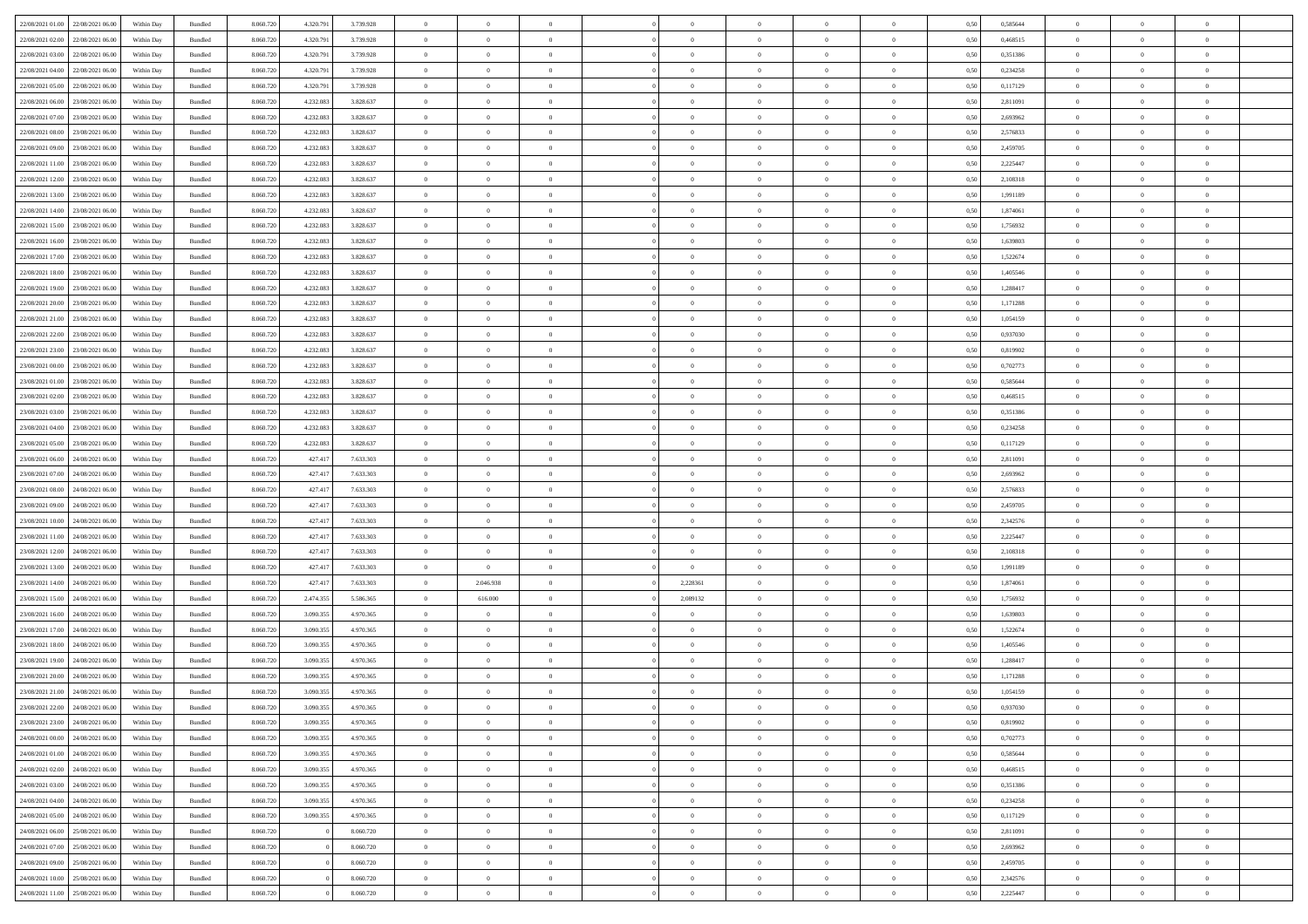| 22/08/2021 01:00 22/08/2021 06:00 |                                   | Within Day | Bundled            | 8.060.720 | 4.320.791 | 3.739.928 | $\overline{0}$ | $\theta$       |                | $\overline{0}$ | $\bf{0}$       | $\overline{0}$ | $\theta$       | 0,50 | 0,585644 | $\theta$       | $\theta$       | $\sqrt{a}$               |  |
|-----------------------------------|-----------------------------------|------------|--------------------|-----------|-----------|-----------|----------------|----------------|----------------|----------------|----------------|----------------|----------------|------|----------|----------------|----------------|--------------------------|--|
|                                   |                                   |            |                    |           |           |           | $\overline{0}$ | $\overline{0}$ |                |                |                |                |                |      |          |                |                | $\overline{0}$           |  |
| 22/08/2021 02:00                  | 22/08/2021 06.00                  | Within Day | Bundled            | 8.060.720 | 4.320.791 | 3.739.928 |                |                | $\overline{0}$ | $\overline{0}$ | $\,$ 0         | $\overline{0}$ | $\bf{0}$       | 0,50 | 0,468515 | $\,$ 0 $\,$    | $\overline{0}$ |                          |  |
| 22/08/2021 03:00                  | 22/08/2021 06:00                  | Within Day | Bundled            | 8.060.720 | 4.320.791 | 3.739.928 | $\overline{0}$ | $\overline{0}$ | $\overline{0}$ | $\overline{0}$ | $\bf{0}$       | $\overline{0}$ | $\mathbf{0}$   | 0.50 | 0,351386 | $\bf{0}$       | $\overline{0}$ | $\overline{0}$           |  |
| 22/08/2021 04:00                  | 22/08/2021 06:00                  | Within Day | Bundled            | 8.060.720 | 4.320.791 | 3.739.928 | $\overline{0}$ | $\overline{0}$ | $\overline{0}$ | $\overline{0}$ | $\bf{0}$       | $\overline{0}$ | $\overline{0}$ | 0,50 | 0,234258 | $\,$ 0 $\,$    | $\overline{0}$ | $\overline{0}$           |  |
| 22/08/2021 05:00                  | 22/08/2021 06.00                  | Within Day | Bundled            | 8.060.720 | 4.320.791 | 3.739.928 | $\overline{0}$ | $\theta$       | $\overline{0}$ |                | $\overline{0}$ | $\overline{0}$ | $\bf{0}$       | 0,50 | 0,117129 | $\,$ 0 $\,$    | $\overline{0}$ | $\overline{0}$           |  |
| 22/08/2021 06:00                  | 23/08/2021 06:00                  | Within Day | Bundled            | 8.060.720 | 4.232.083 | 3.828.637 | $\overline{0}$ | $\overline{0}$ | $\overline{0}$ | $\overline{0}$ | $\bf{0}$       | $\overline{0}$ | $\bf{0}$       | 0.50 | 2.811091 | $\,0\,$        | $\theta$       | $\overline{0}$           |  |
| 22/08/2021 07:00                  | 23/08/2021 06:00                  | Within Day | Bundled            | 8.060.720 | 4.232.083 | 3.828.637 | $\overline{0}$ | $\overline{0}$ | $\overline{0}$ | $\overline{0}$ | $\,$ 0         | $\overline{0}$ | $\overline{0}$ | 0,50 | 2,693962 | $\,0\,$        | $\theta$       | $\overline{0}$           |  |
| 22/08/2021 08:00                  | 23/08/2021 06:00                  | Within Day | Bundled            | 8.060.720 | 4.232.083 | 3.828.637 | $\overline{0}$ | $\theta$       | $\overline{0}$ | $\overline{0}$ | $\,$ 0         | $\bf{0}$       | $\bf{0}$       | 0,50 | 2,576833 | $\,$ 0 $\,$    | $\overline{0}$ | $\overline{0}$           |  |
|                                   |                                   |            |                    |           |           |           |                |                |                |                |                |                |                |      |          |                |                |                          |  |
| 22/08/2021 09:00                  | 23/08/2021 06:00                  | Within Day | Bundled            | 8.060.720 | 4.232.083 | 3.828.637 | $\overline{0}$ | $\overline{0}$ | $\overline{0}$ | $\overline{0}$ | $\bf{0}$       | $\overline{0}$ | $\bf{0}$       | 0.50 | 2.459705 | $\,0\,$        | $\overline{0}$ | $\overline{0}$           |  |
| 22/08/2021 11:00                  | 23/08/2021 06:00                  | Within Day | Bundled            | 8.060.720 | 4.232.083 | 3.828.637 | $\overline{0}$ | $\overline{0}$ | $\overline{0}$ | $\overline{0}$ | $\bf{0}$       | $\overline{0}$ | $\bf{0}$       | 0,50 | 2,225447 | $\,$ 0 $\,$    | $\overline{0}$ | $\overline{0}$           |  |
| 22/08/2021 12:00                  | 23/08/2021 06.00                  | Within Day | Bundled            | 8.060.720 | 4.232.083 | 3.828.637 | $\bf{0}$       | $\theta$       | $\overline{0}$ | $\overline{0}$ | $\,$ 0         | $\overline{0}$ | $\bf{0}$       | 0,50 | 2,108318 | $\,$ 0 $\,$    | $\overline{0}$ | $\overline{0}$           |  |
| 22/08/2021 13:00                  | 23/08/2021 06:00                  | Within Day | Bundled            | 8.060.720 | 4.232.083 | 3.828.637 | $\overline{0}$ | $\overline{0}$ | $\overline{0}$ | $\overline{0}$ | $\bf{0}$       | $\overline{0}$ | $\mathbf{0}$   | 0.50 | 1,991189 | $\bf{0}$       | $\overline{0}$ | $\bf{0}$                 |  |
| 22/08/2021 14:00                  | 23/08/2021 06:00                  | Within Day | Bundled            | 8.060.720 | 4.232.083 | 3.828.637 | $\overline{0}$ | $\overline{0}$ | $\overline{0}$ | $\overline{0}$ | $\bf{0}$       | $\overline{0}$ | $\overline{0}$ | 0,50 | 1,874061 | $\,$ 0 $\,$    | $\theta$       | $\overline{0}$           |  |
| 22/08/2021 15:00                  | 23/08/2021 06:00                  | Within Day | Bundled            | 8.060.720 | 4.232.083 | 3.828.637 | $\overline{0}$ | $\theta$       | $\overline{0}$ |                | $\bf{0}$       | $\overline{0}$ | $\bf{0}$       | 0,50 | 1,756932 | $\,$ 0 $\,$    | $\overline{0}$ | $\overline{0}$           |  |
| 22/08/2021 16:00                  | 23/08/2021 06:00                  | Within Day | Bundled            | 8.060.720 | 4.232.083 | 3.828.637 | $\overline{0}$ | $\overline{0}$ | $\overline{0}$ | $\overline{0}$ | $\bf{0}$       | $\overline{0}$ | $\bf{0}$       | 0.50 | 1.639803 | $\,0\,$        | $\theta$       | $\overline{0}$           |  |
|                                   |                                   |            |                    |           |           |           |                |                |                |                |                |                |                |      |          |                |                |                          |  |
| 22/08/2021 17:00                  | 23/08/2021 06:00                  | Within Day | Bundled            | 8.060.720 | 4.232.083 | 3.828.637 | $\overline{0}$ | $\overline{0}$ | $\overline{0}$ | $\overline{0}$ | $\,$ 0         | $\overline{0}$ | $\overline{0}$ | 0,50 | 1,522674 | $\,0\,$        | $\theta$       | $\overline{0}$           |  |
| 22/08/2021 18:00                  | 23/08/2021 06.00                  | Within Day | Bundled            | 8.060.720 | 4.232.083 | 3.828.637 | $\overline{0}$ | $\theta$       | $\overline{0}$ |                | $\,$ 0         | $\overline{0}$ | $\bf{0}$       | 0,50 | 1,405546 | $\,$ 0 $\,$    | $\overline{0}$ | $\overline{0}$           |  |
| 22/08/2021 19:00                  | 23/08/2021 06:00                  | Within Day | Bundled            | 8.060.720 | 4.232.083 | 3.828.637 | $\overline{0}$ | $\overline{0}$ | $\overline{0}$ | $\overline{0}$ | $\bf{0}$       | $\overline{0}$ | $\bf{0}$       | 0.50 | 1.288417 | $\,0\,$        | $\overline{0}$ | $\overline{\phantom{a}}$ |  |
| 22/08/2021 20:00                  | 23/08/2021 06:00                  | Within Day | Bundled            | 8.060.720 | 4.232.083 | 3.828.637 | $\overline{0}$ | $\overline{0}$ | $\overline{0}$ | $\overline{0}$ | $\,$ 0         | $\overline{0}$ | $\bf{0}$       | 0,50 | 1,171288 | $\,$ 0 $\,$    | $\overline{0}$ | $\overline{0}$           |  |
| 22/08/2021 21:00                  | 23/08/2021 06.00                  | Within Day | Bundled            | 8.060.720 | 4.232.083 | 3.828.637 | $\bf{0}$       | $\,$ 0 $\,$    | $\overline{0}$ | $\overline{0}$ | $\,$ 0         | $\bf{0}$       | $\bf{0}$       | 0,50 | 1,054159 | $\,$ 0 $\,$    | $\overline{0}$ | $\overline{0}$           |  |
| 22/08/2021 22:00                  | 23/08/2021 06:00                  | Within Day | Bundled            | 8.060.720 | 4.232.083 | 3.828.637 | $\overline{0}$ | $\overline{0}$ | $\overline{0}$ | $\overline{0}$ | $\bf{0}$       | $\overline{0}$ | $\mathbf{0}$   | 0.50 | 0,937030 | $\,$ 0 $\,$    | $\overline{0}$ | $\overline{0}$           |  |
| 22/08/2021 23:00                  | 23/08/2021 06:00                  | Within Day | Bundled            | 8.060.720 | 4.232.083 | 3.828.637 | $\overline{0}$ | $\overline{0}$ | $\overline{0}$ | $\overline{0}$ | $\bf{0}$       | $\overline{0}$ | $\overline{0}$ | 0,50 | 0,819902 | $\theta$       | $\overline{0}$ | $\overline{0}$           |  |
|                                   |                                   |            |                    |           |           |           |                |                |                |                |                |                |                |      |          |                |                |                          |  |
| 23/08/2021 00:00                  | 23/08/2021 06.00                  | Within Day | Bundled            | 8.060.720 | 4.232.083 | 3.828.637 | $\overline{0}$ | $\theta$       | $\overline{0}$ | $\overline{0}$ | $\,$ 0         | $\overline{0}$ | $\bf{0}$       | 0,50 | 0,702773 | $\,$ 0 $\,$    | $\overline{0}$ | $\overline{0}$           |  |
| 23/08/2021 01:00                  | 23/08/2021 06:00                  | Within Day | Bundled            | 8.060.720 | 4.232.083 | 3.828.637 | $\overline{0}$ | $\overline{0}$ | $\overline{0}$ | $\overline{0}$ | $\bf{0}$       | $\overline{0}$ | $\bf{0}$       | 0.50 | 0.585644 | $\,0\,$        | $\theta$       | $\overline{0}$           |  |
| 23/08/2021 02:00                  | 23/08/2021 06:00                  | Within Day | Bundled            | 8.060.720 | 4.232.083 | 3.828.637 | $\overline{0}$ | $\overline{0}$ | $\overline{0}$ | $\overline{0}$ | $\,$ 0         | $\overline{0}$ | $\overline{0}$ | 0,50 | 0,468515 | $\,0\,$        | $\theta$       | $\overline{0}$           |  |
| 23/08/2021 03:00                  | 23/08/2021 06:00                  | Within Day | Bundled            | 8.060.720 | 4.232.083 | 3.828.637 | $\overline{0}$ | $\theta$       | $\overline{0}$ |                | $\,$ 0         | $\overline{0}$ | $\bf{0}$       | 0,50 | 0,351386 | $\,$ 0 $\,$    | $\overline{0}$ | $\overline{0}$           |  |
| 23/08/2021 04:00                  | 23/08/2021 06:00                  | Within Day | Bundled            | 8.060.720 | 4.232.083 | 3.828.637 | $\overline{0}$ | $\overline{0}$ | $\overline{0}$ | $\overline{0}$ | $\bf{0}$       | $\overline{0}$ | $\bf{0}$       | 0.50 | 0.234258 | $\,0\,$        | $\overline{0}$ | $\overline{0}$           |  |
| 23/08/2021 05:00                  | 23/08/2021 06:00                  | Within Day | Bundled            | 8.060.720 | 4.232.083 | 3.828.637 | $\overline{0}$ | $\overline{0}$ | $\overline{0}$ | $\overline{0}$ | $\bf{0}$       | $\overline{0}$ | $\bf{0}$       | 0,50 | 0,117129 | $\,$ 0 $\,$    | $\overline{0}$ | $\overline{0}$           |  |
|                                   |                                   |            |                    |           |           |           |                | $\overline{0}$ | $\overline{0}$ | $\overline{0}$ | $\bf{0}$       |                |                |      |          | $\,$ 0 $\,$    | $\overline{0}$ | $\overline{0}$           |  |
| 23/08/2021 06:00                  | 24/08/2021 06.00                  | Within Day | Bundled            | 8.060.720 | 427.417   | 7.633.303 | $\overline{0}$ |                |                |                |                | $\bf{0}$       | $\bf{0}$       | 0,50 | 2,811091 |                |                |                          |  |
| 23/08/2021 07:00                  | 24/08/2021 06:00                  | Within Day | Bundled            | 8.060.720 | 427.417   | 7.633.303 | $\overline{0}$ | $\overline{0}$ | $\overline{0}$ | $\overline{0}$ | $\bf{0}$       | $\overline{0}$ | $\mathbf{0}$   | 0.50 | 2.693962 | $\bf{0}$       | $\overline{0}$ | $\bf{0}$                 |  |
| 23/08/2021 08:00                  | 24/08/2021 06:00                  | Within Dav | Bundled            | 8.060.720 | 427.41    | 7.633.303 | $\overline{0}$ | $\overline{0}$ | $\overline{0}$ | $\overline{0}$ | $\overline{0}$ | $\overline{0}$ | $\overline{0}$ | 0.50 | 2,576833 | $\theta$       | $\overline{0}$ | $\overline{0}$           |  |
| 23/08/2021 09:00                  | 24/08/2021 06.00                  | Within Day | Bundled            | 8.060.720 | 427.417   | 7.633.303 | $\overline{0}$ | $\theta$       | $\overline{0}$ | $\overline{0}$ | $\,$ 0         | $\overline{0}$ | $\bf{0}$       | 0,50 | 2,459705 | $\,$ 0 $\,$    | $\overline{0}$ | $\overline{0}$           |  |
| 23/08/2021 10:00                  | 24/08/2021 06:00                  | Within Day | Bundled            | 8.060.720 | 427.417   | 7.633.303 | $\overline{0}$ | $\overline{0}$ | $\overline{0}$ | $\overline{0}$ | $\bf{0}$       | $\overline{0}$ | $\bf{0}$       | 0.50 | 2.342576 | $\,0\,$        | $\theta$       | $\overline{0}$           |  |
| 23/08/2021 11:00                  | 24/08/2021 06:00                  | Within Dav | Bundled            | 8.060.720 | 427.417   | 7.633.303 | $\overline{0}$ | $\overline{0}$ | $\Omega$       | $\Omega$       | $\mathbf{0}$   | $\overline{0}$ | $\overline{0}$ | 0.50 | 2,225447 | $\theta$       | $\overline{0}$ | $\overline{0}$           |  |
| 23/08/2021 12:00                  | 24/08/2021 06.00                  | Within Day | Bundled            | 8.060.720 | 427.417   | 7.633.303 | $\overline{0}$ | $\theta$       | $\overline{0}$ | $\overline{0}$ | $\,$ 0         | $\overline{0}$ | $\bf{0}$       | 0,50 | 2,108318 | $\,$ 0 $\,$    | $\overline{0}$ | $\overline{0}$           |  |
| 23/08/2021 13:00                  | 24/08/2021 06:00                  | Within Day | Bundled            | 8.060.720 | 427.417   | 7.633.303 | $\overline{0}$ | $\overline{0}$ | $\overline{0}$ | $\overline{0}$ | $\bf{0}$       | $\overline{0}$ | $\bf{0}$       | 0.50 | 1.991189 | $\,0\,$        | $\overline{0}$ | $\overline{0}$           |  |
|                                   |                                   |            |                    |           |           |           |                |                |                |                |                |                |                |      |          |                |                |                          |  |
| 23/08/2021 14:00                  | 24/08/2021 06:00                  | Within Dav | Bundled            | 8.060.720 | 427.41    | 7.633.303 | $\overline{0}$ | 2.046.938      | $\overline{0}$ | 2,228361       | $\overline{0}$ | $\overline{0}$ | $\overline{0}$ | 0.50 | 1,874061 | $\theta$       | $\overline{0}$ | $\overline{0}$           |  |
| 23/08/2021 15:00                  | 24/08/2021 06.00                  | Within Day | Bundled            | 8.060.720 | 2.474.355 | 5.586.365 | $\overline{0}$ | 616.000        | $\overline{0}$ | 2,089132       | $\bf{0}$       | $\overline{0}$ | $\bf{0}$       | 0,50 | 1,756932 | $\,$ 0 $\,$    | $\overline{0}$ | $\overline{0}$           |  |
| 23/08/2021 16:00                  | 24/08/2021 06:00                  | Within Day | Bundled            | 8.060.720 | 3.090.355 | 4.970.365 | $\overline{0}$ | $\overline{0}$ | $\overline{0}$ | $\overline{0}$ | $\bf{0}$       | $\overline{0}$ | $\mathbf{0}$   | 0.50 | 1.639803 | $\,$ 0 $\,$    | $\overline{0}$ | $\overline{0}$           |  |
| 23/08/2021 17:00                  | 24/08/2021 06:00                  | Within Dav | Bundled            | 8.060.720 | 3.090.355 | 4.970.365 | $\overline{0}$ | $\overline{0}$ | $\Omega$       | $\overline{0}$ | $\mathbf{0}$   | $\overline{0}$ | $\overline{0}$ | 0.50 | 1,522674 | $\theta$       | $\overline{0}$ | $\overline{0}$           |  |
| 23/08/2021 18:00                  | 24/08/2021 06.00                  | Within Day | Bundled            | 8.060.720 | 3.090.355 | 4.970.365 | $\overline{0}$ | $\theta$       | $\overline{0}$ | $\overline{0}$ | $\,$ 0         | $\overline{0}$ | $\bf{0}$       | 0,50 | 1,405546 | $\,$ 0 $\,$    | $\overline{0}$ | $\overline{0}$           |  |
| 23/08/2021 19:00                  | 24/08/2021 06:00                  | Within Day | Bundled            | 8.060.720 | 3.090.355 | 4.970.365 | $\overline{0}$ | $\overline{0}$ | $\overline{0}$ | $\overline{0}$ | $\bf{0}$       | $\overline{0}$ | $\overline{0}$ | 0.50 | 1.288417 | $\,0\,$        | $\theta$       | $\overline{0}$           |  |
| 23/08/2021 20:00                  | 24/08/2021 06:00                  | Within Dav | Bundled            | 8.060.720 | 3.090.35  | 4.970.365 | $\overline{0}$ | $\Omega$       | $\Omega$       | $\Omega$       | $\bf{0}$       | $\overline{0}$ | $\bf{0}$       | 0.50 | 1,171288 | $\theta$       | $\theta$       | $\overline{0}$           |  |
| 23/08/2021 21:00                  | 24/08/2021 06:00                  | Within Day | Bundled            | 8.060.720 | 3.090.355 | 4.970.365 | $\overline{0}$ | $\,$ 0 $\,$    | $\overline{0}$ | $\overline{0}$ | $\,$ 0         | $\overline{0}$ | $\bf{0}$       | 0,50 | 1,054159 | $\overline{0}$ | $\overline{0}$ | $\overline{0}$           |  |
|                                   |                                   |            |                    |           |           |           |                |                |                |                |                |                |                |      |          |                |                |                          |  |
| 23/08/2021 22:00                  | 24/08/2021 06:00                  | Within Day | $\mathbf B$ undled | 8.060.720 | 3.090.355 | 4970365   | $\bf{0}$       | $\theta$       |                |                |                |                |                | 0,50 | 0.937030 | $\,$ 0         | $\theta$       |                          |  |
| 23/08/2021 23:00 24/08/2021 06:00 |                                   | Within Day | Bundled            | 8.060.720 | 3.090.355 | 4.970.365 | $\Omega$       | $\overline{0}$ | $\overline{0}$ | $\Omega$       | $\overline{0}$ | $\overline{0}$ | $\overline{0}$ | 0,50 | 0,819902 | $\theta$       | $\overline{0}$ | $\overline{0}$           |  |
| 24/08/2021 00:00                  | 24/08/2021 06:00                  | Within Day | Bundled            | 8.060.720 | 3.090.355 | 4.970.365 | $\overline{0}$ | $\bf{0}$       | $\overline{0}$ | $\bf{0}$       | $\overline{0}$ | $\overline{0}$ | $\mathbf{0}$   | 0,50 | 0,702773 | $\overline{0}$ | $\overline{0}$ | $\bf{0}$                 |  |
| 24/08/2021 01:00                  | 24/08/2021 06:00                  | Within Day | Bundled            | 8.060.720 | 3.090.355 | 4.970.365 | $\overline{0}$ | $\overline{0}$ | $\overline{0}$ | $\overline{0}$ | $\overline{0}$ | $\overline{0}$ | $\mathbf{0}$   | 0.50 | 0.585644 | $\overline{0}$ | $\bf{0}$       | $\bf{0}$                 |  |
| 24/08/2021 02:00                  | 24/08/2021 06:00                  | Within Day | Bundled            | 8.060.720 | 3.090.355 | 4.970.365 | $\overline{0}$ | $\overline{0}$ | $\overline{0}$ | $\overline{0}$ | $\overline{0}$ | $\overline{0}$ | $\mathbf{0}$   | 0,50 | 0,468515 | $\overline{0}$ | $\theta$       | $\overline{0}$           |  |
| 24/08/2021 03:00                  | 24/08/2021 06:00                  | Within Day | Bundled            | 8.060.720 | 3.090.355 | 4.970.365 | $\bf{0}$       | $\overline{0}$ | $\overline{0}$ | $\overline{0}$ | $\bf{0}$       | $\bf{0}$       | $\bf{0}$       | 0,50 | 0,351386 | $\bf{0}$       | $\overline{0}$ | $\overline{0}$           |  |
|                                   |                                   |            |                    |           |           |           |                |                |                |                |                |                |                |      |          |                |                |                          |  |
| 24/08/2021 04:00                  | 24/08/2021 06:00                  | Within Day | Bundled            | 8.060.720 | 3.090.355 | 4.970.365 | $\overline{0}$ | $\overline{0}$ | $\overline{0}$ | $\overline{0}$ | $\bf{0}$       | $\overline{0}$ | $\mathbf{0}$   | 0.50 | 0,234258 | $\,$ 0 $\,$    | $\overline{0}$ | $\overline{0}$           |  |
| 24/08/2021 05:00                  | 24/08/2021 06:00                  | Within Day | Bundled            | 8.060.720 | 3.090.355 | 4.970.365 | $\overline{0}$ | $\overline{0}$ | $\overline{0}$ | $\overline{0}$ | $\overline{0}$ | $\overline{0}$ | $\overline{0}$ | 0,50 | 0,117129 | $\overline{0}$ | $\theta$       | $\overline{0}$           |  |
| 24/08/2021 06:00                  | 25/08/2021 06:00                  | Within Day | Bundled            | 8.060.720 |           | 8.060.720 | $\overline{0}$ | $\,$ 0         | $\overline{0}$ | $\bf{0}$       | $\,$ 0 $\,$    | $\overline{0}$ | $\bf{0}$       | 0,50 | 2,811091 | $\,$ 0 $\,$    | $\overline{0}$ | $\overline{0}$           |  |
| 24/08/2021 07:00                  | 25/08/2021 06:00                  | Within Day | Bundled            | 8.060.720 |           | 8.060.720 | $\overline{0}$ | $\overline{0}$ | $\overline{0}$ | $\overline{0}$ | $\bf{0}$       | $\overline{0}$ | $\mathbf{0}$   | 0.50 | 2.693962 | $\mathbf{0}$   | $\,$ 0 $\,$    | $\overline{0}$           |  |
| 24/08/2021 09:00                  | 25/08/2021 06:00                  | Within Dav | Bundled            | 8.060.720 |           | 8.060.720 | $\overline{0}$ | $\overline{0}$ | $\overline{0}$ | $\overline{0}$ | $\overline{0}$ | $\overline{0}$ | $\overline{0}$ | 0,50 | 2,459705 | $\overline{0}$ | $\theta$       | $\overline{0}$           |  |
| 24/08/2021 10:00                  | 25/08/2021 06:00                  | Within Day | Bundled            | 8.060.720 |           | 8.060.720 | $\overline{0}$ | $\overline{0}$ | $\overline{0}$ | $\bf{0}$       | $\bf{0}$       | $\bf{0}$       | $\bf{0}$       | 0,50 | 2,342576 | $\bf{0}$       | $\overline{0}$ | $\bf{0}$                 |  |
|                                   |                                   |            |                    | 8.060.720 |           |           | $\overline{0}$ | $\,$ 0 $\,$    |                |                | $\,$ 0 $\,$    |                |                |      |          | $\overline{0}$ | $\,$ 0 $\,$    | $\,$ 0 $\,$              |  |
|                                   | 24/08/2021 11:00 25/08/2021 06:00 | Within Day | Bundled            |           |           | 8.060.720 |                |                | $\overline{0}$ | $\overline{0}$ |                | $\overline{0}$ | $\,$ 0 $\,$    | 0,50 | 2,225447 |                |                |                          |  |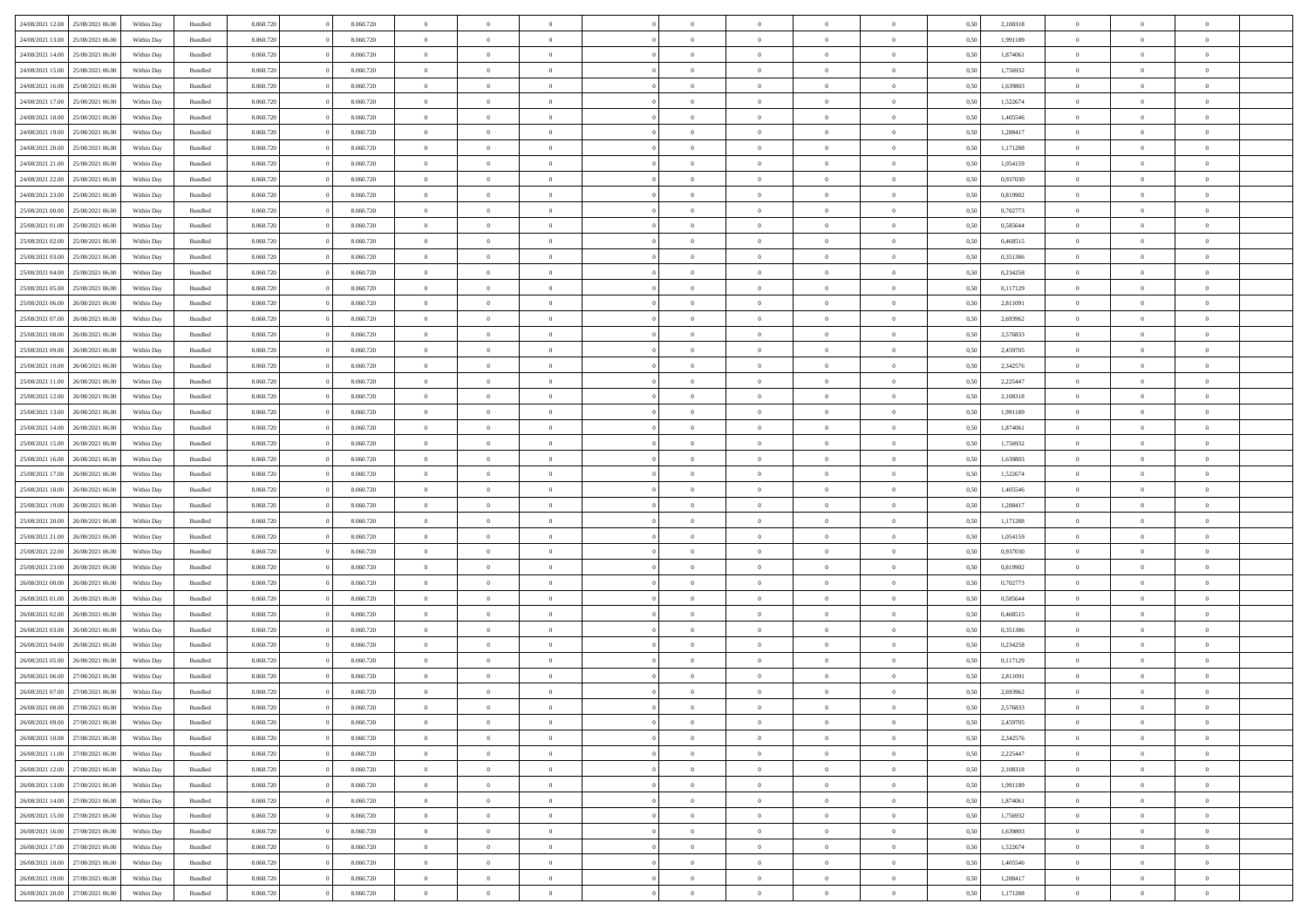|                                   |                  |            |                    |           |           | $\overline{0}$ | $\Omega$       |                |                | $\Omega$       | $\Omega$       | $\theta$       |      |          | $\theta$       | $\theta$       | $\theta$       |  |
|-----------------------------------|------------------|------------|--------------------|-----------|-----------|----------------|----------------|----------------|----------------|----------------|----------------|----------------|------|----------|----------------|----------------|----------------|--|
| 24/08/2021 12:00                  | 25/08/2021 06:00 | Within Day | Bundled            | 8.060.720 | 8.060.720 |                |                |                | $\Omega$       |                |                |                | 0.50 | 2,108318 |                |                |                |  |
| 24/08/2021 13:00                  | 25/08/2021 06:00 | Within Day | Bundled            | 8.060.720 | 8.060.720 | $\overline{0}$ | $\theta$       | $\overline{0}$ | $\overline{0}$ | $\bf{0}$       | $\overline{0}$ | $\overline{0}$ | 0,50 | 1,991189 | $\theta$       | $\theta$       | $\overline{0}$ |  |
| 24/08/2021 14:00                  | 25/08/2021 06:00 | Within Day | Bundled            | 8.060.720 | 8.060.720 | $\overline{0}$ | $\overline{0}$ | $\overline{0}$ | $\bf{0}$       | $\bf{0}$       | $\bf{0}$       | $\bf{0}$       | 0,50 | 1,874061 | $\overline{0}$ | $\overline{0}$ | $\overline{0}$ |  |
| 24/08/2021 15:00                  | 25/08/2021 06:00 | Within Dav | Bundled            | 8.060.720 | 8.060.720 | $\overline{0}$ | $\overline{0}$ | $\overline{0}$ | $\overline{0}$ | $\bf{0}$       | $\overline{0}$ | $\overline{0}$ | 0.50 | 1.756932 | $\theta$       | $\theta$       | $\overline{0}$ |  |
|                                   |                  |            |                    |           |           |                |                |                |                |                |                |                |      |          |                |                |                |  |
| 24/08/2021 16:00                  | 25/08/2021 06:00 | Within Day | Bundled            | 8.060.720 | 8.060.720 | $\overline{0}$ | $\theta$       | $\overline{0}$ | $\overline{0}$ | $\bf{0}$       | $\overline{0}$ | $\bf{0}$       | 0,50 | 1,639803 | $\theta$       | $\theta$       | $\overline{0}$ |  |
| 24/08/2021 17:00                  | 25/08/2021 06:00 | Within Day | Bundled            | 8.060.720 | 8.060.720 | $\overline{0}$ | $\bf{0}$       | $\overline{0}$ | $\bf{0}$       | $\overline{0}$ | $\overline{0}$ | $\mathbf{0}$   | 0,50 | 1,522674 | $\overline{0}$ | $\overline{0}$ | $\bf{0}$       |  |
| 24/08/2021 18:00                  | 25/08/2021 06:00 | Within Dav | Bundled            | 8.060.720 | 8.060.720 | $\overline{0}$ | $\overline{0}$ | $\overline{0}$ | $\overline{0}$ | $\overline{0}$ | $\overline{0}$ | $\overline{0}$ | 0.50 | 1,405546 | $\theta$       | $\theta$       | $\overline{0}$ |  |
| 24/08/2021 19:00                  | 25/08/2021 06:00 | Within Day | Bundled            | 8.060.720 | 8.060.720 | $\overline{0}$ | $\theta$       | $\overline{0}$ | $\overline{0}$ | $\bf{0}$       | $\overline{0}$ | $\bf{0}$       | 0,50 | 1,288417 | $\theta$       | $\theta$       | $\overline{0}$ |  |
| 24/08/2021 20:00                  | 25/08/2021 06:00 | Within Day | Bundled            | 8.060.720 | 8.060.720 | $\overline{0}$ | $\overline{0}$ | $\overline{0}$ | $\bf{0}$       | $\bf{0}$       | $\bf{0}$       | $\bf{0}$       | 0,50 | 1,171288 | $\,0\,$        | $\overline{0}$ | $\overline{0}$ |  |
|                                   |                  |            |                    |           |           |                |                |                |                |                |                |                |      |          |                |                |                |  |
| 24/08/2021 21:00                  | 25/08/2021 06:00 | Within Dav | Bundled            | 8.060.720 | 8.060.720 | $\overline{0}$ | $\overline{0}$ | $\overline{0}$ | $\overline{0}$ | $\overline{0}$ | $\overline{0}$ | $\overline{0}$ | 0.50 | 1,054159 | $\theta$       | $\overline{0}$ | $\overline{0}$ |  |
| 24/08/2021 22:00                  | 25/08/2021 06:00 | Within Day | Bundled            | 8.060.720 | 8.060.720 | $\overline{0}$ | $\theta$       | $\overline{0}$ | $\overline{0}$ | $\bf{0}$       | $\overline{0}$ | $\bf{0}$       | 0,50 | 0,937030 | $\theta$       | $\theta$       | $\overline{0}$ |  |
| 24/08/2021 23:00                  | 25/08/2021 06:00 | Within Day | Bundled            | 8.060.720 | 8.060.720 | $\overline{0}$ | $\overline{0}$ | $\overline{0}$ | $\bf{0}$       | $\bf{0}$       | $\bf{0}$       | $\bf{0}$       | 0,50 | 0,819902 | $\overline{0}$ | $\overline{0}$ | $\overline{0}$ |  |
| 25/08/2021 00:00                  | 25/08/2021 06:00 | Within Dav | Bundled            | 8.060.720 | 8.060.720 | $\overline{0}$ | $\overline{0}$ | $\overline{0}$ | $\overline{0}$ | $\bf{0}$       | $\overline{0}$ | $\overline{0}$ | 0.50 | 0,702773 | $\theta$       | $\theta$       | $\overline{0}$ |  |
| 25/08/2021 01:00                  | 25/08/2021 06:00 | Within Day | Bundled            | 8.060.720 | 8.060.720 | $\overline{0}$ | $\theta$       | $\overline{0}$ | $\overline{0}$ | $\bf{0}$       | $\overline{0}$ | $\overline{0}$ | 0,50 | 0,585644 | $\theta$       | $\theta$       | $\overline{0}$ |  |
|                                   |                  |            |                    |           |           |                |                |                |                |                |                |                |      |          |                |                |                |  |
| 25/08/2021 02:00                  | 25/08/2021 06:00 | Within Day | Bundled            | 8.060.720 | 8.060.720 | $\overline{0}$ | $\overline{0}$ | $\overline{0}$ | $\overline{0}$ | $\overline{0}$ | $\overline{0}$ | $\mathbf{0}$   | 0,50 | 0,468515 | $\overline{0}$ | $\overline{0}$ | $\bf{0}$       |  |
| 25/08/2021 03:00                  | 25/08/2021 06:00 | Within Dav | Bundled            | 8.060.720 | 8.060.720 | $\overline{0}$ | $\overline{0}$ | $\overline{0}$ | $\overline{0}$ | $\overline{0}$ | $\overline{0}$ | $\overline{0}$ | 0.50 | 0,351386 | $\theta$       | $\overline{0}$ | $\overline{0}$ |  |
| 25/08/2021 04:00                  | 25/08/2021 06:00 | Within Day | Bundled            | 8.060.720 | 8.060.720 | $\overline{0}$ | $\theta$       | $\overline{0}$ | $\overline{0}$ | $\bf{0}$       | $\overline{0}$ | $\bf{0}$       | 0,50 | 0,234258 | $\theta$       | $\theta$       | $\overline{0}$ |  |
| 25/08/2021 05:00                  | 25/08/2021 06:00 | Within Day | Bundled            | 8.060.720 | 8.060.720 | $\overline{0}$ | $\overline{0}$ | $\overline{0}$ | $\overline{0}$ | $\bf{0}$       | $\overline{0}$ | $\bf{0}$       | 0,50 | 0,117129 | $\bf{0}$       | $\overline{0}$ | $\overline{0}$ |  |
| 25/08/2021 06:00                  | 26/08/2021 06:00 | Within Dav | Bundled            | 8.060.720 | 8.060.720 | $\overline{0}$ | $\overline{0}$ | $\overline{0}$ | $\overline{0}$ | $\overline{0}$ | $\overline{0}$ | $\overline{0}$ | 0.50 | 2,811091 | $\theta$       | $\overline{0}$ | $\overline{0}$ |  |
|                                   |                  |            |                    |           |           |                |                |                |                |                |                |                |      |          |                |                |                |  |
| 25/08/2021 07:00                  | 26/08/2021 06:00 | Within Day | Bundled            | 8.060.720 | 8.060.720 | $\overline{0}$ | $\theta$       | $\overline{0}$ | $\overline{0}$ | $\bf{0}$       | $\overline{0}$ | $\bf{0}$       | 0,50 | 2,693962 | $\,$ 0 $\,$    | $\theta$       | $\overline{0}$ |  |
| 25/08/2021 08:00                  | 26/08/2021 06:00 | Within Day | Bundled            | 8.060.720 | 8.060.720 | $\overline{0}$ | $\overline{0}$ | $\overline{0}$ | $\overline{0}$ | $\bf{0}$       | $\overline{0}$ | $\bf{0}$       | 0,50 | 2,576833 | $\,0\,$        | $\overline{0}$ | $\overline{0}$ |  |
| 25/08/2021 09:00                  | 26/08/2021 06:00 | Within Day | Bundled            | 8.060.720 | 8.060.720 | $\overline{0}$ | $\overline{0}$ | $\overline{0}$ | $\overline{0}$ | $\bf{0}$       | $\overline{0}$ | $\overline{0}$ | 0.50 | 2,459705 | $\theta$       | $\theta$       | $\overline{0}$ |  |
| 25/08/2021 10:00                  | 26/08/2021 06:00 | Within Day | Bundled            | 8.060.720 | 8.060.720 | $\overline{0}$ | $\theta$       | $\overline{0}$ | $\overline{0}$ | $\bf{0}$       | $\overline{0}$ | $\bf{0}$       | 0,50 | 2,342576 | $\theta$       | $\overline{0}$ | $\overline{0}$ |  |
| 25/08/2021 11:00                  | 26/08/2021 06:00 | Within Day | Bundled            | 8.060.720 | 8.060.720 | $\overline{0}$ | $\bf{0}$       | $\overline{0}$ | $\overline{0}$ | $\overline{0}$ | $\overline{0}$ | $\mathbf{0}$   | 0,50 | 2,225447 | $\overline{0}$ | $\overline{0}$ | $\bf{0}$       |  |
|                                   |                  |            |                    |           |           |                |                |                |                |                |                |                |      |          |                |                |                |  |
| 25/08/2021 12:00                  | 26/08/2021 06:00 | Within Dav | Bundled            | 8.060.720 | 8.060.720 | $\overline{0}$ | $\overline{0}$ | $\overline{0}$ | $\overline{0}$ | $\overline{0}$ | $\overline{0}$ | $\overline{0}$ | 0.50 | 2,108318 | $\theta$       | $\theta$       | $\overline{0}$ |  |
| 25/08/2021 13:00                  | 26/08/2021 06:00 | Within Day | Bundled            | 8.060.720 | 8.060.720 | $\overline{0}$ | $\theta$       | $\overline{0}$ | $\overline{0}$ | $\bf{0}$       | $\overline{0}$ | $\bf{0}$       | 0,50 | 1,991189 | $\theta$       | $\theta$       | $\overline{0}$ |  |
| 25/08/2021 14:00                  | 26/08/2021 06:00 | Within Day | Bundled            | 8.060.720 | 8.060.720 | $\overline{0}$ | $\overline{0}$ | $\overline{0}$ | $\overline{0}$ | $\bf{0}$       | $\overline{0}$ | $\bf{0}$       | 0,50 | 1,874061 | $\,0\,$        | $\overline{0}$ | $\overline{0}$ |  |
| 25/08/2021 15:00                  | 26/08/2021 06:00 | Within Day | Bundled            | 8.060.720 | 8.060.720 | $\overline{0}$ | $\overline{0}$ | $\overline{0}$ | $\overline{0}$ | $\overline{0}$ | $\overline{0}$ | $\overline{0}$ | 0.50 | 1,756932 | $\theta$       | $\theta$       | $\overline{0}$ |  |
| 25/08/2021 16:00                  | 26/08/2021 06:00 | Within Day | Bundled            | 8.060.720 | 8.060.720 | $\overline{0}$ | $\theta$       | $\overline{0}$ | $\overline{0}$ | $\bf{0}$       | $\overline{0}$ | $\bf{0}$       | 0,50 | 1,639803 | $\,$ 0 $\,$    | $\theta$       | $\overline{0}$ |  |
|                                   |                  |            |                    |           |           |                |                |                |                |                |                |                |      |          |                |                |                |  |
| 25/08/2021 17:00                  | 26/08/2021 06:00 | Within Day | Bundled            | 8.060.720 | 8.060.720 | $\overline{0}$ | $\overline{0}$ | $\overline{0}$ | $\overline{0}$ | $\bf{0}$       | $\overline{0}$ | $\bf{0}$       | 0,50 | 1,522674 | $\overline{0}$ | $\overline{0}$ | $\overline{0}$ |  |
| 25/08/2021 18:00                  | 26/08/2021 06:00 | Within Day | Bundled            | 8.060.720 | 8.060.720 | $\overline{0}$ | $\Omega$       | $\Omega$       | $\Omega$       | $\Omega$       | $\Omega$       | $\overline{0}$ | 0.50 | 1,405546 | $\,0\,$        | $\theta$       | $\theta$       |  |
| 25/08/2021 19:00                  | 26/08/2021 06:00 | Within Day | Bundled            | 8.060.720 | 8.060.720 | $\overline{0}$ | $\theta$       | $\overline{0}$ | $\overline{0}$ | $\bf{0}$       | $\overline{0}$ | $\bf{0}$       | 0,50 | 1,288417 | $\theta$       | $\theta$       | $\overline{0}$ |  |
| 25/08/2021 20:00                  | 26/08/2021 06:00 | Within Day | Bundled            | 8.060.720 | 8.060.720 | $\overline{0}$ | $\overline{0}$ | $\overline{0}$ | $\overline{0}$ | $\bf{0}$       | $\overline{0}$ | $\mathbf{0}$   | 0,50 | 1,171288 | $\overline{0}$ | $\overline{0}$ | $\bf{0}$       |  |
| 25/08/2021 21:00                  | 26/08/2021 06:00 |            | Bundled            | 8.060.720 | 8.060.720 | $\overline{0}$ | $\Omega$       | $\Omega$       | $\Omega$       | $\bf{0}$       | $\Omega$       | $\overline{0}$ | 0.50 | 1,054159 | $\theta$       | $\theta$       | $\theta$       |  |
|                                   |                  | Within Day |                    |           |           |                |                |                |                |                |                |                |      |          |                |                |                |  |
| 25/08/2021 22:00                  | 26/08/2021 06:00 | Within Day | Bundled            | 8.060.720 | 8.060.720 | $\overline{0}$ | $\theta$       | $\overline{0}$ | $\overline{0}$ | $\bf{0}$       | $\overline{0}$ | $\bf{0}$       | 0,50 | 0,937030 | $\theta$       | $\theta$       | $\overline{0}$ |  |
| 25/08/2021 23:00                  | 26/08/2021 06:00 | Within Day | Bundled            | 8.060.720 | 8.060.720 | $\overline{0}$ | $\overline{0}$ | $\overline{0}$ | $\overline{0}$ | $\bf{0}$       | $\bf{0}$       | $\bf{0}$       | 0,50 | 0,819902 | $\,0\,$        | $\overline{0}$ | $\overline{0}$ |  |
| 26/08/2021 00:00                  | 26/08/2021 06:00 | Within Day | Bundled            | 8.060.720 | 8.060.720 | $\overline{0}$ | $\Omega$       | $\Omega$       | $\Omega$       | $\Omega$       | $\theta$       | $\overline{0}$ | 0.50 | 0,702773 | $\theta$       | $\theta$       | $\theta$       |  |
| 26/08/2021 01:00                  | 26/08/2021 06:00 | Within Day | Bundled            | 8.060.720 | 8.060.720 | $\overline{0}$ | $\theta$       | $\overline{0}$ | $\overline{0}$ | $\bf{0}$       | $\overline{0}$ | $\bf{0}$       | 0,50 | 0,585644 | $\,$ 0 $\,$    | $\overline{0}$ | $\overline{0}$ |  |
| 26/08/2021 02:00                  | 26/08/2021 06:00 | Within Day | Bundled            | 8.060.720 | 8.060.720 | $\overline{0}$ | $\overline{0}$ | $\overline{0}$ | $\bf{0}$       | $\bf{0}$       | $\bf{0}$       | $\bf{0}$       | 0,50 | 0,468515 | $\bf{0}$       | $\overline{0}$ | $\overline{0}$ |  |
|                                   |                  |            |                    |           |           |                |                |                |                |                |                |                |      |          |                |                |                |  |
| 26/08/2021 03:00                  | 26/08/2021 06:00 | Within Day | Bundled            | 8.060.720 | 8.060.720 | $\overline{0}$ | $\Omega$       | $\Omega$       | $\Omega$       | $\Omega$       | $\overline{0}$ | $\overline{0}$ | 0.50 | 0,351386 | $\,0\,$        | $\theta$       | $\theta$       |  |
| 26/08/2021 04:00                  | 26/08/2021 06:00 | Within Day | Bundled            | 8.060.720 | 8.060.720 | $\overline{0}$ | $\theta$       | $\overline{0}$ | $\overline{0}$ | $\bf{0}$       | $\overline{0}$ | $\bf{0}$       | 0,50 | 0,234258 | $\,$ 0 $\,$    | $\overline{0}$ | $\overline{0}$ |  |
| 26/08/2021 05:00                  | 26/08/2021 06:00 | Within Day | Bundled            | 8.060.720 | 8.060.720 | $\overline{0}$ | $\overline{0}$ | $\overline{0}$ | $\bf{0}$       | $\bf{0}$       | $\bf{0}$       | $\mathbf{0}$   | 0,50 | 0,117129 | $\bf{0}$       | $\overline{0}$ | $\bf{0}$       |  |
| 26/08/2021 06:00                  | 27/08/2021 06:00 | Within Day | Bundled            | 8.060.720 | 8.060.720 | $\overline{0}$ | $\Omega$       | $\Omega$       | $\Omega$       | $\Omega$       | $\Omega$       | $\overline{0}$ | 0.50 | 2,811091 | $\theta$       | $\Omega$       | $\theta$       |  |
| 26/08/2021 07:00                  | 27/08/2021 06:00 | Within Day | Bundled            | 8.060.720 | 8.060.720 | $\overline{0}$ | $\overline{0}$ | $\overline{0}$ | $\bf{0}$       | $\,$ 0         | $\bf{0}$       | $\bf{0}$       | 0,50 | 2,693962 | $\,0\,$        | $\overline{0}$ | $\overline{0}$ |  |
|                                   |                  |            |                    |           |           |                |                |                |                |                |                |                |      |          |                |                |                |  |
| 26/08/2021 08:00                  | 27/08/2021 06:00 | Within Day | $\mathbf B$ undled | 8.060.720 | 8.060.720 | $\bf{0}$       | $\bf{0}$       |                |                | $\bf{0}$       |                |                | 0,50 | 2,576833 | $\bf{0}$       | $\overline{0}$ |                |  |
| 26/08/2021 09:00                  | 27/08/2021 06:00 | Within Day | Bundled            | 8.060.720 | 8.060.720 | $\overline{0}$ | $\overline{0}$ | $\overline{0}$ | $\Omega$       | $\overline{0}$ | $\overline{0}$ | $\overline{0}$ | 0.50 | 2,459705 | $\theta$       | $\theta$       | $\theta$       |  |
| 26/08/2021 10:00                  | 27/08/2021 06:00 | Within Day | Bundled            | 8.060.720 | 8.060.720 | $\overline{0}$ | $\,$ 0         | $\overline{0}$ | $\overline{0}$ | $\,$ 0 $\,$    | $\overline{0}$ | $\,$ 0 $\,$    | 0,50 | 2,342576 | $\,$ 0 $\,$    | $\,$ 0 $\,$    | $\,$ 0         |  |
| 26/08/2021 11:00                  | 27/08/2021 06:00 | Within Day | Bundled            | 8.060.720 | 8.060.720 | $\overline{0}$ | $\overline{0}$ | $\overline{0}$ | $\overline{0}$ | $\overline{0}$ | $\overline{0}$ | $\mathbf{0}$   | 0,50 | 2,225447 | $\overline{0}$ | $\bf{0}$       | $\overline{0}$ |  |
| 26/08/2021 12:00                  | 27/08/2021 06:00 | Within Day | Bundled            | 8.060.720 | 8.060.720 | $\overline{0}$ | $\overline{0}$ | $\overline{0}$ | $\Omega$       | $\overline{0}$ | $\overline{0}$ | $\overline{0}$ | 0,50 | 2,108318 | $\overline{0}$ | $\theta$       | $\overline{0}$ |  |
| 26/08/2021 13:00                  | 27/08/2021 06:00 | Within Day | Bundled            | 8.060.720 | 8.060.720 | $\overline{0}$ | $\,$ 0         | $\overline{0}$ | $\overline{0}$ | $\,$ 0 $\,$    | $\overline{0}$ | $\mathbf{0}$   | 0,50 | 1,991189 | $\,$ 0 $\,$    | $\overline{0}$ | $\overline{0}$ |  |
|                                   |                  |            |                    |           |           |                |                |                |                |                |                |                |      |          |                |                |                |  |
| 26/08/2021 14:00                  | 27/08/2021 06:00 | Within Day | Bundled            | 8.060.720 | 8.060.720 | $\overline{0}$ | $\overline{0}$ | $\overline{0}$ | $\overline{0}$ | $\overline{0}$ | $\overline{0}$ | $\mathbf{0}$   | 0,50 | 1,874061 | $\overline{0}$ | $\overline{0}$ | $\bf{0}$       |  |
| 26/08/2021 15:00                  | 27/08/2021 06:00 | Within Day | Bundled            | 8.060.720 | 8.060.720 | $\overline{0}$ | $\overline{0}$ | $\overline{0}$ | $\Omega$       | $\overline{0}$ | $\overline{0}$ | $\bf{0}$       | 0.50 | 1,756932 | $\overline{0}$ | $\theta$       | $\overline{0}$ |  |
| 26/08/2021 16:00                  | 27/08/2021 06:00 | Within Day | Bundled            | 8.060.720 | 8.060.720 | $\overline{0}$ | $\,$ 0         | $\overline{0}$ | $\overline{0}$ | $\bf{0}$       | $\overline{0}$ | $\bf{0}$       | 0,50 | 1,639803 | $\,$ 0 $\,$    | $\overline{0}$ | $\overline{0}$ |  |
| 26/08/2021 17:00                  | 27/08/2021 06:00 | Within Day | Bundled            | 8.060.720 | 8.060.720 | $\overline{0}$ | $\bf{0}$       | $\overline{0}$ | $\overline{0}$ | $\overline{0}$ | $\overline{0}$ | $\mathbf{0}$   | 0,50 | 1,522674 | $\overline{0}$ | $\overline{0}$ | $\bf{0}$       |  |
|                                   |                  |            |                    |           |           | $\overline{0}$ | $\overline{0}$ | $\overline{0}$ | $\Omega$       | $\overline{0}$ | $\overline{0}$ |                |      |          |                | $\overline{0}$ | $\overline{0}$ |  |
| 26/08/2021 18:00                  | 27/08/2021 06:00 | Within Day | Bundled            | 8.060.720 | 8.060.720 |                |                |                |                |                |                | $\overline{0}$ | 0.50 | 1,405546 | $\overline{0}$ |                |                |  |
| 26/08/2021 19:00                  | 27/08/2021 06:00 | Within Day | Bundled            | 8.060.720 | 8.060.720 | $\overline{0}$ | $\bf{0}$       | $\overline{0}$ | $\bf{0}$       | $\bf{0}$       | $\bf{0}$       | $\mathbf{0}$   | 0,50 | 1,288417 | $\,$ 0 $\,$    | $\,$ 0 $\,$    | $\bf{0}$       |  |
| 26/08/2021 20:00 27/08/2021 06:00 |                  | Within Day | Bundled            | 8.060.720 | 8.060.720 | $\overline{0}$ | $\overline{0}$ | $\overline{0}$ | $\overline{0}$ | $\overline{0}$ | $\bf{0}$       | $\mathbf{0}$   | 0,50 | 1,171288 | $\overline{0}$ | $\bf{0}$       | $\overline{0}$ |  |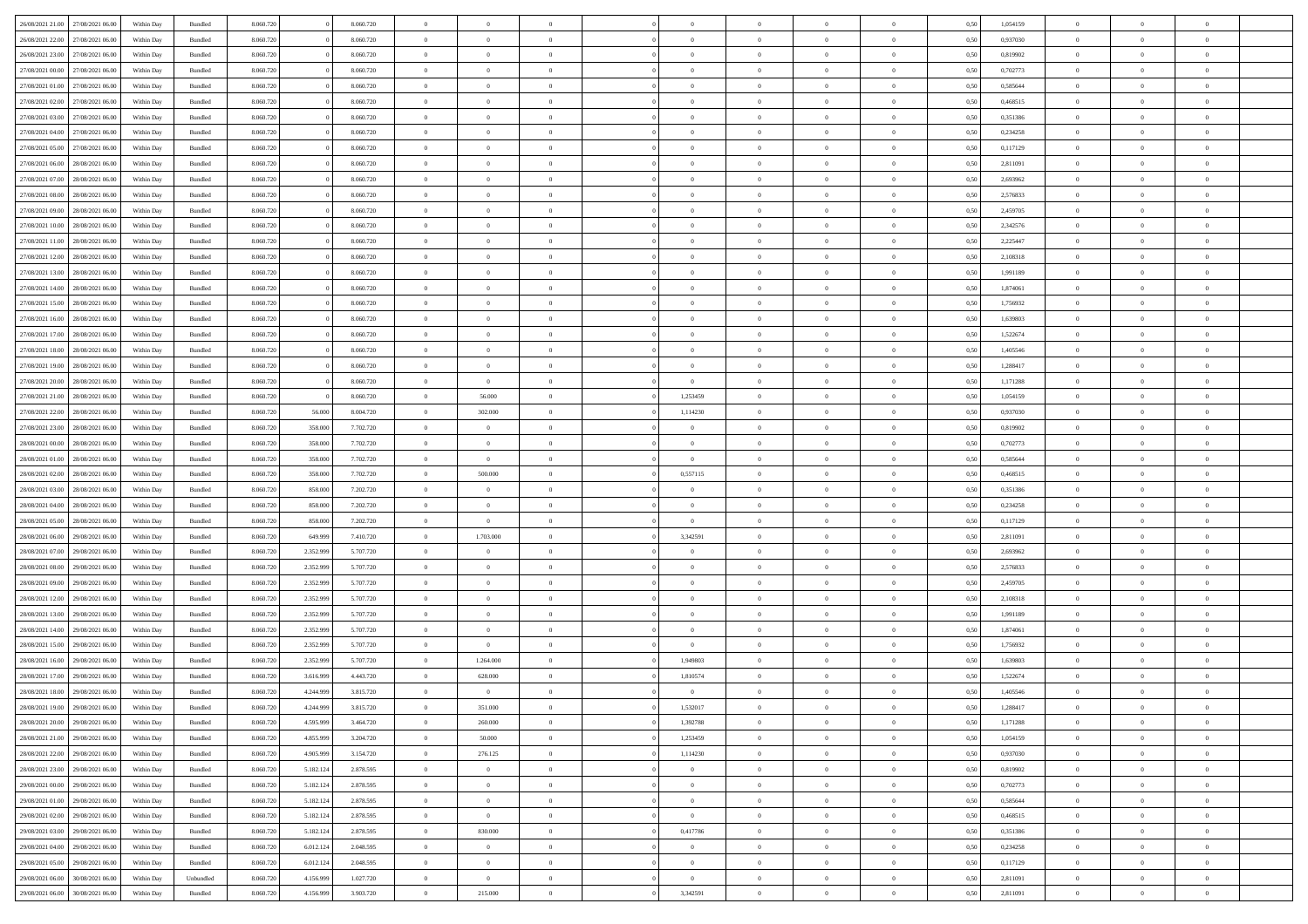| 26/08/2021 21:00 | 27/08/2021 06:00 | Within Dav | Bundled            | 8.060.720 |           | 8.060.720 | $\Omega$       | $\Omega$       |                | $\Omega$       | $\Omega$       | $\Omega$       | $\Omega$       | 0.50 | 1,054159 | $\theta$       | $\theta$       | $\theta$       |  |
|------------------|------------------|------------|--------------------|-----------|-----------|-----------|----------------|----------------|----------------|----------------|----------------|----------------|----------------|------|----------|----------------|----------------|----------------|--|
| 26/08/2021 22:00 | 27/08/2021 06:00 | Within Day | Bundled            | 8.060.720 |           | 8.060.720 | $\overline{0}$ | $\theta$       | $\overline{0}$ | $\overline{0}$ | $\bf{0}$       | $\overline{0}$ | $\overline{0}$ | 0,50 | 0,937030 | $\theta$       | $\theta$       | $\overline{0}$ |  |
| 26/08/2021 23:00 | 27/08/2021 06:00 | Within Day | Bundled            | 8.060.720 |           | 8.060.720 | $\overline{0}$ | $\overline{0}$ | $\overline{0}$ | $\bf{0}$       | $\bf{0}$       | $\bf{0}$       | $\bf{0}$       | 0,50 | 0,819902 | $\overline{0}$ | $\overline{0}$ | $\overline{0}$ |  |
| 27/08/2021 00:00 | 27/08/2021 06:00 | Within Dav | Bundled            | 8.060.720 |           | 8.060.720 | $\overline{0}$ | $\theta$       | $\overline{0}$ | $\overline{0}$ | $\bf{0}$       | $\overline{0}$ | $\overline{0}$ | 0.50 | 0,702773 | $\theta$       | $\theta$       | $\overline{0}$ |  |
|                  |                  |            |                    |           |           |           |                |                |                |                |                |                |                |      |          |                |                |                |  |
| 27/08/2021 01:00 | 27/08/2021 06:00 | Within Day | Bundled            | 8.060.720 |           | 8.060.720 | $\overline{0}$ | $\theta$       | $\overline{0}$ | $\overline{0}$ | $\bf{0}$       | $\overline{0}$ | $\bf{0}$       | 0,50 | 0,585644 | $\theta$       | $\theta$       | $\overline{0}$ |  |
| 27/08/2021 02:00 | 27/08/2021 06:00 | Within Day | Bundled            | 8.060.720 |           | 8.060.720 | $\overline{0}$ | $\bf{0}$       | $\overline{0}$ | $\bf{0}$       | $\overline{0}$ | $\overline{0}$ | $\mathbf{0}$   | 0,50 | 0,468515 | $\overline{0}$ | $\overline{0}$ | $\bf{0}$       |  |
| 27/08/2021 03:00 | 27/08/2021 06:00 | Within Dav | Bundled            | 8.060.720 |           | 8.060.720 | $\overline{0}$ | $\overline{0}$ | $\overline{0}$ | $\overline{0}$ | $\overline{0}$ | $\overline{0}$ | $\overline{0}$ | 0.50 | 0,351386 | $\theta$       | $\theta$       | $\overline{0}$ |  |
| 27/08/2021 04:00 | 27/08/2021 06:00 | Within Day | Bundled            | 8.060.720 |           | 8.060.720 | $\overline{0}$ | $\theta$       | $\overline{0}$ | $\overline{0}$ | $\bf{0}$       | $\overline{0}$ | $\bf{0}$       | 0,50 | 0,234258 | $\theta$       | $\theta$       | $\overline{0}$ |  |
| 27/08/2021 05:00 | 27/08/2021 06:00 | Within Day | Bundled            | 8.060.720 |           | 8.060.720 | $\overline{0}$ | $\overline{0}$ | $\overline{0}$ | $\bf{0}$       | $\bf{0}$       | $\bf{0}$       | $\bf{0}$       | 0,50 | 0,117129 | $\,0\,$        | $\overline{0}$ | $\overline{0}$ |  |
| 27/08/2021 06:00 | 28/08/2021 06:00 | Within Dav | Bundled            | 8.060.720 |           | 8.060.720 | $\overline{0}$ | $\overline{0}$ | $\overline{0}$ | $\overline{0}$ | $\overline{0}$ | $\overline{0}$ | $\overline{0}$ | 0.50 | 2,811091 | $\theta$       | $\overline{0}$ | $\overline{0}$ |  |
|                  |                  |            |                    |           |           |           |                |                |                |                |                |                |                |      |          |                |                |                |  |
| 27/08/2021 07:00 | 28/08/2021 06:00 | Within Day | Bundled            | 8.060.720 |           | 8.060.720 | $\overline{0}$ | $\theta$       | $\overline{0}$ | $\overline{0}$ | $\bf{0}$       | $\overline{0}$ | $\bf{0}$       | 0,50 | 2,693962 | $\theta$       | $\theta$       | $\overline{0}$ |  |
| 27/08/2021 08:00 | 28/08/2021 06:00 | Within Day | Bundled            | 8.060.720 |           | 8.060.720 | $\overline{0}$ | $\overline{0}$ | $\overline{0}$ | $\bf{0}$       | $\bf{0}$       | $\bf{0}$       | $\bf{0}$       | 0,50 | 2,576833 | $\bf{0}$       | $\overline{0}$ | $\overline{0}$ |  |
| 27/08/2021 09:00 | 28/08/2021 06:00 | Within Dav | Bundled            | 8.060.720 |           | 8.060.720 | $\overline{0}$ | $\overline{0}$ | $\overline{0}$ | $\overline{0}$ | $\bf{0}$       | $\overline{0}$ | $\overline{0}$ | 0.50 | 2,459705 | $\theta$       | $\theta$       | $\overline{0}$ |  |
| 27/08/2021 10:00 | 28/08/2021 06:00 | Within Day | Bundled            | 8.060.720 |           | 8.060.720 | $\overline{0}$ | $\theta$       | $\overline{0}$ | $\overline{0}$ | $\bf{0}$       | $\overline{0}$ | $\overline{0}$ | 0,50 | 2,342576 | $\theta$       | $\theta$       | $\overline{0}$ |  |
| 27/08/2021 11:00 | 28/08/2021 06:00 | Within Day | Bundled            | 8.060.720 |           | 8.060.720 | $\overline{0}$ | $\overline{0}$ | $\overline{0}$ | $\bf{0}$       | $\bf{0}$       | $\overline{0}$ | $\mathbf{0}$   | 0,50 | 2,225447 | $\overline{0}$ | $\overline{0}$ | $\bf{0}$       |  |
| 27/08/2021 12:00 | 28/08/2021 06:00 | Within Dav | Bundled            | 8.060.720 |           | 8.060.720 | $\overline{0}$ | $\overline{0}$ | $\overline{0}$ | $\overline{0}$ | $\overline{0}$ | $\overline{0}$ | $\overline{0}$ | 0.50 | 2,108318 | $\theta$       | $\overline{0}$ | $\overline{0}$ |  |
|                  |                  |            |                    |           |           |           |                |                |                |                |                |                |                |      |          |                |                |                |  |
| 27/08/2021 13:00 | 28/08/2021 06:00 | Within Day | Bundled            | 8.060.720 |           | 8.060.720 | $\overline{0}$ | $\theta$       | $\overline{0}$ | $\overline{0}$ | $\bf{0}$       | $\overline{0}$ | $\bf{0}$       | 0,50 | 1,991189 | $\theta$       | $\theta$       | $\overline{0}$ |  |
| 27/08/2021 14:00 | 28/08/2021 06:00 | Within Day | Bundled            | 8.060.720 |           | 8.060.720 | $\overline{0}$ | $\overline{0}$ | $\overline{0}$ | $\bf{0}$       | $\bf{0}$       | $\bf{0}$       | $\bf{0}$       | 0,50 | 1,874061 | $\,0\,$        | $\overline{0}$ | $\overline{0}$ |  |
| 27/08/2021 15:00 | 28/08/2021 06:00 | Within Dav | Bundled            | 8.060.720 |           | 8.060.720 | $\overline{0}$ | $\overline{0}$ | $\overline{0}$ | $\overline{0}$ | $\overline{0}$ | $\overline{0}$ | $\overline{0}$ | 0.50 | 1,756932 | $\theta$       | $\theta$       | $\overline{0}$ |  |
| 27/08/2021 16:00 | 28/08/2021 06:00 | Within Day | Bundled            | 8.060.720 |           | 8.060.720 | $\overline{0}$ | $\theta$       | $\overline{0}$ | $\overline{0}$ | $\bf{0}$       | $\overline{0}$ | $\bf{0}$       | 0,50 | 1,639803 | $\theta$       | $\theta$       | $\overline{0}$ |  |
| 27/08/2021 17:00 | 28/08/2021 06:00 | Within Day | Bundled            | 8.060.720 |           | 8.060.720 | $\overline{0}$ | $\overline{0}$ | $\overline{0}$ | $\bf{0}$       | $\bf{0}$       | $\bf{0}$       | $\bf{0}$       | 0,50 | 1,522674 | $\,0\,$        | $\overline{0}$ | $\overline{0}$ |  |
| 27/08/2021 18:00 | 28/08/2021 06:00 | Within Dav | Bundled            | 8.060.720 |           | 8.060.720 | $\overline{0}$ | $\overline{0}$ | $\overline{0}$ | $\overline{0}$ | $\bf{0}$       | $\overline{0}$ | $\overline{0}$ | 0.50 | 1.405546 | $\theta$       | $\theta$       | $\overline{0}$ |  |
|                  |                  |            |                    |           |           |           |                |                |                |                |                |                |                |      |          |                |                |                |  |
| 27/08/2021 19:00 | 28/08/2021 06:00 | Within Day | Bundled            | 8.060.720 |           | 8.060.720 | $\overline{0}$ | $\theta$       | $\overline{0}$ | $\overline{0}$ | $\bf{0}$       | $\overline{0}$ | $\bf{0}$       | 0,50 | 1,288417 | $\theta$       | $\overline{0}$ | $\overline{0}$ |  |
| 27/08/2021 20:00 | 28/08/2021 06:00 | Within Day | Bundled            | 8.060.720 |           | 8.060.720 | $\overline{0}$ | $\bf{0}$       | $\overline{0}$ | $\bf{0}$       | $\bf{0}$       | $\bf{0}$       | $\mathbf{0}$   | 0,50 | 1,171288 | $\overline{0}$ | $\overline{0}$ | $\bf{0}$       |  |
| 27/08/2021 21:00 | 28/08/2021 06:00 | Within Dav | Bundled            | 8.060.720 |           | 8.060.720 | $\overline{0}$ | 56.000         | $\overline{0}$ | 1,253459       | $\overline{0}$ | $\overline{0}$ | $\overline{0}$ | 0.50 | 1,054159 | $\theta$       | $\theta$       | $\overline{0}$ |  |
| 27/08/2021 22:00 | 28/08/2021 06:00 | Within Day | Bundled            | 8.060.720 | 56.000    | 8.004.720 | $\overline{0}$ | 302.000        | $\overline{0}$ | 1,114230       | $\bf{0}$       | $\overline{0}$ | $\bf{0}$       | 0,50 | 0,937030 | $\theta$       | $\theta$       | $\overline{0}$ |  |
| 27/08/2021 23:00 | 28/08/2021 06:00 | Within Day | Bundled            | 8.060.720 | 358.000   | 7.702.720 | $\overline{0}$ | $\overline{0}$ | $\overline{0}$ | $\bf{0}$       | $\bf{0}$       | $\bf{0}$       | $\bf{0}$       | 0,50 | 0,819902 | $\,0\,$        | $\overline{0}$ | $\overline{0}$ |  |
| 28/08/2021 00:00 | 28/08/2021 06:00 | Within Day | Bundled            | 8.060.720 | 358,000   | 7.702.720 | $\overline{0}$ | $\overline{0}$ | $\overline{0}$ | $\overline{0}$ | $\bf{0}$       | $\overline{0}$ | $\overline{0}$ | 0.50 | 0,702773 | $\theta$       | $\overline{0}$ | $\overline{0}$ |  |
|                  |                  |            |                    |           |           |           | $\overline{0}$ | $\overline{0}$ | $\overline{0}$ | $\overline{0}$ | $\bf{0}$       | $\overline{0}$ |                |      |          |                | $\theta$       | $\overline{0}$ |  |
| 28/08/2021 01:00 | 28/08/2021 06:00 | Within Day | Bundled            | 8.060.720 | 358.000   | 7.702.720 |                |                |                |                |                |                | $\bf{0}$       | 0,50 | 0,585644 | $\,$ 0 $\,$    |                |                |  |
| 28/08/2021 02:00 | 28/08/2021 06:00 | Within Day | Bundled            | 8.060.720 | 358.000   | 7.702.720 | $\overline{0}$ | 500.000        | $\overline{0}$ | 0,557115       | $\bf{0}$       | $\bf{0}$       | $\bf{0}$       | 0,50 | 0,468515 | $\bf{0}$       | $\overline{0}$ | $\overline{0}$ |  |
| 28/08/2021 03:00 | 28/08/2021 06:00 | Within Day | Bundled            | 8.060.720 | 858.000   | 7.202.720 | $\overline{0}$ | $\Omega$       | $\Omega$       | $\Omega$       | $\Omega$       | $\Omega$       | $\overline{0}$ | 0.50 | 0,351386 | $\,0\,$        | $\Omega$       | $\theta$       |  |
| 28/08/2021 04:00 | 28/08/2021 06:00 | Within Day | Bundled            | 8.060.720 | 858.000   | 7.202.720 | $\overline{0}$ | $\theta$       | $\overline{0}$ | $\overline{0}$ | $\bf{0}$       | $\overline{0}$ | $\bf{0}$       | 0,50 | 0,234258 | $\theta$       | $\theta$       | $\overline{0}$ |  |
| 28/08/2021 05:00 | 28/08/2021 06:00 | Within Day | Bundled            | 8.060.720 | 858.000   | 7.202.720 | $\overline{0}$ | $\overline{0}$ | $\overline{0}$ | $\bf{0}$       | $\bf{0}$       | $\overline{0}$ | $\mathbf{0}$   | 0,50 | 0,117129 | $\bf{0}$       | $\overline{0}$ | $\bf{0}$       |  |
| 28/08/2021 06:00 | 29/08/2021 06:00 | Within Day | Bundled            | 8.060.720 | 649,999   | 7.410.720 | $\overline{0}$ | 1.703.000      | $\Omega$       | 3,342591       | $\bf{0}$       | $\Omega$       | $\overline{0}$ | 0.50 | 2,811091 | $\theta$       | $\theta$       | $\theta$       |  |
| 28/08/2021 07:00 | 29/08/2021 06:00 | Within Day | Bundled            | 8.060.720 | 2.352.999 | 5.707.720 | $\overline{0}$ | $\theta$       | $\overline{0}$ | $\overline{0}$ | $\bf{0}$       | $\overline{0}$ | $\bf{0}$       | 0,50 | 2,693962 | $\theta$       | $\theta$       | $\overline{0}$ |  |
|                  |                  |            |                    |           |           |           |                |                |                |                |                |                |                |      |          |                |                |                |  |
| 28/08/2021 08:00 | 29/08/2021 06:00 | Within Day | Bundled            | 8.060.720 | 2.352.999 | 5.707.720 | $\overline{0}$ | $\overline{0}$ | $\overline{0}$ | $\bf{0}$       | $\bf{0}$       | $\bf{0}$       | $\bf{0}$       | 0,50 | 2,576833 | $\,0\,$        | $\overline{0}$ | $\overline{0}$ |  |
| 28/08/2021 09:00 | 29/08/2021 06:00 | Within Day | Bundled            | 8.060.72  | 2.352.999 | 5.707.720 | $\overline{0}$ | $\Omega$       | $\Omega$       | $\Omega$       | $\Omega$       | $\theta$       | $\overline{0}$ | 0.50 | 2,459705 | $\theta$       | $\theta$       | $\theta$       |  |
| 28/08/2021 12:00 | 29/08/2021 06:00 | Within Day | Bundled            | 8.060.720 | 2.352.999 | 5.707.720 | $\overline{0}$ | $\theta$       | $\overline{0}$ | $\overline{0}$ | $\bf{0}$       | $\overline{0}$ | $\bf{0}$       | 0,50 | 2,108318 | $\,$ 0 $\,$    | $\theta$       | $\overline{0}$ |  |
| 28/08/2021 13:00 | 29/08/2021 06:00 | Within Day | Bundled            | 8.060.720 | 2.352.999 | 5.707.720 | $\overline{0}$ | $\overline{0}$ | $\overline{0}$ | $\bf{0}$       | $\bf{0}$       | $\overline{0}$ | $\bf{0}$       | 0,50 | 1,991189 | $\bf{0}$       | $\overline{0}$ | $\overline{0}$ |  |
| 28/08/2021 14:00 | 29/08/2021 06:00 | Within Day | Bundled            | 8.060.720 | 2.352.999 | 5.707.720 | $\overline{0}$ | $\Omega$       | $\Omega$       | $\Omega$       | $\Omega$       | $\overline{0}$ | $\overline{0}$ | 0.50 | 1,874061 | $\,0\,$        | $\theta$       | $\theta$       |  |
| 28/08/2021 15:00 | 29/08/2021 06:00 | Within Day | Bundled            | 8.060.720 | 2.352.999 | 5.707.720 | $\overline{0}$ | $\overline{0}$ | $\overline{0}$ | $\overline{0}$ | $\bf{0}$       | $\overline{0}$ | $\bf{0}$       | 0,50 | 1,756932 | $\,$ 0 $\,$    | $\theta$       | $\overline{0}$ |  |
|                  |                  |            |                    |           |           |           |                |                |                |                |                |                |                |      |          |                |                |                |  |
| 28/08/2021 16:00 | 29/08/2021 06:00 | Within Day | Bundled            | 8.060.720 | 2.352.999 | 5.707.720 | $\overline{0}$ | 1.264.000      | $\overline{0}$ | 1,949803       | $\bf{0}$       | $\overline{0}$ | $\mathbf{0}$   | 0,50 | 1,639803 | $\bf{0}$       | $\overline{0}$ | $\bf{0}$       |  |
| 28/08/2021 17:00 | 29/08/2021 06:00 | Within Day | Bundled            | 8.060.72  | 3.616.99  | 4.443.720 | $\overline{0}$ | 628,000        | $\Omega$       | 1,810574       | $\Omega$       | $\Omega$       | $\Omega$       | 0.50 | 1,522674 | $\theta$       | $\Omega$       | $\theta$       |  |
| 28/08/2021 18:00 | 29/08/2021 06:00 | Within Day | Bundled            | 8.060.720 | 4.244.999 | 3.815.720 | $\overline{0}$ | $\overline{0}$ | $\overline{0}$ | $\overline{0}$ | $\,$ 0         | $\overline{0}$ | $\bf{0}$       | 0,50 | 1,405546 | $\,0\,$        | $\overline{0}$ | $\overline{0}$ |  |
| 28/08/2021 19:00 | 29/08/2021 06:00 | Within Day | $\mathbf B$ undled | 8.060.720 | 4.244.999 | 3.815.720 | $\bf{0}$       | 351.000        |                | 1,532017       |                |                |                | 0,50 | 1,288417 | $\bf{0}$       | $\overline{0}$ |                |  |
| 28/08/2021 20:00 | 29/08/2021 06:00 | Within Day | Bundled            | 8.060.720 | 4.595.999 | 3.464.720 | $\overline{0}$ | 260,000        | $\overline{0}$ | 1.392788       | $\overline{0}$ | $\overline{0}$ | $\overline{0}$ | 0,50 | 1,171288 | $\theta$       | $\theta$       | $\theta$       |  |
| 28/08/2021 21:00 | 29/08/2021 06:00 | Within Day | Bundled            | 8.060.720 | 4.855.999 | 3.204.720 | $\overline{0}$ | 50.000         | $\overline{0}$ | 1,253459       | $\bf{0}$       | $\overline{0}$ | $\mathbf{0}$   | 0,50 | 1,054159 | $\,$ 0 $\,$    | $\,$ 0 $\,$    | $\bf{0}$       |  |
| 28/08/2021 22:00 | 29/08/2021 06:00 | Within Day | Bundled            | 8.060.720 | 4.905.999 | 3.154.720 | $\overline{0}$ | 276.125        | $\overline{0}$ | 1,114230       | $\overline{0}$ | $\overline{0}$ | $\mathbf{0}$   | 0,50 | 0,937030 | $\overline{0}$ | $\bf{0}$       | $\bf{0}$       |  |
|                  |                  |            |                    |           |           |           |                |                |                |                |                |                |                |      |          |                |                |                |  |
| 28/08/2021 23:00 | 29/08/2021 06:00 | Within Day | Bundled            | 8.060.720 | 5.182.124 | 2.878.595 | $\overline{0}$ | $\overline{0}$ | $\overline{0}$ | $\overline{0}$ | $\overline{0}$ | $\overline{0}$ | $\bf{0}$       | 0,50 | 0,819902 | $\bf{0}$       | $\theta$       | $\overline{0}$ |  |
| 29/08/2021 00:00 | 29/08/2021 06:00 | Within Day | Bundled            | 8.060.720 | 5.182.124 | 2.878.595 | $\overline{0}$ | $\,$ 0         | $\overline{0}$ | $\overline{0}$ | $\,$ 0 $\,$    | $\overline{0}$ | $\mathbf{0}$   | 0,50 | 0,702773 | $\,$ 0 $\,$    | $\overline{0}$ | $\overline{0}$ |  |
| 29/08/2021 01:00 | 29/08/2021 06:00 | Within Day | Bundled            | 8.060.720 | 5.182.124 | 2.878.595 | $\overline{0}$ | $\overline{0}$ | $\overline{0}$ | $\overline{0}$ | $\overline{0}$ | $\overline{0}$ | $\mathbf{0}$   | 0,50 | 0,585644 | $\overline{0}$ | $\overline{0}$ | $\bf{0}$       |  |
| 29/08/2021 02:00 | 29/08/2021 06:00 | Within Day | Bundled            | 8.060.720 | 5.182.124 | 2.878.595 | $\overline{0}$ | $\overline{0}$ | $\overline{0}$ | $\overline{0}$ | $\overline{0}$ | $\overline{0}$ | $\bf{0}$       | 0.50 | 0.468515 | $\overline{0}$ | $\theta$       | $\overline{0}$ |  |
| 29/08/2021 03:00 | 29/08/2021 06:00 | Within Day | Bundled            | 8.060.720 | 5.182.124 | 2.878.595 | $\overline{0}$ | 830.000        | $\overline{0}$ | 0,417786       | $\bf{0}$       | $\overline{0}$ | $\bf{0}$       | 0,50 | 0,351386 | $\,$ 0 $\,$    | $\overline{0}$ | $\overline{0}$ |  |
| 29/08/2021 04:00 | 29/08/2021 06:00 | Within Day | Bundled            | 8.060.720 | 6.012.124 | 2.048.595 | $\overline{0}$ | $\overline{0}$ | $\overline{0}$ | $\overline{0}$ | $\overline{0}$ | $\overline{0}$ | $\mathbf{0}$   | 0,50 | 0,234258 | $\overline{0}$ | $\overline{0}$ | $\bf{0}$       |  |
|                  |                  |            |                    |           |           |           |                |                |                |                |                |                |                |      |          |                |                |                |  |
| 29/08/2021 05:00 | 29/08/2021 06:00 | Within Day | Bundled            | 8.060.720 | 6.012.124 | 2.048.595 | $\overline{0}$ | $\overline{0}$ | $\overline{0}$ | $\Omega$       | $\overline{0}$ | $\overline{0}$ | $\overline{0}$ | 0.50 | 0,117129 | $\overline{0}$ | $\theta$       | $\overline{0}$ |  |
| 29/08/2021 06:00 | 30/08/2021 06:00 | Within Day | Unbundled          | 8.060.720 | 4.156.999 | 1.027.720 | $\overline{0}$ | $\bf{0}$       | $\overline{0}$ | $\overline{0}$ | $\bf{0}$       | $\overline{0}$ | $\mathbf{0}$   | 0,50 | 2,811091 | $\,$ 0 $\,$    | $\,$ 0 $\,$    | $\bf{0}$       |  |
| 29/08/2021 06:00 | 30/08/2021 06:00 | Within Day | Bundled            | 8.060.720 | 4.156.999 | 3.903.720 | $\overline{0}$ | 215.000        | $\overline{0}$ | 3,342591       | $\bf{0}$       | $\overline{0}$ | $\bf{0}$       | 0,50 | 2,811091 | $\overline{0}$ | $\overline{0}$ | $\bf{0}$       |  |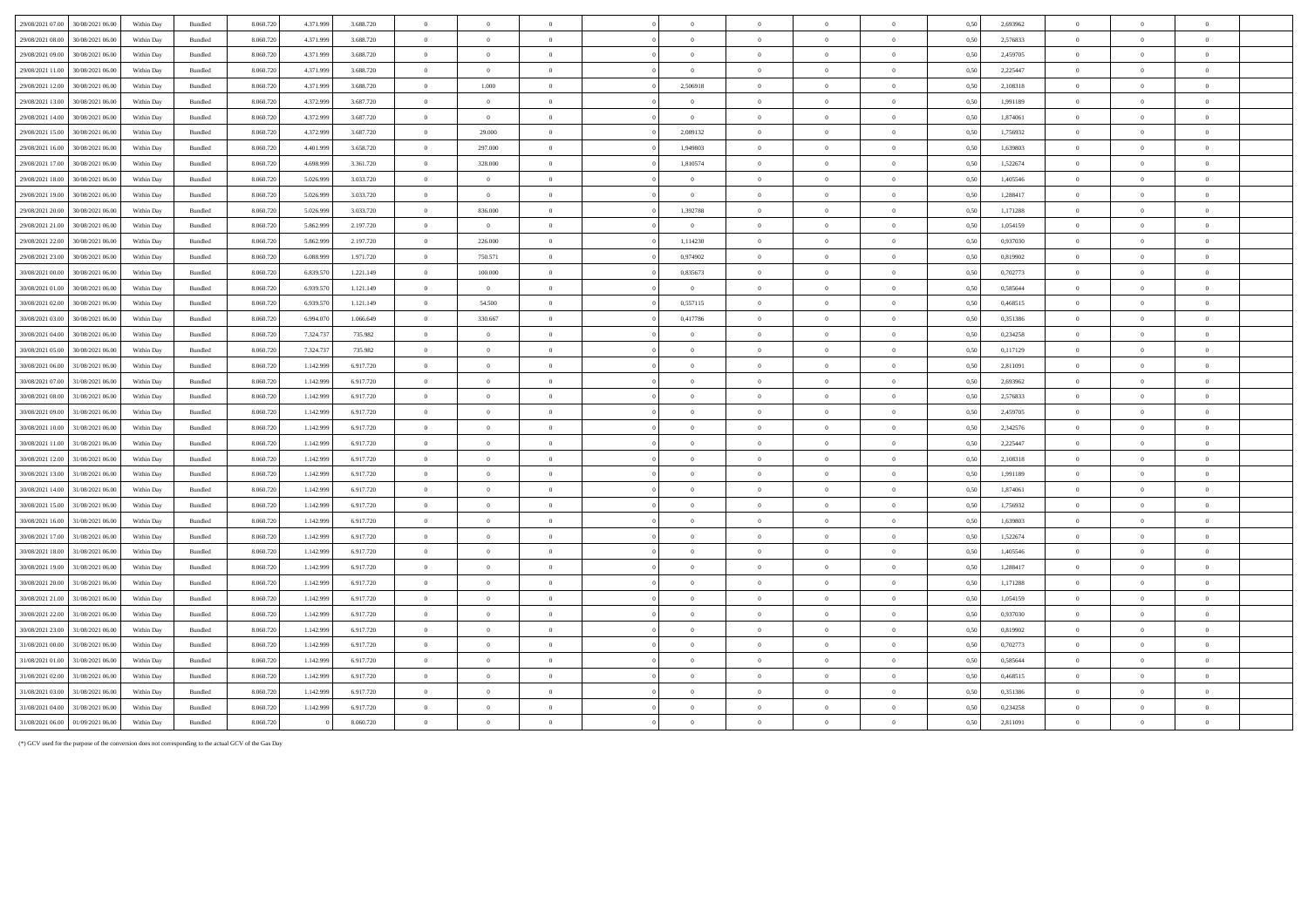| 29/08/2021 07:00<br>30/08/2021 06:00 | Within Day               | Bundled                       | 8.060.720 | 4.371.999 | 3.688.720 | $\overline{0}$   | $\Omega$       | $\Omega$       | $\Omega$                         |                | $\Omega$       | $\Omega$                                                           | 0,50 | 2,693962 | $\theta$                         |                            | $\Omega$             |  |
|--------------------------------------|--------------------------|-------------------------------|-----------|-----------|-----------|------------------|----------------|----------------|----------------------------------|----------------|----------------|--------------------------------------------------------------------|------|----------|----------------------------------|----------------------------|----------------------|--|
| 29/08/2021 08:00<br>30/08/2021 06:0  | Within Day               | Bundled                       | 8.060.720 | 4.371.999 | 3.688.720 | $\overline{0}$   | $\overline{0}$ | $\overline{0}$ | $\overline{0}$                   | $\theta$       | $\overline{0}$ | $\overline{0}$                                                     | 0,50 | 2,576833 | $\overline{0}$                   | $\overline{0}$             | $\overline{0}$       |  |
| 29/08/2021 09:00<br>30/08/2021 06:00 | Within Dav               | Bundled                       | 8.060.720 | 4.371.999 | 3.688.720 | $\overline{0}$   | $\overline{0}$ | $\overline{0}$ | $\overline{0}$                   | $\overline{0}$ | $\theta$       | $\bf{0}$                                                           | 0.50 | 2,459705 | $\overline{0}$                   | $\theta$                   | $\theta$             |  |
| 29/08/2021 11:00<br>30/08/2021 06:00 | Within Dav               | Bundled                       | 8.060.720 | 4.371.999 | 3.688.720 | $\overline{0}$   | $\overline{0}$ | $\overline{0}$ | $\overline{0}$                   | $\theta$       | $\Omega$       | $\theta$                                                           | 0.50 | 2.225447 | $\overline{0}$                   | $\theta$                   | $\theta$             |  |
| 29/08/2021 12:00<br>30/08/2021 06:00 | Within Day               | Bundled                       | 8.060.720 | 4.371.999 | 3.688.720 | $\overline{0}$   | 1.000          | $\overline{0}$ | 2,506918                         | $\overline{0}$ | $\,$ 0 $\,$    | $\,$ 0 $\,$                                                        | 0,50 | 2,108318 | $\overline{0}$                   | $\overline{0}$             | $\overline{0}$       |  |
| 29/08/2021 13:00<br>30/08/2021 06:00 | Within Day               | Bundled                       | 8.060.720 | 4.372.999 | 3.687.720 | $\overline{0}$   | $\overline{0}$ | $\overline{0}$ | $\Omega$                         | $\Omega$       | $\Omega$       | $\overline{0}$                                                     | 0.50 | 1.991189 | $\overline{0}$                   | $\theta$                   | $\overline{0}$       |  |
| 29/08/2021 14:00<br>30/08/2021 06.0  | Within Day               | Bundled                       | 8.060.720 | 4.372.999 | 3.687.720 | $\overline{0}$   | $\overline{0}$ | $\overline{0}$ | $\overline{0}$                   |                | $\overline{0}$ | $\overline{0}$                                                     | 0.50 | 1,874061 | $\overline{0}$                   | $\overline{0}$             | $\overline{0}$       |  |
| 29/08/2021 15:00<br>30/08/2021 06:00 | Within Dav               | <b>Bundled</b>                | 8.060.720 | 4.372.999 | 3687720   | $\overline{0}$   | 29.000         | $\overline{0}$ | 2.089132                         | $\Omega$       | $\overline{0}$ | $\bf{0}$                                                           | 0.50 | 1.756932 | $\overline{0}$                   | $\theta$                   | $\overline{0}$       |  |
| 29/08/2021 16:00<br>30/08/2021 06:00 | Within Day               | Bundled                       | 8.060.720 | 4.401.999 | 3.658.720 | $\overline{0}$   | 297.000        | $\overline{0}$ | 1,949803                         | $\overline{0}$ | $\overline{0}$ | $\overline{0}$                                                     | 0,50 | 1,639803 | $\overline{0}$                   | $\overline{0}$             | $\overline{0}$       |  |
| 29/08/2021 17:00<br>30/08/2021 06:00 | Within Day               | Bundled                       | 8.060.720 | 4.698.999 | 3.361.720 | $\overline{0}$   | 328.000        | $\overline{0}$ | 1,810574                         | $\theta$       | $\overline{0}$ | $\overline{0}$                                                     | 0.50 | 1,522674 | $\overline{0}$                   | $\overline{0}$             | $\overline{0}$       |  |
| 29/08/2021 18:00<br>30/08/2021 06.0  | Within Day               | Bundled                       | 8.060.720 | 5.026.999 | 3.033.720 | $\overline{0}$   | $\overline{0}$ | $\overline{0}$ | $\overline{0}$                   | $\theta$       | $\overline{0}$ | $\hspace{0.1mm}$ 0                                                 | 0,50 | 1,405546 | $\overline{0}$                   | $\overline{0}$             | $\overline{0}$       |  |
| 29/08/2021 19:00<br>30/08/2021 06:00 | Within Day               | <b>Bundled</b>                | 8.060.720 | 5.026.999 | 3.033.720 | $\overline{0}$   | $\Omega$       | $\Omega$       | $\Omega$                         | $\Omega$       | $\Omega$       | $\theta$                                                           | 0.50 | 1.288417 | $\Omega$                         | $\Omega$                   | $\Omega$             |  |
| 29/08/2021 20:00<br>30/08/2021 06:00 | Within Dav               | Bundled                       | 8.060.720 | 5.026.999 | 3.033.720 | $\overline{0}$   | 836.000        | $\overline{0}$ | 1,392788                         | $\overline{0}$ | $\overline{0}$ | $\,$ 0 $\,$                                                        | 0,50 | 1.171288 | $\overline{0}$                   | $\overline{0}$             | $\overline{0}$       |  |
| 29/08/2021 21:00<br>30/08/2021 06:00 | Within Dav               | Bundled                       | 8.060.720 | 5.862.999 | 2.197.720 | $\overline{0}$   | $\overline{0}$ | $\overline{0}$ | $\overline{0}$                   | $\overline{0}$ | $\theta$       | $\bf{0}$                                                           | 0,50 | 1,054159 | $\overline{0}$                   | $\overline{0}$             | $\overline{0}$       |  |
| 29/08/2021 22:00<br>30/08/2021 06:00 | Within Day               | Bundled                       | 8.060.720 | 5.862.999 | 2.197.720 | $\overline{0}$   | 226.000        | $\overline{0}$ | 1,114230                         | $\overline{0}$ | $\overline{0}$ | $\hspace{0.1mm}$ 0                                                 | 0,50 | 0,937030 | $\overline{0}$                   | $\overline{0}$             | $\overline{0}$       |  |
| 29/08/2021 23:00<br>30/08/2021 06:00 | Within Day               | Bundled                       | 8.060.720 | 6.088.999 | 1.971.720 | $\,$ 0 $\,$      | 750.571        | $\overline{0}$ | 0,974902                         | $\overline{0}$ | $\overline{0}$ | $\,$ 0 $\,$                                                        | 0,50 | 0,819902 | $\overline{0}$                   | $\theta$                   | $\overline{0}$       |  |
| 30/08/2021 00:00<br>30/08/2021 06:00 | Within Dav               | Bundled                       | 8.060.720 | 6.839.570 | 1.221.149 | $\overline{0}$   | 100.000        | $\Omega$       | 0.835673                         | $\Omega$       | $\Omega$       | $\theta$                                                           | 0.50 | 0,702773 | $\overline{0}$                   | $\sqrt{2}$                 | $\theta$             |  |
| 30/08/2021 01:00<br>30/08/2021 06:00 | Within Day               | Bundled                       | 8.060.720 | 6.939.570 | 1.121.149 | $\overline{0}$   | $\overline{0}$ | $\overline{0}$ | $\overline{0}$                   | $\overline{0}$ | $\theta$       | $\overline{0}$                                                     | 0,50 | 0,585644 | $\overline{0}$                   | $\overline{0}$             | $\overline{0}$       |  |
| 30/08/2021 02:00<br>30/08/2021 06:00 | Within Day               | Bundled                       | 8.060.720 | 6.939.570 | 1.121.149 | $\overline{0}$   | 54.500         | $\overline{0}$ | 0,557115                         | $\Omega$       | $\Omega$       | $\overline{0}$                                                     | 0.50 | 0.468515 | $\Omega$                         | $\Omega$                   | $\theta$             |  |
| 30/08/2021 03:00<br>30/08/2021 06:00 | Within Day               | Bundled                       | 8.060.720 | 6.994.070 | 1.066.649 | $\overline{0}$   | 330.667        | $\theta$       | 0,417786                         |                | $\overline{0}$ | $\overline{0}$                                                     | 0,50 | 0,351386 | $\overline{0}$                   | $\overline{0}$             | $\bf{0}$             |  |
| 30/08/2021 04:00<br>30/08/2021 06:00 |                          |                               | 8.060.720 | 7.324.737 | 735.982   | $\overline{0}$   | $\overline{0}$ | $\overline{0}$ |                                  | $\theta$       | $\theta$       |                                                                    | 0.50 | 0,234258 |                                  | $\theta$                   | $\overline{0}$       |  |
| 30/08/2021 05:00<br>30/08/2021 06:00 | Within Day<br>Within Day | $\mathbf B$ undled<br>Bundled | 8.060.720 | 7.324.737 | 735.982   | $\overline{0}$   | $\overline{0}$ | $\overline{0}$ | $\overline{0}$<br>$\overline{0}$ | $\overline{0}$ | $\theta$       | $\hspace{0.1mm}0\hspace{0.1mm}$<br>$\hspace{0.1mm}0\hspace{0.1mm}$ | 0,50 | 0,117129 | $\overline{0}$<br>$\overline{0}$ | $\overline{0}$             | $\overline{0}$       |  |
| 30/08/2021 06:00<br>31/08/2021 06:00 | Within Day               | <b>Bundled</b>                | 8.060.720 |           | 6917720   | $\overline{0}$   | $\Omega$       | $\Omega$       | $\Omega$                         | $\theta$       | $\theta$       | $\overline{0}$                                                     | 0.50 | 2.811091 | $\overline{0}$                   | $\Omega$                   | $\overline{0}$       |  |
|                                      |                          |                               |           | 1.142.999 |           |                  |                |                |                                  |                |                |                                                                    |      |          |                                  |                            |                      |  |
| 30/08/2021 07:00<br>31/08/2021 06.0  | Within Day               | Bundled                       | 8.060.720 | 1.142.999 | 6.917.720 | $\overline{0}$   | $\overline{0}$ | $\overline{0}$ | $\overline{0}$                   | $\overline{0}$ | $\overline{0}$ | $\overline{0}$                                                     | 0,50 | 2,693962 | $\overline{0}$                   | $\overline{0}$<br>$\theta$ | $\theta$<br>$\theta$ |  |
| 30/08/2021 08:00<br>31/08/2021 06:00 | Within Dav               | Bundled                       | 8.060.720 | 1.142.999 | 6.917.720 | $\overline{0}$   | $\overline{0}$ | $\overline{0}$ | $\overline{0}$                   | $\Omega$       | $\overline{0}$ | $\overline{0}$                                                     | 0.50 | 2,576833 | $\overline{0}$                   |                            |                      |  |
| 30/08/2021 09:00<br>31/08/2021 06:00 | Within Day               | Bundled                       | 8.060.720 | 1.142.999 | 6.917.720 | $\overline{0}$   | $\overline{0}$ | $\overline{0}$ | $\overline{0}$                   | $\mathbf{0}$   | $\,$ 0 $\,$    | $\,$ 0 $\,$                                                        | 0,50 | 2,459705 | $\overline{0}$                   | $\overline{0}$             | $\overline{0}$       |  |
| 30/08/2021 10:00<br>31/08/2021 06:00 | Within Day               | Bundled                       | 8.060.720 | 1.142.999 | 6.917.720 | $\overline{0}$   | $\overline{0}$ | $\theta$       | $\theta$                         | $\theta$       | $\overline{0}$ | $\mathbf{0}$                                                       | 0.50 | 2,342576 | $\overline{0}$                   | $\overline{0}$             | $\mathbf{0}$         |  |
| 30/08/2021 11:00<br>31/08/2021 06:0  | Within Day               | Bundled                       | 8.060.720 | 1.142.999 | 6.917.720 | $\overline{0}$   | $\overline{0}$ | $\overline{0}$ | $\overline{0}$                   | $\theta$       | $\overline{0}$ | $\hspace{0.1mm}0\hspace{0.1mm}$                                    | 0,50 | 2,225447 | $\overline{0}$                   | $\overline{0}$             | $\overline{0}$       |  |
| 30/08/2021 12:00<br>31/08/2021 06:00 | Within Day               | Bundled                       | 8.060.720 | 1.142.999 | 6.917.720 | $\overline{0}$   | $\overline{0}$ | $\overline{0}$ | $\overline{0}$                   | $\Omega$       | $\overline{0}$ | $\overline{0}$                                                     | 0,50 | 2,108318 | $\overline{0}$                   | $\Omega$                   | $\theta$             |  |
| 30/08/2021 13:00 31/08/2021 06:00    | Within Day               | Bundled                       | 8.060.720 | 1.142.999 | 6.917.720 | $\overline{0}$   | $\overline{0}$ | $\Omega$       | $\Omega$                         | $\Omega$       | $\overline{0}$ | $\overline{0}$                                                     | 0.50 | 1.991189 | $\overline{0}$                   | $\theta$                   | $\theta$             |  |
| 30/08/2021 14:00<br>31/08/2021 06:00 | Within Day               | Bundled                       | 8.060.720 | 1.142.999 | 6.917.720 | $\overline{0}$   | $\overline{0}$ | $\overline{0}$ | $\overline{0}$                   | $\overline{0}$ | $\overline{0}$ | $\bf{0}$                                                           | 0,50 | 1,874061 | $\overline{0}$                   | $\overline{0}$             | $\overline{0}$       |  |
| 30/08/2021 15:00<br>31/08/2021 06:00 | Within Day               | Bundled                       | 8.060.720 | 1.142.999 | 6.917.720 | $\overline{0}$   | $\overline{0}$ | $\overline{0}$ | $\Omega$                         | $\theta$       | $\theta$       | $\overline{0}$                                                     | 0,50 | 1,756932 | $\overline{0}$                   | $\theta$                   | $\theta$             |  |
| 30/08/2021 16:00<br>31/08/2021 06:00 | Within Day               | Bundled                       | 8.060.720 | 1.142.999 | 6.917.720 | $\,$ 0 $\,$      | $\overline{0}$ | $\Omega$       | $\theta$                         | $\Omega$       | $\theta$       | $\theta$                                                           | 0,50 | 1,639803 | $\overline{0}$                   | $\Omega$                   | $\theta$             |  |
| 30/08/2021 17:00<br>31/08/2021 06:00 | Within Dav               | Bundled                       | 8.060.720 | 1.142.999 | 6.917.720 | $\hspace{.1in}0$ | $\Omega$       | $\overline{0}$ | $\overline{0}$                   | $\theta$       | $\overline{0}$ | $\overline{0}$                                                     | 0.50 | 1.522674 | $\overline{0}$                   | $\theta$                   | $\theta$             |  |
| 30/08/2021 18:00<br>31/08/2021 06:00 | Within Dav               | Bundled                       | 8.060.720 | 1.142.999 | 6.917.720 | $\overline{0}$   | $\overline{0}$ | $\overline{0}$ | $\overline{0}$                   | $\overline{0}$ | $\theta$       | $\bf{0}$                                                           | 0,50 | 1,405546 | $\overline{0}$                   | $\overline{0}$             | $\overline{0}$       |  |
| 30/08/2021 19:00<br>31/08/2021 06:00 | Within Day               | Bundled                       | 8.060.720 | 1.142.999 | 6.917.720 | $\overline{0}$   | $\Omega$       | $\overline{0}$ | $\Omega$                         | $\Omega$       | $\Omega$       | $\bf{0}$                                                           | 0.50 | 1.288417 | $\Omega$                         | $\theta$                   | $\theta$             |  |
| 30/08/2021 20:00<br>31/08/2021 06.00 | Within Day               | Bundled                       | 8.060.720 | 1.142.999 | 6.917.720 | $\,$ 0 $\,$      | $\overline{0}$ | $\overline{0}$ | $\overline{0}$                   |                | $\overline{0}$ | $\mathbf{0}$                                                       | 0,50 | 1,171288 | $\overline{0}$                   | $\theta$                   | $\bf{0}$             |  |
| 30/08/2021 21:00<br>31/08/2021 06:00 | Within Dav               | Bundled                       | 8.060.720 | 1.142.999 | 6.917.720 | $\overline{0}$   | $\overline{0}$ | $\overline{0}$ | $\overline{0}$                   | $\Omega$       | $\overline{0}$ | $\mathbf{0}$                                                       | 0.50 | 1,054159 | $\overline{0}$                   | $\Omega$                   | $\overline{0}$       |  |
| 30/08/2021 22:00<br>31/08/2021 06:00 | Within Day               | Bundled                       | 8.060.720 | 1.142.999 | 6.917.720 | $\overline{0}$   | $\overline{0}$ | $\overline{0}$ | $\overline{0}$                   | $\bf{0}$       | $\theta$       | $\bf{0}$                                                           | 0,50 | 0,937030 | $\overline{0}$                   | $\overline{0}$             | $\overline{0}$       |  |
| 30/08/2021 23:00<br>31/08/2021 06:00 | Within Day               | <b>Bundled</b>                | 8.060.720 | 1.142.999 | 6917720   | $\overline{0}$   | $\Omega$       | $\Omega$       | $\Omega$                         | $\theta$       | $\Omega$       | $\theta$                                                           | 0.50 | 0.819902 | $\overline{0}$                   | $\theta$                   | $\theta$             |  |
| 31/08/2021 00:00<br>31/08/2021 06:00 | Within Day               | Bundled                       | 8.060.720 | 1.142.999 | 6.917.720 | $\overline{0}$   | $\overline{0}$ | $\overline{0}$ | $\overline{0}$                   | $\overline{0}$ | $\overline{0}$ | $\overline{0}$                                                     | 0,50 | 0,702773 | $\overline{0}$                   | $\bf{0}$                   | $\overline{0}$       |  |
| 31/08/2021 01:00<br>31/08/2021 06:00 | Within Day               | Bundled                       | 8.060.720 | 1.142.999 | 6.917.720 | $\overline{0}$   | $\overline{0}$ | $\overline{0}$ | $\overline{0}$                   | $\overline{0}$ | $\theta$       | $\bf{0}$                                                           | 0,50 | 0,585644 | $\overline{0}$                   | $\overline{0}$             | $\overline{0}$       |  |
| 31/08/2021 02:00<br>31/08/2021 06:00 | Within Day               | Bundled                       | 8.060.720 | 1.142.999 | 6.917.720 | $\overline{0}$   | $\overline{0}$ | $\overline{0}$ | $\,$ 0 $\,$                      | $\overline{0}$ | $\overline{0}$ | $\overline{0}$                                                     | 0,50 | 0,468515 | $\overline{0}$                   | $\overline{0}$             | $\overline{0}$       |  |
| 31/08/2021 03:00<br>31/08/2021 06:00 | Within Day               | Bundled                       | 8.060.720 | 1.142.999 | 6.917.720 | $\overline{0}$   | $\overline{0}$ | $\,$ 0 $\,$    | $\Omega$                         | $\theta$       | $\bf{0}$       | $\,$ 0 $\,$                                                        | 0,50 | 0,351386 | $\overline{0}$                   | $\overline{0}$             | $\,$ 0 $\,$          |  |
| 31/08/2021 04:00<br>31/08/2021 06:0  | Within Day               | Bundled                       | 8.060.72  | 1.142.999 | 6.917.720 | $\overline{0}$   | $\Omega$       | $\Omega$       | $\Omega$                         |                | $\Omega$       | $\theta$                                                           | 0.50 | 0.234258 | $\Omega$                         | $\theta$                   | $\theta$             |  |
| 31/08/2021 06:00 01/09/2021 06:00    | Within Day               | Bundled                       | 8.060.720 |           | 8.060.720 | $\overline{0}$   | $\Omega$       |                | $\Omega$                         |                | $\Omega$       | $\theta$                                                           | 0,50 | 2,811091 | $\overline{0}$                   | $\Omega$                   | $\mathbf{0}$         |  |

(\*) GCV used for the purpose of the conversion does not corresponding to the actual GCV of the Gas Day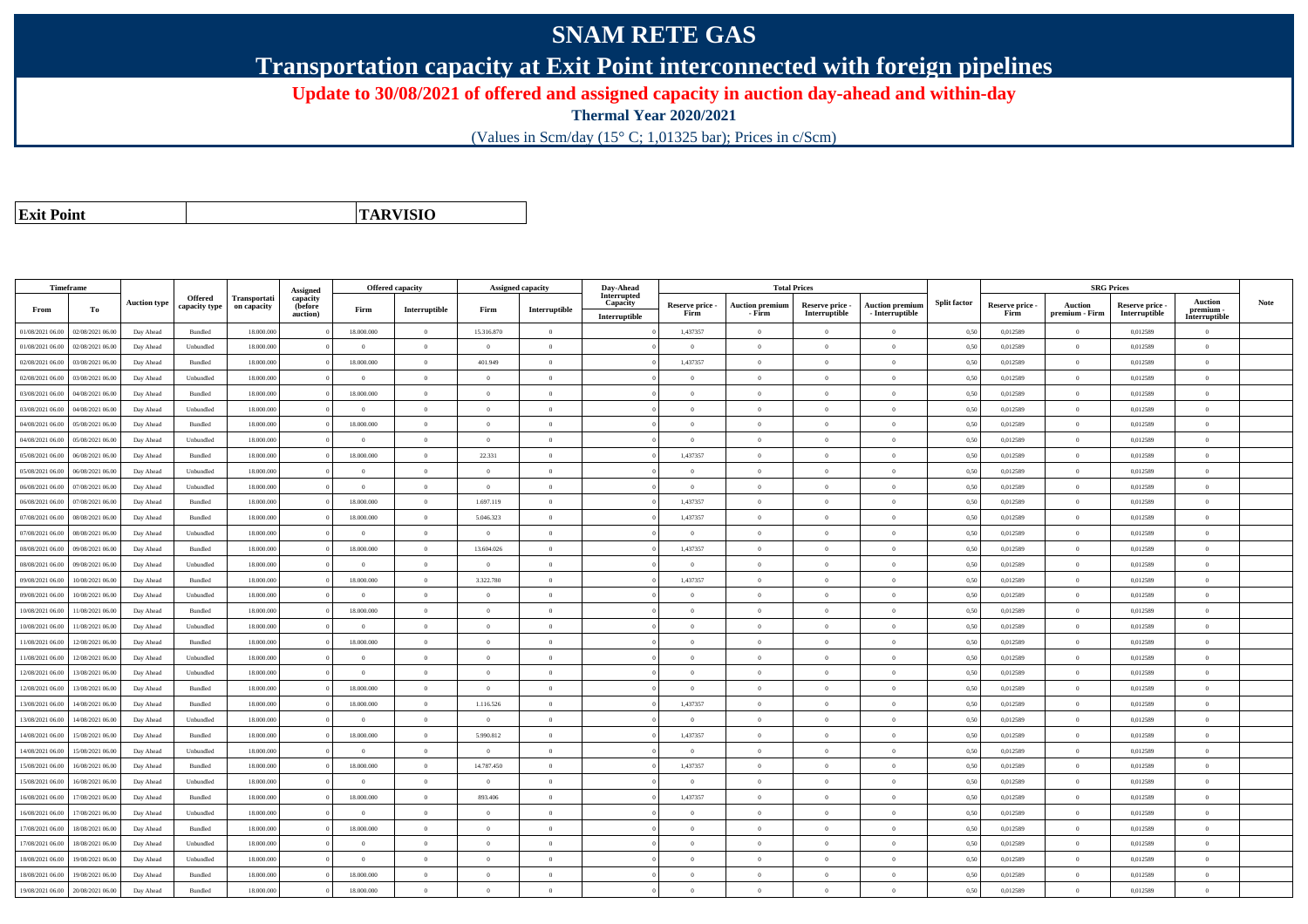## **SNAM RETE GAS**

**Transportation capacity at Exit Point interconnected with foreign pipelines**

**Update to 30/08/2021 of offered and assigned capacity in auction day-ahead and within-day**

**Thermal Year 2020/2021**

(Values in Scm/day (15° C; 1,01325 bar); Prices in c/Scm)

| <b>Exit Point</b> |
|-------------------|
|                   |

**TARVISIO**

| Interrupted<br>Offered<br>Transportati<br>capacity<br><b>Auction</b><br><b>Split factor</b><br><b>Auction type</b><br>Capacity<br>Reserve price -<br><b>Auction premiun</b><br>Reserve price -<br><b>Auction premium</b><br>Reserve price -<br>Auction<br>Reserve price -<br>capacity type<br>on capacity<br>(before<br>$\label{prop:inter} \textbf{Interruptible}$<br>Firm<br>Interruptible<br>From<br>То<br>Firm<br>premium -<br>Interruptible<br>- Interruptible<br>Interruptible<br>Firm<br>Firm<br>premium - Firm<br>auction)<br>- Firm<br>Interruptible<br>Interruptible<br>01/08/2021 06:00<br>02/08/2021 06:00<br>Bundled<br>18.000.000<br>18.000.000<br>$\overline{0}$<br>15.316.870<br>1,437357<br>0,50<br>0,012589<br>0,012589<br>Day Ahead<br>$\overline{0}$<br>$\theta$<br>$\Omega$<br>$\theta$<br>$\overline{0}$<br>$\Omega$<br>18.000.000<br>$\overline{0}$<br>$\overline{0}$<br>0,012589<br>01/08/2021 06:00<br>02/08/2021 06:00<br>Day Ahead<br>Unbundled<br>$\theta$<br>$\Omega$<br>$\theta$<br>$\Omega$<br>0,50<br>0,012589<br>$\Omega$<br>$\mathbf{a}$<br>$\Omega$<br>$\overline{0}$<br>02/08/2021 06:00<br>03/08/2021 06:00<br>Bundled<br>18.000.000<br>18.000.000<br>$\theta$<br>401.949<br>1,437357<br>0,50<br>0,012589<br>$\theta$<br>0,012589<br>Day Ahead<br>$\Omega$<br>$\Omega$<br>$\Omega$<br>$\theta$<br>$\overline{0}$<br>$\theta$<br>$\theta$<br>02/08/2021 06:00<br>03/08/2021 06:00<br>Day Ahead<br>Unbundled<br>18,000,000<br>$\theta$<br>$\overline{0}$<br>$\Omega$<br>$\Omega$<br>$\theta$<br>$\overline{0}$<br>0.50<br>0.012589<br>0.012589<br>$\theta$<br>18.000.000<br>$\overline{0}$<br>$\overline{0}$<br>$\,$ 0 $\,$<br>03/08/2021 06:00<br>04/08/2021 06:00<br>Bundled<br>18.000.000<br>$\overline{0}$<br>$\theta$<br>0,50<br>0,012589<br>0,012589<br>Day Ahead<br>$\overline{0}$<br>$\theta$<br>$\overline{0}$<br>$\overline{0}$<br>04/08/2021 06:00<br>18.000.000<br>$\overline{0}$<br>0,012589<br>$\theta$<br>0,012589<br>3/08/2021 06.00<br>Day Ahead<br>Unbundled<br>$\overline{0}$<br>$\overline{0}$<br>$\overline{0}$<br>$\theta$<br>$\theta$<br>$\bf{0}$<br>0,50<br>$\overline{0}$<br>$\overline{0}$<br>$\overline{0}$<br>$\theta$<br>04/08/2021 06:00<br>05/08/2021 06:00<br>Bundled<br>18,000,000<br>18,000,000<br>$\overline{0}$<br>$\Omega$<br>$\theta$<br>$\theta$<br>$\overline{0}$<br>$\theta$<br>0,50<br>0,012589<br>0,012589<br>Day Ahead<br>$\theta$<br>$\overline{0}$<br>$\theta$<br>04/08/2021 06:00<br>05/08/2021 06:00<br>Day Ahead<br>Unbundled<br>18.000.000<br>$\theta$<br>$\overline{0}$<br>$\theta$<br>$\Omega$<br>$\theta$<br>$\theta$<br>$\bf{0}$<br>0,50<br>0,012589<br>0,012589<br>$\overline{0}$<br>18,000,000<br>22.331<br>1.437357<br>05/08/2021 06:00<br>06/08/2021 06:00<br>Bundled<br>18,000,000<br>$\theta$<br>$\theta$<br>0.50<br>0.012589<br>$\theta$<br>0.012589<br>Day Ahead<br>$\Omega$<br>$\overline{0}$<br>$\Omega$<br>18.000.000<br>$\theta$<br>$\theta$<br>0,50<br>0,012589<br>$\theta$<br>0,012589<br>05/08/2021 06.00<br>06/08/2021 06:00<br>Day Ahead<br>Unbundled<br>$\theta$<br>$\theta$<br>$\Omega$<br>$\theta$<br>$\theta$<br>$\Omega$<br>$\theta$<br>06/08/2021 06:00<br>07/08/2021 06:00<br>Day Ahead<br>Unbundled<br>18.000.000<br>$\overline{0}$<br>$\overline{0}$<br>$\overline{0}$<br>$\overline{0}$<br>$\overline{0}$<br>$\theta$<br>$\,$ 0<br>0,50<br>0,012589<br>$\theta$<br>0,012589<br>$\overline{0}$<br>$\theta$<br>06/08/2021 06:00<br>07/08/2021 06:00<br>18,000,000<br>18,000,000<br>$\overline{0}$<br>1.697.119<br>1,437357<br>$\overline{0}$<br>0.012589<br>$\theta$<br>0,012589<br>Day Ahead<br><b>Bundled</b><br>$\Omega$<br>0,50<br>$\theta$<br>$\Omega$<br>$\theta$<br>07/08/2021 06.00<br>08/08/2021 06.00<br>Day Ahead<br>Bundled<br>18.000.000<br>18.000.000<br>$\overline{0}$<br>5.046.323<br>$\overline{0}$<br>1,437357<br>$\theta$<br>$\theta$<br>$\bf{0}$<br>0,50<br>0,012589<br>$\theta$<br>0,012589<br>$\overline{0}$<br>07/08/2021 06:00<br>18.000.000<br>$\overline{0}$<br>$\bf{0}$<br>0,50<br>$\theta$<br>0,012589<br>08/08/2021 06:00<br>Day Ahead<br>Unbundled<br>$\theta$<br>$\theta$<br>$\Omega$<br>$\Omega$<br>$\theta$<br>$\Omega$<br>0,012589<br>$\overline{0}$<br>18,000,000<br>18,000,000<br>$\overline{0}$<br>13,604,026<br>1,437357<br>$\Omega$<br>08/08/2021 06:00<br>09/08/2021 06:00<br><b>Bundled</b><br>$\theta$<br>0,50<br>0.012589<br>0.012589<br>Day Ahead<br>$\Omega$<br>$\theta$<br>$\Omega$<br>$\theta$<br>08/08/2021 06:00<br>09/08/2021 06.00<br>Day Ahead<br>Unbundled<br>18.000.000<br>$\theta$<br>$\theta$<br>$\overline{0}$<br>$\theta$<br>$\theta$<br>$\theta$<br>0,50<br>0,012589<br>$\theta$<br>0,012589<br>$\theta$<br>$\Omega$<br>$\theta$<br>10/08/2021 06:00<br>18.000.000<br>18.000.000<br>$\overline{0}$<br>3.322.780<br>1,437357<br>$\bf{0}$<br>0,012589<br>$\theta$<br>0,012589<br>09/08/2021 06:00<br>Day Ahead<br>Bundled<br>$\overline{0}$<br>$\theta$<br>$\overline{0}$<br>0,50<br>$\overline{0}$<br>18.000.000<br>$\overline{\phantom{0}}$<br>$\overline{0}$<br>$\,$ 0 $\,$<br>0,012589<br>$\bf{0}$<br>09/08/2021 06:00<br>10/08/2021 06:00<br>Day Ahead<br>Unbundled<br>$\overline{0}$<br>$\overline{0}$<br>$\overline{0}$<br>0,50<br>0,012589<br>$\theta$<br>$\overline{0}$<br>$\bf{0}$<br>11/08/2021 06:00<br>18.000.000<br>18.000.000<br>$\overline{0}$<br>0,012589<br>$\theta$<br>0,012589<br>0/08/2021 06:00<br>Day Ahead<br>Bundled<br>$\overline{0}$<br>$\Omega$<br>$\Omega$<br>$\theta$<br>$\Omega$<br>$\bf{0}$<br>0,50<br>$\overline{0}$<br>$\overline{0}$<br>$\Omega$<br>10/08/2021 06:00<br>11/08/2021 06:00<br>Unbundled<br>18,000,000<br>$\theta$<br>$\overline{0}$<br>$\Omega$<br>$\Omega$<br>$\theta$<br>$\overline{0}$<br>$\theta$<br>0.50<br>0.012589<br>0.012589<br>$\theta$<br>Day Ahead<br>18.000.000<br>18.000.000<br>$\overline{0}$<br>0,50<br>$\theta$<br>11/08/2021 06:00<br>12/08/2021 06:00<br>Day Ahead<br>Bundled<br>$\theta$<br>$\Omega$<br>$\Omega$<br>$\theta$<br>$\Omega$<br>$\bf{0}$<br>0,012589<br>0,012589<br>$\theta$<br>18,000,000<br>1/08/2021 06:00<br>12/08/2021 06:00<br>Day Ahead<br>Unbundled<br>$\theta$<br>$\theta$<br>$\Omega$<br>$\theta$<br>$\theta$<br>0.50<br>0.012589<br>$\theta$<br>0.012589<br>$\theta$<br>$\theta$<br>$\Omega$<br>13/08/2021 06:00<br>18.000.000<br>$\overline{0}$<br>$\overline{0}$<br>$\overline{0}$<br>$\overline{0}$<br>$\theta$<br>$\theta$<br>$\overline{0}$<br>$\hspace{0.1mm}$ 0<br>0,50<br>0,012589<br>$\,$ 0 $\,$<br>0,012589<br>$\overline{0}$<br>12/08/2021 06:00<br>Day Ahead<br>Unbundled<br>$\theta$<br>12/08/2021 06:00<br>13/08/2021 06:00<br>Day Ahead<br>Bundled<br>18.000.000<br>18.000.000<br>$\overline{0}$<br>$\overline{0}$<br>$\overline{0}$<br>$\overline{0}$<br>$\theta$<br>$\theta$<br>$\bf{0}$<br>0,50<br>0,012589<br>0,012589<br>$\overline{0}$<br>13/08/2021 06:00<br>14/08/2021 06:00<br>18,000,000<br>18,000,000<br>$\overline{0}$<br>1.116.526<br>1.437357<br>$\theta$<br>0.012589<br>$\theta$<br>0.012589<br>Day Ahead<br><b>Bundled</b><br>$\Omega$<br>$\theta$<br>$\theta$<br>0.50<br>$\theta$<br>$\overline{0}$<br>$\mathbf{0}$<br>13/08/2021 06:00<br>18,000,000<br>$\sqrt{2}$<br>$\theta$<br>0,50<br>0.012589<br>0.012589<br>14/08/2021 06:00<br>Day Ahead<br>Unbundled<br>$\Omega$<br>$\Omega$<br>$\Omega$<br>$\theta$<br>$\Omega$<br>$\theta$<br>14/08/2021 06:00<br>15/08/2021 06:00<br>Bundled<br>18.000.000<br>18.000.000<br>$\overline{0}$<br>5.990.812<br>1,437357<br>$\theta$<br>0,50<br>0,012589<br>$\theta$<br>0.012589<br>Day Ahead<br>$\Omega$<br>$\Omega$<br>$\Omega$<br>$\theta$<br>15/08/2021 06:00<br>18,000,000<br>$\overline{0}$<br>0.50<br>0.012589<br>$\theta$<br>0.012589<br>14/08/2021 06:00<br>Unbundled<br>$\theta$<br>$\Omega$<br>$\Omega$<br>$\theta$<br>Day Ahead<br>$\Omega$<br>$\theta$<br>$\Omega$<br>$\theta$<br>$\overline{0}$<br>14.787.450<br>1,437357<br>$\,$ 0 $\,$<br>18.000.000<br>18.000.000<br>$\bf{0}$<br>0,50<br>0,012589<br>0,012589<br>15/08/2021 06.00<br>16/08/2021 06:00<br>Day Ahead<br>Bundled<br>$\overline{0}$<br>$\theta$<br>$\Omega$<br>$\overline{0}$<br>15/08/2021 06:00<br>16/08/2021 06:00<br>18.000.000<br>$\overline{0}$<br>$\bf{0}$<br>0,50<br>0,012589<br>$\theta$<br>0,012589<br>Day Ahead<br>Unbundled<br>$\overline{0}$<br>$\overline{0}$<br>$\overline{0}$<br>$\overline{0}$<br>$\theta$<br>$\overline{0}$<br>$\overline{0}$<br>$\overline{0}$<br>1,437357<br>$\,$ 0 $\,$<br>18,000,000<br>18,000,000<br>893.406<br>$\overline{0}$<br>0.012589<br>0.012589<br>16/08/2021 06:00<br>17/08/2021 06:00<br>Day Ahead<br><b>Bundled</b><br>$\overline{0}$<br>$\theta$<br>$\overline{0}$<br>0,50<br>$\overline{0}$<br>$\theta$<br>16/08/2021 06:00<br>17/08/2021 06.00<br>Day Ahead<br>Unbundled<br>18.000.000<br>$\overline{0}$<br>$\overline{0}$<br>$\overline{0}$<br>$\overline{0}$<br>$\theta$<br>$\theta$<br>$\Omega$<br>$\bf{0}$<br>0,50<br>0,012589<br>0,012589<br>$\overline{0}$<br>18,000,000<br>$\theta$<br>17/08/2021 06:00<br>18/08/2021 06:00<br>Bundled<br>18,000,000<br>$\overline{0}$<br>$\Omega$<br>$\Omega$<br>$\theta$<br>$\theta$<br>$\Omega$<br>$\theta$<br>0.50<br>0.012589<br>0.012589<br>$\theta$<br>Day Ahead<br>17/08/2021 06:00<br>18/08/2021 06:00<br>18.000.000<br>$\overline{0}$<br>$\bf{0}$<br>0,50<br>0,012589<br>$\theta$<br>0,012589<br>Day Ahead<br>Unbundled<br>$\theta$<br>$\theta$<br>$\theta$<br>$\Omega$<br>$\theta$<br>$\Omega$<br>$\overline{0}$ | Timeframe |  |          | <b>Offered capacity</b> | <b>Assigned capacity</b> | Day-Ahead |  | <b>Total Prices</b> |  |  | <b>SRG Prices</b> |      |
|---------------------------------------------------------------------------------------------------------------------------------------------------------------------------------------------------------------------------------------------------------------------------------------------------------------------------------------------------------------------------------------------------------------------------------------------------------------------------------------------------------------------------------------------------------------------------------------------------------------------------------------------------------------------------------------------------------------------------------------------------------------------------------------------------------------------------------------------------------------------------------------------------------------------------------------------------------------------------------------------------------------------------------------------------------------------------------------------------------------------------------------------------------------------------------------------------------------------------------------------------------------------------------------------------------------------------------------------------------------------------------------------------------------------------------------------------------------------------------------------------------------------------------------------------------------------------------------------------------------------------------------------------------------------------------------------------------------------------------------------------------------------------------------------------------------------------------------------------------------------------------------------------------------------------------------------------------------------------------------------------------------------------------------------------------------------------------------------------------------------------------------------------------------------------------------------------------------------------------------------------------------------------------------------------------------------------------------------------------------------------------------------------------------------------------------------------------------------------------------------------------------------------------------------------------------------------------------------------------------------------------------------------------------------------------------------------------------------------------------------------------------------------------------------------------------------------------------------------------------------------------------------------------------------------------------------------------------------------------------------------------------------------------------------------------------------------------------------------------------------------------------------------------------------------------------------------------------------------------------------------------------------------------------------------------------------------------------------------------------------------------------------------------------------------------------------------------------------------------------------------------------------------------------------------------------------------------------------------------------------------------------------------------------------------------------------------------------------------------------------------------------------------------------------------------------------------------------------------------------------------------------------------------------------------------------------------------------------------------------------------------------------------------------------------------------------------------------------------------------------------------------------------------------------------------------------------------------------------------------------------------------------------------------------------------------------------------------------------------------------------------------------------------------------------------------------------------------------------------------------------------------------------------------------------------------------------------------------------------------------------------------------------------------------------------------------------------------------------------------------------------------------------------------------------------------------------------------------------------------------------------------------------------------------------------------------------------------------------------------------------------------------------------------------------------------------------------------------------------------------------------------------------------------------------------------------------------------------------------------------------------------------------------------------------------------------------------------------------------------------------------------------------------------------------------------------------------------------------------------------------------------------------------------------------------------------------------------------------------------------------------------------------------------------------------------------------------------------------------------------------------------------------------------------------------------------------------------------------------------------------------------------------------------------------------------------------------------------------------------------------------------------------------------------------------------------------------------------------------------------------------------------------------------------------------------------------------------------------------------------------------------------------------------------------------------------------------------------------------------------------------------------------------------------------------------------------------------------------------------------------------------------------------------------------------------------------------------------------------------------------------------------------------------------------------------------------------------------------------------------------------------------------------------------------------------------------------------------------------------------------------------------------------------------------------------------------------------------------------------------------------------------------------------------------------------------------------------------------------------------------------------------------------------------------------------------------------------------------------------------------------------------------------------------------------------------------------------------------------------------------------------------------------------------------------------------------------------------------------------------------------------------------------------------------------------------------------------------------------------------------------------------------------------------------------------------------------------------------------------------------------------------------------------------------------------------------------------------------------------------------------------------------------------------------------------------------------------------------------------------------------------------------------------------------------------------------------------------------------------------------------------------------------------------------------------------------------------------------------------------------------------------------------------------------------------------------------------------------------------------------------------------------------------------------------------------------------------------------------------------------------------------------------------------------------------------------------------------------------------------------------------------------------------------------------------------------------------------------------------------------------------------------------------------------------------------------------------------------------------------------------------------------------------------------------------------------------------------------------------------------------------------------------------------------------------------------------------------------------------------------------------------------------------------------------------------------------------------------------------------------------------------------------------------------------------------------------------------------------------------------------------------------------------------------------------------------|-----------|--|----------|-------------------------|--------------------------|-----------|--|---------------------|--|--|-------------------|------|
|                                                                                                                                                                                                                                                                                                                                                                                                                                                                                                                                                                                                                                                                                                                                                                                                                                                                                                                                                                                                                                                                                                                                                                                                                                                                                                                                                                                                                                                                                                                                                                                                                                                                                                                                                                                                                                                                                                                                                                                                                                                                                                                                                                                                                                                                                                                                                                                                                                                                                                                                                                                                                                                                                                                                                                                                                                                                                                                                                                                                                                                                                                                                                                                                                                                                                                                                                                                                                                                                                                                                                                                                                                                                                                                                                                                                                                                                                                                                                                                                                                                                                                                                                                                                                                                                                                                                                                                                                                                                                                                                                                                                                                                                                                                                                                                                                                                                                                                                                                                                                                                                                                                                                                                                                                                                                                                                                                                                                                                                                                                                                                                                                                                                                                                                                                                                                                                                                                                                                                                                                                                                                                                                                                                                                                                                                                                                                                                                                                                                                                                                                                                                                                                                                                                                                                                                                                                                                                                                                                                                                                                                                                                                                                                                                                                                                                                                                                                                                                                                                                                                                                                                                                                                                                                                                                                                                                                                                                                                                                                                                                                                                                                                                                                                                                                                                                                                                                                                                                                                                                                                                                                                                                                                                                                                                                                                                                                                                                                                                                                                                                                                                                                                                                                                                                                                                                                                                                                                                                                   |           |  | Assigned |                         |                          |           |  |                     |  |  |                   | Note |
|                                                                                                                                                                                                                                                                                                                                                                                                                                                                                                                                                                                                                                                                                                                                                                                                                                                                                                                                                                                                                                                                                                                                                                                                                                                                                                                                                                                                                                                                                                                                                                                                                                                                                                                                                                                                                                                                                                                                                                                                                                                                                                                                                                                                                                                                                                                                                                                                                                                                                                                                                                                                                                                                                                                                                                                                                                                                                                                                                                                                                                                                                                                                                                                                                                                                                                                                                                                                                                                                                                                                                                                                                                                                                                                                                                                                                                                                                                                                                                                                                                                                                                                                                                                                                                                                                                                                                                                                                                                                                                                                                                                                                                                                                                                                                                                                                                                                                                                                                                                                                                                                                                                                                                                                                                                                                                                                                                                                                                                                                                                                                                                                                                                                                                                                                                                                                                                                                                                                                                                                                                                                                                                                                                                                                                                                                                                                                                                                                                                                                                                                                                                                                                                                                                                                                                                                                                                                                                                                                                                                                                                                                                                                                                                                                                                                                                                                                                                                                                                                                                                                                                                                                                                                                                                                                                                                                                                                                                                                                                                                                                                                                                                                                                                                                                                                                                                                                                                                                                                                                                                                                                                                                                                                                                                                                                                                                                                                                                                                                                                                                                                                                                                                                                                                                                                                                                                                                                                                                                                   |           |  |          |                         |                          |           |  |                     |  |  |                   |      |
|                                                                                                                                                                                                                                                                                                                                                                                                                                                                                                                                                                                                                                                                                                                                                                                                                                                                                                                                                                                                                                                                                                                                                                                                                                                                                                                                                                                                                                                                                                                                                                                                                                                                                                                                                                                                                                                                                                                                                                                                                                                                                                                                                                                                                                                                                                                                                                                                                                                                                                                                                                                                                                                                                                                                                                                                                                                                                                                                                                                                                                                                                                                                                                                                                                                                                                                                                                                                                                                                                                                                                                                                                                                                                                                                                                                                                                                                                                                                                                                                                                                                                                                                                                                                                                                                                                                                                                                                                                                                                                                                                                                                                                                                                                                                                                                                                                                                                                                                                                                                                                                                                                                                                                                                                                                                                                                                                                                                                                                                                                                                                                                                                                                                                                                                                                                                                                                                                                                                                                                                                                                                                                                                                                                                                                                                                                                                                                                                                                                                                                                                                                                                                                                                                                                                                                                                                                                                                                                                                                                                                                                                                                                                                                                                                                                                                                                                                                                                                                                                                                                                                                                                                                                                                                                                                                                                                                                                                                                                                                                                                                                                                                                                                                                                                                                                                                                                                                                                                                                                                                                                                                                                                                                                                                                                                                                                                                                                                                                                                                                                                                                                                                                                                                                                                                                                                                                                                                                                                                                   |           |  |          |                         |                          |           |  |                     |  |  |                   |      |
|                                                                                                                                                                                                                                                                                                                                                                                                                                                                                                                                                                                                                                                                                                                                                                                                                                                                                                                                                                                                                                                                                                                                                                                                                                                                                                                                                                                                                                                                                                                                                                                                                                                                                                                                                                                                                                                                                                                                                                                                                                                                                                                                                                                                                                                                                                                                                                                                                                                                                                                                                                                                                                                                                                                                                                                                                                                                                                                                                                                                                                                                                                                                                                                                                                                                                                                                                                                                                                                                                                                                                                                                                                                                                                                                                                                                                                                                                                                                                                                                                                                                                                                                                                                                                                                                                                                                                                                                                                                                                                                                                                                                                                                                                                                                                                                                                                                                                                                                                                                                                                                                                                                                                                                                                                                                                                                                                                                                                                                                                                                                                                                                                                                                                                                                                                                                                                                                                                                                                                                                                                                                                                                                                                                                                                                                                                                                                                                                                                                                                                                                                                                                                                                                                                                                                                                                                                                                                                                                                                                                                                                                                                                                                                                                                                                                                                                                                                                                                                                                                                                                                                                                                                                                                                                                                                                                                                                                                                                                                                                                                                                                                                                                                                                                                                                                                                                                                                                                                                                                                                                                                                                                                                                                                                                                                                                                                                                                                                                                                                                                                                                                                                                                                                                                                                                                                                                                                                                                                                                   |           |  |          |                         |                          |           |  |                     |  |  |                   |      |
|                                                                                                                                                                                                                                                                                                                                                                                                                                                                                                                                                                                                                                                                                                                                                                                                                                                                                                                                                                                                                                                                                                                                                                                                                                                                                                                                                                                                                                                                                                                                                                                                                                                                                                                                                                                                                                                                                                                                                                                                                                                                                                                                                                                                                                                                                                                                                                                                                                                                                                                                                                                                                                                                                                                                                                                                                                                                                                                                                                                                                                                                                                                                                                                                                                                                                                                                                                                                                                                                                                                                                                                                                                                                                                                                                                                                                                                                                                                                                                                                                                                                                                                                                                                                                                                                                                                                                                                                                                                                                                                                                                                                                                                                                                                                                                                                                                                                                                                                                                                                                                                                                                                                                                                                                                                                                                                                                                                                                                                                                                                                                                                                                                                                                                                                                                                                                                                                                                                                                                                                                                                                                                                                                                                                                                                                                                                                                                                                                                                                                                                                                                                                                                                                                                                                                                                                                                                                                                                                                                                                                                                                                                                                                                                                                                                                                                                                                                                                                                                                                                                                                                                                                                                                                                                                                                                                                                                                                                                                                                                                                                                                                                                                                                                                                                                                                                                                                                                                                                                                                                                                                                                                                                                                                                                                                                                                                                                                                                                                                                                                                                                                                                                                                                                                                                                                                                                                                                                                                                                   |           |  |          |                         |                          |           |  |                     |  |  |                   |      |
|                                                                                                                                                                                                                                                                                                                                                                                                                                                                                                                                                                                                                                                                                                                                                                                                                                                                                                                                                                                                                                                                                                                                                                                                                                                                                                                                                                                                                                                                                                                                                                                                                                                                                                                                                                                                                                                                                                                                                                                                                                                                                                                                                                                                                                                                                                                                                                                                                                                                                                                                                                                                                                                                                                                                                                                                                                                                                                                                                                                                                                                                                                                                                                                                                                                                                                                                                                                                                                                                                                                                                                                                                                                                                                                                                                                                                                                                                                                                                                                                                                                                                                                                                                                                                                                                                                                                                                                                                                                                                                                                                                                                                                                                                                                                                                                                                                                                                                                                                                                                                                                                                                                                                                                                                                                                                                                                                                                                                                                                                                                                                                                                                                                                                                                                                                                                                                                                                                                                                                                                                                                                                                                                                                                                                                                                                                                                                                                                                                                                                                                                                                                                                                                                                                                                                                                                                                                                                                                                                                                                                                                                                                                                                                                                                                                                                                                                                                                                                                                                                                                                                                                                                                                                                                                                                                                                                                                                                                                                                                                                                                                                                                                                                                                                                                                                                                                                                                                                                                                                                                                                                                                                                                                                                                                                                                                                                                                                                                                                                                                                                                                                                                                                                                                                                                                                                                                                                                                                                                                   |           |  |          |                         |                          |           |  |                     |  |  |                   |      |
|                                                                                                                                                                                                                                                                                                                                                                                                                                                                                                                                                                                                                                                                                                                                                                                                                                                                                                                                                                                                                                                                                                                                                                                                                                                                                                                                                                                                                                                                                                                                                                                                                                                                                                                                                                                                                                                                                                                                                                                                                                                                                                                                                                                                                                                                                                                                                                                                                                                                                                                                                                                                                                                                                                                                                                                                                                                                                                                                                                                                                                                                                                                                                                                                                                                                                                                                                                                                                                                                                                                                                                                                                                                                                                                                                                                                                                                                                                                                                                                                                                                                                                                                                                                                                                                                                                                                                                                                                                                                                                                                                                                                                                                                                                                                                                                                                                                                                                                                                                                                                                                                                                                                                                                                                                                                                                                                                                                                                                                                                                                                                                                                                                                                                                                                                                                                                                                                                                                                                                                                                                                                                                                                                                                                                                                                                                                                                                                                                                                                                                                                                                                                                                                                                                                                                                                                                                                                                                                                                                                                                                                                                                                                                                                                                                                                                                                                                                                                                                                                                                                                                                                                                                                                                                                                                                                                                                                                                                                                                                                                                                                                                                                                                                                                                                                                                                                                                                                                                                                                                                                                                                                                                                                                                                                                                                                                                                                                                                                                                                                                                                                                                                                                                                                                                                                                                                                                                                                                                                                   |           |  |          |                         |                          |           |  |                     |  |  |                   |      |
|                                                                                                                                                                                                                                                                                                                                                                                                                                                                                                                                                                                                                                                                                                                                                                                                                                                                                                                                                                                                                                                                                                                                                                                                                                                                                                                                                                                                                                                                                                                                                                                                                                                                                                                                                                                                                                                                                                                                                                                                                                                                                                                                                                                                                                                                                                                                                                                                                                                                                                                                                                                                                                                                                                                                                                                                                                                                                                                                                                                                                                                                                                                                                                                                                                                                                                                                                                                                                                                                                                                                                                                                                                                                                                                                                                                                                                                                                                                                                                                                                                                                                                                                                                                                                                                                                                                                                                                                                                                                                                                                                                                                                                                                                                                                                                                                                                                                                                                                                                                                                                                                                                                                                                                                                                                                                                                                                                                                                                                                                                                                                                                                                                                                                                                                                                                                                                                                                                                                                                                                                                                                                                                                                                                                                                                                                                                                                                                                                                                                                                                                                                                                                                                                                                                                                                                                                                                                                                                                                                                                                                                                                                                                                                                                                                                                                                                                                                                                                                                                                                                                                                                                                                                                                                                                                                                                                                                                                                                                                                                                                                                                                                                                                                                                                                                                                                                                                                                                                                                                                                                                                                                                                                                                                                                                                                                                                                                                                                                                                                                                                                                                                                                                                                                                                                                                                                                                                                                                                                                   |           |  |          |                         |                          |           |  |                     |  |  |                   |      |
|                                                                                                                                                                                                                                                                                                                                                                                                                                                                                                                                                                                                                                                                                                                                                                                                                                                                                                                                                                                                                                                                                                                                                                                                                                                                                                                                                                                                                                                                                                                                                                                                                                                                                                                                                                                                                                                                                                                                                                                                                                                                                                                                                                                                                                                                                                                                                                                                                                                                                                                                                                                                                                                                                                                                                                                                                                                                                                                                                                                                                                                                                                                                                                                                                                                                                                                                                                                                                                                                                                                                                                                                                                                                                                                                                                                                                                                                                                                                                                                                                                                                                                                                                                                                                                                                                                                                                                                                                                                                                                                                                                                                                                                                                                                                                                                                                                                                                                                                                                                                                                                                                                                                                                                                                                                                                                                                                                                                                                                                                                                                                                                                                                                                                                                                                                                                                                                                                                                                                                                                                                                                                                                                                                                                                                                                                                                                                                                                                                                                                                                                                                                                                                                                                                                                                                                                                                                                                                                                                                                                                                                                                                                                                                                                                                                                                                                                                                                                                                                                                                                                                                                                                                                                                                                                                                                                                                                                                                                                                                                                                                                                                                                                                                                                                                                                                                                                                                                                                                                                                                                                                                                                                                                                                                                                                                                                                                                                                                                                                                                                                                                                                                                                                                                                                                                                                                                                                                                                                                                   |           |  |          |                         |                          |           |  |                     |  |  |                   |      |
|                                                                                                                                                                                                                                                                                                                                                                                                                                                                                                                                                                                                                                                                                                                                                                                                                                                                                                                                                                                                                                                                                                                                                                                                                                                                                                                                                                                                                                                                                                                                                                                                                                                                                                                                                                                                                                                                                                                                                                                                                                                                                                                                                                                                                                                                                                                                                                                                                                                                                                                                                                                                                                                                                                                                                                                                                                                                                                                                                                                                                                                                                                                                                                                                                                                                                                                                                                                                                                                                                                                                                                                                                                                                                                                                                                                                                                                                                                                                                                                                                                                                                                                                                                                                                                                                                                                                                                                                                                                                                                                                                                                                                                                                                                                                                                                                                                                                                                                                                                                                                                                                                                                                                                                                                                                                                                                                                                                                                                                                                                                                                                                                                                                                                                                                                                                                                                                                                                                                                                                                                                                                                                                                                                                                                                                                                                                                                                                                                                                                                                                                                                                                                                                                                                                                                                                                                                                                                                                                                                                                                                                                                                                                                                                                                                                                                                                                                                                                                                                                                                                                                                                                                                                                                                                                                                                                                                                                                                                                                                                                                                                                                                                                                                                                                                                                                                                                                                                                                                                                                                                                                                                                                                                                                                                                                                                                                                                                                                                                                                                                                                                                                                                                                                                                                                                                                                                                                                                                                                                   |           |  |          |                         |                          |           |  |                     |  |  |                   |      |
|                                                                                                                                                                                                                                                                                                                                                                                                                                                                                                                                                                                                                                                                                                                                                                                                                                                                                                                                                                                                                                                                                                                                                                                                                                                                                                                                                                                                                                                                                                                                                                                                                                                                                                                                                                                                                                                                                                                                                                                                                                                                                                                                                                                                                                                                                                                                                                                                                                                                                                                                                                                                                                                                                                                                                                                                                                                                                                                                                                                                                                                                                                                                                                                                                                                                                                                                                                                                                                                                                                                                                                                                                                                                                                                                                                                                                                                                                                                                                                                                                                                                                                                                                                                                                                                                                                                                                                                                                                                                                                                                                                                                                                                                                                                                                                                                                                                                                                                                                                                                                                                                                                                                                                                                                                                                                                                                                                                                                                                                                                                                                                                                                                                                                                                                                                                                                                                                                                                                                                                                                                                                                                                                                                                                                                                                                                                                                                                                                                                                                                                                                                                                                                                                                                                                                                                                                                                                                                                                                                                                                                                                                                                                                                                                                                                                                                                                                                                                                                                                                                                                                                                                                                                                                                                                                                                                                                                                                                                                                                                                                                                                                                                                                                                                                                                                                                                                                                                                                                                                                                                                                                                                                                                                                                                                                                                                                                                                                                                                                                                                                                                                                                                                                                                                                                                                                                                                                                                                                                                   |           |  |          |                         |                          |           |  |                     |  |  |                   |      |
|                                                                                                                                                                                                                                                                                                                                                                                                                                                                                                                                                                                                                                                                                                                                                                                                                                                                                                                                                                                                                                                                                                                                                                                                                                                                                                                                                                                                                                                                                                                                                                                                                                                                                                                                                                                                                                                                                                                                                                                                                                                                                                                                                                                                                                                                                                                                                                                                                                                                                                                                                                                                                                                                                                                                                                                                                                                                                                                                                                                                                                                                                                                                                                                                                                                                                                                                                                                                                                                                                                                                                                                                                                                                                                                                                                                                                                                                                                                                                                                                                                                                                                                                                                                                                                                                                                                                                                                                                                                                                                                                                                                                                                                                                                                                                                                                                                                                                                                                                                                                                                                                                                                                                                                                                                                                                                                                                                                                                                                                                                                                                                                                                                                                                                                                                                                                                                                                                                                                                                                                                                                                                                                                                                                                                                                                                                                                                                                                                                                                                                                                                                                                                                                                                                                                                                                                                                                                                                                                                                                                                                                                                                                                                                                                                                                                                                                                                                                                                                                                                                                                                                                                                                                                                                                                                                                                                                                                                                                                                                                                                                                                                                                                                                                                                                                                                                                                                                                                                                                                                                                                                                                                                                                                                                                                                                                                                                                                                                                                                                                                                                                                                                                                                                                                                                                                                                                                                                                                                                                   |           |  |          |                         |                          |           |  |                     |  |  |                   |      |
|                                                                                                                                                                                                                                                                                                                                                                                                                                                                                                                                                                                                                                                                                                                                                                                                                                                                                                                                                                                                                                                                                                                                                                                                                                                                                                                                                                                                                                                                                                                                                                                                                                                                                                                                                                                                                                                                                                                                                                                                                                                                                                                                                                                                                                                                                                                                                                                                                                                                                                                                                                                                                                                                                                                                                                                                                                                                                                                                                                                                                                                                                                                                                                                                                                                                                                                                                                                                                                                                                                                                                                                                                                                                                                                                                                                                                                                                                                                                                                                                                                                                                                                                                                                                                                                                                                                                                                                                                                                                                                                                                                                                                                                                                                                                                                                                                                                                                                                                                                                                                                                                                                                                                                                                                                                                                                                                                                                                                                                                                                                                                                                                                                                                                                                                                                                                                                                                                                                                                                                                                                                                                                                                                                                                                                                                                                                                                                                                                                                                                                                                                                                                                                                                                                                                                                                                                                                                                                                                                                                                                                                                                                                                                                                                                                                                                                                                                                                                                                                                                                                                                                                                                                                                                                                                                                                                                                                                                                                                                                                                                                                                                                                                                                                                                                                                                                                                                                                                                                                                                                                                                                                                                                                                                                                                                                                                                                                                                                                                                                                                                                                                                                                                                                                                                                                                                                                                                                                                                                                   |           |  |          |                         |                          |           |  |                     |  |  |                   |      |
|                                                                                                                                                                                                                                                                                                                                                                                                                                                                                                                                                                                                                                                                                                                                                                                                                                                                                                                                                                                                                                                                                                                                                                                                                                                                                                                                                                                                                                                                                                                                                                                                                                                                                                                                                                                                                                                                                                                                                                                                                                                                                                                                                                                                                                                                                                                                                                                                                                                                                                                                                                                                                                                                                                                                                                                                                                                                                                                                                                                                                                                                                                                                                                                                                                                                                                                                                                                                                                                                                                                                                                                                                                                                                                                                                                                                                                                                                                                                                                                                                                                                                                                                                                                                                                                                                                                                                                                                                                                                                                                                                                                                                                                                                                                                                                                                                                                                                                                                                                                                                                                                                                                                                                                                                                                                                                                                                                                                                                                                                                                                                                                                                                                                                                                                                                                                                                                                                                                                                                                                                                                                                                                                                                                                                                                                                                                                                                                                                                                                                                                                                                                                                                                                                                                                                                                                                                                                                                                                                                                                                                                                                                                                                                                                                                                                                                                                                                                                                                                                                                                                                                                                                                                                                                                                                                                                                                                                                                                                                                                                                                                                                                                                                                                                                                                                                                                                                                                                                                                                                                                                                                                                                                                                                                                                                                                                                                                                                                                                                                                                                                                                                                                                                                                                                                                                                                                                                                                                                                                   |           |  |          |                         |                          |           |  |                     |  |  |                   |      |
|                                                                                                                                                                                                                                                                                                                                                                                                                                                                                                                                                                                                                                                                                                                                                                                                                                                                                                                                                                                                                                                                                                                                                                                                                                                                                                                                                                                                                                                                                                                                                                                                                                                                                                                                                                                                                                                                                                                                                                                                                                                                                                                                                                                                                                                                                                                                                                                                                                                                                                                                                                                                                                                                                                                                                                                                                                                                                                                                                                                                                                                                                                                                                                                                                                                                                                                                                                                                                                                                                                                                                                                                                                                                                                                                                                                                                                                                                                                                                                                                                                                                                                                                                                                                                                                                                                                                                                                                                                                                                                                                                                                                                                                                                                                                                                                                                                                                                                                                                                                                                                                                                                                                                                                                                                                                                                                                                                                                                                                                                                                                                                                                                                                                                                                                                                                                                                                                                                                                                                                                                                                                                                                                                                                                                                                                                                                                                                                                                                                                                                                                                                                                                                                                                                                                                                                                                                                                                                                                                                                                                                                                                                                                                                                                                                                                                                                                                                                                                                                                                                                                                                                                                                                                                                                                                                                                                                                                                                                                                                                                                                                                                                                                                                                                                                                                                                                                                                                                                                                                                                                                                                                                                                                                                                                                                                                                                                                                                                                                                                                                                                                                                                                                                                                                                                                                                                                                                                                                                                                   |           |  |          |                         |                          |           |  |                     |  |  |                   |      |
|                                                                                                                                                                                                                                                                                                                                                                                                                                                                                                                                                                                                                                                                                                                                                                                                                                                                                                                                                                                                                                                                                                                                                                                                                                                                                                                                                                                                                                                                                                                                                                                                                                                                                                                                                                                                                                                                                                                                                                                                                                                                                                                                                                                                                                                                                                                                                                                                                                                                                                                                                                                                                                                                                                                                                                                                                                                                                                                                                                                                                                                                                                                                                                                                                                                                                                                                                                                                                                                                                                                                                                                                                                                                                                                                                                                                                                                                                                                                                                                                                                                                                                                                                                                                                                                                                                                                                                                                                                                                                                                                                                                                                                                                                                                                                                                                                                                                                                                                                                                                                                                                                                                                                                                                                                                                                                                                                                                                                                                                                                                                                                                                                                                                                                                                                                                                                                                                                                                                                                                                                                                                                                                                                                                                                                                                                                                                                                                                                                                                                                                                                                                                                                                                                                                                                                                                                                                                                                                                                                                                                                                                                                                                                                                                                                                                                                                                                                                                                                                                                                                                                                                                                                                                                                                                                                                                                                                                                                                                                                                                                                                                                                                                                                                                                                                                                                                                                                                                                                                                                                                                                                                                                                                                                                                                                                                                                                                                                                                                                                                                                                                                                                                                                                                                                                                                                                                                                                                                                                                   |           |  |          |                         |                          |           |  |                     |  |  |                   |      |
|                                                                                                                                                                                                                                                                                                                                                                                                                                                                                                                                                                                                                                                                                                                                                                                                                                                                                                                                                                                                                                                                                                                                                                                                                                                                                                                                                                                                                                                                                                                                                                                                                                                                                                                                                                                                                                                                                                                                                                                                                                                                                                                                                                                                                                                                                                                                                                                                                                                                                                                                                                                                                                                                                                                                                                                                                                                                                                                                                                                                                                                                                                                                                                                                                                                                                                                                                                                                                                                                                                                                                                                                                                                                                                                                                                                                                                                                                                                                                                                                                                                                                                                                                                                                                                                                                                                                                                                                                                                                                                                                                                                                                                                                                                                                                                                                                                                                                                                                                                                                                                                                                                                                                                                                                                                                                                                                                                                                                                                                                                                                                                                                                                                                                                                                                                                                                                                                                                                                                                                                                                                                                                                                                                                                                                                                                                                                                                                                                                                                                                                                                                                                                                                                                                                                                                                                                                                                                                                                                                                                                                                                                                                                                                                                                                                                                                                                                                                                                                                                                                                                                                                                                                                                                                                                                                                                                                                                                                                                                                                                                                                                                                                                                                                                                                                                                                                                                                                                                                                                                                                                                                                                                                                                                                                                                                                                                                                                                                                                                                                                                                                                                                                                                                                                                                                                                                                                                                                                                                                   |           |  |          |                         |                          |           |  |                     |  |  |                   |      |
|                                                                                                                                                                                                                                                                                                                                                                                                                                                                                                                                                                                                                                                                                                                                                                                                                                                                                                                                                                                                                                                                                                                                                                                                                                                                                                                                                                                                                                                                                                                                                                                                                                                                                                                                                                                                                                                                                                                                                                                                                                                                                                                                                                                                                                                                                                                                                                                                                                                                                                                                                                                                                                                                                                                                                                                                                                                                                                                                                                                                                                                                                                                                                                                                                                                                                                                                                                                                                                                                                                                                                                                                                                                                                                                                                                                                                                                                                                                                                                                                                                                                                                                                                                                                                                                                                                                                                                                                                                                                                                                                                                                                                                                                                                                                                                                                                                                                                                                                                                                                                                                                                                                                                                                                                                                                                                                                                                                                                                                                                                                                                                                                                                                                                                                                                                                                                                                                                                                                                                                                                                                                                                                                                                                                                                                                                                                                                                                                                                                                                                                                                                                                                                                                                                                                                                                                                                                                                                                                                                                                                                                                                                                                                                                                                                                                                                                                                                                                                                                                                                                                                                                                                                                                                                                                                                                                                                                                                                                                                                                                                                                                                                                                                                                                                                                                                                                                                                                                                                                                                                                                                                                                                                                                                                                                                                                                                                                                                                                                                                                                                                                                                                                                                                                                                                                                                                                                                                                                                                                   |           |  |          |                         |                          |           |  |                     |  |  |                   |      |
|                                                                                                                                                                                                                                                                                                                                                                                                                                                                                                                                                                                                                                                                                                                                                                                                                                                                                                                                                                                                                                                                                                                                                                                                                                                                                                                                                                                                                                                                                                                                                                                                                                                                                                                                                                                                                                                                                                                                                                                                                                                                                                                                                                                                                                                                                                                                                                                                                                                                                                                                                                                                                                                                                                                                                                                                                                                                                                                                                                                                                                                                                                                                                                                                                                                                                                                                                                                                                                                                                                                                                                                                                                                                                                                                                                                                                                                                                                                                                                                                                                                                                                                                                                                                                                                                                                                                                                                                                                                                                                                                                                                                                                                                                                                                                                                                                                                                                                                                                                                                                                                                                                                                                                                                                                                                                                                                                                                                                                                                                                                                                                                                                                                                                                                                                                                                                                                                                                                                                                                                                                                                                                                                                                                                                                                                                                                                                                                                                                                                                                                                                                                                                                                                                                                                                                                                                                                                                                                                                                                                                                                                                                                                                                                                                                                                                                                                                                                                                                                                                                                                                                                                                                                                                                                                                                                                                                                                                                                                                                                                                                                                                                                                                                                                                                                                                                                                                                                                                                                                                                                                                                                                                                                                                                                                                                                                                                                                                                                                                                                                                                                                                                                                                                                                                                                                                                                                                                                                                                                   |           |  |          |                         |                          |           |  |                     |  |  |                   |      |
|                                                                                                                                                                                                                                                                                                                                                                                                                                                                                                                                                                                                                                                                                                                                                                                                                                                                                                                                                                                                                                                                                                                                                                                                                                                                                                                                                                                                                                                                                                                                                                                                                                                                                                                                                                                                                                                                                                                                                                                                                                                                                                                                                                                                                                                                                                                                                                                                                                                                                                                                                                                                                                                                                                                                                                                                                                                                                                                                                                                                                                                                                                                                                                                                                                                                                                                                                                                                                                                                                                                                                                                                                                                                                                                                                                                                                                                                                                                                                                                                                                                                                                                                                                                                                                                                                                                                                                                                                                                                                                                                                                                                                                                                                                                                                                                                                                                                                                                                                                                                                                                                                                                                                                                                                                                                                                                                                                                                                                                                                                                                                                                                                                                                                                                                                                                                                                                                                                                                                                                                                                                                                                                                                                                                                                                                                                                                                                                                                                                                                                                                                                                                                                                                                                                                                                                                                                                                                                                                                                                                                                                                                                                                                                                                                                                                                                                                                                                                                                                                                                                                                                                                                                                                                                                                                                                                                                                                                                                                                                                                                                                                                                                                                                                                                                                                                                                                                                                                                                                                                                                                                                                                                                                                                                                                                                                                                                                                                                                                                                                                                                                                                                                                                                                                                                                                                                                                                                                                                                                   |           |  |          |                         |                          |           |  |                     |  |  |                   |      |
|                                                                                                                                                                                                                                                                                                                                                                                                                                                                                                                                                                                                                                                                                                                                                                                                                                                                                                                                                                                                                                                                                                                                                                                                                                                                                                                                                                                                                                                                                                                                                                                                                                                                                                                                                                                                                                                                                                                                                                                                                                                                                                                                                                                                                                                                                                                                                                                                                                                                                                                                                                                                                                                                                                                                                                                                                                                                                                                                                                                                                                                                                                                                                                                                                                                                                                                                                                                                                                                                                                                                                                                                                                                                                                                                                                                                                                                                                                                                                                                                                                                                                                                                                                                                                                                                                                                                                                                                                                                                                                                                                                                                                                                                                                                                                                                                                                                                                                                                                                                                                                                                                                                                                                                                                                                                                                                                                                                                                                                                                                                                                                                                                                                                                                                                                                                                                                                                                                                                                                                                                                                                                                                                                                                                                                                                                                                                                                                                                                                                                                                                                                                                                                                                                                                                                                                                                                                                                                                                                                                                                                                                                                                                                                                                                                                                                                                                                                                                                                                                                                                                                                                                                                                                                                                                                                                                                                                                                                                                                                                                                                                                                                                                                                                                                                                                                                                                                                                                                                                                                                                                                                                                                                                                                                                                                                                                                                                                                                                                                                                                                                                                                                                                                                                                                                                                                                                                                                                                                                                   |           |  |          |                         |                          |           |  |                     |  |  |                   |      |
|                                                                                                                                                                                                                                                                                                                                                                                                                                                                                                                                                                                                                                                                                                                                                                                                                                                                                                                                                                                                                                                                                                                                                                                                                                                                                                                                                                                                                                                                                                                                                                                                                                                                                                                                                                                                                                                                                                                                                                                                                                                                                                                                                                                                                                                                                                                                                                                                                                                                                                                                                                                                                                                                                                                                                                                                                                                                                                                                                                                                                                                                                                                                                                                                                                                                                                                                                                                                                                                                                                                                                                                                                                                                                                                                                                                                                                                                                                                                                                                                                                                                                                                                                                                                                                                                                                                                                                                                                                                                                                                                                                                                                                                                                                                                                                                                                                                                                                                                                                                                                                                                                                                                                                                                                                                                                                                                                                                                                                                                                                                                                                                                                                                                                                                                                                                                                                                                                                                                                                                                                                                                                                                                                                                                                                                                                                                                                                                                                                                                                                                                                                                                                                                                                                                                                                                                                                                                                                                                                                                                                                                                                                                                                                                                                                                                                                                                                                                                                                                                                                                                                                                                                                                                                                                                                                                                                                                                                                                                                                                                                                                                                                                                                                                                                                                                                                                                                                                                                                                                                                                                                                                                                                                                                                                                                                                                                                                                                                                                                                                                                                                                                                                                                                                                                                                                                                                                                                                                                                                   |           |  |          |                         |                          |           |  |                     |  |  |                   |      |
|                                                                                                                                                                                                                                                                                                                                                                                                                                                                                                                                                                                                                                                                                                                                                                                                                                                                                                                                                                                                                                                                                                                                                                                                                                                                                                                                                                                                                                                                                                                                                                                                                                                                                                                                                                                                                                                                                                                                                                                                                                                                                                                                                                                                                                                                                                                                                                                                                                                                                                                                                                                                                                                                                                                                                                                                                                                                                                                                                                                                                                                                                                                                                                                                                                                                                                                                                                                                                                                                                                                                                                                                                                                                                                                                                                                                                                                                                                                                                                                                                                                                                                                                                                                                                                                                                                                                                                                                                                                                                                                                                                                                                                                                                                                                                                                                                                                                                                                                                                                                                                                                                                                                                                                                                                                                                                                                                                                                                                                                                                                                                                                                                                                                                                                                                                                                                                                                                                                                                                                                                                                                                                                                                                                                                                                                                                                                                                                                                                                                                                                                                                                                                                                                                                                                                                                                                                                                                                                                                                                                                                                                                                                                                                                                                                                                                                                                                                                                                                                                                                                                                                                                                                                                                                                                                                                                                                                                                                                                                                                                                                                                                                                                                                                                                                                                                                                                                                                                                                                                                                                                                                                                                                                                                                                                                                                                                                                                                                                                                                                                                                                                                                                                                                                                                                                                                                                                                                                                                                                   |           |  |          |                         |                          |           |  |                     |  |  |                   |      |
|                                                                                                                                                                                                                                                                                                                                                                                                                                                                                                                                                                                                                                                                                                                                                                                                                                                                                                                                                                                                                                                                                                                                                                                                                                                                                                                                                                                                                                                                                                                                                                                                                                                                                                                                                                                                                                                                                                                                                                                                                                                                                                                                                                                                                                                                                                                                                                                                                                                                                                                                                                                                                                                                                                                                                                                                                                                                                                                                                                                                                                                                                                                                                                                                                                                                                                                                                                                                                                                                                                                                                                                                                                                                                                                                                                                                                                                                                                                                                                                                                                                                                                                                                                                                                                                                                                                                                                                                                                                                                                                                                                                                                                                                                                                                                                                                                                                                                                                                                                                                                                                                                                                                                                                                                                                                                                                                                                                                                                                                                                                                                                                                                                                                                                                                                                                                                                                                                                                                                                                                                                                                                                                                                                                                                                                                                                                                                                                                                                                                                                                                                                                                                                                                                                                                                                                                                                                                                                                                                                                                                                                                                                                                                                                                                                                                                                                                                                                                                                                                                                                                                                                                                                                                                                                                                                                                                                                                                                                                                                                                                                                                                                                                                                                                                                                                                                                                                                                                                                                                                                                                                                                                                                                                                                                                                                                                                                                                                                                                                                                                                                                                                                                                                                                                                                                                                                                                                                                                                                                   |           |  |          |                         |                          |           |  |                     |  |  |                   |      |
|                                                                                                                                                                                                                                                                                                                                                                                                                                                                                                                                                                                                                                                                                                                                                                                                                                                                                                                                                                                                                                                                                                                                                                                                                                                                                                                                                                                                                                                                                                                                                                                                                                                                                                                                                                                                                                                                                                                                                                                                                                                                                                                                                                                                                                                                                                                                                                                                                                                                                                                                                                                                                                                                                                                                                                                                                                                                                                                                                                                                                                                                                                                                                                                                                                                                                                                                                                                                                                                                                                                                                                                                                                                                                                                                                                                                                                                                                                                                                                                                                                                                                                                                                                                                                                                                                                                                                                                                                                                                                                                                                                                                                                                                                                                                                                                                                                                                                                                                                                                                                                                                                                                                                                                                                                                                                                                                                                                                                                                                                                                                                                                                                                                                                                                                                                                                                                                                                                                                                                                                                                                                                                                                                                                                                                                                                                                                                                                                                                                                                                                                                                                                                                                                                                                                                                                                                                                                                                                                                                                                                                                                                                                                                                                                                                                                                                                                                                                                                                                                                                                                                                                                                                                                                                                                                                                                                                                                                                                                                                                                                                                                                                                                                                                                                                                                                                                                                                                                                                                                                                                                                                                                                                                                                                                                                                                                                                                                                                                                                                                                                                                                                                                                                                                                                                                                                                                                                                                                                                                   |           |  |          |                         |                          |           |  |                     |  |  |                   |      |
|                                                                                                                                                                                                                                                                                                                                                                                                                                                                                                                                                                                                                                                                                                                                                                                                                                                                                                                                                                                                                                                                                                                                                                                                                                                                                                                                                                                                                                                                                                                                                                                                                                                                                                                                                                                                                                                                                                                                                                                                                                                                                                                                                                                                                                                                                                                                                                                                                                                                                                                                                                                                                                                                                                                                                                                                                                                                                                                                                                                                                                                                                                                                                                                                                                                                                                                                                                                                                                                                                                                                                                                                                                                                                                                                                                                                                                                                                                                                                                                                                                                                                                                                                                                                                                                                                                                                                                                                                                                                                                                                                                                                                                                                                                                                                                                                                                                                                                                                                                                                                                                                                                                                                                                                                                                                                                                                                                                                                                                                                                                                                                                                                                                                                                                                                                                                                                                                                                                                                                                                                                                                                                                                                                                                                                                                                                                                                                                                                                                                                                                                                                                                                                                                                                                                                                                                                                                                                                                                                                                                                                                                                                                                                                                                                                                                                                                                                                                                                                                                                                                                                                                                                                                                                                                                                                                                                                                                                                                                                                                                                                                                                                                                                                                                                                                                                                                                                                                                                                                                                                                                                                                                                                                                                                                                                                                                                                                                                                                                                                                                                                                                                                                                                                                                                                                                                                                                                                                                                                                   |           |  |          |                         |                          |           |  |                     |  |  |                   |      |
|                                                                                                                                                                                                                                                                                                                                                                                                                                                                                                                                                                                                                                                                                                                                                                                                                                                                                                                                                                                                                                                                                                                                                                                                                                                                                                                                                                                                                                                                                                                                                                                                                                                                                                                                                                                                                                                                                                                                                                                                                                                                                                                                                                                                                                                                                                                                                                                                                                                                                                                                                                                                                                                                                                                                                                                                                                                                                                                                                                                                                                                                                                                                                                                                                                                                                                                                                                                                                                                                                                                                                                                                                                                                                                                                                                                                                                                                                                                                                                                                                                                                                                                                                                                                                                                                                                                                                                                                                                                                                                                                                                                                                                                                                                                                                                                                                                                                                                                                                                                                                                                                                                                                                                                                                                                                                                                                                                                                                                                                                                                                                                                                                                                                                                                                                                                                                                                                                                                                                                                                                                                                                                                                                                                                                                                                                                                                                                                                                                                                                                                                                                                                                                                                                                                                                                                                                                                                                                                                                                                                                                                                                                                                                                                                                                                                                                                                                                                                                                                                                                                                                                                                                                                                                                                                                                                                                                                                                                                                                                                                                                                                                                                                                                                                                                                                                                                                                                                                                                                                                                                                                                                                                                                                                                                                                                                                                                                                                                                                                                                                                                                                                                                                                                                                                                                                                                                                                                                                                                                   |           |  |          |                         |                          |           |  |                     |  |  |                   |      |
|                                                                                                                                                                                                                                                                                                                                                                                                                                                                                                                                                                                                                                                                                                                                                                                                                                                                                                                                                                                                                                                                                                                                                                                                                                                                                                                                                                                                                                                                                                                                                                                                                                                                                                                                                                                                                                                                                                                                                                                                                                                                                                                                                                                                                                                                                                                                                                                                                                                                                                                                                                                                                                                                                                                                                                                                                                                                                                                                                                                                                                                                                                                                                                                                                                                                                                                                                                                                                                                                                                                                                                                                                                                                                                                                                                                                                                                                                                                                                                                                                                                                                                                                                                                                                                                                                                                                                                                                                                                                                                                                                                                                                                                                                                                                                                                                                                                                                                                                                                                                                                                                                                                                                                                                                                                                                                                                                                                                                                                                                                                                                                                                                                                                                                                                                                                                                                                                                                                                                                                                                                                                                                                                                                                                                                                                                                                                                                                                                                                                                                                                                                                                                                                                                                                                                                                                                                                                                                                                                                                                                                                                                                                                                                                                                                                                                                                                                                                                                                                                                                                                                                                                                                                                                                                                                                                                                                                                                                                                                                                                                                                                                                                                                                                                                                                                                                                                                                                                                                                                                                                                                                                                                                                                                                                                                                                                                                                                                                                                                                                                                                                                                                                                                                                                                                                                                                                                                                                                                                                   |           |  |          |                         |                          |           |  |                     |  |  |                   |      |
|                                                                                                                                                                                                                                                                                                                                                                                                                                                                                                                                                                                                                                                                                                                                                                                                                                                                                                                                                                                                                                                                                                                                                                                                                                                                                                                                                                                                                                                                                                                                                                                                                                                                                                                                                                                                                                                                                                                                                                                                                                                                                                                                                                                                                                                                                                                                                                                                                                                                                                                                                                                                                                                                                                                                                                                                                                                                                                                                                                                                                                                                                                                                                                                                                                                                                                                                                                                                                                                                                                                                                                                                                                                                                                                                                                                                                                                                                                                                                                                                                                                                                                                                                                                                                                                                                                                                                                                                                                                                                                                                                                                                                                                                                                                                                                                                                                                                                                                                                                                                                                                                                                                                                                                                                                                                                                                                                                                                                                                                                                                                                                                                                                                                                                                                                                                                                                                                                                                                                                                                                                                                                                                                                                                                                                                                                                                                                                                                                                                                                                                                                                                                                                                                                                                                                                                                                                                                                                                                                                                                                                                                                                                                                                                                                                                                                                                                                                                                                                                                                                                                                                                                                                                                                                                                                                                                                                                                                                                                                                                                                                                                                                                                                                                                                                                                                                                                                                                                                                                                                                                                                                                                                                                                                                                                                                                                                                                                                                                                                                                                                                                                                                                                                                                                                                                                                                                                                                                                                                                   |           |  |          |                         |                          |           |  |                     |  |  |                   |      |
|                                                                                                                                                                                                                                                                                                                                                                                                                                                                                                                                                                                                                                                                                                                                                                                                                                                                                                                                                                                                                                                                                                                                                                                                                                                                                                                                                                                                                                                                                                                                                                                                                                                                                                                                                                                                                                                                                                                                                                                                                                                                                                                                                                                                                                                                                                                                                                                                                                                                                                                                                                                                                                                                                                                                                                                                                                                                                                                                                                                                                                                                                                                                                                                                                                                                                                                                                                                                                                                                                                                                                                                                                                                                                                                                                                                                                                                                                                                                                                                                                                                                                                                                                                                                                                                                                                                                                                                                                                                                                                                                                                                                                                                                                                                                                                                                                                                                                                                                                                                                                                                                                                                                                                                                                                                                                                                                                                                                                                                                                                                                                                                                                                                                                                                                                                                                                                                                                                                                                                                                                                                                                                                                                                                                                                                                                                                                                                                                                                                                                                                                                                                                                                                                                                                                                                                                                                                                                                                                                                                                                                                                                                                                                                                                                                                                                                                                                                                                                                                                                                                                                                                                                                                                                                                                                                                                                                                                                                                                                                                                                                                                                                                                                                                                                                                                                                                                                                                                                                                                                                                                                                                                                                                                                                                                                                                                                                                                                                                                                                                                                                                                                                                                                                                                                                                                                                                                                                                                                                                   |           |  |          |                         |                          |           |  |                     |  |  |                   |      |
|                                                                                                                                                                                                                                                                                                                                                                                                                                                                                                                                                                                                                                                                                                                                                                                                                                                                                                                                                                                                                                                                                                                                                                                                                                                                                                                                                                                                                                                                                                                                                                                                                                                                                                                                                                                                                                                                                                                                                                                                                                                                                                                                                                                                                                                                                                                                                                                                                                                                                                                                                                                                                                                                                                                                                                                                                                                                                                                                                                                                                                                                                                                                                                                                                                                                                                                                                                                                                                                                                                                                                                                                                                                                                                                                                                                                                                                                                                                                                                                                                                                                                                                                                                                                                                                                                                                                                                                                                                                                                                                                                                                                                                                                                                                                                                                                                                                                                                                                                                                                                                                                                                                                                                                                                                                                                                                                                                                                                                                                                                                                                                                                                                                                                                                                                                                                                                                                                                                                                                                                                                                                                                                                                                                                                                                                                                                                                                                                                                                                                                                                                                                                                                                                                                                                                                                                                                                                                                                                                                                                                                                                                                                                                                                                                                                                                                                                                                                                                                                                                                                                                                                                                                                                                                                                                                                                                                                                                                                                                                                                                                                                                                                                                                                                                                                                                                                                                                                                                                                                                                                                                                                                                                                                                                                                                                                                                                                                                                                                                                                                                                                                                                                                                                                                                                                                                                                                                                                                                                                   |           |  |          |                         |                          |           |  |                     |  |  |                   |      |
|                                                                                                                                                                                                                                                                                                                                                                                                                                                                                                                                                                                                                                                                                                                                                                                                                                                                                                                                                                                                                                                                                                                                                                                                                                                                                                                                                                                                                                                                                                                                                                                                                                                                                                                                                                                                                                                                                                                                                                                                                                                                                                                                                                                                                                                                                                                                                                                                                                                                                                                                                                                                                                                                                                                                                                                                                                                                                                                                                                                                                                                                                                                                                                                                                                                                                                                                                                                                                                                                                                                                                                                                                                                                                                                                                                                                                                                                                                                                                                                                                                                                                                                                                                                                                                                                                                                                                                                                                                                                                                                                                                                                                                                                                                                                                                                                                                                                                                                                                                                                                                                                                                                                                                                                                                                                                                                                                                                                                                                                                                                                                                                                                                                                                                                                                                                                                                                                                                                                                                                                                                                                                                                                                                                                                                                                                                                                                                                                                                                                                                                                                                                                                                                                                                                                                                                                                                                                                                                                                                                                                                                                                                                                                                                                                                                                                                                                                                                                                                                                                                                                                                                                                                                                                                                                                                                                                                                                                                                                                                                                                                                                                                                                                                                                                                                                                                                                                                                                                                                                                                                                                                                                                                                                                                                                                                                                                                                                                                                                                                                                                                                                                                                                                                                                                                                                                                                                                                                                                                                   |           |  |          |                         |                          |           |  |                     |  |  |                   |      |
|                                                                                                                                                                                                                                                                                                                                                                                                                                                                                                                                                                                                                                                                                                                                                                                                                                                                                                                                                                                                                                                                                                                                                                                                                                                                                                                                                                                                                                                                                                                                                                                                                                                                                                                                                                                                                                                                                                                                                                                                                                                                                                                                                                                                                                                                                                                                                                                                                                                                                                                                                                                                                                                                                                                                                                                                                                                                                                                                                                                                                                                                                                                                                                                                                                                                                                                                                                                                                                                                                                                                                                                                                                                                                                                                                                                                                                                                                                                                                                                                                                                                                                                                                                                                                                                                                                                                                                                                                                                                                                                                                                                                                                                                                                                                                                                                                                                                                                                                                                                                                                                                                                                                                                                                                                                                                                                                                                                                                                                                                                                                                                                                                                                                                                                                                                                                                                                                                                                                                                                                                                                                                                                                                                                                                                                                                                                                                                                                                                                                                                                                                                                                                                                                                                                                                                                                                                                                                                                                                                                                                                                                                                                                                                                                                                                                                                                                                                                                                                                                                                                                                                                                                                                                                                                                                                                                                                                                                                                                                                                                                                                                                                                                                                                                                                                                                                                                                                                                                                                                                                                                                                                                                                                                                                                                                                                                                                                                                                                                                                                                                                                                                                                                                                                                                                                                                                                                                                                                                                                   |           |  |          |                         |                          |           |  |                     |  |  |                   |      |
|                                                                                                                                                                                                                                                                                                                                                                                                                                                                                                                                                                                                                                                                                                                                                                                                                                                                                                                                                                                                                                                                                                                                                                                                                                                                                                                                                                                                                                                                                                                                                                                                                                                                                                                                                                                                                                                                                                                                                                                                                                                                                                                                                                                                                                                                                                                                                                                                                                                                                                                                                                                                                                                                                                                                                                                                                                                                                                                                                                                                                                                                                                                                                                                                                                                                                                                                                                                                                                                                                                                                                                                                                                                                                                                                                                                                                                                                                                                                                                                                                                                                                                                                                                                                                                                                                                                                                                                                                                                                                                                                                                                                                                                                                                                                                                                                                                                                                                                                                                                                                                                                                                                                                                                                                                                                                                                                                                                                                                                                                                                                                                                                                                                                                                                                                                                                                                                                                                                                                                                                                                                                                                                                                                                                                                                                                                                                                                                                                                                                                                                                                                                                                                                                                                                                                                                                                                                                                                                                                                                                                                                                                                                                                                                                                                                                                                                                                                                                                                                                                                                                                                                                                                                                                                                                                                                                                                                                                                                                                                                                                                                                                                                                                                                                                                                                                                                                                                                                                                                                                                                                                                                                                                                                                                                                                                                                                                                                                                                                                                                                                                                                                                                                                                                                                                                                                                                                                                                                                                                   |           |  |          |                         |                          |           |  |                     |  |  |                   |      |
|                                                                                                                                                                                                                                                                                                                                                                                                                                                                                                                                                                                                                                                                                                                                                                                                                                                                                                                                                                                                                                                                                                                                                                                                                                                                                                                                                                                                                                                                                                                                                                                                                                                                                                                                                                                                                                                                                                                                                                                                                                                                                                                                                                                                                                                                                                                                                                                                                                                                                                                                                                                                                                                                                                                                                                                                                                                                                                                                                                                                                                                                                                                                                                                                                                                                                                                                                                                                                                                                                                                                                                                                                                                                                                                                                                                                                                                                                                                                                                                                                                                                                                                                                                                                                                                                                                                                                                                                                                                                                                                                                                                                                                                                                                                                                                                                                                                                                                                                                                                                                                                                                                                                                                                                                                                                                                                                                                                                                                                                                                                                                                                                                                                                                                                                                                                                                                                                                                                                                                                                                                                                                                                                                                                                                                                                                                                                                                                                                                                                                                                                                                                                                                                                                                                                                                                                                                                                                                                                                                                                                                                                                                                                                                                                                                                                                                                                                                                                                                                                                                                                                                                                                                                                                                                                                                                                                                                                                                                                                                                                                                                                                                                                                                                                                                                                                                                                                                                                                                                                                                                                                                                                                                                                                                                                                                                                                                                                                                                                                                                                                                                                                                                                                                                                                                                                                                                                                                                                                                                   |           |  |          |                         |                          |           |  |                     |  |  |                   |      |
|                                                                                                                                                                                                                                                                                                                                                                                                                                                                                                                                                                                                                                                                                                                                                                                                                                                                                                                                                                                                                                                                                                                                                                                                                                                                                                                                                                                                                                                                                                                                                                                                                                                                                                                                                                                                                                                                                                                                                                                                                                                                                                                                                                                                                                                                                                                                                                                                                                                                                                                                                                                                                                                                                                                                                                                                                                                                                                                                                                                                                                                                                                                                                                                                                                                                                                                                                                                                                                                                                                                                                                                                                                                                                                                                                                                                                                                                                                                                                                                                                                                                                                                                                                                                                                                                                                                                                                                                                                                                                                                                                                                                                                                                                                                                                                                                                                                                                                                                                                                                                                                                                                                                                                                                                                                                                                                                                                                                                                                                                                                                                                                                                                                                                                                                                                                                                                                                                                                                                                                                                                                                                                                                                                                                                                                                                                                                                                                                                                                                                                                                                                                                                                                                                                                                                                                                                                                                                                                                                                                                                                                                                                                                                                                                                                                                                                                                                                                                                                                                                                                                                                                                                                                                                                                                                                                                                                                                                                                                                                                                                                                                                                                                                                                                                                                                                                                                                                                                                                                                                                                                                                                                                                                                                                                                                                                                                                                                                                                                                                                                                                                                                                                                                                                                                                                                                                                                                                                                                                                   |           |  |          |                         |                          |           |  |                     |  |  |                   |      |
| 8/08/2021 06:00<br>19/08/2021 06.00<br>Day Ahead<br>Unbundled<br>18.000.000<br>$\overline{0}$<br>$\overline{0}$<br>$\overline{0}$<br>$\overline{0}$<br>$\theta$<br>$\theta$<br>$\theta$<br>$\overline{0}$<br>0,50<br>0,012589<br>$\theta$<br>0,012589<br>$\overline{0}$                                                                                                                                                                                                                                                                                                                                                                                                                                                                                                                                                                                                                                                                                                                                                                                                                                                                                                                                                                                                                                                                                                                                                                                                                                                                                                                                                                                                                                                                                                                                                                                                                                                                                                                                                                                                                                                                                                                                                                                                                                                                                                                                                                                                                                                                                                                                                                                                                                                                                                                                                                                                                                                                                                                                                                                                                                                                                                                                                                                                                                                                                                                                                                                                                                                                                                                                                                                                                                                                                                                                                                                                                                                                                                                                                                                                                                                                                                                                                                                                                                                                                                                                                                                                                                                                                                                                                                                                                                                                                                                                                                                                                                                                                                                                                                                                                                                                                                                                                                                                                                                                                                                                                                                                                                                                                                                                                                                                                                                                                                                                                                                                                                                                                                                                                                                                                                                                                                                                                                                                                                                                                                                                                                                                                                                                                                                                                                                                                                                                                                                                                                                                                                                                                                                                                                                                                                                                                                                                                                                                                                                                                                                                                                                                                                                                                                                                                                                                                                                                                                                                                                                                                                                                                                                                                                                                                                                                                                                                                                                                                                                                                                                                                                                                                                                                                                                                                                                                                                                                                                                                                                                                                                                                                                                                                                                                                                                                                                                                                                                                                                                                                                                                                                           |           |  |          |                         |                          |           |  |                     |  |  |                   |      |
| 18/08/2021 06:00<br>19/08/2021 06:00<br>18,000,000<br>18,000,000<br>$\overline{0}$<br>$\theta$<br>0,50<br>0,012589<br>$\overline{0}$<br>0,012589<br>Day Ahead<br><b>Bundled</b><br>$\Omega$<br>$\Omega$<br>$\Omega$<br>$\theta$<br>$\theta$<br>$\Omega$                                                                                                                                                                                                                                                                                                                                                                                                                                                                                                                                                                                                                                                                                                                                                                                                                                                                                                                                                                                                                                                                                                                                                                                                                                                                                                                                                                                                                                                                                                                                                                                                                                                                                                                                                                                                                                                                                                                                                                                                                                                                                                                                                                                                                                                                                                                                                                                                                                                                                                                                                                                                                                                                                                                                                                                                                                                                                                                                                                                                                                                                                                                                                                                                                                                                                                                                                                                                                                                                                                                                                                                                                                                                                                                                                                                                                                                                                                                                                                                                                                                                                                                                                                                                                                                                                                                                                                                                                                                                                                                                                                                                                                                                                                                                                                                                                                                                                                                                                                                                                                                                                                                                                                                                                                                                                                                                                                                                                                                                                                                                                                                                                                                                                                                                                                                                                                                                                                                                                                                                                                                                                                                                                                                                                                                                                                                                                                                                                                                                                                                                                                                                                                                                                                                                                                                                                                                                                                                                                                                                                                                                                                                                                                                                                                                                                                                                                                                                                                                                                                                                                                                                                                                                                                                                                                                                                                                                                                                                                                                                                                                                                                                                                                                                                                                                                                                                                                                                                                                                                                                                                                                                                                                                                                                                                                                                                                                                                                                                                                                                                                                                                                                                                                                           |           |  |          |                         |                          |           |  |                     |  |  |                   |      |
| 20/08/2021 06:00<br>18.000.000<br>18.000.000<br>$\overline{0}$<br>0,50<br>0,012589<br>$\theta$<br>19/08/2021 06:00<br>Day Ahead<br>Bundled<br>$\Omega$<br>$\Omega$<br>$\Omega$<br>$\Omega$<br>0,012589<br>$\overline{0}$<br>$\Omega$<br>$\Omega$                                                                                                                                                                                                                                                                                                                                                                                                                                                                                                                                                                                                                                                                                                                                                                                                                                                                                                                                                                                                                                                                                                                                                                                                                                                                                                                                                                                                                                                                                                                                                                                                                                                                                                                                                                                                                                                                                                                                                                                                                                                                                                                                                                                                                                                                                                                                                                                                                                                                                                                                                                                                                                                                                                                                                                                                                                                                                                                                                                                                                                                                                                                                                                                                                                                                                                                                                                                                                                                                                                                                                                                                                                                                                                                                                                                                                                                                                                                                                                                                                                                                                                                                                                                                                                                                                                                                                                                                                                                                                                                                                                                                                                                                                                                                                                                                                                                                                                                                                                                                                                                                                                                                                                                                                                                                                                                                                                                                                                                                                                                                                                                                                                                                                                                                                                                                                                                                                                                                                                                                                                                                                                                                                                                                                                                                                                                                                                                                                                                                                                                                                                                                                                                                                                                                                                                                                                                                                                                                                                                                                                                                                                                                                                                                                                                                                                                                                                                                                                                                                                                                                                                                                                                                                                                                                                                                                                                                                                                                                                                                                                                                                                                                                                                                                                                                                                                                                                                                                                                                                                                                                                                                                                                                                                                                                                                                                                                                                                                                                                                                                                                                                                                                                                                                  |           |  |          |                         |                          |           |  |                     |  |  |                   |      |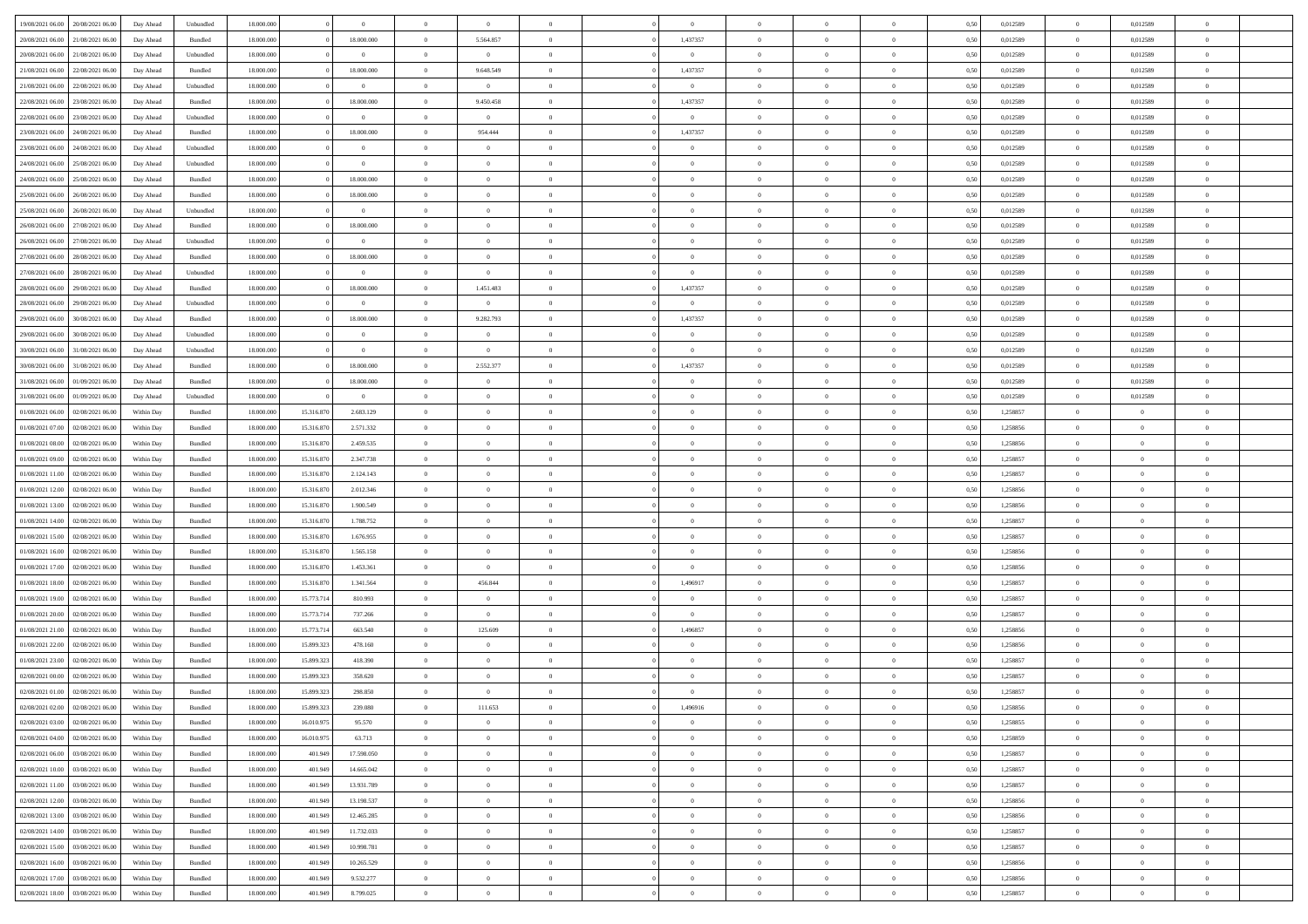| 19/08/2021 06:00 20/08/2021 06:00    | Day Ahead  | Unbundled | 18.000.000 |            | $\overline{0}$          | $\overline{0}$ | $\overline{0}$ | $\Omega$       | $\Omega$       | $\theta$       | $\Omega$       | $\overline{0}$ | 0,50 | 0,012589 | $\theta$       | 0,012589       | $\theta$       |  |
|--------------------------------------|------------|-----------|------------|------------|-------------------------|----------------|----------------|----------------|----------------|----------------|----------------|----------------|------|----------|----------------|----------------|----------------|--|
| 20/08/2021 06:00<br>21/08/2021 06:00 | Day Ahead  | Bundled   | 18.000.000 |            | 18.000.000              | $\overline{0}$ | 5.564.857      | $\overline{0}$ | 1,437357       | $\theta$       | $\overline{0}$ | $\bf{0}$       | 0,50 | 0,012589 | $\theta$       | 0,012589       | $\overline{0}$ |  |
| 20/08/2021 06:00<br>21/08/2021 06:00 | Day Ahead  | Unbundled | 18.000.000 |            | $\overline{0}$          | $\overline{0}$ | $\overline{0}$ | $\overline{0}$ | $\overline{0}$ | $\bf{0}$       | $\overline{0}$ | $\bf{0}$       | 0,50 | 0,012589 | $\bf{0}$       | 0,012589       | $\overline{0}$ |  |
| 21/08/2021 06:00<br>22/08/2021 06:00 | Day Ahead  | Bundled   | 18.000.000 |            | 18.000.000              | $\overline{0}$ | 9.648.549      | $\overline{0}$ | 1,437357       | $\overline{0}$ | $\overline{0}$ | $\overline{0}$ | 0.50 | 0.012589 | $\overline{0}$ | 0.012589       | $\overline{0}$ |  |
| 21/08/2021 06:00<br>22/08/2021 06:00 | Day Ahead  | Unbundled | 18.000.000 |            | $\overline{0}$          | $\overline{0}$ | $\overline{0}$ | $\overline{0}$ | $\overline{0}$ | $\overline{0}$ | $\overline{0}$ | $\bf{0}$       | 0,50 | 0,012589 | $\theta$       | 0,012589       | $\overline{0}$ |  |
| 22/08/2021 06:00<br>23/08/2021 06:00 | Day Ahead  | Bundled   | 18.000.000 |            | 18.000.000              | $\overline{0}$ | 9.450.458      | $\overline{0}$ | 1,437357       | $\overline{0}$ | $\overline{0}$ | $\bf{0}$       | 0,50 | 0,012589 | $\bf{0}$       | 0,012589       | $\bf{0}$       |  |
| 22/08/2021 06:00<br>23/08/2021 06:00 | Day Ahead  | Unbundled | 18.000.000 |            | $\bf{0}$                | $\overline{0}$ | $\overline{0}$ | $\overline{0}$ | $\overline{0}$ | $\overline{0}$ | $\overline{0}$ | $\overline{0}$ | 0.5( | 0,012589 | $\overline{0}$ | 0.012589       | $\overline{0}$ |  |
|                                      |            |           |            |            |                         |                |                |                |                |                |                |                |      |          |                |                |                |  |
| 23/08/2021 06:00<br>24/08/2021 06:00 | Day Ahead  | Bundled   | 18.000.000 |            | 18.000.000              | $\overline{0}$ | 954.444        | $\overline{0}$ | 1,437357       | $\overline{0}$ | $\overline{0}$ | $\bf{0}$       | 0,50 | 0,012589 | $\,$ 0 $\,$    | 0,012589       | $\overline{0}$ |  |
| 23/08/2021 06:00<br>24/08/2021 06.00 | Day Ahead  | Unbundled | 18.000.000 |            | $\overline{0}$          | $\overline{0}$ | $\bf{0}$       | $\overline{0}$ | $\overline{0}$ | $\overline{0}$ | $\bf{0}$       | $\bf{0}$       | 0,50 | 0,012589 | $\bf{0}$       | 0,012589       | $\overline{0}$ |  |
| 24/08/2021 06:00<br>25/08/2021 06:00 | Day Ahead  | Unbundled | 18.000.000 |            | $\bf{0}$                | $\overline{0}$ | $\overline{0}$ | $\overline{0}$ | $\overline{0}$ | $\overline{0}$ | $\overline{0}$ | $\bf{0}$       | 0.5( | 0,012589 | $\overline{0}$ | 0,012589       | $\overline{0}$ |  |
| 24/08/2021 06:00<br>25/08/2021 06:00 | Day Ahead  | Bundled   | 18.000.000 |            | 18.000.000              | $\overline{0}$ | $\overline{0}$ | $\overline{0}$ | $\overline{0}$ | $\theta$       | $\overline{0}$ | $\bf{0}$       | 0,50 | 0,012589 | $\,$ 0 $\,$    | 0,012589       | $\overline{0}$ |  |
| 25/08/2021 06:00<br>26/08/2021 06:00 | Day Ahead  | Bundled   | 18.000.000 |            | 18.000.000              | $\overline{0}$ | $\bf{0}$       | $\overline{0}$ | $\overline{0}$ | $\bf{0}$       | $\overline{0}$ | $\bf{0}$       | 0,50 | 0,012589 | $\bf{0}$       | 0,012589       | $\overline{0}$ |  |
| 25/08/2021 06:00<br>26/08/2021 06:00 | Day Ahead  | Unbundled | 18.000.000 |            | $\bf{0}$                | $\overline{0}$ | $\overline{0}$ | $\overline{0}$ | $\overline{0}$ | $\overline{0}$ | $\overline{0}$ | $\overline{0}$ | 0.5( | 0.012589 | $\overline{0}$ | 0.012589       | $\overline{0}$ |  |
| 26/08/2021 06:00<br>27/08/2021 06:00 | Day Ahead  | Bundled   | 18.000.000 |            | 18.000.000              | $\overline{0}$ | $\theta$       | $\overline{0}$ | $\overline{0}$ | $\overline{0}$ | $\overline{0}$ | $\bf{0}$       | 0,50 | 0,012589 | $\,$ 0 $\,$    | 0,012589       | $\overline{0}$ |  |
| 26/08/2021 06:00<br>27/08/2021 06:00 | Day Ahead  | Unbundled | 18.000.000 |            | $\bf{0}$                | $\overline{0}$ | $\overline{0}$ | $\overline{0}$ | $\overline{0}$ | $\overline{0}$ | $\overline{0}$ | $\bf{0}$       | 0,50 | 0,012589 | $\overline{0}$ | 0,012589       | $\bf{0}$       |  |
| 27/08/2021 06:00<br>28/08/2021 06:00 | Day Ahead  | Bundled   | 18.000.000 |            | 18.000.000              | $\overline{0}$ | $\overline{0}$ | $\overline{0}$ | $\overline{0}$ | $\overline{0}$ | $\overline{0}$ | $\overline{0}$ | 0.5( | 0,012589 | $\overline{0}$ | 0.012589       | $\overline{0}$ |  |
| 27/08/2021 06:00<br>28/08/2021 06:00 | Day Ahead  | Unbundled | 18.000.000 |            | $\overline{0}$          | $\overline{0}$ | $\overline{0}$ | $\overline{0}$ | $\overline{0}$ | $\theta$       | $\overline{0}$ | $\bf{0}$       | 0,50 | 0,012589 | $\theta$       | 0,012589       | $\overline{0}$ |  |
| 28/08/2021 06:00<br>29/08/2021 06:00 | Day Ahead  | Bundled   | 18.000.000 |            | 18.000.000              | $\overline{0}$ | 1.451.483      | $\overline{0}$ | 1,437357       | $\overline{0}$ | $\bf{0}$       | $\bf{0}$       | 0,50 | 0,012589 | $\overline{0}$ | 0,012589       | $\overline{0}$ |  |
| 28/08/2021 06:00<br>29/08/2021 06:00 | Day Ahead  | Unbundled | 18.000.000 |            | $\bf{0}$                | $\overline{0}$ | $\overline{0}$ | $\overline{0}$ | $\overline{0}$ | $\overline{0}$ | $\overline{0}$ | $\overline{0}$ | 0.5( | 0,012589 | $\overline{0}$ | 0.012589       | $\overline{0}$ |  |
| 29/08/2021 06:00<br>30/08/2021 06:00 | Day Ahead  | Bundled   | 18.000.000 |            | 18.000.000              | $\overline{0}$ | 9.282.793      | $\overline{0}$ | 1,437357       | $\overline{0}$ | $\overline{0}$ | $\bf{0}$       | 0,50 | 0,012589 | $\,$ 0 $\,$    | 0,012589       | $\overline{0}$ |  |
|                                      |            |           |            |            |                         |                |                |                |                |                |                |                |      |          |                |                |                |  |
| 29/08/2021 06:00<br>30/08/2021 06:00 | Day Ahead  | Unbundled | 18.000.000 |            | $\overline{0}$          | $\overline{0}$ | $\bf{0}$       | $\overline{0}$ | $\overline{0}$ | $\bf{0}$       | $\overline{0}$ | $\bf{0}$       | 0,50 | 0,012589 | $\overline{0}$ | 0,012589       | $\overline{0}$ |  |
| 30/08/2021 06:00<br>31/08/2021 06:00 | Day Ahead  | Unbundled | 18.000.000 |            | $\bf{0}$                | $\overline{0}$ | $\overline{0}$ | $\overline{0}$ | $\overline{0}$ | $\overline{0}$ | $\overline{0}$ | $\overline{0}$ | 0.50 | 0.012589 | $\overline{0}$ | 0.012589       | $\overline{0}$ |  |
| 30/08/2021 06:00<br>31/08/2021 06:00 | Day Ahead  | Bundled   | 18.000.000 |            | 18.000.000              | $\bf{0}$       | 2.552.377      | $\overline{0}$ | 1,437357       | $\theta$       | $\overline{0}$ | $\bf{0}$       | 0,50 | 0,012589 | $\theta$       | 0,012589       | $\overline{0}$ |  |
| 31/08/2021 06:00<br>01/09/2021 06:00 | Day Ahead  | Bundled   | 18.000.000 |            | 18.000.000              | $\overline{0}$ | $\bf{0}$       | $\overline{0}$ | $\overline{0}$ | $\overline{0}$ | $\overline{0}$ | $\bf{0}$       | 0,50 | 0,012589 | $\overline{0}$ | 0,012589       | $\bf{0}$       |  |
| 31/08/2021 06:00<br>01/09/2021 06:00 | Day Ahead  | Unbundled | 18.000.000 |            | $\overline{\mathbf{0}}$ | $\overline{0}$ | $\overline{0}$ | $\overline{0}$ | $\overline{0}$ | $\overline{0}$ | $\overline{0}$ | $\overline{0}$ | 0.5( | 0,012589 | $\overline{0}$ | 0.012589       | $\overline{0}$ |  |
| 01/08/2021 06:00<br>02/08/2021 06:00 | Within Day | Bundled   | 18.000.000 | 15.316.870 | 2.683.129               | $\bf{0}$       | $\overline{0}$ | $\overline{0}$ | $\overline{0}$ | $\theta$       | $\overline{0}$ | $\bf{0}$       | 0,50 | 1,258857 | $\theta$       | $\theta$       | $\overline{0}$ |  |
| 01/08/2021 07:00<br>02/08/2021 06:00 | Within Day | Bundled   | 18.000.000 | 15.316.870 | 2.571.332               | $\overline{0}$ | $\bf{0}$       | $\overline{0}$ | $\overline{0}$ | $\overline{0}$ | $\bf{0}$       | $\bf{0}$       | 0,50 | 1,258856 | $\bf{0}$       | $\overline{0}$ | $\overline{0}$ |  |
| 01/08/2021 08:00<br>02/08/2021 06:00 | Within Day | Bundled   | 18.000.000 | 15.316.870 | 2.459.535               | $\overline{0}$ | $\overline{0}$ | $\overline{0}$ | $\overline{0}$ | $\overline{0}$ | $\overline{0}$ | $\overline{0}$ | 0.5( | 1.258856 | $\overline{0}$ | $\theta$       | $\overline{0}$ |  |
| 01/08/2021 09:00<br>02/08/2021 06:00 | Within Day | Bundled   | 18.000.000 | 15.316.870 | 2.347.738               | $\bf{0}$       | $\overline{0}$ | $\overline{0}$ | $\overline{0}$ | $\theta$       | $\overline{0}$ | $\bf{0}$       | 0,50 | 1,258857 | $\,$ 0 $\,$    | $\theta$       | $\overline{0}$ |  |
| 01/08/2021 11:00<br>02/08/2021 06:00 | Within Day | Bundled   | 18.000.000 | 15.316.870 | 2.124.143               | $\overline{0}$ | $\bf{0}$       | $\overline{0}$ | $\overline{0}$ | $\bf{0}$       | $\overline{0}$ | $\bf{0}$       | 0,50 | 1,258857 | $\bf{0}$       | $\overline{0}$ | $\bf{0}$       |  |
| 01/08/2021 12:00<br>02/08/2021 06:00 | Within Day | Bundled   | 18,000,00  | 15.316.870 | 2.012.346               | $\overline{0}$ | $\overline{0}$ | $\overline{0}$ | $\Omega$       | $\Omega$       | $\Omega$       | $\overline{0}$ | 0.50 | 1,258856 | $\bf{0}$       | $\overline{0}$ | $\theta$       |  |
| 01/08/2021 13:00<br>02/08/2021 06:00 | Within Day | Bundled   | 18.000.000 | 15.316.870 | 1.900.549               | $\bf{0}$       | $\theta$       | $\overline{0}$ | $\overline{0}$ | $\overline{0}$ | $\overline{0}$ | $\bf{0}$       | 0,50 | 1,258856 | $\theta$       | $\theta$       | $\overline{0}$ |  |
| 01/08/2021 14:00<br>02/08/2021 06:00 | Within Day | Bundled   | 18.000.000 | 15.316.870 | 1.788.752               | $\overline{0}$ | $\bf{0}$       | $\overline{0}$ | $\overline{0}$ | $\overline{0}$ | $\overline{0}$ | $\bf{0}$       | 0,50 | 1,258857 | $\overline{0}$ | $\overline{0}$ | $\bf{0}$       |  |
| 01/08/2021 15:00<br>02/08/2021 06:00 | Within Day | Bundled   | 18,000,00  | 15.316.87  | 1.676.955               | $\overline{0}$ | $\overline{0}$ | $\Omega$       | $\Omega$       | $\overline{0}$ | $\Omega$       | $\overline{0}$ | 0.50 | 1,258857 | $\bf{0}$       | $\theta$       | $\theta$       |  |
| 01/08/2021 16:00<br>02/08/2021 06:00 | Within Day | Bundled   | 18.000.000 | 15.316.870 | 1.565.158               | $\bf{0}$       | $\overline{0}$ | $\overline{0}$ | $\overline{0}$ | $\theta$       | $\overline{0}$ | $\bf{0}$       | 0,50 | 1,258856 | $\theta$       | $\theta$       | $\overline{0}$ |  |
|                                      |            |           |            |            |                         |                |                |                |                |                |                |                |      |          |                |                |                |  |
| 01/08/2021 17:00<br>02/08/2021 06:00 | Within Day | Bundled   | 18.000.000 | 15.316.870 | 1.453.361               | $\overline{0}$ | $\overline{0}$ | $\overline{0}$ | $\overline{0}$ | $\overline{0}$ | $\overline{0}$ | $\bf{0}$       | 0,50 | 1,258856 | $\bf{0}$       | $\overline{0}$ | $\bf{0}$       |  |
| 01/08/2021 18:00<br>02/08/2021 06:00 | Within Day | Bundled   | 18,000,00  | 15.316.870 | 1.341.564               | $\overline{0}$ | 456,844        | $\Omega$       | 1.496917       | $\Omega$       | $\Omega$       | $\overline{0}$ | 0.50 | 1,258857 | $\bf{0}$       | $\theta$       | $\theta$       |  |
| 01/08/2021 19:00<br>02/08/2021 06:00 | Within Day | Bundled   | 18.000.000 | 15.773.714 | 810.993                 | $\bf{0}$       | $\overline{0}$ | $\overline{0}$ | $\overline{0}$ | $\theta$       | $\overline{0}$ | $\bf{0}$       | 0,50 | 1,258857 | $\,$ 0 $\,$    | $\theta$       | $\overline{0}$ |  |
| 01/08/2021 20:00<br>02/08/2021 06:00 | Within Day | Bundled   | 18.000.000 | 15.773.714 | 737.266                 | $\overline{0}$ | $\overline{0}$ | $\overline{0}$ | $\overline{0}$ | $\overline{0}$ | $\overline{0}$ | $\bf{0}$       | 0,50 | 1,258857 | $\bf{0}$       | $\overline{0}$ | $\bf{0}$       |  |
| 01/08/2021 21:00<br>02/08/2021 06:00 | Within Day | Bundled   | 18,000,00  | 15.773.714 | 663.540                 | $\overline{0}$ | 125.609        | $\overline{0}$ | 1,496857       | $\Omega$       | $\Omega$       | $\overline{0}$ | 0.50 | 1,258856 | $\bf{0}$       | $\overline{0}$ | $\theta$       |  |
| 01/08/2021 22:00<br>02/08/2021 06:00 | Within Day | Bundled   | 18.000.000 | 15.899.323 | 478.160                 | $\bf{0}$       | $\overline{0}$ | $\overline{0}$ | $\overline{0}$ | $\overline{0}$ | $\overline{0}$ | $\bf{0}$       | 0,50 | 1,258856 | $\,$ 0 $\,$    | $\theta$       | $\overline{0}$ |  |
| 01/08/2021 23:00<br>02/08/2021 06:00 | Within Day | Bundled   | 18.000.000 | 15.899.323 | 418.390                 | $\overline{0}$ | $\bf{0}$       | $\overline{0}$ | $\overline{0}$ | $\overline{0}$ | $\overline{0}$ | $\bf{0}$       | 0,50 | 1,258857 | $\overline{0}$ | $\overline{0}$ | $\bf{0}$       |  |
| 02/08/2021 00:00<br>02/08/2021 06:00 | Within Day | Bundled   | 18,000,00  | 15.899.32  | 358.620                 | $\overline{0}$ | $\overline{0}$ | $\Omega$       | $\Omega$       | $\Omega$       | $\theta$       | $\overline{0}$ | 0.50 | 1,258857 | $\theta$       | $\overline{0}$ | $\theta$       |  |
| 02/08/2021 01:00 02/08/2021 06:00    | Within Day | Bundled   | 18.000.000 | 15.899.323 | 298.850                 | $\overline{0}$ | $\bf{0}$       | $\overline{0}$ | $\overline{0}$ | $\overline{0}$ | $\overline{0}$ | $\bf{0}$       | 0,50 | 1,258857 | $\bf{0}$       | $\,$ 0 $\,$    | $\overline{0}$ |  |
| 02/08/2021 02:00 02/08/2021 06:00    | Within Day | Bundled   | 18.000.000 | 15.899.323 | 239.080                 | $\bf{0}$       | 111.653        |                | 1,496916       |                |                |                | 0,50 | 1,258856 | $\bf{0}$       | $\bf{0}$       |                |  |
| 02/08/2021 03:00 02/08/2021 06:00    | Within Day | Bundled   | 18,000,000 | 16.010.97  | 95.570                  | $\Omega$       | $\overline{0}$ | $\Omega$       | $\theta$       | $\Omega$       | $\theta$       | $\overline{0}$ | 0.50 | 1,258855 | $\theta$       | $\theta$       | $\theta$       |  |
| 02/08/2021 04:00<br>02/08/2021 06:00 | Within Day | Bundled   | 18.000.000 | 16.010.975 | 63.713                  | $\overline{0}$ | $\overline{0}$ | $\overline{0}$ | $\overline{0}$ | $\,$ 0 $\,$    | $\overline{0}$ | $\,$ 0 $\,$    | 0,50 | 1,258859 | $\,$ 0 $\,$    | $\,$ 0 $\,$    | $\bf{0}$       |  |
| 02/08/2021 06:00<br>03/08/2021 06:00 | Within Day | Bundled   | 18.000.000 | 401.949    | 17.598.050              | $\overline{0}$ | $\overline{0}$ | $\overline{0}$ | $\overline{0}$ | $\overline{0}$ | $\overline{0}$ | $\bf{0}$       | 0,50 | 1,258857 | $\overline{0}$ | $\bf{0}$       | $\overline{0}$ |  |
| 02/08/2021 10:00<br>03/08/2021 06:00 | Within Day | Bundled   | 18,000,000 | 401.949    | 14.665.042              | $\overline{0}$ | $\overline{0}$ | $\overline{0}$ | $\overline{0}$ | $\overline{0}$ | $\overline{0}$ | $\bf{0}$       | 0,50 | 1,258857 | $\bf{0}$       | $\theta$       | $\overline{0}$ |  |
| 02/08/2021 11:00<br>03/08/2021 06:00 | Within Day | Bundled   | 18.000.000 | 401.949    | 13.931.789              | $\overline{0}$ | $\overline{0}$ | $\overline{0}$ | $\overline{0}$ | $\overline{0}$ | $\overline{0}$ | $\bf{0}$       | 0,50 | 1,258857 | $\,$ 0 $\,$    | $\theta$       | $\overline{0}$ |  |
|                                      |            |           |            |            |                         |                |                |                |                |                |                |                |      |          |                |                |                |  |
| 02/08/2021 12:00 03/08/2021 06:00    | Within Day | Bundled   | 18.000.000 | 401.949    | 13.198.537              | $\overline{0}$ | $\overline{0}$ | $\overline{0}$ | $\overline{0}$ | $\bf{0}$       | $\overline{0}$ | $\bf{0}$       | 0,50 | 1,258856 | $\overline{0}$ | $\overline{0}$ | $\overline{0}$ |  |
| 02/08/2021 13:00<br>03/08/2021 06:00 | Within Day | Bundled   | 18,000,000 | 401.949    | 12.465.285              | $\overline{0}$ | $\overline{0}$ | $\overline{0}$ | $\overline{0}$ | $\overline{0}$ | $\overline{0}$ | $\bf{0}$       | 0.50 | 1,258856 | $\overline{0}$ | $\theta$       | $\overline{0}$ |  |
| 02/08/2021 14:00<br>03/08/2021 06:00 | Within Day | Bundled   | 18.000.000 | 401.949    | 11.732.033              | $\overline{0}$ | $\bf{0}$       | $\overline{0}$ | $\overline{0}$ | $\overline{0}$ | $\overline{0}$ | $\bf{0}$       | 0,50 | 1,258857 | $\,$ 0 $\,$    | $\theta$       | $\overline{0}$ |  |
| 02/08/2021 15:00 03/08/2021 06:00    | Within Day | Bundled   | 18.000.000 | 401.949    | 10.998.781              | $\overline{0}$ | $\bf{0}$       | $\overline{0}$ | $\overline{0}$ | $\overline{0}$ | $\overline{0}$ | $\bf{0}$       | 0,50 | 1,258857 | $\overline{0}$ | $\overline{0}$ | $\bf{0}$       |  |
| 02/08/2021 16:00<br>03/08/2021 06:00 | Within Day | Bundled   | 18,000,000 | 401.949    | 10.265.529              | $\overline{0}$ | $\overline{0}$ | $\overline{0}$ | $\overline{0}$ | $\overline{0}$ | $\overline{0}$ | $\bf{0}$       | 0.50 | 1,258856 | $\overline{0}$ | $\theta$       | $\overline{0}$ |  |
| 02/08/2021 17:00<br>03/08/2021 06:00 | Within Day | Bundled   | 18.000.000 | 401.949    | 9.532.277               | $\overline{0}$ | $\,$ 0         | $\overline{0}$ | $\overline{0}$ | $\bf{0}$       | $\bf{0}$       | $\bf{0}$       | 0,50 | 1,258856 | $\,$ 0 $\,$    | $\,$ 0 $\,$    | $\bf{0}$       |  |
| 02/08/2021 18:00 03/08/2021 06:00    | Within Day | Bundled   | 18.000.000 | 401.949    | 8.799.025               | $\overline{0}$ | $\bf{0}$       | $\overline{0}$ | $\overline{0}$ | $\overline{0}$ | $\overline{0}$ | $\bf{0}$       | 0,50 | 1,258857 | $\overline{0}$ | $\bf{0}$       | $\overline{0}$ |  |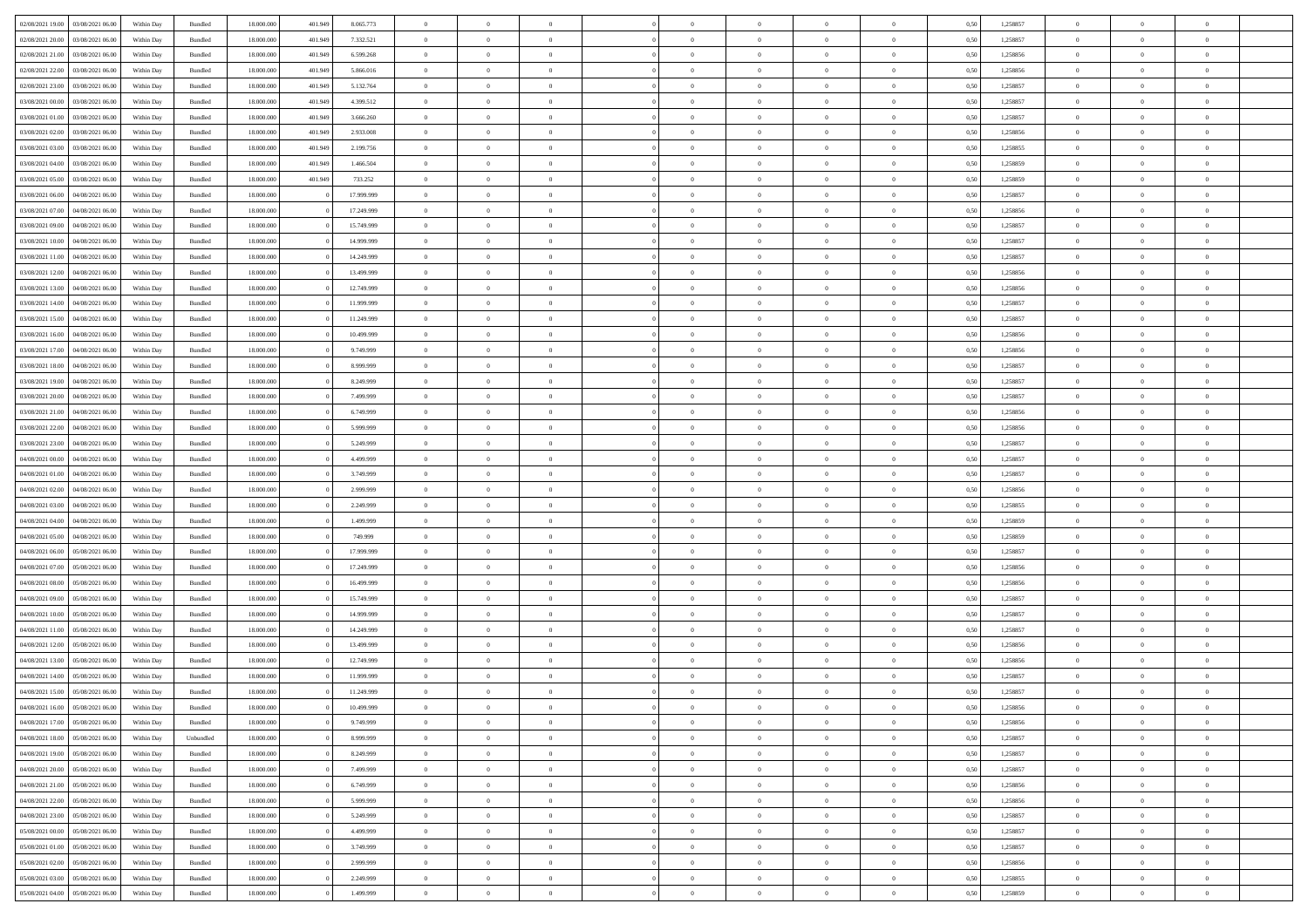| 02/08/2021 19:00 03/08/2021 06:00    | Within Day | Bundled   | 18.000.000 | 401.949 | 8.065.773  | $\overline{0}$ | $\overline{0}$ | $\Omega$       | $\Omega$       | $\theta$       | $\Omega$       | $\theta$       | 0,50 | 1,258857 | $\theta$       | $\theta$       | $\theta$       |  |
|--------------------------------------|------------|-----------|------------|---------|------------|----------------|----------------|----------------|----------------|----------------|----------------|----------------|------|----------|----------------|----------------|----------------|--|
| 02/08/2021 20:00<br>03/08/2021 06:00 | Within Day | Bundled   | 18.000.000 | 401.949 | 7.332.521  | $\overline{0}$ | $\overline{0}$ | $\overline{0}$ | $\overline{0}$ | $\theta$       | $\overline{0}$ | $\,$ 0 $\,$    | 0,50 | 1,258857 | $\theta$       | $\theta$       | $\overline{0}$ |  |
| 02/08/2021 21:00<br>03/08/2021 06:00 | Within Day | Bundled   | 18.000.000 | 401.949 | 6.599.268  | $\overline{0}$ | $\bf{0}$       | $\overline{0}$ | $\overline{0}$ | $\overline{0}$ | $\overline{0}$ | $\bf{0}$       | 0,50 | 1,258856 | $\bf{0}$       | $\overline{0}$ | $\overline{0}$ |  |
| 02/08/2021 22:00<br>03/08/2021 06:00 | Within Day | Bundled   | 18.000.000 | 401.949 | 5.866,016  | $\overline{0}$ | $\overline{0}$ | $\overline{0}$ | $\overline{0}$ | $\overline{0}$ | $\overline{0}$ | $\overline{0}$ | 0.50 | 1.258856 | $\theta$       | $\theta$       | $\overline{0}$ |  |
| 02/08/2021 23:00<br>03/08/2021 06:00 | Within Day | Bundled   | 18.000.000 | 401.949 | 5.132.764  | $\overline{0}$ | $\overline{0}$ | $\overline{0}$ | $\overline{0}$ | $\theta$       | $\overline{0}$ | $\bf{0}$       | 0,50 | 1,258857 | $\theta$       | $\theta$       | $\overline{0}$ |  |
|                                      |            |           |            |         |            |                |                |                |                |                |                |                |      |          |                |                |                |  |
| 03/08/2021 00:00<br>03/08/2021 06:00 | Within Day | Bundled   | 18.000.000 | 401.949 | 4.399.512  | $\overline{0}$ | $\bf{0}$       | $\overline{0}$ | $\overline{0}$ | $\overline{0}$ | $\overline{0}$ | $\bf{0}$       | 0,50 | 1,258857 | $\bf{0}$       | $\overline{0}$ | $\bf{0}$       |  |
| 03/08/2021 01:00<br>03/08/2021 06:00 | Within Day | Bundled   | 18.000.000 | 401.949 | 3.666.260  | $\overline{0}$ | $\overline{0}$ | $\overline{0}$ | $\overline{0}$ | $\overline{0}$ | $\overline{0}$ | $\overline{0}$ | 0.5( | 1,258857 | $\theta$       | $\theta$       | $\overline{0}$ |  |
| 03/08/2021 02:00<br>03/08/2021 06:00 | Within Day | Bundled   | 18.000.000 | 401.949 | 2.933.008  | $\bf{0}$       | $\theta$       | $\overline{0}$ | $\overline{0}$ | $\theta$       | $\overline{0}$ | $\bf{0}$       | 0,50 | 1,258856 | $\theta$       | $\theta$       | $\overline{0}$ |  |
| 03/08/2021 03:00<br>03/08/2021 06:00 | Within Day | Bundled   | 18.000.000 | 401.949 | 2.199.756  | $\overline{0}$ | $\bf{0}$       | $\overline{0}$ | $\overline{0}$ | $\overline{0}$ | $\bf{0}$       | $\bf{0}$       | 0,50 | 1,258855 | $\bf{0}$       | $\bf{0}$       | $\overline{0}$ |  |
| 03/08/2021 04:00<br>03/08/2021 06:00 | Within Day | Bundled   | 18.000.000 | 401.949 | 1.466.504  | $\overline{0}$ | $\overline{0}$ | $\overline{0}$ | $\overline{0}$ | $\overline{0}$ | $\overline{0}$ | $\overline{0}$ | 0.50 | 1.258859 | $\theta$       | $\theta$       | $\overline{0}$ |  |
| 03/08/2021 05:00<br>03/08/2021 06:00 | Within Day | Bundled   | 18.000.000 | 401.949 | 733.252    | $\bf{0}$       | $\overline{0}$ | $\overline{0}$ | $\overline{0}$ | $\theta$       | $\overline{0}$ | $\bf{0}$       | 0,50 | 1,258859 | $\theta$       | $\theta$       | $\overline{0}$ |  |
| 03/08/2021 06:00<br>04/08/2021 06:00 | Within Day | Bundled   | 18.000.000 |         | 17.999.999 | $\overline{0}$ | $\bf{0}$       | $\overline{0}$ | $\overline{0}$ | $\bf{0}$       | $\overline{0}$ | $\bf{0}$       | 0,50 | 1,258857 | $\bf{0}$       | $\overline{0}$ | $\overline{0}$ |  |
| 03/08/2021 07:00<br>04/08/2021 06:00 | Within Day | Bundled   | 18.000.000 |         | 17.249.999 | $\overline{0}$ | $\overline{0}$ | $\overline{0}$ | $\overline{0}$ | $\overline{0}$ | $\overline{0}$ | $\overline{0}$ | 0.5( | 1.258856 | $\theta$       | $\theta$       | $\overline{0}$ |  |
| 03/08/2021 09:00<br>04/08/2021 06:00 | Within Day | Bundled   | 18.000.000 |         | 15.749.999 | $\overline{0}$ | $\overline{0}$ | $\overline{0}$ | $\overline{0}$ | $\theta$       | $\overline{0}$ | $\,$ 0 $\,$    | 0,50 | 1,258857 | $\theta$       | $\theta$       | $\overline{0}$ |  |
| 03/08/2021 10:00<br>04/08/2021 06:00 | Within Day | Bundled   | 18.000.000 |         | 14.999.999 | $\overline{0}$ | $\bf{0}$       | $\overline{0}$ | $\overline{0}$ | $\bf{0}$       | $\overline{0}$ | $\bf{0}$       | 0,50 | 1,258857 | $\bf{0}$       | $\overline{0}$ | $\bf{0}$       |  |
| 03/08/2021 11:00<br>04/08/2021 06:00 | Within Day | Bundled   | 18.000.000 |         | 14.249.999 | $\overline{0}$ | $\overline{0}$ | $\overline{0}$ | $\overline{0}$ | $\overline{0}$ | $\overline{0}$ | $\overline{0}$ | 0.5( | 1,258857 | $\theta$       | $\theta$       | $\overline{0}$ |  |
| 03/08/2021 12:00<br>04/08/2021 06:00 | Within Day | Bundled   | 18.000.000 |         | 13.499.999 | $\bf{0}$       | $\theta$       | $\overline{0}$ | $\overline{0}$ | $\theta$       | $\overline{0}$ | $\bf{0}$       | 0,50 | 1,258856 | $\theta$       | $\theta$       | $\overline{0}$ |  |
|                                      |            |           |            |         |            |                |                |                |                |                |                |                |      |          |                |                |                |  |
| 03/08/2021 13:00<br>04/08/2021 06:00 | Within Day | Bundled   | 18.000.000 |         | 12.749.999 | $\overline{0}$ | $\bf{0}$       | $\bf{0}$       | $\overline{0}$ | $\overline{0}$ | $\bf{0}$       | $\bf{0}$       | 0,50 | 1,258856 | $\bf{0}$       | $\overline{0}$ | $\overline{0}$ |  |
| 03/08/2021 14:00<br>04/08/2021 06:00 | Within Day | Bundled   | 18.000.000 |         | 11.999.999 | $\overline{0}$ | $\overline{0}$ | $\overline{0}$ | $\overline{0}$ | $\overline{0}$ | $\overline{0}$ | $\overline{0}$ | 0.50 | 1,258857 | $\theta$       | $\theta$       | $\overline{0}$ |  |
| 03/08/2021 15:00<br>04/08/2021 06:00 | Within Day | Bundled   | 18.000.000 |         | 11.249.999 | $\bf{0}$       | $\overline{0}$ | $\overline{0}$ | $\overline{0}$ | $\theta$       | $\overline{0}$ | $\bf{0}$       | 0,50 | 1,258857 | $\theta$       | $\theta$       | $\overline{0}$ |  |
| 03/08/2021 16:00<br>04/08/2021 06:00 | Within Day | Bundled   | 18.000.000 |         | 10.499.999 | $\overline{0}$ | $\bf{0}$       | $\overline{0}$ | $\overline{0}$ | $\bf{0}$       | $\overline{0}$ | $\bf{0}$       | 0,50 | 1,258856 | $\bf{0}$       | $\overline{0}$ | $\overline{0}$ |  |
| 03/08/2021 17:00<br>04/08/2021 06:00 | Within Day | Bundled   | 18.000.000 |         | 9.749.999  | $\overline{0}$ | $\overline{0}$ | $\overline{0}$ | $\overline{0}$ | $\overline{0}$ | $\overline{0}$ | $\overline{0}$ | 0.50 | 1.258856 | $\theta$       | $\theta$       | $\overline{0}$ |  |
| 03/08/2021 18:00<br>04/08/2021 06:00 | Within Day | Bundled   | 18.000.000 |         | 8.999.999  | $\overline{0}$ | $\overline{0}$ | $\overline{0}$ | $\overline{0}$ | $\theta$       | $\overline{0}$ | $\bf{0}$       | 0,50 | 1,258857 | $\theta$       | $\theta$       | $\overline{0}$ |  |
| 03/08/2021 19:00<br>04/08/2021 06:00 | Within Day | Bundled   | 18.000.000 |         | 8.249.999  | $\overline{0}$ | $\bf{0}$       | $\overline{0}$ | $\overline{0}$ | $\overline{0}$ | $\overline{0}$ | $\bf{0}$       | 0,50 | 1,258857 | $\bf{0}$       | $\overline{0}$ | $\bf{0}$       |  |
| 03/08/2021 20:00<br>04/08/2021 06:00 | Within Day | Bundled   | 18.000.000 |         | 7.499.999  | $\overline{0}$ | $\overline{0}$ | $\overline{0}$ | $\overline{0}$ | $\overline{0}$ | $\overline{0}$ | $\overline{0}$ | 0.5( | 1,258857 | $\theta$       | $\theta$       | $\overline{0}$ |  |
| 03/08/2021 21:00<br>04/08/2021 06:00 | Within Day | Bundled   | 18.000.000 |         | 6.749.999  | $\overline{0}$ | $\overline{0}$ | $\overline{0}$ | $\overline{0}$ | $\theta$       | $\overline{0}$ | $\bf{0}$       | 0,50 | 1,258856 | $\theta$       | $\theta$       | $\overline{0}$ |  |
| 03/08/2021 22:00<br>04/08/2021 06:00 | Within Day | Bundled   | 18.000.000 |         | 5.999.999  | $\overline{0}$ | $\bf{0}$       | $\overline{0}$ | $\overline{0}$ | $\overline{0}$ | $\bf{0}$       | $\bf{0}$       | 0,50 | 1,258856 | $\bf{0}$       | $\bf{0}$       | $\overline{0}$ |  |
| 03/08/2021 23:00<br>04/08/2021 06:00 | Within Day | Bundled   | 18.000.000 |         | 5.249.999  | $\overline{0}$ | $\overline{0}$ | $\overline{0}$ | $\overline{0}$ | $\overline{0}$ | $\overline{0}$ | $\overline{0}$ | 0.5( | 1,258857 | $\theta$       | $\theta$       | $\overline{0}$ |  |
| 04/08/2021 00:00<br>04/08/2021 06:00 | Within Day | Bundled   | 18.000.000 |         | 4.499.999  | $\bf{0}$       | $\overline{0}$ | $\overline{0}$ | $\overline{0}$ | $\theta$       | $\overline{0}$ | $\bf{0}$       | 0,50 | 1,258857 | $\theta$       | $\theta$       | $\overline{0}$ |  |
| 04/08/2021 01:00<br>04/08/2021 06:00 | Within Day | Bundled   | 18.000.000 |         | 3.749.999  | $\overline{0}$ | $\bf{0}$       | $\overline{0}$ | $\overline{0}$ | $\overline{0}$ | $\overline{0}$ | $\bf{0}$       | 0,50 | 1,258857 | $\bf{0}$       | $\overline{0}$ | $\overline{0}$ |  |
| 04/08/2021 02:00<br>04/08/2021 06:00 |            | Bundled   | 18,000,000 |         | 2.999.999  | $\overline{0}$ | $\overline{0}$ | $\Omega$       | $\Omega$       | $\Omega$       | $\theta$       | $\overline{0}$ | 0.50 | 1,258856 | $\,$ 0 $\,$    | $\overline{0}$ | $\theta$       |  |
|                                      | Within Day |           |            |         |            |                | $\overline{0}$ | $\overline{0}$ | $\overline{0}$ | $\theta$       | $\overline{0}$ |                |      |          | $\theta$       | $\theta$       | $\overline{0}$ |  |
| 04/08/2021 03:00<br>04/08/2021 06:00 | Within Day | Bundled   | 18.000.000 |         | 2.249.999  | $\bf{0}$       |                |                |                |                |                | $\bf{0}$       | 0,50 | 1,258855 |                |                |                |  |
| 04/08/2021 04:00<br>04/08/2021 06:00 | Within Day | Bundled   | 18.000.000 |         | 1.499.999  | $\overline{0}$ | $\bf{0}$       | $\overline{0}$ | $\overline{0}$ | $\bf{0}$       | $\overline{0}$ | $\bf{0}$       | 0,50 | 1,258859 | $\bf{0}$       | $\overline{0}$ | $\bf{0}$       |  |
| 04/08/2021 05:00<br>04/08/2021 06:00 | Within Day | Bundled   | 18,000,000 |         | 749.999    | $\overline{0}$ | $\overline{0}$ | $\Omega$       | $\Omega$       | $\overline{0}$ | $\Omega$       | $\overline{0}$ | 0.50 | 1,258859 | $\bf{0}$       | $\overline{0}$ | $\theta$       |  |
| 04/08/2021 06:00<br>05/08/2021 06:00 | Within Day | Bundled   | 18.000.000 |         | 17.999.999 | $\bf{0}$       | $\overline{0}$ | $\overline{0}$ | $\overline{0}$ | $\theta$       | $\overline{0}$ | $\bf{0}$       | 0,50 | 1,258857 | $\theta$       | $\theta$       | $\overline{0}$ |  |
| 04/08/2021 07:00<br>05/08/2021 06:00 | Within Day | Bundled   | 18.000.000 |         | 17.249.999 | $\overline{0}$ | $\bf{0}$       | $\overline{0}$ | $\overline{0}$ | $\overline{0}$ | $\bf{0}$       | $\bf{0}$       | 0,50 | 1,258856 | $\bf{0}$       | $\bf{0}$       | $\overline{0}$ |  |
| 04/08/2021 08:00<br>05/08/2021 06:00 | Within Day | Bundled   | 18,000,000 |         | 16.499.999 | $\overline{0}$ | $\overline{0}$ | $\Omega$       | $\Omega$       | $\Omega$       | $\Omega$       | $\overline{0}$ | 0.50 | 1,258856 | $\theta$       | $\Omega$       | $\theta$       |  |
| 04/08/2021 09:00<br>05/08/2021 06:00 | Within Day | Bundled   | 18.000.000 |         | 15.749.999 | $\bf{0}$       | $\overline{0}$ | $\overline{0}$ | $\overline{0}$ | $\theta$       | $\overline{0}$ | $\bf{0}$       | 0,50 | 1,258857 | $\theta$       | $\theta$       | $\overline{0}$ |  |
| 04/08/2021 10:00<br>05/08/2021 06:00 | Within Day | Bundled   | 18.000.000 |         | 14.999.999 | $\overline{0}$ | $\bf{0}$       | $\overline{0}$ | $\overline{0}$ | $\overline{0}$ | $\overline{0}$ | $\bf{0}$       | 0,50 | 1,258857 | $\bf{0}$       | $\overline{0}$ | $\overline{0}$ |  |
| 04/08/2021 11:00<br>05/08/2021 06:00 | Within Day | Bundled   | 18,000,000 |         | 14.249.999 | $\overline{0}$ | $\overline{0}$ | $\Omega$       | $\Omega$       | $\theta$       | $\theta$       | $\overline{0}$ | 0.50 | 1,258857 | $\,$ 0 $\,$    | $\overline{0}$ | $\theta$       |  |
| 04/08/2021 12:00<br>05/08/2021 06:00 | Within Day | Bundled   | 18.000.000 |         | 13.499.999 | $\bf{0}$       | $\overline{0}$ | $\overline{0}$ | $\overline{0}$ | $\theta$       | $\overline{0}$ | $\bf{0}$       | 0,50 | 1,258856 | $\theta$       | $\theta$       | $\overline{0}$ |  |
| 04/08/2021 13:00<br>05/08/2021 06:00 | Within Day | Bundled   | 18.000.000 |         | 12.749.999 | $\overline{0}$ | $\bf{0}$       | $\overline{0}$ | $\overline{0}$ | $\bf{0}$       | $\overline{0}$ | $\bf{0}$       | 0,50 | 1,258856 | $\bf{0}$       | $\overline{0}$ | $\bf{0}$       |  |
| 04/08/2021 14:00<br>05/08/2021 06:00 | Within Day | Bundled   | 18,000,000 |         | 11.999.999 | $\overline{0}$ | $\Omega$       | $\Omega$       | $\Omega$       | $\Omega$       | $\theta$       | $\overline{0}$ | 0.50 | 1,258857 | $\theta$       | $\overline{0}$ | $\theta$       |  |
| 04/08/2021 15:00<br>05/08/2021 06:00 | Within Day | Bundled   | 18.000.000 |         | 11.249.999 | $\bf{0}$       | $\bf{0}$       | $\overline{0}$ | $\overline{0}$ | $\overline{0}$ | $\bf{0}$       | $\bf{0}$       | 0,50 | 1,258857 | $\bf{0}$       | $\,$ 0 $\,$    | $\overline{0}$ |  |
| 04/08/2021 16:00 05/08/2021 06:00    | Within Day | Bundled   | 18.000.000 |         | 10.499.999 | $\bf{0}$       | $\bf{0}$       |                | $\bf{0}$       |                |                |                | 0,50 | 1,258856 | $\bf{0}$       | $\bf{0}$       |                |  |
| 04/08/2021 17:00 05/08/2021 06:00    | Within Day | Bundled   | 18,000,000 |         | 9.749.999  | $\Omega$       | $\overline{0}$ | $\Omega$       | $\theta$       | $\Omega$       | $\theta$       | $\overline{0}$ | 0.50 |          | $\theta$       | $\theta$       | $\theta$       |  |
|                                      |            |           |            |         |            |                | $\overline{0}$ |                |                | $\overline{0}$ |                |                |      | 1,258856 | $\,$ 0 $\,$    | $\,$ 0 $\,$    | $\,$ 0         |  |
| 04/08/2021 18:00<br>05/08/2021 06:00 | Within Day | Unbundled | 18.000.000 |         | 8.999.999  | $\overline{0}$ |                | $\overline{0}$ | $\overline{0}$ |                | $\overline{0}$ | $\,$ 0 $\,$    | 0,50 | 1,258857 |                |                |                |  |
| 04/08/2021 19:00  05/08/2021 06:00   | Within Day | Bundled   | 18.000.000 |         | 8.249.999  | $\overline{0}$ | $\overline{0}$ | $\overline{0}$ | $\overline{0}$ | $\overline{0}$ | $\overline{0}$ | $\bf{0}$       | 0,50 | 1,258857 | $\overline{0}$ | $\bf{0}$       | $\overline{0}$ |  |
| 05/08/2021 06:00<br>04/08/2021 20:00 | Within Day | Bundled   | 18.000.000 |         | 7.499.999  | $\overline{0}$ | $\bf{0}$       | $\overline{0}$ | $\overline{0}$ | $\overline{0}$ | $\overline{0}$ | $\bf{0}$       | 0,50 | 1,258857 | $\bf{0}$       | $\theta$       | $\overline{0}$ |  |
| 04/08/2021 21:00<br>05/08/2021 06:00 | Within Day | Bundled   | 18.000.000 |         | 6.749.999  | $\overline{0}$ | $\overline{0}$ | $\overline{0}$ | $\overline{0}$ | $\overline{0}$ | $\overline{0}$ | $\bf{0}$       | 0,50 | 1,258856 | $\,$ 0 $\,$    | $\,$ 0 $\,$    | $\overline{0}$ |  |
| 04/08/2021 22:00<br>05/08/2021 06:00 | Within Day | Bundled   | 18.000.000 |         | 5.999.999  | $\overline{0}$ | $\overline{0}$ | $\overline{0}$ | $\overline{0}$ | $\bf{0}$       | $\overline{0}$ | $\bf{0}$       | 0,50 | 1,258856 | $\overline{0}$ | $\overline{0}$ | $\overline{0}$ |  |
| 04/08/2021 23:00<br>05/08/2021 06:00 | Within Day | Bundled   | 18,000,000 |         | 5.249.999  | $\overline{0}$ | $\overline{0}$ | $\overline{0}$ | $\overline{0}$ | $\overline{0}$ | $\overline{0}$ | $\bf{0}$       | 0.50 | 1,258857 | $\overline{0}$ | $\theta$       | $\overline{0}$ |  |
| 05/08/2021 00:00<br>05/08/2021 06:00 | Within Day | Bundled   | 18.000.000 |         | 4.499.999  | $\overline{0}$ | $\overline{0}$ | $\overline{0}$ | $\overline{0}$ | $\overline{0}$ | $\overline{0}$ | $\bf{0}$       | 0,50 | 1,258857 | $\,$ 0 $\,$    | $\bf{0}$       | $\overline{0}$ |  |
| 05/08/2021 06:00<br>05/08/2021 01:00 | Within Day | Bundled   | 18.000.000 |         | 3.749.999  | $\overline{0}$ | $\bf{0}$       | $\overline{0}$ | $\overline{0}$ | $\overline{0}$ | $\overline{0}$ | $\bf{0}$       | 0,50 | 1,258857 | $\overline{0}$ | $\overline{0}$ | $\bf{0}$       |  |
| 05/08/2021 02:00<br>05/08/2021 06:00 | Within Day | Bundled   | 18,000,000 |         | 2.999.999  | $\overline{0}$ | $\overline{0}$ | $\overline{0}$ | $\overline{0}$ | $\overline{0}$ | $\overline{0}$ | $\bf{0}$       | 0.50 | 1,258856 | $\overline{0}$ | $\overline{0}$ | $\overline{0}$ |  |
| 05/08/2021 03:00<br>05/08/2021 06:00 | Within Day | Bundled   | 18.000.000 |         | 2.249.999  | $\overline{0}$ | $\,$ 0         | $\overline{0}$ | $\overline{0}$ | $\overline{0}$ | $\overline{0}$ | $\bf{0}$       | 0,50 | 1,258855 | $\,$ 0 $\,$    | $\,$ 0 $\,$    | $\bf{0}$       |  |
| 05/08/2021 04:00 05/08/2021 06:00    | Within Day | Bundled   | 18.000.000 |         | 1.499.999  | $\overline{0}$ | $\bf{0}$       | $\overline{0}$ | $\overline{0}$ | $\overline{0}$ | $\overline{0}$ | $\bf{0}$       | 0,50 | 1,258859 | $\overline{0}$ | $\bf{0}$       | $\overline{0}$ |  |
|                                      |            |           |            |         |            |                |                |                |                |                |                |                |      |          |                |                |                |  |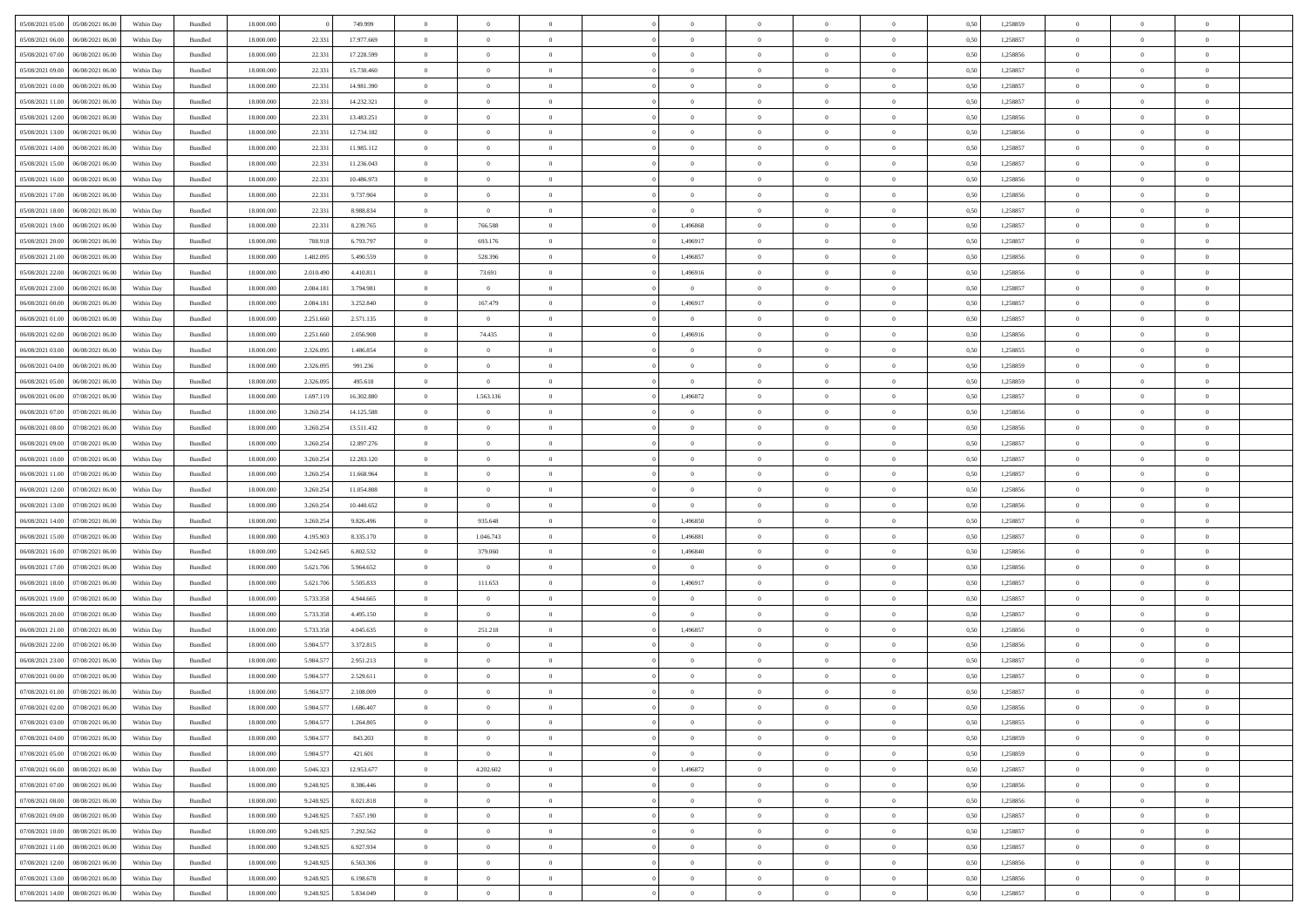| 05/08/2021 05:00 05/08/2021 06:00    | Within Day | Bundled | 18.000.000 |           | 749.999    | $\overline{0}$ | $\theta$       | $\Omega$       | $\Omega$       | $\theta$       | $\theta$       | $\theta$       | 0,50 | 1,258859 | $\theta$                   | $\Omega$       | $\theta$       |  |
|--------------------------------------|------------|---------|------------|-----------|------------|----------------|----------------|----------------|----------------|----------------|----------------|----------------|------|----------|----------------------------|----------------|----------------|--|
| 05/08/2021 06:00<br>06/08/2021 06:00 | Within Day | Bundled | 18.000.000 | 22.331    | 17.977.669 | $\overline{0}$ | $\overline{0}$ | $\overline{0}$ | $\overline{0}$ | $\theta$       | $\overline{0}$ | $\bf{0}$       | 0,50 | 1,258857 | $\theta$                   | $\theta$       | $\overline{0}$ |  |
| 05/08/2021 07:00<br>06/08/2021 06:00 | Within Day | Bundled | 18.000.000 | 22.331    | 17.228.599 | $\overline{0}$ | $\bf{0}$       | $\overline{0}$ | $\overline{0}$ | $\bf{0}$       | $\overline{0}$ | $\bf{0}$       | 0,50 | 1,258856 | $\bf{0}$                   | $\overline{0}$ | $\overline{0}$ |  |
| 05/08/2021 09:00<br>06/08/2021 06:00 | Within Day | Bundled | 18.000.000 | 22.33     | 15.730.460 | $\overline{0}$ | $\overline{0}$ | $\overline{0}$ | $\overline{0}$ | $\overline{0}$ | $\overline{0}$ | $\overline{0}$ | 0.50 | 1.258857 | $\theta$                   | $\theta$       | $\overline{0}$ |  |
| 05/08/2021 10:00<br>06/08/2021 06:00 | Within Day | Bundled | 18.000.000 | 22.331    | 14.981.390 | $\overline{0}$ | $\overline{0}$ | $\overline{0}$ | $\overline{0}$ | $\theta$       | $\overline{0}$ | $\bf{0}$       | 0,50 | 1,258857 | $\theta$                   | $\theta$       | $\overline{0}$ |  |
|                                      |            |         |            |           |            |                | $\bf{0}$       |                |                |                |                |                |      |          |                            | $\overline{0}$ | $\bf{0}$       |  |
| 05/08/2021 11:00<br>06/08/2021 06:00 | Within Day | Bundled | 18.000.000 | 22.331    | 14.232.321 | $\overline{0}$ | $\overline{0}$ | $\overline{0}$ | $\overline{0}$ | $\overline{0}$ | $\overline{0}$ | $\bf{0}$       | 0,50 | 1,258857 | $\overline{0}$<br>$\theta$ | $\theta$       | $\overline{0}$ |  |
| 05/08/2021 12:00<br>06/08/2021 06:00 | Within Dav | Bundled | 18.000.000 | 22.33     | 13.483.251 | $\overline{0}$ |                | $\overline{0}$ | $\overline{0}$ | $\overline{0}$ | $\overline{0}$ | $\overline{0}$ | 0.5( | 1.258856 |                            |                |                |  |
| 05/08/2021 13:00<br>06/08/2021 06:00 | Within Day | Bundled | 18.000.000 | 22.331    | 12.734.182 | $\bf{0}$       | $\overline{0}$ | $\overline{0}$ | $\overline{0}$ | $\overline{0}$ | $\overline{0}$ | $\bf{0}$       | 0,50 | 1,258856 | $\theta$                   | $\theta$       | $\overline{0}$ |  |
| 05/08/2021 14:00<br>06/08/2021 06:00 | Within Day | Bundled | 18.000.000 | 22.331    | 11.985.112 | $\overline{0}$ | $\bf{0}$       | $\overline{0}$ | $\overline{0}$ | $\overline{0}$ | $\overline{0}$ | $\bf{0}$       | 0,50 | 1,258857 | $\bf{0}$                   | $\overline{0}$ | $\overline{0}$ |  |
| 05/08/2021 15:00<br>06/08/2021 06:00 | Within Day | Bundled | 18.000.000 | 22.33     | 11.236.043 | $\overline{0}$ | $\overline{0}$ | $\overline{0}$ | $\overline{0}$ | $\overline{0}$ | $\overline{0}$ | $\bf{0}$       | 0.5( | 1,258857 | $\theta$                   | $\theta$       | $\overline{0}$ |  |
| 05/08/2021 16:00<br>06/08/2021 06:00 | Within Day | Bundled | 18.000.000 | 22.331    | 10.486.973 | $\bf{0}$       | $\overline{0}$ | $\overline{0}$ | $\overline{0}$ | $\theta$       | $\overline{0}$ | $\bf{0}$       | 0,50 | 1,258856 | $\theta$                   | $\theta$       | $\overline{0}$ |  |
| 05/08/2021 17:00<br>06/08/2021 06:00 | Within Day | Bundled | 18.000.000 | 22.331    | 9.737.904  | $\overline{0}$ | $\bf{0}$       | $\overline{0}$ | $\overline{0}$ | $\overline{0}$ | $\overline{0}$ | $\bf{0}$       | 0,50 | 1,258856 | $\bf{0}$                   | $\overline{0}$ | $\overline{0}$ |  |
| 05/08/2021 18:00<br>06/08/2021 06:00 | Within Day | Bundled | 18.000.000 | 22.33     | 8.988.834  | $\overline{0}$ | $\overline{0}$ | $\overline{0}$ | $\overline{0}$ | $\overline{0}$ | $\overline{0}$ | $\overline{0}$ | 0.5( | 1.258857 | $\theta$                   | $\theta$       | $\overline{0}$ |  |
| 05/08/2021 19:00<br>06/08/2021 06:00 | Within Day | Bundled | 18.000.000 | 22.331    | 8.239.765  | $\bf{0}$       | 766.588        | $\overline{0}$ | 1,496868       | $\theta$       | $\overline{0}$ | $\bf{0}$       | 0,50 | 1,258857 | $\theta$                   | $\theta$       | $\overline{0}$ |  |
| 05/08/2021 20:00<br>06/08/2021 06:00 | Within Day | Bundled | 18.000.000 | 788.918   | 6.793.797  | $\overline{0}$ | 693.176        | $\overline{0}$ | 1,496917       | $\bf{0}$       | $\overline{0}$ | $\bf{0}$       | 0,50 | 1,258857 | $\bf{0}$                   | $\overline{0}$ | $\bf{0}$       |  |
| 05/08/2021 21:00<br>06/08/2021 06:00 | Within Day | Bundled | 18.000.000 | 1.482.09  | 5.490.559  | $\overline{0}$ | 528,396        | $\overline{0}$ | 1,496857       | $\overline{0}$ | $\overline{0}$ | $\overline{0}$ | 0.5( | 1.258856 | $\overline{0}$             | $\overline{0}$ | $\overline{0}$ |  |
| 05/08/2021 22:00<br>06/08/2021 06:00 | Within Day | Bundled | 18.000.000 | 2.010.490 | 4.410.811  | $\overline{0}$ | 73.691         | $\overline{0}$ | 1,496916       | $\theta$       | $\overline{0}$ | $\bf{0}$       | 0,50 | 1,258856 | $\theta$                   | $\theta$       | $\overline{0}$ |  |
| 05/08/2021 23:00<br>06/08/2021 06:00 | Within Day | Bundled | 18.000.000 | 2.084.181 | 3.794.981  | $\overline{0}$ | $\overline{0}$ | $\overline{0}$ | $\overline{0}$ | $\overline{0}$ | $\overline{0}$ | $\bf{0}$       | 0,50 | 1,258857 | $\bf{0}$                   | $\overline{0}$ | $\overline{0}$ |  |
|                                      |            |         |            |           |            |                |                |                |                | $\overline{0}$ |                |                |      |          | $\theta$                   | $\theta$       | $\overline{0}$ |  |
| 06/08/2021 00:00<br>06/08/2021 06:00 | Within Day | Bundled | 18.000.000 | 2.084.18  | 3.252.840  | $\overline{0}$ | 167.479        | $\overline{0}$ | 1,496917       |                | $\overline{0}$ | $\overline{0}$ | 0.5( | 1,258857 |                            |                |                |  |
| 06/08/2021 01:00<br>06/08/2021 06:00 | Within Day | Bundled | 18.000.000 | 2.251.660 | 2.571.135  | $\bf{0}$       | $\overline{0}$ | $\overline{0}$ | $\overline{0}$ | $\theta$       | $\overline{0}$ | $\bf{0}$       | 0,50 | 1,258857 | $\theta$                   | $\theta$       | $\overline{0}$ |  |
| 06/08/2021 02:00<br>06/08/2021 06:00 | Within Day | Bundled | 18.000.000 | 2.251.660 | 2.056.908  | $\overline{0}$ | 74.435         | $\overline{0}$ | 1,496916       | $\overline{0}$ | $\overline{0}$ | $\bf{0}$       | 0,50 | 1,258856 | $\bf{0}$                   | $\overline{0}$ | $\overline{0}$ |  |
| 06/08/2021 03:00<br>06/08/2021 06:00 | Within Day | Bundled | 18.000.000 | 2.326.09  | 1.486.854  | $\overline{0}$ | $\overline{0}$ | $\overline{0}$ | $\overline{0}$ | $\overline{0}$ | $\overline{0}$ | $\overline{0}$ | 0.50 | 1.258855 | $\overline{0}$             | $\overline{0}$ | $\overline{0}$ |  |
| 06/08/2021 04:00<br>06/08/2021 06:00 | Within Day | Bundled | 18.000.000 | 2.326.095 | 991.236    | $\bf{0}$       | $\overline{0}$ | $\overline{0}$ | $\overline{0}$ | $\theta$       | $\overline{0}$ | $\bf{0}$       | 0,50 | 1,258859 | $\theta$                   | $\theta$       | $\overline{0}$ |  |
| 06/08/2021 05:00<br>06/08/2021 06:00 | Within Day | Bundled | 18.000.000 | 2.326.095 | 495.618    | $\overline{0}$ | $\overline{0}$ | $\overline{0}$ | $\overline{0}$ | $\bf{0}$       | $\overline{0}$ | $\bf{0}$       | 0,50 | 1,258859 | $\overline{0}$             | $\overline{0}$ | $\bf{0}$       |  |
| 06/08/2021 06:00<br>07/08/2021 06:00 | Within Day | Bundled | 18.000.000 | 1.697.119 | 16,302,880 | $\overline{0}$ | 1.563.136      | $\overline{0}$ | 1,496872       | $\overline{0}$ | $\overline{0}$ | $\overline{0}$ | 0.5( | 1,258857 | $\overline{0}$             | $\theta$       | $\overline{0}$ |  |
| 06/08/2021 07:00<br>07/08/2021 06:00 | Within Day | Bundled | 18.000.000 | 3.260.254 | 14.125.588 | $\bf{0}$       | $\overline{0}$ | $\overline{0}$ | $\overline{0}$ | $\overline{0}$ | $\overline{0}$ | $\bf{0}$       | 0,50 | 1,258856 | $\theta$                   | $\theta$       | $\overline{0}$ |  |
| 06/08/2021 08:00<br>07/08/2021 06:00 | Within Day | Bundled | 18.000.000 | 3.260.254 | 13.511.432 | $\overline{0}$ | $\bf{0}$       | $\overline{0}$ | $\overline{0}$ | $\overline{0}$ | $\overline{0}$ | $\bf{0}$       | 0,50 | 1,258856 | $\bf{0}$                   | $\bf{0}$       | $\overline{0}$ |  |
| 06/08/2021 09:00<br>07/08/2021 06:00 | Within Day | Bundled | 18.000.000 | 3.260.25  | 12.897.276 | $\overline{0}$ | $\overline{0}$ | $\overline{0}$ | $\overline{0}$ | $\overline{0}$ | $\overline{0}$ | $\overline{0}$ | 0.5( | 1,258857 | $\theta$                   | $\theta$       | $\overline{0}$ |  |
| 06/08/2021 10:00<br>07/08/2021 06:00 | Within Day | Bundled | 18.000.000 | 3.260.254 | 12.283.120 | $\bf{0}$       | $\overline{0}$ | $\overline{0}$ | $\overline{0}$ | $\theta$       | $\overline{0}$ | $\bf{0}$       | 0,50 | 1,258857 | $\,$ 0 $\,$                | $\theta$       | $\overline{0}$ |  |
| 06/08/2021 11:00<br>07/08/2021 06:00 | Within Day | Bundled | 18.000.000 | 3.260.254 | 11.668.964 | $\overline{0}$ | $\bf{0}$       | $\overline{0}$ | $\overline{0}$ | $\overline{0}$ | $\overline{0}$ | $\bf{0}$       | 0,50 | 1,258857 | $\bf{0}$                   | $\overline{0}$ | $\overline{0}$ |  |
| 06/08/2021 12:00<br>07/08/2021 06:00 | Within Day | Bundled | 18,000,000 | 3.260.254 | 11.054.808 | $\overline{0}$ | $\overline{0}$ | $\overline{0}$ | $\Omega$       | $\theta$       | $\Omega$       | $\bf{0}$       | 0.50 | 1,258856 | $\,$ 0 $\,$                | $\overline{0}$ | $\theta$       |  |
| 06/08/2021 13:00<br>07/08/2021 06:00 | Within Day | Bundled | 18.000.000 | 3.260.254 | 10.440.652 | $\bf{0}$       | $\overline{0}$ | $\overline{0}$ | $\overline{0}$ | $\theta$       | $\overline{0}$ | $\bf{0}$       | 0,50 | 1,258856 | $\theta$                   | $\theta$       | $\overline{0}$ |  |
|                                      |            |         |            |           |            |                |                |                |                |                |                |                |      |          |                            |                |                |  |
| 06/08/2021 14:00<br>07/08/2021 06:00 | Within Day | Bundled | 18.000.000 | 3.260.254 | 9.826.496  | $\overline{0}$ | 935.648        | $\overline{0}$ | 1,496850       | $\bf{0}$       | $\overline{0}$ | $\bf{0}$       | 0,50 | 1,258857 | $\bf{0}$                   | $\overline{0}$ | $\bf{0}$       |  |
| 06/08/2021 15:00<br>07/08/2021 06:00 | Within Day | Bundled | 18,000,000 | 4.195.90  | 8.335.170  | $\overline{0}$ | 1.046.743      | $\overline{0}$ | 1.496881       | $\overline{0}$ | $\Omega$       | $\overline{0}$ | 0.50 | 1,258857 | $\bf{0}$                   | $\theta$       | $\theta$       |  |
| 06/08/2021 16:00<br>07/08/2021 06:00 | Within Day | Bundled | 18.000.000 | 5.242.645 | 6.802.532  | $\bf{0}$       | 379.060        | $\overline{0}$ | 1,496840       | $\theta$       | $\overline{0}$ | $\bf{0}$       | 0,50 | 1,258856 | $\theta$                   | $\theta$       | $\overline{0}$ |  |
| 06/08/2021 17:00<br>07/08/2021 06:00 | Within Day | Bundled | 18.000.000 | 5.621.706 | 5.964.652  | $\overline{0}$ | $\overline{0}$ | $\overline{0}$ | $\overline{0}$ | $\overline{0}$ | $\bf{0}$       | $\bf{0}$       | 0,50 | 1,258856 | $\bf{0}$                   | $\overline{0}$ | $\overline{0}$ |  |
| 06/08/2021 18:00<br>07/08/2021 06:00 | Within Day | Bundled | 18,000,000 | 5.621.70  | 5.505.833  | $\overline{0}$ | 111.653        | $\Omega$       | 1.496917       | $\Omega$       | $\theta$       | $\overline{0}$ | 0.50 | 1,258857 | $\,$ 0 $\,$                | $\theta$       | $\theta$       |  |
| 06/08/2021 19:00<br>07/08/2021 06:00 | Within Day | Bundled | 18.000.000 | 5.733.358 | 4.944.665  | $\bf{0}$       | $\overline{0}$ | $\overline{0}$ | $\overline{0}$ | $\theta$       | $\overline{0}$ | $\bf{0}$       | 0,50 | 1,258857 | $\,$ 0 $\,$                | $\bf{0}$       | $\overline{0}$ |  |
| 06/08/2021 20:00<br>07/08/2021 06:00 | Within Day | Bundled | 18.000.000 | 5.733.358 | 4.495.150  | $\overline{0}$ | $\overline{0}$ | $\overline{0}$ | $\overline{0}$ | $\overline{0}$ | $\overline{0}$ | $\bf{0}$       | 0,50 | 1,258857 | $\bf{0}$                   | $\overline{0}$ | $\overline{0}$ |  |
| 06/08/2021 21:00<br>07/08/2021 06:00 | Within Day | Bundled | 18,000,000 | 5.733.358 | 4.045.635  | $\overline{0}$ | 251.218        | $\overline{0}$ | 1,496857       | $\theta$       | $\Omega$       | $\bf{0}$       | 0.50 | 1,258856 | $\bf{0}$                   | $\overline{0}$ | $\theta$       |  |
| 06/08/2021 22:00<br>07/08/2021 06:00 | Within Day | Bundled | 18.000.000 | 5.984.57  | 3.372.815  | $\bf{0}$       | $\overline{0}$ | $\overline{0}$ | $\overline{0}$ | $\overline{0}$ | $\overline{0}$ | $\bf{0}$       | 0,50 | 1,258856 | $\,$ 0 $\,$                | $\theta$       | $\overline{0}$ |  |
| 06/08/2021 23:00<br>07/08/2021 06:00 | Within Day | Bundled | 18.000.000 | 5.984.577 | 2.951.213  | $\overline{0}$ | $\bf{0}$       | $\overline{0}$ | $\overline{0}$ | $\overline{0}$ | $\overline{0}$ | $\bf{0}$       | 0,50 | 1,258857 | $\overline{0}$             | $\overline{0}$ | $\bf{0}$       |  |
| 07/08/2021 00:00<br>07/08/2021 06:00 | Within Day | Bundled | 18,000,00  | 5.984.57  | 2.529.611  | $\overline{0}$ | $\overline{0}$ | $\Omega$       | $\Omega$       | $\Omega$       | $\theta$       | $\overline{0}$ | 0.50 | 1,258857 | $\theta$                   | $\overline{0}$ | $\theta$       |  |
| 07/08/2021 01:00 07/08/2021 06:00    | Within Day | Bundled | 18.000.000 | 5.984.57  | 2.108.009  | $\bf{0}$       | $\bf{0}$       | $\overline{0}$ | $\overline{0}$ | $\bf{0}$       | $\overline{0}$ | $\bf{0}$       | 0,50 | 1,258857 | $\bf{0}$                   | $\,$ 0 $\,$    | $\overline{0}$ |  |
| 07/08/2021 02:00 07/08/2021 06:00    | Within Day | Bundled | 18.000.000 | 5.984.577 | 1.686.407  |                |                |                |                |                |                |                | 0,50 | 1,258856 | $\bf{0}$                   | $\bf{0}$       |                |  |
| 07/08/2021 03:00 07/08/2021 06:00    | Within Day | Bundled | 18,000,000 | 5.984.577 | 1.264.805  | $\Omega$       | $\overline{0}$ | $\Omega$       | $\theta$       | $\Omega$       | $\theta$       | $\overline{0}$ | 0.50 | 1,258855 | $\theta$                   | $\Omega$       | $\theta$       |  |
|                                      |            |         |            |           |            |                | $\overline{0}$ |                |                | $\,$ 0 $\,$    |                |                |      |          | $\,$ 0 $\,$                | $\,$ 0 $\,$    |                |  |
| 07/08/2021 04:00<br>07/08/2021 06:00 | Within Day | Bundled | 18.000.000 | 5.984.57  | 843.203    | $\overline{0}$ |                | $\overline{0}$ | $\overline{0}$ |                | $\overline{0}$ | $\,$ 0 $\,$    | 0,50 | 1,258859 |                            |                | $\bf{0}$       |  |
| 07/08/2021 05:00 07/08/2021 06:00    | Within Day | Bundled | 18.000.000 | 5.984.577 | 421.601    | $\overline{0}$ | $\overline{0}$ | $\overline{0}$ | $\overline{0}$ | $\overline{0}$ | $\overline{0}$ | $\bf{0}$       | 0,50 | 1,258859 | $\overline{0}$             | $\bf{0}$       | $\overline{0}$ |  |
| 07/08/2021 06:00<br>08/08/2021 06:00 | Within Day | Bundled | 18,000,000 | 5.046.323 | 12.953.677 | $\overline{0}$ | 4.202.602      | $\overline{0}$ | 1,496872       | $\overline{0}$ | $\overline{0}$ | $\bf{0}$       | 0,50 | 1,258857 | $\bf{0}$                   | $\theta$       | $\overline{0}$ |  |
| 07/08/2021 07:00<br>08/08/2021 06:00 | Within Day | Bundled | 18.000.000 | 9.248.925 | 8.386.446  | $\overline{0}$ | $\overline{0}$ | $\overline{0}$ | $\overline{0}$ | $\overline{0}$ | $\overline{0}$ | $\bf{0}$       | 0,50 | 1,258856 | $\,$ 0 $\,$                | $\theta$       | $\overline{0}$ |  |
| 07/08/2021 08:00<br>08/08/2021 06:00 | Within Day | Bundled | 18.000.000 | 9.248.925 | 8.021.818  | $\overline{0}$ | $\overline{0}$ | $\overline{0}$ | $\overline{0}$ | $\overline{0}$ | $\overline{0}$ | $\bf{0}$       | 0,50 | 1,258856 | $\overline{0}$             | $\overline{0}$ | $\overline{0}$ |  |
| 07/08/2021 09:00<br>08/08/2021 06:00 | Within Day | Bundled | 18.000.000 | 9.248.925 | 7.657.190  | $\overline{0}$ | $\overline{0}$ | $\overline{0}$ | $\overline{0}$ | $\overline{0}$ | $\overline{0}$ | $\bf{0}$       | 0.50 | 1,258857 | $\overline{0}$             | $\theta$       | $\overline{0}$ |  |
| 07/08/2021 10:00<br>08/08/2021 06:00 | Within Day | Bundled | 18.000.000 | 9.248.925 | 7.292.562  | $\overline{0}$ | $\bf{0}$       | $\overline{0}$ | $\overline{0}$ | $\overline{0}$ | $\overline{0}$ | $\bf{0}$       | 0,50 | 1,258857 | $\,$ 0 $\,$                | $\theta$       | $\overline{0}$ |  |
| 07/08/2021 11:00  08/08/2021 06:00   | Within Day | Bundled | 18.000.000 | 9.248.925 | 6.927.934  | $\overline{0}$ | $\bf{0}$       | $\overline{0}$ | $\overline{0}$ | $\overline{0}$ | $\overline{0}$ | $\bf{0}$       | 0,50 | 1,258857 | $\bf{0}$                   | $\overline{0}$ | $\bf{0}$       |  |
| 07/08/2021 12:00<br>08/08/2021 06:00 | Within Day | Bundled | 18,000,000 | 9.248.925 | 6.563.306  | $\overline{0}$ | $\overline{0}$ | $\overline{0}$ | $\overline{0}$ | $\overline{0}$ | $\overline{0}$ | $\bf{0}$       | 0.50 | 1,258856 | $\overline{0}$             | $\theta$       | $\overline{0}$ |  |
| 07/08/2021 13:00<br>08/08/2021 06:00 | Within Day | Bundled | 18.000.000 | 9.248.925 | 6.198.678  | $\overline{0}$ | $\,$ 0         | $\overline{0}$ | $\overline{0}$ | $\bf{0}$       | $\bf{0}$       | $\bf{0}$       | 0,50 | 1,258856 | $\,$ 0 $\,$                | $\,$ 0 $\,$    | $\bf{0}$       |  |
| 07/08/2021 14:00  08/08/2021 06:00   | Within Day | Bundled | 18.000.000 | 9.248.925 | 5.834.049  | $\overline{0}$ | $\bf{0}$       | $\overline{0}$ | $\overline{0}$ | $\overline{0}$ | $\overline{0}$ | $\bf{0}$       | 0,50 | 1,258857 | $\overline{0}$             | $\bf{0}$       | $\overline{0}$ |  |
|                                      |            |         |            |           |            |                |                |                |                |                |                |                |      |          |                            |                |                |  |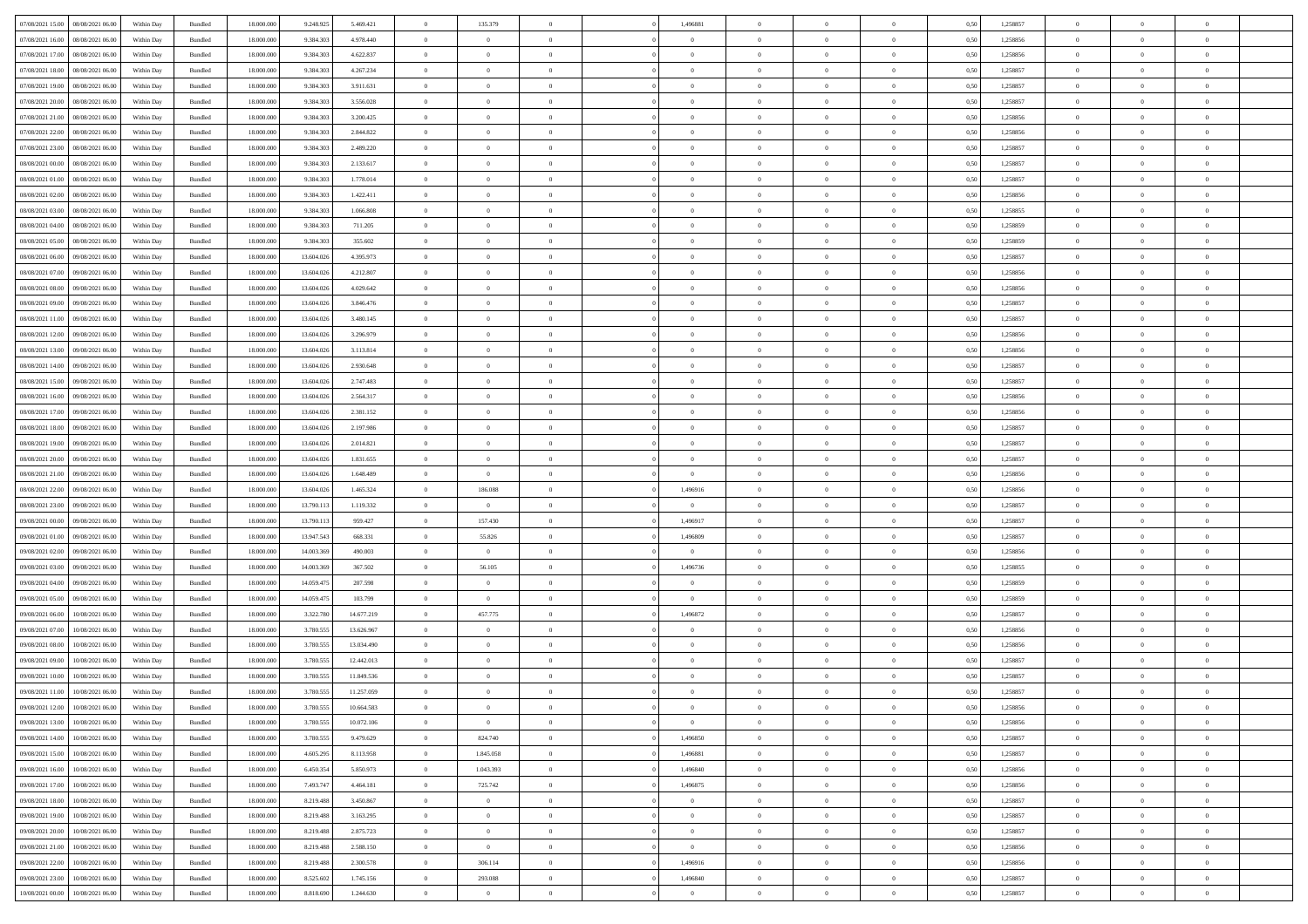| 07/08/2021 15:00 | 08/08/2021 06:00 | Within Day | Bundled            | 18.000.000 | 9.248.925  | 5.469.421  | $\overline{0}$ | 135.379        |                | 1,496881       | $\bf{0}$       | $\overline{0}$ | $\theta$       | 0,50 | 1,258857 | $\theta$       | $\theta$       | $\overline{0}$           |  |
|------------------|------------------|------------|--------------------|------------|------------|------------|----------------|----------------|----------------|----------------|----------------|----------------|----------------|------|----------|----------------|----------------|--------------------------|--|
| 07/08/2021 16:00 | 08/08/2021 06:00 | Within Day | Bundled            | 18.000.000 | 9.384.303  | 4.978.440  | $\overline{0}$ | $\overline{0}$ | $\overline{0}$ | $\overline{0}$ | $\,$ 0         | $\bf{0}$       | $\bf{0}$       | 0,50 | 1,258856 | $\,$ 0 $\,$    | $\overline{0}$ | $\overline{0}$           |  |
|                  |                  |            |                    |            |            |            |                |                |                |                |                |                |                |      |          |                |                |                          |  |
| 07/08/2021 17:00 | 08/08/2021 06:00 | Within Day | Bundled            | 18,000,000 | 9.384.303  | 4.622.837  | $\overline{0}$ | $\overline{0}$ | $\overline{0}$ | $\overline{0}$ | $\bf{0}$       | $\overline{0}$ | $\mathbf{0}$   | 0.50 | 1,258856 | $\bf{0}$       | $\overline{0}$ | $\overline{0}$           |  |
| 07/08/2021 18:00 | 08/08/2021 06:00 | Within Day | Bundled            | 18.000.000 | 9.384.303  | 4.267.234  | $\overline{0}$ | $\overline{0}$ | $\overline{0}$ | $\overline{0}$ | $\bf{0}$       | $\overline{0}$ | $\overline{0}$ | 0,50 | 1,258857 | $\,$ 0 $\,$    | $\overline{0}$ | $\overline{0}$           |  |
| 07/08/2021 19:00 | 08/08/2021 06:00 | Within Day | Bundled            | 18.000.000 | 9.384.303  | 3.911.631  | $\overline{0}$ | $\theta$       | $\overline{0}$ |                | $\overline{0}$ | $\overline{0}$ | $\bf{0}$       | 0,50 | 1,258857 | $\,$ 0 $\,$    | $\overline{0}$ | $\overline{0}$           |  |
| 07/08/2021 20:00 | 08/08/2021 06:00 | Within Day | Bundled            | 18,000,000 | 9.384.303  | 3.556.028  | $\overline{0}$ | $\overline{0}$ | $\overline{0}$ | $\overline{0}$ | $\bf{0}$       | $\overline{0}$ | $\overline{0}$ | 0.50 | 1.258857 | $\,0\,$        | $\theta$       | $\overline{0}$           |  |
| 07/08/2021 21:00 | 08/08/2021 06:00 | Within Day | Bundled            | 18.000.000 | 9.384.303  | 3.200.425  | $\overline{0}$ | $\overline{0}$ | $\overline{0}$ | $\overline{0}$ | $\bf{0}$       | $\overline{0}$ | $\overline{0}$ | 0,50 | 1,258856 | $\,$ 0 $\,$    | $\theta$       | $\overline{0}$           |  |
| 07/08/2021 22.00 | 08/08/2021 06:00 | Within Day | Bundled            | 18.000.000 | 9.384.303  | 2.844.822  | $\overline{0}$ | $\theta$       | $\overline{0}$ | $\overline{0}$ | $\,$ 0         | $\bf{0}$       | $\bf{0}$       | 0,50 | 1,258856 | $\,$ 0 $\,$    | $\overline{0}$ | $\overline{0}$           |  |
| 07/08/2021 23:00 | 08/08/2021 06:00 | Within Day | Bundled            | 18,000,000 | 9.384.303  | 2.489.220  | $\overline{0}$ | $\overline{0}$ | $\overline{0}$ | $\overline{0}$ | $\bf{0}$       | $\overline{0}$ | $\bf{0}$       | 0.50 | 1.258857 | $\,0\,$        | $\overline{0}$ | $\overline{0}$           |  |
| 08/08/2021 00:00 | 08/08/2021 06:00 | Within Day | Bundled            | 18.000.000 | 9.384.303  | 2.133.617  | $\overline{0}$ | $\overline{0}$ | $\overline{0}$ | $\overline{0}$ | $\bf{0}$       | $\overline{0}$ | $\bf{0}$       | 0,50 | 1,258857 | $\,$ 0 $\,$    | $\overline{0}$ | $\overline{0}$           |  |
| 08/08/2021 01:00 | 08/08/2021 06:00 | Within Day | Bundled            | 18.000.000 | 9.384.303  | 1.778.014  | $\overline{0}$ | $\theta$       | $\overline{0}$ | $\overline{0}$ | $\,$ 0         | $\overline{0}$ | $\bf{0}$       | 0,50 | 1,258857 | $\,$ 0 $\,$    | $\overline{0}$ | $\overline{0}$           |  |
| 08/08/2021 02:00 | 08/08/2021 06:00 |            | Bundled            | 18,000,000 |            | 1.422.411  | $\overline{0}$ | $\overline{0}$ | $\overline{0}$ | $\overline{0}$ | $\bf{0}$       | $\overline{0}$ |                | 0.50 | 1.258856 | $\,$ 0 $\,$    | $\overline{0}$ | $\bf{0}$                 |  |
|                  |                  | Within Day |                    |            | 9.384.303  |            |                |                |                |                |                |                | $\mathbf{0}$   |      |          |                |                |                          |  |
| 08/08/2021 03:00 | 08/08/2021 06:00 | Within Day | Bundled            | 18.000.000 | 9.384.303  | 1.066.808  | $\overline{0}$ | $\overline{0}$ | $\overline{0}$ | $\overline{0}$ | $\,$ 0         | $\overline{0}$ | $\overline{0}$ | 0,50 | 1,258855 | $\,$ 0 $\,$    | $\theta$       | $\overline{0}$           |  |
| 08/08/2021 04:00 | 08/08/2021 06:00 | Within Day | Bundled            | 18.000.000 | 9.384.303  | 711.205    | $\overline{0}$ | $\theta$       | $\overline{0}$ | $\overline{0}$ | $\bf{0}$       | $\overline{0}$ | $\bf{0}$       | 0,50 | 1,258859 | $\,$ 0 $\,$    | $\overline{0}$ | $\overline{0}$           |  |
| 08/08/2021 05:00 | 08/08/2021 06:00 | Within Day | Bundled            | 18,000,000 | 9.384.303  | 355,602    | $\overline{0}$ | $\overline{0}$ | $\overline{0}$ | $\overline{0}$ | $\bf{0}$       | $\overline{0}$ | $\overline{0}$ | 0.50 | 1.258859 | $\,0\,$        | $\theta$       | $\overline{0}$           |  |
| 08/08/2021 06:00 | 09/08/2021 06:00 | Within Day | Bundled            | 18.000.000 | 13.604.026 | 4.395.973  | $\overline{0}$ | $\overline{0}$ | $\overline{0}$ | $\overline{0}$ | $\bf{0}$       | $\overline{0}$ | $\overline{0}$ | 0,50 | 1,258857 | $\,$ 0 $\,$    | $\theta$       | $\overline{0}$           |  |
| 08/08/2021 07:00 | 09/08/2021 06.00 | Within Day | Bundled            | 18.000.000 | 13.604.026 | 4.212.807  | $\overline{0}$ | $\theta$       | $\overline{0}$ | $\overline{0}$ | $\,$ 0         | $\overline{0}$ | $\bf{0}$       | 0,50 | 1,258856 | $\,$ 0 $\,$    | $\overline{0}$ | $\overline{0}$           |  |
| 08/08/2021 08:00 | 09/08/2021 06:00 | Within Day | Bundled            | 18,000,000 | 13,604,026 | 4.029.642  | $\overline{0}$ | $\overline{0}$ | $\overline{0}$ | $\overline{0}$ | $\bf{0}$       | $\overline{0}$ | $\bf{0}$       | 0.50 | 1.258856 | $\,0\,$        | $\overline{0}$ | $\overline{\phantom{a}}$ |  |
| 08/08/2021 09:00 | 09/08/2021 06:00 | Within Day | Bundled            | 18.000.000 | 13.604.026 | 3.846.476  | $\overline{0}$ | $\overline{0}$ | $\overline{0}$ | $\overline{0}$ | $\bf{0}$       | $\overline{0}$ | $\bf{0}$       | 0,50 | 1,258857 | $\,$ 0 $\,$    | $\overline{0}$ | $\overline{0}$           |  |
| 08/08/2021 11:00 | 09/08/2021 06.00 | Within Day | Bundled            | 18.000.000 | 13.604.026 | 3.480.145  | $\bf{0}$       | $\overline{0}$ | $\overline{0}$ | $\overline{0}$ | $\,$ 0         | $\overline{0}$ | $\bf{0}$       | 0,50 | 1,258857 | $\,$ 0 $\,$    | $\overline{0}$ | $\overline{0}$           |  |
| 08/08/2021 12:00 | 09/08/2021 06:00 | Within Day | Bundled            | 18,000,000 | 13,604,026 | 3.296.979  | $\overline{0}$ | $\overline{0}$ | $\overline{0}$ | $\overline{0}$ | $\bf{0}$       | $\overline{0}$ | $\mathbf{0}$   | 0.50 | 1.258856 | $\,$ 0 $\,$    | $\overline{0}$ | $\overline{0}$           |  |
| 08/08/2021 13:00 | 09/08/2021 06:00 | Within Day | Bundled            | 18.000.000 | 13.604.026 | 3.113.814  | $\overline{0}$ | $\overline{0}$ | $\overline{0}$ | $\overline{0}$ | $\bf{0}$       | $\overline{0}$ | $\overline{0}$ | 0,50 | 1,258856 | $\,$ 0 $\,$    | $\overline{0}$ | $\overline{0}$           |  |
|                  |                  |            |                    |            |            |            |                |                |                |                |                |                |                |      |          |                |                |                          |  |
| 08/08/2021 14:00 | 09/08/2021 06.00 | Within Day | Bundled            | 18.000.000 | 13.604.026 | 2.930.648  | $\overline{0}$ | $\theta$       | $\overline{0}$ | $\overline{0}$ | $\,$ 0         | $\overline{0}$ | $\bf{0}$       | 0,50 | 1,258857 | $\,$ 0 $\,$    | $\overline{0}$ | $\overline{0}$           |  |
| 08/08/2021 15:00 | 09/08/2021 06:00 | Within Day | Bundled            | 18,000,000 | 13,604,026 | 2.747.483  | $\overline{0}$ | $\overline{0}$ | $\overline{0}$ | $\overline{0}$ | $\bf{0}$       | $\overline{0}$ | $\overline{0}$ | 0.50 | 1.258857 | $\,0\,$        | $\theta$       | $\overline{0}$           |  |
| 08/08/2021 16:00 | 09/08/2021 06:00 | Within Day | Bundled            | 18.000.000 | 13.604.026 | 2.564.317  | $\overline{0}$ | $\overline{0}$ | $\overline{0}$ | $\overline{0}$ | $\bf{0}$       | $\overline{0}$ | $\overline{0}$ | 0,50 | 1,258856 | $\,0\,$        | $\theta$       | $\overline{0}$           |  |
| 08/08/2021 17:00 | 09/08/2021 06.00 | Within Day | Bundled            | 18.000.000 | 13.604.026 | 2.381.152  | $\overline{0}$ | $\theta$       | $\overline{0}$ | $\overline{0}$ | $\,$ 0         | $\overline{0}$ | $\bf{0}$       | 0,50 | 1,258856 | $\,$ 0 $\,$    | $\overline{0}$ | $\overline{0}$           |  |
| 08/08/2021 18:00 | 09/08/2021 06:00 | Within Day | Bundled            | 18,000,000 | 13,604,026 | 2.197.986  | $\overline{0}$ | $\overline{0}$ | $\overline{0}$ | $\overline{0}$ | $\bf{0}$       | $\overline{0}$ | $\bf{0}$       | 0.50 | 1.258857 | $\,0\,$        | $\theta$       | $\overline{0}$           |  |
| 08/08/2021 19:00 | 09/08/2021 06:00 | Within Day | Bundled            | 18.000.000 | 13.604.026 | 2.014.821  | $\overline{0}$ | $\overline{0}$ | $\overline{0}$ | $\overline{0}$ | $\bf{0}$       | $\overline{0}$ | $\bf{0}$       | 0,50 | 1,258857 | $\,$ 0 $\,$    | $\theta$       | $\overline{0}$           |  |
| 08/08/2021 20:00 | 09/08/2021 06.00 | Within Day | Bundled            | 18.000.000 | 13.604.026 | 1.831.655  | $\overline{0}$ | $\overline{0}$ | $\overline{0}$ | $\overline{0}$ | $\bf{0}$       | $\overline{0}$ | $\bf{0}$       | 0,50 | 1,258857 | $\,$ 0 $\,$    | $\overline{0}$ | $\overline{0}$           |  |
| 08/08/2021 21:00 | 09/08/2021 06:00 | Within Day | Bundled            | 18,000,000 | 13,604,026 | 1.648.489  | $\overline{0}$ | $\overline{0}$ | $\overline{0}$ | $\overline{0}$ | $\bf{0}$       | $\overline{0}$ | $\mathbf{0}$   | 0.50 | 1.258856 | $\,$ 0 $\,$    | $\overline{0}$ | $\bf{0}$                 |  |
| 08/08/2021 22:00 | 09/08/2021 06:00 | Within Dav | Bundled            | 18.000.000 | 13.604.026 | 1.465.324  | $\overline{0}$ | 186.088        | $\overline{0}$ | 1,496916       | $\overline{0}$ | $\overline{0}$ | $\overline{0}$ | 0.50 | 1,258856 | $\theta$       | $\overline{0}$ | $\overline{0}$           |  |
| 08/08/2021 23:00 | 09/08/2021 06.00 | Within Day | Bundled            | 18.000.000 | 13.790.11  | 1.119.332  | $\overline{0}$ | $\overline{0}$ | $\overline{0}$ | $\overline{0}$ | $\,$ 0         | $\overline{0}$ | $\bf{0}$       | 0,50 | 1,258857 | $\,$ 0 $\,$    | $\overline{0}$ | $\overline{0}$           |  |
| 09/08/2021 00:00 | 09/08/2021 06:00 | Within Day | Bundled            | 18,000,000 | 13.790.113 | 959.427    | $\overline{0}$ | 157.430        | $\overline{0}$ | 1.496917       | $\overline{0}$ | $\overline{0}$ | $\bf{0}$       | 0.50 | 1.258857 | $\,0\,$        | $\theta$       | $\overline{0}$           |  |
|                  |                  |            |                    |            |            |            |                |                |                |                |                |                |                |      |          |                |                |                          |  |
| 09/08/2021 01:00 | 09/08/2021 06:00 | Within Dav | Bundled            | 18.000.000 | 13.947.543 | 668,331    | $\overline{0}$ | 55.826         | $\Omega$       | 1,496809       | $\bf{0}$       | $\overline{0}$ | $\overline{0}$ | 0,50 | 1,258857 | $\theta$       | $\overline{0}$ | $\overline{0}$           |  |
| 09/08/2021 02:00 | 09/08/2021 06.00 | Within Day | Bundled            | 18.000.000 | 14.003.369 | 490.003    | $\overline{0}$ | $\overline{0}$ | $\overline{0}$ | $\overline{0}$ | $\,$ 0         | $\overline{0}$ | $\bf{0}$       | 0,50 | 1,258856 | $\,$ 0 $\,$    | $\overline{0}$ | $\overline{0}$           |  |
| 09/08/2021 03:00 | 09/08/2021 06:00 | Within Day | Bundled            | 18,000,000 | 14,003,369 | 367.502    | $\overline{0}$ | 56.105         | $\overline{0}$ | 1.496736       | $\bf{0}$       | $\overline{0}$ | $\bf{0}$       | 0.50 | 1.258855 | $\bf{0}$       | $\overline{0}$ | $\overline{0}$           |  |
| 09/08/2021 04:00 | 09/08/2021 06:00 | Within Dav | Bundled            | 18.000.000 | 14.059.475 | 207,598    | $\overline{0}$ | $\overline{0}$ | $\overline{0}$ | $\overline{0}$ | $\overline{0}$ | $\overline{0}$ | $\overline{0}$ | 0.50 | 1,258859 | $\theta$       | $\overline{0}$ | $\overline{0}$           |  |
| 09/08/2021 05:00 | 09/08/2021 06.00 | Within Day | Bundled            | 18.000.000 | 14.059.475 | 103.799    | $\bf{0}$       | $\bf{0}$       | $\overline{0}$ | $\bf{0}$       | $\bf{0}$       | $\bf{0}$       | $\bf{0}$       | 0,50 | 1,258859 | $\,$ 0 $\,$    | $\overline{0}$ | $\overline{0}$           |  |
| 09/08/2021 06:00 | 10/08/2021 06:00 | Within Day | Bundled            | 18,000,000 | 3.322.780  | 14.677.219 | $\overline{0}$ | 457.775        | $\overline{0}$ | 1,496872       | $\bf{0}$       | $\overline{0}$ | $\mathbf{0}$   | 0.50 | 1.258857 | $\,$ 0 $\,$    | $\overline{0}$ | $\overline{0}$           |  |
| 09/08/2021 07:00 | 10/08/2021 06:00 | Within Dav | Bundled            | 18.000.000 | 3.780.555  | 13.626.967 | $\overline{0}$ | $\overline{0}$ | $\Omega$       | $\Omega$       | $\overline{0}$ | $\overline{0}$ | $\overline{0}$ | 0.50 | 1,258856 | $\theta$       | $\overline{0}$ | $\overline{0}$           |  |
| 09/08/2021 08:00 | 10/08/2021 06:00 | Within Day | Bundled            | 18.000.000 | 3.780.555  | 13.034.490 | $\overline{0}$ | $\overline{0}$ | $\overline{0}$ | $\overline{0}$ | $\,$ 0         | $\overline{0}$ | $\bf{0}$       | 0,50 | 1,258856 | $\,$ 0 $\,$    | $\overline{0}$ | $\overline{0}$           |  |
| 09/08/2021 09:00 | 10/08/2021 06:00 | Within Day | Bundled            | 18,000,000 | 3.780.555  | 12.442.013 | $\overline{0}$ | $\overline{0}$ | $\overline{0}$ | $\overline{0}$ | $\bf{0}$       | $\overline{0}$ | $\overline{0}$ | 0.50 | 1.258857 | $\,0\,$        | $\theta$       | $\overline{0}$           |  |
| 09/08/2021 10:00 | 10/08/2021 06:00 | Within Dav | Bundled            | 18.000.000 | 3.780.555  | 11.849.536 | $\overline{0}$ | $\Omega$       | $\Omega$       | $\Omega$       | $\bf{0}$       | $\overline{0}$ | $\overline{0}$ | 0.50 | 1,258857 | $\theta$       | $\overline{0}$ | $\overline{0}$           |  |
| 09/08/2021 11:00 | 10/08/2021 06:00 | Within Day | Bundled            | 18.000.000 | 3.780.555  | 11.257.059 | $\bf{0}$       | $\overline{0}$ | $\overline{0}$ | $\bf{0}$       | $\,$ 0         | $\bf{0}$       | $\bf{0}$       | 0,50 | 1,258857 | $\,$ 0 $\,$    | $\overline{0}$ | $\overline{0}$           |  |
| 09/08/2021 12:00 | 10/08/2021 06:00 |            | $\mathbf B$ undled | 18.000.000 | 3.780.555  | 10 664 583 |                | $\theta$       |                |                |                |                |                | 0,50 | 1,258856 |                | $\theta$       |                          |  |
|                  |                  | Within Day |                    |            |            |            | $\bf{0}$       |                |                |                |                |                |                |      |          | $\bf{0}$       |                |                          |  |
| 09/08/2021 13:00 | 10/08/2021 06:00 | Within Dav | Bundled            | 18.000.000 | 3.780.555  | 10.072.106 | $\Omega$       | $\overline{0}$ | $\overline{0}$ | $\overline{0}$ | $\overline{0}$ | $\overline{0}$ | $\mathbf{0}$   | 0.50 | 1,258856 | $\theta$       | $\theta$       | $\overline{0}$           |  |
| 09/08/2021 14:00 | 10/08/2021 06:00 | Within Day | Bundled            | 18.000.000 | 3.780.555  | 9.479.629  | $\overline{0}$ | 824.740        | $\overline{0}$ | 1,496850       | $\overline{0}$ | $\overline{0}$ | $\bf{0}$       | 0,50 | 1,258857 | $\bf{0}$       | $\overline{0}$ | $\bf{0}$                 |  |
| 09/08/2021 15:00 | 10/08/2021 06:00 | Within Day | Bundled            | 18,000,000 | 4.605.295  | 8.113.958  | $\overline{0}$ | 1.845.058      | $\overline{0}$ | 1,496881       | $\bf{0}$       | $\overline{0}$ | $\mathbf{0}$   | 0.50 | 1.258857 | $\overline{0}$ | $\bf{0}$       | $\bf{0}$                 |  |
| 09/08/2021 16:00 | 10/08/2021 06:00 | Within Dav | Bundled            | 18.000.000 | 6.450.354  | 5.850.973  | $\overline{0}$ | 1.043.393      | $\overline{0}$ | 1,496840       | $\overline{0}$ | $\overline{0}$ | $\mathbf{0}$   | 0.50 | 1,258856 | $\overline{0}$ | $\theta$       | $\overline{0}$           |  |
| 09/08/2021 17:00 | 10/08/2021 06:00 | Within Day | Bundled            | 18.000.000 | 7.493.747  | 4.464.181  | $\bf{0}$       | 725.742        | $\overline{0}$ | 1,496875       | $\bf{0}$       | $\bf{0}$       | $\bf{0}$       | 0,50 | 1,258856 | $\bf{0}$       | $\overline{0}$ | $\overline{0}$           |  |
| 09/08/2021 18:00 | 10/08/2021 06:00 | Within Day | Bundled            | 18,000,000 | 8.219.488  | 3.450.867  | $\overline{0}$ | $\overline{0}$ | $\overline{0}$ | $\overline{0}$ | $\bf{0}$       | $\overline{0}$ | $\mathbf{0}$   | 0.50 | 1.258857 | $\,$ 0 $\,$    | $\overline{0}$ | $\overline{0}$           |  |
| 09/08/2021 19:00 | 10/08/2021 06:00 | Within Day | Bundled            | 18.000.000 | 8.219.488  | 3.163.295  | $\overline{0}$ | $\overline{0}$ | $\overline{0}$ | $\overline{0}$ | $\overline{0}$ | $\overline{0}$ | $\overline{0}$ | 0.50 | 1,258857 | $\overline{0}$ | $\theta$       | $\overline{0}$           |  |
| 09/08/2021 20:00 | 10/08/2021 06:00 | Within Day | Bundled            | 18.000.000 | 8.219.488  | 2.875.723  | $\overline{0}$ | $\overline{0}$ | $\overline{0}$ | $\overline{0}$ | $\,$ 0 $\,$    | $\overline{0}$ | $\bf{0}$       | 0,50 | 1,258857 | $\,$ 0 $\,$    | $\overline{0}$ | $\overline{0}$           |  |
| 09/08/2021 21.00 | 10/08/2021 06:00 | Within Day | Bundled            | 18,000,000 | 8.219.488  | 2.588.150  | $\overline{0}$ | $\overline{0}$ | $\overline{0}$ | $\overline{0}$ | $\bf{0}$       | $\overline{0}$ | $\mathbf{0}$   | 0.50 | 1.258856 | $\mathbf{0}$   | $\bf{0}$       | $\overline{0}$           |  |
|                  |                  |            |                    |            |            |            |                |                |                |                |                |                |                |      |          |                |                |                          |  |
| 09/08/2021 22:00 | 10/08/2021 06:00 | Within Dav | Bundled            | 18.000.000 | 8.219.488  | 2.300.578  | $\overline{0}$ | 306.114        | $\overline{0}$ | 1,496916       | $\overline{0}$ | $\overline{0}$ | $\overline{0}$ | 0,50 | 1,258856 | $\overline{0}$ | $\theta$       | $\overline{0}$           |  |
| 09/08/2021 23.00 | 10/08/2021 06:00 | Within Day | Bundled            | 18.000.000 | 8.525.602  | 1.745.156  | $\overline{0}$ | 293.088        | $\overline{0}$ | 1,496840       | $\bf{0}$       | $\overline{0}$ | $\bf{0}$       | 0,50 | 1,258857 | $\bf{0}$       | $\overline{0}$ | $\bf{0}$                 |  |
| 10/08/2021 00:00 | 10/08/2021 06:00 | Within Day | Bundled            | 18.000.000 | 8.818.690  | 1.244.630  | $\overline{0}$ | $\overline{0}$ | $\overline{0}$ | $\overline{0}$ | $\bf{0}$       | $\overline{0}$ | $\,$ 0 $\,$    | 0,50 | 1,258857 | $\overline{0}$ | $\,$ 0 $\,$    | $\,$ 0 $\,$              |  |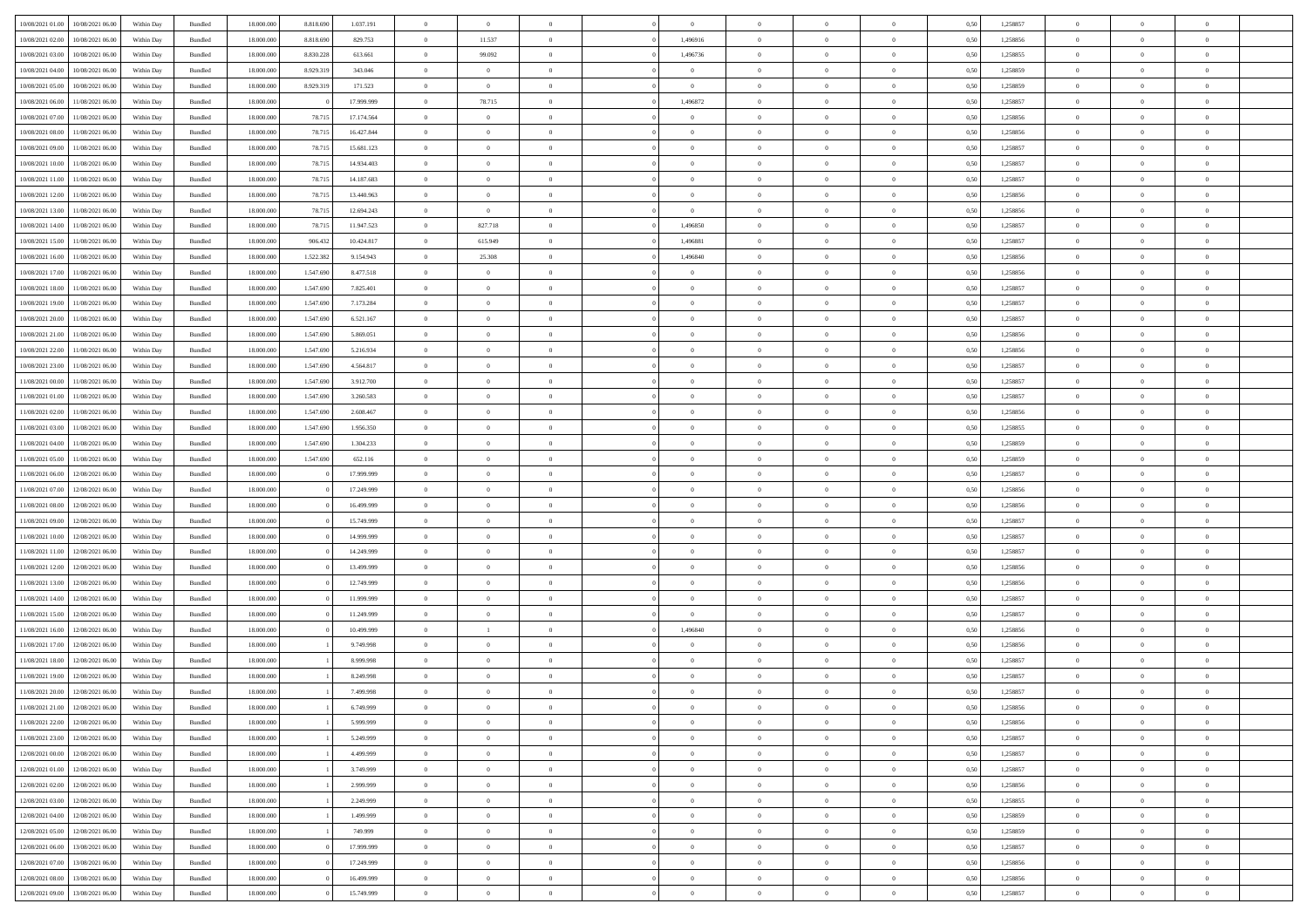| 10/08/2021 01:00 | 10/08/2021 06:00 | Within Day | Bundled            | 18.000.000 | 8.818.690 | 1.037.191  | $\Omega$       | $\overline{0}$ |                | $\Omega$       | $\Omega$       | $\theta$       | $\theta$       | 0.50 | 1,258857 | $\theta$       | $\theta$       | $\theta$       |  |
|------------------|------------------|------------|--------------------|------------|-----------|------------|----------------|----------------|----------------|----------------|----------------|----------------|----------------|------|----------|----------------|----------------|----------------|--|
|                  |                  |            |                    |            |           |            |                |                |                |                |                |                |                |      |          |                |                |                |  |
| 10/08/2021 02:00 | 10/08/2021 06:00 | Within Day | Bundled            | 18.000.000 | 8.818.690 | 829.753    | $\overline{0}$ | 11.537         | $\overline{0}$ | 1,496916       | $\bf{0}$       | $\overline{0}$ | $\overline{0}$ | 0,50 | 1,258856 | $\theta$       | $\theta$       | $\overline{0}$ |  |
| 10/08/2021 03:00 | 10/08/2021 06:00 | Within Day | Bundled            | 18.000.000 | 8.830.228 | 613.661    | $\overline{0}$ | 99.092         | $\overline{0}$ | 1,496736       | $\bf{0}$       | $\overline{0}$ | $\bf{0}$       | 0,50 | 1,258855 | $\overline{0}$ | $\overline{0}$ | $\overline{0}$ |  |
| 10/08/2021 04:00 | 10/08/2021 06:00 | Within Dav | Bundled            | 18.000.000 | 8.929.319 | 343,046    | $\overline{0}$ | $\overline{0}$ | $\overline{0}$ | $\overline{0}$ | $\bf{0}$       | $\overline{0}$ | $\overline{0}$ | 0.50 | 1.258859 | $\theta$       | $\theta$       | $\overline{0}$ |  |
| 10/08/2021 05:00 | 10/08/2021 06:00 | Within Day | Bundled            | 18.000.000 | 8.929.319 | 171.523    | $\overline{0}$ | $\overline{0}$ | $\overline{0}$ | $\overline{0}$ | $\bf{0}$       | $\overline{0}$ | $\bf{0}$       | 0,50 | 1,258859 | $\theta$       | $\theta$       | $\overline{0}$ |  |
| 10/08/2021 06:00 | 11/08/2021 06:00 | Within Day | Bundled            | 18.000.000 |           | 17.999.999 | $\overline{0}$ | 78.715         | $\overline{0}$ | 1,496872       | $\overline{0}$ | $\overline{0}$ | $\mathbf{0}$   | 0,50 | 1,258857 | $\overline{0}$ | $\overline{0}$ | $\bf{0}$       |  |
| 10/08/2021 07:00 | 11/08/2021 06:00 | Within Dav | Bundled            | 18.000.000 | 78.71     | 17.174.564 | $\overline{0}$ | $\overline{0}$ | $\overline{0}$ | $\overline{0}$ | $\overline{0}$ | $\overline{0}$ | $\overline{0}$ | 0.50 | 1,258856 | $\theta$       | $\overline{0}$ | $\overline{0}$ |  |
| 10/08/2021 08:00 | 11/08/2021 06:00 | Within Day | Bundled            | 18.000.000 | 78.715    | 16.427.844 | $\overline{0}$ | $\theta$       | $\overline{0}$ | $\overline{0}$ | $\bf{0}$       | $\overline{0}$ | $\bf{0}$       | 0,50 | 1,258856 | $\theta$       | $\theta$       | $\overline{0}$ |  |
| 10/08/2021 09:00 | 11/08/2021 06:00 | Within Day | Bundled            | 18.000.000 | 78.715    | 15.681.123 | $\overline{0}$ | $\overline{0}$ | $\overline{0}$ | $\overline{0}$ | $\bf{0}$       | $\overline{0}$ | $\bf{0}$       | 0,50 | 1,258857 | $\,0\,$        | $\overline{0}$ | $\overline{0}$ |  |
| 10/08/2021 10:00 | 11/08/2021 06:00 | Within Dav | Bundled            | 18.000.000 | 78.715    | 14.934.403 | $\overline{0}$ | $\overline{0}$ | $\overline{0}$ | $\overline{0}$ | $\overline{0}$ | $\overline{0}$ | $\overline{0}$ | 0.50 | 1,258857 | $\theta$       | $\overline{0}$ | $\overline{0}$ |  |
|                  |                  |            |                    |            |           |            | $\overline{0}$ | $\theta$       | $\overline{0}$ |                | $\bf{0}$       | $\overline{0}$ |                |      |          | $\theta$       | $\theta$       | $\overline{0}$ |  |
| 10/08/2021 11:00 | 11/08/2021 06:00 | Within Day | Bundled            | 18.000.000 | 78.715    | 14.187.683 |                |                |                | $\overline{0}$ |                |                | $\bf{0}$       | 0,50 | 1,258857 |                |                |                |  |
| 10/08/2021 12:00 | 11/08/2021 06:00 | Within Day | Bundled            | 18.000.000 | 78.715    | 13.440.963 | $\overline{0}$ | $\overline{0}$ | $\overline{0}$ | $\overline{0}$ | $\bf{0}$       | $\overline{0}$ | $\bf{0}$       | 0,50 | 1,258856 | $\bf{0}$       | $\overline{0}$ | $\overline{0}$ |  |
| 10/08/2021 13:00 | 11/08/2021 06:00 | Within Dav | Bundled            | 18.000.000 | 78.715    | 12.694.243 | $\overline{0}$ | $\overline{0}$ | $\overline{0}$ | $\overline{0}$ | $\bf{0}$       | $\overline{0}$ | $\overline{0}$ | 0.50 | 1.258856 | $\theta$       | $\theta$       | $\overline{0}$ |  |
| 10/08/2021 14:00 | 11/08/2021 06:00 | Within Day | Bundled            | 18.000.000 | 78.715    | 11.947.523 | $\overline{0}$ | 827.718        | $\overline{0}$ | 1,496850       | $\bf{0}$       | $\overline{0}$ | $\overline{0}$ | 0,50 | 1,258857 | $\theta$       | $\overline{0}$ | $\overline{0}$ |  |
| 10/08/2021 15:00 | 11/08/2021 06:00 | Within Day | Bundled            | 18.000.000 | 906.432   | 10.424.817 | $\overline{0}$ | 615.949        | $\overline{0}$ | 1,496881       | $\bf{0}$       | $\overline{0}$ | $\mathbf{0}$   | 0,50 | 1,258857 | $\bf{0}$       | $\overline{0}$ | $\bf{0}$       |  |
| 10/08/2021 16:00 | 11/08/2021 06:00 | Within Dav | Bundled            | 18.000.000 | 1.522.382 | 9.154.943  | $\overline{0}$ | 25.308         | $\overline{0}$ | 1,496840       | $\overline{0}$ | $\overline{0}$ | $\overline{0}$ | 0.50 | 1,258856 | $\theta$       | $\overline{0}$ | $\overline{0}$ |  |
| 10/08/2021 17:00 | 11/08/2021 06:00 | Within Day | Bundled            | 18.000.000 | 1.547.690 | 8.477.518  | $\overline{0}$ | $\theta$       | $\overline{0}$ | $\overline{0}$ | $\bf{0}$       | $\overline{0}$ | $\bf{0}$       | 0,50 | 1,258856 | $\theta$       | $\theta$       | $\overline{0}$ |  |
| 10/08/2021 18:00 | 11/08/2021 06:00 | Within Day | Bundled            | 18.000.000 | 1.547.690 | 7.825.401  | $\overline{0}$ | $\overline{0}$ | $\overline{0}$ | $\bf{0}$       | $\bf{0}$       | $\bf{0}$       | $\bf{0}$       | 0,50 | 1,258857 | $\,0\,$        | $\overline{0}$ | $\overline{0}$ |  |
| 10/08/2021 19:00 | 11/08/2021 06:00 | Within Dav | Bundled            | 18.000.000 | 1.547.690 | 7.173.284  | $\overline{0}$ | $\overline{0}$ | $\overline{0}$ | $\overline{0}$ | $\overline{0}$ | $\overline{0}$ | $\overline{0}$ | 0.50 | 1,258857 | $\theta$       | $\overline{0}$ | $\overline{0}$ |  |
| 10/08/2021 20:00 | 11/08/2021 06:00 | Within Day | Bundled            | 18.000.000 | 1.547.690 | 6.521.167  | $\overline{0}$ | $\theta$       | $\overline{0}$ | $\overline{0}$ | $\bf{0}$       | $\overline{0}$ | $\bf{0}$       | 0,50 | 1,258857 | $\theta$       | $\theta$       | $\overline{0}$ |  |
| 10/08/2021 21:00 | 11/08/2021 06:00 | Within Day | Bundled            | 18.000.000 | 1.547.690 | 5.869.051  | $\overline{0}$ | $\overline{0}$ | $\overline{0}$ | $\bf{0}$       | $\bf{0}$       | $\bf{0}$       | $\bf{0}$       | 0,50 | 1,258856 | $\,0\,$        | $\overline{0}$ | $\overline{0}$ |  |
| 10/08/2021 22:00 | 11/08/2021 06:00 | Within Day | Bundled            | 18.000.000 | 1.547.690 | 5.216.934  | $\overline{0}$ | $\overline{0}$ | $\overline{0}$ | $\overline{0}$ | $\bf{0}$       | $\overline{0}$ | $\overline{0}$ | 0.50 | 1.258856 | $\theta$       | $\theta$       | $\overline{0}$ |  |
| 10/08/2021 23:00 | 11/08/2021 06:00 | Within Day | Bundled            | 18.000.000 | 1.547.690 | 4.564.817  | $\overline{0}$ | $\theta$       | $\overline{0}$ | $\overline{0}$ | $\bf{0}$       | $\overline{0}$ | $\bf{0}$       | 0,50 | 1,258857 | $\theta$       | $\overline{0}$ | $\overline{0}$ |  |
|                  |                  |            |                    |            |           |            |                |                |                |                |                |                |                |      |          |                |                |                |  |
| 11/08/2021 00:00 | 11/08/2021 06:00 | Within Day | Bundled            | 18.000.000 | 1.547.690 | 3.912.700  | $\overline{0}$ | $\bf{0}$       | $\overline{0}$ | $\bf{0}$       | $\overline{0}$ | $\overline{0}$ | $\mathbf{0}$   | 0,50 | 1,258857 | $\bf{0}$       | $\overline{0}$ | $\bf{0}$       |  |
| 11/08/2021 01:00 | 11/08/2021 06:00 | Within Dav | Bundled            | 18.000.000 | 1.547.690 | 3.260.583  | $\overline{0}$ | $\overline{0}$ | $\overline{0}$ | $\overline{0}$ | $\overline{0}$ | $\overline{0}$ | $\overline{0}$ | 0.50 | 1,258857 | $\theta$       | $\overline{0}$ | $\overline{0}$ |  |
| 11/08/2021 02:00 | 11/08/2021 06:00 | Within Day | Bundled            | 18.000.000 | 1.547.690 | 2.608.467  | $\overline{0}$ | $\theta$       | $\overline{0}$ | $\overline{0}$ | $\bf{0}$       | $\overline{0}$ | $\bf{0}$       | 0,50 | 1,258856 | $\theta$       | $\theta$       | $\overline{0}$ |  |
| 11/08/2021 03:00 | 11/08/2021 06:00 | Within Day | Bundled            | 18.000.000 | 1.547.690 | 1.956.350  | $\overline{0}$ | $\overline{0}$ | $\overline{0}$ | $\bf{0}$       | $\bf{0}$       | $\bf{0}$       | $\bf{0}$       | 0,50 | 1,258855 | $\,0\,$        | $\overline{0}$ | $\overline{0}$ |  |
| 11/08/2021 04:00 | 11/08/2021 06:00 | Within Day | Bundled            | 18.000.000 | 1.547.690 | 1.304.233  | $\overline{0}$ | $\overline{0}$ | $\overline{0}$ | $\overline{0}$ | $\overline{0}$ | $\overline{0}$ | $\overline{0}$ | 0.50 | 1,258859 | $\theta$       | $\overline{0}$ | $\overline{0}$ |  |
| 11/08/2021 05:00 | 11/08/2021 06:00 | Within Day | Bundled            | 18.000.000 | 1.547.690 | 652.116    | $\overline{0}$ | $\theta$       | $\overline{0}$ | $\overline{0}$ | $\bf{0}$       | $\overline{0}$ | $\bf{0}$       | 0,50 | 1,258859 | $\,$ 0 $\,$    | $\theta$       | $\overline{0}$ |  |
| 11/08/2021 06:00 | 12/08/2021 06:00 | Within Day | Bundled            | 18.000.000 |           | 17.999.999 | $\overline{0}$ | $\overline{0}$ | $\overline{0}$ | $\bf{0}$       | $\bf{0}$       | $\bf{0}$       | $\bf{0}$       | 0,50 | 1,258857 | $\bf{0}$       | $\overline{0}$ | $\overline{0}$ |  |
| 11/08/2021 07:00 | 12/08/2021 06:00 | Within Day | Bundled            | 18,000,000 |           | 17.249.999 | $\overline{0}$ | $\Omega$       | $\Omega$       | $\Omega$       | $\Omega$       | $\overline{0}$ | $\overline{0}$ | 0.50 | 1,258856 | $\,0\,$        | $\theta$       | $\theta$       |  |
| 11/08/2021 08:00 | 12/08/2021 06:00 | Within Day | Bundled            | 18.000.000 |           | 16.499.999 | $\overline{0}$ | $\theta$       | $\overline{0}$ | $\overline{0}$ | $\bf{0}$       | $\overline{0}$ | $\bf{0}$       | 0,50 | 1,258856 | $\theta$       | $\overline{0}$ | $\overline{0}$ |  |
| 11/08/2021 09:00 | 12/08/2021 06:00 | Within Day | Bundled            | 18.000.000 |           | 15.749.999 | $\overline{0}$ | $\bf{0}$       | $\overline{0}$ | $\bf{0}$       | $\bf{0}$       | $\overline{0}$ | $\mathbf{0}$   | 0,50 | 1,258857 | $\bf{0}$       | $\overline{0}$ | $\bf{0}$       |  |
| 11/08/2021 10:00 | 12/08/2021 06:00 | Within Day | Bundled            | 18,000,000 |           | 14.999.999 | $\overline{0}$ | $\Omega$       | $\Omega$       | $\Omega$       | $\bf{0}$       | $\overline{0}$ | $\overline{0}$ | 0.50 | 1,258857 | $\,0\,$        | $\theta$       | $\theta$       |  |
| 11/08/2021 11:00 | 12/08/2021 06:00 | Within Day | Bundled            | 18.000.000 |           | 14.249.999 | $\overline{0}$ | $\theta$       | $\overline{0}$ | $\overline{0}$ | $\bf{0}$       | $\overline{0}$ | $\bf{0}$       | 0,50 | 1,258857 | $\theta$       | $\theta$       | $\overline{0}$ |  |
|                  |                  |            |                    |            |           |            |                | $\overline{0}$ |                |                | $\bf{0}$       |                |                |      |          | $\,0\,$        | $\overline{0}$ | $\overline{0}$ |  |
| 11/08/2021 12:00 | 12/08/2021 06:00 | Within Day | Bundled            | 18.000.000 |           | 13.499.999 | $\overline{0}$ |                | $\overline{0}$ | $\bf{0}$       |                | $\bf{0}$       | $\bf{0}$       | 0,50 | 1,258856 |                |                |                |  |
| 11/08/2021 13:00 | 12/08/2021 06:00 | Within Day | Bundled            | 18,000,000 |           | 12.749.999 | $\overline{0}$ | $\Omega$       | $\Omega$       | $\Omega$       | $\theta$       | $\theta$       | $\overline{0}$ | 0.50 | 1,258856 | $\theta$       | $\theta$       | $\theta$       |  |
| 11/08/2021 14:00 | 12/08/2021 06:00 | Within Day | Bundled            | 18.000.000 |           | 11.999.999 | $\overline{0}$ | $\theta$       | $\overline{0}$ | $\overline{0}$ | $\bf{0}$       | $\overline{0}$ | $\bf{0}$       | 0,50 | 1,258857 | $\,$ 0 $\,$    | $\overline{0}$ | $\overline{0}$ |  |
| 11/08/2021 15:00 | 12/08/2021 06:00 | Within Day | Bundled            | 18.000.000 |           | 11.249.999 | $\overline{0}$ | $\overline{0}$ | $\overline{0}$ | $\bf{0}$       | $\bf{0}$       | $\bf{0}$       | $\bf{0}$       | 0,50 | 1,258857 | $\bf{0}$       | $\overline{0}$ | $\overline{0}$ |  |
| 11/08/2021 16:00 | 12/08/2021 06:00 | Within Day | Bundled            | 18,000,000 |           | 10.499.999 | $\overline{0}$ | $\overline{1}$ | $\Omega$       | 1,496840       | $\Omega$       | $\overline{0}$ | $\overline{0}$ | 0.50 | 1,258856 | $\,0\,$        | $\theta$       | $\theta$       |  |
| 11/08/2021 17:00 | 12/08/2021 06:00 | Within Day | Bundled            | 18.000.000 |           | 9.749.998  | $\overline{0}$ | $\theta$       | $\overline{0}$ | $\overline{0}$ | $\,$ 0         | $\overline{0}$ | $\bf{0}$       | 0,50 | 1,258856 | $\,$ 0 $\,$    | $\overline{0}$ | $\overline{0}$ |  |
| 11/08/2021 18:00 | 12/08/2021 06:00 | Within Day | Bundled            | 18.000.000 |           | 8.999.998  | $\overline{0}$ | $\overline{0}$ | $\overline{0}$ | $\overline{0}$ | $\bf{0}$       | $\overline{0}$ | $\mathbf{0}$   | 0,50 | 1,258857 | $\overline{0}$ | $\overline{0}$ | $\bf{0}$       |  |
| 11/08/2021 19:00 | 12/08/2021 06:00 | Within Day | Bundled            | 18,000,000 |           | 8.249.998  | $\overline{0}$ | $\Omega$       | $\Omega$       | $\Omega$       | $\Omega$       | $\Omega$       | $\overline{0}$ | 0.50 | 1,258857 | $\theta$       | $\theta$       | $\theta$       |  |
| 11/08/2021 20:00 | 12/08/2021 06:00 | Within Day | Bundled            | 18.000.000 |           | 7.499.998  | $\overline{0}$ | $\,$ 0 $\,$    | $\overline{0}$ | $\bf{0}$       | $\,$ 0         | $\overline{0}$ | $\bf{0}$       | 0,50 | 1,258857 | $\,0\,$        | $\overline{0}$ | $\overline{0}$ |  |
| 11/08/2021 21:00 | 12/08/2021 06:00 | Within Day | $\mathbf B$ undled | 18.000.000 |           | 6.749.999  | $\bf{0}$       | $\bf{0}$       |                |                |                |                |                | 0,50 | 1,258856 | $\bf{0}$       | $\overline{0}$ |                |  |
| 11/08/2021 22.00 | 12/08/2021 06:00 | Within Day | Bundled            | 18,000,000 |           | 5.999.999  | $\overline{0}$ | $\Omega$       | $\overline{0}$ | $\Omega$       | $\theta$       | $\overline{0}$ | $\overline{0}$ | 0.50 | 1,258856 | $\theta$       | $\theta$       | $\theta$       |  |
| 11/08/2021 23:00 | 12/08/2021 06:00 | Within Day | Bundled            | 18.000.000 |           | 5.249.999  | $\overline{0}$ | $\,$ 0         | $\overline{0}$ | $\overline{0}$ | $\,$ 0 $\,$    | $\overline{0}$ | $\mathbf{0}$   | 0,50 | 1,258857 | $\,$ 0 $\,$    | $\,$ 0 $\,$    | $\,$ 0         |  |
| 12/08/2021 00:00 | 12/08/2021 06:00 | Within Day | Bundled            | 18.000.000 |           | 4.499.999  | $\overline{0}$ | $\overline{0}$ | $\overline{0}$ | $\overline{0}$ | $\overline{0}$ | $\overline{0}$ | $\mathbf{0}$   | 0,50 | 1,258857 | $\overline{0}$ | $\bf{0}$       | $\bf{0}$       |  |
| 12/08/2021 01:00 | 12/08/2021 06:00 | Within Day | Bundled            | 18,000,000 |           | 3.749.999  | $\overline{0}$ | $\overline{0}$ | $\overline{0}$ | $\Omega$       | $\overline{0}$ | $\overline{0}$ | $\bf{0}$       | 0,50 | 1,258857 | $\overline{0}$ | $\theta$       | $\overline{0}$ |  |
| 12/08/2021 02:00 | 12/08/2021 06:00 | Within Day | Bundled            | 18.000.000 |           | 2.999.999  | $\overline{0}$ | $\,$ 0         | $\overline{0}$ | $\overline{0}$ | $\,$ 0 $\,$    | $\overline{0}$ | $\bf{0}$       | 0,50 | 1,258856 | $\,$ 0 $\,$    | $\overline{0}$ | $\overline{0}$ |  |
|                  |                  |            |                    |            |           |            |                |                |                |                |                |                |                |      |          |                |                |                |  |
| 12/08/2021 03:00 | 12/08/2021 06:00 | Within Day | Bundled            | 18.000.000 |           | 2.249.999  | $\overline{0}$ | $\overline{0}$ | $\overline{0}$ | $\overline{0}$ | $\overline{0}$ | $\overline{0}$ | $\mathbf{0}$   | 0,50 | 1,258855 | $\overline{0}$ | $\overline{0}$ | $\bf{0}$       |  |
| 12/08/2021 04:00 | 12/08/2021 06:00 | Within Day | Bundled            | 18,000,000 |           | 1.499.999  | $\overline{0}$ | $\overline{0}$ | $\overline{0}$ | $\Omega$       | $\overline{0}$ | $\overline{0}$ | $\bf{0}$       | 0.50 | 1,258859 | $\overline{0}$ | $\theta$       | $\overline{0}$ |  |
| 12/08/2021 05:00 | 12/08/2021 06:00 | Within Day | Bundled            | 18.000.000 |           | 749.999    | $\overline{0}$ | $\,$ 0         | $\overline{0}$ | $\overline{0}$ | $\bf{0}$       | $\overline{0}$ | $\bf{0}$       | 0,50 | 1,258859 | $\,$ 0 $\,$    | $\overline{0}$ | $\overline{0}$ |  |
| 12/08/2021 06:00 | 13/08/2021 06:00 | Within Day | Bundled            | 18.000.000 |           | 17.999.999 | $\overline{0}$ | $\bf{0}$       | $\overline{0}$ | $\overline{0}$ | $\overline{0}$ | $\overline{0}$ | $\mathbf{0}$   | 0,50 | 1,258857 | $\overline{0}$ | $\overline{0}$ | $\bf{0}$       |  |
| 12/08/2021 07:00 | 13/08/2021 06:00 | Within Day | Bundled            | 18,000,000 |           | 17.249.999 | $\overline{0}$ | $\overline{0}$ | $\overline{0}$ | $\Omega$       | $\overline{0}$ | $\overline{0}$ | $\bf{0}$       | 0.50 | 1,258856 | $\overline{0}$ | $\overline{0}$ | $\overline{0}$ |  |
| 12/08/2021 08:00 | 13/08/2021 06:00 | Within Day | Bundled            | 18.000.000 |           | 16.499.999 | $\overline{0}$ | $\bf{0}$       | $\overline{0}$ | $\overline{0}$ | $\bf{0}$       | $\overline{0}$ | $\bf{0}$       | 0,50 | 1,258856 | $\,$ 0 $\,$    | $\,$ 0 $\,$    | $\bf{0}$       |  |
| 12/08/2021 09:00 | 13/08/2021 06:00 | Within Day | Bundled            | 18.000.000 |           | 15.749.999 | $\overline{0}$ | $\overline{0}$ | $\overline{0}$ | $\overline{0}$ | $\bf{0}$       | $\bf{0}$       | $\mathbf{0}$   | 0,50 | 1,258857 | $\overline{0}$ | $\bf{0}$       | $\bf{0}$       |  |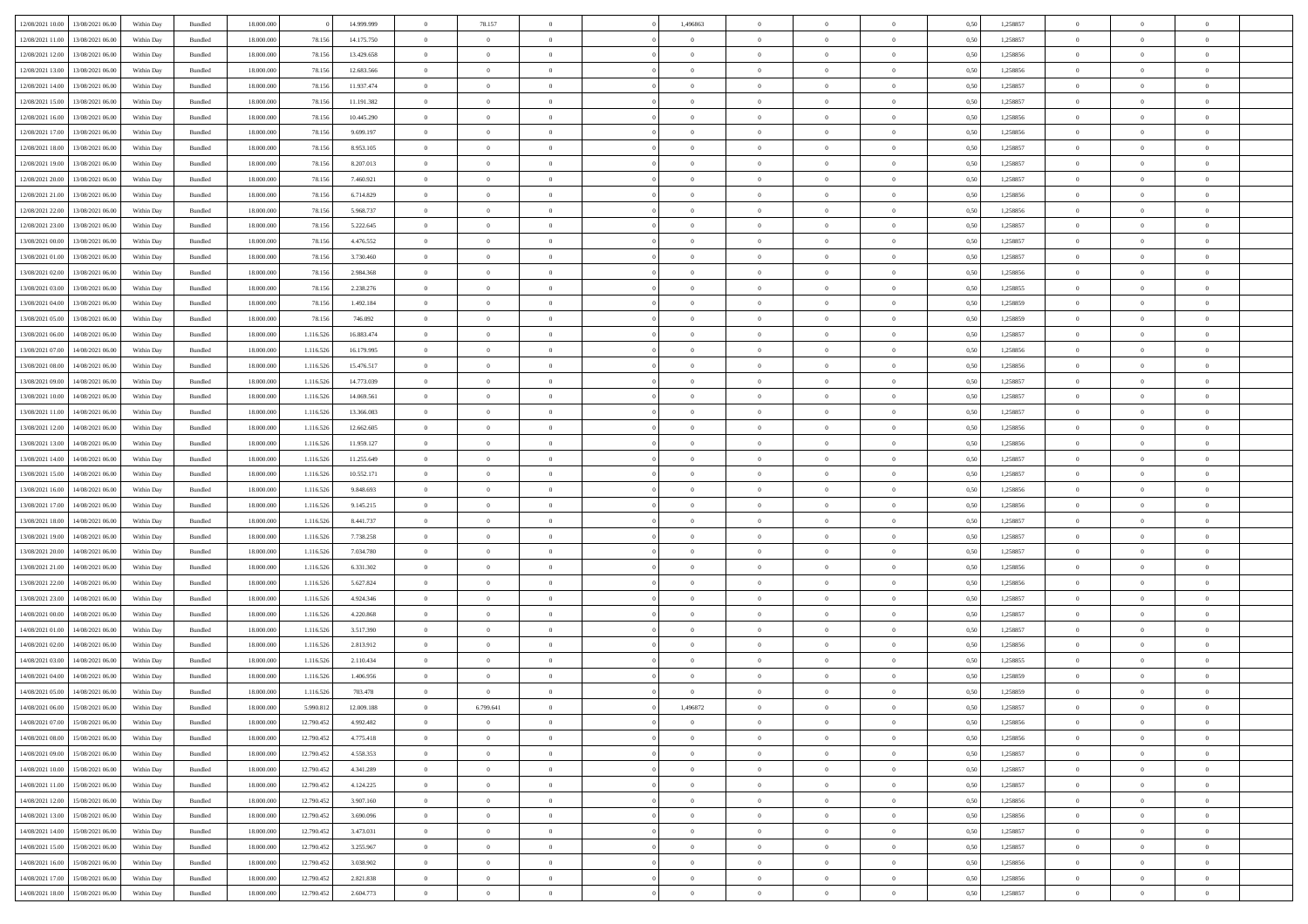| 12/08/2021 10:00                  | 13/08/2021 06:00 | Within Dav | Bundled            | 18.000.000 |            | 14.999.999 | $\overline{0}$ | 78.157         |                | 1,496863       | $\Omega$       | $\Omega$       | $\theta$       | 0.50 | 1,258857 | $\theta$       | $\theta$       | $\theta$       |  |
|-----------------------------------|------------------|------------|--------------------|------------|------------|------------|----------------|----------------|----------------|----------------|----------------|----------------|----------------|------|----------|----------------|----------------|----------------|--|
|                                   |                  |            |                    |            |            |            |                |                |                |                |                |                |                |      |          |                |                |                |  |
| 12/08/2021 11:00                  | 13/08/2021 06:00 | Within Day | Bundled            | 18.000.000 | 78.156     | 14.175.750 | $\overline{0}$ | $\theta$       | $\overline{0}$ | $\overline{0}$ | $\bf{0}$       | $\overline{0}$ | $\bf{0}$       | 0,50 | 1,258857 | $\theta$       | $\overline{0}$ | $\overline{0}$ |  |
| 12/08/2021 12:00                  | 13/08/2021 06:00 | Within Day | Bundled            | 18.000.000 | 78.156     | 13.429.658 | $\overline{0}$ | $\overline{0}$ | $\overline{0}$ | $\bf{0}$       | $\bf{0}$       | $\bf{0}$       | $\mathbf{0}$   | 0,50 | 1,258856 | $\overline{0}$ | $\overline{0}$ | $\overline{0}$ |  |
| 12/08/2021 13:00                  | 13/08/2021 06:00 | Within Dav | Bundled            | 18.000.000 | 78.156     | 12.683.566 | $\overline{0}$ | $\overline{0}$ | $\overline{0}$ | $\overline{0}$ | $\bf{0}$       | $\overline{0}$ | $\overline{0}$ | 0.50 | 1.258856 | $\theta$       | $\theta$       | $\overline{0}$ |  |
| 12/08/2021 14:00                  | 13/08/2021 06:00 | Within Day | Bundled            | 18.000.000 | 78.156     | 11.937.474 | $\overline{0}$ | $\theta$       | $\overline{0}$ | $\overline{0}$ | $\bf{0}$       | $\overline{0}$ | $\bf{0}$       | 0,50 | 1,258857 | $\theta$       | $\overline{0}$ | $\overline{0}$ |  |
| 12/08/2021 15:00                  | 13/08/2021 06:00 | Within Day | Bundled            | 18.000.000 | 78.156     | 11.191.382 | $\overline{0}$ | $\overline{0}$ | $\overline{0}$ | $\bf{0}$       | $\overline{0}$ | $\overline{0}$ | $\mathbf{0}$   | 0,50 | 1,258857 | $\overline{0}$ | $\overline{0}$ | $\bf{0}$       |  |
| 12/08/2021 16:00                  | 13/08/2021 06:00 | Within Dav | Bundled            | 18.000.000 | 78.156     | 10.445.290 | $\overline{0}$ | $\overline{0}$ | $\overline{0}$ | $\overline{0}$ | $\overline{0}$ | $\overline{0}$ | $\overline{0}$ | 0.50 | 1,258856 | $\theta$       | $\overline{0}$ | $\overline{0}$ |  |
|                                   |                  |            |                    |            |            |            |                |                |                |                |                |                |                |      |          |                |                |                |  |
| 12/08/2021 17:00                  | 13/08/2021 06:00 | Within Day | Bundled            | 18.000.000 | 78.156     | 9.699.197  | $\overline{0}$ | $\theta$       | $\overline{0}$ | $\overline{0}$ | $\,$ 0         | $\overline{0}$ | $\bf{0}$       | 0,50 | 1,258856 | $\,$ 0 $\,$    | $\theta$       | $\overline{0}$ |  |
| 12/08/2021 18:00                  | 13/08/2021 06:00 | Within Day | Bundled            | 18.000.000 | 78.156     | 8.953.105  | $\overline{0}$ | $\overline{0}$ | $\overline{0}$ | $\bf{0}$       | $\bf{0}$       | $\bf{0}$       | $\mathbf{0}$   | 0,50 | 1,258857 | $\,0\,$        | $\overline{0}$ | $\overline{0}$ |  |
| 12/08/2021 19:00                  | 13/08/2021 06:00 | Within Dav | Bundled            | 18.000.000 | 78.156     | 8.207.013  | $\overline{0}$ | $\overline{0}$ | $\overline{0}$ | $\overline{0}$ | $\overline{0}$ | $\overline{0}$ | $\overline{0}$ | 0.50 | 1,258857 | $\theta$       | $\overline{0}$ | $\overline{0}$ |  |
| 12/08/2021 20:00                  | 13/08/2021 06:00 | Within Day | Bundled            | 18.000.000 | 78.156     | 7.460.921  | $\overline{0}$ | $\theta$       | $\overline{0}$ | $\overline{0}$ | $\bf{0}$       | $\overline{0}$ | $\bf{0}$       | 0,50 | 1,258857 | $\,$ 0 $\,$    | $\overline{0}$ | $\overline{0}$ |  |
| 12/08/2021 21:00                  | 13/08/2021 06:00 | Within Day | Bundled            | 18.000.000 | 78.156     | 6.714.829  | $\overline{0}$ | $\bf{0}$       | $\overline{0}$ | $\bf{0}$       | $\bf{0}$       | $\bf{0}$       | $\mathbf{0}$   | 0,50 | 1,258856 | $\overline{0}$ | $\overline{0}$ | $\bf{0}$       |  |
| 12/08/2021 22:00                  | 13/08/2021 06:00 | Within Day | Bundled            | 18.000.000 | 78.156     | 5.968.737  | $\overline{0}$ | $\overline{0}$ | $\overline{0}$ | $\overline{0}$ | $\overline{0}$ | $\overline{0}$ | $\overline{0}$ | 0.50 | 1.258856 | $\theta$       | $\theta$       | $\overline{0}$ |  |
| 12/08/2021 23:00                  | 13/08/2021 06:00 |            |                    | 18.000.000 | 78.156     | 5.222.645  | $\overline{0}$ | $\theta$       | $\overline{0}$ | $\overline{0}$ | $\bf{0}$       | $\overline{0}$ |                |      | 1,258857 | $\,$ 0 $\,$    | $\overline{0}$ | $\overline{0}$ |  |
|                                   |                  | Within Day | Bundled            |            |            |            |                |                |                |                |                |                | $\bf{0}$       | 0,50 |          |                |                |                |  |
| 13/08/2021 00:00                  | 13/08/2021 06:00 | Within Day | Bundled            | 18.000.000 | 78.156     | 4.476.552  | $\overline{0}$ | $\overline{0}$ | $\overline{0}$ | $\bf{0}$       | $\overline{0}$ | $\overline{0}$ | $\mathbf{0}$   | 0,50 | 1,258857 | $\overline{0}$ | $\overline{0}$ | $\bf{0}$       |  |
| 13/08/2021 01:00                  | 13/08/2021 06:00 | Within Dav | Bundled            | 18.000.000 | 78.156     | 3.730.460  | $\overline{0}$ | $\overline{0}$ | $\overline{0}$ | $\overline{0}$ | $\overline{0}$ | $\overline{0}$ | $\overline{0}$ | 0.50 | 1,258857 | $\theta$       | $\overline{0}$ | $\overline{0}$ |  |
| 13/08/2021 02:00                  | 13/08/2021 06:00 | Within Day | Bundled            | 18.000.000 | 78.156     | 2.984.368  | $\overline{0}$ | $\theta$       | $\overline{0}$ | $\overline{0}$ | $\bf{0}$       | $\overline{0}$ | $\bf{0}$       | 0,50 | 1,258856 | $\,$ 0 $\,$    | $\theta$       | $\overline{0}$ |  |
| 13/08/2021 03:00                  | 13/08/2021 06:00 | Within Day | Bundled            | 18.000.000 | 78.156     | 2.238.276  | $\overline{0}$ | $\overline{0}$ | $\overline{0}$ | $\bf{0}$       | $\bf{0}$       | $\bf{0}$       | $\mathbf{0}$   | 0,50 | 1,258855 | $\,0\,$        | $\overline{0}$ | $\overline{0}$ |  |
| 13/08/2021 04:00                  | 13/08/2021 06:00 | Within Dav | Bundled            | 18.000.000 | 78.156     | 1.492.184  | $\overline{0}$ | $\overline{0}$ | $\overline{0}$ | $\overline{0}$ | $\overline{0}$ | $\overline{0}$ | $\overline{0}$ | 0.50 | 1,258859 | $\theta$       | $\overline{0}$ | $\overline{0}$ |  |
| 13/08/2021 05:00                  | 13/08/2021 06:00 | Within Day | Bundled            | 18.000.000 | 78.156     | 746.092    | $\overline{0}$ | $\theta$       | $\overline{0}$ | $\overline{0}$ | $\bf{0}$       | $\overline{0}$ | $\bf{0}$       | 0,50 | 1,258859 | $\,$ 0 $\,$    | $\overline{0}$ | $\overline{0}$ |  |
|                                   |                  |            |                    |            |            |            |                |                |                |                |                |                |                |      |          |                |                |                |  |
| 13/08/2021 06:00                  | 14/08/2021 06:00 | Within Day | Bundled            | 18.000.000 | 1.116.526  | 16.883.474 | $\overline{0}$ | $\overline{0}$ | $\overline{0}$ | $\overline{0}$ | $\bf{0}$       | $\overline{0}$ | $\mathbf{0}$   | 0,50 | 1,258857 | $\overline{0}$ | $\overline{0}$ | $\overline{0}$ |  |
| 13/08/2021 07:00                  | 14/08/2021 06:00 | Within Day | Bundled            | 18.000.000 | 1.116.526  | 16.179.995 | $\overline{0}$ | $\overline{0}$ | $\overline{0}$ | $\overline{0}$ | $\overline{0}$ | $\overline{0}$ | $\overline{0}$ | 0.50 | 1.258856 | $\theta$       | $\overline{0}$ | $\overline{0}$ |  |
| 13/08/2021 08:00                  | 14/08/2021 06:00 | Within Day | Bundled            | 18.000.000 | 1.116.526  | 15.476.517 | $\overline{0}$ | $\theta$       | $\overline{0}$ | $\overline{0}$ | $\bf{0}$       | $\overline{0}$ | $\,$ 0 $\,$    | 0,50 | 1,258856 | $\,$ 0 $\,$    | $\overline{0}$ | $\overline{0}$ |  |
| 13/08/2021 09:00                  | 14/08/2021 06:00 | Within Day | Bundled            | 18.000.000 | 1.116.526  | 14.773.039 | $\overline{0}$ | $\overline{0}$ | $\overline{0}$ | $\overline{0}$ | $\overline{0}$ | $\overline{0}$ | $\mathbf{0}$   | 0,50 | 1,258857 | $\overline{0}$ | $\overline{0}$ | $\bf{0}$       |  |
| 13/08/2021 10:00                  | 14/08/2021 06:00 | Within Dav | Bundled            | 18.000.000 | 1.116.526  | 14.069.561 | $\overline{0}$ | $\overline{0}$ | $\overline{0}$ | $\overline{0}$ | $\overline{0}$ | $\overline{0}$ | $\overline{0}$ | 0.50 | 1,258857 | $\theta$       | $\overline{0}$ | $\overline{0}$ |  |
| 13/08/2021 11:00                  | 14/08/2021 06:00 | Within Day | Bundled            | 18.000.000 | 1.116.526  | 13.366.083 | $\overline{0}$ | $\theta$       | $\overline{0}$ | $\overline{0}$ | $\,$ 0         | $\overline{0}$ | $\bf{0}$       | 0,50 | 1,258857 | $\,$ 0 $\,$    | $\theta$       | $\overline{0}$ |  |
| 13/08/2021 12:00                  | 14/08/2021 06:00 | Within Day | Bundled            | 18.000.000 | 1.116.526  | 12.662.605 | $\overline{0}$ | $\overline{0}$ | $\overline{0}$ | $\bf{0}$       | $\bf{0}$       | $\overline{0}$ | $\mathbf{0}$   | 0,50 | 1,258856 | $\,0\,$        | $\overline{0}$ | $\overline{0}$ |  |
|                                   |                  |            |                    |            |            |            |                |                |                |                |                |                |                |      |          |                |                |                |  |
| 13/08/2021 13:00                  | 14/08/2021 06:00 | Within Day | Bundled            | 18.000.000 | 1.116.526  | 11.959.127 | $\overline{0}$ | $\overline{0}$ | $\overline{0}$ | $\overline{0}$ | $\overline{0}$ | $\overline{0}$ | $\overline{0}$ | 0.50 | 1,258856 | $\theta$       | $\overline{0}$ | $\overline{0}$ |  |
| 13/08/2021 14:00                  | 14/08/2021 06:00 | Within Day | Bundled            | 18.000.000 | 1.116.526  | 11.255.649 | $\overline{0}$ | $\theta$       | $\overline{0}$ | $\overline{0}$ | $\bf{0}$       | $\overline{0}$ | $\bf{0}$       | 0,50 | 1,258857 | $\,$ 0 $\,$    | $\overline{0}$ | $\overline{0}$ |  |
| 13/08/2021 15:00                  | 14/08/2021 06:00 | Within Day | Bundled            | 18.000.000 | 1.116.526  | 10.552.171 | $\overline{0}$ | $\overline{0}$ | $\overline{0}$ | $\overline{0}$ | $\bf{0}$       | $\overline{0}$ | $\mathbf{0}$   | 0,50 | 1,258857 | $\bf{0}$       | $\overline{0}$ | $\overline{0}$ |  |
| 13/08/2021 16:00                  | 14/08/2021 06:00 | Within Day | Bundled            | 18.000.000 | 1.116.526  | 9.848.693  | $\overline{0}$ | $\theta$       | $\overline{0}$ | $\Omega$       | $\bf{0}$       | $\overline{0}$ | $\overline{0}$ | 0.50 | 1,258856 | $\,0\,$        | $\theta$       | $\theta$       |  |
| 13/08/2021 17:00                  | 14/08/2021 06:00 | Within Day | Bundled            | 18.000.000 | 1.116.526  | 9.145.215  | $\overline{0}$ | $\theta$       | $\overline{0}$ | $\overline{0}$ | $\bf{0}$       | $\overline{0}$ | $\bf{0}$       | 0,50 | 1,258856 | $\,$ 0 $\,$    | $\overline{0}$ | $\overline{0}$ |  |
| 13/08/2021 18:00                  | 14/08/2021 06:00 | Within Day | Bundled            | 18.000.000 | 1.116.526  | 8.441.737  | $\overline{0}$ | $\overline{0}$ | $\overline{0}$ | $\overline{0}$ | $\overline{0}$ | $\overline{0}$ | $\mathbf{0}$   | 0,50 | 1,258857 | $\overline{0}$ | $\overline{0}$ | $\bf{0}$       |  |
| 13/08/2021 19:00                  | 14/08/2021 06:00 |            | Bundled            | 18,000,000 | 1.116.526  | 7.738.258  | $\overline{0}$ | $\overline{0}$ | $\overline{0}$ | $\Omega$       | $\overline{0}$ | $\overline{0}$ | $\overline{0}$ | 0.50 | 1,258857 | $\,0\,$        | $\theta$       | $\overline{0}$ |  |
|                                   |                  | Within Day |                    |            |            |            |                |                |                |                |                |                |                |      |          |                |                |                |  |
| 13/08/2021 20:00                  | 14/08/2021 06:00 | Within Day | Bundled            | 18.000.000 | 1.116.526  | 7.034.780  | $\overline{0}$ | $\theta$       | $\overline{0}$ | $\overline{0}$ | $\bf{0}$       | $\overline{0}$ | $\bf{0}$       | 0,50 | 1,258857 | $\,$ 0 $\,$    | $\overline{0}$ | $\overline{0}$ |  |
| 13/08/2021 21.00                  | 14/08/2021 06:00 | Within Day | Bundled            | 18.000.000 | 1.116.526  | 6.331.302  | $\overline{0}$ | $\overline{0}$ | $\overline{0}$ | $\overline{0}$ | $\bf{0}$       | $\overline{0}$ | $\mathbf{0}$   | 0,50 | 1,258856 | $\,0\,$        | $\overline{0}$ | $\overline{0}$ |  |
| 13/08/2021 22.00                  | 14/08/2021 06:00 | Within Day | Bundled            | 18,000,000 | 1.116.526  | 5.627.824  | $\overline{0}$ | $\overline{0}$ | $\overline{0}$ | $\Omega$       | $\overline{0}$ | $\overline{0}$ | $\overline{0}$ | 0.50 | 1,258856 | $\,$ 0 $\,$    | $\theta$       | $\theta$       |  |
| 13/08/2021 23:00                  | 14/08/2021 06:00 | Within Day | Bundled            | 18.000.000 | 1.116.526  | 4.924.346  | $\overline{0}$ | $\theta$       | $\overline{0}$ | $\overline{0}$ | $\,$ 0         | $\overline{0}$ | $\bf{0}$       | 0,50 | 1,258857 | $\,$ 0 $\,$    | $\overline{0}$ | $\overline{0}$ |  |
| 14/08/2021 00:00                  | 14/08/2021 06:00 | Within Day | Bundled            | 18.000.000 | 1.116.526  | 4.220.868  | $\overline{0}$ | $\bf{0}$       | $\overline{0}$ | $\bf{0}$       | $\bf{0}$       | $\bf{0}$       | $\mathbf{0}$   | 0,50 | 1,258857 | $\overline{0}$ | $\overline{0}$ | $\overline{0}$ |  |
| 14/08/2021 01:00                  | 14/08/2021 06:00 | Within Day | Bundled            | 18.000.000 | 1.116.526  | 3.517.390  | $\overline{0}$ | $\theta$       | $\overline{0}$ | $\Omega$       | $\bf{0}$       | $\overline{0}$ | $\overline{0}$ | 0.50 | 1,258857 | $\,0\,$        | $\theta$       | $\overline{0}$ |  |
| 14/08/2021 02:00                  | 14/08/2021 06:00 | Within Day | Bundled            | 18.000.000 | 1.116.526  | 2.813.912  | $\overline{0}$ | $\overline{0}$ | $\overline{0}$ | $\overline{0}$ | $\,$ 0         | $\overline{0}$ | $\bf{0}$       | 0,50 | 1,258856 | $\,$ 0 $\,$    | $\overline{0}$ | $\overline{0}$ |  |
|                                   |                  |            |                    |            |            |            |                |                |                |                |                |                |                |      |          |                |                |                |  |
| 14/08/2021 03:00                  | 14/08/2021 06:00 | Within Day | Bundled            | 18.000.000 | 1.116.526  | 2.110.434  | $\overline{0}$ | $\overline{0}$ | $\overline{0}$ | $\bf{0}$       | $\bf{0}$       | $\overline{0}$ | $\mathbf{0}$   | 0,50 | 1,258855 | $\overline{0}$ | $\overline{0}$ | $\bf{0}$       |  |
| 14/08/2021 04:00                  | 14/08/2021 06:00 | Within Day | Bundled            | 18,000,000 | 1.116.52   | 1.406.956  | $\overline{0}$ | $\Omega$       | $\overline{0}$ | $\Omega$       | $\Omega$       | $\overline{0}$ | $\overline{0}$ | 0.50 | 1,258859 | $\,0\,$        | $\theta$       | $\theta$       |  |
| 14/08/2021 05:00                  | 14/08/2021 06:00 | Within Day | Bundled            | 18.000.000 | 1.116.526  | 703.478    | $\overline{0}$ | $\overline{0}$ | $\overline{0}$ | $\overline{0}$ | $\,$ 0         | $\bf{0}$       | $\bf{0}$       | 0,50 | 1,258859 | $\,0\,$        | $\,$ 0 $\,$    | $\overline{0}$ |  |
| 14/08/2021 06:00                  | 15/08/2021 06:00 | Within Day | $\mathbf B$ undled | 18.000.000 | 5.990.812  | 12.009.188 | $\bf{0}$       | 6.799.641      |                | 1,496872       |                |                |                | 0,50 | 1,258857 | $\bf{0}$       | $\overline{0}$ |                |  |
| 14/08/2021 07:00                  | 15/08/2021 06:00 | Within Day | Bundled            | 18,000,000 | 12.790.452 | 4.992.482  | $\overline{0}$ | $\Omega$       | $\Omega$       | $\Omega$       | $\theta$       | $\overline{0}$ | $\overline{0}$ | 0.50 | 1,258856 | $\theta$       | $\theta$       | $\theta$       |  |
| 14/08/2021 08:00                  | 15/08/2021 06:00 | Within Day | Bundled            | 18.000.000 | 12.790.452 | 4.775.418  | $\overline{0}$ | $\,$ 0         | $\overline{0}$ | $\bf{0}$       | $\,$ 0 $\,$    | $\overline{0}$ | $\mathbf{0}$   | 0,50 | 1,258856 | $\,$ 0 $\,$    | $\,$ 0 $\,$    | $\bf{0}$       |  |
| 14/08/2021 09:00                  | 15/08/2021 06:00 | Within Day | Bundled            | 18.000.000 | 12.790.452 | 4.558.353  | $\overline{0}$ | $\overline{0}$ | $\overline{0}$ | $\overline{0}$ | $\overline{0}$ | $\overline{0}$ | $\mathbf{0}$   | 0,50 | 1,258857 | $\overline{0}$ | $\bf{0}$       | $\bf{0}$       |  |
|                                   |                  |            |                    |            |            |            |                |                |                |                |                |                |                |      |          |                |                |                |  |
| 14/08/2021 10:00                  | 15/08/2021 06:00 | Within Day | Bundled            | 18.000.000 | 12.790.452 | 4.341.289  | $\overline{0}$ | $\overline{0}$ | $\overline{0}$ | $\Omega$       | $\overline{0}$ | $\overline{0}$ | $\bf{0}$       | 0,50 | 1,258857 | $\overline{0}$ | $\theta$       | $\overline{0}$ |  |
| 14/08/2021 11:00                  | 15/08/2021 06:00 | Within Day | Bundled            | 18.000.000 | 12.790.452 | 4.124.225  | $\overline{0}$ | $\,$ 0         | $\overline{0}$ | $\overline{0}$ | $\,$ 0 $\,$    | $\overline{0}$ | $\mathbf{0}$   | 0,50 | 1,258857 | $\,$ 0 $\,$    | $\overline{0}$ | $\overline{0}$ |  |
| 14/08/2021 12:00                  | 15/08/2021 06:00 | Within Day | Bundled            | 18.000.000 | 12.790.452 | 3.907.160  | $\overline{0}$ | $\overline{0}$ | $\overline{0}$ | $\overline{0}$ | $\overline{0}$ | $\overline{0}$ | $\mathbf{0}$   | 0,50 | 1,258856 | $\overline{0}$ | $\overline{0}$ | $\bf{0}$       |  |
| 14/08/2021 13:00                  | 15/08/2021 06:00 | Within Day | Bundled            | 18.000.000 | 12.790.452 | 3.690.096  | $\overline{0}$ | $\overline{0}$ | $\overline{0}$ | $\Omega$       | $\overline{0}$ | $\overline{0}$ | $\bf{0}$       | 0.50 | 1,258856 | $\overline{0}$ | $\theta$       | $\overline{0}$ |  |
| 14/08/2021 14:00                  | 15/08/2021 06:00 | Within Day | Bundled            | 18.000.000 | 12.790.452 | 3.473.031  | $\overline{0}$ | $\overline{0}$ | $\overline{0}$ | $\bf{0}$       | $\bf{0}$       | $\bf{0}$       | $\bf{0}$       | 0,50 | 1,258857 | $\,$ 0 $\,$    | $\overline{0}$ | $\overline{0}$ |  |
| 14/08/2021 15:00                  | 15/08/2021 06:00 | Within Day | Bundled            | 18.000.000 | 12.790.452 | 3.255.967  | $\overline{0}$ | $\bf{0}$       | $\overline{0}$ | $\overline{0}$ | $\overline{0}$ | $\bf{0}$       | $\mathbf{0}$   | 0,50 | 1,258857 | $\overline{0}$ | $\overline{0}$ | $\bf{0}$       |  |
| 14/08/2021 16:00                  | 15/08/2021 06:00 | Within Day | Bundled            | 18.000.000 | 12.790.452 | 3.038.902  | $\overline{0}$ | $\overline{0}$ | $\overline{0}$ | $\Omega$       | $\overline{0}$ | $\overline{0}$ | $\overline{0}$ | 0.50 | 1,258856 | $\overline{0}$ | $\theta$       | $\overline{0}$ |  |
|                                   |                  |            |                    |            |            |            |                |                |                |                |                |                |                |      |          |                |                |                |  |
| 14/08/2021 17:00                  | 15/08/2021 06:00 | Within Day | Bundled            | 18.000.000 | 12.790.452 | 2.821.838  | $\overline{0}$ | $\bf{0}$       | $\overline{0}$ | $\overline{0}$ | $\bf{0}$       | $\bf{0}$       | $\mathbf{0}$   | 0,50 | 1,258856 | $\,$ 0 $\,$    | $\,$ 0 $\,$    | $\bf{0}$       |  |
| 14/08/2021 18:00 15/08/2021 06:00 |                  | Within Day | Bundled            | 18.000.000 | 12.790.452 | 2.604.773  | $\overline{0}$ | $\overline{0}$ | $\overline{0}$ | $\overline{0}$ | $\bf{0}$       | $\bf{0}$       | $\mathbf{0}$   | 0,50 | 1,258857 | $\overline{0}$ | $\bf{0}$       | $\bf{0}$       |  |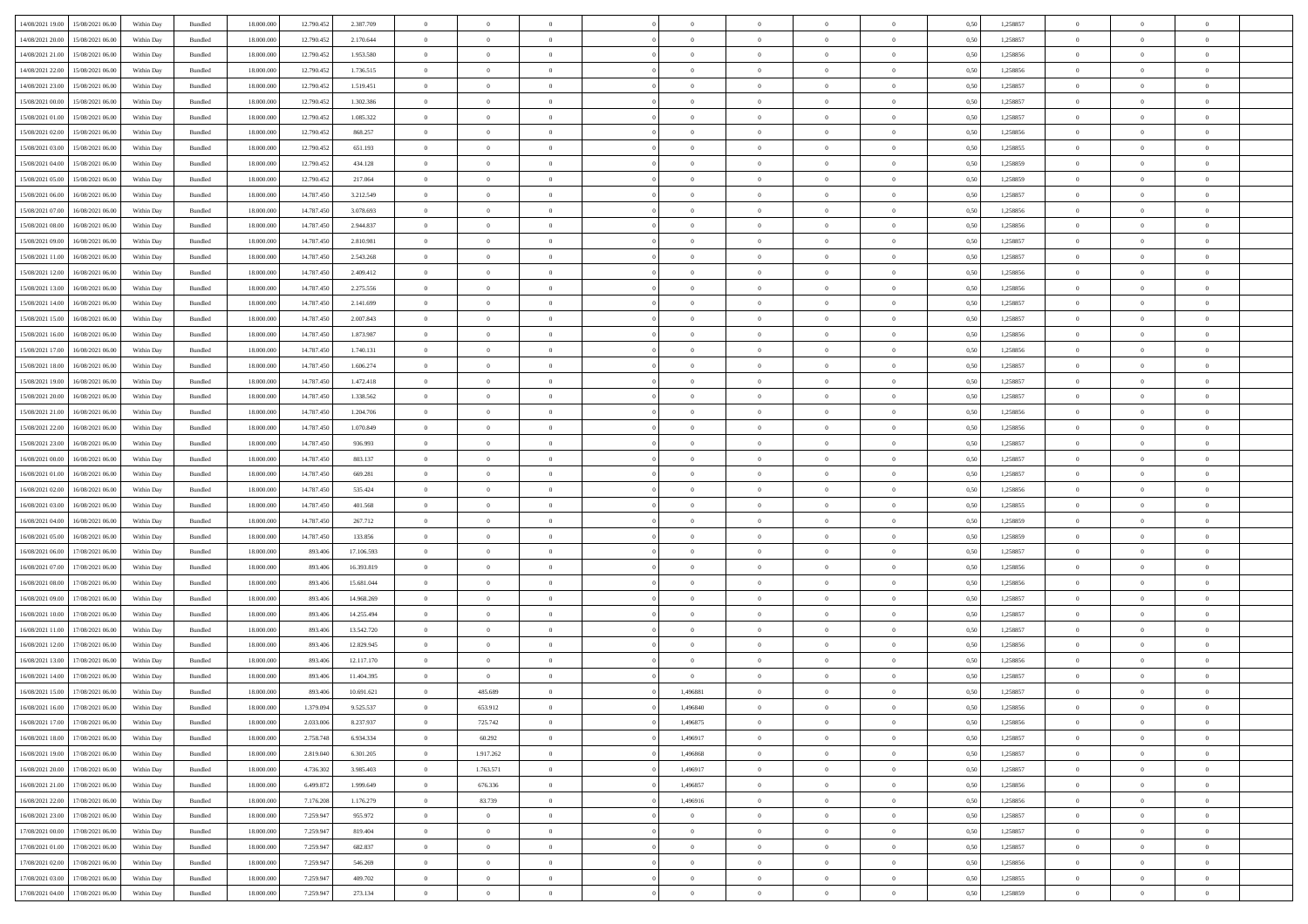| 14/08/2021 19:00                  | 15/08/2021 06:00                  | Within Day | Bundled | 18.000.000 | 12.790.452 | 2.387.709  | $\overline{0}$ | $\theta$       |                | $\overline{0}$ | $\bf{0}$       | $\overline{0}$ | $\theta$       | 0,50 | 1,258857 | $\theta$       | $\theta$       | $\overline{0}$           |  |
|-----------------------------------|-----------------------------------|------------|---------|------------|------------|------------|----------------|----------------|----------------|----------------|----------------|----------------|----------------|------|----------|----------------|----------------|--------------------------|--|
| 14/08/2021 20:00                  | 15/08/2021 06.00                  | Within Day | Bundled | 18.000.000 | 12.790.452 | 2.170.644  | $\overline{0}$ | $\overline{0}$ | $\overline{0}$ | $\overline{0}$ | $\,$ 0         | $\overline{0}$ | $\bf{0}$       | 0,50 | 1,258857 | $\,$ 0 $\,$    | $\overline{0}$ | $\overline{0}$           |  |
|                                   |                                   |            |         |            |            |            |                |                |                |                |                |                |                |      |          |                |                |                          |  |
| 14/08/2021 21:00                  | 15/08/2021 06:00                  | Within Day | Bundled | 18,000,000 | 12.790.452 | 1.953.580  | $\overline{0}$ | $\overline{0}$ | $\overline{0}$ | $\overline{0}$ | $\bf{0}$       | $\overline{0}$ | $\mathbf{0}$   | 0.50 | 1,258856 | $\bf{0}$       | $\overline{0}$ | $\overline{0}$           |  |
| 14/08/2021 22:00                  | 15/08/2021 06:00                  | Within Day | Bundled | 18.000.000 | 12.790.452 | 1.736.515  | $\overline{0}$ | $\overline{0}$ | $\overline{0}$ | $\overline{0}$ | $\,$ 0         | $\overline{0}$ | $\overline{0}$ | 0,50 | 1,258856 | $\,$ 0 $\,$    | $\overline{0}$ | $\overline{0}$           |  |
| 14/08/2021 23:00                  | 15/08/2021 06.00                  | Within Day | Bundled | 18.000.000 | 12.790.452 | 1.519.451  | $\overline{0}$ | $\theta$       | $\overline{0}$ |                | $\bf{0}$       | $\overline{0}$ | $\bf{0}$       | 0,50 | 1,258857 | $\,$ 0 $\,$    | $\overline{0}$ | $\overline{0}$           |  |
| 15/08/2021 00:00                  | 15/08/2021 06:00                  | Within Day | Bundled | 18,000,000 | 12.790.452 | 1.302.386  | $\overline{0}$ | $\overline{0}$ | $\overline{0}$ | $\overline{0}$ | $\bf{0}$       | $\overline{0}$ | $\bf{0}$       | 0.50 | 1.258857 | $\,0\,$        | $\theta$       | $\overline{0}$           |  |
| 15/08/2021 01:00                  | 15/08/2021 06:00                  | Within Day | Bundled | 18.000.000 | 12.790.452 | 1.085.322  | $\overline{0}$ | $\overline{0}$ | $\overline{0}$ | $\overline{0}$ | $\bf{0}$       | $\overline{0}$ | $\overline{0}$ | 0,50 | 1,258857 | $\,$ 0 $\,$    | $\theta$       | $\overline{0}$           |  |
| 15/08/2021 02:00                  | 15/08/2021 06.00                  | Within Day | Bundled | 18.000.000 | 12.790.452 | 868.257    | $\overline{0}$ | $\theta$       | $\overline{0}$ | $\overline{0}$ | $\,$ 0         | $\overline{0}$ | $\bf{0}$       | 0,50 | 1,258856 | $\,$ 0 $\,$    | $\overline{0}$ | $\overline{0}$           |  |
| 15/08/2021 03:00                  | 15/08/2021 06:00                  | Within Day | Bundled | 18,000,000 | 12.790.452 | 651.193    | $\overline{0}$ | $\overline{0}$ | $\overline{0}$ | $\overline{0}$ | $\bf{0}$       | $\overline{0}$ | $\bf{0}$       | 0.50 | 1.258855 | $\,0\,$        | $\overline{0}$ | $\overline{0}$           |  |
| 15/08/2021 04:00                  | 15/08/2021 06:00                  | Within Day | Bundled | 18.000.000 | 12.790.452 | 434.128    | $\overline{0}$ | $\overline{0}$ | $\overline{0}$ | $\overline{0}$ | $\bf{0}$       | $\overline{0}$ | $\bf{0}$       | 0,50 | 1,258859 | $\,$ 0 $\,$    | $\overline{0}$ | $\overline{0}$           |  |
| 15/08/2021 05:00                  | 15/08/2021 06.00                  | Within Day | Bundled | 18.000.000 | 12.790.452 | 217.064    | $\overline{0}$ | $\theta$       | $\overline{0}$ | $\overline{0}$ | $\,$ 0         | $\overline{0}$ | $\bf{0}$       | 0,50 | 1,258859 | $\,$ 0 $\,$    | $\overline{0}$ | $\overline{0}$           |  |
|                                   |                                   |            |         |            |            |            |                |                |                |                |                |                |                |      |          |                |                |                          |  |
| 15/08/2021 06:00                  | 16/08/2021 06:00                  | Within Day | Bundled | 18,000,000 | 14,787,450 | 3.212.549  | $\overline{0}$ | $\overline{0}$ | $\overline{0}$ | $\overline{0}$ | $\bf{0}$       | $\overline{0}$ | $\mathbf{0}$   | 0.50 | 1.258857 | $\,$ 0 $\,$    | $\overline{0}$ | $\bf{0}$                 |  |
| 15/08/2021 07:00                  | 16/08/2021 06:00                  | Within Day | Bundled | 18.000.000 | 14.787.450 | 3.078.693  | $\overline{0}$ | $\overline{0}$ | $\overline{0}$ | $\overline{0}$ | $\,$ 0         | $\overline{0}$ | $\overline{0}$ | 0,50 | 1,258856 | $\,$ 0 $\,$    | $\overline{0}$ | $\overline{0}$           |  |
| 15/08/2021 08:00                  | 16/08/2021 06.00                  | Within Day | Bundled | 18.000.00  | 14.787.450 | 2.944.837  | $\overline{0}$ | $\theta$       | $\overline{0}$ | $\overline{0}$ | $\,$ 0         | $\overline{0}$ | $\bf{0}$       | 0,50 | 1,258856 | $\,$ 0 $\,$    | $\overline{0}$ | $\overline{0}$           |  |
| 15/08/2021 09:00                  | 16/08/2021 06:00                  | Within Day | Bundled | 18,000,000 | 14,787.450 | 2.810.981  | $\overline{0}$ | $\overline{0}$ | $\overline{0}$ | $\overline{0}$ | $\bf{0}$       | $\overline{0}$ | $\bf{0}$       | 0.50 | 1.258857 | $\,0\,$        | $\theta$       | $\overline{0}$           |  |
| 15/08/2021 11:00                  | 16/08/2021 06:00                  | Within Day | Bundled | 18.000.000 | 14.787.450 | 2.543.268  | $\overline{0}$ | $\overline{0}$ | $\overline{0}$ | $\overline{0}$ | $\bf{0}$       | $\overline{0}$ | $\overline{0}$ | 0,50 | 1,258857 | $\,$ 0 $\,$    | $\theta$       | $\overline{0}$           |  |
| 15/08/2021 12:00                  | 16/08/2021 06.00                  | Within Day | Bundled | 18.000.000 | 14.787.450 | 2.409.412  | $\overline{0}$ | $\theta$       | $\overline{0}$ | $\overline{0}$ | $\,$ 0         | $\overline{0}$ | $\bf{0}$       | 0,50 | 1,258856 | $\,$ 0 $\,$    | $\overline{0}$ | $\overline{0}$           |  |
| 15/08/2021 13:00                  | 16/08/2021 06:00                  | Within Day | Bundled | 18,000,000 | 14,787.450 | 2.275.556  | $\overline{0}$ | $\overline{0}$ | $\overline{0}$ | $\overline{0}$ | $\bf{0}$       | $\overline{0}$ | $\bf{0}$       | 0.50 | 1.258856 | $\,0\,$        | $\overline{0}$ | $\overline{\phantom{a}}$ |  |
| 15/08/2021 14:00                  | 16/08/2021 06:00                  | Within Day | Bundled | 18.000.000 | 14.787.450 | 2.141.699  | $\overline{0}$ | $\overline{0}$ | $\overline{0}$ | $\overline{0}$ | $\bf{0}$       | $\overline{0}$ | $\bf{0}$       | 0,50 | 1,258857 | $\,$ 0 $\,$    | $\overline{0}$ | $\overline{0}$           |  |
| 15/08/2021 15:00                  | 16/08/2021 06.00                  | Within Day | Bundled | 18.000.00  | 14.787.450 | 2.007.843  | $\bf{0}$       | $\overline{0}$ | $\overline{0}$ | $\overline{0}$ | $\,$ 0         | $\overline{0}$ | $\bf{0}$       | 0,50 | 1,258857 | $\,$ 0 $\,$    | $\overline{0}$ | $\overline{0}$           |  |
|                                   |                                   |            |         |            |            |            |                |                |                |                |                |                |                |      |          |                |                |                          |  |
| 15/08/2021 16:00                  | 16/08/2021 06:00                  | Within Day | Bundled | 18,000,000 | 14,787,450 | 1.873.987  | $\overline{0}$ | $\overline{0}$ | $\overline{0}$ | $\overline{0}$ | $\bf{0}$       | $\overline{0}$ | $\mathbf{0}$   | 0.50 | 1.258856 | $\,$ 0 $\,$    | $\overline{0}$ | $\overline{\phantom{a}}$ |  |
| 15/08/2021 17:00                  | 16/08/2021 06:00                  | Within Day | Bundled | 18.000.000 | 14.787.450 | 1.740.131  | $\overline{0}$ | $\overline{0}$ | $\overline{0}$ | $\overline{0}$ | $\,$ 0         | $\overline{0}$ | $\overline{0}$ | 0,50 | 1,258856 | $\,$ 0 $\,$    | $\overline{0}$ | $\overline{0}$           |  |
| 15/08/2021 18:00                  | 16/08/2021 06:00                  | Within Day | Bundled | 18.000.000 | 14.787.450 | 1.606.274  | $\overline{0}$ | $\theta$       | $\overline{0}$ | $\overline{0}$ | $\,$ 0         | $\overline{0}$ | $\bf{0}$       | 0,50 | 1,258857 | $\,$ 0 $\,$    | $\overline{0}$ | $\overline{0}$           |  |
| 15/08/2021 19:00                  | 16/08/2021 06:00                  | Within Day | Bundled | 18,000,000 | 14,787.450 | 1.472.418  | $\overline{0}$ | $\overline{0}$ | $\overline{0}$ | $\overline{0}$ | $\bf{0}$       | $\overline{0}$ | $\bf{0}$       | 0.50 | 1.258857 | $\,0\,$        | $\theta$       | $\overline{0}$           |  |
| 15/08/2021 20:00                  | 16/08/2021 06:00                  | Within Day | Bundled | 18.000.000 | 14.787.450 | 1.338.562  | $\overline{0}$ | $\overline{0}$ | $\overline{0}$ | $\overline{0}$ | $\,$ 0         | $\overline{0}$ | $\overline{0}$ | 0,50 | 1,258857 | $\,0\,$        | $\theta$       | $\overline{0}$           |  |
| 15/08/2021 21:00                  | 16/08/2021 06.00                  | Within Day | Bundled | 18.000.000 | 14.787.450 | 1.204.706  | $\overline{0}$ | $\theta$       | $\overline{0}$ |                | $\,$ 0         | $\overline{0}$ | $\bf{0}$       | 0,50 | 1,258856 | $\,$ 0 $\,$    | $\overline{0}$ | $\overline{0}$           |  |
| 15/08/2021 22:00                  | 16/08/2021 06:00                  | Within Day | Bundled | 18,000,000 | 14,787.450 | 1.070.849  | $\overline{0}$ | $\overline{0}$ | $\overline{0}$ | $\overline{0}$ | $\bf{0}$       | $\overline{0}$ | $\bf{0}$       | 0.50 | 1.258856 | $\,0\,$        | $\overline{0}$ | $\overline{0}$           |  |
| 15/08/2021 23:00                  | 16/08/2021 06:00                  | Within Day | Bundled | 18.000.000 | 14.787.450 | 936.993    | $\overline{0}$ | $\overline{0}$ | $\overline{0}$ | $\overline{0}$ | $\bf{0}$       | $\overline{0}$ | $\bf{0}$       | 0,50 | 1,258857 | $\,$ 0 $\,$    | $\overline{0}$ | $\overline{0}$           |  |
| 16/08/2021 00:00                  | 16/08/2021 06.00                  | Within Day | Bundled | 18.000.000 | 14.787.450 | 803.137    | $\overline{0}$ | $\overline{0}$ | $\overline{0}$ | $\overline{0}$ | $\bf{0}$       | $\bf{0}$       | $\bf{0}$       | 0,50 | 1,258857 | $\,$ 0 $\,$    | $\overline{0}$ | $\overline{0}$           |  |
|                                   |                                   |            |         |            |            |            |                |                |                |                |                |                |                |      |          |                |                |                          |  |
| 16/08/2021 01:00                  | 16/08/2021 06:00                  | Within Day | Bundled | 18,000,000 | 14,787,450 | 669.281    | $\overline{0}$ | $\bf{0}$       | $\overline{0}$ | $\overline{0}$ | $\bf{0}$       | $\overline{0}$ | $\mathbf{0}$   | 0.50 | 1.258857 | $\,$ 0 $\,$    | $\overline{0}$ | $\bf{0}$                 |  |
| 16/08/2021 02:00                  | 16/08/2021 06:00                  | Within Dav | Bundled | 18.000.000 | 14.787.450 | 535.424    | $\overline{0}$ | $\overline{0}$ | $\overline{0}$ | $\overline{0}$ | $\overline{0}$ | $\overline{0}$ | $\overline{0}$ | 0.50 | 1,258856 | $\theta$       | $\overline{0}$ | $\overline{0}$           |  |
| 16/08/2021 03:00                  | 16/08/2021 06.00                  | Within Day | Bundled | 18.000.000 | 14.787.450 | 401.568    | $\overline{0}$ | $\theta$       | $\overline{0}$ | $\overline{0}$ | $\,$ 0         | $\overline{0}$ | $\bf{0}$       | 0,50 | 1,258855 | $\,$ 0 $\,$    | $\overline{0}$ | $\overline{0}$           |  |
| 16/08/2021 04:00                  | 16/08/2021 06:00                  | Within Day | Bundled | 18,000,000 | 14,787.450 | 267.712    | $\overline{0}$ | $\overline{0}$ | $\overline{0}$ | $\overline{0}$ | $\bf{0}$       | $\overline{0}$ | $\bf{0}$       | 0.50 | 1.258859 | $\,0\,$        | $\overline{0}$ | $\overline{0}$           |  |
| 16/08/2021 05:00                  | 16/08/2021 06:00                  | Within Dav | Bundled | 18.000.000 | 14.787.450 | 133,856    | $\overline{0}$ | $\overline{0}$ | $\Omega$       | $\overline{0}$ | $\mathbf{0}$   | $\overline{0}$ | $\overline{0}$ | 0.50 | 1,258859 | $\theta$       | $\overline{0}$ | $\overline{0}$           |  |
| 16/08/2021 06:00                  | 17/08/2021 06.00                  | Within Day | Bundled | 18.000.000 | 893.406    | 17.106.593 | $\overline{0}$ | $\theta$       | $\overline{0}$ | $\overline{0}$ | $\,$ 0         | $\overline{0}$ | $\bf{0}$       | 0,50 | 1,258857 | $\,$ 0 $\,$    | $\overline{0}$ | $\overline{0}$           |  |
| 16/08/2021 07:00                  | 17/08/2021 06:00                  | Within Day | Bundled | 18,000,000 | 893,406    | 16.393.819 | $\overline{0}$ | $\bf{0}$       | $\overline{0}$ | $\overline{0}$ | $\bf{0}$       | $\overline{0}$ | $\bf{0}$       | 0.50 | 1.258856 | $\bf{0}$       | $\overline{0}$ | $\overline{\phantom{a}}$ |  |
| 16/08/2021 08:00                  | 17/08/2021 06:00                  | Within Dav | Bundled | 18.000.000 | 893,406    | 15.681.044 | $\overline{0}$ | $\overline{0}$ | $\overline{0}$ | $\overline{0}$ | $\overline{0}$ | $\overline{0}$ | $\overline{0}$ | 0.50 | 1,258856 | $\theta$       | $\overline{0}$ | $\overline{0}$           |  |
| 16/08/2021 09:00                  | 17/08/2021 06.00                  | Within Day | Bundled | 18.000.000 | 893.406    | 14.968.269 | $\overline{0}$ | $\overline{0}$ | $\overline{0}$ | $\bf{0}$       | $\bf{0}$       | $\bf{0}$       | $\bf{0}$       | 0,50 | 1,258857 | $\,$ 0 $\,$    | $\overline{0}$ | $\overline{0}$           |  |
| 16/08/2021 10:00                  | 17/08/2021 06:00                  | Within Day | Bundled | 18,000,000 | 893,406    | 14.255.494 | $\overline{0}$ | $\overline{0}$ | $\overline{0}$ | $\overline{0}$ | $\bf{0}$       | $\overline{0}$ | $\mathbf{0}$   | 0.50 | 1.258857 | $\,$ 0 $\,$    | $\,$ 0 $\,$    | $\overline{\phantom{a}}$ |  |
|                                   |                                   |            |         |            |            |            |                |                |                |                |                |                |                |      |          |                |                |                          |  |
| 16/08/2021 11:00                  | 17/08/2021 06:00                  | Within Dav | Bundled | 18.000.000 | 893.406    | 13.542.720 | $\overline{0}$ | $\overline{0}$ | $\Omega$       | $\overline{0}$ | $\mathbf{0}$   | $\overline{0}$ | $\overline{0}$ | 0.50 | 1,258857 | $\theta$       | $\overline{0}$ | $\overline{0}$           |  |
| 16/08/2021 12:00                  | 17/08/2021 06.00                  | Within Day | Bundled | 18.000.000 | 893.406    | 12.829.945 | $\overline{0}$ | $\overline{0}$ | $\overline{0}$ | $\overline{0}$ | $\,$ 0         | $\bf{0}$       | $\bf{0}$       | 0,50 | 1,258856 | $\,$ 0 $\,$    | $\overline{0}$ | $\overline{0}$           |  |
| 16/08/2021 13:00                  | 17/08/2021 06:00                  | Within Day | Bundled | 18,000,000 | 893,406    | 12.117.170 | $\overline{0}$ | $\overline{0}$ | $\overline{0}$ | $\overline{0}$ | $\bf{0}$       | $\overline{0}$ | $\overline{0}$ | 0.50 | 1.258856 | $\,0\,$        | $\theta$       | $\overline{0}$           |  |
| 16/08/2021 14:00                  | 17/08/2021 06:00                  | Within Dav | Bundled | 18.000.000 | 893,406    | 11.404.395 | $\overline{0}$ | $\overline{0}$ | $\Omega$       | $\overline{0}$ | $\bf{0}$       | $\overline{0}$ | $\overline{0}$ | 0.50 | 1,258857 | $\theta$       | $\overline{0}$ | $\overline{0}$           |  |
| 16/08/2021 15:00                  | 17/08/2021 06:00                  | Within Day | Bundled | 18.000.000 | 893.406    | 10.691.621 | $\overline{0}$ | 485.689        | $\overline{0}$ | 1,496881       | $\,$ 0         | $\bf{0}$       | $\bf{0}$       | 0,50 | 1,258857 | $\,$ 0 $\,$    | $\overline{0}$ | $\overline{0}$           |  |
| 16/08/2021 16:00                  | 17/08/2021 06:00                  | Within Day | Bundled | 18.000.000 | 1.379.094  | 9.525.537  | $\bf{0}$       | 653.912        |                | 1496840        | $\Omega$       |                |                | 0,50 | 1,258856 | $\,$ 0         | $\theta$       |                          |  |
| 16/08/2021 17:00 17/08/2021 06:00 |                                   | Within Day | Bundled | 18.000.000 | 2.033.006  | 8.237.937  | $\overline{0}$ | 725.742        | $\overline{0}$ | 1,496875       | $\overline{0}$ | $\overline{0}$ | $\overline{0}$ | 0,50 | 1,258856 | $\theta$       | $\overline{0}$ | $\overline{0}$           |  |
| 16/08/2021 18:00                  | 17/08/2021 06:00                  | Within Day | Bundled | 18.000.000 | 2.758.748  | 6.934.334  | $\overline{0}$ | 60.292         | $\overline{0}$ | 1,496917       | $\overline{0}$ | $\overline{0}$ | $\bf{0}$       | 0,50 | 1,258857 | $\overline{0}$ | $\overline{0}$ | $\bf{0}$                 |  |
| 16/08/2021 19:00                  | 17/08/2021 06:00                  | Within Day | Bundled | 18,000,000 | 2.819.040  | 6.301.205  | $\overline{0}$ | 1.917.262      | $\overline{0}$ | 1,496868       | $\bf{0}$       | $\overline{0}$ | $\mathbf{0}$   | 0.50 | 1.258857 | $\overline{0}$ | $\bf{0}$       | $\bf{0}$                 |  |
|                                   |                                   |            |         |            |            |            |                |                |                |                |                |                |                |      |          |                |                |                          |  |
| 16/08/2021 20:00                  | 17/08/2021 06:00                  | Within Day | Bundled | 18.000.000 | 4.736.302  | 3.985.403  | $\overline{0}$ | 1.763.571      | $\overline{0}$ | 1,496917       | $\overline{0}$ | $\overline{0}$ | $\overline{0}$ | 0.50 | 1,258857 | $\overline{0}$ | $\theta$       | $\overline{0}$           |  |
| 16/08/2021 21:00                  | 17/08/2021 06:00                  | Within Day | Bundled | 18.000.000 | 6.499.872  | 1.999.649  | $\overline{0}$ | 676.336        | $\overline{0}$ | 1,496857       | $\bf{0}$       | $\overline{0}$ | $\bf{0}$       | 0,50 | 1,258856 | $\bf{0}$       | $\overline{0}$ | $\overline{0}$           |  |
| 16/08/2021 22:00                  | 17/08/2021 06:00                  | Within Day | Bundled | 18,000,000 | 7.176.208  | 1.176.279  | $\overline{0}$ | 83.739         | $\overline{0}$ | 1.496916       | $\bf{0}$       | $\overline{0}$ | $\mathbf{0}$   | 0.50 | 1.258856 | $\,$ 0 $\,$    | $\overline{0}$ | $\overline{0}$           |  |
| 16/08/2021 23:00                  | 17/08/2021 06:00                  | Within Day | Bundled | 18.000.000 | 7.259.947  | 955.972    | $\overline{0}$ | $\overline{0}$ | $\overline{0}$ | $\overline{0}$ | $\overline{0}$ | $\overline{0}$ | $\overline{0}$ | 0.50 | 1,258857 | $\overline{0}$ | $\theta$       | $\overline{0}$           |  |
| 17/08/2021 00:00                  | 17/08/2021 06:00                  | Within Day | Bundled | 18.000.000 | 7.259.947  | 819.404    | $\overline{0}$ | $\,$ 0         | $\overline{0}$ | $\bf{0}$       | $\,$ 0 $\,$    | $\overline{0}$ | $\bf{0}$       | 0,50 | 1,258857 | $\,$ 0 $\,$    | $\overline{0}$ | $\overline{0}$           |  |
| 17/08/2021 01:00                  | 17/08/2021 06:00                  | Within Day | Bundled | 18,000,000 | 7.259.947  | 682.837    | $\overline{0}$ | $\overline{0}$ | $\overline{0}$ | $\overline{0}$ | $\bf{0}$       | $\overline{0}$ | $\mathbf{0}$   | 0.50 | 1.258857 | $\mathbf{0}$   | $\bf{0}$       | $\overline{0}$           |  |
| 17/08/2021 02:00                  | 17/08/2021 06:00                  | Within Dav | Bundled | 18.000.000 | 7.259.947  | 546.269    | $\overline{0}$ | $\overline{0}$ | $\overline{0}$ | $\overline{0}$ | $\overline{0}$ | $\overline{0}$ | $\overline{0}$ | 0,50 | 1,258856 | $\overline{0}$ | $\theta$       | $\overline{0}$           |  |
| 17/08/2021 03:00                  | 17/08/2021 06:00                  | Within Day | Bundled | 18.000.000 | 7.259.947  | 409.702    | $\overline{0}$ | $\overline{0}$ | $\overline{0}$ | $\bf{0}$       | $\bf{0}$       | $\overline{0}$ | $\bf{0}$       | 0,50 | 1,258855 | $\overline{0}$ | $\overline{0}$ | $\bf{0}$                 |  |
|                                   |                                   |            |         |            |            |            |                |                |                |                |                |                |                |      |          |                |                |                          |  |
|                                   | 17/08/2021 04:00 17/08/2021 06:00 | Within Day | Bundled | 18.000.000 | 7.259.947  | 273.134    | $\overline{0}$ | $\overline{0}$ | $\overline{0}$ | $\overline{0}$ | $\bf{0}$       | $\overline{0}$ | $\,$ 0 $\,$    | 0,50 | 1,258859 | $\overline{0}$ | $\,$ 0 $\,$    | $\,$ 0 $\,$              |  |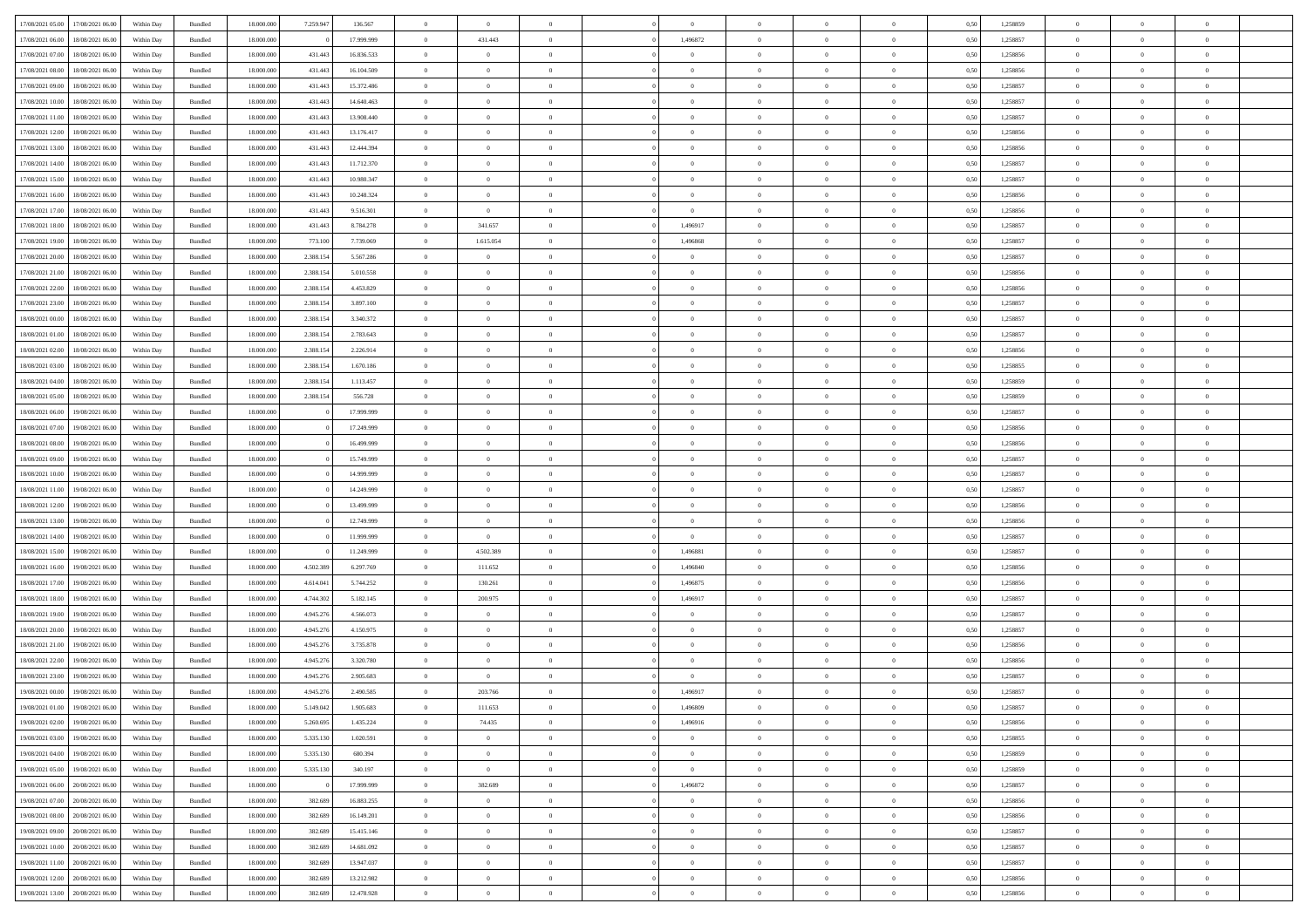| 17/08/2021 05:00                  | 17/08/2021 06:00 | Within Day | Bundled | 18.000.000 | 7.259.947 | 136.567    | $\overline{0}$ | $\theta$       |                | $\overline{0}$ | $\bf{0}$       | $\overline{0}$ | $\theta$       | 0,50 | 1,258859 | $\theta$       | $\theta$       | $\overline{0}$           |  |
|-----------------------------------|------------------|------------|---------|------------|-----------|------------|----------------|----------------|----------------|----------------|----------------|----------------|----------------|------|----------|----------------|----------------|--------------------------|--|
| 17/08/2021 06:00                  | 18/08/2021 06:00 | Within Day | Bundled | 18.000.000 |           | 17.999.999 | $\overline{0}$ | 431.443        | $\overline{0}$ | 1,496872       | $\,$ 0         | $\overline{0}$ | $\bf{0}$       | 0,50 | 1,258857 | $\,$ 0 $\,$    | $\overline{0}$ | $\overline{0}$           |  |
|                                   |                  |            |         |            |           |            |                |                |                |                |                |                |                |      |          |                |                |                          |  |
| 17/08/2021 07:00                  | 18/08/2021 06:00 | Within Day | Bundled | 18,000,000 | 431.443   | 16.836.533 | $\overline{0}$ | $\overline{0}$ | $\overline{0}$ | $\overline{0}$ | $\bf{0}$       | $\overline{0}$ | $\mathbf{0}$   | 0.50 | 1,258856 | $\bf{0}$       | $\overline{0}$ | $\overline{0}$           |  |
| 17/08/2021 08:00                  | 18/08/2021 06:00 | Within Day | Bundled | 18.000.000 | 431.443   | 16.104.509 | $\overline{0}$ | $\overline{0}$ | $\overline{0}$ | $\overline{0}$ | $\bf{0}$       | $\overline{0}$ | $\overline{0}$ | 0,50 | 1,258856 | $\,$ 0 $\,$    | $\overline{0}$ | $\overline{0}$           |  |
| 17/08/2021 09:00                  | 18/08/2021 06:00 | Within Day | Bundled | 18.000.000 | 431.443   | 15.372.486 | $\overline{0}$ | $\theta$       | $\overline{0}$ | $\overline{0}$ | $\overline{0}$ | $\overline{0}$ | $\bf{0}$       | 0,50 | 1,258857 | $\,$ 0 $\,$    | $\overline{0}$ | $\overline{0}$           |  |
| 17/08/2021 10:00                  | 18/08/2021 06:00 | Within Day | Bundled | 18,000,000 | 431.443   | 14.640.463 | $\overline{0}$ | $\overline{0}$ | $\overline{0}$ | $\overline{0}$ | $\bf{0}$       | $\overline{0}$ | $\overline{0}$ | 0.50 | 1.258857 | $\,0\,$        | $\theta$       | $\overline{0}$           |  |
| 17/08/2021 11:00                  | 18/08/2021 06:00 | Within Day | Bundled | 18.000.000 | 431.443   | 13.908.440 | $\overline{0}$ | $\overline{0}$ | $\overline{0}$ | $\overline{0}$ | $\,$ 0         | $\overline{0}$ | $\overline{0}$ | 0,50 | 1,258857 | $\,0\,$        | $\theta$       | $\overline{0}$           |  |
| 17/08/2021 12:00                  | 18/08/2021 06:00 | Within Day | Bundled | 18.000.000 | 431.443   | 13.176.417 | $\overline{0}$ | $\theta$       | $\overline{0}$ | $\overline{0}$ | $\,$ 0         | $\bf{0}$       | $\bf{0}$       | 0,50 | 1,258856 | $\,$ 0 $\,$    | $\overline{0}$ | $\overline{0}$           |  |
| 17/08/2021 13:00                  | 18/08/2021 06:00 | Within Day | Bundled | 18,000,000 | 431.443   | 12.444.394 | $\overline{0}$ | $\overline{0}$ | $\overline{0}$ | $\overline{0}$ | $\bf{0}$       | $\overline{0}$ | $\bf{0}$       | 0.50 | 1.258856 | $\,0\,$        | $\overline{0}$ | $\overline{0}$           |  |
| 17/08/2021 14:00                  | 18/08/2021 06:00 | Within Day | Bundled | 18.000.000 | 431.443   | 11.712.370 | $\overline{0}$ | $\overline{0}$ | $\overline{0}$ | $\overline{0}$ | $\,$ 0         | $\overline{0}$ | $\bf{0}$       | 0,50 | 1,258857 | $\,$ 0 $\,$    | $\overline{0}$ | $\overline{0}$           |  |
| 17/08/2021 15:00                  | 18/08/2021 06:00 | Within Day | Bundled | 18.000.000 | 431.443   | 10.980.347 | $\overline{0}$ | $\theta$       | $\overline{0}$ | $\overline{0}$ | $\,$ 0         | $\overline{0}$ | $\bf{0}$       | 0,50 | 1,258857 | $\,$ 0 $\,$    | $\overline{0}$ | $\overline{0}$           |  |
|                                   |                  |            |         |            |           |            |                |                |                |                |                |                |                |      |          |                |                |                          |  |
| 17/08/2021 16:00                  | 18/08/2021 06:00 | Within Day | Bundled | 18,000,000 | 431.443   | 10.248.324 | $\overline{0}$ | $\overline{0}$ | $\overline{0}$ | $\overline{0}$ | $\bf{0}$       | $\overline{0}$ | $\mathbf{0}$   | 0.50 | 1,258856 | $\bf{0}$       | $\overline{0}$ | $\bf{0}$                 |  |
| 17/08/2021 17:00                  | 18/08/2021 06:00 | Within Day | Bundled | 18.000.000 | 431.443   | 9.516.301  | $\overline{0}$ | $\overline{0}$ | $\overline{0}$ | $\overline{0}$ | $\bf{0}$       | $\overline{0}$ | $\mathbf{0}$   | 0,50 | 1,258856 | $\,$ 0 $\,$    | $\theta$       | $\overline{0}$           |  |
| 17/08/2021 18:00                  | 18/08/2021 06:00 | Within Day | Bundled | 18.000.000 | 431.443   | 8.784.278  | $\overline{0}$ | 341.657        | $\overline{0}$ | 1,496917       | $\overline{0}$ | $\overline{0}$ | $\bf{0}$       | 0,50 | 1,258857 | $\,$ 0 $\,$    | $\overline{0}$ | $\overline{0}$           |  |
| 17/08/2021 19:00                  | 18/08/2021 06:00 | Within Day | Bundled | 18,000,000 | 773.100   | 7.739.069  | $\overline{0}$ | 1.615.054      | $\overline{0}$ | 1.496868       | $\overline{0}$ | $\overline{0}$ | $\overline{0}$ | 0.50 | 1.258857 | $\theta$       | $\theta$       | $\overline{0}$           |  |
| 17/08/2021 20:00                  | 18/08/2021 06:00 | Within Day | Bundled | 18.000.000 | 2.388.154 | 5.567.286  | $\overline{0}$ | $\overline{0}$ | $\overline{0}$ | $\overline{0}$ | $\bf{0}$       | $\overline{0}$ | $\overline{0}$ | 0,50 | 1,258857 | $\theta$       | $\theta$       | $\overline{0}$           |  |
| 17/08/2021 21:00                  | 18/08/2021 06:00 | Within Day | Bundled | 18.000.000 | 2.388.154 | 5.010.558  | $\overline{0}$ | $\theta$       | $\overline{0}$ | $\overline{0}$ | $\bf{0}$       | $\overline{0}$ | $\bf{0}$       | 0,50 | 1,258856 | $\,$ 0 $\,$    | $\overline{0}$ | $\overline{0}$           |  |
| 17/08/2021 22:00                  | 18/08/2021 06:00 | Within Day | Bundled | 18,000,000 | 2.388.154 | 4.453.829  | $\overline{0}$ | $\overline{0}$ | $\overline{0}$ | $\overline{0}$ | $\bf{0}$       | $\overline{0}$ | $\bf{0}$       | 0.50 | 1.258856 | $\,0\,$        | $\overline{0}$ | $\overline{\phantom{a}}$ |  |
| 17/08/2021 23:00                  | 18/08/2021 06:00 | Within Day | Bundled | 18.000.000 | 2.388.154 | 3.897.100  | $\overline{0}$ | $\overline{0}$ | $\overline{0}$ | $\overline{0}$ | $\,$ 0         | $\overline{0}$ | $\bf{0}$       | 0,50 | 1,258857 | $\,$ 0 $\,$    | $\overline{0}$ | $\overline{0}$           |  |
| 18/08/2021 00:00                  | 18/08/2021 06:00 | Within Day | Bundled | 18.000.000 | 2.388.154 | 3.340.372  | $\bf{0}$       | $\theta$       | $\overline{0}$ | $\overline{0}$ | $\,$ 0         | $\bf{0}$       | $\bf{0}$       | 0,50 | 1,258857 | $\,$ 0 $\,$    | $\overline{0}$ | $\overline{0}$           |  |
|                                   |                  |            |         |            |           |            |                |                |                |                |                |                |                |      |          |                |                |                          |  |
| 18/08/2021 01:00                  | 18/08/2021 06:00 | Within Day | Bundled | 18,000,000 | 2.388.154 | 2.783.643  | $\overline{0}$ | $\overline{0}$ | $\overline{0}$ | $\overline{0}$ | $\bf{0}$       | $\overline{0}$ | $\mathbf{0}$   | 0.50 | 1.258857 | $\bf{0}$       | $\overline{0}$ | $\overline{\phantom{a}}$ |  |
| 18/08/2021 02:00                  | 18/08/2021 06:00 | Within Day | Bundled | 18.000.000 | 2.388.154 | 2.226.914  | $\overline{0}$ | $\overline{0}$ | $\overline{0}$ | $\overline{0}$ | $\bf{0}$       | $\overline{0}$ | $\overline{0}$ | 0,50 | 1,258856 | $\theta$       | $\overline{0}$ | $\overline{0}$           |  |
| 18/08/2021 03:00                  | 18/08/2021 06:00 | Within Day | Bundled | 18.000.000 | 2.388.154 | 1.670.186  | $\overline{0}$ | $\theta$       | $\overline{0}$ | $\overline{0}$ | $\,$ 0         | $\overline{0}$ | $\bf{0}$       | 0,50 | 1,258855 | $\,$ 0 $\,$    | $\overline{0}$ | $\overline{0}$           |  |
| 18/08/2021 04:00                  | 18/08/2021 06:00 | Within Day | Bundled | 18,000,000 | 2.388.154 | 1.113.457  | $\overline{0}$ | $\overline{0}$ | $\overline{0}$ | $\overline{0}$ | $\bf{0}$       | $\overline{0}$ | $\overline{0}$ | 0.50 | 1.258859 | $\,0\,$        | $\theta$       | $\overline{0}$           |  |
| 18/08/2021 05:00                  | 18/08/2021 06:00 | Within Day | Bundled | 18.000.000 | 2.388.154 | 556.728    | $\overline{0}$ | $\overline{0}$ | $\overline{0}$ | $\overline{0}$ | $\,$ 0         | $\overline{0}$ | $\overline{0}$ | 0,50 | 1,258859 | $\,0\,$        | $\theta$       | $\overline{0}$           |  |
| 18/08/2021 06:00                  | 19/08/2021 06.00 | Within Day | Bundled | 18.000.000 |           | 17.999.999 | $\overline{0}$ | $\theta$       | $\overline{0}$ |                | $\,$ 0         | $\overline{0}$ | $\bf{0}$       | 0,50 | 1,258857 | $\,$ 0 $\,$    | $\overline{0}$ | $\overline{0}$           |  |
| 18/08/2021 07:00                  | 19/08/2021 06:00 | Within Day | Bundled | 18,000,000 |           | 17.249.999 | $\overline{0}$ | $\overline{0}$ | $\overline{0}$ | $\overline{0}$ | $\bf{0}$       | $\overline{0}$ | $\bf{0}$       | 0.50 | 1.258856 | $\,0\,$        | $\overline{0}$ | $\overline{0}$           |  |
| 18/08/2021 08:00                  | 19/08/2021 06:00 | Within Day | Bundled | 18.000.000 |           | 16.499.999 | $\overline{0}$ | $\overline{0}$ | $\overline{0}$ | $\overline{0}$ | $\bf{0}$       | $\overline{0}$ | $\bf{0}$       | 0,50 | 1,258856 | $\,$ 0 $\,$    | $\overline{0}$ | $\overline{0}$           |  |
|                                   | 19/08/2021 06.00 | Within Day | Bundled | 18.000.000 |           | 15.749.999 | $\overline{0}$ | $\overline{0}$ | $\overline{0}$ | $\overline{0}$ | $\bf{0}$       | $\bf{0}$       | $\bf{0}$       | 0,50 | 1,258857 | $\,$ 0 $\,$    | $\overline{0}$ | $\overline{0}$           |  |
| 18/08/2021 09:00                  |                  |            |         |            |           |            |                |                |                |                |                |                |                |      |          |                |                |                          |  |
| 18/08/2021 10:00                  | 19/08/2021 06:00 | Within Day | Bundled | 18,000,000 |           | 14,999,999 | $\overline{0}$ | $\overline{0}$ | $\overline{0}$ | $\overline{0}$ | $\bf{0}$       | $\overline{0}$ | $\mathbf{0}$   | 0.50 | 1.258857 | $\bf{0}$       | $\overline{0}$ | $\bf{0}$                 |  |
| 18/08/2021 11:00                  | 19/08/2021 06:00 | Within Dav | Bundled | 18.000.000 |           | 14.249.999 | $\overline{0}$ | $\overline{0}$ | $\overline{0}$ | $\overline{0}$ | $\mathbf{0}$   | $\overline{0}$ | $\overline{0}$ | 0.50 | 1,258857 | $\theta$       | $\overline{0}$ | $\overline{0}$           |  |
| 18/08/2021 12:00                  | 19/08/2021 06.00 | Within Day | Bundled | 18.000.000 |           | 13.499.999 | $\overline{0}$ | $\theta$       | $\overline{0}$ | $\overline{0}$ | $\bf{0}$       | $\overline{0}$ | $\bf{0}$       | 0,50 | 1,258856 | $\,$ 0 $\,$    | $\overline{0}$ | $\overline{0}$           |  |
| 18/08/2021 13:00                  | 19/08/2021 06:00 | Within Day | Bundled | 18,000,000 |           | 12.749.999 | $\overline{0}$ | $\overline{0}$ | $\overline{0}$ | $\overline{0}$ | $\,$ 0         | $\overline{0}$ | $\bf{0}$       | 0.50 | 1.258856 | $\,0\,$        | $\theta$       | $\overline{0}$           |  |
| 18/08/2021 14:00                  | 19/08/2021 06:00 | Within Dav | Bundled | 18.000.000 |           | 11.999.999 | $\overline{0}$ | $\overline{0}$ | $\Omega$       | $\overline{0}$ | $\bf{0}$       | $\overline{0}$ | $\overline{0}$ | 0.50 | 1,258857 | $\theta$       | $\overline{0}$ | $\overline{0}$           |  |
| 18/08/2021 15:00                  | 19/08/2021 06.00 | Within Day | Bundled | 18.000.000 |           | 11.249.999 | $\overline{0}$ | 4.502.389      | $\overline{0}$ | 1,496881       | $\,$ 0         | $\overline{0}$ | $\bf{0}$       | 0,50 | 1,258857 | $\,$ 0 $\,$    | $\overline{0}$ | $\overline{0}$           |  |
| 18/08/2021 16:00                  | 19/08/2021 06:00 | Within Day | Bundled | 18,000,000 | 4.502.389 | 6.297.769  | $\overline{0}$ | 111.652        | $\overline{0}$ | 1,496840       | $\bf{0}$       | $\overline{0}$ | $\bf{0}$       | 0.50 | 1.258856 | $\,0\,$        | $\overline{0}$ | $\overline{0}$           |  |
| 18/08/2021 17:00                  | 19/08/2021 06:00 | Within Dav | Bundled | 18.000.000 | 4.614.041 | 5.744.252  | $\overline{0}$ | 130.261        | $\overline{0}$ | 1,496875       | $\overline{0}$ | $\overline{0}$ | $\overline{0}$ | 0.50 | 1,258856 | $\theta$       | $\overline{0}$ | $\overline{0}$           |  |
| 18/08/2021 18:00                  | 19/08/2021 06.00 | Within Day | Bundled | 18.000.000 | 4.744.302 | 5.182.145  | $\overline{0}$ | 200.975        | $\overline{0}$ | 1,496917       | $\bf{0}$       | $\overline{0}$ | $\bf{0}$       | 0,50 | 1,258857 | $\,$ 0 $\,$    | $\overline{0}$ | $\overline{0}$           |  |
| 18/08/2021 19:00                  | 19/08/2021 06:00 | Within Day | Bundled | 18,000,000 |           | 4.566.073  |                | $\overline{0}$ | $\overline{0}$ | $\overline{0}$ | $\bf{0}$       | $\overline{0}$ |                | 0.50 | 1.258857 | $\bf{0}$       | $\overline{0}$ | $\overline{0}$           |  |
|                                   |                  |            |         |            | 4.945.276 |            | $\overline{0}$ |                |                |                |                |                | $\mathbf{0}$   |      |          |                |                |                          |  |
| 18/08/2021 20:00                  | 19/08/2021 06:00 | Within Dav | Bundled | 18.000.000 | 4.945.276 | 4.150.975  | $\overline{0}$ | $\overline{0}$ | $\Omega$       | $\overline{0}$ | $\bf{0}$       | $\overline{0}$ | $\overline{0}$ | 0.50 | 1,258857 | $\theta$       | $\overline{0}$ | $\overline{0}$           |  |
| 18/08/2021 21:00                  | 19/08/2021 06.00 | Within Day | Bundled | 18.000.000 | 4.945.276 | 3.735.878  | $\overline{0}$ | $\overline{0}$ | $\overline{0}$ | $\overline{0}$ | $\,$ 0         | $\overline{0}$ | $\bf{0}$       | 0,50 | 1,258856 | $\,$ 0 $\,$    | $\overline{0}$ | $\overline{0}$           |  |
| 18/08/2021 22:00                  | 19/08/2021 06:00 | Within Day | Bundled | 18,000,000 | 4.945.276 | 3.320.780  | $\overline{0}$ | $\overline{0}$ | $\overline{0}$ | $\overline{0}$ | $\bf{0}$       | $\Omega$       | $\overline{0}$ | 0.50 | 1.258856 | $\,0\,$        | $\theta$       | $\overline{0}$           |  |
| 18/08/2021 23:00                  | 19/08/2021 06:00 | Within Dav | Bundled | 18.000.000 | 4.945.276 | 2.905.683  | $\overline{0}$ | $\overline{0}$ | $\Omega$       | $\overline{0}$ | $\bf{0}$       | $\overline{0}$ | $\overline{0}$ | 0.50 | 1,258857 | $\theta$       | $\overline{0}$ | $\overline{0}$           |  |
| 19/08/2021 00:00                  | 19/08/2021 06:00 | Within Day | Bundled | 18.000.000 | 4.945.276 | 2.490.585  | $\overline{0}$ | 203.766        | $\overline{0}$ | 1,496917       | $\,$ 0         | $\overline{0}$ | $\bf{0}$       | 0,50 | 1,258857 | $\,$ 0 $\,$    | $\overline{0}$ | $\overline{0}$           |  |
| 19/08/2021 01:00                  | 19/08/2021 06:00 | Within Day | Bundled | 18.000.000 | 5.149.042 | 1.905.683  | $\bf{0}$       | 111.653        |                | 1.496809       | $\bf{0}$       |                |                | 0,50 | 1.258857 | $\bf{0}$       | $\theta$       |                          |  |
| 19/08/2021 02:00                  | 19/08/2021 06:00 | Within Day | Bundled | 18.000.000 | 5.260.695 | 1.435.224  | $\overline{0}$ | 74.435         | $\overline{0}$ | 1,496916       | $\overline{0}$ | $\overline{0}$ | $\overline{0}$ | 0,50 | 1,258856 | $\theta$       | $\overline{0}$ | $\overline{0}$           |  |
| 19/08/2021 03:00                  | 19/08/2021 06:00 | Within Day | Bundled | 18.000.000 | 5.335.130 | 1.020.591  | $\overline{0}$ | $\bf{0}$       | $\overline{0}$ | $\bf{0}$       | $\overline{0}$ | $\overline{0}$ | $\mathbf{0}$   | 0,50 | 1,258855 | $\overline{0}$ | $\overline{0}$ | $\bf{0}$                 |  |
| 19/08/2021 04:00                  | 19/08/2021 06:00 | Within Day | Bundled | 18,000,000 | 5.335.130 | 680.394    | $\overline{0}$ | $\overline{0}$ | $\overline{0}$ | $\overline{0}$ | $\overline{0}$ | $\overline{0}$ | $\mathbf{0}$   | 0.50 | 1,258859 | $\overline{0}$ | $\bf{0}$       | $\bf{0}$                 |  |
|                                   |                  |            |         |            |           |            |                |                |                |                |                |                |                |      |          |                |                |                          |  |
| 19/08/2021 05:00                  | 19/08/2021 06:00 | Within Day | Bundled | 18.000.000 | 5.335.130 | 340.197    | $\overline{0}$ | $\overline{0}$ | $\overline{0}$ | $\overline{0}$ | $\overline{0}$ | $\overline{0}$ | $\mathbf{0}$   | 0,50 | 1,258859 | $\overline{0}$ | $\theta$       | $\overline{0}$           |  |
| 19/08/2021 06:00                  | 20/08/2021 06:00 | Within Day | Bundled | 18.000.000 |           | 17.999.999 | $\overline{0}$ | 382.689        | $\overline{0}$ | 1,496872       | $\bf{0}$       | $\bf{0}$       | $\bf{0}$       | 0,50 | 1,258857 | $\bf{0}$       | $\overline{0}$ | $\overline{0}$           |  |
| 19/08/2021 07:00                  | 20/08/2021 06:00 | Within Day | Bundled | 18,000,000 | 382.689   | 16.883.255 | $\overline{0}$ | $\overline{0}$ | $\overline{0}$ | $\overline{0}$ | $\bf{0}$       | $\overline{0}$ | $\mathbf{0}$   | 0.50 | 1.258856 | $\,$ 0 $\,$    | $\overline{0}$ | $\overline{0}$           |  |
| 19/08/2021 08:00                  | 20/08/2021 06:00 | Within Day | Bundled | 18.000.000 | 382.689   | 16.149.201 | $\overline{0}$ | $\overline{0}$ | $\overline{0}$ | $\overline{0}$ | $\overline{0}$ | $\overline{0}$ | $\overline{0}$ | 0.50 | 1,258856 | $\overline{0}$ | $\theta$       | $\overline{0}$           |  |
| 19/08/2021 09:00                  | 20/08/2021 06:00 | Within Day | Bundled | 18.000.000 | 382.689   | 15.415.146 | $\overline{0}$ | $\,$ 0         | $\overline{0}$ | $\bf{0}$       | $\bf{0}$       | $\overline{0}$ | $\bf{0}$       | 0,50 | 1,258857 | $\,$ 0 $\,$    | $\overline{0}$ | $\overline{0}$           |  |
| 19/08/2021 10:00                  | 20/08/2021 06:00 | Within Day | Bundled | 18,000,000 | 382.689   | 14.681.092 | $\overline{0}$ | $\overline{0}$ | $\overline{0}$ | $\overline{0}$ | $\bf{0}$       | $\overline{0}$ | $\mathbf{0}$   | 0.50 | 1.258857 | $\mathbf{0}$   | $\bf{0}$       | $\overline{0}$           |  |
| 19/08/2021 11:00                  | 20/08/2021 06:00 | Within Dav | Bundled | 18.000.000 | 382.689   | 13.947.037 | $\overline{0}$ | $\overline{0}$ | $\overline{0}$ | $\overline{0}$ | $\overline{0}$ | $\overline{0}$ | $\overline{0}$ | 0,50 | 1,258857 | $\overline{0}$ | $\theta$       | $\overline{0}$           |  |
| 19/08/2021 12:00                  | 20/08/2021 06:00 | Within Day | Bundled | 18.000.000 | 382.689   | 13.212.982 | $\overline{0}$ | $\bf{0}$       | $\overline{0}$ | $\bf{0}$       | $\bf{0}$       | $\bf{0}$       | $\bf{0}$       | 0,50 | 1,258856 | $\overline{0}$ | $\overline{0}$ | $\bf{0}$                 |  |
|                                   |                  |            |         |            |           |            |                |                |                |                |                |                |                |      |          |                |                |                          |  |
| 19/08/2021 13:00 20/08/2021 06:00 |                  | Within Day | Bundled | 18.000.000 | 382.689   | 12.478.928 | $\overline{0}$ | $\,$ 0 $\,$    | $\overline{0}$ | $\overline{0}$ | $\,$ 0 $\,$    | $\overline{0}$ | $\,$ 0 $\,$    | 0,50 | 1,258856 | $\overline{0}$ | $\,$ 0 $\,$    | $\,$ 0 $\,$              |  |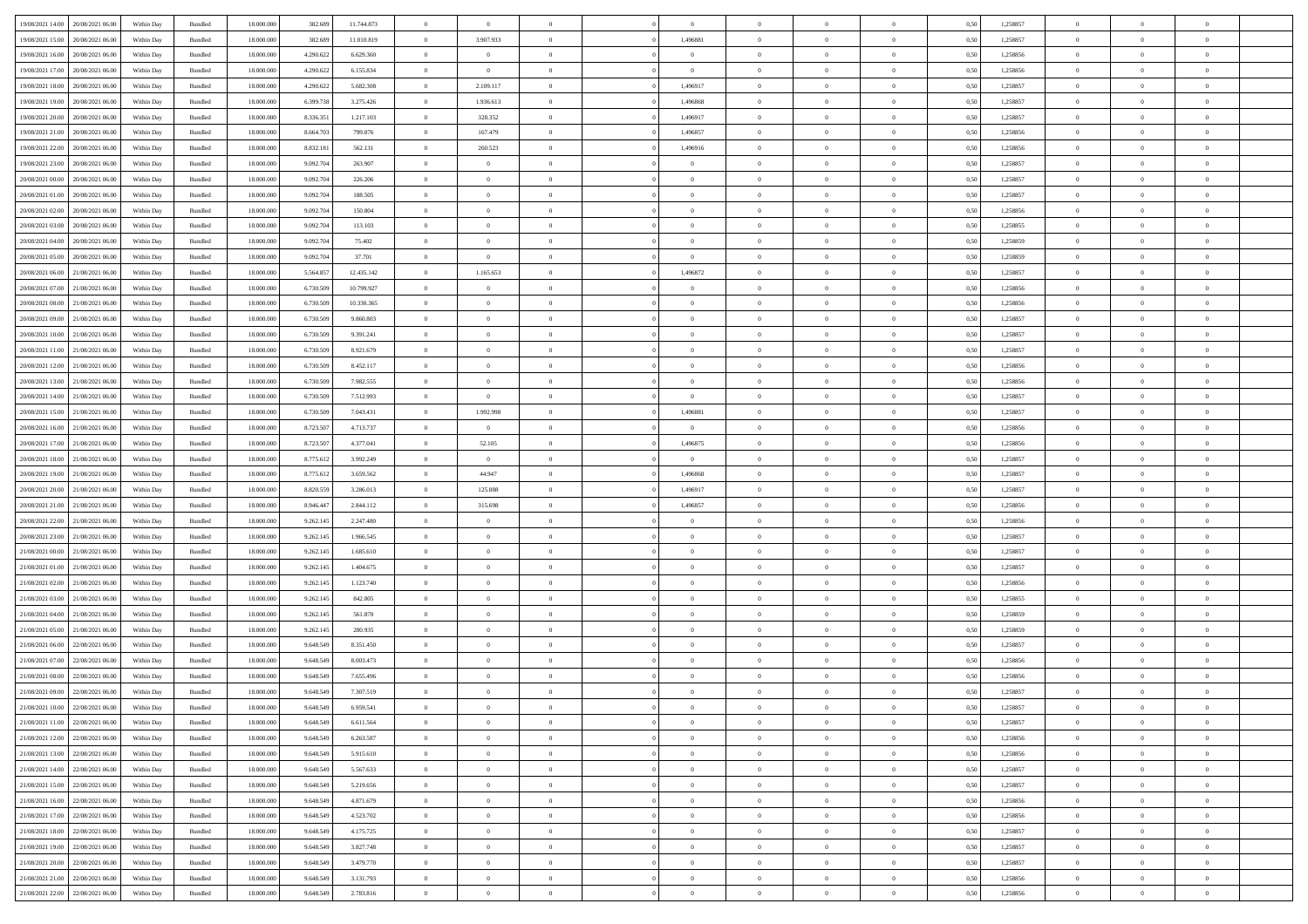| 19/08/2021 14:00                  | 20/08/2021 06:00 | Within Dav | Bundled            | 18.000.000 | 382.689   | 11.744.873 | $\theta$       | $\theta$       |                | $\Omega$       | $\Omega$       | $\Omega$       | $\theta$       | 0,50 | 1,258857 | $\theta$       | $\theta$       | $\sqrt{ }$     |  |
|-----------------------------------|------------------|------------|--------------------|------------|-----------|------------|----------------|----------------|----------------|----------------|----------------|----------------|----------------|------|----------|----------------|----------------|----------------|--|
|                                   |                  |            |                    |            |           |            |                |                |                |                |                |                |                |      |          |                |                |                |  |
| 19/08/2021 15:00                  | 20/08/2021 06:00 | Within Day | Bundled            | 18.000.000 | 382.689   | 11.010.819 | $\overline{0}$ | 3.907.933      | $\overline{0}$ | 1,496881       | $\bf{0}$       | $\overline{0}$ | $\overline{0}$ | 0,50 | 1,258857 | $\theta$       | $\theta$       | $\overline{0}$ |  |
| 19/08/2021 16:00                  | 20/08/2021 06:00 | Within Day | Bundled            | 18.000.000 | 4.290.622 | 6.629.360  | $\overline{0}$ | $\overline{0}$ | $\overline{0}$ | $\bf{0}$       | $\bf{0}$       | $\bf{0}$       | $\mathbf{0}$   | 0,50 | 1,258856 | $\overline{0}$ | $\overline{0}$ | $\overline{0}$ |  |
| 19/08/2021 17:00                  | 20/08/2021 06:00 | Within Dav | Bundled            | 18.000.000 | 4.290.622 | 6.155.834  | $\overline{0}$ | $\overline{0}$ | $\overline{0}$ | $\overline{0}$ | $\bf{0}$       | $\overline{0}$ | $\overline{0}$ | 0.50 | 1.258856 | $\theta$       | $\theta$       | $\overline{0}$ |  |
|                                   |                  |            |                    |            |           |            |                |                |                |                |                |                |                |      |          |                |                |                |  |
| 19/08/2021 18:00                  | 20/08/2021 06:00 | Within Day | Bundled            | 18.000.000 | 4.290.622 | 5.682.308  | $\overline{0}$ | 2.109.117      | $\overline{0}$ | 1,496917       | $\bf{0}$       | $\overline{0}$ | $\bf{0}$       | 0,50 | 1,258857 | $\theta$       | $\theta$       | $\overline{0}$ |  |
| 19/08/2021 19:00                  | 20/08/2021 06:00 | Within Day | Bundled            | 18.000.000 | 6.399.738 | 3.275.426  | $\overline{0}$ | 1.936.613      | $\overline{0}$ | 1,496868       | $\bf{0}$       | $\overline{0}$ | $\mathbf{0}$   | 0,50 | 1,258857 | $\overline{0}$ | $\overline{0}$ | $\bf{0}$       |  |
| 19/08/2021 20:00                  | 20/08/2021 06:00 | Within Dav | Bundled            | 18.000.000 | 8.336.351 | 1.217.103  | $\overline{0}$ | 328,352        | $\overline{0}$ | 1,496917       | $\overline{0}$ | $\overline{0}$ | $\overline{0}$ | 0.50 | 1,258857 | $\theta$       | $\overline{0}$ | $\overline{0}$ |  |
| 19/08/2021 21:00                  | 20/08/2021 06:00 | Within Day | Bundled            | 18.000.000 | 8.664.703 | 799.876    | $\overline{0}$ | 167.479        | $\overline{0}$ | 1,496857       | $\bf{0}$       | $\overline{0}$ | $\bf{0}$       | 0,50 | 1,258856 | $\theta$       | $\theta$       | $\overline{0}$ |  |
|                                   |                  |            |                    |            |           |            |                |                |                |                |                |                |                |      |          |                |                |                |  |
| 19/08/2021 22:00                  | 20/08/2021 06:00 | Within Day | Bundled            | 18.000.000 | 8.832.181 | 562.131    | $\overline{0}$ | 260.523        | $\overline{0}$ | 1,496916       | $\bf{0}$       | $\bf{0}$       | $\bf{0}$       | 0,50 | 1,258856 | $\,0\,$        | $\overline{0}$ | $\overline{0}$ |  |
| 19/08/2021 23:00                  | 20/08/2021 06:00 | Within Dav | Bundled            | 18.000.000 | 9.092.704 | 263,907    | $\overline{0}$ | $\overline{0}$ | $\overline{0}$ | $\overline{0}$ | $\overline{0}$ | $\overline{0}$ | $\overline{0}$ | 0.50 | 1,258857 | $\theta$       | $\overline{0}$ | $\overline{0}$ |  |
| 20/08/2021 00:00                  | 20/08/2021 06:00 | Within Day | Bundled            | 18.000.000 | 9.092.704 | 226.206    | $\overline{0}$ | $\theta$       | $\overline{0}$ | $\overline{0}$ | $\bf{0}$       | $\overline{0}$ | $\bf{0}$       | 0,50 | 1,258857 | $\,$ 0 $\,$    | $\theta$       | $\overline{0}$ |  |
| 20/08/2021 01:00                  | 20/08/2021 06:00 | Within Day | Bundled            | 18.000.000 | 9.092.704 | 188.505    | $\overline{0}$ | $\bf{0}$       | $\overline{0}$ | $\overline{0}$ | $\bf{0}$       | $\overline{0}$ | $\mathbf{0}$   | 0,50 | 1,258857 | $\overline{0}$ | $\overline{0}$ | $\overline{0}$ |  |
| 20/08/2021 02:00                  | 20/08/2021 06:00 | Within Dav | Bundled            | 18.000.000 | 9.092.704 | 150,804    | $\overline{0}$ | $\overline{0}$ | $\overline{0}$ | $\overline{0}$ | $\bf{0}$       | $\overline{0}$ | $\overline{0}$ | 0.50 | 1.258856 | $\theta$       | $\theta$       | $\overline{0}$ |  |
|                                   |                  |            |                    |            |           |            |                |                |                |                |                |                |                |      |          |                |                |                |  |
| 20/08/2021 03:00                  | 20/08/2021 06:00 | Within Day | Bundled            | 18.000.000 | 9.092.704 | 113.103    | $\overline{0}$ | $\theta$       | $\overline{0}$ | $\overline{0}$ | $\bf{0}$       | $\overline{0}$ | $\bf{0}$       | 0,50 | 1,258855 | $\theta$       | $\overline{0}$ | $\overline{0}$ |  |
| 20/08/2021 04:00                  | 20/08/2021 06:00 | Within Day | Bundled            | 18.000.000 | 9.092.704 | 75.402     | $\overline{0}$ | $\overline{0}$ | $\overline{0}$ | $\overline{0}$ | $\overline{0}$ | $\overline{0}$ | $\mathbf{0}$   | 0,50 | 1,258859 | $\overline{0}$ | $\overline{0}$ | $\bf{0}$       |  |
| 20/08/2021 05:00                  | 20/08/2021 06:00 | Within Dav | Bundled            | 18.000.000 | 9.092.704 | 37.701     | $\overline{0}$ | $\overline{0}$ | $\overline{0}$ | $\overline{0}$ | $\bf{0}$       | $\overline{0}$ | $\overline{0}$ | 0.50 | 1.258859 | $\theta$       | $\overline{0}$ | $\overline{0}$ |  |
| 20/08/2021 06:00                  | 21/08/2021 06:00 | Within Day | Bundled            | 18.000.000 | 5.564.857 | 12.435.142 | $\overline{0}$ | 1.165.653      | $\overline{0}$ | 1,496872       | $\bf{0}$       | $\overline{0}$ | $\bf{0}$       | 0,50 | 1,258857 | $\theta$       | $\theta$       | $\overline{0}$ |  |
| 20/08/2021 07:00                  | 21/08/2021 06:00 | Within Day | Bundled            | 18.000.000 | 6.730.509 | 10.799.927 | $\overline{0}$ | $\overline{0}$ | $\overline{0}$ | $\overline{0}$ | $\bf{0}$       | $\overline{0}$ | $\mathbf{0}$   | 0,50 | 1,258856 | $\,0\,$        | $\overline{0}$ | $\overline{0}$ |  |
|                                   |                  |            |                    |            |           |            |                |                |                |                |                |                |                |      |          |                |                |                |  |
| 20/08/2021 08:00                  | 21/08/2021 06:00 | Within Dav | Bundled            | 18.000.000 | 6.730.509 | 10.330.365 | $\overline{0}$ | $\overline{0}$ | $\overline{0}$ | $\overline{0}$ | $\overline{0}$ | $\overline{0}$ | $\overline{0}$ | 0.50 | 1,258856 | $\theta$       | $\overline{0}$ | $\overline{0}$ |  |
| 20/08/2021 09:00                  | 21/08/2021 06:00 | Within Day | Bundled            | 18.000.000 | 6.730.509 | 9.860.803  | $\overline{0}$ | $\theta$       | $\overline{0}$ | $\overline{0}$ | $\bf{0}$       | $\overline{0}$ | $\bf{0}$       | 0,50 | 1,258857 | $\,$ 0 $\,$    | $\theta$       | $\overline{0}$ |  |
| 20/08/2021 10:00                  | 21/08/2021 06:00 | Within Day | Bundled            | 18.000.000 | 6.730.509 | 9.391.241  | $\overline{0}$ | $\overline{0}$ | $\overline{0}$ | $\bf{0}$       | $\bf{0}$       | $\overline{0}$ | $\bf{0}$       | 0,50 | 1,258857 | $\bf{0}$       | $\overline{0}$ | $\overline{0}$ |  |
| 20/08/2021 11:00                  | 21/08/2021 06:00 | Within Dav | Bundled            | 18.000.000 | 6.730.509 | 8.921.679  | $\overline{0}$ | $\overline{0}$ | $\overline{0}$ | $\overline{0}$ | $\overline{0}$ | $\overline{0}$ | $\overline{0}$ | 0.50 | 1.258857 | $\theta$       | $\theta$       | $\overline{0}$ |  |
|                                   |                  |            |                    |            |           |            |                |                |                |                |                |                |                |      |          |                |                |                |  |
| 20/08/2021 12:00                  | 21/08/2021 06:00 | Within Day | Bundled            | 18.000.000 | 6.730.509 | 8.452.117  | $\overline{0}$ | $\theta$       | $\overline{0}$ | $\overline{0}$ | $\bf{0}$       | $\overline{0}$ | $\bf{0}$       | 0,50 | 1,258856 | $\theta$       | $\overline{0}$ | $\overline{0}$ |  |
| 20/08/2021 13:00                  | 21/08/2021 06:00 | Within Day | Bundled            | 18.000.000 | 6.730.509 | 7.982.555  | $\overline{0}$ | $\overline{0}$ | $\overline{0}$ | $\overline{0}$ | $\bf{0}$       | $\overline{0}$ | $\mathbf{0}$   | 0,50 | 1,258856 | $\overline{0}$ | $\overline{0}$ | $\bf{0}$       |  |
| 20/08/2021 14:00                  | 21/08/2021 06:00 | Within Dav | Bundled            | 18.000.000 | 6.730.509 | 7.512.993  | $\overline{0}$ | $\overline{0}$ | $\overline{0}$ | $\overline{0}$ | $\overline{0}$ | $\overline{0}$ | $\overline{0}$ | 0.50 | 1,258857 | $\theta$       | $\overline{0}$ | $\overline{0}$ |  |
| 20/08/2021 15:00                  | 21/08/2021 06:00 | Within Day | Bundled            | 18.000.000 | 6.730.509 | 7.043.431  | $\overline{0}$ | 1.992.998      | $\overline{0}$ | 1,496881       | $\bf{0}$       | $\overline{0}$ | $\bf{0}$       | 0,50 | 1,258857 | $\theta$       | $\theta$       | $\overline{0}$ |  |
| 20/08/2021 16:00                  | 21/08/2021 06:00 | Within Day | Bundled            | 18.000.000 | 8.723.507 | 4.713.737  | $\overline{0}$ | $\bf{0}$       | $\overline{0}$ | $\bf{0}$       | $\bf{0}$       | $\bf{0}$       | $\bf{0}$       | 0,50 | 1,258856 | $\,0\,$        | $\overline{0}$ | $\overline{0}$ |  |
|                                   |                  |            |                    |            |           |            |                |                |                |                |                |                |                |      |          |                |                |                |  |
| 20/08/2021 17:00                  | 21/08/2021 06:00 | Within Day | Bundled            | 18.000.000 | 8.723.507 | 4.377.041  | $\overline{0}$ | 52.105         | $\overline{0}$ | 1,496875       | $\bf{0}$       | $\overline{0}$ | $\overline{0}$ | 0.50 | 1,258856 | $\theta$       | $\overline{0}$ | $\overline{0}$ |  |
| 20/08/2021 18:00                  | 21/08/2021 06:00 | Within Day | Bundled            | 18.000.000 | 8.775.612 | 3.992.249  | $\overline{0}$ | $\overline{0}$ | $\overline{0}$ | $\overline{0}$ | $\bf{0}$       | $\overline{0}$ | $\bf{0}$       | 0,50 | 1,258857 | $\,$ 0 $\,$    | $\theta$       | $\overline{0}$ |  |
| 20/08/2021 19:00                  | 21/08/2021 06:00 | Within Day | Bundled            | 18.000.000 | 8.775.612 | 3.659.562  | $\overline{0}$ | 44.947         | $\overline{0}$ | 1,496868       | $\bf{0}$       | $\bf{0}$       | $\bf{0}$       | 0,50 | 1,258857 | $\bf{0}$       | $\overline{0}$ | $\overline{0}$ |  |
| 20/08/2021 20:00                  | 21/08/2021 06:00 | Within Day | Bundled            | 18,000,000 | 8.820.559 | 3.286.013  | $\overline{0}$ | 125.888        | $\Omega$       | 1,496917       | $\Omega$       | $\overline{0}$ | $\overline{0}$ | 0.50 | 1,258857 | $\,0\,$        | $\theta$       | $\theta$       |  |
| 20/08/2021 21:00                  | 21/08/2021 06:00 | Within Day | Bundled            | 18.000.000 | 8.946.447 | 2.844.112  | $\overline{0}$ | 315.698        | $\overline{0}$ | 1,496857       | $\bf{0}$       | $\overline{0}$ | $\bf{0}$       | 0,50 | 1,258856 | $\theta$       | $\overline{0}$ | $\overline{0}$ |  |
|                                   |                  |            |                    |            |           |            |                |                |                |                |                |                |                |      |          |                |                |                |  |
| 20/08/2021 22:00                  | 21/08/2021 06:00 | Within Day | Bundled            | 18.000.000 | 9.262.145 | 2.247.480  | $\overline{0}$ | $\overline{0}$ | $\overline{0}$ | $\bf{0}$       | $\bf{0}$       | $\overline{0}$ | $\mathbf{0}$   | 0,50 | 1,258856 | $\overline{0}$ | $\overline{0}$ | $\bf{0}$       |  |
| 20/08/2021 23:00                  | 21/08/2021 06:00 | Within Day | Bundled            | 18,000,000 | 9.262.145 | 1.966.545  | $\overline{0}$ | $\overline{0}$ | $\Omega$       | $\Omega$       | $\bf{0}$       | $\overline{0}$ | $\overline{0}$ | 0.50 | 1,258857 | $\,0\,$        | $\theta$       | $\theta$       |  |
| 21/08/2021 00:00                  | 21/08/2021 06:00 | Within Day | Bundled            | 18.000.000 | 9.262.145 | 1.685.610  | $\overline{0}$ | $\theta$       | $\overline{0}$ | $\overline{0}$ | $\bf{0}$       | $\overline{0}$ | $\bf{0}$       | 0,50 | 1,258857 | $\theta$       | $\theta$       | $\overline{0}$ |  |
| 21/08/2021 01:00                  | 21/08/2021 06:00 | Within Day | Bundled            | 18.000.000 | 9.262.145 | 1.404.675  | $\overline{0}$ | $\overline{0}$ | $\overline{0}$ | $\bf{0}$       | $\bf{0}$       | $\bf{0}$       | $\bf{0}$       | 0,50 | 1,258857 | $\,0\,$        | $\overline{0}$ | $\overline{0}$ |  |
|                                   |                  |            |                    |            |           |            |                |                |                |                |                |                |                |      |          |                |                |                |  |
| 21/08/2021 02:00                  | 21/08/2021 06:00 | Within Day | Bundled            | 18,000,000 | 9.262.145 | 1.123.740  | $\overline{0}$ | $\Omega$       | $\overline{0}$ | $\Omega$       | $\Omega$       | $\theta$       | $\overline{0}$ | 0.50 | 1,258856 | $\,$ 0 $\,$    | $\theta$       | $\theta$       |  |
| 21/08/2021 03:00                  | 21/08/2021 06:00 | Within Day | Bundled            | 18.000.000 | 9.262.145 | 842.805    | $\overline{0}$ | $\theta$       | $\overline{0}$ | $\overline{0}$ | $\bf{0}$       | $\overline{0}$ | $\bf{0}$       | 0,50 | 1,258855 | $\,$ 0 $\,$    | $\overline{0}$ | $\overline{0}$ |  |
| 21/08/2021 04:00                  | 21/08/2021 06:00 | Within Day | Bundled            | 18.000.000 | 9.262.145 | 561.870    | $\overline{0}$ | $\overline{0}$ | $\overline{0}$ | $\bf{0}$       | $\bf{0}$       | $\bf{0}$       | $\bf{0}$       | 0,50 | 1,258859 | $\overline{0}$ | $\overline{0}$ | $\overline{0}$ |  |
| 21/08/2021 05:00                  | 21/08/2021 06:00 | Within Day | Bundled            | 18,000,000 | 9.262.145 | 280.935    | $\overline{0}$ | $\Omega$       | $\overline{0}$ | $\Omega$       | $\overline{0}$ | $\overline{0}$ | $\overline{0}$ | 0.50 | 1,258859 | $\,0\,$        | $\theta$       | $\theta$       |  |
| 21/08/2021 06:00                  | 22/08/2021 06:00 | Within Day | Bundled            | 18.000.000 | 9.648.549 | 8.351.450  | $\overline{0}$ | $\theta$       | $\overline{0}$ | $\overline{0}$ | $\bf{0}$       | $\overline{0}$ | $\bf{0}$       | 0,50 | 1,258857 | $\,$ 0 $\,$    | $\overline{0}$ | $\overline{0}$ |  |
|                                   |                  |            |                    |            |           |            |                |                |                |                |                |                |                |      |          |                |                |                |  |
| 21/08/2021 07:00                  | 22/08/2021 06:00 | Within Day | Bundled            | 18.000.000 | 9.648.549 | 8.003.473  | $\overline{0}$ | $\overline{0}$ | $\overline{0}$ | $\bf{0}$       | $\bf{0}$       | $\bf{0}$       | $\mathbf{0}$   | 0,50 | 1,258856 | $\overline{0}$ | $\overline{0}$ | $\bf{0}$       |  |
| 21/08/2021 08:00                  | 22/08/2021 06:00 | Within Day | Bundled            | 18,000,000 | 9.648.549 | 7.655.496  | $\overline{0}$ | $\Omega$       | $\Omega$       | $\Omega$       | $\Omega$       | $\Omega$       | $\overline{0}$ | 0.50 | 1,258856 | $\theta$       | $\theta$       | $\theta$       |  |
| 21/08/2021 09:00                  | 22/08/2021 06:00 | Within Day | Bundled            | 18.000.000 | 9.648.549 | 7.307.519  | $\overline{0}$ | $\overline{0}$ | $\overline{0}$ | $\bf{0}$       | $\,$ 0         | $\bf{0}$       | $\bf{0}$       | 0,50 | 1,258857 | $\,0\,$        | $\,$ 0 $\,$    | $\overline{0}$ |  |
| 21/08/2021 10:00 22/08/2021 06:00 |                  | Within Day | $\mathbf B$ undled | 18.000.000 | 9.648.549 | 6.959.541  | $\bf{0}$       | $\bf{0}$       |                |                |                |                |                | 0,50 | 1,258857 | $\bf{0}$       | $\overline{0}$ |                |  |
|                                   | 22/08/2021 06:00 |            |                    | 18,000,000 | 9.648.549 | 6.611.564  | $\overline{0}$ | $\Omega$       | $\Omega$       | $\Omega$       | $\theta$       | $\overline{0}$ |                | 0.50 |          | $\theta$       | $\theta$       | $\theta$       |  |
| 21/08/2021 11:00                  |                  | Within Day | Bundled            |            |           |            |                |                |                |                |                |                | $\overline{0}$ |      | 1,258857 |                |                |                |  |
| 21/08/2021 12:00                  | 22/08/2021 06:00 | Within Day | Bundled            | 18.000.000 | 9.648.549 | 6.263.587  | $\overline{0}$ | $\bf{0}$       | $\overline{0}$ | $\bf{0}$       | $\,$ 0 $\,$    | $\overline{0}$ | $\mathbf{0}$   | 0,50 | 1,258856 | $\,$ 0 $\,$    | $\,$ 0 $\,$    | $\bf{0}$       |  |
| 21/08/2021 13:00                  | 22/08/2021 06:00 | Within Day | Bundled            | 18.000.000 | 9.648.549 | 5.915.610  | $\overline{0}$ | $\overline{0}$ | $\overline{0}$ | $\overline{0}$ | $\overline{0}$ | $\overline{0}$ | $\mathbf{0}$   | 0,50 | 1,258856 | $\overline{0}$ | $\bf{0}$       | $\bf{0}$       |  |
| 21/08/2021 14:00                  | 22/08/2021 06:00 | Within Day | Bundled            | 18.000.000 | 9.648.549 | 5.567.633  | $\overline{0}$ | $\overline{0}$ | $\overline{0}$ | $\Omega$       | $\overline{0}$ | $\overline{0}$ | $\overline{0}$ | 0,50 | 1,258857 | $\overline{0}$ | $\theta$       | $\overline{0}$ |  |
| 21/08/2021 15:00                  | 22/08/2021 06:00 | Within Day | Bundled            | 18.000.000 | 9.648.549 | 5.219.656  | $\overline{0}$ | $\,$ 0         | $\overline{0}$ | $\overline{0}$ | $\,$ 0 $\,$    | $\overline{0}$ | $\mathbf{0}$   | 0,50 | 1,258857 | $\,$ 0 $\,$    | $\overline{0}$ | $\overline{0}$ |  |
|                                   |                  |            |                    |            |           |            |                |                |                |                |                |                |                |      |          |                |                |                |  |
| 21/08/2021 16:00                  | 22/08/2021 06:00 | Within Day | Bundled            | 18.000.000 | 9.648.549 | 4.871.679  | $\overline{0}$ | $\overline{0}$ | $\overline{0}$ | $\overline{0}$ | $\overline{0}$ | $\overline{0}$ | $\mathbf{0}$   | 0,50 | 1,258856 | $\overline{0}$ | $\overline{0}$ | $\bf{0}$       |  |
| 21/08/2021 17:00                  | 22/08/2021 06:00 | Within Day | Bundled            | 18.000.000 | 9.648.549 | 4.523.702  | $\overline{0}$ | $\overline{0}$ | $\overline{0}$ | $\Omega$       | $\overline{0}$ | $\overline{0}$ | $\bf{0}$       | 0.50 | 1,258856 | $\overline{0}$ | $\theta$       | $\overline{0}$ |  |
| 21/08/2021 18:00                  | 22/08/2021 06:00 | Within Day | Bundled            | 18.000.000 | 9.648.549 | 4.175.725  | $\overline{0}$ | $\overline{0}$ | $\overline{0}$ | $\overline{0}$ | $\bf{0}$       | $\overline{0}$ | $\bf{0}$       | 0,50 | 1,258857 | $\,$ 0 $\,$    | $\overline{0}$ | $\overline{0}$ |  |
| 21/08/2021 19:00                  | 22/08/2021 06:00 | Within Day | Bundled            | 18.000.000 | 9.648.549 | 3.827.748  | $\overline{0}$ | $\bf{0}$       | $\overline{0}$ | $\overline{0}$ | $\overline{0}$ | $\overline{0}$ | $\mathbf{0}$   | 0,50 | 1,258857 | $\overline{0}$ | $\overline{0}$ | $\bf{0}$       |  |
| 21/08/2021 20:00                  | 22/08/2021 06:00 | Within Day | Bundled            | 18,000,000 | 9.648.549 | 3.479.770  | $\overline{0}$ | $\overline{0}$ | $\overline{0}$ | $\Omega$       | $\overline{0}$ | $\overline{0}$ | $\overline{0}$ | 0.50 | 1,258857 | $\overline{0}$ | $\theta$       | $\overline{0}$ |  |
|                                   |                  |            |                    |            |           |            |                |                |                |                |                |                |                |      |          |                |                |                |  |
| 21/08/2021 21:00                  | 22/08/2021 06:00 | Within Day | Bundled            | 18.000.000 | 9.648.549 | 3.131.793  | $\overline{0}$ | $\bf{0}$       | $\overline{0}$ | $\overline{0}$ | $\bf{0}$       | $\overline{0}$ | $\mathbf{0}$   | 0,50 | 1,258856 | $\,$ 0 $\,$    | $\,$ 0 $\,$    | $\bf{0}$       |  |
| 21/08/2021 22.00 22/08/2021 06:00 |                  | Within Day | Bundled            | 18.000.000 | 9.648.549 | 2.783.816  | $\overline{0}$ | $\overline{0}$ | $\overline{0}$ | $\overline{0}$ | $\overline{0}$ | $\overline{0}$ | $\mathbf{0}$   | 0,50 | 1,258856 | $\overline{0}$ | $\bf{0}$       | $\overline{0}$ |  |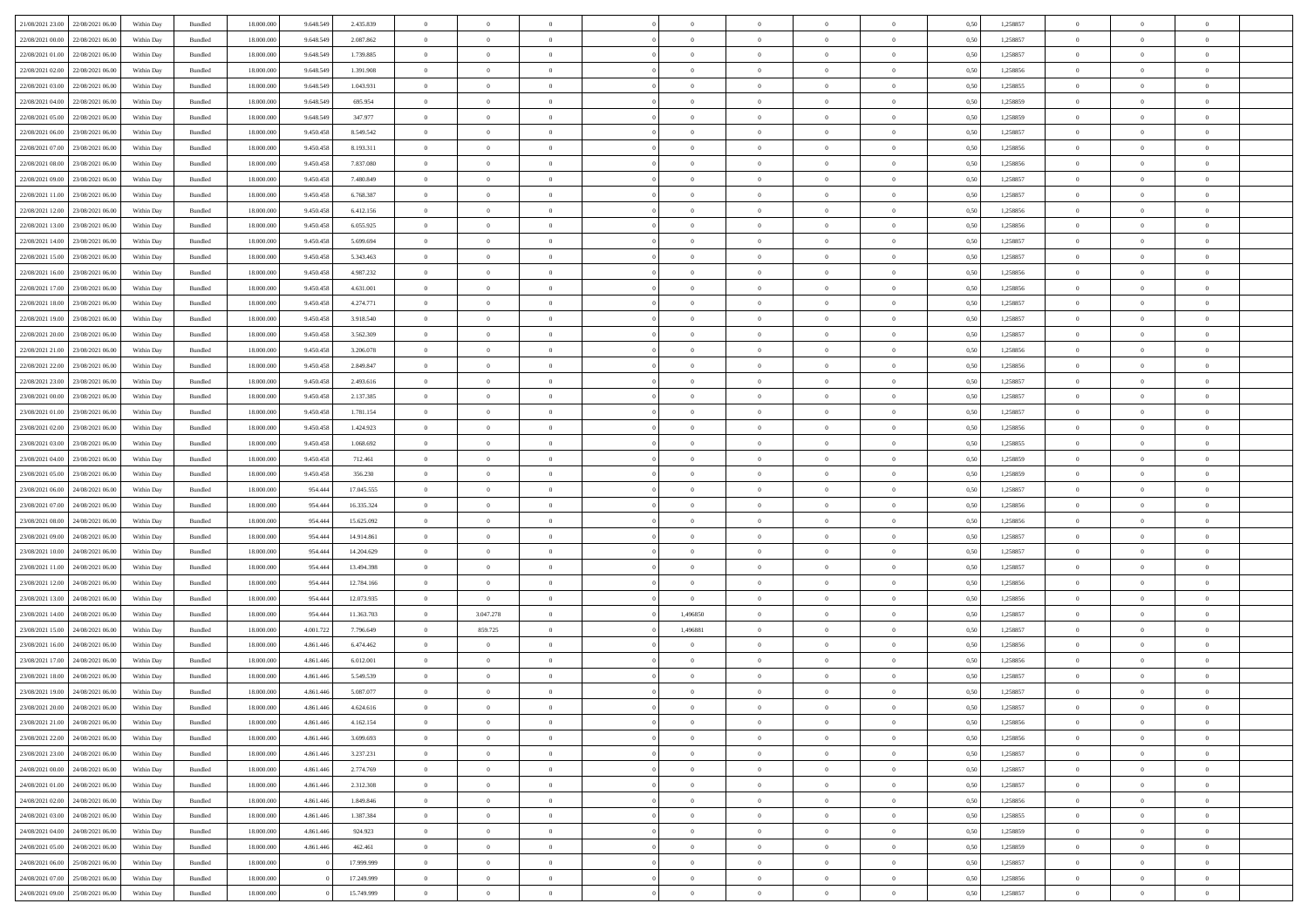| 21/08/2021 23:00 22/08/2021 06:00 |                                   | Within Day | Bundled            | 18.000.000 | 9.648.549 | 2.435.839  | $\overline{0}$ | $\theta$       |                | $\overline{0}$ | $\overline{0}$ | $\overline{0}$ | $\theta$       | 0,50 | 1,258857 | $\theta$       | $\theta$       | $\sqrt{a}$               |  |
|-----------------------------------|-----------------------------------|------------|--------------------|------------|-----------|------------|----------------|----------------|----------------|----------------|----------------|----------------|----------------|------|----------|----------------|----------------|--------------------------|--|
| 22/08/2021 00:00                  | 22/08/2021 06.00                  | Within Day | Bundled            | 18.000.000 | 9.648.549 | 2.087.862  | $\overline{0}$ | $\overline{0}$ | $\overline{0}$ | $\overline{0}$ | $\,$ 0         | $\overline{0}$ | $\bf{0}$       | 0,50 | 1,258857 | $\,$ 0 $\,$    | $\overline{0}$ | $\overline{0}$           |  |
|                                   |                                   |            |                    |            |           |            |                |                |                |                |                |                |                |      |          |                |                |                          |  |
| 22/08/2021 01:00                  | 22/08/2021 06:00                  | Within Day | Bundled            | 18,000,000 | 9.648.549 | 1.739.885  | $\overline{0}$ | $\overline{0}$ | $\overline{0}$ | $\overline{0}$ | $\bf{0}$       | $\overline{0}$ | $\mathbf{0}$   | 0.50 | 1,258857 | $\bf{0}$       | $\overline{0}$ | $\overline{0}$           |  |
| 22/08/2021 02:00                  | 22/08/2021 06:00                  | Within Day | Bundled            | 18.000.000 | 9.648.549 | 1.391.908  | $\overline{0}$ | $\overline{0}$ | $\overline{0}$ | $\overline{0}$ | $\,$ 0         | $\overline{0}$ | $\overline{0}$ | 0,50 | 1,258856 | $\,$ 0 $\,$    | $\overline{0}$ | $\overline{0}$           |  |
| 22/08/2021 03:00                  | 22/08/2021 06.00                  | Within Day | Bundled            | 18.000.000 | 9.648.549 | 1.043.931  | $\overline{0}$ | $\theta$       | $\overline{0}$ |                | $\overline{0}$ | $\overline{0}$ | $\bf{0}$       | 0,50 | 1,258855 | $\,$ 0 $\,$    | $\overline{0}$ | $\overline{0}$           |  |
| 22/08/2021 04:00                  | 22/08/2021 06:00                  | Within Day | Bundled            | 18,000,000 | 9.648.549 | 695.954    | $\overline{0}$ | $\overline{0}$ | $\overline{0}$ | $\overline{0}$ | $\bf{0}$       | $\overline{0}$ | $\bf{0}$       | 0.50 | 1.258859 | $\,0\,$        | $\theta$       | $\overline{0}$           |  |
| 22/08/2021 05:00                  | 22/08/2021 06:00                  | Within Day | Bundled            | 18.000.000 | 9.648.549 | 347.977    | $\overline{0}$ | $\overline{0}$ | $\overline{0}$ | $\overline{0}$ | $\bf{0}$       | $\overline{0}$ | $\overline{0}$ | 0,50 | 1,258859 | $\,$ 0 $\,$    | $\theta$       | $\overline{0}$           |  |
| 22/08/2021 06:00                  | 23/08/2021 06.00                  | Within Day | Bundled            | 18.000.000 | 9.450.458 | 8.549.542  | $\overline{0}$ | $\theta$       | $\overline{0}$ | $\overline{0}$ | $\,$ 0         | $\overline{0}$ | $\bf{0}$       | 0,50 | 1,258857 | $\,$ 0 $\,$    | $\overline{0}$ | $\overline{0}$           |  |
| 22/08/2021 07:00                  | 23/08/2021 06:00                  | Within Day | Bundled            | 18,000,000 | 9.450.458 | 8.193.311  | $\overline{0}$ | $\overline{0}$ | $\overline{0}$ | $\overline{0}$ | $\bf{0}$       | $\overline{0}$ | $\bf{0}$       | 0.50 | 1.258856 | $\,0\,$        | $\overline{0}$ | $\overline{0}$           |  |
| 22/08/2021 08:00                  | 23/08/2021 06:00                  | Within Day | Bundled            | 18.000.000 | 9.450.458 | 7.837.080  | $\overline{0}$ | $\overline{0}$ | $\overline{0}$ | $\overline{0}$ | $\bf{0}$       | $\overline{0}$ | $\bf{0}$       | 0,50 | 1,258856 | $\,$ 0 $\,$    | $\overline{0}$ | $\overline{0}$           |  |
| 22/08/2021 09:00                  | 23/08/2021 06.00                  | Within Day | Bundled            | 18.000.000 | 9.450.458 | 7.480.849  | $\bf{0}$       | $\theta$       | $\overline{0}$ | $\overline{0}$ | $\,$ 0         | $\overline{0}$ | $\bf{0}$       | 0,50 | 1,258857 | $\,$ 0 $\,$    | $\overline{0}$ | $\overline{0}$           |  |
|                                   |                                   |            |                    |            |           |            |                |                |                |                |                |                |                |      |          |                |                |                          |  |
| 22/08/2021 11:00                  | 23/08/2021 06:00                  | Within Day | Bundled            | 18,000,000 | 9.450.458 | 6.768.387  | $\overline{0}$ | $\overline{0}$ | $\overline{0}$ | $\overline{0}$ | $\bf{0}$       | $\overline{0}$ | $\mathbf{0}$   | 0.50 | 1.258857 | $\,$ 0 $\,$    | $\overline{0}$ | $\bf{0}$                 |  |
| 22/08/2021 12:00                  | 23/08/2021 06:00                  | Within Day | Bundled            | 18.000.000 | 9.450.458 | 6.412.156  | $\overline{0}$ | $\overline{0}$ | $\overline{0}$ | $\overline{0}$ | $\,$ 0         | $\overline{0}$ | $\overline{0}$ | 0,50 | 1,258856 | $\,$ 0 $\,$    | $\overline{0}$ | $\overline{0}$           |  |
| 22/08/2021 13:00                  | 23/08/2021 06:00                  | Within Day | Bundled            | 18.000.000 | 9.450.458 | 6.055.925  | $\overline{0}$ | $\theta$       | $\overline{0}$ |                | $\bf{0}$       | $\overline{0}$ | $\bf{0}$       | 0,50 | 1,258856 | $\,$ 0 $\,$    | $\overline{0}$ | $\overline{0}$           |  |
| 22/08/2021 14:00                  | 23/08/2021 06:00                  | Within Day | Bundled            | 18,000,000 | 9.450.458 | 5.699.694  | $\overline{0}$ | $\overline{0}$ | $\overline{0}$ | $\overline{0}$ | $\bf{0}$       | $\overline{0}$ | $\bf{0}$       | 0.50 | 1.258857 | $\,0\,$        | $\theta$       | $\overline{0}$           |  |
| 22/08/2021 15:00                  | 23/08/2021 06:00                  | Within Day | Bundled            | 18.000.000 | 9.450.458 | 5.343.463  | $\overline{0}$ | $\overline{0}$ | $\overline{0}$ | $\overline{0}$ | $\,$ 0         | $\overline{0}$ | $\overline{0}$ | 0,50 | 1,258857 | $\,$ 0 $\,$    | $\theta$       | $\overline{0}$           |  |
| 22/08/2021 16:00                  | 23/08/2021 06.00                  | Within Day | Bundled            | 18.000.000 | 9.450.458 | 4.987.232  | $\overline{0}$ | $\theta$       | $\overline{0}$ |                | $\,$ 0         | $\overline{0}$ | $\bf{0}$       | 0,50 | 1,258856 | $\,$ 0 $\,$    | $\overline{0}$ | $\overline{0}$           |  |
| 22/08/2021 17:00                  | 23/08/2021 06:00                  | Within Day | Bundled            | 18,000,000 | 9.450.458 | 4.631.001  | $\overline{0}$ | $\overline{0}$ | $\overline{0}$ | $\overline{0}$ | $\bf{0}$       | $\overline{0}$ | $\bf{0}$       | 0.50 | 1.258856 | $\,0\,$        | $\overline{0}$ | $\overline{\phantom{a}}$ |  |
| 22/08/2021 18:00                  | 23/08/2021 06:00                  | Within Day | Bundled            | 18.000.000 | 9.450.458 | 4.274.771  | $\overline{0}$ | $\overline{0}$ | $\overline{0}$ | $\overline{0}$ | $\,$ 0         | $\overline{0}$ | $\bf{0}$       | 0,50 | 1,258857 | $\,$ 0 $\,$    | $\overline{0}$ | $\overline{0}$           |  |
| 22/08/2021 19:00                  | 23/08/2021 06.00                  | Within Day | Bundled            | 18.000.000 | 9.450.458 | 3.918.540  | $\bf{0}$       | $\overline{0}$ | $\overline{0}$ | $\overline{0}$ | $\,$ 0         | $\overline{0}$ | $\bf{0}$       | 0,50 | 1,258857 | $\,$ 0 $\,$    | $\overline{0}$ | $\overline{0}$           |  |
|                                   |                                   |            |                    |            |           |            |                |                |                |                |                |                |                |      |          |                |                |                          |  |
| 22/08/2021 20:00                  | 23/08/2021 06:00                  | Within Day | Bundled            | 18,000,000 | 9.450.458 | 3.562.309  | $\overline{0}$ | $\overline{0}$ | $\overline{0}$ | $\overline{0}$ | $\bf{0}$       | $\overline{0}$ | $\mathbf{0}$   | 0.50 | 1.258857 | $\,$ 0 $\,$    | $\overline{0}$ | $\overline{\phantom{a}}$ |  |
| 22/08/2021 21:00                  | 23/08/2021 06:00                  | Within Day | Bundled            | 18.000.000 | 9.450.458 | 3.206.078  | $\overline{0}$ | $\overline{0}$ | $\overline{0}$ | $\overline{0}$ | $\,$ 0         | $\overline{0}$ | $\overline{0}$ | 0,50 | 1,258856 | $\,$ 0 $\,$    | $\overline{0}$ | $\overline{0}$           |  |
| 22/08/2021 22:00                  | 23/08/2021 06.00                  | Within Day | Bundled            | 18.000.000 | 9.450.458 | 2.849.847  | $\overline{0}$ | $\theta$       | $\overline{0}$ | $\overline{0}$ | $\,$ 0         | $\overline{0}$ | $\bf{0}$       | 0,50 | 1,258856 | $\,$ 0 $\,$    | $\overline{0}$ | $\overline{0}$           |  |
| 22/08/2021 23:00                  | 23/08/2021 06:00                  | Within Day | Bundled            | 18,000,000 | 9.450.458 | 2.493.616  | $\overline{0}$ | $\overline{0}$ | $\overline{0}$ | $\overline{0}$ | $\bf{0}$       | $\overline{0}$ | $\bf{0}$       | 0.50 | 1.258857 | $\,0\,$        | $\theta$       | $\overline{0}$           |  |
| 23/08/2021 00:00                  | 23/08/2021 06:00                  | Within Day | Bundled            | 18.000.000 | 9.450.458 | 2.137.385  | $\overline{0}$ | $\overline{0}$ | $\overline{0}$ | $\overline{0}$ | $\,$ 0         | $\overline{0}$ | $\overline{0}$ | 0,50 | 1,258857 | $\,0\,$        | $\theta$       | $\overline{0}$           |  |
| 23/08/2021 01:00                  | 23/08/2021 06:00                  | Within Day | Bundled            | 18.000.000 | 9.450.458 | 1.781.154  | $\overline{0}$ | $\theta$       | $\overline{0}$ |                | $\,$ 0         | $\overline{0}$ | $\bf{0}$       | 0,50 | 1,258857 | $\,$ 0 $\,$    | $\overline{0}$ | $\overline{0}$           |  |
| 23/08/2021 02:00                  | 23/08/2021 06:00                  | Within Day | Bundled            | 18,000,000 | 9.450.458 | 1.424.923  | $\overline{0}$ | $\overline{0}$ | $\overline{0}$ | $\overline{0}$ | $\bf{0}$       | $\overline{0}$ | $\bf{0}$       | 0.50 | 1.258856 | $\,0\,$        | $\overline{0}$ | $\overline{0}$           |  |
| 23/08/2021 03:00                  | 23/08/2021 06:00                  | Within Day | Bundled            | 18.000.000 | 9.450.458 | 1.068.692  | $\overline{0}$ | $\overline{0}$ | $\overline{0}$ | $\overline{0}$ | $\bf{0}$       | $\overline{0}$ | $\bf{0}$       | 0,50 | 1,258855 | $\,$ 0 $\,$    | $\overline{0}$ | $\overline{0}$           |  |
| 23/08/2021 04:00                  | 23/08/2021 06.00                  | Within Day | Bundled            | 18.000.000 | 9.450.458 | 712.461    | $\bf{0}$       | $\overline{0}$ | $\overline{0}$ | $\overline{0}$ | $\bf{0}$       | $\bf{0}$       | $\bf{0}$       | 0,50 | 1,258859 | $\,$ 0 $\,$    | $\overline{0}$ | $\overline{0}$           |  |
|                                   |                                   |            |                    |            |           |            |                |                |                |                |                |                |                |      |          |                |                |                          |  |
| 23/08/2021 05:00                  | 23/08/2021 06:00                  | Within Day | Bundled            | 18,000,000 | 9.450.458 | 356.230    | $\overline{0}$ | $\bf{0}$       | $\overline{0}$ | $\overline{0}$ | $\bf{0}$       | $\overline{0}$ | $\mathbf{0}$   | 0.50 | 1.258859 | $\,$ 0 $\,$    | $\overline{0}$ | $\bf{0}$                 |  |
| 23/08/2021 06:00                  | 24/08/2021 06:00                  | Within Dav | Bundled            | 18.000.000 | 954,444   | 17.045.555 | $\overline{0}$ | $\overline{0}$ | $\overline{0}$ | $\overline{0}$ | $\overline{0}$ | $\overline{0}$ | $\overline{0}$ | 0.50 | 1,258857 | $\theta$       | $\overline{0}$ | $\overline{0}$           |  |
| 23/08/2021 07:00                  | 24/08/2021 06.00                  | Within Day | Bundled            | 18.000.000 | 954,444   | 16.335.324 | $\overline{0}$ | $\theta$       | $\overline{0}$ | $\overline{0}$ | $\,$ 0         | $\overline{0}$ | $\bf{0}$       | 0,50 | 1,258856 | $\,$ 0 $\,$    | $\overline{0}$ | $\overline{0}$           |  |
| 23/08/2021 08:00                  | 24/08/2021 06:00                  | Within Day | Bundled            | 18,000,000 | 954.444   | 15.625.092 | $\overline{0}$ | $\overline{0}$ | $\overline{0}$ | $\overline{0}$ | $\bf{0}$       | $\overline{0}$ | $\bf{0}$       | 0.50 | 1.258856 | $\,0\,$        | $\theta$       | $\overline{0}$           |  |
| 23/08/2021 09:00                  | 24/08/2021 06:00                  | Within Dav | Bundled            | 18.000.000 | 954,444   | 14.914.861 | $\overline{0}$ | $\overline{0}$ | $\Omega$       | $\Omega$       | $\mathbf{0}$   | $\overline{0}$ | $\overline{0}$ | 0.50 | 1,258857 | $\theta$       | $\overline{0}$ | $\overline{0}$           |  |
| 23/08/2021 10:00                  | 24/08/2021 06.00                  | Within Day | Bundled            | 18.000.000 | 954,444   | 14.204.629 | $\overline{0}$ | $\theta$       | $\overline{0}$ | $\overline{0}$ | $\,$ 0         | $\overline{0}$ | $\bf{0}$       | 0,50 | 1,258857 | $\,$ 0 $\,$    | $\overline{0}$ | $\overline{0}$           |  |
| 23/08/2021 11:00                  | 24/08/2021 06:00                  | Within Day | Bundled            | 18,000,000 | 954.444   | 13,494,398 | $\overline{0}$ | $\overline{0}$ | $\overline{0}$ | $\overline{0}$ | $\bf{0}$       | $\overline{0}$ | $\bf{0}$       | 0.50 | 1.258857 | $\,0\,$        | $\overline{0}$ | $\overline{0}$           |  |
| 23/08/2021 12:00                  | 24/08/2021 06:00                  | Within Dav | Bundled            | 18.000.000 | 954,444   | 12.784.166 | $\overline{0}$ | $\overline{0}$ | $\overline{0}$ | $\overline{0}$ | $\mathbf{0}$   | $\overline{0}$ | $\overline{0}$ | 0.50 | 1,258856 | $\theta$       | $\overline{0}$ | $\overline{0}$           |  |
| 23/08/2021 13:00                  | 24/08/2021 06.00                  | Within Day | Bundled            | 18.000.000 | 954,444   | 12.073.935 | $\overline{0}$ | $\bf{0}$       | $\overline{0}$ | $\bf{0}$       | $\,$ 0         | $\bf{0}$       | $\bf{0}$       | 0,50 | 1,258856 | $\,$ 0 $\,$    | $\overline{0}$ | $\overline{0}$           |  |
| 23/08/2021 14:00                  | 24/08/2021 06:00                  | Within Day | Bundled            | 18,000,000 | 954.444   | 11.363.703 | $\overline{0}$ | 3.047.278      | $\overline{0}$ | 1.496850       | $\bf{0}$       | $\overline{0}$ | $\mathbf{0}$   | 0.50 | 1.258857 | $\,$ 0 $\,$    | $\overline{0}$ | $\overline{0}$           |  |
|                                   |                                   |            |                    |            |           |            |                |                |                |                |                |                |                |      |          |                |                |                          |  |
| 23/08/2021 15:00                  | 24/08/2021 06:00                  | Within Dav | Bundled            | 18.000.000 | 4.001.722 | 7.796.649  | $\overline{0}$ | 859.725        | $\Omega$       | 1,496881       | $\overline{0}$ | $\overline{0}$ | $\overline{0}$ | 0.50 | 1,258857 | $\theta$       | $\overline{0}$ | $\overline{0}$           |  |
| 23/08/2021 16:00                  | 24/08/2021 06.00                  | Within Day | Bundled            | 18.000.000 | 4.861.446 | 6.474.462  | $\overline{0}$ | $\theta$       | $\overline{0}$ |                | $\,$ 0         | $\overline{0}$ | $\bf{0}$       | 0,50 | 1,258856 | $\,$ 0 $\,$    | $\overline{0}$ | $\overline{0}$           |  |
| 23/08/2021 17:00                  | 24/08/2021 06:00                  | Within Day | Bundled            | 18,000,000 | 4.861.446 | 6.012.001  | $\overline{0}$ | $\overline{0}$ | $\overline{0}$ | $\overline{0}$ | $\bf{0}$       | $\overline{0}$ | $\overline{0}$ | 0.50 | 1.258856 | $\,0\,$        | $\theta$       | $\overline{0}$           |  |
| 23/08/2021 18:00                  | 24/08/2021 06:00                  | Within Dav | Bundled            | 18.000.000 | 4.861.446 | 5.549.539  | $\overline{0}$ | $\theta$       | $\Omega$       | $\Omega$       | $\bf{0}$       | $\overline{0}$ | $\bf{0}$       | 0.50 | 1,258857 | $\theta$       | $\overline{0}$ | $\overline{0}$           |  |
| 23/08/2021 19:00                  | 24/08/2021 06:00                  | Within Day | Bundled            | 18.000.000 | 4.861.446 | 5.087.077  | $\bf{0}$       | $\overline{0}$ | $\overline{0}$ | $\bf{0}$       | $\,$ 0         | $\bf{0}$       | $\bf{0}$       | 0,50 | 1,258857 | $\,$ 0 $\,$    | $\overline{0}$ | $\overline{0}$           |  |
| 23/08/2021 20:00                  | 24/08/2021 06:00                  | Within Day | $\mathbf B$ undled | 18.000.000 | 4.861.446 | 4 624 616  | $\bf{0}$       | $\theta$       |                |                |                |                |                | 0,50 | 1,258857 | $\bf{0}$       | $\theta$       |                          |  |
| 23/08/2021 21:00 24/08/2021 06:00 |                                   | Within Day | Bundled            | 18.000.000 | 4.861.446 | 4.162.154  | $\overline{0}$ | $\overline{0}$ | $\overline{0}$ | $\Omega$       | $\mathbf{0}$   | $\overline{0}$ | $\mathbf{0}$   | 0,50 | 1,258856 | $\theta$       | $\overline{0}$ | $\overline{0}$           |  |
| 23/08/2021 22:00                  | 24/08/2021 06:00                  | Within Day | Bundled            | 18.000.000 | 4.861.446 | 3.699.693  | $\bf{0}$       | $\bf{0}$       | $\overline{0}$ | $\bf{0}$       | $\overline{0}$ | $\overline{0}$ | $\mathbf{0}$   | 0,50 | 1,258856 | $\bf{0}$       | $\overline{0}$ | $\bf{0}$                 |  |
| 23/08/2021 23:00                  | 24/08/2021 06:00                  | Within Day | Bundled            | 18,000,000 | 4.861.446 | 3.237.231  | $\overline{0}$ | $\overline{0}$ | $\overline{0}$ | $\overline{0}$ | $\overline{0}$ | $\overline{0}$ | $\mathbf{0}$   | 0.50 | 1.258857 | $\overline{0}$ | $\bf{0}$       | $\bf{0}$                 |  |
|                                   |                                   |            |                    |            |           |            |                |                |                |                |                |                |                |      |          |                |                |                          |  |
| 24/08/2021 00:00                  | 24/08/2021 06:00                  | Within Day | Bundled            | 18.000.000 | 4.861.446 | 2.774.769  | $\overline{0}$ | $\overline{0}$ | $\overline{0}$ | $\overline{0}$ | $\overline{0}$ | $\overline{0}$ | $\mathbf{0}$   | 0,50 | 1,258857 | $\overline{0}$ | $\theta$       | $\overline{0}$           |  |
| 24/08/2021 01:00                  | 24/08/2021 06:00                  | Within Day | Bundled            | 18.000.000 | 4.861.446 | 2.312.308  | $\bf{0}$       | $\overline{0}$ | $\overline{0}$ | $\overline{0}$ | $\bf{0}$       | $\bf{0}$       | $\bf{0}$       | 0,50 | 1,258857 | $\bf{0}$       | $\overline{0}$ | $\overline{0}$           |  |
| 24/08/2021 02:00                  | 24/08/2021 06:00                  | Within Day | Bundled            | 18,000,000 | 4.861.446 | 1.849.846  | $\overline{0}$ | $\overline{0}$ | $\overline{0}$ | $\overline{0}$ | $\bf{0}$       | $\overline{0}$ | $\mathbf{0}$   | 0.50 | 1.258856 | $\,$ 0 $\,$    | $\overline{0}$ | $\overline{0}$           |  |
| 24/08/2021 03:00                  | 24/08/2021 06:00                  | Within Day | Bundled            | 18.000.000 | 4.861.446 | 1.387.384  | $\overline{0}$ | $\overline{0}$ | $\overline{0}$ | $\overline{0}$ | $\overline{0}$ | $\overline{0}$ | $\overline{0}$ | 0,50 | 1,258855 | $\overline{0}$ | $\theta$       | $\overline{0}$           |  |
| 24/08/2021 04:00                  | 24/08/2021 06:00                  | Within Day | Bundled            | 18.000.000 | 4.861.446 | 924.923    | $\overline{0}$ | $\,$ 0         | $\overline{0}$ | $\bf{0}$       | $\,$ 0 $\,$    | $\overline{0}$ | $\bf{0}$       | 0,50 | 1,258859 | $\,$ 0 $\,$    | $\overline{0}$ | $\,$ 0                   |  |
| 24/08/2021 05:00                  | 24/08/2021 06:00                  | Within Day | Bundled            | 18,000,000 | 4.861.446 | 462.461    | $\overline{0}$ | $\overline{0}$ | $\overline{0}$ | $\overline{0}$ | $\bf{0}$       | $\overline{0}$ | $\mathbf{0}$   | 0.50 | 1.258859 | $\mathbf{0}$   | $\,$ 0 $\,$    | $\overline{0}$           |  |
| 24/08/2021 06:00                  | 25/08/2021 06:00                  | Within Dav | Bundled            | 18.000.000 |           | 17.999.999 | $\overline{0}$ | $\overline{0}$ | $\overline{0}$ | $\overline{0}$ | $\overline{0}$ | $\overline{0}$ | $\overline{0}$ | 0,50 | 1,258857 | $\overline{0}$ | $\theta$       | $\overline{0}$           |  |
| 24/08/2021 07:00                  | 25/08/2021 06:00                  | Within Day | Bundled            | 18.000.000 |           | 17.249.999 | $\overline{0}$ | $\overline{0}$ | $\overline{0}$ | $\bf{0}$       | $\bf{0}$       | $\overline{0}$ | $\bf{0}$       | 0,50 | 1,258856 | $\bf{0}$       | $\overline{0}$ | $\bf{0}$                 |  |
|                                   |                                   |            |                    |            |           |            |                |                |                |                |                |                |                |      |          |                |                |                          |  |
|                                   | 24/08/2021 09:00 25/08/2021 06:00 | Within Day | Bundled            | 18.000.000 |           | 15.749.999 | $\overline{0}$ | $\,$ 0 $\,$    | $\overline{0}$ | $\overline{0}$ | $\,$ 0 $\,$    | $\overline{0}$ | $\,$ 0 $\,$    | 0,50 | 1,258857 | $\overline{0}$ | $\,$ 0 $\,$    | $\,$ 0 $\,$              |  |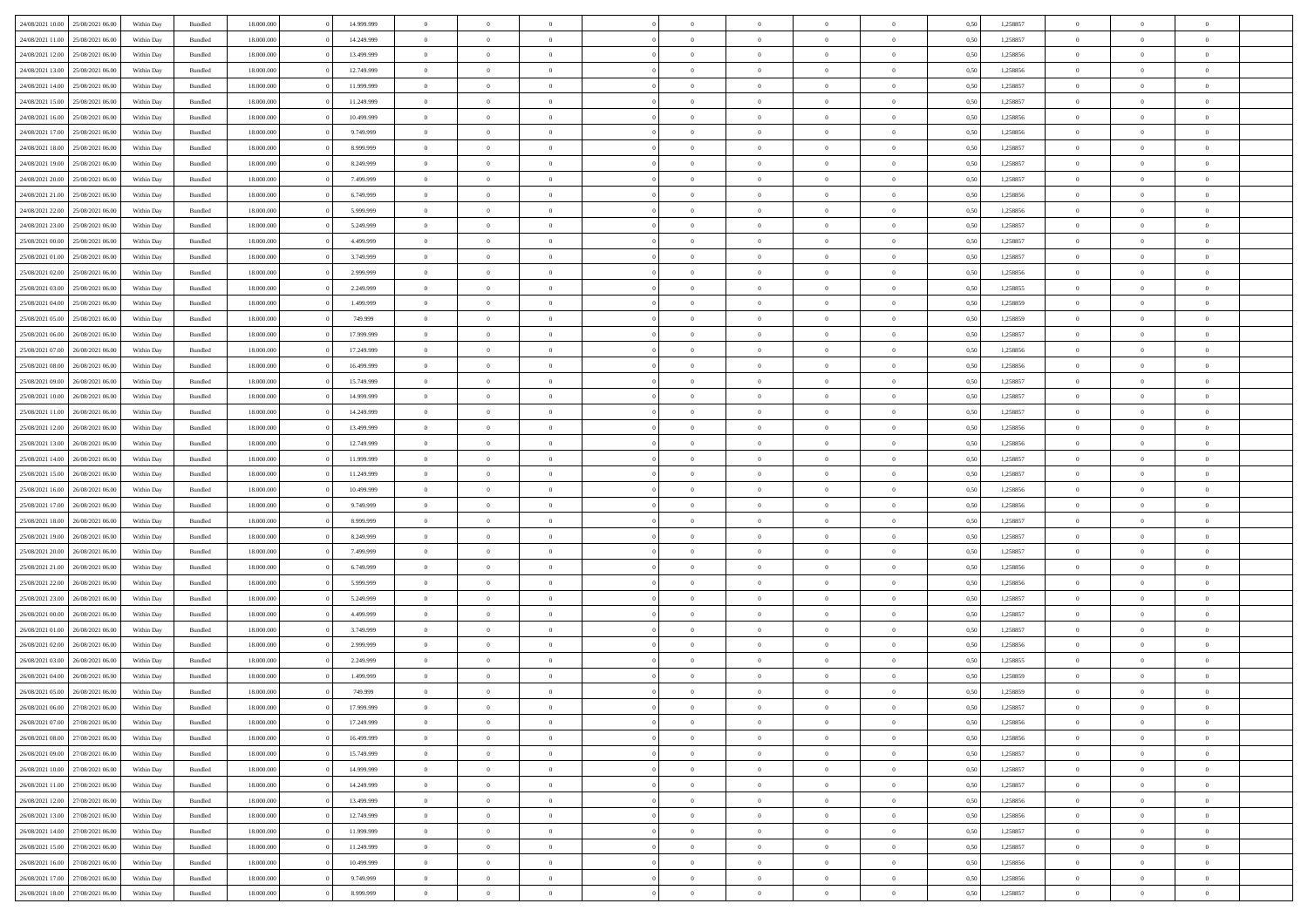|                                   |                  |            |                    |            |            | $\overline{0}$ | $\Omega$       |                |                | $\Omega$       | $\Omega$       |                |      |          | $\theta$       |                | $\theta$       |  |
|-----------------------------------|------------------|------------|--------------------|------------|------------|----------------|----------------|----------------|----------------|----------------|----------------|----------------|------|----------|----------------|----------------|----------------|--|
| 24/08/2021 10:00                  | 25/08/2021 06:00 | Within Dav | Bundled            | 18.000.000 | 14.999.999 |                |                |                | $\Omega$       |                |                | $\Omega$       | 0.50 | 1,258857 |                | $\theta$       |                |  |
| 24/08/2021 11:00                  | 25/08/2021 06:00 | Within Day | Bundled            | 18.000.000 | 14.249.999 | $\overline{0}$ | $\theta$       | $\overline{0}$ | $\overline{0}$ | $\bf{0}$       | $\overline{0}$ | $\overline{0}$ | 0,50 | 1,258857 | $\theta$       | $\theta$       | $\overline{0}$ |  |
| 24/08/2021 12:00                  | 25/08/2021 06:00 | Within Day | Bundled            | 18.000.000 | 13.499.999 | $\overline{0}$ | $\overline{0}$ | $\overline{0}$ | $\bf{0}$       | $\bf{0}$       | $\overline{0}$ | $\bf{0}$       | 0,50 | 1,258856 | $\bf{0}$       | $\overline{0}$ | $\overline{0}$ |  |
| 24/08/2021 13:00                  | 25/08/2021 06:00 | Within Dav | Bundled            | 18.000.000 | 12.749.999 | $\overline{0}$ | $\theta$       | $\overline{0}$ | $\overline{0}$ | $\bf{0}$       | $\overline{0}$ | $\overline{0}$ | 0.50 | 1.258856 | $\theta$       | $\theta$       | $\overline{0}$ |  |
| 24/08/2021 14:00                  | 25/08/2021 06:00 | Within Day | Bundled            | 18.000.000 | 11.999.999 | $\overline{0}$ | $\theta$       | $\overline{0}$ | $\overline{0}$ | $\bf{0}$       | $\overline{0}$ | $\bf{0}$       | 0,50 | 1,258857 | $\theta$       | $\theta$       | $\overline{0}$ |  |
|                                   |                  |            |                    |            |            |                |                |                |                |                |                |                |      |          |                |                |                |  |
| 24/08/2021 15:00                  | 25/08/2021 06:00 | Within Day | Bundled            | 18.000.000 | 11.249.999 | $\overline{0}$ | $\bf{0}$       | $\overline{0}$ | $\bf{0}$       | $\overline{0}$ | $\bf{0}$       | $\mathbf{0}$   | 0,50 | 1,258857 | $\bf{0}$       | $\overline{0}$ | $\bf{0}$       |  |
| 24/08/2021 16:00                  | 25/08/2021 06:00 | Within Dav | Bundled            | 18.000.000 | 10.499.999 | $\overline{0}$ | $\overline{0}$ | $\overline{0}$ | $\overline{0}$ | $\bf{0}$       | $\overline{0}$ | $\overline{0}$ | 0.50 | 1,258856 | $\theta$       | $\theta$       | $\overline{0}$ |  |
| 24/08/2021 17:00                  | 25/08/2021 06:00 | Within Day | Bundled            | 18.000.000 | 9.749.999  | $\overline{0}$ | $\theta$       | $\overline{0}$ | $\overline{0}$ | $\bf{0}$       | $\overline{0}$ | $\bf{0}$       | 0,50 | 1,258856 | $\theta$       | $\theta$       | $\overline{0}$ |  |
| 24/08/2021 18:00                  | 25/08/2021 06:00 | Within Day | Bundled            | 18.000.000 | 8.999.999  | $\overline{0}$ | $\overline{0}$ | $\overline{0}$ | $\bf{0}$       | $\bf{0}$       | $\bf{0}$       | $\bf{0}$       | 0,50 | 1,258857 | $\,0\,$        | $\overline{0}$ | $\overline{0}$ |  |
| 24/08/2021 19:00                  | 25/08/2021 06:00 | Within Dav | Bundled            | 18.000.000 | 8.249.999  | $\overline{0}$ | $\overline{0}$ | $\overline{0}$ | $\overline{0}$ | $\overline{0}$ | $\overline{0}$ | $\overline{0}$ | 0.50 | 1,258857 | $\theta$       | $\overline{0}$ | $\overline{0}$ |  |
| 24/08/2021 20:00                  | 25/08/2021 06:00 | Within Day | Bundled            | 18.000.000 | 7.499.999  | $\overline{0}$ | $\theta$       | $\overline{0}$ | $\overline{0}$ | $\bf{0}$       | $\overline{0}$ | $\bf{0}$       | 0,50 | 1,258857 | $\theta$       | $\theta$       | $\overline{0}$ |  |
| 24/08/2021 21:00                  | 25/08/2021 06:00 | Within Day | Bundled            | 18.000.000 | 6.749.999  | $\overline{0}$ | $\overline{0}$ | $\overline{0}$ | $\bf{0}$       | $\bf{0}$       | $\bf{0}$       | $\bf{0}$       | 0,50 | 1,258856 | $\bf{0}$       | $\overline{0}$ | $\overline{0}$ |  |
|                                   |                  |            |                    |            |            |                |                |                |                |                |                |                |      |          | $\theta$       |                |                |  |
| 24/08/2021 22:00                  | 25/08/2021 06:00 | Within Day | Bundled            | 18.000.000 | 5.999.999  | $\overline{0}$ | $\theta$       | $\overline{0}$ | $\overline{0}$ | $\bf{0}$       | $\overline{0}$ | $\overline{0}$ | 0.50 | 1.258856 |                | $\theta$       | $\overline{0}$ |  |
| 24/08/2021 23:00                  | 25/08/2021 06:00 | Within Day | Bundled            | 18.000.000 | 5.249.999  | $\overline{0}$ | $\theta$       | $\overline{0}$ | $\overline{0}$ | $\bf{0}$       | $\overline{0}$ | $\overline{0}$ | 0,50 | 1,258857 | $\theta$       | $\theta$       | $\overline{0}$ |  |
| 25/08/2021 00:00                  | 25/08/2021 06:00 | Within Day | Bundled            | 18.000.000 | 4.499.999  | $\overline{0}$ | $\overline{0}$ | $\overline{0}$ | $\bf{0}$       | $\overline{0}$ | $\bf{0}$       | $\mathbf{0}$   | 0,50 | 1,258857 | $\bf{0}$       | $\overline{0}$ | $\bf{0}$       |  |
| 25/08/2021 01:00                  | 25/08/2021 06:00 | Within Dav | Bundled            | 18.000.000 | 3.749.999  | $\overline{0}$ | $\overline{0}$ | $\overline{0}$ | $\overline{0}$ | $\bf{0}$       | $\overline{0}$ | $\overline{0}$ | 0.50 | 1,258857 | $\theta$       | $\overline{0}$ | $\overline{0}$ |  |
| 25/08/2021 02:00                  | 25/08/2021 06:00 | Within Day | Bundled            | 18.000.000 | 2.999.999  | $\overline{0}$ | $\theta$       | $\overline{0}$ | $\overline{0}$ | $\bf{0}$       | $\overline{0}$ | $\bf{0}$       | 0,50 | 1,258856 | $\theta$       | $\theta$       | $\overline{0}$ |  |
| 25/08/2021 03:00                  | 25/08/2021 06:00 | Within Day | Bundled            | 18.000.000 | 2.249.999  | $\overline{0}$ | $\overline{0}$ | $\overline{0}$ | $\overline{0}$ | $\bf{0}$       | $\overline{0}$ | $\bf{0}$       | 0,50 | 1,258855 | $\,0\,$        | $\overline{0}$ | $\overline{0}$ |  |
| 25/08/2021 04:00                  | 25/08/2021 06:00 | Within Dav | Bundled            | 18.000.000 | 1.499.999  | $\overline{0}$ | $\overline{0}$ | $\overline{0}$ | $\overline{0}$ | $\overline{0}$ | $\overline{0}$ | $\overline{0}$ | 0.50 | 1,258859 | $\theta$       | $\overline{0}$ | $\overline{0}$ |  |
|                                   |                  |            |                    |            |            |                |                |                |                |                |                |                |      |          |                |                |                |  |
| 25/08/2021 05:00                  | 25/08/2021 06:00 | Within Day | Bundled            | 18.000.000 | 749.999    | $\overline{0}$ | $\theta$       | $\overline{0}$ | $\overline{0}$ | $\bf{0}$       | $\overline{0}$ | $\bf{0}$       | 0,50 | 1,258859 | $\theta$       | $\theta$       | $\overline{0}$ |  |
| 25/08/2021 06:00                  | 26/08/2021 06:00 | Within Day | Bundled            | 18.000.000 | 17.999.999 | $\overline{0}$ | $\overline{0}$ | $\overline{0}$ | $\overline{0}$ | $\bf{0}$       | $\overline{0}$ | $\bf{0}$       | 0,50 | 1,258857 | $\,0\,$        | $\overline{0}$ | $\overline{0}$ |  |
| 25/08/2021 07:00                  | 26/08/2021 06:00 | Within Day | Bundled            | 18.000.000 | 17.249.999 | $\overline{0}$ | $\overline{0}$ | $\overline{0}$ | $\overline{0}$ | $\bf{0}$       | $\overline{0}$ | $\overline{0}$ | 0.50 | 1.258856 | $\theta$       | $\theta$       | $\overline{0}$ |  |
| 25/08/2021 08:00                  | 26/08/2021 06:00 | Within Day | Bundled            | 18.000.000 | 16.499.999 | $\overline{0}$ | $\theta$       | $\overline{0}$ | $\overline{0}$ | $\bf{0}$       | $\overline{0}$ | $\bf{0}$       | 0,50 | 1,258856 | $\theta$       | $\theta$       | $\overline{0}$ |  |
| 25/08/2021 09:00                  | 26/08/2021 06:00 | Within Day | Bundled            | 18.000.000 | 15.749.999 | $\overline{0}$ | $\overline{0}$ | $\overline{0}$ | $\overline{0}$ | $\overline{0}$ | $\overline{0}$ | $\mathbf{0}$   | 0,50 | 1,258857 | $\overline{0}$ | $\overline{0}$ | $\bf{0}$       |  |
| 25/08/2021 10:00                  | 26/08/2021 06:00 | Within Dav | Bundled            | 18.000.000 | 14.999.999 | $\overline{0}$ | $\overline{0}$ | $\overline{0}$ | $\overline{0}$ | $\overline{0}$ | $\overline{0}$ | $\overline{0}$ | 0.50 | 1,258857 | $\theta$       | $\theta$       | $\overline{0}$ |  |
| 25/08/2021 11:00                  | 26/08/2021 06:00 |            |                    | 18.000.000 | 14.249.999 | $\overline{0}$ | $\theta$       | $\overline{0}$ | $\overline{0}$ | $\bf{0}$       | $\overline{0}$ |                |      | 1,258857 | $\theta$       | $\theta$       | $\overline{0}$ |  |
|                                   |                  | Within Day | Bundled            |            |            |                |                |                |                |                |                | $\bf{0}$       | 0,50 |          |                |                |                |  |
| 25/08/2021 12:00                  | 26/08/2021 06:00 | Within Day | Bundled            | 18.000.000 | 13.499.999 | $\overline{0}$ | $\overline{0}$ | $\overline{0}$ | $\overline{0}$ | $\bf{0}$       | $\overline{0}$ | $\bf{0}$       | 0,50 | 1,258856 | $\,0\,$        | $\overline{0}$ | $\overline{0}$ |  |
| 25/08/2021 13:00                  | 26/08/2021 06:00 | Within Day | Bundled            | 18.000.000 | 12.749.999 | $\overline{0}$ | $\overline{0}$ | $\overline{0}$ | $\overline{0}$ | $\bf{0}$       | $\overline{0}$ | $\overline{0}$ | 0.50 | 1,258856 | $\theta$       | $\theta$       | $\overline{0}$ |  |
| 25/08/2021 14:00                  | 26/08/2021 06:00 | Within Day | Bundled            | 18.000.000 | 11.999.999 | $\overline{0}$ | $\theta$       | $\overline{0}$ | $\overline{0}$ | $\bf{0}$       | $\overline{0}$ | $\bf{0}$       | 0,50 | 1,258857 | $\,$ 0 $\,$    | $\theta$       | $\overline{0}$ |  |
| 25/08/2021 15:00                  | 26/08/2021 06:00 | Within Day | Bundled            | 18.000.000 | 11.249.999 | $\overline{0}$ | $\overline{0}$ | $\overline{0}$ | $\overline{0}$ | $\bf{0}$       | $\overline{0}$ | $\bf{0}$       | 0,50 | 1,258857 | $\bf{0}$       | $\overline{0}$ | $\overline{0}$ |  |
| 25/08/2021 16:00                  | 26/08/2021 06:00 | Within Day | Bundled            | 18.000.000 | 10.499.999 | $\overline{0}$ | $\Omega$       | $\Omega$       | $\Omega$       | $\Omega$       | $\Omega$       | $\overline{0}$ | 0.50 | 1,258856 | $\,0\,$        | $\Omega$       | $\theta$       |  |
| 25/08/2021 17:00                  | 26/08/2021 06:00 | Within Day | Bundled            | 18.000.000 | 9.749.999  | $\overline{0}$ | $\theta$       | $\overline{0}$ | $\overline{0}$ | $\bf{0}$       | $\overline{0}$ | $\bf{0}$       | 0,50 | 1,258856 | $\theta$       | $\theta$       | $\overline{0}$ |  |
|                                   |                  |            |                    |            |            |                |                |                |                |                |                |                |      |          |                |                |                |  |
| 25/08/2021 18:00                  | 26/08/2021 06:00 | Within Day | Bundled            | 18.000.000 | 8.999.999  | $\overline{0}$ | $\bf{0}$       | $\overline{0}$ | $\overline{0}$ | $\bf{0}$       | $\overline{0}$ | $\mathbf{0}$   | 0,50 | 1,258857 | $\overline{0}$ | $\overline{0}$ | $\bf{0}$       |  |
| 25/08/2021 19:00                  | 26/08/2021 06:00 | Within Day | Bundled            | 18,000,000 | 8.249.999  | $\overline{0}$ | $\Omega$       | $\Omega$       | $\Omega$       | $\Omega$       | $\Omega$       | $\overline{0}$ | 0.50 | 1,258857 | $\theta$       | $\theta$       | $\theta$       |  |
| 25/08/2021 20:00                  | 26/08/2021 06:00 | Within Day | Bundled            | 18.000.000 | 7.499.999  | $\overline{0}$ | $\theta$       | $\overline{0}$ | $\overline{0}$ | $\bf{0}$       | $\overline{0}$ | $\bf{0}$       | 0,50 | 1,258857 | $\theta$       | $\theta$       | $\overline{0}$ |  |
| 25/08/2021 21:00                  | 26/08/2021 06:00 | Within Day | Bundled            | 18.000.000 | 6.749.999  | $\overline{0}$ | $\overline{0}$ | $\overline{0}$ | $\bf{0}$       | $\bf{0}$       | $\bf{0}$       | $\bf{0}$       | 0,50 | 1,258856 | $\,0\,$        | $\overline{0}$ | $\overline{0}$ |  |
| 25/08/2021 22.00                  | 26/08/2021 06:00 | Within Day | Bundled            | 18,000,000 | 5.999.999  | $\overline{0}$ | $\Omega$       | $\Omega$       | $\Omega$       | $\Omega$       | $\Omega$       | $\overline{0}$ | 0.50 | 1,258856 | $\theta$       | $\theta$       | $\theta$       |  |
| 25/08/2021 23:00                  | 26/08/2021 06:00 | Within Day | Bundled            | 18.000.000 | 5.249.999  | $\overline{0}$ | $\theta$       | $\overline{0}$ | $\overline{0}$ | $\bf{0}$       | $\overline{0}$ | $\bf{0}$       | 0,50 | 1,258857 | $\,$ 0 $\,$    | $\theta$       | $\overline{0}$ |  |
| 26/08/2021 00:00                  | 26/08/2021 06:00 | Within Day | Bundled            | 18.000.000 | 4.499.999  | $\overline{0}$ | $\overline{0}$ | $\overline{0}$ | $\bf{0}$       | $\bf{0}$       | $\bf{0}$       | $\bf{0}$       | 0,50 | 1,258857 | $\overline{0}$ | $\overline{0}$ | $\overline{0}$ |  |
|                                   |                  |            |                    | 18.000.000 |            | $\overline{0}$ | $\Omega$       | $\Omega$       | $\Omega$       | $\Omega$       | $\Omega$       | $\overline{0}$ | 0.50 |          | $\,0\,$        | $\theta$       | $\theta$       |  |
| 26/08/2021 01:00                  | 26/08/2021 06:00 | Within Day | Bundled            |            | 3.749.999  |                |                |                |                |                |                |                |      | 1,258857 |                |                |                |  |
| 26/08/2021 02:00                  | 26/08/2021 06:00 | Within Day | Bundled            | 18.000.000 | 2.999.999  | $\overline{0}$ | $\theta$       | $\overline{0}$ | $\overline{0}$ | $\bf{0}$       | $\overline{0}$ | $\bf{0}$       | 0,50 | 1,258856 | $\,$ 0 $\,$    | $\theta$       | $\overline{0}$ |  |
| 26/08/2021 03:00                  | 26/08/2021 06:00 | Within Day | Bundled            | 18.000.000 | 2.249.999  | $\overline{0}$ | $\overline{0}$ | $\overline{0}$ | $\bf{0}$       | $\bf{0}$       | $\bf{0}$       | $\mathbf{0}$   | 0,50 | 1,258855 | $\bf{0}$       | $\overline{0}$ | $\bf{0}$       |  |
| 26/08/2021 04:00                  | 26/08/2021 06:00 | Within Day | Bundled            | 18,000,000 | 1.499.999  | $\overline{0}$ | $\Omega$       | $\Omega$       | $\Omega$       | $\Omega$       | $\Omega$       | $\overline{0}$ | 0.50 | 1,258859 | $\theta$       | $\Omega$       | $\theta$       |  |
| 26/08/2021 05:00                  | 26/08/2021 06:00 | Within Day | Bundled            | 18.000.000 | 749.999    | $\overline{0}$ | $\overline{0}$ | $\overline{0}$ | $\bf{0}$       | $\,$ 0         | $\bf{0}$       | $\bf{0}$       | 0,50 | 1,258859 | $\,0\,$        | $\overline{0}$ | $\overline{0}$ |  |
| 26/08/2021 06:00                  | 27/08/2021 06:00 | Within Day | $\mathbf B$ undled | 18.000.000 | 17.999.999 | $\bf{0}$       | $\bf{0}$       |                |                | $\bf{0}$       |                |                | 0,50 | 1,258857 | $\bf{0}$       | $\overline{0}$ |                |  |
| 26/08/2021 07:00                  | 27/08/2021 06:00 | Within Day | Bundled            | 18,000,000 | 17.249.999 | $\overline{0}$ | $\overline{0}$ | $\overline{0}$ | $\Omega$       | $\theta$       | $\overline{0}$ | $\overline{0}$ | 0.50 | 1,258856 | $\theta$       | $\theta$       | $\theta$       |  |
| 26/08/2021 08:00                  | 27/08/2021 06:00 | Within Day | Bundled            | 18.000.000 | 16.499.999 | $\overline{0}$ | $\,$ 0         | $\overline{0}$ | $\bf{0}$       | $\,$ 0 $\,$    | $\overline{0}$ | $\mathbf{0}$   | 0,50 | 1,258856 | $\,$ 0 $\,$    | $\overline{0}$ | $\,$ 0         |  |
|                                   |                  |            |                    |            |            |                |                |                |                |                |                |                |      |          |                |                |                |  |
| 26/08/2021 09:00                  | 27/08/2021 06:00 | Within Day | Bundled            | 18.000.000 | 15.749.999 | $\overline{0}$ | $\overline{0}$ | $\overline{0}$ | $\overline{0}$ | $\overline{0}$ | $\overline{0}$ | $\mathbf{0}$   | 0,50 | 1,258857 | $\overline{0}$ | $\bf{0}$       | $\bf{0}$       |  |
| 26/08/2021 10:00                  | 27/08/2021 06:00 | Within Day | Bundled            | 18,000,000 | 14.999.999 | $\overline{0}$ | $\theta$       | $\overline{0}$ | $\Omega$       | $\overline{0}$ | $\overline{0}$ | $\bf{0}$       | 0,50 | 1,258857 | $\bf{0}$       | $\theta$       | $\overline{0}$ |  |
| 26/08/2021 11:00                  | 27/08/2021 06:00 | Within Day | Bundled            | 18.000.000 | 14.249.999 | $\overline{0}$ | $\,$ 0         | $\overline{0}$ | $\overline{0}$ | $\overline{0}$ | $\overline{0}$ | $\bf{0}$       | 0,50 | 1,258857 | $\,$ 0 $\,$    | $\overline{0}$ | $\overline{0}$ |  |
| 26/08/2021 12:00                  | 27/08/2021 06:00 | Within Day | Bundled            | 18.000.000 | 13.499.999 | $\overline{0}$ | $\overline{0}$ | $\overline{0}$ | $\overline{0}$ | $\overline{0}$ | $\overline{0}$ | $\mathbf{0}$   | 0,50 | 1,258856 | $\overline{0}$ | $\bf{0}$       | $\bf{0}$       |  |
| 26/08/2021 13:00                  | 27/08/2021 06:00 | Within Day | Bundled            | 18,000,000 | 12.749.999 | $\overline{0}$ | $\overline{0}$ | $\overline{0}$ | $\Omega$       | $\overline{0}$ | $\overline{0}$ | $\bf{0}$       | 0.50 | 1,258856 | $\overline{0}$ | $\theta$       | $\overline{0}$ |  |
| 26/08/2021 14:00                  | 27/08/2021 06:00 | Within Day | Bundled            | 18.000.000 | 11.999.999 | $\overline{0}$ | $\,$ 0         | $\overline{0}$ | $\bf{0}$       | $\bf{0}$       | $\bf{0}$       | $\bf{0}$       | 0,50 | 1,258857 | $\,$ 0 $\,$    | $\overline{0}$ | $\overline{0}$ |  |
|                                   |                  |            |                    |            |            |                | $\bf{0}$       |                |                |                |                |                |      |          |                | $\overline{0}$ | $\bf{0}$       |  |
| 26/08/2021 15:00                  | 27/08/2021 06:00 | Within Day | Bundled            | 18.000.000 | 11.249.999 | $\overline{0}$ |                | $\overline{0}$ | $\overline{0}$ | $\overline{0}$ | $\overline{0}$ | $\mathbf{0}$   | 0,50 | 1,258857 | $\overline{0}$ |                |                |  |
| 26/08/2021 16:00                  | 27/08/2021 06:00 | Within Day | Bundled            | 18,000,000 | 10.499.999 | $\overline{0}$ | $\overline{0}$ | $\overline{0}$ | $\Omega$       | $\overline{0}$ | $\overline{0}$ | $\bf{0}$       | 0.50 | 1,258856 | $\overline{0}$ | $\overline{0}$ | $\overline{0}$ |  |
| 26/08/2021 17:00                  | 27/08/2021 06:00 | Within Day | Bundled            | 18.000.000 | 9.749.999  | $\overline{0}$ | $\,$ 0 $\,$    | $\overline{0}$ | $\overline{0}$ | $\bf{0}$       | $\overline{0}$ | $\bf{0}$       | 0,50 | 1,258856 | $\,$ 0 $\,$    | $\overline{0}$ | $\overline{0}$ |  |
| 26/08/2021 18:00 27/08/2021 06:00 |                  | Within Day | Bundled            | 18.000.000 | 8.999.999  | $\overline{0}$ | $\bf{0}$       | $\overline{0}$ | $\bf{0}$       | $\bf{0}$       | $\overline{0}$ | $\bf{0}$       | 0,50 | 1,258857 | $\overline{0}$ | $\overline{0}$ | $\bf{0}$       |  |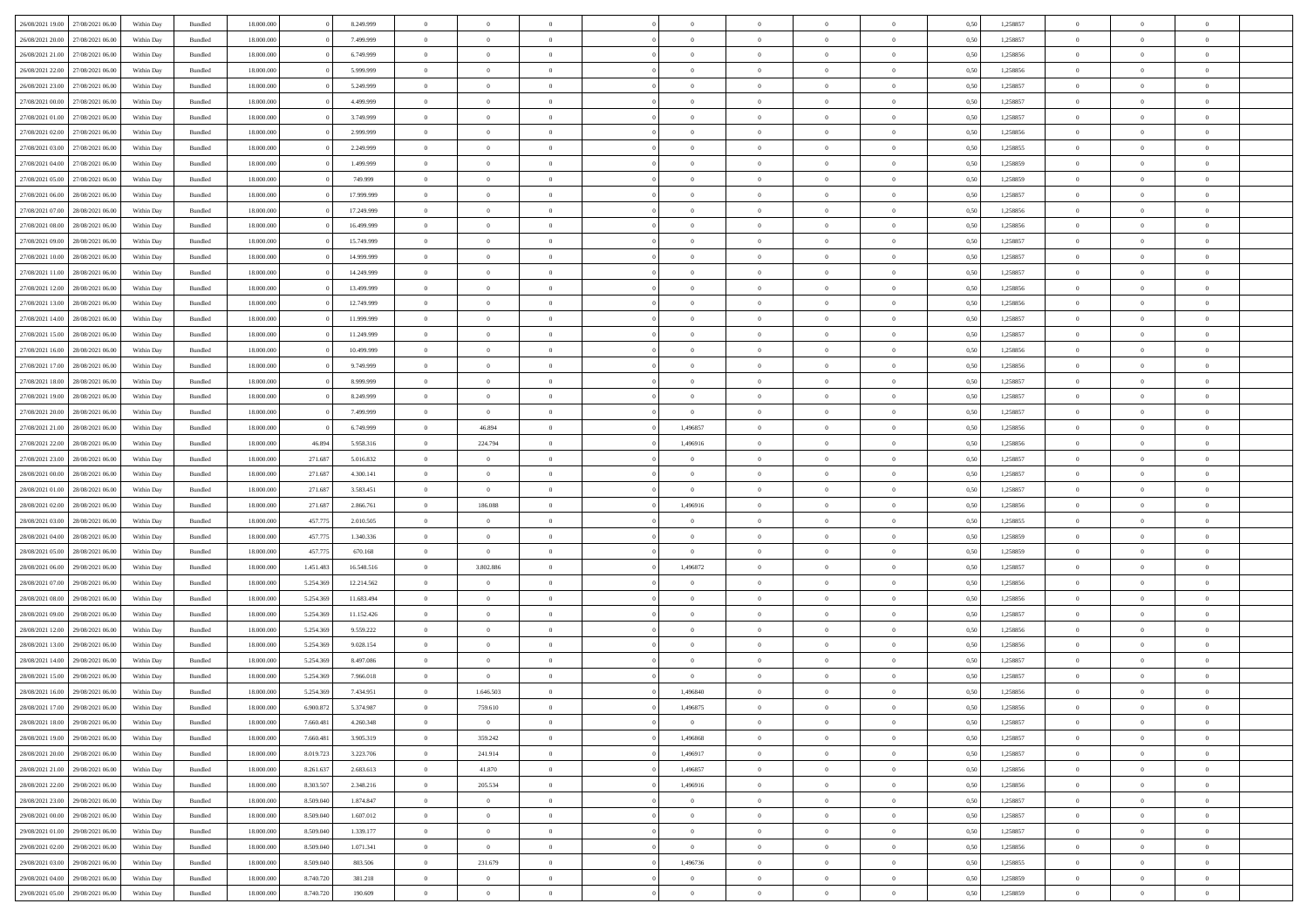| 26/08/2021 19:00 | 27/08/2021 06:00 | Within Day | Bundled            | 18.000.000 |           | 8.249.999  | $\Omega$       | $\Omega$       |                | $\Omega$       | $\Omega$       | $\Omega$       | $\Omega$       | 0.50 | 1,258857 | $\theta$       | $\theta$       | $\theta$       |  |
|------------------|------------------|------------|--------------------|------------|-----------|------------|----------------|----------------|----------------|----------------|----------------|----------------|----------------|------|----------|----------------|----------------|----------------|--|
|                  |                  |            |                    |            |           |            |                |                |                |                |                |                |                |      |          |                |                |                |  |
| 26/08/2021 20:00 | 27/08/2021 06:00 | Within Day | Bundled            | 18.000.000 |           | 7.499.999  | $\overline{0}$ | $\theta$       | $\overline{0}$ | $\overline{0}$ | $\bf{0}$       | $\overline{0}$ | $\overline{0}$ | 0,50 | 1,258857 | $\theta$       | $\theta$       | $\overline{0}$ |  |
| 26/08/2021 21:00 | 27/08/2021 06:00 | Within Day | Bundled            | 18.000.000 |           | 6.749.999  | $\overline{0}$ | $\overline{0}$ | $\overline{0}$ | $\bf{0}$       | $\bf{0}$       | $\overline{0}$ | $\bf{0}$       | 0,50 | 1,258856 | $\bf{0}$       | $\overline{0}$ | $\overline{0}$ |  |
| 26/08/2021 22:00 | 27/08/2021 06:00 | Within Dav | Bundled            | 18.000.000 |           | 5.999.999  | $\overline{0}$ | $\theta$       | $\Omega$       | $\overline{0}$ | $\bf{0}$       | $\overline{0}$ | $\overline{0}$ | 0.50 | 1.258856 | $\theta$       | $\theta$       | $\overline{0}$ |  |
|                  |                  |            |                    |            |           |            |                |                |                |                |                |                |                |      |          |                |                |                |  |
| 26/08/2021 23:00 | 27/08/2021 06:00 | Within Day | Bundled            | 18.000.000 |           | 5.249.999  | $\overline{0}$ | $\theta$       | $\overline{0}$ | $\overline{0}$ | $\bf{0}$       | $\overline{0}$ | $\overline{0}$ | 0,50 | 1,258857 | $\theta$       | $\theta$       | $\overline{0}$ |  |
| 27/08/2021 00:00 | 27/08/2021 06:00 | Within Day | Bundled            | 18.000.000 |           | 4.499.999  | $\overline{0}$ | $\bf{0}$       | $\overline{0}$ | $\overline{0}$ | $\overline{0}$ | $\overline{0}$ | $\mathbf{0}$   | 0,50 | 1,258857 | $\overline{0}$ | $\overline{0}$ | $\bf{0}$       |  |
| 27/08/2021 01:00 | 27/08/2021 06:00 | Within Dav | Bundled            | 18.000.000 |           | 3.749.999  | $\overline{0}$ | $\theta$       | $\overline{0}$ | $\overline{0}$ | $\bf{0}$       | $\overline{0}$ | $\overline{0}$ | 0.50 | 1,258857 | $\theta$       | $\theta$       | $\overline{0}$ |  |
| 27/08/2021 02:00 | 27/08/2021 06:00 | Within Day | Bundled            | 18.000.000 |           | 2.999.999  | $\overline{0}$ | $\theta$       | $\overline{0}$ | $\overline{0}$ | $\bf{0}$       | $\overline{0}$ | $\overline{0}$ | 0,50 | 1,258856 | $\theta$       | $\theta$       | $\overline{0}$ |  |
|                  |                  |            |                    |            |           |            |                | $\overline{0}$ |                | $\bf{0}$       | $\bf{0}$       |                |                |      |          | $\,0\,$        | $\overline{0}$ | $\overline{0}$ |  |
| 27/08/2021 03:00 | 27/08/2021 06:00 | Within Day | Bundled            | 18.000.000 |           | 2.249.999  | $\overline{0}$ |                | $\overline{0}$ |                |                | $\overline{0}$ | $\bf{0}$       | 0,50 | 1,258855 |                |                |                |  |
| 27/08/2021 04:00 | 27/08/2021 06:00 | Within Dav | Bundled            | 18.000.000 |           | 1.499.999  | $\overline{0}$ | $\overline{0}$ | $\overline{0}$ | $\overline{0}$ | $\overline{0}$ | $\overline{0}$ | $\overline{0}$ | 0.50 | 1,258859 | $\theta$       | $\overline{0}$ | $\overline{0}$ |  |
| 27/08/2021 05:00 | 27/08/2021 06:00 | Within Day | Bundled            | 18.000.000 |           | 749.999    | $\overline{0}$ | $\theta$       | $\overline{0}$ | $\overline{0}$ | $\bf{0}$       | $\overline{0}$ | $\bf{0}$       | 0,50 | 1,258859 | $\theta$       | $\theta$       | $\overline{0}$ |  |
| 27/08/2021 06:00 | 28/08/2021 06:00 | Within Day | Bundled            | 18.000.000 |           | 17.999.999 | $\overline{0}$ | $\overline{0}$ | $\overline{0}$ | $\overline{0}$ | $\bf{0}$       | $\overline{0}$ | $\bf{0}$       | 0,50 | 1,258857 | $\bf{0}$       | $\overline{0}$ | $\overline{0}$ |  |
| 27/08/2021 07:00 | 28/08/2021 06:00 | Within Dav | Bundled            | 18.000.000 |           | 17.249.999 | $\overline{0}$ | $\theta$       | $\overline{0}$ | $\overline{0}$ | $\bf{0}$       | $\overline{0}$ | $\overline{0}$ | 0.50 | 1.258856 | $\theta$       | $\theta$       | $\overline{0}$ |  |
|                  |                  |            |                    |            |           |            | $\overline{0}$ | $\theta$       | $\overline{0}$ |                | $\bf{0}$       | $\overline{0}$ | $\overline{0}$ |      |          | $\theta$       | $\theta$       | $\overline{0}$ |  |
| 27/08/2021 08:00 | 28/08/2021 06:00 | Within Day | Bundled            | 18.000.000 |           | 16.499.999 |                |                |                | $\overline{0}$ |                |                |                | 0,50 | 1,258856 |                |                |                |  |
| 27/08/2021 09:00 | 28/08/2021 06:00 | Within Day | Bundled            | 18.000.000 |           | 15.749.999 | $\overline{0}$ | $\overline{0}$ | $\overline{0}$ | $\overline{0}$ | $\overline{0}$ | $\overline{0}$ | $\mathbf{0}$   | 0,50 | 1,258857 | $\overline{0}$ | $\overline{0}$ | $\bf{0}$       |  |
| 27/08/2021 10:00 | 28/08/2021 06:00 | Within Dav | Bundled            | 18.000.000 |           | 14.999.999 | $\overline{0}$ | $\overline{0}$ | $\overline{0}$ | $\overline{0}$ | $\bf{0}$       | $\overline{0}$ | $\overline{0}$ | 0.50 | 1,258857 | $\theta$       | $\theta$       | $\overline{0}$ |  |
| 27/08/2021 11:00 | 28/08/2021 06:00 | Within Day | Bundled            | 18.000.000 |           | 14.249.999 | $\overline{0}$ | $\theta$       | $\overline{0}$ | $\overline{0}$ | $\bf{0}$       | $\overline{0}$ | $\bf{0}$       | 0,50 | 1,258857 | $\theta$       | $\theta$       | $\overline{0}$ |  |
| 27/08/2021 12:00 | 28/08/2021 06:00 | Within Day | Bundled            | 18.000.000 |           | 13.499.999 | $\overline{0}$ | $\overline{0}$ | $\overline{0}$ | $\bf{0}$       | $\bf{0}$       | $\bf{0}$       | $\bf{0}$       | 0,50 | 1,258856 | $\,0\,$        | $\overline{0}$ | $\overline{0}$ |  |
|                  |                  |            |                    |            |           |            |                |                |                |                |                |                |                |      |          |                |                |                |  |
| 27/08/2021 13:00 | 28/08/2021 06:00 | Within Dav | Bundled            | 18.000.000 |           | 12.749.999 | $\overline{0}$ | $\overline{0}$ | $\overline{0}$ | $\overline{0}$ | $\overline{0}$ | $\overline{0}$ | $\overline{0}$ | 0.50 | 1,258856 | $\theta$       | $\theta$       | $\overline{0}$ |  |
| 27/08/2021 14:00 | 28/08/2021 06:00 | Within Day | Bundled            | 18.000.000 |           | 11.999.999 | $\overline{0}$ | $\theta$       | $\overline{0}$ | $\overline{0}$ | $\bf{0}$       | $\overline{0}$ | $\bf{0}$       | 0,50 | 1,258857 | $\theta$       | $\theta$       | $\overline{0}$ |  |
| 27/08/2021 15:00 | 28/08/2021 06:00 | Within Day | Bundled            | 18.000.000 |           | 11.249.999 | $\overline{0}$ | $\overline{0}$ | $\overline{0}$ | $\bf{0}$       | $\bf{0}$       | $\bf{0}$       | $\bf{0}$       | 0,50 | 1,258857 | $\,0\,$        | $\overline{0}$ | $\overline{0}$ |  |
| 27/08/2021 16:00 | 28/08/2021 06:00 | Within Dav | Bundled            | 18.000.000 |           | 10.499.999 | $\overline{0}$ | $\theta$       | $\overline{0}$ | $\overline{0}$ | $\bf{0}$       | $\overline{0}$ | $\overline{0}$ | 0.50 | 1.258856 | $\theta$       | $\theta$       | $\overline{0}$ |  |
| 27/08/2021 17:00 | 28/08/2021 06:00 |            |                    | 18.000.000 |           | 9.749.999  | $\overline{0}$ | $\theta$       | $\overline{0}$ | $\overline{0}$ | $\bf{0}$       | $\overline{0}$ |                |      | 1,258856 | $\theta$       | $\theta$       | $\overline{0}$ |  |
|                  |                  | Within Day | Bundled            |            |           |            |                |                |                |                |                |                | $\bf{0}$       | 0,50 |          |                |                |                |  |
| 27/08/2021 18:00 | 28/08/2021 06:00 | Within Day | Bundled            | 18.000.000 |           | 8.999.999  | $\overline{0}$ | $\overline{0}$ | $\overline{0}$ | $\bf{0}$       | $\bf{0}$       | $\bf{0}$       | $\mathbf{0}$   | 0,50 | 1,258857 | $\overline{0}$ | $\overline{0}$ | $\bf{0}$       |  |
| 27/08/2021 19:00 | 28/08/2021 06:00 | Within Dav | Bundled            | 18.000.000 |           | 8.249.999  | $\overline{0}$ | $\overline{0}$ | $\overline{0}$ | $\overline{0}$ | $\overline{0}$ | $\overline{0}$ | $\overline{0}$ | 0.50 | 1,258857 | $\theta$       | $\theta$       | $\overline{0}$ |  |
| 27/08/2021 20:00 | 28/08/2021 06:00 | Within Day | Bundled            | 18.000.000 |           | 7.499.999  | $\overline{0}$ | $\theta$       | $\overline{0}$ | $\overline{0}$ | $\bf{0}$       | $\overline{0}$ | $\bf{0}$       | 0,50 | 1,258857 | $\theta$       | $\theta$       | $\overline{0}$ |  |
| 27/08/2021 21:00 | 28/08/2021 06:00 | Within Day | Bundled            | 18.000.000 |           | 6.749.999  | $\overline{0}$ | 46.894         | $\overline{0}$ | 1,496857       | $\bf{0}$       | $\bf{0}$       | $\bf{0}$       | 0,50 | 1,258856 | $\,0\,$        | $\overline{0}$ | $\overline{0}$ |  |
|                  |                  |            |                    |            |           |            |                |                |                |                |                |                |                |      |          | $\theta$       |                |                |  |
| 27/08/2021 22:00 | 28/08/2021 06:00 | Within Day | Bundled            | 18.000.000 | 46.894    | 5.958.316  | $\overline{0}$ | 224.794        | $\overline{0}$ | 1,496916       | $\bf{0}$       | $\overline{0}$ | $\overline{0}$ | 0.50 | 1,258856 |                | $\theta$       | $\overline{0}$ |  |
| 27/08/2021 23:00 | 28/08/2021 06:00 | Within Day | Bundled            | 18.000.000 | 271.687   | 5.016.832  | $\overline{0}$ | $\theta$       | $\overline{0}$ | $\overline{0}$ | $\bf{0}$       | $\overline{0}$ | $\bf{0}$       | 0,50 | 1,258857 | $\theta$       | $\theta$       | $\overline{0}$ |  |
| 28/08/2021 00:00 | 28/08/2021 06:00 | Within Day | Bundled            | 18.000.000 | 271.687   | 4.300.141  | $\overline{0}$ | $\overline{0}$ | $\overline{0}$ | $\bf{0}$       | $\bf{0}$       | $\bf{0}$       | $\bf{0}$       | 0,50 | 1,258857 | $\,0\,$        | $\overline{0}$ | $\overline{0}$ |  |
| 28/08/2021 01:00 | 28/08/2021 06:00 | Within Day | Bundled            | 18.000.000 | 271.687   | 3.583.451  | $\overline{0}$ | $\Omega$       | $\Omega$       | $\Omega$       | $\Omega$       | $\Omega$       | $\overline{0}$ | 0.50 | 1,258857 | $\,0\,$        | $\Omega$       | $\theta$       |  |
| 28/08/2021 02:00 | 28/08/2021 06:00 | Within Day | Bundled            | 18.000.000 | 271.687   | 2.866.761  | $\overline{0}$ | 186.088        | $\overline{0}$ | 1,496916       | $\bf{0}$       | $\overline{0}$ | $\overline{0}$ | 0,50 | 1,258856 | $\theta$       | $\theta$       | $\overline{0}$ |  |
|                  |                  |            |                    |            |           |            |                |                |                |                |                |                |                |      |          |                |                |                |  |
| 28/08/2021 03:00 | 28/08/2021 06:00 | Within Day | Bundled            | 18.000.000 | 457.775   | 2.010.505  | $\overline{0}$ | $\overline{0}$ | $\overline{0}$ | $\bf{0}$       | $\bf{0}$       | $\bf{0}$       | $\mathbf{0}$   | 0,50 | 1,258855 | $\bf{0}$       | $\overline{0}$ | $\bf{0}$       |  |
| 28/08/2021 04:00 | 28/08/2021 06:00 | Within Day | Bundled            | 18,000,000 | 457.775   | 1.340.336  | $\overline{0}$ | $\Omega$       | $\Omega$       | $\Omega$       | $\Omega$       | $\Omega$       | $\overline{0}$ | 0.50 | 1,258859 | $\theta$       | $\theta$       | $\theta$       |  |
| 28/08/2021 05:00 | 28/08/2021 06:00 | Within Day | Bundled            | 18.000.000 | 457.775   | 670.168    | $\overline{0}$ | $\overline{0}$ | $\overline{0}$ | $\overline{0}$ | $\bf{0}$       | $\overline{0}$ | $\bf{0}$       | 0,50 | 1,258859 | $\theta$       | $\theta$       | $\overline{0}$ |  |
| 28/08/2021 06:00 | 29/08/2021 06:00 | Within Day | Bundled            | 18.000.000 | 1.451.483 | 16.548.516 | $\overline{0}$ | 3.802.886      | $\overline{0}$ | 1,496872       | $\bf{0}$       | $\bf{0}$       | $\bf{0}$       | 0,50 | 1,258857 | $\,0\,$        | $\overline{0}$ | $\overline{0}$ |  |
|                  |                  |            |                    |            |           |            |                |                |                |                | $\Omega$       |                |                |      |          |                | $\theta$       | $\theta$       |  |
| 28/08/2021 07:00 | 29/08/2021 06:00 | Within Day | Bundled            | 18,000,000 | 5.254.369 | 12.214.562 | $\overline{0}$ | $\Omega$       | $\Omega$       | $\Omega$       |                | $\Omega$       | $\overline{0}$ | 0.50 | 1,258856 | $\theta$       |                |                |  |
| 28/08/2021 08:00 | 29/08/2021 06:00 | Within Day | Bundled            | 18.000.000 | 5.254.369 | 11.683.494 | $\overline{0}$ | $\theta$       | $\overline{0}$ | $\overline{0}$ | $\bf{0}$       | $\overline{0}$ | $\bf{0}$       | 0,50 | 1,258856 | $\theta$       | $\theta$       | $\overline{0}$ |  |
| 28/08/2021 09:00 | 29/08/2021 06:00 | Within Day | Bundled            | 18.000.000 | 5.254.369 | 11.152.426 | $\overline{0}$ | $\overline{0}$ | $\overline{0}$ | $\bf{0}$       | $\bf{0}$       | $\bf{0}$       | $\bf{0}$       | 0,50 | 1,258857 | $\bf{0}$       | $\overline{0}$ | $\overline{0}$ |  |
| 28/08/2021 12:00 | 29/08/2021 06:00 | Within Day | Bundled            | 18.000.000 | 5.254.369 | 9.559.222  | $\overline{0}$ | $\Omega$       | $\Omega$       | $\Omega$       | $\Omega$       | $\Omega$       | $\overline{0}$ | 0.50 | 1,258856 | $\,0\,$        | $\theta$       | $\theta$       |  |
| 28/08/2021 13:00 | 29/08/2021 06:00 | Within Day | Bundled            | 18.000.000 | 5.254.369 | 9.028.154  | $\overline{0}$ | $\theta$       | $\overline{0}$ | $\overline{0}$ | $\bf{0}$       | $\overline{0}$ | $\bf{0}$       | 0,50 | 1,258856 | $\theta$       | $\theta$       | $\overline{0}$ |  |
|                  |                  |            |                    |            |           |            |                |                |                |                |                |                |                |      |          |                |                |                |  |
| 28/08/2021 14:00 | 29/08/2021 06:00 | Within Day | Bundled            | 18.000.000 | 5.254.369 | 8.497.086  | $\overline{0}$ | $\overline{0}$ | $\overline{0}$ | $\bf{0}$       | $\bf{0}$       | $\overline{0}$ | $\mathbf{0}$   | 0,50 | 1,258857 | $\overline{0}$ | $\overline{0}$ | $\bf{0}$       |  |
| 28/08/2021 15:00 | 29/08/2021 06:00 | Within Day | Bundled            | 18,000,000 | 5.254.369 | 7.966.018  | $\Omega$       | $\Omega$       | $\Omega$       | $\Omega$       | $\Omega$       | $\Omega$       | $\Omega$       | 0.50 | 1,258857 | $\theta$       | $\Omega$       | $\theta$       |  |
| 28/08/2021 16:00 | 29/08/2021 06:00 | Within Day | Bundled            | 18.000.000 | 5.254.369 | 7.434.951  | $\overline{0}$ | 1.646.503      | $\overline{0}$ | 1,496840       | $\,$ 0         | $\overline{0}$ | $\bf{0}$       | 0,50 | 1,258856 | $\,0\,$        | $\overline{0}$ | $\overline{0}$ |  |
| 28/08/2021 17:00 | 29/08/2021 06:00 | Within Day | $\mathbf B$ undled | 18.000.000 | 6.900.872 | 5.374.987  | $\bf{0}$       | 759.610        |                | 1,496875       |                |                |                | 0,50 | 1,258856 | $\bf{0}$       | $\overline{0}$ |                |  |
| 28/08/2021 18:00 | 29/08/2021 06:00 | Within Day | Bundled            | 18,000,000 | 7.660.481 | 4.260.348  | $\overline{0}$ | $\overline{0}$ | $\overline{0}$ | $\Omega$       | $\overline{0}$ | $\overline{0}$ | $\overline{0}$ | 0.50 | 1,258857 | $\theta$       | $\theta$       | $\theta$       |  |
|                  |                  |            |                    |            |           |            |                |                |                |                |                |                |                |      |          |                |                |                |  |
| 28/08/2021 19:00 | 29/08/2021 06:00 | Within Day | Bundled            | 18.000.000 | 7.660.481 | 3.905.319  | $\overline{0}$ | 359.242        | $\overline{0}$ | 1,496868       | $\bf{0}$       | $\overline{0}$ | $\mathbf{0}$   | 0,50 | 1,258857 | $\,$ 0 $\,$    | $\,$ 0 $\,$    | $\,$ 0         |  |
| 28/08/2021 20:00 | 29/08/2021 06:00 | Within Day | Bundled            | 18.000.000 | 8.019.723 | 3.223.706  | $\overline{0}$ | 241.914        | $\overline{0}$ | 1,496917       | $\overline{0}$ | $\overline{0}$ | $\mathbf{0}$   | 0,50 | 1,258857 | $\overline{0}$ | $\bf{0}$       | $\bf{0}$       |  |
| 28/08/2021 21:00 | 29/08/2021 06:00 | Within Day | Bundled            | 18.000.000 | 8.261.637 | 2.683.613  | $\overline{0}$ | 41.870         | $\overline{0}$ | 1,496857       | $\overline{0}$ | $\overline{0}$ | $\overline{0}$ | 0,50 | 1,258856 | $\overline{0}$ | $\theta$       | $\overline{0}$ |  |
| 28/08/2021 22:00 | 29/08/2021 06:00 | Within Day | Bundled            | 18.000.000 | 8.303.507 | 2.348.216  | $\overline{0}$ | 205.534        | $\overline{0}$ | 1,496916       | $\,$ 0 $\,$    | $\overline{0}$ | $\mathbf{0}$   | 0,50 | 1,258856 | $\,$ 0 $\,$    | $\overline{0}$ | $\overline{0}$ |  |
| 28/08/2021 23:00 | 29/08/2021 06:00 | Within Day | Bundled            | 18.000.000 | 8.509.040 | 1.874.847  | $\overline{0}$ | $\sim$ 0       | $\overline{0}$ | $\overline{0}$ | $\overline{0}$ | $\overline{0}$ | $\mathbf{0}$   | 0,50 | 1,258857 | $\overline{0}$ | $\overline{0}$ | $\overline{0}$ |  |
|                  |                  |            |                    |            |           |            |                |                |                |                |                |                |                |      |          |                |                |                |  |
| 29/08/2021 00:00 | 29/08/2021 06:00 | Within Day | Bundled            | 18.000.000 | 8,509,040 | 1.607.012  | $\overline{0}$ | $\overline{0}$ | $\overline{0}$ | $\overline{0}$ | $\overline{0}$ | $\overline{0}$ | $\bf{0}$       | 0.50 | 1,258857 | $\overline{0}$ | $\theta$       | $\overline{0}$ |  |
| 29/08/2021 01:00 | 29/08/2021 06:00 | Within Day | Bundled            | 18.000.000 | 8.509.040 | 1.339.177  | $\overline{0}$ | $\,$ 0         | $\overline{0}$ | $\overline{0}$ | $\bf{0}$       | $\overline{0}$ | $\bf{0}$       | 0,50 | 1,258857 | $\,$ 0 $\,$    | $\overline{0}$ | $\overline{0}$ |  |
| 29/08/2021 02:00 | 29/08/2021 06:00 | Within Day | Bundled            | 18.000.000 | 8.509.040 | 1.071.341  | $\overline{0}$ | $\overline{0}$ | $\overline{0}$ | $\overline{0}$ | $\overline{0}$ | $\overline{0}$ | $\mathbf{0}$   | 0,50 | 1,258856 | $\overline{0}$ | $\overline{0}$ | $\bf{0}$       |  |
| 29/08/2021 03:00 | 29/08/2021 06:00 | Within Day | Bundled            | 18.000.000 | 8,509,040 | 803,506    | $\overline{0}$ | 231.679        | $\overline{0}$ | 1.496736       | $\overline{0}$ | $\overline{0}$ | $\overline{0}$ | 0.50 | 1,258855 | $\overline{0}$ | $\theta$       | $\overline{0}$ |  |
| 29/08/2021 04:00 | 29/08/2021 06:00 | Within Day | Bundled            | 18.000.000 | 8.740.720 | 381.218    | $\overline{0}$ | $\bf{0}$       | $\overline{0}$ | $\overline{0}$ | $\bf{0}$       | $\overline{0}$ | $\mathbf{0}$   | 0,50 | 1,258859 | $\,$ 0 $\,$    | $\,$ 0 $\,$    | $\bf{0}$       |  |
|                  |                  |            |                    |            |           |            |                |                |                |                |                |                |                |      |          |                |                |                |  |
| 29/08/2021 05:00 | 29/08/2021 06:00 | Within Day | Bundled            | 18.000.000 | 8.740.720 | 190.609    | $\overline{0}$ | $\overline{0}$ | $\overline{0}$ | $\overline{0}$ | $\overline{0}$ | $\overline{0}$ | $\mathbf{0}$   | 0,50 | 1,258859 | $\overline{0}$ | $\bf{0}$       | $\bf{0}$       |  |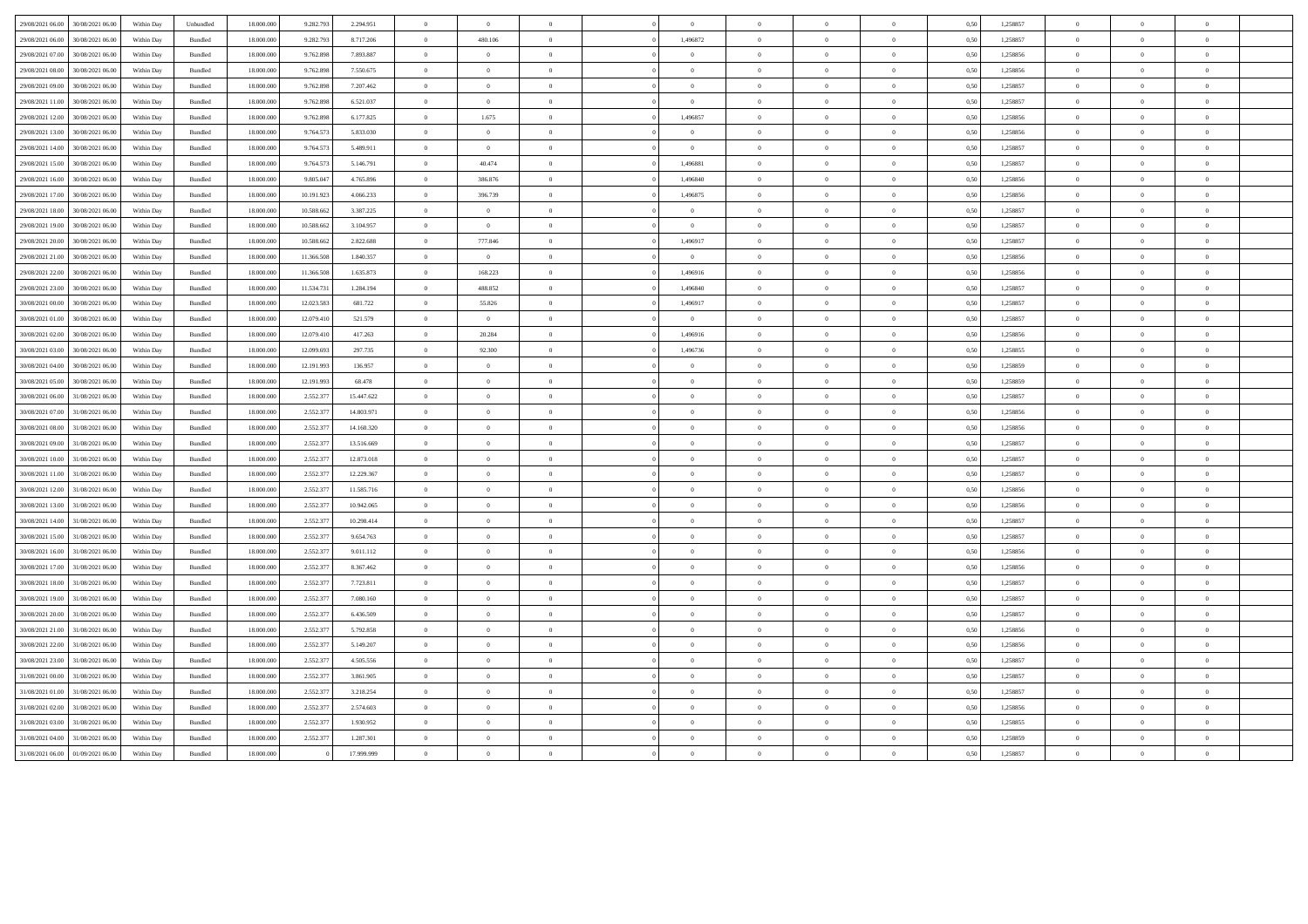| 29/08/2021 06:00 | 30/08/2021 06:00 | Within Day | Unbundled          | 18.000.000 | 9.282.793  | 2.294.951  | $\overline{0}$ | $\overline{0}$ |                | $\Omega$       | $\bf{0}$       | $\Omega$       |                | 0.50 | 1,258857 | $\overline{0}$ | $\Omega$       |                |  |
|------------------|------------------|------------|--------------------|------------|------------|------------|----------------|----------------|----------------|----------------|----------------|----------------|----------------|------|----------|----------------|----------------|----------------|--|
| 29/08/2021 06:00 | 30/08/2021 06:00 | Within Day | Bundled            | 18.000.000 | 9.282.79   | 8.717.206  | $\overline{0}$ | 480.106        | $\overline{0}$ | 1,496872       | $\,$ 0 $\,$    | $\overline{0}$ | $\overline{0}$ | 0,50 | 1,258857 | $\overline{0}$ | $\overline{0}$ | $\mathbf{0}$   |  |
| 29/08/2021 07:00 | 30/08/2021 06:00 | Within Day | Bundled            | 18,000,000 | 9.762.89   | 7.893.887  | $\overline{0}$ | $\overline{0}$ | $\overline{0}$ | $\Omega$       | $\overline{0}$ | $\theta$       | $\theta$       | 0.50 | 1.258856 | $\overline{0}$ | $\overline{0}$ | $\theta$       |  |
| 29/08/2021 08:00 | 30/08/2021 06:00 | Within Day | <b>Bundled</b>     | 18 000 000 | 9.762.89   | 7.550.675  | $\overline{0}$ | $\theta$       | $\Omega$       | $\Omega$       | $\theta$       | $\Omega$       | $\overline{0}$ | 0.50 | 1.258856 | $\theta$       | $\theta$       | $\theta$       |  |
| 29/08/2021 09:00 | 30/08/2021 06:00 | Within Day | Bundled            | 18,000,000 | 9.762.89   | 7.207.462  | $\bf{0}$       | $\overline{0}$ | $\overline{0}$ | $\Omega$       | $\overline{0}$ | $\overline{0}$ | $\overline{0}$ | 0.50 | 1,258857 | $\overline{0}$ | $\overline{0}$ | $\theta$       |  |
| 29/08/2021 11:00 | 30/08/2021 06.00 | Within Day | Bundled            | 18.000.000 | 9.762.89   | 6.521.037  | $\overline{0}$ | $\overline{0}$ | $\overline{0}$ | $\overline{0}$ | $\bf{0}$       | $\theta$       | $\overline{0}$ | 0,50 | 1,258857 | $\,$ 0 $\,$    | $\overline{0}$ |                |  |
| 29/08/2021 12:00 | 30/08/2021 06:00 | Within Day | Bundled            | 18.000.000 | 9.762.898  | 6.177.825  | $\,$ 0 $\,$    | 1.675          | $\overline{0}$ | 1,496857       | $\overline{0}$ | $\overline{0}$ | $\overline{0}$ | 0,50 | 1,258856 | $\overline{0}$ | $\overline{0}$ |                |  |
| 29/08/2021 13:00 | 30/08/2021 06:00 | Within Day | <b>Bundled</b>     | 18.000.000 | 9 764 57   | 5.833.030  | $\Omega$       | $\Omega$       | $\Omega$       | $\sqrt{2}$     | $\theta$       | $\Omega$       | $\mathbf{a}$   | 0.50 | 1.258856 | $\Omega$       | $\Omega$       |                |  |
| 29/08/2021 14:00 | 30/08/2021 06:00 | Within Day | Bundled            | 18,000,000 | 9.764.57   | 5.489.911  | $\overline{0}$ | $\overline{0}$ | $\overline{0}$ | $\overline{0}$ | $\bf{0}$       | $\overline{0}$ | $\overline{0}$ | 0.50 | 1.258857 | $\overline{0}$ | $\overline{0}$ | $\overline{0}$ |  |
| 29/08/2021 15:00 | 30/08/2021 06:00 | Within Day | Bundled            | 18,000,000 | 9.764.57   | 5.146.791  | $\overline{0}$ | 40.474         | $\overline{0}$ | 1.496881       | $\bf{0}$       | $\theta$       | $\theta$       | 0.50 | 1,258857 | $\overline{0}$ | $\Omega$       | $\theta$       |  |
| 29/08/2021 16:00 | 30/08/2021 06:00 | Within Day | Bundled            | 18.000.000 | 9.805.04   | 4.765.896  | $\overline{0}$ | 386.876        | $\overline{0}$ | 1.496840       | $\,$ 0 $\,$    | $\overline{0}$ | $\overline{0}$ | 0,50 | 1,258856 | $\overline{0}$ | $\overline{0}$ | $\overline{0}$ |  |
| 29/08/2021 17:00 | 30/08/2021 06:00 | Within Dav | Bundled            | 18,000,000 | 10.191.92  | 4.066.233  | $\overline{0}$ | 396.739        | $\overline{0}$ | 1.496875       | $\overline{0}$ | $\theta$       | $\theta$       | 0.50 | 1.258856 | $\overline{0}$ | $\overline{0}$ | $\sqrt{2}$     |  |
| 29/08/2021 18:00 | 30/08/2021 06:00 | Within Dav | <b>Bundled</b>     | 18.000.000 | 10.588.66  | 3 387 225  | $\Omega$       | $\theta$       | $\theta$       | $\Omega$       | $\theta$       | $\theta$       | $\overline{0}$ | 0.50 | 1.258857 | $\theta$       | $\Omega$       | $\theta$       |  |
| 29/08/2021 19:00 | 30/08/2021 06:00 | Within Day | Bundled            | 18.000.000 | 10.588.662 | 3.104.957  | $\,$ 0 $\,$    | $\overline{0}$ | $\overline{0}$ | $\Omega$       | $\,$ 0 $\,$    | $\overline{0}$ | $\overline{0}$ | 0,50 | 1,258857 | $\overline{0}$ | $\overline{0}$ | $\theta$       |  |
| 29/08/2021 20:00 | 30/08/2021 06.00 | Within Day | Bundled            | 18.000.000 | 10.588.662 | 2.822.688  | $\overline{0}$ | 777.846        | $\overline{0}$ | 1,496917       | $\overline{0}$ | $\overline{0}$ | $\overline{0}$ | 0,50 | 1,258857 | $\theta$       | $\overline{0}$ |                |  |
| 29/08/2021 21:00 | 30/08/2021 06:00 | Within Day | Bundled            | 18.000.000 | 11.366.508 | 1.840.357  | $\,$ 0 $\,$    | $\overline{0}$ | $\overline{0}$ | $\overline{0}$ | $\overline{0}$ | $\,$ 0 $\,$    | $\overline{0}$ | 0,50 | 1,258856 | $\overline{0}$ | $\overline{0}$ |                |  |
| 29/08/2021 22:00 | 30/08/2021 06:00 | Within Day | <b>Bundled</b>     | 18 000 000 | 11.366.508 | 1.635.873  | $\Omega$       | 168.223        | $\Omega$       | 1.496916       | $\theta$       | $\Omega$       | $\mathbf{a}$   | 0.50 | 1.258856 | $\Omega$       | $\Omega$       |                |  |
| 29/08/2021 23:00 | 30/08/2021 06:00 | Within Day | Bundled            | 18,000,000 | 11.534.73  | 1.284.194  | $\overline{0}$ | 488.852        | $\overline{0}$ | 1,496840       | $\bf{0}$       | $\bf{0}$       | $\overline{0}$ | 0.50 | 1.258857 | $\overline{0}$ | $\overline{0}$ | $\overline{0}$ |  |
| 30/08/2021 00:00 | 30/08/2021 06:00 | Within Day | $\mathbf B$ undled | 18.000.000 | 12.023.58  | 681.722    | $\overline{0}$ | 55.826         | $\overline{0}$ | 1,496917       | $\,$ 0 $\,$    | $\theta$       | $\theta$       | 0,50 | 1,258857 | $\overline{0}$ | $\overline{0}$ | $\theta$       |  |
| 30/08/2021 01:00 | 30/08/2021 06:00 | Within Day | Bundled            | 18.000.000 | 12.079.410 | 521.579    | $\,$ 0 $\,$    | $\overline{0}$ | $\overline{0}$ | $\overline{0}$ | $\bf{0}$       | $\overline{0}$ | $\overline{0}$ | 0,50 | 1,258857 | $\overline{0}$ | $\overline{0}$ | $\overline{0}$ |  |
| 30/08/2021 02:00 | 30/08/2021 06:00 | Within Day | <b>Bundled</b>     | 18 000 000 | 12.079.410 | 417.263    | $\overline{0}$ | 20.284         | $\theta$       | 1.496916       | $\theta$       | $\Omega$       | $\theta$       | 0.50 | 1.258856 | $\Omega$       | $\Omega$       | $\sqrt{2}$     |  |
| 30/08/2021 03:00 | 30/08/2021 06:00 | Within Dav | <b>Bundled</b>     | 18.000.000 | 12.099.693 | 297 735    | $\theta$       | 92.300         | $\theta$       | 1496736        | $\theta$       | $\Omega$       | $\overline{0}$ | 0.50 | 1.258855 | $\theta$       | $\theta$       | $\theta$       |  |
| 30/08/2021 04:00 | 30/08/2021 06.00 | Within Day | Bundled            | 18.000.000 | 12.191.99  | 136.957    | $\bf{0}$       | $\overline{0}$ | $\overline{0}$ | $\overline{0}$ | $\,$ 0 $\,$    | $\overline{0}$ | $\,$ 0         | 0,50 | 1,258859 | $\overline{0}$ | $\overline{0}$ |                |  |
| 30/08/2021 05:00 | 30/08/2021 06:00 | Within Day | Bundled            | 18.000.000 | 12.191.99  | 68.478     | $\overline{0}$ | $\overline{0}$ | $\overline{0}$ |                | $\bf{0}$       | $\theta$       | $\overline{0}$ | 0,50 | 1,258859 | $\theta$       | $\overline{0}$ |                |  |
| 30/08/2021 06:00 | 31/08/2021 06:00 | Within Day | Bundled            | 18.000.000 | 2.552.377  | 15.447.622 | $\,$ 0 $\,$    | $\overline{0}$ | $\overline{0}$ | $\Omega$       | $\overline{0}$ | $\theta$       | $\theta$       | 0,50 | 1,258857 | $\overline{0}$ | $\Omega$       |                |  |
| 30/08/2021 07:00 | 31/08/2021 06:00 | Within Day | <b>Bundled</b>     | 18 000 000 | 2.552.37   | 14 803 971 | $\theta$       | $\Omega$       | $\Omega$       | $\sqrt{2}$     | $\theta$       | $\Omega$       | $\theta$       | 0.50 | 1.258856 | $\Omega$       | $\Omega$       |                |  |
| 30/08/2021 08:00 | 31/08/2021 06:00 | Within Day | Bundled            | 18,000,000 | 2.552.37   | 14.160.320 | $\overline{0}$ | $\overline{0}$ | $\overline{0}$ | $\overline{0}$ | $\,$ 0 $\,$    | $\overline{0}$ | $\overline{0}$ | 0.50 | 1.258856 | $\overline{0}$ | $\overline{0}$ | $\overline{0}$ |  |
| 30/08/2021 09:00 | 31/08/2021 06:00 | Within Day | Bundled            | 18.000.000 | 2.552.37   | 13.516.669 | $\overline{0}$ | $\overline{0}$ | $\overline{0}$ | $\overline{0}$ | $\bf{0}$       | $\overline{0}$ | $\overline{0}$ | 0,50 | 1,258857 | $\overline{0}$ | $\overline{0}$ | $\overline{0}$ |  |
| 30/08/2021 10:00 | 31/08/2021 06:00 | Within Day | Bundled            | 18.000.000 | 2.552.37   | 12.873.018 | $\,$ 0 $\,$    | $\bf{0}$       | $\overline{0}$ | $\overline{0}$ | $\,$ 0 $\,$    | $\overline{0}$ | $\overline{0}$ | 0,50 | 1,258857 | $\overline{0}$ | $\overline{0}$ | $\overline{0}$ |  |
| 30/08/2021 11:00 | 31/08/2021 06:00 | Within Day | <b>Bundled</b>     | 18 000 000 | 2.552.37   | 12.229.367 | $\overline{0}$ | $\Omega$       | $\theta$       | $\sqrt{2}$     | $\theta$       | $\Omega$       | $\theta$       | 0.50 | 1.258857 | $\Omega$       | $\Omega$       | $\sqrt{2}$     |  |
| 30/08/2021 12:00 | 31/08/2021 06.00 | Within Day | Bundled            | 18.000.000 | 2.552.37   | 11.585.716 | $\,$ 0 $\,$    | $\overline{0}$ | $\overline{0}$ | $\Omega$       | $\,$ 0 $\,$    | $\theta$       | $\overline{0}$ | 0,50 | 1,258856 | $\overline{0}$ | $\overline{0}$ | $\theta$       |  |
| 30/08/2021 13:00 | 31/08/2021 06.00 | Within Day | Bundled            | 18.000.000 | 2.552.37   | 10.942.065 | $\bf{0}$       | $\bf{0}$       | $\overline{0}$ | $\overline{0}$ | $\,$ 0 $\,$    | $\overline{0}$ | $\,$ 0         | 0,50 | 1,258856 | $\overline{0}$ | $\,$ 0 $\,$    |                |  |
| 30/08/2021 14:00 | 31/08/2021 06.00 | Within Day | Bundled            | 18.000.000 | 2.552.37   | 10.298.414 | $\overline{0}$ | $\overline{0}$ | $\overline{0}$ |                | $\bf{0}$       | $\theta$       | $\overline{0}$ | 0,50 | 1,258857 | $\theta$       | $\overline{0}$ |                |  |
| 30/08/2021 15:00 | 31/08/2021 06:00 | Within Day | <b>Bundled</b>     | 18 000 000 | 2.552.37   | 9.654.763  | $\overline{0}$ | $\Omega$       | $\theta$       | $\theta$       | $\theta$       | $\Omega$       | $\theta$       | 0.50 | 1.258857 | $\Omega$       | $\Omega$       | $\theta$       |  |
| 30/08/2021 16:00 | 31/08/2021 06:00 | Within Day | <b>Bundled</b>     | 18 000 000 | 2.552.37   | 9.011.112  | $\Omega$       | $\Omega$       | $\Omega$       | $\theta$       | $\theta$       | $\Omega$       | $\theta$       | 0.50 | 1.258856 | $\overline{0}$ | $\Omega$       |                |  |
| 30/08/2021 17:00 | 31/08/2021 06:00 | Within Day | Bundled            | 18.000.000 | 2.552.37   | 8.367.462  | $\,$ 0 $\,$    | $\,$ 0         | $\overline{0}$ | $\overline{0}$ | $\bf{0}$       | $\overline{0}$ | $\overline{0}$ | 0,50 | 1,258856 | $\overline{0}$ | $\overline{0}$ | $\mathbf{0}$   |  |
| 30/08/2021 18:00 | 31/08/2021 06:00 | Within Day | Bundled            | 18.000.000 | 2.552.37   | 7.723.811  | $\overline{0}$ | $\overline{0}$ | $\overline{0}$ | $\overline{0}$ | $\overline{0}$ | $\theta$       | $\overline{0}$ | 0,50 | 1,258857 | $\overline{0}$ | $\overline{0}$ | $\overline{0}$ |  |
| 30/08/2021 19:00 | 31/08/2021 06:00 | Within Day | Bundled            | 18.000.000 | 2.552.37   | 7.080.160  | $\,$ 0 $\,$    | $\overline{0}$ | $\overline{0}$ | $\Omega$       | $\,$ 0 $\,$    | $\theta$       | $\theta$       | 0,50 | 1,258857 | $\overline{0}$ | $\Omega$       | $\theta$       |  |
| 30/08/2021 20:00 | 31/08/2021 06:00 | Within Day | <b>Bundled</b>     | 18.000.000 | 2.552.37   | 6.436.509  | $\Omega$       | $\theta$       | $\theta$       | $\sqrt{2}$     | $\theta$       | $\Omega$       | $\theta$       | 0.50 | 1.258857 | $\theta$       | $\Omega$       | $\theta$       |  |
| 30/08/2021 21:00 | 31/08/2021 06.00 | Within Day | Bundled            | 18.000.000 | 2.552.37   | 5.792.858  | $\,$ 0 $\,$    | $\overline{0}$ | $\overline{0}$ | $\overline{0}$ | $\,$ 0 $\,$    | $\overline{0}$ | $\bf{0}$       | 0,50 | 1,258856 | $\overline{0}$ | $\overline{0}$ | $\overline{0}$ |  |
| 30/08/2021 22.00 | 31/08/2021 06.00 | Within Day | Bundled            | 18.000.000 | 2.552.37   | 5.149.207  | $\bf{0}$       | $\bf{0}$       | $\overline{0}$ | $\overline{0}$ | $\overline{0}$ | $\overline{0}$ | $\bf{0}$       | 0,50 | 1,258856 | $\overline{0}$ | $\bf{0}$       |                |  |
| 30/08/2021 23:00 | 31/08/2021 06.00 | Within Day | Bundled            | 18.000.000 | 2.552.37   | 4.505.556  | $\overline{0}$ | $\theta$       | $\Omega$       |                | $\theta$       | $\theta$       | $\theta$       | 0,50 | 1,258857 | $\overline{0}$ | $\Omega$       |                |  |
| 31/08/2021 00:00 | 31/08/2021 06:00 | Within Day | <b>Bundled</b>     | 18 000 000 | 2.552.37   | 3.861.905  | $\Omega$       | $\Omega$       | $\theta$       | $\theta$       | $\theta$       | $\Omega$       | $\theta$       | 0.50 | 1.258857 | $\overline{0}$ | $\Omega$       | $\theta$       |  |
| 31/08/2021 01:00 | 31/08/2021 06:00 | Within Day | <b>Bundled</b>     | 18 000 000 | 2.552.37   | 3.218.254  | $\Omega$       | $\Omega$       | $\theta$       | $\Omega$       | $\theta$       | $\Omega$       | $\mathbf{a}$   | 0.50 | 1.258857 | $\overline{0}$ | $\Omega$       |                |  |
| 31/08/2021 02:00 | 31/08/2021 06:00 | Within Day | Bundled            | 18.000.000 | 2.552.37   | 2.574.603  | $\overline{0}$ | $\overline{0}$ | $\overline{0}$ | $\overline{0}$ | $\bf{0}$       | $\overline{0}$ | $\bf{0}$       | 0,50 | 1,258856 | $\overline{0}$ | $\overline{0}$ | $\bf{0}$       |  |
| 31/08/2021 03:00 | 31/08/2021 06:00 | Within Day | Bundled            | 18.000.000 | 2.552.37   | 1.930.952  | $\overline{0}$ | $\overline{0}$ | $\theta$       | $\overline{0}$ | $\overline{0}$ | $\overline{0}$ |                | 0,50 | 1,258855 | $\overline{0}$ | $\overline{0}$ |                |  |
| 31/08/2021 04:00 | 31/08/2021 06:00 | Within Day | Bundled            | 18.000.000 | 2.552.37   | 1.287.301  | $\overline{0}$ | $\overline{0}$ | $\Omega$       | $\Omega$       | $\bf{0}$       | $\theta$       | $\theta$       | 0,50 | 1,258859 | $\overline{0}$ | $\Omega$       | $\theta$       |  |
| 31/08/2021 06:00 | 01/09/2021 06:00 | Within Day | <b>Bundled</b>     | 18 000 000 |            | 17 999 999 | $\theta$       | $\theta$       | $\Omega$       | $\sqrt{2}$     | $\theta$       | $\Omega$       |                | 0,50 | 1,258857 | $\Omega$       | $\Omega$       |                |  |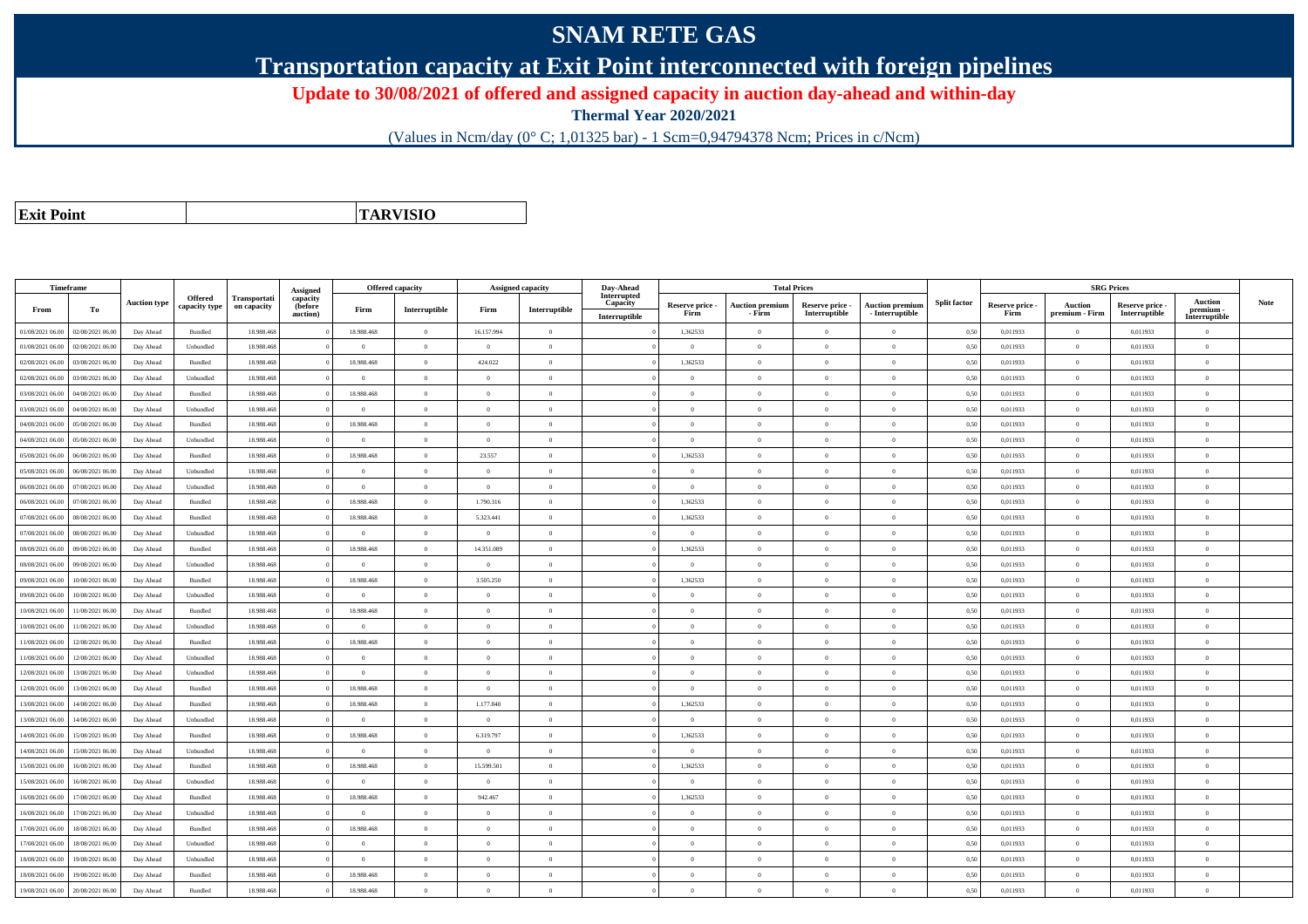## **SNAM RETE GAS**

**Transportation capacity at Exit Point interconnected with foreign pipelines**

**Update to 30/08/2021 of offered and assigned capacity in auction day-ahead and within-day**

**Thermal Year 2020/2021**

(Values in Ncm/day (0° C; 1,01325 bar) - 1 Scm=0,94794378 Ncm; Prices in c/Ncm)

**Exit Point**

**TARVISIO**

|                  | Timeframe        |                     |                |              |                      |                | Offered capacity |                | Assigned capacity |                         | Day-Ahead<br><b>Total Prices</b> |                                  |                                  |                                           | <b>SRG Prices</b>   |                         |                                  |                                  |                            |      |
|------------------|------------------|---------------------|----------------|--------------|----------------------|----------------|------------------|----------------|-------------------|-------------------------|----------------------------------|----------------------------------|----------------------------------|-------------------------------------------|---------------------|-------------------------|----------------------------------|----------------------------------|----------------------------|------|
|                  |                  | <b>Auction type</b> | <b>Offered</b> | Transportati | Assigned<br>capacity |                |                  |                |                   | Interrupted<br>Capacity |                                  |                                  |                                  |                                           | <b>Split factor</b> |                         |                                  |                                  | <b>Auction</b>             | Note |
| From             | To               |                     | capacity type  | on capacity  | (before<br>auction)  | Firm           | Interruptible    | Firm           | Interruptible     | Interruptible           | Reserve price -<br>Firm          | <b>Auction premium</b><br>- Firm | Reserve price -<br>Interruptible | <b>Auction premium</b><br>- Interruptible |                     | Reserve price -<br>Firm | <b>Auction</b><br>premium - Firm | Reserve price -<br>Interruptible | premium -<br>Interruptible |      |
| 01/08/2021 06:00 | 02/08/2021 06:00 | Day Ahead           | Bundled        | 18.988.468   |                      | 18.988.468     | $\overline{0}$   | 16.157.994     | $\overline{0}$    |                         | 1,362533                         | $\Omega$                         | $\theta$                         | $\theta$                                  | 0.50                | 0,011933                | $\theta$                         | 0,011933                         | $\Omega$                   |      |
| 01/08/2021 06:00 | 02/08/2021 06:00 | Day Ahead           | Unbundled      | 18.988.468   |                      | $\Omega$       | $\overline{0}$   | $\Omega$       | $\theta$          |                         | $\theta$                         | $\theta$                         | $\Omega$                         | $\Omega$                                  | 0,50                | 0,011933                | $\overline{0}$                   | 0,011933                         | $\theta$                   |      |
| 02/08/2021 06:00 | 03/08/2021 06:00 | Day Ahead           | Bundled        | 18.988.468   |                      | 18.988.468     | $\overline{0}$   | 424.022        | $\theta$          |                         | 1,362533                         | $\Omega$                         | $\Omega$                         | $\theta$                                  | 0,50                | 0,011933                | $\overline{0}$                   | 0,011933                         | $\Omega$                   |      |
| 02/08/2021 06.00 | 03/08/2021 06.0  | Day Ahead           | Unbundled      | 18.988.468   |                      | $\Omega$       | $\overline{0}$   | $\Omega$       | $\overline{0}$    |                         | $\theta$                         | $\Omega$                         | $\Omega$                         | $\theta$                                  | 0,50                | 0,011933                | $\overline{0}$                   | 0,011933                         | $\Omega$                   |      |
| 03/08/2021 06:00 | 04/08/2021 06:00 | Day Ahead           | Bundled        | 18.988.468   |                      | 18.988.468     | $\overline{0}$   | $\Omega$       | $\overline{0}$    |                         | $\overline{0}$                   | $\theta$                         | $\overline{0}$                   | $\overline{0}$                            | 0,50                | 0,011933                | $\overline{0}$                   | 0,011933                         | $\Omega$                   |      |
| 03/08/2021 06:00 | 04/08/2021 06:00 | Day Ahead           | Unbundled      | 18,988,468   |                      | $\theta$       | $\overline{0}$   | $\theta$       | $\overline{0}$    |                         | $\overline{0}$                   | $\Omega$                         | $\theta$                         | $\overline{0}$                            | 0.50                | 0.011933                | $\overline{0}$                   | 0.011933                         | $\theta$                   |      |
| 04/08/2021 06.00 | 05/08/2021 06.00 | Day Ahead           | Bundled        | 18.988.468   |                      | 18.988.468     | $\overline{0}$   | $\overline{0}$ | $\overline{0}$    |                         | $\overline{0}$                   | $\Omega$                         | $\theta$                         | $\overline{0}$                            | 0,50                | 0,011933                | $\overline{0}$                   | 0,011933                         | $\Omega$                   |      |
| 04/08/2021 06:00 | 05/08/2021 06.00 | Day Ahead           | Unbundled      | 18.988.468   |                      | $\Omega$       | $\overline{0}$   | $\Omega$       | $\overline{0}$    |                         | $\overline{0}$                   | $\theta$                         | $\overline{0}$                   | $\overline{0}$                            | 0,50                | 0,011933                | $\overline{0}$                   | 0,011933                         | $\Omega$                   |      |
| 05/08/2021 06:00 | 06/08/2021 06:00 | Day Ahead           | Bundled        | 18,988,468   |                      | 18.988.468     | $\Omega$         | 23,557         | $\overline{0}$    |                         | 1.362533                         | $\Omega$                         | $\Omega$                         | $\theta$                                  | 0.50                | 0.011933                | $\overline{0}$                   | 0.011933                         | $\theta$                   |      |
| 05/08/2021 06.00 | 06/08/2021 06.00 | Day Ahead           | Unbundled      | 18.988.46    |                      | $\bf{0}$       | $\overline{0}$   | $\overline{0}$ | $\overline{0}$    |                         | $\theta$                         |                                  | $\overline{0}$                   | $\theta$                                  | 0,50                | 0,011933                | $\overline{0}$                   | 0,011933                         | $\bf{0}$                   |      |
| 06/08/2021 06:00 | 07/08/2021 06:00 | Day Ahead           | Unbundled      | 18.988.468   |                      | $\overline{0}$ | $\overline{0}$   | $\overline{0}$ | $\overline{0}$    |                         | $\overline{0}$                   | $\Omega$                         | $\overline{0}$                   | $\overline{0}$                            | 0,50                | 0,011933                | $\overline{0}$                   | 0,011933                         | $\Omega$                   |      |
| 06/08/2021 06:00 | 07/08/2021 06:00 | Day Ahead           | Bundled        | 18,988,468   |                      | 18,988,468     | $\overline{0}$   | 1.790.316      | $\overline{0}$    |                         | 1.362533                         | $\Omega$                         | $\theta$                         | $\overline{0}$                            | 0.50                | 0.011933                | $\overline{0}$                   | 0.011933                         | $\Omega$                   |      |
| 07/08/2021 06:00 | 08/08/2021 06:00 | Day Ahead           | Bundled        | 18.988.468   |                      | 18.988.468     | $\overline{0}$   | 5.323.441      | $\overline{0}$    |                         | 1,362533                         | $\theta$                         | $\theta$                         | $\overline{0}$                            | 0.50                | 0,011933                | $\overline{0}$                   | 0,011933                         | $\theta$                   |      |
| 07/08/2021 06:00 | 08/08/2021 06:00 | Day Ahead           | Unbundled      | 18.988.468   |                      | $\bf{0}$       | $\overline{0}$   | $\overline{0}$ | $\overline{0}$    |                         | $\overline{0}$                   | $\theta$                         | $\overline{0}$                   | $\overline{0}$                            | 0,50                | 0,011933                | $\overline{0}$                   | 0,011933                         | $\bf{0}$                   |      |
| 08/08/2021 06:00 | 09/08/2021 06:00 | Day Ahead           | Bundled        | 18.988.468   |                      | 18.988.468     | $\overline{0}$   | 14.351.089     | $\theta$          |                         | 1,362533                         | $\Omega$                         | $\Omega$                         | $\theta$                                  | 0,50                | 0,011933                | $\overline{0}$                   | 0,011933                         | $\Omega$                   |      |
| 08/08/2021 06:00 | 09/08/2021 06.00 | Day Ahead           | Unbundled      | 18.988.468   |                      | $\Omega$       | $\overline{0}$   | $\overline{0}$ | $\theta$          |                         | $\Omega$                         |                                  | $\Omega$                         | $\theta$                                  | 0,50                | 0,011933                | $\theta$                         | 0,011933                         | $\Omega$                   |      |
| 09/08/2021 06:00 | 10/08/2021 06:00 | Day Ahead           | Bundled        | 18.988.468   |                      | 18.988.468     | $\overline{0}$   | 3.505.250      | $\overline{0}$    |                         | 1,362533                         | $\Omega$                         | $\overline{0}$                   | $\overline{0}$                            | 0,50                | 0,011933                | $\overline{0}$                   | 0,011933                         | $\bf{0}$                   |      |
| 09/08/2021 06.00 | 10/08/2021 06:00 | Day Ahead           | Unbundled      | 18.988.468   |                      | $\overline{0}$ | $\overline{0}$   | $\overline{0}$ | $\overline{0}$    |                         | $\overline{0}$                   | $\Omega$                         | $\overline{0}$                   | $\,$ 0                                    | 0,50                | 0,011933                | $\overline{0}$                   | 0,011933                         | $\bf{0}$                   |      |
| 0/08/2021 06:00  | 11/08/2021 06:00 | Day Ahead           | Bundled        | 18.988.468   |                      | 18.988.468     | $\overline{0}$   | $\overline{0}$ | $\overline{0}$    |                         | $\overline{0}$                   |                                  | $\overline{0}$                   | $\overline{0}$                            | 0,50                | 0,011933                | $\overline{0}$                   | 0,011933                         | $\Omega$                   |      |
| 10/08/2021 06:00 | 11/08/2021 06:00 | Day Ahead           | Unbundled      | 18,988,468   |                      | $\bf{0}$       | $\overline{0}$   | $\overline{0}$ | $\overline{0}$    |                         | $\overline{0}$                   | $\theta$                         | $\theta$                         | $\overline{0}$                            | 0.50                | 0.011933                | $\overline{0}$                   | 0.011933                         | $\bf{0}$                   |      |
| 11/08/2021 06:00 | 12/08/2021 06:00 | Day Ahead           | Bundled        | 18.988.468   |                      | 18.988.468     | $\theta$         | $\Omega$       | $\overline{0}$    |                         | $\overline{0}$                   | $\Omega$                         | $\overline{0}$                   | $\overline{0}$                            | 0,50                | 0,011933                | $\overline{0}$                   | 0,011933                         | $\Omega$                   |      |
| 1/08/2021 06.00  | 12/08/2021 06:00 | Day Ahead           | Unbundled      | 18.988.468   |                      | $\theta$       | $\Omega$         | $\Omega$       | $\Omega$          |                         | $\Omega$                         |                                  | $\Omega$                         | $\theta$                                  | 0,50                | 0,011933                | $\Omega$                         | 0,011933                         | $\theta$                   |      |
| 12/08/2021 06:00 | 13/08/2021 06:00 | Day Ahead           | Unbundled      | 18,988,468   |                      | $\theta$       | $\overline{0}$   | $\theta$       | $\overline{0}$    |                         | $\Omega$                         | $\theta$                         | $\Omega$                         | $\overline{0}$                            | 0,50                | 0,011933                | $\overline{0}$                   | 0.011933                         | $\theta$                   |      |
| 12/08/2021 06:00 | 13/08/2021 06:00 | Day Ahead           | Bundled        | 18.988.468   |                      | 18.988.468     | $\overline{0}$   | $\overline{0}$ | $\overline{0}$    |                         | $\overline{0}$                   | $\overline{0}$                   | $\bf{0}$                         | $\bf{0}$                                  | 0,50                | 0,011933                | $\overline{0}$                   | 0,011933                         | $\,$ 0                     |      |
| 13/08/2021 06.00 | 14/08/2021 06.00 | Day Ahead           | Bundled        | 18.988.468   |                      | 18.988.468     | $\overline{0}$   | 1.177.840      | $\overline{0}$    |                         | 1,362533                         |                                  | $\overline{0}$                   | $\overline{0}$                            | 0,50                | 0,011933                | $\overline{0}$                   | 0,011933                         | $\Omega$                   |      |
| 13/08/2021 06:00 | 14/08/2021 06:00 | Day Ahead           | Unbundled      | 18,988,468   |                      | $\theta$       | $\overline{0}$   | $\theta$       | $\overline{0}$    |                         | $\Omega$                         | $\theta$                         | $\Omega$                         | $\theta$                                  | 0.50                | 0.011933                | $\overline{0}$                   | 0.011933                         | $\theta$                   |      |
| 14/08/2021 06:00 | 15/08/2021 06:00 | Day Ahead           | Bundled        | 18.988.468   |                      | 18.988.468     | $\overline{0}$   | 6.319.797      | $\theta$          |                         | 1,362533                         | $\theta$                         | $\overline{0}$                   | $\Omega$                                  | 0,50                | 0,011933                | $\overline{0}$                   | 0,011933                         | $\Omega$                   |      |
| 14/08/2021 06.00 | 15/08/2021 06.00 | Day Ahead           | Unbundled      | 18.988.468   |                      | $\Omega$       | $\overline{0}$   | $\overline{0}$ | $\overline{0}$    |                         | $\theta$                         |                                  | $\Omega$                         | $\theta$                                  | 0,50                | 0,011933                | $\overline{0}$                   | 0,011933                         | $\theta$                   |      |
| 15/08/2021 06:00 | 16/08/2021 06:00 | Day Ahead           | Bundled        | 18.988.468   |                      | 18.988.468     | $\overline{0}$   | 15.599.501     | $\overline{0}$    |                         | 1,362533                         | $\theta$                         | $\theta$                         | $\overline{0}$                            | 0,50                | 0,011933                | $\overline{0}$                   | 0,011933                         | $\theta$                   |      |
| 15/08/2021 06:00 | 16/08/2021 06:00 | Day Ahead           | Unbundled      | 18.988.468   |                      | $\overline{0}$ | $\overline{0}$   | $\overline{0}$ | $\overline{0}$    |                         | $\overline{0}$                   | $\theta$                         | $\theta$                         | $\overline{0}$                            | 0,50                | 0,011933                | $\overline{0}$                   | 0,011933                         | $\bf{0}$                   |      |
| 6/08/2021 06:00  | 17/08/2021 06:00 | Day Ahead           | Bundled        | 18,988,468   |                      | 18,988,468     | $\overline{0}$   | 942.467        | $\overline{0}$    |                         | 1.362533                         |                                  | $\overline{0}$                   | $\overline{0}$                            | 0.50                | 0.011933                | $\overline{0}$                   | 0.011933                         | $\theta$                   |      |
| 16/08/2021 06:00 | 17/08/2021 06.00 | Day Ahead           | Unbundled      | 18,988,468   |                      | $\theta$       | $\overline{0}$   | $\theta$       | $\overline{0}$    |                         | $\Omega$                         | $\theta$                         | $\Omega$                         | $\overline{0}$                            | 0.50                | 0,011933                | $\overline{0}$                   | 0.011933                         | $\Omega$                   |      |
| 17/08/2021 06:00 | 18/08/2021 06:00 | Day Ahead           | Bundled        | 18.988.468   |                      | 18.988.468     | $\theta$         | $\overline{0}$ | $\overline{0}$    |                         | $\overline{0}$                   | $\Omega$                         | $\overline{0}$                   | $\Omega$                                  | 0,50                | 0,011933                | $\overline{0}$                   | 0,011933                         | $\Omega$                   |      |
| 17/08/2021 06:00 | 18/08/2021 06:00 | Day Ahead           | Unbundled      | 18,988,468   |                      | $\theta$       | $\overline{0}$   | $\theta$       | $\theta$          |                         | $\Omega$                         | $\Omega$                         | $\Omega$                         | $\theta$                                  | 0.50                | 0.011933                | $\theta$                         | 0.011933                         | $\theta$                   |      |
| 18/08/2021 06:00 | 19/08/2021 06:00 | Day Ahead           | Unbundled      | 18.988.468   |                      | $\overline{0}$ | $\overline{0}$   | $\overline{0}$ | $\overline{0}$    |                         | $\overline{0}$                   | $\theta$                         | $\theta$                         | $\hspace{0.1mm}$ 0                        | 0,50                | 0,011933                | $\overline{0}$                   | 0,011933                         | $\bf{0}$                   |      |
| 18/08/2021 06:00 | 19/08/2021 06:00 | Day Ahead           | Bundled        | 18.988.468   |                      | 18.988.468     | $\overline{0}$   | $\overline{0}$ | $\overline{0}$    |                         | $\overline{0}$                   | $\Omega$                         | $\overline{0}$                   | $\overline{0}$                            | 0,50                | 0,011933                | $\overline{0}$                   | 0,011933                         | $\bf{0}$                   |      |
| 19/08/2021 06:00 | 20/08/2021 06:00 | Day Ahead           | Bundled        | 18,988,468   |                      | 18,988,468     | $\theta$         | $\Omega$       | $\Omega$          |                         | $\Omega$                         |                                  | $\Omega$                         | $\Omega$                                  | 0,50                | 0.011933                | $\theta$                         | 0.011933                         | $\theta$                   |      |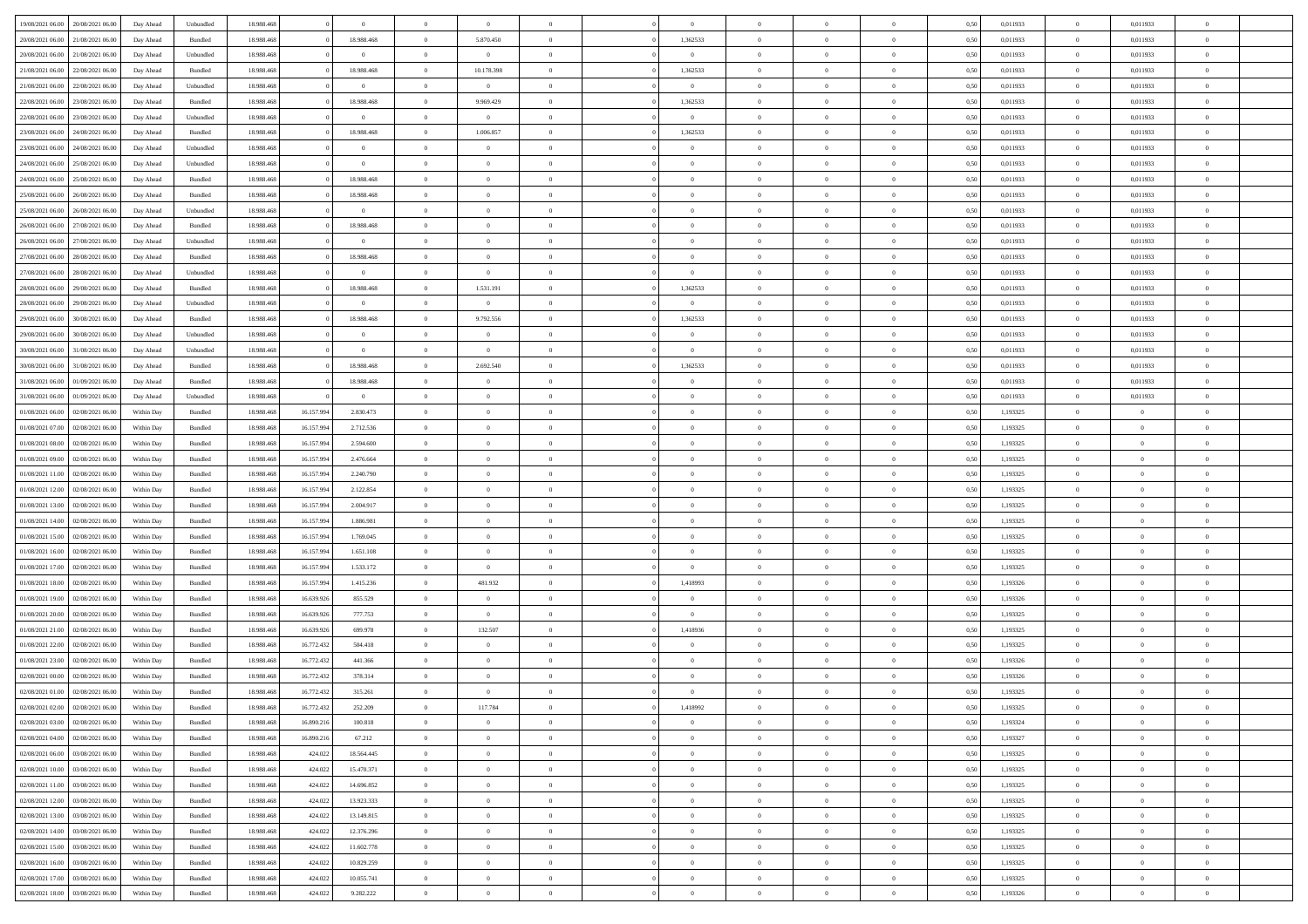| 19/08/2021 06:00 20/08/2021 06:00    | Day Ahead  | Unbundled | 18.988.468 |            | $\overline{0}$ | $\overline{0}$ | $\overline{0}$ | $\Omega$       | $\Omega$       | $\theta$       | $\Omega$       | $\overline{0}$ | 0,50 | 0,011933 | $\theta$       | 0,011933       | $\theta$       |  |
|--------------------------------------|------------|-----------|------------|------------|----------------|----------------|----------------|----------------|----------------|----------------|----------------|----------------|------|----------|----------------|----------------|----------------|--|
| 20/08/2021 06:00<br>21/08/2021 06:00 | Day Ahead  | Bundled   | 18.988.468 |            | 18.988.468     | $\overline{0}$ | 5.870.450      | $\overline{0}$ | 1,362533       | $\theta$       | $\overline{0}$ | $\bf{0}$       | 0,50 | 0,011933 | $\theta$       | 0,011933       | $\overline{0}$ |  |
| 20/08/2021 06:00<br>21/08/2021 06:00 | Day Ahead  | Unbundled | 18.988.468 |            | $\overline{0}$ | $\overline{0}$ | $\overline{0}$ | $\overline{0}$ | $\overline{0}$ | $\overline{0}$ | $\overline{0}$ | $\bf{0}$       | 0,50 | 0,011933 | $\overline{0}$ | 0,011933       | $\overline{0}$ |  |
| 21/08/2021 06:00<br>22/08/2021 06:00 | Day Ahead  | Bundled   | 18.988.468 |            | 18.988.468     | $\overline{0}$ | 10.178.398     | $\overline{0}$ | 1,362533       | $\overline{0}$ | $\overline{0}$ | $\overline{0}$ | 0.50 | 0,011933 | $\overline{0}$ | 0.011933       | $\overline{0}$ |  |
| 21/08/2021 06:00<br>22/08/2021 06:00 | Day Ahead  | Unbundled | 18.988.468 |            | $\overline{0}$ | $\overline{0}$ | $\overline{0}$ | $\overline{0}$ | $\overline{0}$ | $\theta$       | $\overline{0}$ | $\bf{0}$       | 0,50 | 0,011933 | $\theta$       | 0,011933       | $\overline{0}$ |  |
| 22/08/2021 06:00<br>23/08/2021 06:00 | Day Ahead  | Bundled   | 18.988.468 |            | 18.988.468     | $\overline{0}$ | 9.969.429      | $\overline{0}$ | 1,362533       | $\overline{0}$ | $\overline{0}$ | $\bf{0}$       | 0,50 | 0,011933 | $\overline{0}$ | 0,011933       | $\bf{0}$       |  |
| 22/08/2021 06:00<br>23/08/2021 06:00 | Day Ahead  | Unbundled | 18.988.468 |            | $\bf{0}$       | $\overline{0}$ | $\overline{0}$ | $\overline{0}$ | $\overline{0}$ | $\overline{0}$ | $\overline{0}$ | $\overline{0}$ | 0.5( | 0,011933 | $\overline{0}$ | 0,011933       | $\overline{0}$ |  |
|                                      |            |           |            |            |                |                |                |                |                |                |                |                |      |          |                |                |                |  |
| 23/08/2021 06:00<br>24/08/2021 06:00 | Day Ahead  | Bundled   | 18.988.468 |            | 18.988.468     | $\overline{0}$ | 1.006.857      | $\overline{0}$ | 1,362533       | $\overline{0}$ | $\overline{0}$ | $\bf{0}$       | 0,50 | 0,011933 | $\theta$       | 0,011933       | $\overline{0}$ |  |
| 23/08/2021 06:00<br>24/08/2021 06.00 | Day Ahead  | Unbundled | 18.988.468 |            | $\overline{0}$ | $\overline{0}$ | $\bf{0}$       | $\overline{0}$ | $\overline{0}$ | $\overline{0}$ | $\bf{0}$       | $\bf{0}$       | 0,50 | 0,011933 | $\overline{0}$ | 0,011933       | $\overline{0}$ |  |
| 24/08/2021 06:00<br>25/08/2021 06:00 | Day Ahead  | Unbundled | 18.988.468 |            | $\bf{0}$       | $\overline{0}$ | $\overline{0}$ | $\overline{0}$ | $\overline{0}$ | $\overline{0}$ | $\overline{0}$ | $\bf{0}$       | 0.5( | 0,011933 | $\overline{0}$ | 0,011933       | $\overline{0}$ |  |
| 24/08/2021 06:00<br>25/08/2021 06:00 | Day Ahead  | Bundled   | 18.988.468 |            | 18.988.468     | $\overline{0}$ | $\overline{0}$ | $\overline{0}$ | $\overline{0}$ | $\theta$       | $\overline{0}$ | $\bf{0}$       | 0,50 | 0,011933 | $\,$ 0 $\,$    | 0,011933       | $\overline{0}$ |  |
| 25/08/2021 06:00<br>26/08/2021 06:00 | Day Ahead  | Bundled   | 18.988.468 |            | 18.988.468     | $\overline{0}$ | $\bf{0}$       | $\overline{0}$ | $\overline{0}$ | $\bf{0}$       | $\overline{0}$ | $\bf{0}$       | 0,50 | 0,011933 | $\overline{0}$ | 0,011933       | $\overline{0}$ |  |
| 25/08/2021 06:00<br>26/08/2021 06:00 | Day Ahead  | Unbundled | 18.988.468 |            | $\bf{0}$       | $\overline{0}$ | $\overline{0}$ | $\overline{0}$ | $\overline{0}$ | $\overline{0}$ | $\overline{0}$ | $\overline{0}$ | 0.5( | 0.011933 | $\overline{0}$ | 0.011933       | $\overline{0}$ |  |
| 26/08/2021 06:00<br>27/08/2021 06:00 | Day Ahead  | Bundled   | 18.988.468 |            | 18.988.468     | $\overline{0}$ | $\theta$       | $\overline{0}$ | $\overline{0}$ | $\theta$       | $\overline{0}$ | $\bf{0}$       | 0,50 | 0,011933 | $\,$ 0 $\,$    | 0,011933       | $\overline{0}$ |  |
| 26/08/2021 06:00<br>27/08/2021 06:00 | Day Ahead  | Unbundled | 18.988.468 |            | $\bf{0}$       | $\overline{0}$ | $\overline{0}$ | $\overline{0}$ | $\overline{0}$ | $\overline{0}$ | $\overline{0}$ | $\bf{0}$       | 0,50 | 0,011933 | $\overline{0}$ | 0,011933       | $\bf{0}$       |  |
| 27/08/2021 06:00<br>28/08/2021 06:00 | Day Ahead  | Bundled   | 18.988.468 |            | 18.988.468     | $\overline{0}$ | $\overline{0}$ | $\overline{0}$ | $\overline{0}$ | $\overline{0}$ | $\overline{0}$ | $\overline{0}$ | 0.5( | 0,011933 | $\overline{0}$ | 0,011933       | $\overline{0}$ |  |
| 27/08/2021 06:00<br>28/08/2021 06:00 | Day Ahead  | Unbundled | 18.988.468 |            | $\bf{0}$       | $\overline{0}$ | $\overline{0}$ | $\overline{0}$ | $\overline{0}$ | $\theta$       | $\overline{0}$ | $\bf{0}$       | 0,50 | 0,011933 | $\theta$       | 0,011933       | $\overline{0}$ |  |
| 28/08/2021 06:00<br>29/08/2021 06:00 | Day Ahead  | Bundled   | 18.988.468 |            | 18.988.468     | $\overline{0}$ | 1.531.191      | $\overline{0}$ | 1,362533       | $\overline{0}$ | $\bf{0}$       | $\bf{0}$       | 0,50 | 0,011933 | $\overline{0}$ | 0,011933       | $\overline{0}$ |  |
| 28/08/2021 06:00<br>29/08/2021 06:00 | Day Ahead  | Unbundled | 18.988.468 |            | $\bf{0}$       | $\overline{0}$ | $\overline{0}$ | $\overline{0}$ | $\overline{0}$ | $\overline{0}$ | $\overline{0}$ | $\overline{0}$ | 0.5( | 0,011933 | $\overline{0}$ | 0,011933       | $\overline{0}$ |  |
|                                      |            |           |            |            |                | $\overline{0}$ |                | $\overline{0}$ |                | $\overline{0}$ | $\overline{0}$ |                |      |          | $\,$ 0 $\,$    |                | $\overline{0}$ |  |
| 29/08/2021 06:00<br>30/08/2021 06:00 | Day Ahead  | Bundled   | 18.988.468 |            | 18.988.468     |                | 9.792.556      |                | 1,362533       |                |                | $\bf{0}$       | 0,50 | 0,011933 |                | 0,011933       |                |  |
| 29/08/2021 06:00<br>30/08/2021 06:00 | Day Ahead  | Unbundled | 18.988.468 |            | $\overline{0}$ | $\overline{0}$ | $\bf{0}$       | $\overline{0}$ | $\overline{0}$ | $\bf{0}$       | $\overline{0}$ | $\bf{0}$       | 0,50 | 0,011933 | $\overline{0}$ | 0,011933       | $\overline{0}$ |  |
| 30/08/2021 06:00<br>31/08/2021 06:00 | Day Ahead  | Unbundled | 18.988.468 |            | $\bf{0}$       | $\overline{0}$ | $\overline{0}$ | $\overline{0}$ | $\overline{0}$ | $\overline{0}$ | $\overline{0}$ | $\overline{0}$ | 0.5( | 0,011933 | $\overline{0}$ | 0.011933       | $\overline{0}$ |  |
| 30/08/2021 06:00<br>31/08/2021 06:00 | Day Ahead  | Bundled   | 18.988.468 |            | 18.988.468     | $\bf{0}$       | 2.692.540      | $\overline{0}$ | 1,362533       | $\theta$       | $\overline{0}$ | $\bf{0}$       | 0,50 | 0,011933 | $\,$ 0 $\,$    | 0,011933       | $\overline{0}$ |  |
| 31/08/2021 06:00<br>01/09/2021 06:00 | Day Ahead  | Bundled   | 18.988.468 |            | 18.988.468     | $\overline{0}$ | $\bf{0}$       | $\overline{0}$ | $\overline{0}$ | $\overline{0}$ | $\overline{0}$ | $\bf{0}$       | 0,50 | 0,011933 | $\overline{0}$ | 0,011933       | $\bf{0}$       |  |
| 31/08/2021 06:00<br>01/09/2021 06:00 | Day Ahead  | Unbundled | 18.988.468 |            | $\mathbf{0}$   | $\overline{0}$ | $\overline{0}$ | $\overline{0}$ | $\overline{0}$ | $\overline{0}$ | $\overline{0}$ | $\overline{0}$ | 0.5( | 0,011933 | $\overline{0}$ | 0,011933       | $\overline{0}$ |  |
| 01/08/2021 06:00<br>02/08/2021 06:00 | Within Day | Bundled   | 18.988.468 | 16.157.99  | 2.830.473      | $\bf{0}$       | $\overline{0}$ | $\overline{0}$ | $\overline{0}$ | $\theta$       | $\overline{0}$ | $\bf{0}$       | 0,50 | 1,193325 | $\theta$       | $\theta$       | $\overline{0}$ |  |
| 01/08/2021 07:00<br>02/08/2021 06:00 | Within Day | Bundled   | 18.988.468 | 16.157.994 | 2.712.536      | $\overline{0}$ | $\bf{0}$       | $\overline{0}$ | $\overline{0}$ | $\overline{0}$ | $\bf{0}$       | $\bf{0}$       | 0,50 | 1,193325 | $\bf{0}$       | $\overline{0}$ | $\overline{0}$ |  |
| 01/08/2021 08:00<br>02/08/2021 06:00 | Within Day | Bundled   | 18.988.468 | 16.157.99  | 2.594.600      | $\overline{0}$ | $\overline{0}$ | $\overline{0}$ | $\overline{0}$ | $\overline{0}$ | $\overline{0}$ | $\overline{0}$ | 0.5( | 1,193325 | $\overline{0}$ | $\theta$       | $\overline{0}$ |  |
| 01/08/2021 09:00<br>02/08/2021 06:00 | Within Day | Bundled   | 18.988.46  | 16.157.994 | 2.476.664      | $\bf{0}$       | $\overline{0}$ | $\overline{0}$ | $\overline{0}$ | $\theta$       | $\overline{0}$ | $\bf{0}$       | 0,50 | 1,193325 | $\,$ 0 $\,$    | $\theta$       | $\overline{0}$ |  |
| 01/08/2021 11:00<br>02/08/2021 06:00 | Within Day | Bundled   | 18.988.46  | 16.157.994 | 2.240.790      | $\overline{0}$ | $\bf{0}$       | $\overline{0}$ | $\overline{0}$ | $\bf{0}$       | $\overline{0}$ | $\bf{0}$       | 0,50 | 1,193325 | $\bf{0}$       | $\overline{0}$ | $\bf{0}$       |  |
| 01/08/2021 12:00<br>02/08/2021 06:00 | Within Day | Bundled   | 18.988.46  | 16.157.99  | 2.122.854      | $\overline{0}$ | $\overline{0}$ | $\overline{0}$ | $\Omega$       | $\Omega$       | $\Omega$       | $\overline{0}$ | 0.50 | 1,193325 | $\bf{0}$       | $\overline{0}$ | $\theta$       |  |
| 01/08/2021 13:00<br>02/08/2021 06:00 | Within Day | Bundled   | 18.988.46  | 16.157.994 | 2.004.917      | $\overline{0}$ | $\theta$       | $\overline{0}$ | $\overline{0}$ | $\theta$       | $\overline{0}$ | $\bf{0}$       | 0,50 | 1,193325 | $\theta$       | $\theta$       | $\overline{0}$ |  |
| 01/08/2021 14:00<br>02/08/2021 06:00 | Within Day | Bundled   | 18.988.468 | 16.157.994 | 1.886.981      | $\overline{0}$ | $\bf{0}$       | $\overline{0}$ | $\overline{0}$ | $\overline{0}$ | $\overline{0}$ | $\bf{0}$       | 0,50 | 1,193325 | $\bf{0}$       | $\overline{0}$ | $\bf{0}$       |  |
|                                      |            |           | 18,988,46  |            |                | $\overline{0}$ | $\overline{0}$ | $\Omega$       | $\Omega$       | $\overline{0}$ | $\Omega$       |                |      |          |                | $\theta$       | $\theta$       |  |
| 01/08/2021 15:00<br>02/08/2021 06:00 | Within Day | Bundled   |            | 16.157.99  | 1.769.045      |                |                |                |                |                |                | $\overline{0}$ | 0.50 | 1,193325 | $\bf{0}$       |                |                |  |
| 01/08/2021 16:00<br>02/08/2021 06:00 | Within Day | Bundled   | 18.988.46  | 16.157.994 | 1.651.108      | $\bf{0}$       | $\overline{0}$ | $\overline{0}$ | $\overline{0}$ | $\theta$       | $\overline{0}$ | $\bf{0}$       | 0,50 | 1,193325 | $\theta$       | $\theta$       | $\overline{0}$ |  |
| 01/08/2021 17:00<br>02/08/2021 06:00 | Within Day | Bundled   | 18.988.468 | 16.157.994 | 1.533.172      | $\overline{0}$ | $\overline{0}$ | $\overline{0}$ | $\overline{0}$ | $\overline{0}$ | $\overline{0}$ | $\bf{0}$       | 0,50 | 1,193325 | $\bf{0}$       | $\overline{0}$ | $\overline{0}$ |  |
| 01/08/2021 18:00<br>02/08/2021 06:00 | Within Day | Bundled   | 18.988.46  | 16.157.99  | 1.415.236      | $\overline{0}$ | 481.932        | $\Omega$       | 1,418993       | $\Omega$       | $\theta$       | $\overline{0}$ | 0.50 | 1,193326 | $\bf{0}$       | $\theta$       | $\theta$       |  |
| 01/08/2021 19:00<br>02/08/2021 06:00 | Within Day | Bundled   | 18.988.46  | 16.639.926 | 855.529        | $\bf{0}$       | $\overline{0}$ | $\overline{0}$ | $\overline{0}$ | $\theta$       | $\overline{0}$ | $\bf{0}$       | 0,50 | 1,193326 | $\,$ 0 $\,$    | $\theta$       | $\overline{0}$ |  |
| 01/08/2021 20:00<br>02/08/2021 06:00 | Within Day | Bundled   | 18.988.46  | 16.639.926 | 777.753        | $\overline{0}$ | $\overline{0}$ | $\overline{0}$ | $\overline{0}$ | $\overline{0}$ | $\overline{0}$ | $\bf{0}$       | 0,50 | 1,193325 | $\bf{0}$       | $\overline{0}$ | $\overline{0}$ |  |
| 01/08/2021 21:00<br>02/08/2021 06:00 | Within Day | Bundled   | 18.988.46  | 16.639.926 | 699.978        | $\overline{0}$ | 132.507        | $\overline{0}$ | 1,418936       | $\theta$       | $\Omega$       | $\overline{0}$ | 0.50 | 1,193325 | $\bf{0}$       | $\overline{0}$ | $\theta$       |  |
| 01/08/2021 22:00<br>02/08/2021 06:00 | Within Day | Bundled   | 18.988.46  | 16.772.432 | 504.418        | $\bf{0}$       | $\overline{0}$ | $\overline{0}$ | $\overline{0}$ | $\overline{0}$ | $\overline{0}$ | $\bf{0}$       | 0,50 | 1,193325 | $\,$ 0 $\,$    | $\theta$       | $\overline{0}$ |  |
| 01/08/2021 23:00<br>02/08/2021 06:00 | Within Day | Bundled   | 18.988.468 | 16.772.432 | 441.366        | $\overline{0}$ | $\bf{0}$       | $\overline{0}$ | $\overline{0}$ | $\overline{0}$ | $\overline{0}$ | $\bf{0}$       | 0,50 | 1,193326 | $\bf{0}$       | $\overline{0}$ | $\bf{0}$       |  |
| 02/08/2021 00:00<br>02/08/2021 06:00 | Within Day | Bundled   | 18.988.46  | 16.772.432 | 378.314        | $\overline{0}$ | $\overline{0}$ | $\Omega$       | $\Omega$       | $\Omega$       | $\theta$       | $\overline{0}$ | 0.50 | 1,193326 | $\bf{0}$       | $\overline{0}$ | $\theta$       |  |
| 02/08/2021 01:00 02/08/2021 06:00    | Within Day | Bundled   | 18.988.468 | 16.772.432 | 315.261        | $\bf{0}$       | $\bf{0}$       | $\overline{0}$ | $\overline{0}$ | $\bf{0}$       | $\overline{0}$ | $\bf{0}$       | 0,50 | 1,193325 | $\bf{0}$       | $\,$ 0 $\,$    | $\overline{0}$ |  |
| 02/08/2021 02:00 02/08/2021 06:00    | Within Day | Bundled   | 18.988.468 | 16.772.432 | 252.209        |                | 117.784        |                | 1,418992       |                |                |                | 0,50 | 1,193325 | $\bf{0}$       | $\bf{0}$       |                |  |
| 02/08/2021 03:00 02/08/2021 06:00    | Within Day | Bundled   | 18,988,46  | 16,890.21  | 100.818        | $\Omega$       | $\overline{0}$ | $\Omega$       | $\theta$       | $\Omega$       | $\theta$       | $\overline{0}$ | 0.50 | 1,193324 | $\theta$       | $\theta$       | $\theta$       |  |
| 02/08/2021 04:00<br>02/08/2021 06:00 | Within Day | Bundled   | 18.988.468 | 16.890.216 | 67.212         | $\overline{0}$ | $\overline{0}$ | $\overline{0}$ | $\overline{0}$ | $\,$ 0 $\,$    | $\overline{0}$ | $\,$ 0 $\,$    | 0,50 | 1,193327 | $\,$ 0 $\,$    | $\,$ 0 $\,$    | $\bf{0}$       |  |
| 02/08/2021 06:00<br>03/08/2021 06:00 | Within Day | Bundled   | 18.988.468 | 424.022    | 18.564.445     | $\overline{0}$ | $\overline{0}$ | $\overline{0}$ | $\overline{0}$ | $\overline{0}$ | $\overline{0}$ | $\bf{0}$       | 0,50 | 1,193325 | $\overline{0}$ | $\bf{0}$       | $\overline{0}$ |  |
|                                      |            |           |            |            |                |                |                |                |                |                |                |                |      |          |                |                |                |  |
| 02/08/2021 10:00<br>03/08/2021 06:00 | Within Day | Bundled   | 18.988.468 | 424.022    | 15.470.371     | $\overline{0}$ | $\overline{0}$ | $\overline{0}$ | $\overline{0}$ | $\overline{0}$ | $\overline{0}$ | $\bf{0}$       | 0,50 | 1,193325 | $\bf{0}$       | $\theta$       | $\overline{0}$ |  |
| 02/08/2021 11:00<br>03/08/2021 06:00 | Within Day | Bundled   | 18.988.468 | 424.022    | 14.696.852     | $\overline{0}$ | $\overline{0}$ | $\overline{0}$ | $\overline{0}$ | $\overline{0}$ | $\overline{0}$ | $\bf{0}$       | 0,50 | 1,193325 | $\,$ 0 $\,$    | $\theta$       | $\overline{0}$ |  |
| 02/08/2021 12:00 03/08/2021 06:00    | Within Day | Bundled   | 18.988.468 | 424.022    | 13.923.333     | $\overline{0}$ | $\overline{0}$ | $\overline{0}$ | $\overline{0}$ | $\overline{0}$ | $\overline{0}$ | $\bf{0}$       | 0,50 | 1,193325 | $\overline{0}$ | $\overline{0}$ | $\overline{0}$ |  |
| 02/08/2021 13:00<br>03/08/2021 06:00 | Within Day | Bundled   | 18.988.468 | 424.022    | 13.149.815     | $\overline{0}$ | $\overline{0}$ | $\overline{0}$ | $\overline{0}$ | $\overline{0}$ | $\overline{0}$ | $\bf{0}$       | 0.50 | 1,193325 | $\overline{0}$ | $\theta$       | $\overline{0}$ |  |
| 02/08/2021 14:00<br>03/08/2021 06:00 | Within Day | Bundled   | 18.988.468 | 424.022    | 12.376.296     | $\overline{0}$ | $\bf{0}$       | $\overline{0}$ | $\overline{0}$ | $\overline{0}$ | $\overline{0}$ | $\bf{0}$       | 0,50 | 1,193325 | $\,$ 0 $\,$    | $\theta$       | $\overline{0}$ |  |
| 02/08/2021 15:00 03/08/2021 06:00    | Within Day | Bundled   | 18.988.468 | 424.022    | 11.602.778     | $\overline{0}$ | $\bf{0}$       | $\overline{0}$ | $\overline{0}$ | $\overline{0}$ | $\overline{0}$ | $\bf{0}$       | 0,50 | 1,193325 | $\bf{0}$       | $\overline{0}$ | $\bf{0}$       |  |
| 02/08/2021 16:00<br>03/08/2021 06:00 | Within Day | Bundled   | 18.988.468 | 424.022    | 10.829.259     | $\overline{0}$ | $\overline{0}$ | $\overline{0}$ | $\overline{0}$ | $\overline{0}$ | $\overline{0}$ | $\bf{0}$       | 0.50 | 1,193325 | $\overline{0}$ | $\theta$       | $\overline{0}$ |  |
| 02/08/2021 17:00<br>03/08/2021 06:00 | Within Day | Bundled   | 18.988.468 | 424.022    | 10.055.741     | $\overline{0}$ | $\bf{0}$       | $\overline{0}$ | $\overline{0}$ | $\overline{0}$ | $\overline{0}$ | $\bf{0}$       | 0,50 | 1,193325 | $\,$ 0 $\,$    | $\,$ 0 $\,$    | $\bf{0}$       |  |
| 02/08/2021 18:00 03/08/2021 06:00    | Within Day | Bundled   | 18.988.468 | 424.022    | 9.282.222      | $\overline{0}$ | $\bf{0}$       | $\overline{0}$ | $\overline{0}$ | $\overline{0}$ | $\overline{0}$ | $\bf{0}$       | 0,50 | 1,193326 | $\overline{0}$ | $\bf{0}$       | $\overline{0}$ |  |
|                                      |            |           |            |            |                |                |                |                |                |                |                |                |      |          |                |                |                |  |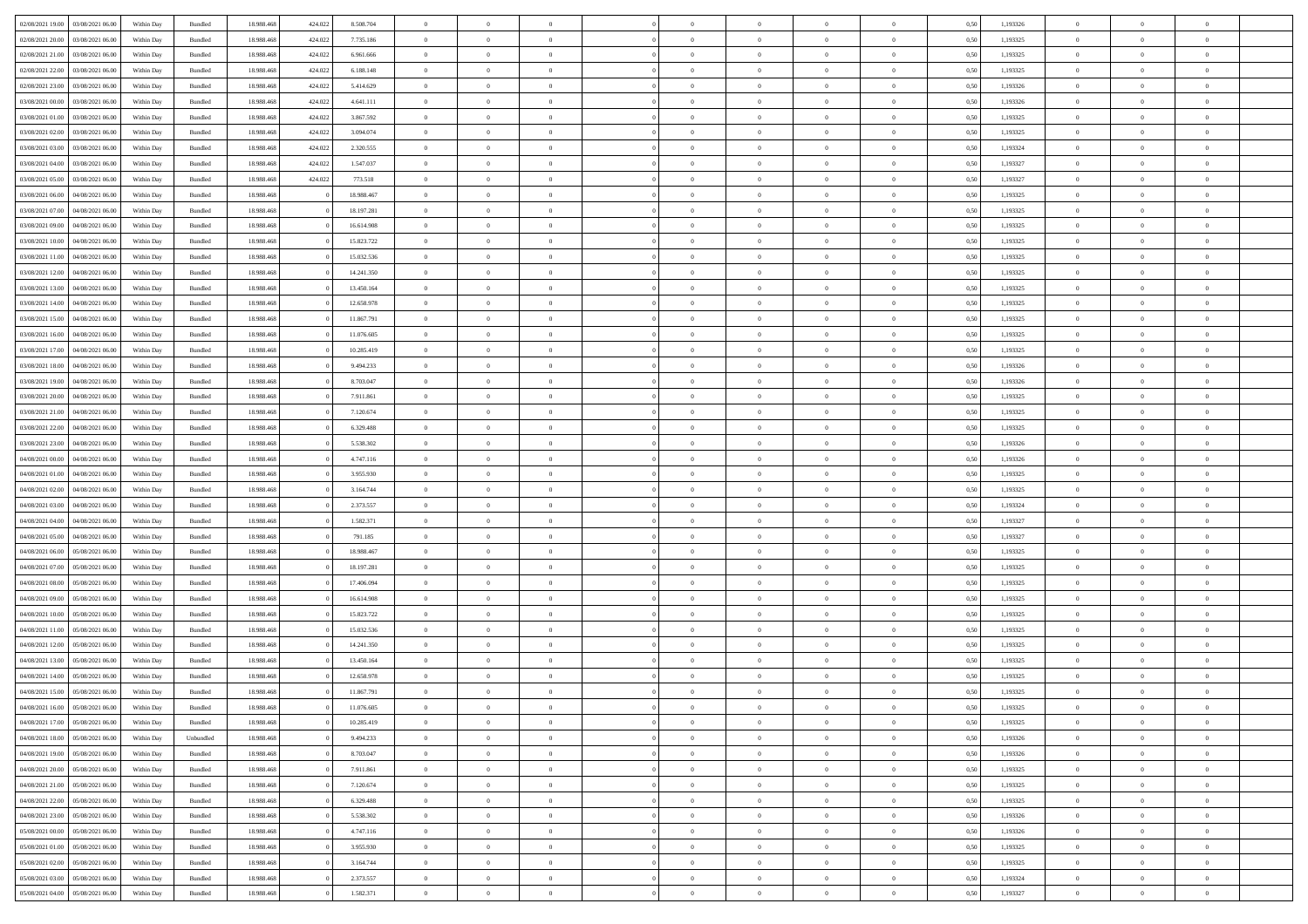| 02/08/2021 19:00 03/08/2021 06:00    | Within Day | Bundled   | 18.988.468 | 424.022 | 8.508.704  | $\overline{0}$ | $\overline{0}$ | $\Omega$       | $\Omega$       | $\theta$       | $\Omega$       | $\overline{0}$ | 0,50 | 1,193326 | $\theta$             | $\theta$       | $\overline{0}$ |  |
|--------------------------------------|------------|-----------|------------|---------|------------|----------------|----------------|----------------|----------------|----------------|----------------|----------------|------|----------|----------------------|----------------|----------------|--|
| 02/08/2021 20:00<br>03/08/2021 06:00 | Within Day | Bundled   | 18.988.46  | 424.022 | 7.735.186  | $\overline{0}$ | $\overline{0}$ | $\overline{0}$ | $\overline{0}$ | $\theta$       | $\overline{0}$ | $\bf{0}$       | 0,50 | 1,193325 | $\theta$             | $\theta$       | $\overline{0}$ |  |
| 02/08/2021 21:00<br>03/08/2021 06:00 | Within Day | Bundled   | 18.988.468 | 424.022 | 6.961.666  | $\overline{0}$ | $\bf{0}$       | $\overline{0}$ | $\overline{0}$ | $\bf{0}$       | $\overline{0}$ | $\bf{0}$       | 0,50 | 1,193325 | $\bf{0}$             | $\overline{0}$ | $\overline{0}$ |  |
| 02/08/2021 22:00<br>03/08/2021 06:00 | Within Day | Bundled   | 18.988.468 | 424.022 | 6.188.148  | $\overline{0}$ | $\overline{0}$ | $\overline{0}$ | $\overline{0}$ | $\overline{0}$ | $\overline{0}$ | $\overline{0}$ | 0.50 | 1,193325 | $\theta$             | $\theta$       | $\overline{0}$ |  |
| 02/08/2021 23:00<br>03/08/2021 06:00 | Within Day | Bundled   | 18.988.468 | 424.022 | 5.414.629  | $\overline{0}$ | $\overline{0}$ | $\overline{0}$ | $\overline{0}$ | $\theta$       | $\overline{0}$ | $\bf{0}$       | 0,50 | 1,193326 | $\theta$             | $\theta$       | $\overline{0}$ |  |
| 03/08/2021 00:00<br>03/08/2021 06:00 | Within Day | Bundled   | 18.988.468 | 424.022 | 4.641.111  | $\overline{0}$ | $\bf{0}$       | $\overline{0}$ | $\overline{0}$ | $\overline{0}$ | $\overline{0}$ | $\bf{0}$       | 0,50 | 1,193326 | $\bf{0}$             | $\overline{0}$ | $\bf{0}$       |  |
| 03/08/2021 01:00<br>03/08/2021 06:00 |            | Bundled   | 18.988.468 | 424.022 | 3.867.592  | $\overline{0}$ | $\overline{0}$ |                | $\overline{0}$ | $\overline{0}$ | $\overline{0}$ | $\overline{0}$ | 0.5( | 1,193325 | $\theta$             | $\theta$       | $\overline{0}$ |  |
|                                      | Within Day |           |            |         |            |                |                | $\overline{0}$ |                |                |                |                |      |          |                      |                |                |  |
| 03/08/2021 02:00<br>03/08/2021 06:00 | Within Day | Bundled   | 18.988.46  | 424.022 | 3.094.074  | $\bf{0}$       | $\theta$       | $\overline{0}$ | $\overline{0}$ | $\theta$       | $\overline{0}$ | $\bf{0}$       | 0,50 | 1,193325 | $\theta$             | $\theta$       | $\overline{0}$ |  |
| 03/08/2021 03:00<br>03/08/2021 06:00 | Within Day | Bundled   | 18.988.468 | 424.022 | 2.320.555  | $\overline{0}$ | $\bf{0}$       | $\overline{0}$ | $\overline{0}$ | $\overline{0}$ | $\overline{0}$ | $\bf{0}$       | 0,50 | 1,193324 | $\bf{0}$             | $\bf{0}$       | $\overline{0}$ |  |
| 03/08/2021 04:00<br>03/08/2021 06:00 | Within Day | Bundled   | 18.988.468 | 424.022 | 1.547.037  | $\overline{0}$ | $\overline{0}$ | $\overline{0}$ | $\overline{0}$ | $\overline{0}$ | $\overline{0}$ | $\bf{0}$       | 0.5( | 1,193327 | $\theta$             | $\theta$       | $\overline{0}$ |  |
| 03/08/2021 05:00<br>03/08/2021 06:00 | Within Day | Bundled   | 18.988.468 | 424.022 | 773.518    | $\bf{0}$       | $\overline{0}$ | $\overline{0}$ | $\overline{0}$ | $\theta$       | $\overline{0}$ | $\bf{0}$       | 0,50 | 1,193327 | $\theta$             | $\theta$       | $\overline{0}$ |  |
| 03/08/2021 06:00<br>04/08/2021 06:00 | Within Day | Bundled   | 18.988.468 |         | 18.988.467 | $\overline{0}$ | $\bf{0}$       | $\overline{0}$ | $\overline{0}$ | $\bf{0}$       | $\overline{0}$ | $\bf{0}$       | 0,50 | 1,193325 | $\bf{0}$             | $\overline{0}$ | $\overline{0}$ |  |
| 03/08/2021 07:00<br>04/08/2021 06:00 | Within Day | Bundled   | 18.988.468 |         | 18.197.281 | $\overline{0}$ | $\overline{0}$ | $\overline{0}$ | $\overline{0}$ | $\overline{0}$ | $\overline{0}$ | $\overline{0}$ | 0.5( | 1,193325 | $\theta$             | $\theta$       | $\overline{0}$ |  |
| 03/08/2021 09:00<br>04/08/2021 06:00 | Within Day | Bundled   | 18.988.468 |         | 16.614.908 | $\overline{0}$ | $\overline{0}$ | $\overline{0}$ | $\overline{0}$ | $\theta$       | $\overline{0}$ | $\,$ 0 $\,$    | 0,50 | 1,193325 | $\theta$             | $\theta$       | $\overline{0}$ |  |
| 03/08/2021 10:00<br>04/08/2021 06:00 | Within Day | Bundled   | 18.988.468 |         | 15.823.722 | $\overline{0}$ | $\bf{0}$       | $\overline{0}$ | $\overline{0}$ | $\bf{0}$       | $\overline{0}$ | $\bf{0}$       | 0,50 | 1,193325 | $\bf{0}$             | $\overline{0}$ | $\bf{0}$       |  |
| 03/08/2021 11:00<br>04/08/2021 06:00 | Within Day | Bundled   | 18.988.468 |         | 15.032.536 | $\overline{0}$ | $\overline{0}$ | $\overline{0}$ | $\overline{0}$ | $\overline{0}$ | $\overline{0}$ | $\overline{0}$ | 0.5( | 1,193325 | $\theta$             | $\overline{0}$ | $\overline{0}$ |  |
| 03/08/2021 12:00<br>04/08/2021 06:00 | Within Day | Bundled   | 18.988.468 |         | 14.241.350 | $\bf{0}$       | $\overline{0}$ | $\overline{0}$ | $\overline{0}$ | $\theta$       | $\overline{0}$ | $\bf{0}$       | 0,50 | 1,193325 | $\theta$             | $\theta$       | $\overline{0}$ |  |
| 03/08/2021 13:00<br>04/08/2021 06:00 | Within Day | Bundled   | 18.988.468 |         | 13.450.164 | $\overline{0}$ | $\bf{0}$       | $\overline{0}$ | $\overline{0}$ | $\overline{0}$ | $\bf{0}$       | $\bf{0}$       | 0,50 | 1,193325 | $\bf{0}$             | $\overline{0}$ | $\overline{0}$ |  |
| 03/08/2021 14:00<br>04/08/2021 06:00 | Within Day | Bundled   | 18.988.468 |         | 12.658.978 | $\overline{0}$ | $\overline{0}$ | $\overline{0}$ | $\overline{0}$ | $\overline{0}$ | $\overline{0}$ | $\bf{0}$       | 0.50 | 1,193325 | $\theta$             | $\theta$       | $\overline{0}$ |  |
| 03/08/2021 15:00<br>04/08/2021 06:00 | Within Day | Bundled   | 18.988.468 |         | 11.867.791 | $\bf{0}$       | $\overline{0}$ | $\overline{0}$ | $\overline{0}$ | $\theta$       | $\overline{0}$ | $\bf{0}$       | 0,50 | 1,193325 | $\theta$             | $\theta$       | $\overline{0}$ |  |
|                                      |            |           |            |         |            |                |                |                |                |                |                |                |      |          |                      |                |                |  |
| 03/08/2021 16:00<br>04/08/2021 06:00 | Within Day | Bundled   | 18.988.468 |         | 11.076.605 | $\overline{0}$ | $\bf{0}$       | $\overline{0}$ | $\overline{0}$ | $\bf{0}$       | $\overline{0}$ | $\bf{0}$       | 0,50 | 1,193325 | $\bf{0}$<br>$\theta$ | $\overline{0}$ | $\overline{0}$ |  |
| 03/08/2021 17:00<br>04/08/2021 06:00 | Within Day | Bundled   | 18.988.468 |         | 10.285.419 | $\overline{0}$ | $\overline{0}$ | $\overline{0}$ | $\overline{0}$ | $\overline{0}$ | $\overline{0}$ | $\overline{0}$ | 0.5( | 1,193325 |                      | $\theta$       | $\overline{0}$ |  |
| 03/08/2021 18:00<br>04/08/2021 06:00 | Within Day | Bundled   | 18.988.468 |         | 9.494.233  | $\bf{0}$       | $\theta$       | $\overline{0}$ | $\overline{0}$ | $\theta$       | $\overline{0}$ | $\bf{0}$       | 0,50 | 1,193326 | $\theta$             | $\theta$       | $\overline{0}$ |  |
| 03/08/2021 19:00<br>04/08/2021 06:00 | Within Day | Bundled   | 18.988.468 |         | 8.703.047  | $\overline{0}$ | $\bf{0}$       | $\overline{0}$ | $\overline{0}$ | $\overline{0}$ | $\overline{0}$ | $\bf{0}$       | 0,50 | 1,193326 | $\overline{0}$       | $\overline{0}$ | $\bf{0}$       |  |
| 03/08/2021 20:00<br>04/08/2021 06:00 | Within Day | Bundled   | 18.988.468 |         | 7.911.861  | $\overline{0}$ | $\overline{0}$ | $\overline{0}$ | $\overline{0}$ | $\overline{0}$ | $\overline{0}$ | $\overline{0}$ | 0.5( | 1,193325 | $\overline{0}$       | $\theta$       | $\overline{0}$ |  |
| 03/08/2021 21:00<br>04/08/2021 06:00 | Within Day | Bundled   | 18.988.468 |         | 7.120.674  | $\bf{0}$       | $\overline{0}$ | $\overline{0}$ | $\overline{0}$ | $\theta$       | $\overline{0}$ | $\bf{0}$       | 0,50 | 1,193325 | $\theta$             | $\theta$       | $\overline{0}$ |  |
| 03/08/2021 22:00<br>04/08/2021 06:00 | Within Day | Bundled   | 18.988.468 |         | 6.329.488  | $\overline{0}$ | $\bf{0}$       | $\overline{0}$ | $\overline{0}$ | $\overline{0}$ | $\bf{0}$       | $\bf{0}$       | 0,50 | 1,193325 | $\bf{0}$             | $\bf{0}$       | $\overline{0}$ |  |
| 03/08/2021 23:00<br>04/08/2021 06:00 | Within Day | Bundled   | 18.988.468 |         | 5.538.302  | $\overline{0}$ | $\overline{0}$ | $\overline{0}$ | $\overline{0}$ | $\overline{0}$ | $\overline{0}$ | $\overline{0}$ | 0.5( | 1,193326 | $\theta$             | $\theta$       | $\overline{0}$ |  |
| 04/08/2021 00:00<br>04/08/2021 06:00 | Within Day | Bundled   | 18.988.468 |         | 4.747.116  | $\bf{0}$       | $\overline{0}$ | $\overline{0}$ | $\overline{0}$ | $\theta$       | $\overline{0}$ | $\bf{0}$       | 0,50 | 1,193326 | $\theta$             | $\theta$       | $\overline{0}$ |  |
| 04/08/2021 01:00<br>04/08/2021 06:00 | Within Day | Bundled   | 18.988.468 |         | 3.955.930  | $\overline{0}$ | $\bf{0}$       | $\overline{0}$ | $\overline{0}$ | $\bf{0}$       | $\overline{0}$ | $\bf{0}$       | 0,50 | 1,193325 | $\bf{0}$             | $\overline{0}$ | $\overline{0}$ |  |
| 04/08/2021 02:00<br>04/08/2021 06:00 | Within Day | Bundled   | 18.988.468 |         | 3.164.744  | $\overline{0}$ | $\overline{0}$ | $\Omega$       | $\Omega$       | $\Omega$       | $\Omega$       | $\overline{0}$ | 0,50 | 1,193325 | $\,$ 0 $\,$          | $\overline{0}$ | $\theta$       |  |
| 04/08/2021 03:00<br>04/08/2021 06:00 | Within Day | Bundled   | 18.988.46  |         | 2.373.557  | $\bf{0}$       | $\overline{0}$ | $\overline{0}$ | $\overline{0}$ | $\theta$       | $\overline{0}$ | $\bf{0}$       | 0,50 | 1,193324 | $\theta$             | $\theta$       | $\overline{0}$ |  |
| 04/08/2021 04:00<br>04/08/2021 06:00 | Within Day | Bundled   | 18.988.468 |         | 1.582.371  | $\overline{0}$ | $\bf{0}$       | $\overline{0}$ | $\overline{0}$ | $\bf{0}$       | $\overline{0}$ | $\bf{0}$       | 0,50 | 1,193327 | $\bf{0}$             | $\overline{0}$ | $\bf{0}$       |  |
| 04/08/2021 05:00<br>04/08/2021 06:00 | Within Day | Bundled   | 18,988,468 |         | 791.185    | $\overline{0}$ | $\overline{0}$ | $\Omega$       | $\Omega$       | $\overline{0}$ | $\Omega$       | $\overline{0}$ | 0.50 | 1,193327 | $\bf{0}$             | $\theta$       | $\theta$       |  |
| 04/08/2021 06:00<br>05/08/2021 06:00 | Within Day | Bundled   | 18.988.468 |         | 18.988.467 | $\bf{0}$       | $\overline{0}$ | $\overline{0}$ | $\overline{0}$ | $\theta$       | $\overline{0}$ | $\bf{0}$       | 0,50 | 1,193325 | $\theta$             | $\theta$       | $\overline{0}$ |  |
| 04/08/2021 07:00<br>05/08/2021 06:00 | Within Day | Bundled   | 18.988.468 |         | 18.197.281 | $\overline{0}$ | $\bf{0}$       | $\overline{0}$ | $\overline{0}$ | $\overline{0}$ | $\bf{0}$       | $\bf{0}$       | 0,50 | 1,193325 | $\bf{0}$             | $\overline{0}$ | $\overline{0}$ |  |
| 05/08/2021 06:00                     |            |           | 18,988,46  |         | 17,406,094 | $\overline{0}$ | $\overline{0}$ | $\Omega$       | $\Omega$       | $\Omega$       | $\theta$       | $\overline{0}$ | 0.50 |          | $\bf{0}$             | $\theta$       | $\theta$       |  |
| 04/08/2021 08:00                     | Within Day | Bundled   |            |         |            |                |                |                |                |                |                |                |      | 1,193325 |                      |                |                |  |
| 04/08/2021 09:00<br>05/08/2021 06:00 | Within Day | Bundled   | 18.988.468 |         | 16.614.908 | $\bf{0}$       | $\bf{0}$       | $\overline{0}$ | $\bf{0}$       | $\theta$       | $\overline{0}$ | $\bf{0}$       | 0,50 | 1,193325 | $\theta$             | $\,$ 0 $\,$    | $\overline{0}$ |  |
| 04/08/2021 10:00<br>05/08/2021 06:00 | Within Day | Bundled   | 18.988.468 |         | 15.823.722 | $\overline{0}$ | $\bf{0}$       | $\overline{0}$ | $\overline{0}$ | $\bf{0}$       | $\overline{0}$ | $\bf{0}$       | 0,50 | 1,193325 | $\bf{0}$             | $\overline{0}$ | $\overline{0}$ |  |
| 04/08/2021 11:00<br>05/08/2021 06:00 | Within Day | Bundled   | 18.988.468 |         | 15.032.536 | $\overline{0}$ | $\overline{0}$ | $\Omega$       | $\Omega$       | $\theta$       | $\Omega$       | $\bf{0}$       | 0,50 | 1,193325 | $\,$ 0 $\,$          | $\overline{0}$ | $\theta$       |  |
| 04/08/2021 12:00<br>05/08/2021 06:00 | Within Day | Bundled   | 18.988.46  |         | 14.241.350 | $\bf{0}$       | $\overline{0}$ | $\overline{0}$ | $\overline{0}$ | $\theta$       | $\overline{0}$ | $\bf{0}$       | 0,50 | 1,193325 | $\theta$             | $\theta$       | $\overline{0}$ |  |
| 04/08/2021 13:00<br>05/08/2021 06:00 | Within Day | Bundled   | 18.988.468 |         | 13.450.164 | $\overline{0}$ | $\bf{0}$       | $\overline{0}$ | $\overline{0}$ | $\bf{0}$       | $\overline{0}$ | $\bf{0}$       | 0,50 | 1,193325 | $\overline{0}$       | $\overline{0}$ | $\bf{0}$       |  |
| 04/08/2021 14:00<br>05/08/2021 06:00 | Within Day | Bundled   | 18,988,46  |         | 12.658.978 | $\overline{0}$ | $\overline{0}$ | $\Omega$       | $\Omega$       | $\Omega$       | $\theta$       | $\overline{0}$ | 0.50 | 1,193325 | $\theta$             | $\overline{0}$ | $\theta$       |  |
| 04/08/2021 15:00<br>05/08/2021 06:00 | Within Day | Bundled   | 18.988.468 |         | 11.867.791 | $\bf{0}$       | $\bf{0}$       | $\overline{0}$ | $\overline{0}$ | $\overline{0}$ | $\bf{0}$       | $\bf{0}$       | 0,50 | 1,193325 | $\bf{0}$             | $\,$ 0 $\,$    | $\overline{0}$ |  |
| 04/08/2021 16:00 05/08/2021 06:00    | Within Day | Bundled   | 18.988.468 |         | 11.076.605 | $\bf{0}$       |                |                |                |                |                |                | 0,50 | 1,193325 | $\bf{0}$             | $\bf{0}$       |                |  |
| 04/08/2021 17:00 05/08/2021 06:00    | Within Day | Bundled   | 18,988,468 |         | 10.285.419 | $\Omega$       | $\overline{0}$ | $\Omega$       | $\theta$       | $\Omega$       | $\theta$       | $\overline{0}$ | 0.50 | 1,193325 | $\theta$             | $\theta$       | $\theta$       |  |
| 04/08/2021 18:00<br>05/08/2021 06:00 | Within Day | Unbundled | 18.988.468 |         | 9.494.233  | $\bf{0}$       | $\,$ 0         | $\overline{0}$ | $\overline{0}$ | $\overline{0}$ | $\overline{0}$ | $\,$ 0 $\,$    | 0,50 | 1,193326 | $\,$ 0 $\,$          | $\,$ 0 $\,$    | $\,$ 0         |  |
| 04/08/2021 19:00  05/08/2021 06:00   | Within Day | Bundled   | 18.988.468 |         | 8.703.047  | $\overline{0}$ | $\overline{0}$ | $\overline{0}$ | $\overline{0}$ | $\overline{0}$ | $\overline{0}$ | $\bf{0}$       | 0,50 | 1,193326 | $\overline{0}$       | $\bf{0}$       | $\overline{0}$ |  |
| 05/08/2021 06:00<br>04/08/2021 20:00 | Within Day | Bundled   | 18.988.468 |         | 7.911.861  | $\overline{0}$ | $\bf{0}$       | $\overline{0}$ | $\overline{0}$ | $\overline{0}$ | $\overline{0}$ | $\bf{0}$       | 0,50 | 1,193325 | $\bf{0}$             | $\theta$       | $\overline{0}$ |  |
| 04/08/2021 21:00<br>05/08/2021 06:00 | Within Day | Bundled   | 18.988.468 |         | 7.120.674  | $\overline{0}$ | $\,$ 0         | $\overline{0}$ | $\overline{0}$ | $\overline{0}$ | $\overline{0}$ | $\bf{0}$       | 0,50 | 1,193325 | $\,$ 0 $\,$          | $\,$ 0 $\,$    | $\overline{0}$ |  |
| 04/08/2021 22:00<br>05/08/2021 06:00 | Within Day | Bundled   | 18.988.468 |         | 6.329.488  | $\overline{0}$ | $\overline{0}$ | $\overline{0}$ | $\overline{0}$ | $\mathbf{0}$   | $\overline{0}$ | $\bf{0}$       | 0,50 | 1,193325 | $\overline{0}$       | $\overline{0}$ | $\overline{0}$ |  |
| 04/08/2021 23:00<br>05/08/2021 06:00 | Within Day | Bundled   | 18.988.468 |         | 5.538.302  | $\overline{0}$ | $\overline{0}$ | $\overline{0}$ | $\overline{0}$ | $\overline{0}$ | $\overline{0}$ | $\bf{0}$       | 0.50 | 1,193326 | $\overline{0}$       | $\theta$       | $\overline{0}$ |  |
| 05/08/2021 00:00<br>05/08/2021 06:00 | Within Day | Bundled   | 18.988.468 |         | 4.747.116  | $\overline{0}$ | $\,$ 0         | $\overline{0}$ | $\overline{0}$ | $\overline{0}$ | $\overline{0}$ | $\bf{0}$       | 0,50 | 1,193326 | $\,$ 0 $\,$          | $\bf{0}$       | $\overline{0}$ |  |
| 05/08/2021 06:00<br>05/08/2021 01:00 | Within Day | Bundled   | 18.988.468 |         | 3.955.930  | $\overline{0}$ | $\bf{0}$       | $\overline{0}$ | $\overline{0}$ | $\overline{0}$ | $\overline{0}$ | $\bf{0}$       | 0,50 | 1,193325 | $\bf{0}$             | $\overline{0}$ | $\bf{0}$       |  |
|                                      |            | Bundled   | 18,988,468 |         | 3.164.744  | $\overline{0}$ | $\overline{0}$ | $\overline{0}$ | $\overline{0}$ | $\overline{0}$ | $\overline{0}$ |                | 0.50 |          | $\overline{0}$       | $\overline{0}$ | $\overline{0}$ |  |
| 05/08/2021 02:00<br>05/08/2021 06:00 | Within Day |           |            |         |            |                |                |                |                |                |                | $\bf{0}$       |      | 1,193325 |                      |                |                |  |
| 05/08/2021 03:00<br>05/08/2021 06:00 | Within Day | Bundled   | 18.988.468 |         | 2.373.557  | $\overline{0}$ | $\,$ 0         | $\overline{0}$ | $\overline{0}$ | $\overline{0}$ | $\overline{0}$ | $\bf{0}$       | 0,50 | 1,193324 | $\,$ 0 $\,$          | $\,$ 0 $\,$    | $\overline{0}$ |  |
| 05/08/2021 04:00 05/08/2021 06:00    | Within Day | Bundled   | 18.988.468 |         | 1.582.371  | $\overline{0}$ | $\bf{0}$       | $\overline{0}$ | $\overline{0}$ | $\bf{0}$       | $\overline{0}$ | $\bf{0}$       | 0,50 | 1,193327 | $\overline{0}$       | $\bf{0}$       | $\overline{0}$ |  |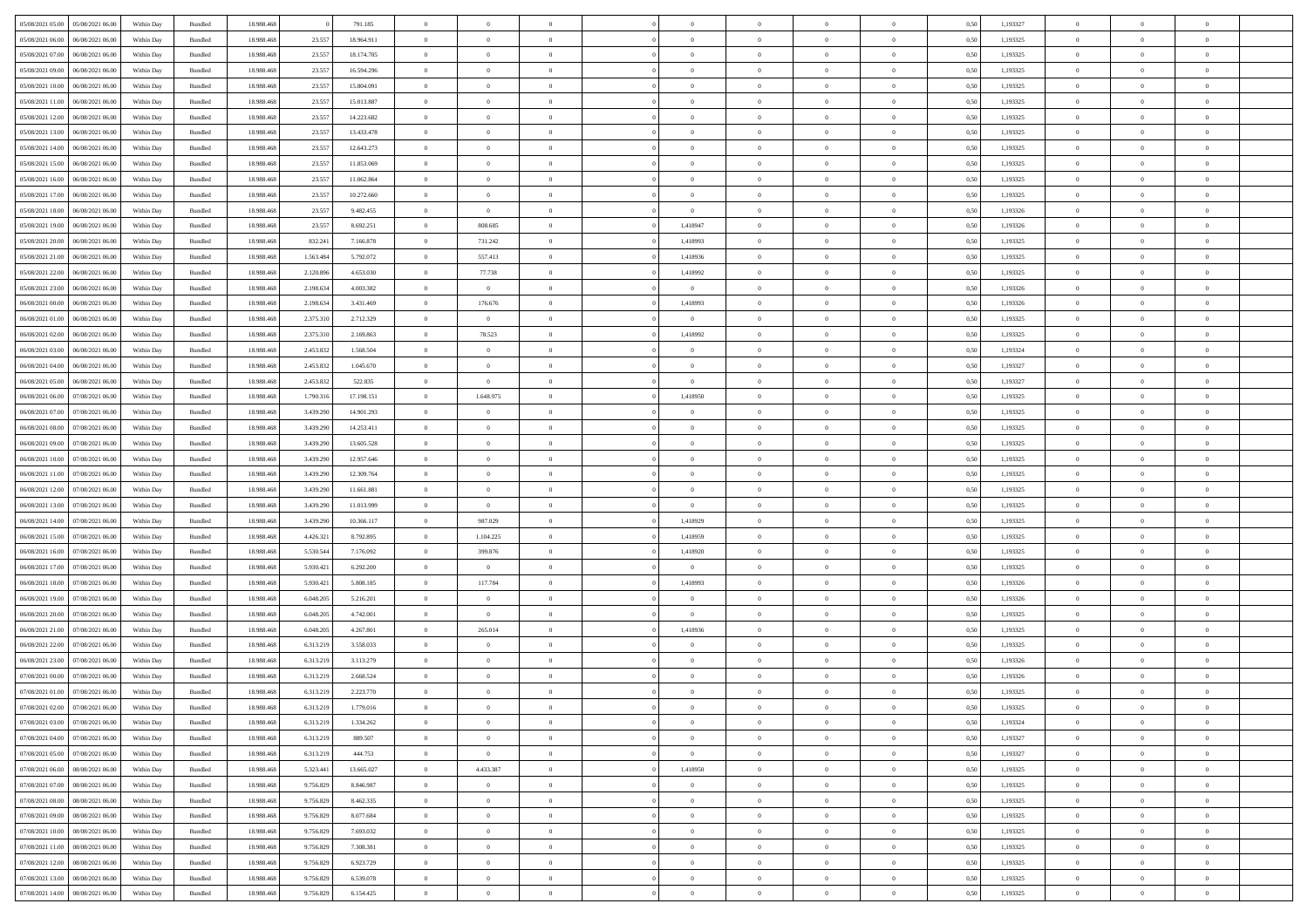| 05/08/2021 05:00 05/08/2021 06:00    | Within Day | Bundled | 18.988.468 |           | 791.185    | $\overline{0}$ | $\theta$       | $\Omega$       | $\Omega$       | $\theta$       | $\theta$       | $\theta$       | 0,50 | 1,193327 | $\theta$       | $\Omega$       | $\theta$       |  |
|--------------------------------------|------------|---------|------------|-----------|------------|----------------|----------------|----------------|----------------|----------------|----------------|----------------|------|----------|----------------|----------------|----------------|--|
| 05/08/2021 06:00<br>06/08/2021 06:00 | Within Day | Bundled | 18.988.46  | 23.557    | 18.964.911 | $\overline{0}$ | $\overline{0}$ | $\overline{0}$ | $\overline{0}$ | $\theta$       | $\overline{0}$ | $\bf{0}$       | 0,50 | 1,193325 | $\theta$       | $\theta$       | $\overline{0}$ |  |
| 05/08/2021 07:00<br>06/08/2021 06:00 | Within Day | Bundled | 18.988.468 | 23.557    | 18.174.705 | $\overline{0}$ | $\bf{0}$       | $\overline{0}$ | $\overline{0}$ | $\overline{0}$ | $\overline{0}$ | $\bf{0}$       | 0,50 | 1,193325 | $\bf{0}$       | $\overline{0}$ | $\overline{0}$ |  |
| 05/08/2021 09:00<br>06/08/2021 06:00 | Within Day | Bundled | 18.988.468 | 23.55     | 16.594.296 | $\overline{0}$ | $\overline{0}$ | $\overline{0}$ | $\overline{0}$ | $\overline{0}$ | $\overline{0}$ | $\overline{0}$ | 0.50 | 1,193325 | $\theta$       | $\theta$       | $\overline{0}$ |  |
| 05/08/2021 10:00<br>06/08/2021 06:00 | Within Day | Bundled | 18.988.468 | 23.557    | 15.804.091 | $\overline{0}$ | $\overline{0}$ | $\overline{0}$ | $\overline{0}$ | $\theta$       | $\overline{0}$ | $\bf{0}$       | 0,50 | 1,193325 | $\theta$       | $\theta$       | $\overline{0}$ |  |
|                                      |            |         |            |           |            |                |                |                |                |                |                |                |      |          |                |                |                |  |
| 05/08/2021 11:00<br>06/08/2021 06:00 | Within Day | Bundled | 18.988.468 | 23.557    | 15.013.887 | $\overline{0}$ | $\bf{0}$       | $\overline{0}$ | $\overline{0}$ | $\overline{0}$ | $\overline{0}$ | $\bf{0}$       | 0,50 | 1,193325 | $\bf{0}$       | $\overline{0}$ | $\bf{0}$       |  |
| 05/08/2021 12:00<br>06/08/2021 06:00 | Within Day | Bundled | 18.988.468 | 23.55     | 14.223.682 | $\overline{0}$ | $\overline{0}$ | $\overline{0}$ | $\overline{0}$ | $\overline{0}$ | $\overline{0}$ | $\overline{0}$ | 0.5( | 1,193325 | $\theta$       | $\theta$       | $\overline{0}$ |  |
| 05/08/2021 13:00<br>06/08/2021 06:00 | Within Day | Bundled | 18.988.46  | 23.557    | 13.433.478 | $\bf{0}$       | $\overline{0}$ | $\overline{0}$ | $\overline{0}$ | $\theta$       | $\overline{0}$ | $\bf{0}$       | 0,50 | 1,193325 | $\theta$       | $\theta$       | $\overline{0}$ |  |
| 05/08/2021 14:00<br>06/08/2021 06:00 | Within Day | Bundled | 18.988.468 | 23.557    | 12.643.273 | $\overline{0}$ | $\bf{0}$       | $\overline{0}$ | $\overline{0}$ | $\overline{0}$ | $\overline{0}$ | $\bf{0}$       | 0,50 | 1,193325 | $\bf{0}$       | $\bf{0}$       | $\overline{0}$ |  |
| 05/08/2021 15:00<br>06/08/2021 06:00 | Within Day | Bundled | 18.988.468 | 23.557    | 11.853.069 | $\overline{0}$ | $\overline{0}$ | $\overline{0}$ | $\overline{0}$ | $\overline{0}$ | $\overline{0}$ | $\bf{0}$       | 0.5( | 1,193325 | $\theta$       | $\theta$       | $\overline{0}$ |  |
| 05/08/2021 16:00<br>06/08/2021 06:00 | Within Day | Bundled | 18.988.468 | 23.557    | 11.062.864 | $\overline{0}$ | $\overline{0}$ | $\overline{0}$ | $\overline{0}$ | $\theta$       | $\overline{0}$ | $\bf{0}$       | 0,50 | 1,193325 | $\theta$       | $\theta$       | $\overline{0}$ |  |
| 05/08/2021 17:00<br>06/08/2021 06:00 | Within Day | Bundled | 18.988.468 | 23.557    | 10.272.660 | $\overline{0}$ | $\bf{0}$       | $\overline{0}$ | $\overline{0}$ | $\overline{0}$ | $\overline{0}$ | $\bf{0}$       | 0,50 | 1,193325 | $\bf{0}$       | $\overline{0}$ | $\overline{0}$ |  |
| 05/08/2021 18:00<br>06/08/2021 06:00 | Within Day | Bundled | 18.988.468 | 23.55     | 9.482.455  | $\overline{0}$ | $\overline{0}$ | $\overline{0}$ | $\overline{0}$ | $\overline{0}$ | $\overline{0}$ | $\overline{0}$ | 0.5( | 1,193326 | $\theta$       | $\theta$       | $\overline{0}$ |  |
| 05/08/2021 19:00<br>06/08/2021 06:00 | Within Day | Bundled | 18.988.468 | 23.557    | 8.692.251  | $\overline{0}$ | 808.685        | $\overline{0}$ | 1,418947       | $\theta$       | $\overline{0}$ | $\bf{0}$       | 0,50 | 1,193326 | $\theta$       | $\theta$       | $\overline{0}$ |  |
| 05/08/2021 20:00<br>06/08/2021 06:00 | Within Day | Bundled | 18.988.468 | 832.241   | 7.166.878  | $\overline{0}$ | 731.242        | $\overline{0}$ | 1,418993       | $\bf{0}$       | $\overline{0}$ | $\bf{0}$       | 0,50 | 1,193325 | $\bf{0}$       | $\overline{0}$ | $\bf{0}$       |  |
|                                      |            |         |            |           |            |                |                |                |                |                |                |                |      |          | $\overline{0}$ | $\overline{0}$ | $\overline{0}$ |  |
| 05/08/2021 21:00<br>06/08/2021 06:00 | Within Day | Bundled | 18.988.468 | 1.563.484 | 5.792.072  | $\overline{0}$ | 557.413        | $\overline{0}$ | 1,418936       | $\overline{0}$ | $\overline{0}$ | $\overline{0}$ | 0.5( | 1,193325 |                |                |                |  |
| 05/08/2021 22:00<br>06/08/2021 06:00 | Within Day | Bundled | 18.988.46  | 2.120.896 | 4.653.030  | $\overline{0}$ | 77.738         | $\overline{0}$ | 1,418992       | $\theta$       | $\overline{0}$ | $\bf{0}$       | 0,50 | 1,193325 | $\theta$       | $\theta$       | $\overline{0}$ |  |
| 05/08/2021 23:00<br>06/08/2021 06:00 | Within Day | Bundled | 18.988.468 | 2.198.634 | 4.003.382  | $\overline{0}$ | $\overline{0}$ | $\bf{0}$       | $\overline{0}$ | $\overline{0}$ | $\overline{0}$ | $\bf{0}$       | 0,50 | 1,193326 | $\bf{0}$       | $\overline{0}$ | $\overline{0}$ |  |
| 06/08/2021 00:00<br>06/08/2021 06:00 | Within Day | Bundled | 18.988.468 | 2.198.63  | 3.431.469  | $\overline{0}$ | 176.676        | $\overline{0}$ | 1,418993       | $\overline{0}$ | $\overline{0}$ | $\overline{0}$ | 0.5( | 1,193326 | $\theta$       | $\theta$       | $\overline{0}$ |  |
| 06/08/2021 01:00<br>06/08/2021 06:00 | Within Day | Bundled | 18.988.46  | 2.375.310 | 2.712.329  | $\bf{0}$       | $\overline{0}$ | $\overline{0}$ | $\overline{0}$ | $\theta$       | $\overline{0}$ | $\bf{0}$       | 0,50 | 1,193325 | $\theta$       | $\theta$       | $\overline{0}$ |  |
| 06/08/2021 02:00<br>06/08/2021 06:00 | Within Day | Bundled | 18.988.46  | 2.375.310 | 2.169.863  | $\overline{0}$ | 78.523         | $\overline{0}$ | 1,418992       | $\overline{0}$ | $\overline{0}$ | $\bf{0}$       | 0,50 | 1,193325 | $\bf{0}$       | $\overline{0}$ | $\overline{0}$ |  |
| 06/08/2021 03:00<br>06/08/2021 06:00 | Within Day | Bundled | 18.988.468 | 2.453.832 | 1.568.504  | $\overline{0}$ | $\overline{0}$ | $\overline{0}$ | $\overline{0}$ | $\overline{0}$ | $\overline{0}$ | $\overline{0}$ | 0.5( | 1,193324 | $\overline{0}$ | $\theta$       | $\overline{0}$ |  |
| 06/08/2021 04:00<br>06/08/2021 06:00 | Within Day | Bundled | 18.988.46  | 2.453.832 | 1.045.670  | $\overline{0}$ | $\overline{0}$ | $\overline{0}$ | $\overline{0}$ | $\theta$       | $\overline{0}$ | $\bf{0}$       | 0,50 | 1,193327 | $\theta$       | $\theta$       | $\overline{0}$ |  |
| 06/08/2021 05:00<br>06/08/2021 06:00 | Within Day | Bundled | 18.988.468 | 2.453.832 | 522.835    | $\overline{0}$ | $\overline{0}$ | $\overline{0}$ | $\overline{0}$ | $\overline{0}$ | $\overline{0}$ | $\bf{0}$       | 0,50 | 1,193327 | $\bf{0}$       | $\overline{0}$ | $\bf{0}$       |  |
| 06/08/2021 06:00<br>07/08/2021 06:00 | Within Day | Bundled | 18.988.468 | 1.790.31  | 17.198.151 | $\overline{0}$ | 1.648.975      | $\overline{0}$ | 1,418950       | $\overline{0}$ | $\overline{0}$ | $\overline{0}$ | 0.5( | 1,193325 | $\overline{0}$ | $\theta$       | $\overline{0}$ |  |
| 06/08/2021 07:00<br>07/08/2021 06:00 | Within Day | Bundled | 18.988.46  | 3.439.290 | 14.901.293 | $\bf{0}$       | $\overline{0}$ | $\overline{0}$ | $\overline{0}$ | $\theta$       | $\overline{0}$ | $\bf{0}$       | 0,50 | 1,193325 | $\theta$       | $\theta$       | $\overline{0}$ |  |
|                                      |            |         |            |           |            |                |                |                |                |                |                |                |      |          |                |                |                |  |
| 06/08/2021 08:00<br>07/08/2021 06:00 | Within Day | Bundled | 18.988.468 | 3.439.290 | 14.253.411 | $\overline{0}$ | $\bf{0}$       | $\bf{0}$       | $\overline{0}$ | $\overline{0}$ | $\overline{0}$ | $\bf{0}$       | 0,50 | 1,193325 | $\bf{0}$       | $\bf{0}$       | $\overline{0}$ |  |
| 06/08/2021 09:00<br>07/08/2021 06:00 | Within Day | Bundled | 18.988.468 | 3.439.290 | 13.605.528 | $\overline{0}$ | $\overline{0}$ | $\overline{0}$ | $\overline{0}$ | $\overline{0}$ | $\overline{0}$ | $\overline{0}$ | 0.5( | 1,193325 | $\theta$       | $\theta$       | $\overline{0}$ |  |
| 06/08/2021 10:00<br>07/08/2021 06:00 | Within Day | Bundled | 18.988.468 | 3.439.290 | 12.957.646 | $\bf{0}$       | $\overline{0}$ | $\overline{0}$ | $\overline{0}$ | $\theta$       | $\overline{0}$ | $\bf{0}$       | 0,50 | 1,193325 | $\theta$       | $\theta$       | $\overline{0}$ |  |
| 06/08/2021 11:00<br>07/08/2021 06:00 | Within Day | Bundled | 18.988.468 | 3.439.290 | 12.309.764 | $\overline{0}$ | $\bf{0}$       | $\overline{0}$ | $\overline{0}$ | $\overline{0}$ | $\overline{0}$ | $\bf{0}$       | 0,50 | 1,193325 | $\bf{0}$       | $\overline{0}$ | $\overline{0}$ |  |
| 06/08/2021 12:00<br>07/08/2021 06:00 | Within Day | Bundled | 18.988.468 | 3.439.290 | 11.661.881 | $\overline{0}$ | $\overline{0}$ | $\overline{0}$ | $\Omega$       | $\Omega$       | $\theta$       | $\overline{0}$ | 0,50 | 1,193325 | $\,$ 0 $\,$    | $\overline{0}$ | $\theta$       |  |
| 06/08/2021 13:00<br>07/08/2021 06:00 | Within Day | Bundled | 18.988.46  | 3.439.290 | 11.013.999 | $\bf{0}$       | $\overline{0}$ | $\overline{0}$ | $\overline{0}$ | $\theta$       | $\overline{0}$ | $\bf{0}$       | 0,50 | 1,193325 | $\theta$       | $\theta$       | $\overline{0}$ |  |
| 06/08/2021 14:00<br>07/08/2021 06:00 | Within Day | Bundled | 18.988.468 | 3.439.290 | 10.366.117 | $\overline{0}$ | 987.029        | $\overline{0}$ | 1,418929       | $\overline{0}$ | $\overline{0}$ | $\bf{0}$       | 0,50 | 1,193325 | $\bf{0}$       | $\overline{0}$ | $\bf{0}$       |  |
| 06/08/2021 15:00<br>07/08/2021 06:00 | Within Day | Bundled | 18.988.468 | 4.426.321 | 8.792.895  | $\overline{0}$ | 1.104.225      | $\overline{0}$ | 1.418959       | $\overline{0}$ | $\theta$       | $\overline{0}$ | 0.50 | 1,193325 | $\bf{0}$       | $\theta$       | $\theta$       |  |
| 06/08/2021 16:00<br>07/08/2021 06:00 | Within Day | Bundled | 18.988.46  | 5.530.544 | 7.176.092  | $\bf{0}$       | 399.876        | $\overline{0}$ | 1,418920       | $\theta$       | $\overline{0}$ | $\bf{0}$       | 0,50 | 1,193325 | $\theta$       | $\theta$       | $\overline{0}$ |  |
| 06/08/2021 17:00<br>07/08/2021 06:00 | Within Day | Bundled | 18.988.468 | 5.930.421 | 6.292.200  | $\overline{0}$ | $\overline{0}$ | $\bf{0}$       | $\overline{0}$ | $\overline{0}$ | $\overline{0}$ | $\bf{0}$       | 0,50 | 1,193325 | $\bf{0}$       | $\bf{0}$       | $\overline{0}$ |  |
| 06/08/2021 18:00<br>07/08/2021 06:00 | Within Day | Bundled | 18,988,46  | 5.930.42  | 5.808.185  | $\overline{0}$ | 117.784        | $\Omega$       | 1.418993       | $\Omega$       | $\theta$       | $\overline{0}$ | 0.50 | 1,193326 | $\bf{0}$       | $\theta$       | $\theta$       |  |
| 06/08/2021 19:00<br>07/08/2021 06:00 | Within Day | Bundled | 18.988.46  | 6.048.205 | 5.216.201  | $\bf{0}$       | $\overline{0}$ | $\overline{0}$ | $\overline{0}$ | $\theta$       | $\overline{0}$ | $\bf{0}$       | 0,50 | 1,193326 | $\,$ 0 $\,$    | $\theta$       | $\overline{0}$ |  |
| 06/08/2021 20:00<br>07/08/2021 06:00 | Within Day | Bundled | 18.988.468 | 6.048.205 | 4.742.001  | $\overline{0}$ | $\overline{0}$ | $\overline{0}$ | $\overline{0}$ | $\overline{0}$ | $\overline{0}$ | $\bf{0}$       | 0,50 | 1,193325 | $\bf{0}$       | $\overline{0}$ | $\overline{0}$ |  |
|                                      |            |         |            |           |            |                |                |                |                |                |                |                |      |          |                |                |                |  |
| 06/08/2021 21:00<br>07/08/2021 06:00 | Within Day | Bundled | 18.988.468 | 6.048.205 | 4.267.801  | $\overline{0}$ | 265.014        | $\overline{0}$ | 1,418936       | $\Omega$       | $\theta$       | $\bf{0}$       | 0,50 | 1,193325 | $\bf{0}$       | $\overline{0}$ | $\theta$       |  |
| 06/08/2021 22:00<br>07/08/2021 06:00 | Within Day | Bundled | 18.988.46  | 6.313.219 | 3.558.033  | $\bf{0}$       | $\overline{0}$ | $\overline{0}$ | $\overline{0}$ | $\overline{0}$ | $\overline{0}$ | $\bf{0}$       | 0,50 | 1,193325 | $\theta$       | $\theta$       | $\overline{0}$ |  |
| 06/08/2021 23:00<br>07/08/2021 06:00 | Within Day | Bundled | 18.988.468 | 6.313.219 | 3.113.279  | $\overline{0}$ | $\bf{0}$       | $\overline{0}$ | $\overline{0}$ | $\overline{0}$ | $\overline{0}$ | $\bf{0}$       | 0,50 | 1,193326 | $\bf{0}$       | $\overline{0}$ | $\bf{0}$       |  |
| 07/08/2021 00:00<br>07/08/2021 06:00 | Within Day | Bundled | 18.988.46  | 6.313.219 | 2.668.524  | $\overline{0}$ | $\overline{0}$ | $\Omega$       | $\Omega$       | $\Omega$       | $\theta$       | $\overline{0}$ | 0.50 | 1,193326 | $\theta$       | $\overline{0}$ | $\theta$       |  |
| 07/08/2021 01:00 07/08/2021 06:00    | Within Day | Bundled | 18.988.468 | 6.313.219 | 2.223.770  | $\bf{0}$       | $\bf{0}$       | $\overline{0}$ | $\overline{0}$ | $\bf{0}$       | $\overline{0}$ | $\bf{0}$       | 0,50 | 1,193325 | $\bf{0}$       | $\,$ 0 $\,$    | $\overline{0}$ |  |
| 07/08/2021 02:00 07/08/2021 06:00    | Within Day | Bundled | 18.988.468 | 6.313.219 | 1.779.016  |                |                |                |                |                |                |                | 0,50 | 1,193325 | $\bf{0}$       | $\bf{0}$       |                |  |
| 07/08/2021 03:00 07/08/2021 06:00    | Within Day | Bundled | 18,988,46  | 6.313.219 | 1.334.262  | $\Omega$       | $\overline{0}$ | $\Omega$       | $\theta$       | $\overline{0}$ | $\theta$       | $\overline{0}$ | 0.50 | 1,193324 | $\theta$       | $\Omega$       | $\theta$       |  |
| 07/08/2021 04:00<br>07/08/2021 06:00 | Within Day | Bundled | 18.988.468 | 6.313.219 | 889.507    | $\overline{0}$ | $\overline{0}$ | $\overline{0}$ | $\overline{0}$ | $\,$ 0 $\,$    | $\overline{0}$ | $\,$ 0 $\,$    | 0,50 | 1,193327 | $\,$ 0 $\,$    | $\,$ 0 $\,$    | $\bf{0}$       |  |
| 07/08/2021 05:00 07/08/2021 06:00    | Within Day | Bundled | 18.988.468 | 6.313.219 | 444.753    | $\overline{0}$ | $\overline{0}$ | $\overline{0}$ | $\overline{0}$ | $\overline{0}$ | $\overline{0}$ | $\bf{0}$       | 0,50 | 1,193327 | $\overline{0}$ | $\bf{0}$       | $\overline{0}$ |  |
| 07/08/2021 06:00<br>08/08/2021 06:00 | Within Day | Bundled | 18.988.468 | 5.323.441 | 13.665.027 | $\overline{0}$ | 4.433.387      | $\overline{0}$ | 1,418950       | $\overline{0}$ | $\overline{0}$ | $\bf{0}$       | 0,50 | 1,193325 | $\bf{0}$       | $\theta$       | $\overline{0}$ |  |
| 07/08/2021 07:00<br>08/08/2021 06:00 | Within Day | Bundled | 18.988.468 | 9.756.829 | 8.846.987  | $\overline{0}$ | $\bf{0}$       | $\overline{0}$ | $\overline{0}$ | $\overline{0}$ | $\overline{0}$ | $\bf{0}$       | 0,50 | 1,193325 | $\,$ 0 $\,$    | $\theta$       | $\overline{0}$ |  |
|                                      |            |         |            |           |            |                |                |                |                |                |                |                |      |          |                |                |                |  |
| 07/08/2021 08:00<br>08/08/2021 06:00 | Within Day | Bundled | 18.988.468 | 9.756.829 | 8.462.335  | $\overline{0}$ | $\overline{0}$ | $\overline{0}$ | $\overline{0}$ | $\overline{0}$ | $\overline{0}$ | $\bf{0}$       | 0,50 | 1,193325 | $\overline{0}$ | $\overline{0}$ | $\overline{0}$ |  |
| 07/08/2021 09:00<br>08/08/2021 06:00 | Within Day | Bundled | 18.988.468 | 9.756.829 | 8.077.684  | $\overline{0}$ | $\overline{0}$ | $\overline{0}$ | $\overline{0}$ | $\overline{0}$ | $\overline{0}$ | $\bf{0}$       | 0.50 | 1,193325 | $\overline{0}$ | $\theta$       | $\overline{0}$ |  |
| 07/08/2021 10:00<br>08/08/2021 06:00 | Within Day | Bundled | 18.988.468 | 9.756.829 | 7.693.032  | $\overline{0}$ | $\bf{0}$       | $\overline{0}$ | $\overline{0}$ | $\overline{0}$ | $\overline{0}$ | $\bf{0}$       | 0,50 | 1,193325 | $\,$ 0 $\,$    | $\theta$       | $\overline{0}$ |  |
| 07/08/2021 11:00<br>08/08/2021 06:00 | Within Day | Bundled | 18.988.468 | 9.756.829 | 7.308.381  | $\overline{0}$ | $\bf{0}$       | $\overline{0}$ | $\overline{0}$ | $\overline{0}$ | $\overline{0}$ | $\bf{0}$       | 0,50 | 1,193325 | $\overline{0}$ | $\overline{0}$ | $\bf{0}$       |  |
| 07/08/2021 12:00<br>08/08/2021 06:00 | Within Day | Bundled | 18.988.468 | 9.756.829 | 6.923.729  | $\overline{0}$ | $\overline{0}$ | $\overline{0}$ | $\overline{0}$ | $\overline{0}$ | $\overline{0}$ | $\bf{0}$       | 0.50 | 1,193325 | $\overline{0}$ | $\theta$       | $\overline{0}$ |  |
| 07/08/2021 13:00<br>08/08/2021 06:00 | Within Day | Bundled | 18.988.468 | 9.756.829 | 6.539.078  | $\overline{0}$ | $\bf{0}$       | $\overline{0}$ | $\overline{0}$ | $\bf{0}$       | $\bf{0}$       | $\bf{0}$       | 0,50 | 1,193325 | $\,$ 0 $\,$    | $\,$ 0 $\,$    | $\bf{0}$       |  |
| 07/08/2021 14:00  08/08/2021 06:00   | Within Day | Bundled | 18.988.468 | 9.756.829 | 6.154.425  | $\overline{0}$ | $\bf{0}$       | $\overline{0}$ | $\overline{0}$ | $\overline{0}$ | $\overline{0}$ | $\bf{0}$       | 0,50 | 1,193325 | $\overline{0}$ | $\bf{0}$       | $\overline{0}$ |  |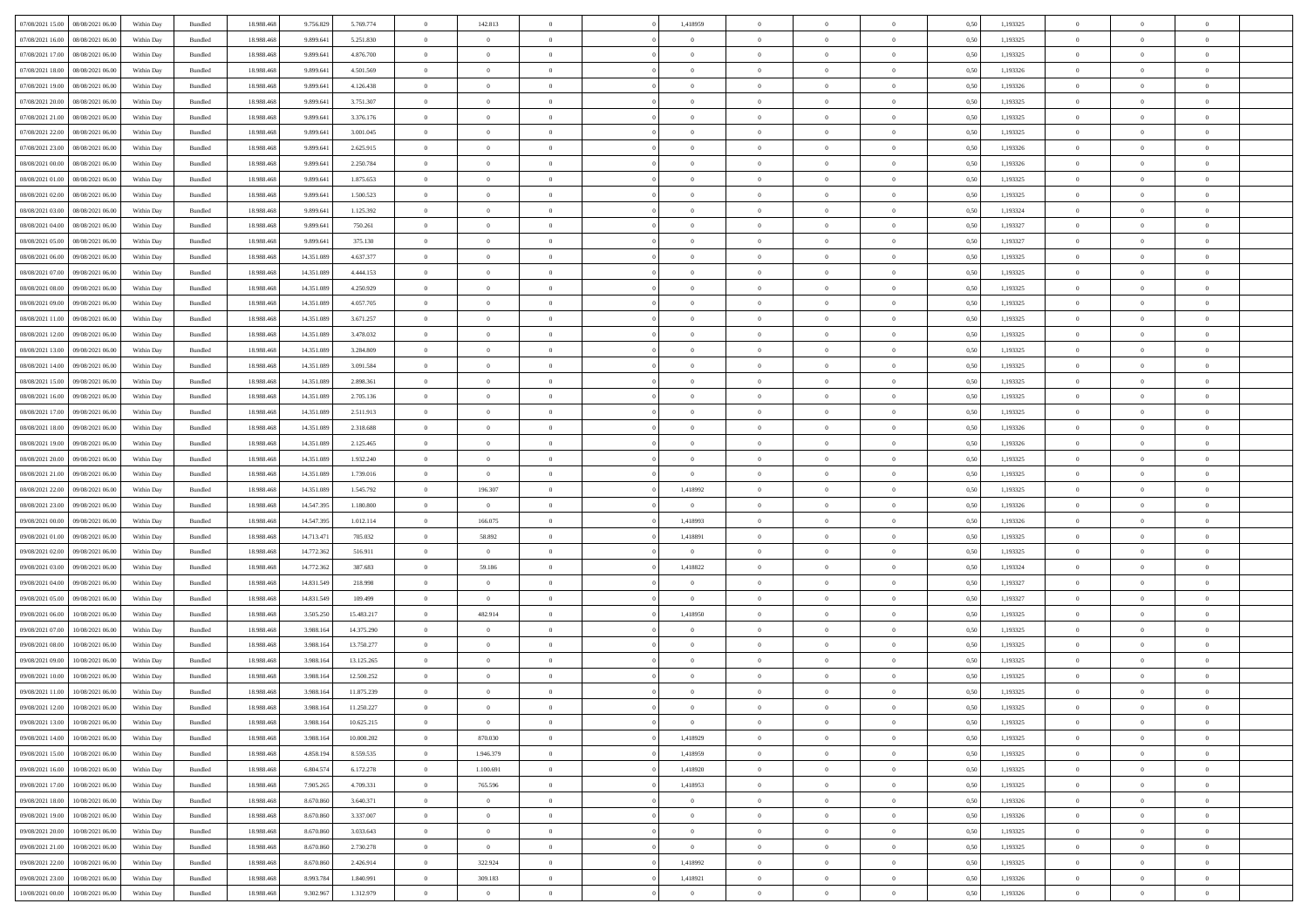| 07/08/2021 15:00 | 08/08/2021 06:00 | Within Day | Bundled | 18.988.468 | 9.756.829  | 5.769.774  | $\overline{0}$ | 142.813        |                | 1,418959       | $\bf{0}$       | $\overline{0}$ | $\theta$       | 0,50 | 1,193325 | $\theta$       | $\theta$       | $\overline{0}$           |  |
|------------------|------------------|------------|---------|------------|------------|------------|----------------|----------------|----------------|----------------|----------------|----------------|----------------|------|----------|----------------|----------------|--------------------------|--|
| 07/08/2021 16:00 | 08/08/2021 06:00 | Within Day | Bundled | 18.988.468 | 9.899.641  | 5.251.830  | $\overline{0}$ | $\theta$       | $\overline{0}$ | $\overline{0}$ | $\,$ 0         | $\bf{0}$       | $\bf{0}$       | 0,50 | 1,193325 | $\,$ 0 $\,$    | $\overline{0}$ | $\overline{0}$           |  |
|                  |                  |            |         |            |            |            |                |                |                |                |                |                |                |      |          |                |                |                          |  |
| 07/08/2021 17:00 | 08/08/2021 06:00 | Within Day | Bundled | 18,988,468 | 9,899.641  | 4.876.700  | $\overline{0}$ | $\overline{0}$ | $\overline{0}$ | $\overline{0}$ | $\bf{0}$       | $\overline{0}$ | $\mathbf{0}$   | 0.50 | 1.193325 | $\bf{0}$       | $\overline{0}$ | $\overline{0}$           |  |
| 07/08/2021 18:00 | 08/08/2021 06:00 | Within Day | Bundled | 18.988.468 | 9.899.641  | 4.501.569  | $\overline{0}$ | $\overline{0}$ | $\overline{0}$ | $\overline{0}$ | $\bf{0}$       | $\overline{0}$ | $\overline{0}$ | 0,50 | 1,193326 | $\,$ 0 $\,$    | $\overline{0}$ | $\overline{0}$           |  |
| 07/08/2021 19:00 | 08/08/2021 06:00 | Within Day | Bundled | 18.988.468 | 9.899.641  | 4.126.438  | $\overline{0}$ | $\theta$       | $\overline{0}$ |                | $\overline{0}$ | $\overline{0}$ | $\bf{0}$       | 0,50 | 1,193326 | $\,$ 0 $\,$    | $\overline{0}$ | $\overline{0}$           |  |
| 07/08/2021 20:00 | 08/08/2021 06:00 | Within Day | Bundled | 18.988.468 | 9,899.641  | 3.751.307  | $\overline{0}$ | $\overline{0}$ | $\overline{0}$ | $\overline{0}$ | $\bf{0}$       | $\overline{0}$ | $\bf{0}$       | 0.50 | 1.193325 | $\,0\,$        | $\theta$       | $\overline{0}$           |  |
| 07/08/2021 21:00 | 08/08/2021 06:00 | Within Day | Bundled | 18.988.468 | 9.899.641  | 3.376.176  | $\overline{0}$ | $\overline{0}$ | $\overline{0}$ | $\overline{0}$ | $\bf{0}$       | $\overline{0}$ | $\overline{0}$ | 0,50 | 1,193325 | $\,$ 0 $\,$    | $\theta$       | $\overline{0}$           |  |
| 07/08/2021 22.00 | 08/08/2021 06:00 | Within Day | Bundled | 18.988.468 | 9.899.641  | 3.001.045  | $\overline{0}$ | $\theta$       | $\overline{0}$ | $\overline{0}$ | $\,$ 0         | $\bf{0}$       | $\bf{0}$       | 0,50 | 1,193325 | $\,$ 0 $\,$    | $\overline{0}$ | $\overline{0}$           |  |
| 07/08/2021 23:00 | 08/08/2021 06:00 | Within Day | Bundled | 18.988.468 | 9,899.641  | 2.625.915  | $\overline{0}$ | $\overline{0}$ | $\overline{0}$ | $\overline{0}$ | $\bf{0}$       | $\overline{0}$ | $\bf{0}$       | 0.50 | 1.193326 | $\,0\,$        | $\overline{0}$ | $\overline{0}$           |  |
| 08/08/2021 00:00 | 08/08/2021 06:00 | Within Day | Bundled | 18.988.468 | 9.899.641  | 2.250.784  | $\overline{0}$ | $\overline{0}$ | $\overline{0}$ | $\overline{0}$ | $\bf{0}$       | $\overline{0}$ | $\bf{0}$       | 0,50 | 1,193326 | $\,$ 0 $\,$    | $\overline{0}$ | $\overline{0}$           |  |
| 08/08/2021 01:00 | 08/08/2021 06:00 | Within Day | Bundled | 18.988.468 | 9.899.641  | 1.875.653  | $\bf{0}$       | $\theta$       | $\overline{0}$ | $\overline{0}$ | $\,$ 0         | $\overline{0}$ | $\bf{0}$       | 0,50 | 1,193325 | $\,$ 0 $\,$    | $\overline{0}$ | $\overline{0}$           |  |
| 08/08/2021 02:00 | 08/08/2021 06:00 |            | Bundled | 18,988,468 | 9,899.641  |            |                | $\overline{0}$ | $\overline{0}$ | $\overline{0}$ |                | $\overline{0}$ |                | 0.50 | 1.193325 | $\,$ 0 $\,$    | $\overline{0}$ | $\bf{0}$                 |  |
|                  |                  | Within Day |         |            |            | 1.500.523  | $\overline{0}$ |                |                |                | $\bf{0}$       |                | $\mathbf{0}$   |      |          |                |                |                          |  |
| 08/08/2021 03:00 | 08/08/2021 06:00 | Within Day | Bundled | 18.988.468 | 9.899.641  | 1.125.392  | $\overline{0}$ | $\overline{0}$ | $\overline{0}$ | $\overline{0}$ | $\,$ 0         | $\overline{0}$ | $\overline{0}$ | 0,50 | 1,193324 | $\,$ 0 $\,$    | $\overline{0}$ | $\overline{0}$           |  |
| 08/08/2021 04:00 | 08/08/2021 06:00 | Within Day | Bundled | 18.988.468 | 9.899.641  | 750.261    | $\overline{0}$ | $\theta$       | $\overline{0}$ | $\overline{0}$ | $\bf{0}$       | $\overline{0}$ | $\bf{0}$       | 0,50 | 1,193327 | $\,$ 0 $\,$    | $\overline{0}$ | $\overline{0}$           |  |
| 08/08/2021 05:00 | 08/08/2021 06:00 | Within Day | Bundled | 18.988.468 | 9,899.641  | 375.130    | $\overline{0}$ | $\overline{0}$ | $\overline{0}$ | $\overline{0}$ | $\bf{0}$       | $\overline{0}$ | $\bf{0}$       | 0.50 | 1.193327 | $\,0\,$        | $\theta$       | $\overline{0}$           |  |
| 08/08/2021 06:00 | 09/08/2021 06:00 | Within Day | Bundled | 18.988.468 | 14.351.089 | 4.637.377  | $\overline{0}$ | $\overline{0}$ | $\overline{0}$ | $\overline{0}$ | $\bf{0}$       | $\overline{0}$ | $\overline{0}$ | 0,50 | 1,193325 | $\,$ 0 $\,$    | $\theta$       | $\overline{0}$           |  |
| 08/08/2021 07:00 | 09/08/2021 06.00 | Within Day | Bundled | 18.988.468 | 14.351.089 | 4,444,153  | $\overline{0}$ | $\theta$       | $\overline{0}$ |                | $\,$ 0         | $\overline{0}$ | $\bf{0}$       | 0,50 | 1,193325 | $\,$ 0 $\,$    | $\overline{0}$ | $\overline{0}$           |  |
| 08/08/2021 08:00 | 09/08/2021 06:00 | Within Day | Bundled | 18.988.468 | 14.351.089 | 4.250.929  | $\overline{0}$ | $\overline{0}$ | $\overline{0}$ | $\overline{0}$ | $\bf{0}$       | $\overline{0}$ | $\bf{0}$       | 0.50 | 1.193325 | $\,0\,$        | $\overline{0}$ | $\overline{\phantom{a}}$ |  |
| 08/08/2021 09:00 | 09/08/2021 06:00 | Within Day | Bundled | 18.988.468 | 14.351.089 | 4.057.705  | $\overline{0}$ | $\overline{0}$ | $\overline{0}$ | $\overline{0}$ | $\bf{0}$       | $\overline{0}$ | $\bf{0}$       | 0,50 | 1,193325 | $\,$ 0 $\,$    | $\overline{0}$ | $\overline{0}$           |  |
| 08/08/2021 11:00 | 09/08/2021 06.00 | Within Day | Bundled | 18.988.468 | 14.351.089 | 3.671.257  | $\bf{0}$       | $\overline{0}$ | $\overline{0}$ | $\overline{0}$ | $\,$ 0         | $\overline{0}$ | $\bf{0}$       | 0,50 | 1,193325 | $\,$ 0 $\,$    | $\overline{0}$ | $\overline{0}$           |  |
| 08/08/2021 12:00 | 09/08/2021 06:00 | Within Day | Bundled | 18,988,468 | 14.351.089 | 3.478.032  | $\overline{0}$ | $\overline{0}$ | $\overline{0}$ | $\overline{0}$ | $\bf{0}$       | $\overline{0}$ | $\mathbf{0}$   | 0.50 | 1.193325 | $\,$ 0 $\,$    | $\overline{0}$ | $\overline{\phantom{a}}$ |  |
| 08/08/2021 13:00 | 09/08/2021 06:00 | Within Day | Bundled | 18.988.468 | 14.351.089 | 3.284.809  | $\overline{0}$ | $\overline{0}$ | $\overline{0}$ | $\overline{0}$ | $\bf{0}$       | $\overline{0}$ | $\overline{0}$ | 0,50 | 1,193325 | $\,$ 0 $\,$    | $\overline{0}$ | $\overline{0}$           |  |
|                  |                  |            |         |            |            |            | $\overline{0}$ | $\theta$       | $\overline{0}$ | $\overline{0}$ | $\,$ 0         | $\overline{0}$ |                |      |          | $\,$ 0 $\,$    | $\overline{0}$ | $\overline{0}$           |  |
| 08/08/2021 14:00 | 09/08/2021 06.00 | Within Day | Bundled | 18.988.468 | 14.351.089 | 3.091.584  |                |                |                |                |                |                | $\bf{0}$       | 0,50 | 1,193325 |                |                |                          |  |
| 08/08/2021 15:00 | 09/08/2021 06:00 | Within Day | Bundled | 18.988.468 | 14.351.089 | 2.898.361  | $\overline{0}$ | $\overline{0}$ | $\overline{0}$ | $\overline{0}$ | $\bf{0}$       | $\overline{0}$ | $\bf{0}$       | 0.50 | 1.193325 | $\,0\,$        | $\theta$       | $\overline{0}$           |  |
| 08/08/2021 16:00 | 09/08/2021 06:00 | Within Day | Bundled | 18.988.468 | 14.351.089 | 2.705.136  | $\overline{0}$ | $\overline{0}$ | $\overline{0}$ | $\overline{0}$ | $\,$ 0         | $\overline{0}$ | $\overline{0}$ | 0,50 | 1,193325 | $\,0\,$        | $\theta$       | $\overline{0}$           |  |
| 08/08/2021 17:00 | 09/08/2021 06.00 | Within Day | Bundled | 18.988.468 | 14.351.08  | 2.511.913  | $\overline{0}$ | $\theta$       | $\overline{0}$ |                | $\,$ 0         | $\overline{0}$ | $\bf{0}$       | 0,50 | 1,193325 | $\,$ 0 $\,$    | $\overline{0}$ | $\overline{0}$           |  |
| 08/08/2021 18:00 | 09/08/2021 06:00 | Within Day | Bundled | 18.988.468 | 14.351.089 | 2.318.688  | $\overline{0}$ | $\overline{0}$ | $\overline{0}$ | $\overline{0}$ | $\bf{0}$       | $\overline{0}$ | $\bf{0}$       | 0.50 | 1.193326 | $\,0\,$        | $\overline{0}$ | $\overline{0}$           |  |
| 08/08/2021 19:00 | 09/08/2021 06:00 | Within Day | Bundled | 18.988.468 | 14.351.089 | 2.125.465  | $\overline{0}$ | $\overline{0}$ | $\overline{0}$ | $\overline{0}$ | $\bf{0}$       | $\overline{0}$ | $\bf{0}$       | 0,50 | 1,193326 | $\,$ 0 $\,$    | $\overline{0}$ | $\overline{0}$           |  |
| 08/08/2021 20:00 | 09/08/2021 06.00 | Within Day | Bundled | 18.988.468 | 14.351.089 | 1.932.240  | $\bf{0}$       | $\overline{0}$ | $\overline{0}$ | $\overline{0}$ | $\bf{0}$       | $\overline{0}$ | $\bf{0}$       | 0,50 | 1,193325 | $\,$ 0 $\,$    | $\overline{0}$ | $\overline{0}$           |  |
| 08/08/2021 21:00 | 09/08/2021 06:00 | Within Day | Bundled | 18.988.468 | 14.351.089 | 1.739.016  | $\overline{0}$ | $\overline{0}$ | $\overline{0}$ | $\overline{0}$ | $\bf{0}$       | $\overline{0}$ | $\mathbf{0}$   | 0.50 | 1.193325 | $\,$ 0 $\,$    | $\overline{0}$ | $\overline{\phantom{a}}$ |  |
| 08/08/2021 22:00 | 09/08/2021 06:00 | Within Dav | Bundled | 18.988.468 | 14.351.089 | 1.545.792  | $\overline{0}$ | 196.307        | $\overline{0}$ | 1,418992       | $\overline{0}$ | $\overline{0}$ | $\overline{0}$ | 0.50 | 1,193325 | $\theta$       | $\overline{0}$ | $\overline{0}$           |  |
| 08/08/2021 23:00 | 09/08/2021 06.00 | Within Day | Bundled | 18.988.468 | 14.547.395 | 1.180.800  | $\overline{0}$ | $\overline{0}$ | $\overline{0}$ | $\overline{0}$ | $\,$ 0         | $\overline{0}$ | $\bf{0}$       | 0,50 | 1,193326 | $\,$ 0 $\,$    | $\overline{0}$ | $\overline{0}$           |  |
| 09/08/2021 00:00 | 09/08/2021 06:00 | Within Day | Bundled | 18.988.468 | 14.547.395 | 1.012.114  | $\overline{0}$ | 166,075        | $\overline{0}$ | 1.418993       | $\,$ 0         | $\overline{0}$ | $\bf{0}$       | 0.50 | 1.193326 | $\,0\,$        | $\theta$       | $\overline{0}$           |  |
| 09/08/2021 01:00 | 09/08/2021 06:00 | Within Dav | Bundled | 18.988.468 | 14.713.471 | 705.032    | $\overline{0}$ | 58.892         | $\Omega$       | 1,418891       | $\bf{0}$       | $\overline{0}$ | $\overline{0}$ | 0.50 | 1,193325 | $\theta$       | $\overline{0}$ | $\overline{0}$           |  |
|                  |                  |            |         |            |            |            |                |                |                |                |                |                |                |      |          |                |                |                          |  |
| 09/08/2021 02:00 | 09/08/2021 06.00 | Within Day | Bundled | 18.988.468 | 14.772.362 | 516.911    | $\overline{0}$ | $\overline{0}$ | $\overline{0}$ | $\overline{0}$ | $\,$ 0         | $\overline{0}$ | $\bf{0}$       | 0,50 | 1,193325 | $\,$ 0 $\,$    | $\overline{0}$ | $\overline{0}$           |  |
| 09/08/2021 03:00 | 09/08/2021 06:00 | Within Day | Bundled | 18.988.468 | 14.772.362 | 387.683    | $\overline{0}$ | 59.186         | $\overline{0}$ | 1,418822       | $\bf{0}$       | $\overline{0}$ | $\bf{0}$       | 0.50 | 1.193324 | $\,0\,$        | $\overline{0}$ | $\overline{0}$           |  |
| 09/08/2021 04:00 | 09/08/2021 06:00 | Within Dav | Bundled | 18.988.468 | 14.831.549 | 218,998    | $\overline{0}$ | $\overline{0}$ | $\overline{0}$ | $\overline{0}$ | $\overline{0}$ | $\overline{0}$ | $\overline{0}$ | 0.50 | 1,193327 | $\theta$       | $\overline{0}$ | $\overline{0}$           |  |
| 09/08/2021 05:00 | 09/08/2021 06.00 | Within Day | Bundled | 18.988.468 | 14.831.549 | 109.499    | $\bf{0}$       | $\bf{0}$       | $\overline{0}$ | $\bf{0}$       | $\bf{0}$       | $\overline{0}$ | $\bf{0}$       | 0,50 | 1,193327 | $\,$ 0 $\,$    | $\overline{0}$ | $\overline{0}$           |  |
| 09/08/2021 06:00 | 10/08/2021 06:00 | Within Day | Bundled | 18,988,468 | 3.505.250  | 15.483.217 | $\overline{0}$ | 482.914        | $\overline{0}$ | 1,418950       | $\bf{0}$       | $\overline{0}$ | $\mathbf{0}$   | 0.50 | 1,193325 | $\,$ 0 $\,$    | $\overline{0}$ | $\overline{0}$           |  |
| 09/08/2021 07:00 | 10/08/2021 06:00 | Within Dav | Bundled | 18.988.468 | 3.988.164  | 14.375.290 | $\overline{0}$ | $\overline{0}$ | $\Omega$       | $\overline{0}$ | $\overline{0}$ | $\overline{0}$ | $\overline{0}$ | 0.50 | 1,193325 | $\theta$       | $\overline{0}$ | $\overline{0}$           |  |
| 09/08/2021 08:00 | 10/08/2021 06:00 | Within Day | Bundled | 18.988.468 | 3.988.164  | 13.750.277 | $\overline{0}$ | $\overline{0}$ | $\overline{0}$ | $\overline{0}$ | $\bf{0}$       | $\overline{0}$ | $\bf{0}$       | 0,50 | 1,193325 | $\,$ 0 $\,$    | $\overline{0}$ | $\overline{0}$           |  |
| 09/08/2021 09:00 | 10/08/2021 06:00 | Within Day | Bundled | 18.988.468 | 3.988.164  | 13.125.265 | $\overline{0}$ | $\overline{0}$ | $\overline{0}$ | $\overline{0}$ | $\bf{0}$       | $\overline{0}$ | $\overline{0}$ | 0.50 | 1,193325 | $\,0\,$        | $\theta$       | $\overline{0}$           |  |
| 09/08/2021 10:00 | 10/08/2021 06:00 | Within Dav | Bundled | 18.988.468 | 3.988.164  | 12.500.252 | $\overline{0}$ | $\Omega$       | $\Omega$       | $\Omega$       | $\bf{0}$       | $\overline{0}$ | $\overline{0}$ | 0.50 | 1,193325 | $\theta$       | $\overline{0}$ | $\overline{0}$           |  |
| 09/08/2021 11:00 | 10/08/2021 06:00 | Within Day | Bundled | 18.988.468 | 3.988.164  | 11.875.239 | $\overline{0}$ | $\,$ 0 $\,$    | $\overline{0}$ | $\bf{0}$       | $\,$ 0         | $\bf{0}$       | $\bf{0}$       | 0,50 | 1,193325 | $\,$ 0 $\,$    | $\overline{0}$ | $\overline{0}$           |  |
| 09/08/2021 12:00 | 10/08/2021 06:00 | Within Day | Bundled | 18.988.468 | 3.988.164  | 11.250.227 | $\bf{0}$       | $\theta$       |                |                |                |                |                | 0,50 | 1,193325 | $\bf{0}$       | $\theta$       |                          |  |
|                  |                  |            |         |            |            |            | $\Omega$       |                |                |                |                |                |                |      |          |                |                |                          |  |
| 09/08/2021 13:00 | 10/08/2021 06:00 | Within Day | Bundled | 18.988.468 | 3.988.164  | 10.625.215 |                | $\overline{0}$ | $\overline{0}$ | $\overline{0}$ | $\overline{0}$ | $\overline{0}$ | $\mathbf{0}$   | 0,50 | 1,193325 | $\theta$       | $\theta$       | $\overline{0}$           |  |
| 09/08/2021 14:00 | 10/08/2021 06:00 | Within Day | Bundled | 18.988.468 | 3.988.164  | 10.000.202 | $\overline{0}$ | 870.030        | $\overline{0}$ | 1,418929       | $\overline{0}$ | $\overline{0}$ | $\bf{0}$       | 0,50 | 1,193325 | $\overline{0}$ | $\overline{0}$ | $\bf{0}$                 |  |
| 09/08/2021 15:00 | 10/08/2021 06:00 | Within Day | Bundled | 18.988.468 | 4.858.194  | 8.559.535  | $\overline{0}$ | 1.946.379      | $\overline{0}$ | 1,418959       | $\bf{0}$       | $\overline{0}$ | $\mathbf{0}$   | 0.50 | 1,193325 | $\overline{0}$ | $\bf{0}$       | $\bf{0}$                 |  |
| 09/08/2021 16:00 | 10/08/2021 06:00 | Within Dav | Bundled | 18.988.468 | 6.804.574  | 6.172.278  | $\overline{0}$ | 1.100.691      | $\overline{0}$ | 1,418920       | $\overline{0}$ | $\overline{0}$ | $\mathbf{0}$   | 0.50 | 1,193325 | $\overline{0}$ | $\theta$       | $\overline{0}$           |  |
| 09/08/2021 17:00 | 10/08/2021 06:00 | Within Day | Bundled | 18.988.468 | 7.905.265  | 4.709.331  | $\overline{0}$ | 765.596        | $\overline{0}$ | 1,418953       | $\bf{0}$       | $\bf{0}$       | $\bf{0}$       | 0,50 | 1,193325 | $\bf{0}$       | $\overline{0}$ | $\overline{0}$           |  |
| 09/08/2021 18:00 | 10/08/2021 06:00 | Within Day | Bundled | 18.988.468 | 8.670.860  | 3.640.371  | $\overline{0}$ | $\overline{0}$ | $\overline{0}$ | $\overline{0}$ | $\bf{0}$       | $\overline{0}$ | $\mathbf{0}$   | 0.50 | 1.193326 | $\,$ 0 $\,$    | $\theta$       | $\overline{0}$           |  |
| 09/08/2021 19:00 | 10/08/2021 06:00 | Within Day | Bundled | 18.988.468 | 8.670.860  | 3.337.007  | $\overline{0}$ | $\overline{0}$ | $\overline{0}$ | $\overline{0}$ | $\overline{0}$ | $\overline{0}$ | $\overline{0}$ | 0,50 | 1,193326 | $\overline{0}$ | $\theta$       | $\overline{0}$           |  |
| 09/08/2021 20:00 | 10/08/2021 06:00 | Within Day | Bundled | 18.988.468 | 8.670.860  | 3.033.643  | $\overline{0}$ | $\overline{0}$ | $\overline{0}$ | $\bf{0}$       | $\bf{0}$       | $\bf{0}$       | $\bf{0}$       | 0,50 | 1,193325 | $\,$ 0 $\,$    | $\overline{0}$ | $\overline{0}$           |  |
| 09/08/2021 21.00 | 10/08/2021 06:00 | Within Day | Bundled | 18,988,468 | 8.670.860  | 2.730.278  | $\overline{0}$ | $\overline{0}$ | $\overline{0}$ | $\overline{0}$ | $\bf{0}$       | $\overline{0}$ | $\mathbf{0}$   | 0.50 | 1.193325 | $\mathbf{0}$   | $\,$ 0 $\,$    | $\overline{0}$           |  |
| 09/08/2021 22:00 | 10/08/2021 06:00 | Within Dav | Bundled | 18.988.468 | 8.670.860  | 2.426.914  | $\overline{0}$ | 322.924        | $\overline{0}$ | 1,418992       | $\overline{0}$ | $\overline{0}$ | $\overline{0}$ | 0,50 | 1,193325 | $\overline{0}$ | $\theta$       | $\overline{0}$           |  |
|                  |                  |            |         |            |            |            |                |                |                |                |                |                |                |      |          |                |                |                          |  |
| 09/08/2021 23.00 | 10/08/2021 06:00 | Within Day | Bundled | 18.988.468 | 8.993.784  | 1.840.991  | $\overline{0}$ | 309.183        | $\overline{0}$ | 1,418921       | $\bf{0}$       | $\bf{0}$       | $\bf{0}$       | 0,50 | 1,193326 | $\bf{0}$       | $\overline{0}$ | $\bf{0}$                 |  |
| 10/08/2021 00:00 | 10/08/2021 06:00 | Within Day | Bundled | 18.988.468 | 9.302.967  | 1.312.979  | $\overline{0}$ | $\overline{0}$ | $\overline{0}$ | $\overline{0}$ | $\bf{0}$       | $\overline{0}$ | $\,$ 0 $\,$    | 0,50 | 1,193326 | $\overline{0}$ | $\,$ 0 $\,$    | $\,$ 0 $\,$              |  |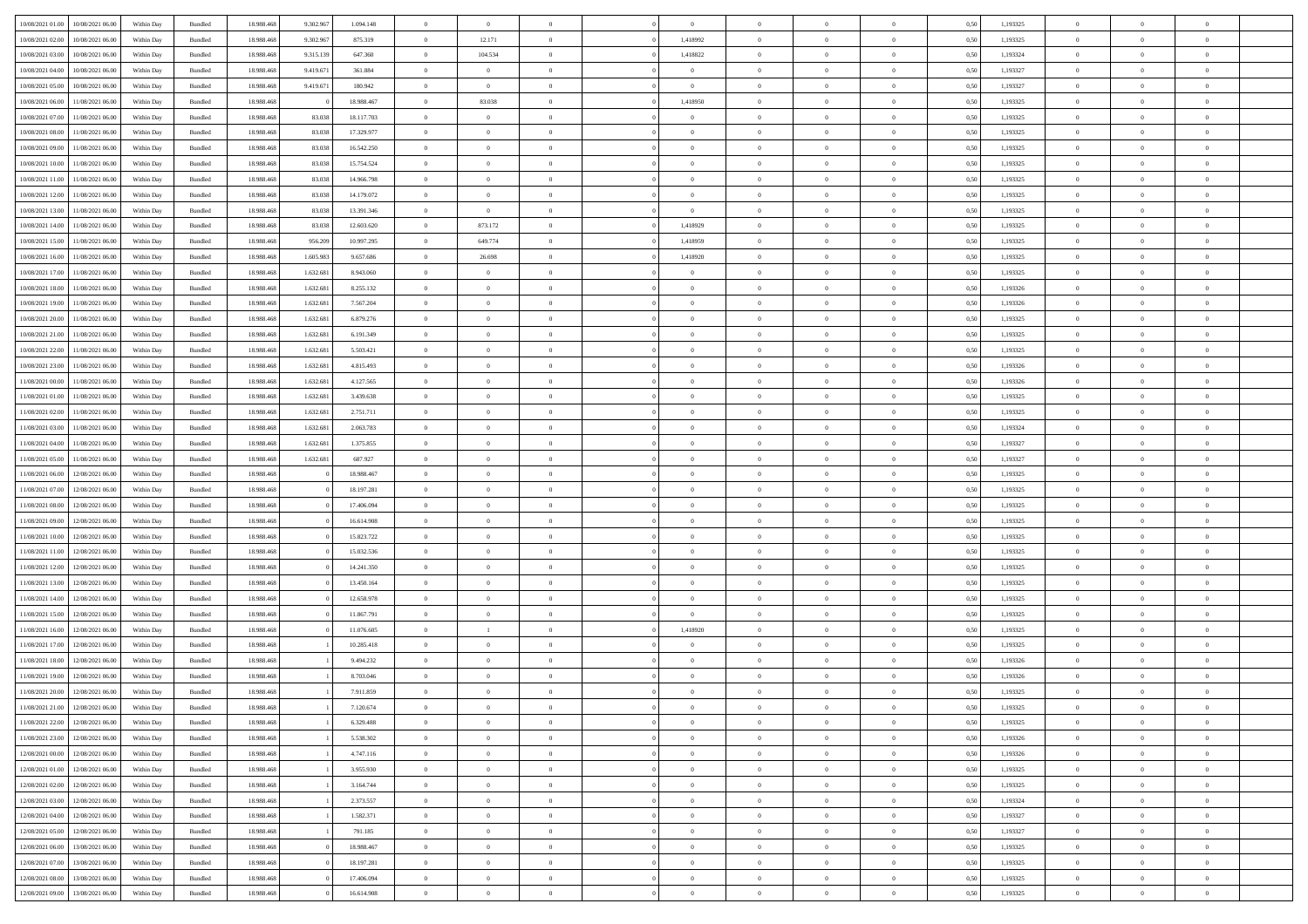| 10/08/2021 01:00 | 10/08/2021 06:00 | Within Day | Bundled            | 18.988.468 | 9.302.967 | 1.094.148  | $\Omega$       | $\overline{0}$ |                | $\Omega$       | $\Omega$       | $\Omega$       | $\theta$       | 0.50 | 1,193325 | $\theta$       | $\theta$       | $\theta$       |  |
|------------------|------------------|------------|--------------------|------------|-----------|------------|----------------|----------------|----------------|----------------|----------------|----------------|----------------|------|----------|----------------|----------------|----------------|--|
|                  |                  |            |                    |            |           |            |                |                |                |                |                |                |                |      |          |                |                |                |  |
| 10/08/2021 02:00 | 10/08/2021 06:00 | Within Day | Bundled            | 18.988.468 | 9.302.967 | 875.319    | $\overline{0}$ | 12.171         | $\overline{0}$ | 1,418992       | $\bf{0}$       | $\overline{0}$ | $\overline{0}$ | 0,50 | 1,193325 | $\theta$       | $\theta$       | $\overline{0}$ |  |
| 10/08/2021 03:00 | 10/08/2021 06:00 | Within Day | Bundled            | 18.988.468 | 9.315.139 | 647.360    | $\overline{0}$ | 104.534        | $\overline{0}$ | 1,418822       | $\bf{0}$       | $\overline{0}$ | $\bf{0}$       | 0,50 | 1,193324 | $\bf{0}$       | $\overline{0}$ | $\overline{0}$ |  |
| 10/08/2021 04:00 | 10/08/2021 06:00 | Within Dav | Bundled            | 18.988.468 | 9.419.67  | 361.884    | $\overline{0}$ | $\overline{0}$ | $\overline{0}$ | $\overline{0}$ | $\bf{0}$       | $\overline{0}$ | $\overline{0}$ | 0.50 | 1,193327 | $\theta$       | $\theta$       | $\overline{0}$ |  |
| 10/08/2021 05:00 | 10/08/2021 06:00 | Within Day | Bundled            | 18.988.468 | 9.419.671 | 180.942    | $\overline{0}$ | $\overline{0}$ | $\overline{0}$ | $\overline{0}$ | $\bf{0}$       | $\overline{0}$ | $\bf{0}$       | 0,50 | 1,193327 | $\theta$       | $\theta$       | $\overline{0}$ |  |
| 10/08/2021 06:00 | 11/08/2021 06:00 | Within Day | Bundled            | 18.988.468 |           | 18.988.467 | $\overline{0}$ | 83.038         | $\overline{0}$ | 1,418950       | $\bf{0}$       | $\overline{0}$ | $\mathbf{0}$   | 0,50 | 1,193325 | $\bf{0}$       | $\overline{0}$ | $\bf{0}$       |  |
|                  |                  |            |                    |            |           |            |                |                |                |                | $\bf{0}$       |                |                |      |          | $\theta$       | $\overline{0}$ | $\overline{0}$ |  |
| 10/08/2021 07:00 | 11/08/2021 06:00 | Within Dav | Bundled            | 18.988.468 | 83,038    | 18.117.703 | $\overline{0}$ | $\overline{0}$ | $\overline{0}$ | $\overline{0}$ |                | $\overline{0}$ | $\overline{0}$ | 0.50 | 1,193325 |                |                |                |  |
| 10/08/2021 08:00 | 11/08/2021 06:00 | Within Day | Bundled            | 18.988.468 | 83.038    | 17.329.977 | $\overline{0}$ | $\theta$       | $\overline{0}$ | $\overline{0}$ | $\bf{0}$       | $\overline{0}$ | $\bf{0}$       | 0,50 | 1,193325 | $\theta$       | $\theta$       | $\overline{0}$ |  |
| 10/08/2021 09:00 | 11/08/2021 06:00 | Within Day | Bundled            | 18.988.468 | 83.038    | 16.542.250 | $\overline{0}$ | $\overline{0}$ | $\overline{0}$ | $\overline{0}$ | $\bf{0}$       | $\overline{0}$ | $\bf{0}$       | 0,50 | 1,193325 | $\,0\,$        | $\overline{0}$ | $\overline{0}$ |  |
| 10/08/2021 10:00 | 11/08/2021 06:00 | Within Dav | Bundled            | 18.988.468 | 83.038    | 15.754.524 | $\overline{0}$ | $\overline{0}$ | $\overline{0}$ | $\overline{0}$ | $\overline{0}$ | $\overline{0}$ | $\overline{0}$ | 0.50 | 1,193325 | $\theta$       | $\overline{0}$ | $\overline{0}$ |  |
| 10/08/2021 11:00 | 11/08/2021 06:00 | Within Day | Bundled            | 18.988.468 | 83.038    | 14.966.798 | $\overline{0}$ | $\theta$       | $\overline{0}$ | $\overline{0}$ | $\bf{0}$       | $\overline{0}$ | $\bf{0}$       | 0,50 | 1,193325 | $\,$ 0 $\,$    | $\theta$       | $\overline{0}$ |  |
| 10/08/2021 12:00 | 11/08/2021 06:00 | Within Day | Bundled            | 18.988.468 | 83.038    | 14.179.072 | $\overline{0}$ | $\overline{0}$ | $\overline{0}$ | $\bf{0}$       | $\bf{0}$       | $\bf{0}$       | $\bf{0}$       | 0,50 | 1,193325 | $\bf{0}$       | $\overline{0}$ | $\overline{0}$ |  |
| 10/08/2021 13:00 | 11/08/2021 06:00 | Within Dav | Bundled            | 18.988.468 | 83,038    | 13.391.346 | $\overline{0}$ | $\overline{0}$ | $\overline{0}$ | $\overline{0}$ | $\bf{0}$       | $\overline{0}$ | $\overline{0}$ | 0.50 | 1,193325 | $\theta$       | $\theta$       | $\overline{0}$ |  |
|                  |                  |            |                    |            |           |            |                |                |                |                |                |                |                |      |          |                |                |                |  |
| 10/08/2021 14:00 | 11/08/2021 06:00 | Within Day | Bundled            | 18.988.468 | 83.038    | 12.603.620 | $\overline{0}$ | 873.172        | $\overline{0}$ | 1,418929       | $\bf{0}$       | $\overline{0}$ | $\overline{0}$ | 0,50 | 1,193325 | $\theta$       | $\overline{0}$ | $\overline{0}$ |  |
| 10/08/2021 15:00 | 11/08/2021 06:00 | Within Day | Bundled            | 18.988.468 | 956.209   | 10.997.295 | $\overline{0}$ | 649.774        | $\overline{0}$ | 1,418959       | $\bf{0}$       | $\overline{0}$ | $\mathbf{0}$   | 0,50 | 1,193325 | $\overline{0}$ | $\overline{0}$ | $\bf{0}$       |  |
| 10/08/2021 16:00 | 11/08/2021 06:00 | Within Dav | Bundled            | 18.988.468 | 1.605.983 | 9.657.686  | $\overline{0}$ | 26.698         | $\overline{0}$ | 1,418920       | $\overline{0}$ | $\overline{0}$ | $\overline{0}$ | 0.50 | 1,193325 | $\theta$       | $\overline{0}$ | $\overline{0}$ |  |
| 10/08/2021 17:00 | 11/08/2021 06:00 | Within Day | Bundled            | 18.988.468 | 1.632.681 | 8.943.060  | $\overline{0}$ | $\theta$       | $\overline{0}$ | $\overline{0}$ | $\bf{0}$       | $\overline{0}$ | $\bf{0}$       | 0,50 | 1,193325 | $\theta$       | $\theta$       | $\overline{0}$ |  |
| 10/08/2021 18:00 | 11/08/2021 06:00 | Within Day | Bundled            | 18.988.468 | 1.632.681 | 8.255.132  | $\overline{0}$ | $\overline{0}$ | $\overline{0}$ | $\bf{0}$       | $\bf{0}$       | $\bf{0}$       | $\bf{0}$       | 0,50 | 1,193326 | $\,0\,$        | $\overline{0}$ | $\overline{0}$ |  |
| 10/08/2021 19:00 | 11/08/2021 06:00 | Within Dav | Bundled            | 18.988.468 | 1.632.681 | 7.567.204  | $\overline{0}$ | $\overline{0}$ | $\overline{0}$ | $\overline{0}$ | $\overline{0}$ | $\overline{0}$ | $\overline{0}$ | 0.50 | 1,193326 | $\theta$       | $\overline{0}$ | $\overline{0}$ |  |
| 10/08/2021 20:00 | 11/08/2021 06:00 | Within Day | Bundled            | 18.988.468 | 1.632.681 | 6.879.276  | $\overline{0}$ | $\theta$       | $\overline{0}$ | $\overline{0}$ | $\bf{0}$       | $\overline{0}$ | $\bf{0}$       | 0,50 | 1,193325 | $\,$ 0 $\,$    | $\theta$       | $\overline{0}$ |  |
|                  |                  |            |                    |            |           |            |                |                |                |                |                |                |                |      |          |                |                |                |  |
| 10/08/2021 21:00 | 11/08/2021 06:00 | Within Day | Bundled            | 18.988.468 | 1.632.681 | 6.191.349  | $\overline{0}$ | $\overline{0}$ | $\overline{0}$ | $\bf{0}$       | $\bf{0}$       | $\bf{0}$       | $\bf{0}$       | 0,50 | 1,193325 | $\,0\,$        | $\overline{0}$ | $\overline{0}$ |  |
| 10/08/2021 22:00 | 11/08/2021 06:00 | Within Dav | Bundled            | 18.988.468 | 1.632.681 | 5.503.421  | $\overline{0}$ | $\overline{0}$ | $\overline{0}$ | $\overline{0}$ | $\bf{0}$       | $\overline{0}$ | $\overline{0}$ | 0.50 | 1,193325 | $\theta$       | $\theta$       | $\overline{0}$ |  |
| 10/08/2021 23:00 | 11/08/2021 06:00 | Within Day | Bundled            | 18.988.468 | 1.632.681 | 4.815.493  | $\overline{0}$ | $\theta$       | $\overline{0}$ | $\overline{0}$ | $\bf{0}$       | $\overline{0}$ | $\bf{0}$       | 0,50 | 1,193326 | $\theta$       | $\overline{0}$ | $\overline{0}$ |  |
| 11/08/2021 00:00 | 11/08/2021 06:00 | Within Day | Bundled            | 18.988.468 | 1.632.681 | 4.127.565  | $\overline{0}$ | $\bf{0}$       | $\overline{0}$ | $\bf{0}$       | $\overline{0}$ | $\overline{0}$ | $\mathbf{0}$   | 0,50 | 1,193326 | $\overline{0}$ | $\overline{0}$ | $\bf{0}$       |  |
| 11/08/2021 01:00 | 11/08/2021 06:00 | Within Dav | Bundled            | 18.988.468 | 1.632.681 | 3.439.638  | $\overline{0}$ | $\overline{0}$ | $\overline{0}$ | $\overline{0}$ | $\overline{0}$ | $\overline{0}$ | $\overline{0}$ | 0.50 | 1,193325 | $\theta$       | $\overline{0}$ | $\overline{0}$ |  |
| 11/08/2021 02:00 | 11/08/2021 06:00 | Within Day | Bundled            | 18.988.468 | 1.632.681 | 2.751.711  | $\overline{0}$ | $\theta$       | $\overline{0}$ | $\overline{0}$ | $\bf{0}$       | $\overline{0}$ | $\bf{0}$       | 0,50 | 1,193325 | $\theta$       | $\theta$       | $\overline{0}$ |  |
| 11/08/2021 03:00 | 11/08/2021 06:00 | Within Day | Bundled            | 18.988.468 | 1.632.681 | 2.063.783  | $\overline{0}$ | $\overline{0}$ | $\overline{0}$ | $\bf{0}$       | $\bf{0}$       | $\bf{0}$       | $\bf{0}$       | 0,50 | 1,193324 | $\,0\,$        | $\overline{0}$ | $\overline{0}$ |  |
|                  |                  |            |                    |            |           |            |                |                |                |                |                |                |                |      |          |                |                |                |  |
| 11/08/2021 04:00 | 11/08/2021 06:00 | Within Day | Bundled            | 18.988.468 | 1.632.681 | 1.375.855  | $\overline{0}$ | $\overline{0}$ | $\overline{0}$ | $\overline{0}$ | $\overline{0}$ | $\overline{0}$ | $\overline{0}$ | 0.50 | 1,193327 | $\theta$       | $\overline{0}$ | $\overline{0}$ |  |
| 11/08/2021 05:00 | 11/08/2021 06:00 | Within Day | Bundled            | 18.988.468 | 1.632.681 | 687.927    | $\overline{0}$ | $\theta$       | $\overline{0}$ | $\overline{0}$ | $\bf{0}$       | $\overline{0}$ | $\bf{0}$       | 0,50 | 1,193327 | $\,$ 0 $\,$    | $\theta$       | $\overline{0}$ |  |
| 11/08/2021 06:00 | 12/08/2021 06:00 | Within Day | Bundled            | 18.988.468 |           | 18.988.467 | $\overline{0}$ | $\overline{0}$ | $\overline{0}$ | $\bf{0}$       | $\bf{0}$       | $\bf{0}$       | $\bf{0}$       | 0,50 | 1,193325 | $\bf{0}$       | $\overline{0}$ | $\overline{0}$ |  |
| 11/08/2021 07:00 | 12/08/2021 06:00 | Within Day | Bundled            | 18.988.468 |           | 18.197.281 | $\overline{0}$ | $\Omega$       | $\Omega$       | $\Omega$       | $\Omega$       | $\Omega$       | $\overline{0}$ | 0,50 | 1,193325 | $\,0\,$        | $\theta$       | $\theta$       |  |
| 11/08/2021 08:00 | 12/08/2021 06:00 | Within Day | Bundled            | 18.988.468 |           | 17.406.094 | $\overline{0}$ | $\theta$       | $\overline{0}$ | $\overline{0}$ | $\bf{0}$       | $\overline{0}$ | $\bf{0}$       | 0,50 | 1,193325 | $\theta$       | $\overline{0}$ | $\overline{0}$ |  |
| 11/08/2021 09:00 | 12/08/2021 06:00 | Within Day | Bundled            | 18.988.468 |           | 16.614.908 | $\overline{0}$ | $\bf{0}$       | $\overline{0}$ | $\bf{0}$       | $\bf{0}$       | $\overline{0}$ | $\mathbf{0}$   | 0,50 | 1,193325 | $\overline{0}$ | $\overline{0}$ | $\bf{0}$       |  |
| 11/08/2021 10:00 | 12/08/2021 06:00 | Within Day | Bundled            | 18.988.468 |           | 15.823.722 | $\overline{0}$ | $\Omega$       | $\Omega$       | $\Omega$       | $\bf{0}$       | $\overline{0}$ | $\overline{0}$ | 0.50 | 1,193325 | $\,0\,$        | $\theta$       | $\theta$       |  |
|                  |                  |            |                    |            |           |            |                |                |                |                |                |                |                |      |          |                |                |                |  |
| 11/08/2021 11:00 | 12/08/2021 06:00 | Within Day | Bundled            | 18.988.468 |           | 15.032.536 | $\overline{0}$ | $\theta$       | $\overline{0}$ | $\overline{0}$ | $\bf{0}$       | $\overline{0}$ | $\bf{0}$       | 0,50 | 1,193325 | $\,$ 0 $\,$    | $\theta$       | $\overline{0}$ |  |
| 11/08/2021 12:00 | 12/08/2021 06:00 | Within Day | Bundled            | 18.988.468 |           | 14.241.350 | $\overline{0}$ | $\overline{0}$ | $\overline{0}$ | $\bf{0}$       | $\bf{0}$       | $\bf{0}$       | $\bf{0}$       | 0,50 | 1,193325 | $\,0\,$        | $\overline{0}$ | $\overline{0}$ |  |
| 11/08/2021 13:00 | 12/08/2021 06:00 | Within Day | Bundled            | 18.988.468 |           | 13.450.164 | $\overline{0}$ | $\Omega$       | $\Omega$       | $\Omega$       | $\Omega$       | $\theta$       | $\overline{0}$ | 0.50 | 1,193325 | $\,$ 0 $\,$    | $\theta$       | $\theta$       |  |
| 11/08/2021 14:00 | 12/08/2021 06:00 | Within Day | Bundled            | 18.988.468 |           | 12.658.978 | $\overline{0}$ | $\theta$       | $\overline{0}$ | $\overline{0}$ | $\bf{0}$       | $\overline{0}$ | $\bf{0}$       | 0,50 | 1,193325 | $\,$ 0 $\,$    | $\overline{0}$ | $\overline{0}$ |  |
| 11/08/2021 15:00 | 12/08/2021 06:00 | Within Day | Bundled            | 18.988.468 |           | 11.867.791 | $\overline{0}$ | $\overline{0}$ | $\overline{0}$ | $\bf{0}$       | $\bf{0}$       | $\bf{0}$       | $\bf{0}$       | 0,50 | 1,193325 | $\bf{0}$       | $\overline{0}$ | $\overline{0}$ |  |
| 11/08/2021 16:00 | 12/08/2021 06:00 | Within Day | Bundled            | 18.988.468 |           | 11.076.605 | $\overline{0}$ | $\overline{1}$ | $\Omega$       | 1,418920       | $\Omega$       | $\overline{0}$ | $\overline{0}$ | 0,50 | 1,193325 | $\,0\,$        | $\theta$       | $\theta$       |  |
| 11/08/2021 17:00 | 12/08/2021 06:00 | Within Day | Bundled            | 18.988.468 |           | 10.285.418 | $\overline{0}$ | $\theta$       | $\overline{0}$ | $\overline{0}$ | $\bf{0}$       | $\overline{0}$ | $\bf{0}$       | 0,50 | 1,193325 | $\,$ 0 $\,$    | $\overline{0}$ | $\overline{0}$ |  |
| 11/08/2021 18:00 | 12/08/2021 06:00 | Within Day | Bundled            | 18.988.468 |           | 9.494.232  | $\overline{0}$ | $\overline{0}$ | $\overline{0}$ | $\bf{0}$       | $\bf{0}$       | $\bf{0}$       | $\mathbf{0}$   | 0,50 | 1,193326 | $\overline{0}$ | $\overline{0}$ | $\bf{0}$       |  |
|                  |                  |            |                    |            |           |            |                |                |                |                |                |                |                |      |          |                |                |                |  |
| 11/08/2021 19:00 | 12/08/2021 06:00 | Within Day | Bundled            | 18.988.468 |           | 8.703.046  | $\overline{0}$ | $\Omega$       | $\Omega$       | $\Omega$       | $\Omega$       | $\Omega$       | $\overline{0}$ | 0.50 | 1,193326 | $\theta$       | $\theta$       | $\theta$       |  |
| 11/08/2021 20:00 | 12/08/2021 06:00 | Within Day | Bundled            | 18.988.468 |           | 7.911.859  | $\overline{0}$ | $\,$ 0 $\,$    | $\overline{0}$ | $\bf{0}$       | $\,$ 0         | $\bf{0}$       | $\bf{0}$       | 0,50 | 1,193325 | $\,0\,$        | $\overline{0}$ | $\overline{0}$ |  |
| 11/08/2021 21:00 | 12/08/2021 06:00 | Within Day | $\mathbf B$ undled | 18.988.468 |           | 7.120.674  | $\bf{0}$       |                |                |                |                |                |                | 0,50 | 1,193325 | $\bf{0}$       | $\bf{0}$       |                |  |
| 11/08/2021 22.00 | 12/08/2021 06:00 | Within Day | Bundled            | 18.988.468 |           | 6.329.488  | $\overline{0}$ | $\Omega$       | $\overline{0}$ | $\Omega$       | $\theta$       | $\overline{0}$ | $\overline{0}$ | 0.50 | 1,193325 | $\theta$       | $\theta$       | $\theta$       |  |
| 11/08/2021 23:00 | 12/08/2021 06:00 | Within Day | Bundled            | 18.988.468 |           | 5.538.302  | $\overline{0}$ | $\,$ 0         | $\overline{0}$ | $\bf{0}$       | $\,$ 0 $\,$    | $\overline{0}$ | $\mathbf{0}$   | 0,50 | 1,193326 | $\,$ 0 $\,$    | $\,$ 0 $\,$    | $\,$ 0         |  |
| 12/08/2021 00:00 | 12/08/2021 06:00 | Within Day | Bundled            | 18.988.468 |           | 4.747.116  | $\overline{0}$ | $\overline{0}$ | $\overline{0}$ | $\overline{0}$ | $\overline{0}$ | $\overline{0}$ | $\mathbf{0}$   | 0,50 | 1,193326 | $\overline{0}$ | $\bf{0}$       | $\bf{0}$       |  |
| 12/08/2021 01:00 | 12/08/2021 06:00 | Within Day | Bundled            | 18.988.468 |           | 3.955.930  | $\overline{0}$ | $\theta$       | $\overline{0}$ | $\Omega$       | $\overline{0}$ | $\overline{0}$ | $\bf{0}$       | 0,50 | 1,193325 | $\overline{0}$ | $\theta$       | $\overline{0}$ |  |
| 12/08/2021 02:00 | 12/08/2021 06:00 | Within Day |                    | 18.988.468 |           | 3.164.744  | $\overline{0}$ | $\,$ 0         | $\overline{0}$ | $\overline{0}$ | $\overline{0}$ |                |                |      | 1,193325 | $\,$ 0 $\,$    | $\overline{0}$ | $\overline{0}$ |  |
|                  |                  |            | Bundled            |            |           |            |                |                |                |                |                | $\overline{0}$ | $\bf{0}$       | 0,50 |          |                |                |                |  |
| 12/08/2021 03:00 | 12/08/2021 06:00 | Within Day | Bundled            | 18.988.468 |           | 2.373.557  | $\overline{0}$ | $\overline{0}$ | $\overline{0}$ | $\overline{0}$ | $\overline{0}$ | $\overline{0}$ | $\mathbf{0}$   | 0,50 | 1,193324 | $\overline{0}$ | $\bf{0}$       | $\bf{0}$       |  |
| 12/08/2021 04:00 | 12/08/2021 06:00 | Within Day | Bundled            | 18.988.468 |           | 1.582.371  | $\overline{0}$ | $\overline{0}$ | $\overline{0}$ | $\Omega$       | $\overline{0}$ | $\overline{0}$ | $\bf{0}$       | 0.50 | 1,193327 | $\overline{0}$ | $\theta$       | $\overline{0}$ |  |
| 12/08/2021 05:00 | 12/08/2021 06:00 | Within Day | Bundled            | 18.988.468 |           | 791.185    | $\overline{0}$ | $\,$ 0         | $\overline{0}$ | $\overline{0}$ | $\bf{0}$       | $\overline{0}$ | $\bf{0}$       | 0,50 | 1,193327 | $\,$ 0 $\,$    | $\overline{0}$ | $\overline{0}$ |  |
| 12/08/2021 06:00 | 13/08/2021 06:00 | Within Day | Bundled            | 18.988.468 |           | 18.988.467 | $\overline{0}$ | $\bf{0}$       | $\overline{0}$ | $\overline{0}$ | $\overline{0}$ | $\overline{0}$ | $\mathbf{0}$   | 0,50 | 1,193325 | $\overline{0}$ | $\overline{0}$ | $\bf{0}$       |  |
| 12/08/2021 07:00 | 13/08/2021 06:00 | Within Day | Bundled            | 18,988,468 |           | 18.197.281 | $\overline{0}$ | $\overline{0}$ | $\overline{0}$ | $\Omega$       | $\overline{0}$ | $\overline{0}$ | $\bf{0}$       | 0.50 | 1,193325 | $\overline{0}$ | $\overline{0}$ | $\overline{0}$ |  |
| 12/08/2021 08:00 | 13/08/2021 06:00 | Within Day | Bundled            | 18.988.468 |           | 17.406.094 | $\overline{0}$ | $\bf{0}$       | $\overline{0}$ | $\overline{0}$ | $\bf{0}$       | $\overline{0}$ | $\bf{0}$       | 0,50 | 1,193325 | $\,$ 0 $\,$    | $\,$ 0 $\,$    | $\bf{0}$       |  |
|                  |                  |            |                    |            |           |            |                |                |                |                |                |                |                |      |          |                |                |                |  |
| 12/08/2021 09:00 | 13/08/2021 06:00 | Within Day | Bundled            | 18.988.468 |           | 16.614.908 | $\overline{0}$ | $\overline{0}$ | $\overline{0}$ | $\overline{0}$ | $\bf{0}$       | $\overline{0}$ | $\mathbf{0}$   | 0,50 | 1,193325 | $\overline{0}$ | $\bf{0}$       | $\bf{0}$       |  |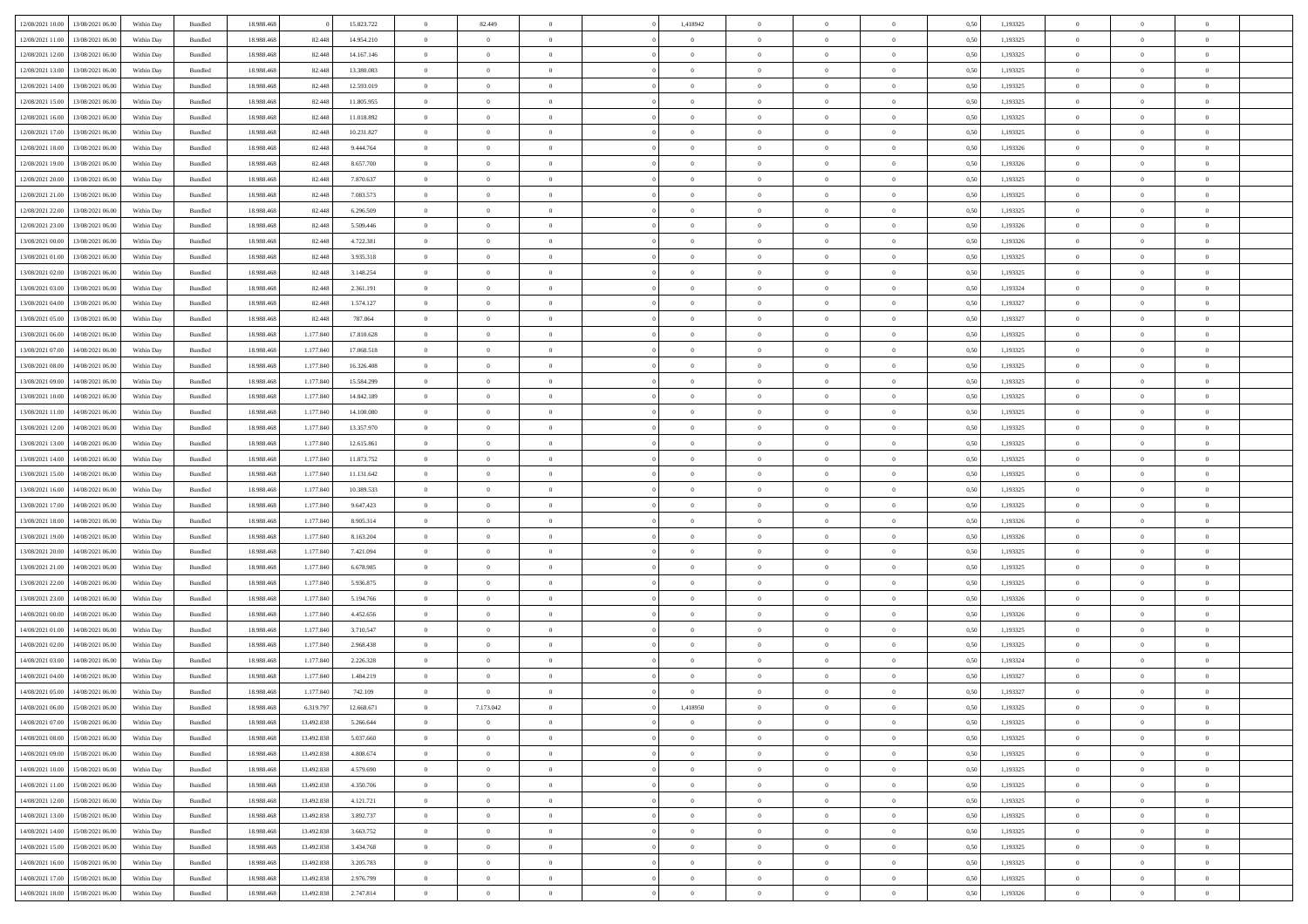| 12/08/2021 10:00                  | 13/08/2021 06:00 | Within Dav | Bundled            | 18.988.468 |            | 15.823.722 | $\overline{0}$ | 82.449         |                | 1,418942       | $\Omega$       | $\Omega$       | $\theta$       | 0.50 | 1,193325 | $\theta$       | $\theta$       | $\theta$       |  |
|-----------------------------------|------------------|------------|--------------------|------------|------------|------------|----------------|----------------|----------------|----------------|----------------|----------------|----------------|------|----------|----------------|----------------|----------------|--|
|                                   |                  |            |                    |            |            |            |                |                |                |                |                |                |                |      |          |                |                |                |  |
| 12/08/2021 11:00                  | 13/08/2021 06:00 | Within Day | Bundled            | 18.988.468 | 82.448     | 14.954.210 | $\overline{0}$ | $\theta$       | $\overline{0}$ | $\overline{0}$ | $\bf{0}$       | $\overline{0}$ | $\bf{0}$       | 0,50 | 1,193325 | $\theta$       | $\overline{0}$ | $\overline{0}$ |  |
| 12/08/2021 12:00                  | 13/08/2021 06:00 | Within Day | Bundled            | 18.988.468 | 82.448     | 14.167.146 | $\overline{0}$ | $\overline{0}$ | $\overline{0}$ | $\bf{0}$       | $\bf{0}$       | $\overline{0}$ | $\mathbf{0}$   | 0,50 | 1,193325 | $\overline{0}$ | $\overline{0}$ | $\overline{0}$ |  |
| 12/08/2021 13:00                  | 13/08/2021 06:00 | Within Dav | Bundled            | 18.988.468 | 82.448     | 13.380.083 | $\overline{0}$ | $\overline{0}$ | $\overline{0}$ |                | $\bf{0}$       | $\overline{0}$ | $\overline{0}$ | 0.50 | 1,193325 | $\theta$       | $\theta$       | $\overline{0}$ |  |
|                                   |                  |            |                    |            |            |            |                |                |                | $\overline{0}$ |                |                |                |      |          |                |                |                |  |
| 12/08/2021 14:00                  | 13/08/2021 06:00 | Within Day | Bundled            | 18.988.468 | 82.448     | 12.593.019 | $\overline{0}$ | $\theta$       | $\overline{0}$ | $\overline{0}$ | $\bf{0}$       | $\overline{0}$ | $\bf{0}$       | 0,50 | 1,193325 | $\theta$       | $\overline{0}$ | $\overline{0}$ |  |
| 12/08/2021 15:00                  | 13/08/2021 06:00 | Within Day | Bundled            | 18.988.468 | 82.448     | 11.805.955 | $\overline{0}$ | $\bf{0}$       | $\overline{0}$ | $\bf{0}$       | $\overline{0}$ | $\overline{0}$ | $\mathbf{0}$   | 0,50 | 1,193325 | $\overline{0}$ | $\overline{0}$ | $\bf{0}$       |  |
| 12/08/2021 16:00                  | 13/08/2021 06:00 | Within Dav | Bundled            | 18.988.468 | 82.448     | 11.018.892 | $\overline{0}$ | $\overline{0}$ | $\overline{0}$ | $\overline{0}$ | $\overline{0}$ | $\overline{0}$ | $\overline{0}$ | 0.50 | 1,193325 | $\theta$       | $\overline{0}$ | $\overline{0}$ |  |
|                                   |                  |            |                    |            |            |            |                |                |                |                |                |                |                |      |          |                |                |                |  |
| 12/08/2021 17:00                  | 13/08/2021 06:00 | Within Day | Bundled            | 18.988.468 | 82.448     | 10.231.827 | $\overline{0}$ | $\theta$       | $\overline{0}$ | $\overline{0}$ | $\bf{0}$       | $\overline{0}$ | $\bf{0}$       | 0,50 | 1,193325 | $\,$ 0 $\,$    | $\theta$       | $\overline{0}$ |  |
| 12/08/2021 18:00                  | 13/08/2021 06:00 | Within Day | Bundled            | 18.988.468 | 82.448     | 9.444.764  | $\overline{0}$ | $\overline{0}$ | $\overline{0}$ | $\bf{0}$       | $\bf{0}$       | $\bf{0}$       | $\mathbf{0}$   | 0,50 | 1,193326 | $\,0\,$        | $\overline{0}$ | $\overline{0}$ |  |
| 12/08/2021 19:00                  | 13/08/2021 06:00 | Within Dav | Bundled            | 18.988.468 | 82.448     | 8.657.700  | $\overline{0}$ | $\overline{0}$ | $\overline{0}$ | $\overline{0}$ | $\overline{0}$ | $\overline{0}$ | $\overline{0}$ | 0.50 | 1,193326 | $\theta$       | $\overline{0}$ | $\overline{0}$ |  |
| 12/08/2021 20:00                  | 13/08/2021 06:00 | Within Day | Bundled            | 18.988.468 | 82.448     | 7.870.637  | $\overline{0}$ | $\theta$       | $\overline{0}$ | $\overline{0}$ | $\bf{0}$       | $\overline{0}$ | $\bf{0}$       | 0,50 | 1,193325 | $\,$ 0 $\,$    | $\overline{0}$ | $\overline{0}$ |  |
|                                   |                  |            |                    |            |            |            |                |                |                |                |                |                |                |      |          |                |                |                |  |
| 12/08/2021 21:00                  | 13/08/2021 06:00 | Within Day | Bundled            | 18.988.468 | 82.448     | 7.083.573  | $\overline{0}$ | $\overline{0}$ | $\overline{0}$ | $\bf{0}$       | $\bf{0}$       | $\bf{0}$       | $\mathbf{0}$   | 0,50 | 1,193325 | $\overline{0}$ | $\overline{0}$ | $\overline{0}$ |  |
| 12/08/2021 22:00                  | 13/08/2021 06:00 | Within Day | Bundled            | 18.988.468 | 82.448     | 6.296.509  | $\overline{0}$ | $\overline{0}$ | $\overline{0}$ | $\overline{0}$ | $\overline{0}$ | $\overline{0}$ | $\overline{0}$ | 0.50 | 1,193325 | $\theta$       | $\theta$       | $\overline{0}$ |  |
| 12/08/2021 23:00                  | 13/08/2021 06:00 | Within Day | Bundled            | 18.988.468 | 82.448     | 5.509.446  | $\overline{0}$ | $\theta$       | $\overline{0}$ | $\overline{0}$ | $\bf{0}$       | $\overline{0}$ | $\bf{0}$       | 0,50 | 1,193326 | $\theta$       | $\overline{0}$ | $\overline{0}$ |  |
|                                   |                  |            |                    |            |            |            |                |                |                |                |                |                |                |      |          |                | $\overline{0}$ | $\bf{0}$       |  |
| 13/08/2021 00:00                  | 13/08/2021 06:00 | Within Day | Bundled            | 18.988.468 | 82.448     | 4.722.381  | $\overline{0}$ | $\overline{0}$ | $\overline{0}$ | $\bf{0}$       | $\overline{0}$ | $\overline{0}$ | $\mathbf{0}$   | 0,50 | 1,193326 | $\overline{0}$ |                |                |  |
| 13/08/2021 01:00                  | 13/08/2021 06:00 | Within Dav | Bundled            | 18.988.468 | 82.448     | 3.935.318  | $\overline{0}$ | $\overline{0}$ | $\overline{0}$ | $\overline{0}$ | $\overline{0}$ | $\overline{0}$ | $\overline{0}$ | 0.50 | 1,193325 | $\theta$       | $\overline{0}$ | $\overline{0}$ |  |
| 13/08/2021 02:00                  | 13/08/2021 06:00 | Within Day | Bundled            | 18.988.468 | 82.448     | 3.148.254  | $\overline{0}$ | $\theta$       | $\overline{0}$ | $\overline{0}$ | $\bf{0}$       | $\overline{0}$ | $\bf{0}$       | 0,50 | 1,193325 | $\,$ 0 $\,$    | $\theta$       | $\overline{0}$ |  |
| 13/08/2021 03:00                  | 13/08/2021 06:00 | Within Day | Bundled            | 18.988.468 | 82.448     | 2.361.191  | $\overline{0}$ | $\overline{0}$ | $\overline{0}$ | $\bf{0}$       | $\bf{0}$       | $\bf{0}$       | $\mathbf{0}$   | 0,50 | 1,193324 | $\,0\,$        | $\overline{0}$ | $\overline{0}$ |  |
| 13/08/2021 04:00                  | 13/08/2021 06:00 | Within Dav | Bundled            | 18.988.468 | 82.448     | 1.574.127  | $\overline{0}$ | $\overline{0}$ | $\overline{0}$ | $\overline{0}$ | $\overline{0}$ | $\overline{0}$ | $\overline{0}$ | 0.50 | 1,193327 | $\theta$       | $\overline{0}$ | $\overline{0}$ |  |
|                                   |                  |            |                    |            |            |            |                |                |                |                |                |                |                |      |          |                |                |                |  |
| 13/08/2021 05:00                  | 13/08/2021 06:00 | Within Day | Bundled            | 18.988.468 | 82.448     | 787.064    | $\overline{0}$ | $\theta$       | $\overline{0}$ | $\overline{0}$ | $\bf{0}$       | $\overline{0}$ | $\bf{0}$       | 0,50 | 1,193327 | $\,$ 0 $\,$    | $\overline{0}$ | $\overline{0}$ |  |
| 13/08/2021 06:00                  | 14/08/2021 06:00 | Within Day | Bundled            | 18.988.468 | 1.177.840  | 17.810.628 | $\overline{0}$ | $\overline{0}$ | $\overline{0}$ | $\bf{0}$       | $\bf{0}$       | $\bf{0}$       | $\mathbf{0}$   | 0,50 | 1,193325 | $\bf{0}$       | $\overline{0}$ | $\overline{0}$ |  |
| 13/08/2021 07:00                  | 14/08/2021 06:00 | Within Day | Bundled            | 18.988.468 | 1.177.840  | 17,068,518 | $\overline{0}$ | $\overline{0}$ | $\overline{0}$ | $\overline{0}$ | $\overline{0}$ | $\overline{0}$ | $\overline{0}$ | 0.50 | 1,193325 | $\theta$       | $\overline{0}$ | $\overline{0}$ |  |
| 13/08/2021 08:00                  | 14/08/2021 06:00 | Within Day | Bundled            | 18.988.468 | 1.177.840  | 16.326.408 | $\overline{0}$ | $\theta$       | $\overline{0}$ | $\overline{0}$ | $\bf{0}$       | $\overline{0}$ | $\,$ 0 $\,$    | 0,50 | 1,193325 | $\,$ 0 $\,$    | $\overline{0}$ | $\overline{0}$ |  |
|                                   |                  |            |                    |            |            |            |                |                |                |                |                |                |                |      |          |                |                |                |  |
| 13/08/2021 09:00                  | 14/08/2021 06:00 | Within Day | Bundled            | 18.988.468 | 1.177.840  | 15.584.299 | $\overline{0}$ | $\bf{0}$       | $\overline{0}$ | $\bf{0}$       | $\overline{0}$ | $\overline{0}$ | $\mathbf{0}$   | 0,50 | 1,193325 | $\bf{0}$       | $\overline{0}$ | $\bf{0}$       |  |
| 13/08/2021 10:00                  | 14/08/2021 06:00 | Within Dav | Bundled            | 18.988.468 | 1.177.840  | 14.842.189 | $\overline{0}$ | $\overline{0}$ | $\overline{0}$ | $\overline{0}$ | $\overline{0}$ | $\overline{0}$ | $\overline{0}$ | 0.50 | 1,193325 | $\theta$       | $\overline{0}$ | $\overline{0}$ |  |
| 13/08/2021 11:00                  | 14/08/2021 06:00 | Within Day | Bundled            | 18.988.468 | 1.177.840  | 14.100.080 | $\overline{0}$ | $\theta$       | $\overline{0}$ | $\overline{0}$ | $\bf{0}$       | $\overline{0}$ | $\bf{0}$       | 0,50 | 1,193325 | $\,$ 0 $\,$    | $\theta$       | $\overline{0}$ |  |
| 13/08/2021 12:00                  | 14/08/2021 06:00 | Within Day | Bundled            | 18.988.468 | 1.177.840  | 13.357.970 | $\overline{0}$ | $\overline{0}$ | $\overline{0}$ | $\bf{0}$       | $\bf{0}$       | $\overline{0}$ | $\mathbf{0}$   | 0,50 | 1,193325 | $\,0\,$        | $\overline{0}$ | $\overline{0}$ |  |
|                                   |                  |            |                    |            |            |            |                |                |                |                |                |                |                |      |          |                |                |                |  |
| 13/08/2021 13:00                  | 14/08/2021 06:00 | Within Day | Bundled            | 18.988.468 | 1.177.840  | 12.615.861 | $\overline{0}$ | $\overline{0}$ | $\overline{0}$ | $\overline{0}$ | $\overline{0}$ | $\overline{0}$ | $\overline{0}$ | 0.50 | 1,193325 | $\theta$       | $\overline{0}$ | $\overline{0}$ |  |
| 13/08/2021 14:00                  | 14/08/2021 06:00 | Within Day | Bundled            | 18.988.468 | 1.177.840  | 11.873.752 | $\overline{0}$ | $\theta$       | $\overline{0}$ | $\overline{0}$ | $\bf{0}$       | $\overline{0}$ | $\bf{0}$       | 0,50 | 1,193325 | $\,$ 0 $\,$    | $\overline{0}$ | $\overline{0}$ |  |
| 13/08/2021 15:00                  | 14/08/2021 06:00 | Within Day | Bundled            | 18.988.468 | 1.177.840  | 11.131.642 | $\overline{0}$ | $\overline{0}$ | $\overline{0}$ | $\overline{0}$ | $\bf{0}$       | $\overline{0}$ | $\mathbf{0}$   | 0,50 | 1,193325 | $\bf{0}$       | $\overline{0}$ | $\overline{0}$ |  |
| 13/08/2021 16:00                  | 14/08/2021 06:00 | Within Day | Bundled            | 18.988.468 | 1.177.840  | 10.389.533 | $\bf{0}$       | $\theta$       | $\overline{0}$ | $\Omega$       | $\overline{0}$ | $\overline{0}$ | $\overline{0}$ | 0,50 | 1,193325 | $\,0\,$        | $\theta$       | $\theta$       |  |
|                                   |                  |            |                    |            |            |            |                |                |                |                |                |                |                |      |          |                |                |                |  |
| 13/08/2021 17:00                  | 14/08/2021 06:00 | Within Day | Bundled            | 18.988.468 | 1.177.840  | 9.647.423  | $\overline{0}$ | $\theta$       | $\overline{0}$ | $\overline{0}$ | $\bf{0}$       | $\overline{0}$ | $\bf{0}$       | 0,50 | 1,193325 | $\,$ 0 $\,$    | $\overline{0}$ | $\overline{0}$ |  |
| 13/08/2021 18:00                  | 14/08/2021 06:00 | Within Day | Bundled            | 18.988.468 | 1.177.840  | 8.905.314  | $\overline{0}$ | $\overline{0}$ | $\overline{0}$ | $\overline{0}$ | $\overline{0}$ | $\overline{0}$ | $\mathbf{0}$   | 0,50 | 1,193326 | $\overline{0}$ | $\overline{0}$ | $\bf{0}$       |  |
| 13/08/2021 19:00                  | 14/08/2021 06:00 | Within Day | Bundled            | 18.988.468 | 1.177.840  | 8.163.204  | $\overline{0}$ | $\overline{0}$ | $\overline{0}$ | $\Omega$       | $\overline{0}$ | $\overline{0}$ | $\overline{0}$ | 0.50 | 1,193326 | $\,0\,$        | $\theta$       | $\overline{0}$ |  |
| 13/08/2021 20:00                  | 14/08/2021 06:00 | Within Day | Bundled            | 18.988.468 | 1.177.840  | 7.421.094  | $\overline{0}$ | $\theta$       | $\overline{0}$ | $\overline{0}$ | $\bf{0}$       | $\overline{0}$ | $\bf{0}$       | 0,50 | 1,193325 | $\,$ 0 $\,$    | $\theta$       | $\overline{0}$ |  |
|                                   |                  |            |                    |            |            |            |                |                |                |                |                |                |                |      |          |                |                |                |  |
| 13/08/2021 21.00                  | 14/08/2021 06:00 | Within Day | Bundled            | 18.988.468 | 1.177.840  | 6.678.985  | $\overline{0}$ | $\overline{0}$ | $\overline{0}$ | $\bf{0}$       | $\bf{0}$       | $\bf{0}$       | $\mathbf{0}$   | 0,50 | 1,193325 | $\,0\,$        | $\overline{0}$ | $\overline{0}$ |  |
| 13/08/2021 22.00                  | 14/08/2021 06:00 | Within Day | Bundled            | 18.988.468 | 1.177.840  | 5.936.875  | $\overline{0}$ | $\overline{0}$ | $\overline{0}$ | $\Omega$       | $\overline{0}$ | $\overline{0}$ | $\overline{0}$ | 0.50 | 1,193325 | $\,$ 0 $\,$    | $\theta$       | $\theta$       |  |
| 13/08/2021 23:00                  | 14/08/2021 06:00 | Within Day | Bundled            | 18.988.468 | 1.177.840  | 5.194.766  | $\overline{0}$ | $\theta$       | $\overline{0}$ | $\overline{0}$ | $\,$ 0         | $\overline{0}$ | $\bf{0}$       | 0,50 | 1,193326 | $\,$ 0 $\,$    | $\overline{0}$ | $\overline{0}$ |  |
| 14/08/2021 00:00                  | 14/08/2021 06:00 | Within Day | Bundled            | 18.988.468 | 1.177.840  | 4.452.656  | $\overline{0}$ | $\overline{0}$ | $\overline{0}$ | $\bf{0}$       | $\bf{0}$       | $\bf{0}$       | $\mathbf{0}$   | 0,50 | 1,193326 | $\overline{0}$ | $\overline{0}$ | $\overline{0}$ |  |
|                                   |                  |            |                    |            |            |            |                |                |                | $\Omega$       | $\bf{0}$       |                |                |      |          |                | $\theta$       | $\overline{0}$ |  |
| 14/08/2021 01:00                  | 14/08/2021 06:00 | Within Day | Bundled            | 18.988.468 | 1.177.840  | 3.710.547  | $\overline{0}$ | $\theta$       | $\overline{0}$ |                |                | $\overline{0}$ | $\overline{0}$ | 0,50 | 1,193325 | $\,0\,$        |                |                |  |
| 14/08/2021 02:00                  | 14/08/2021 06:00 | Within Day | Bundled            | 18.988.468 | 1.177.840  | 2.968.438  | $\overline{0}$ | $\theta$       | $\overline{0}$ | $\overline{0}$ | $\,$ 0         | $\overline{0}$ | $\bf{0}$       | 0,50 | 1,193325 | $\,$ 0 $\,$    | $\overline{0}$ | $\overline{0}$ |  |
| 14/08/2021 03:00                  | 14/08/2021 06:00 | Within Day | Bundled            | 18.988.468 | 1.177.840  | 2.226.328  | $\overline{0}$ | $\overline{0}$ | $\overline{0}$ | $\bf{0}$       | $\bf{0}$       | $\overline{0}$ | $\mathbf{0}$   | 0,50 | 1,193324 | $\overline{0}$ | $\overline{0}$ | $\bf{0}$       |  |
| 14/08/2021 04:00                  | 14/08/2021 06:00 | Within Day | Bundled            | 18.988.468 | 1.177.840  | 1.484.219  | $\overline{0}$ | $\Omega$       | $\overline{0}$ | $\Omega$       | $\bf{0}$       | $\overline{0}$ | $\overline{0}$ | 0.50 | 1,193327 | $\,0\,$        | $\theta$       | $\overline{0}$ |  |
| 14/08/2021 05:00                  | 14/08/2021 06:00 | Within Day | Bundled            | 18.988.468 | 1.177.840  | 742.109    | $\overline{0}$ | $\overline{0}$ | $\overline{0}$ | $\overline{0}$ | $\,$ 0         | $\bf{0}$       | $\bf{0}$       | 0,50 | 1,193327 | $\,0\,$        | $\,$ 0 $\,$    | $\overline{0}$ |  |
|                                   |                  |            |                    |            |            |            |                |                |                |                |                |                |                |      |          |                |                |                |  |
| 14/08/2021 06:00                  | 15/08/2021 06:00 | Within Day | $\mathbf B$ undled | 18.988.468 | 6.319.797  | 12.668.671 | $\bf{0}$       | 7.173.042      |                | 1,418950       |                |                |                | 0,50 | 1,193325 | $\bf{0}$       | $\overline{0}$ |                |  |
| 14/08/2021 07:00                  | 15/08/2021 06:00 | Within Day | Bundled            | 18.988.468 | 13.492.838 | 5.266.644  | $\overline{0}$ | $\Omega$       | $\Omega$       | $\Omega$       | $\theta$       | $\overline{0}$ | $\overline{0}$ | 0.50 | 1,193325 | $\theta$       | $\theta$       | $\theta$       |  |
| 14/08/2021 08:00                  | 15/08/2021 06:00 | Within Day | Bundled            | 18.988.468 | 13.492.838 | 5.037.660  | $\overline{0}$ | $\,$ 0         | $\overline{0}$ | $\bf{0}$       | $\,$ 0 $\,$    | $\overline{0}$ | $\mathbf{0}$   | 0,50 | 1,193325 | $\,$ 0 $\,$    | $\,$ 0 $\,$    | $\bf{0}$       |  |
| 14/08/2021 09:00                  | 15/08/2021 06:00 | Within Day | Bundled            | 18.988.468 | 13.492.838 | 4.808.674  | $\overline{0}$ | $\overline{0}$ | $\overline{0}$ | $\overline{0}$ | $\overline{0}$ | $\overline{0}$ | $\mathbf{0}$   | 0,50 | 1,193325 | $\overline{0}$ | $\bf{0}$       | $\bf{0}$       |  |
|                                   |                  |            |                    |            |            |            |                |                |                |                |                |                |                |      |          |                |                |                |  |
| 14/08/2021 10:00                  | 15/08/2021 06:00 | Within Day | Bundled            | 18.988.468 | 13.492.838 | 4.579.690  | $\overline{0}$ | $\overline{0}$ | $\overline{0}$ | $\Omega$       | $\overline{0}$ | $\overline{0}$ | $\bf{0}$       | 0,50 | 1,193325 | $\overline{0}$ | $\theta$       | $\overline{0}$ |  |
| 14/08/2021 11:00                  | 15/08/2021 06:00 | Within Day | Bundled            | 18.988.468 | 13.492.838 | 4.350.706  | $\overline{0}$ | $\overline{0}$ | $\overline{0}$ | $\overline{0}$ | $\,$ 0 $\,$    | $\overline{0}$ | $\mathbf{0}$   | 0,50 | 1,193325 | $\,$ 0 $\,$    | $\overline{0}$ | $\overline{0}$ |  |
| 14/08/2021 12:00                  | 15/08/2021 06:00 | Within Day | Bundled            | 18.988.468 | 13.492.838 | 4.121.721  | $\overline{0}$ | $\overline{0}$ | $\overline{0}$ | $\overline{0}$ | $\overline{0}$ | $\overline{0}$ | $\mathbf{0}$   | 0,50 | 1,193325 | $\overline{0}$ | $\overline{0}$ | $\bf{0}$       |  |
| 14/08/2021 13:00                  | 15/08/2021 06:00 | Within Day | Bundled            | 18.988.468 | 13.492.838 | 3.892.737  | $\overline{0}$ | $\overline{0}$ | $\overline{0}$ | $\Omega$       | $\overline{0}$ | $\overline{0}$ | $\bf{0}$       | 0.50 | 1,193325 | $\overline{0}$ | $\theta$       | $\overline{0}$ |  |
|                                   |                  |            |                    |            |            |            |                |                |                |                |                |                |                |      |          |                |                |                |  |
| 14/08/2021 14:00                  | 15/08/2021 06:00 | Within Day | Bundled            | 18.988.468 | 13.492.838 | 3.663.752  | $\overline{0}$ | $\overline{0}$ | $\overline{0}$ | $\bf{0}$       | $\bf{0}$       | $\bf{0}$       | $\bf{0}$       | 0,50 | 1,193325 | $\,$ 0 $\,$    | $\overline{0}$ | $\overline{0}$ |  |
| 14/08/2021 15:00                  | 15/08/2021 06:00 | Within Day | Bundled            | 18.988.468 | 13.492.838 | 3.434.768  | $\overline{0}$ | $\bf{0}$       | $\overline{0}$ | $\overline{0}$ | $\overline{0}$ | $\bf{0}$       | $\mathbf{0}$   | 0,50 | 1,193325 | $\overline{0}$ | $\overline{0}$ | $\bf{0}$       |  |
| 14/08/2021 16:00                  | 15/08/2021 06:00 | Within Day | Bundled            | 18.988.468 | 13.492.838 | 3.205.783  | $\overline{0}$ | $\overline{0}$ | $\overline{0}$ | $\Omega$       | $\overline{0}$ | $\overline{0}$ | $\overline{0}$ | 0.50 | 1,193325 | $\overline{0}$ | $\theta$       | $\overline{0}$ |  |
| 14/08/2021 17:00                  | 15/08/2021 06:00 | Within Day | Bundled            | 18.988.468 | 13.492.838 | 2.976.799  | $\overline{0}$ | $\bf{0}$       | $\overline{0}$ | $\overline{0}$ | $\bf{0}$       | $\bf{0}$       | $\mathbf{0}$   | 0,50 | 1,193325 | $\,$ 0 $\,$    | $\,$ 0 $\,$    | $\bf{0}$       |  |
|                                   |                  |            |                    |            |            |            |                |                |                |                |                |                |                |      |          |                |                |                |  |
| 14/08/2021 18:00 15/08/2021 06:00 |                  | Within Day | Bundled            | 18.988.468 | 13.492.838 | 2.747.814  | $\overline{0}$ | $\overline{0}$ | $\overline{0}$ | $\overline{0}$ | $\bf{0}$       | $\overline{0}$ | $\mathbf{0}$   | 0,50 | 1,193326 | $\overline{0}$ | $\bf{0}$       | $\bf{0}$       |  |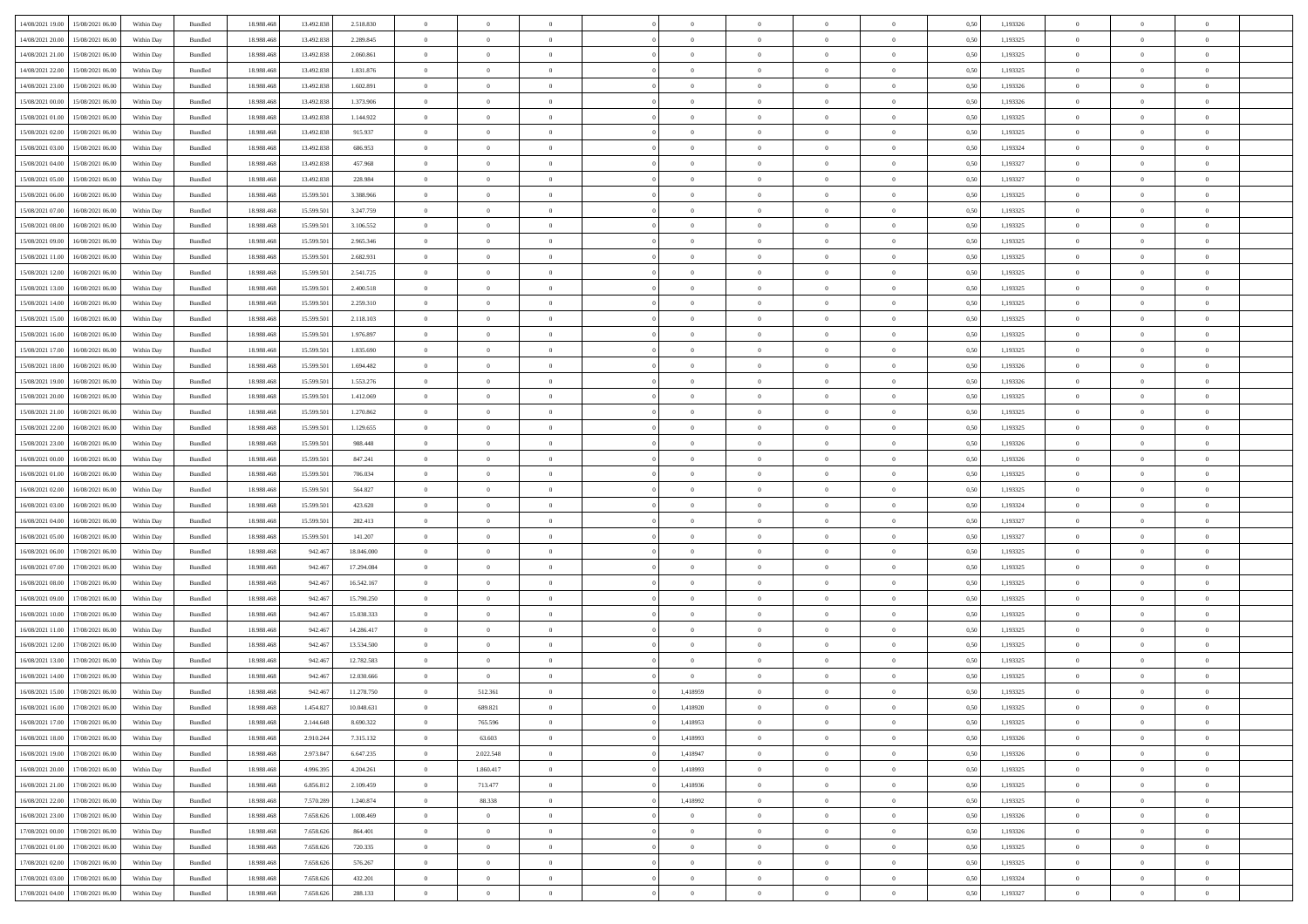| 14/08/2021 19:00 | 15/08/2021 06:00                  | Within Day | Bundled | 18.988.468 | 13.492.838 | 2.518.830  | $\overline{0}$ | $\theta$       |                | $\overline{0}$ | $\bf{0}$       | $\overline{0}$ | $\theta$       | 0,50 | 1,193326 | $\theta$       | $\theta$       | $\overline{0}$           |  |
|------------------|-----------------------------------|------------|---------|------------|------------|------------|----------------|----------------|----------------|----------------|----------------|----------------|----------------|------|----------|----------------|----------------|--------------------------|--|
|                  |                                   |            |         |            |            |            | $\overline{0}$ | $\overline{0}$ | $\overline{0}$ | $\overline{0}$ | $\,$ 0         |                |                |      |          | $\,$ 0 $\,$    | $\overline{0}$ | $\overline{0}$           |  |
| 14/08/2021 20:00 | 15/08/2021 06.00                  | Within Day | Bundled | 18.988.46  | 13.492.838 | 2.289.845  |                |                |                |                |                | $\overline{0}$ | $\bf{0}$       | 0,50 | 1,193325 |                |                |                          |  |
| 14/08/2021 21:00 | 15/08/2021 06:00                  | Within Day | Bundled | 18.988.468 | 13.492.838 | 2.060.861  | $\overline{0}$ | $\overline{0}$ | $\overline{0}$ | $\overline{0}$ | $\bf{0}$       | $\overline{0}$ | $\mathbf{0}$   | 0.50 | 1,193325 | $\bf{0}$       | $\overline{0}$ | $\overline{0}$           |  |
| 14/08/2021 22:00 | 15/08/2021 06:00                  | Within Day | Bundled | 18.988.468 | 13.492.838 | 1.831.876  | $\overline{0}$ | $\overline{0}$ | $\overline{0}$ | $\overline{0}$ | $\bf{0}$       | $\overline{0}$ | $\overline{0}$ | 0,50 | 1,193325 | $\,$ 0 $\,$    | $\overline{0}$ | $\overline{0}$           |  |
| 14/08/2021 23:00 | 15/08/2021 06.00                  | Within Day | Bundled | 18.988.46  | 13.492.838 | 1.602.891  | $\overline{0}$ | $\theta$       | $\overline{0}$ | $\overline{0}$ | $\,$ 0         | $\overline{0}$ | $\bf{0}$       | 0,50 | 1,193326 | $\,$ 0 $\,$    | $\overline{0}$ | $\overline{0}$           |  |
| 15/08/2021 00:00 | 15/08/2021 06:00                  | Within Day | Bundled | 18.988.468 | 13.492.838 | 1.373.906  | $\overline{0}$ | $\overline{0}$ | $\overline{0}$ | $\overline{0}$ | $\bf{0}$       | $\overline{0}$ | $\bf{0}$       | 0.50 | 1.193326 | $\,0\,$        | $\theta$       | $\overline{0}$           |  |
| 15/08/2021 01:00 | 15/08/2021 06:00                  | Within Day | Bundled | 18.988.468 | 13.492.838 | 1.144.922  | $\overline{0}$ | $\overline{0}$ | $\overline{0}$ | $\overline{0}$ | $\bf{0}$       | $\overline{0}$ | $\overline{0}$ | 0,50 | 1,193325 | $\,$ 0 $\,$    | $\theta$       | $\overline{0}$           |  |
| 15/08/2021 02:00 | 15/08/2021 06.00                  | Within Day | Bundled | 18.988.468 | 13.492.838 | 915.937    | $\overline{0}$ | $\overline{0}$ | $\overline{0}$ | $\overline{0}$ | $\,$ 0         | $\overline{0}$ | $\bf{0}$       | 0,50 | 1,193325 | $\,$ 0 $\,$    | $\overline{0}$ | $\overline{0}$           |  |
| 15/08/2021 03:00 | 15/08/2021 06:00                  | Within Day | Bundled | 18.988.468 | 13,492.838 | 686,953    | $\overline{0}$ | $\overline{0}$ | $\overline{0}$ | $\overline{0}$ | $\bf{0}$       | $\overline{0}$ | $\bf{0}$       | 0.50 | 1.193324 | $\,0\,$        | $\overline{0}$ | $\overline{0}$           |  |
|                  |                                   |            |         |            |            |            |                |                |                |                |                |                |                |      |          |                |                |                          |  |
| 15/08/2021 04:00 | 15/08/2021 06:00                  | Within Day | Bundled | 18.988.468 | 13.492.838 | 457.968    | $\overline{0}$ | $\overline{0}$ | $\overline{0}$ | $\overline{0}$ | $\bf{0}$       | $\overline{0}$ | $\bf{0}$       | 0,50 | 1,193327 | $\,$ 0 $\,$    | $\overline{0}$ | $\overline{0}$           |  |
| 15/08/2021 05:00 | 15/08/2021 06.00                  | Within Day | Bundled | 18.988.468 | 13.492.838 | 228.984    | $\bf{0}$       | $\theta$       | $\overline{0}$ | $\overline{0}$ | $\,$ 0         | $\bf{0}$       | $\bf{0}$       | 0,50 | 1,193327 | $\,$ 0 $\,$    | $\overline{0}$ | $\overline{0}$           |  |
| 15/08/2021 06:00 | 16/08/2021 06:00                  | Within Day | Bundled | 18.988.468 | 15,599.501 | 3.388.966  | $\overline{0}$ | $\overline{0}$ | $\overline{0}$ | $\overline{0}$ | $\bf{0}$       | $\overline{0}$ | $\mathbf{0}$   | 0.50 | 1.193325 | $\,$ 0 $\,$    | $\overline{0}$ | $\bf{0}$                 |  |
| 15/08/2021 07:00 | 16/08/2021 06:00                  | Within Day | Bundled | 18.988.468 | 15.599.501 | 3.247.759  | $\overline{0}$ | $\overline{0}$ | $\overline{0}$ | $\overline{0}$ | $\,$ 0         | $\overline{0}$ | $\overline{0}$ | 0,50 | 1,193325 | $\,$ 0 $\,$    | $\overline{0}$ | $\overline{0}$           |  |
| 15/08/2021 08:00 | 16/08/2021 06.00                  | Within Day | Bundled | 18.988.468 | 15.599.501 | 3.106.552  | $\overline{0}$ | $\theta$       | $\overline{0}$ | $\overline{0}$ | $\,$ 0         | $\overline{0}$ | $\bf{0}$       | 0,50 | 1,193325 | $\,$ 0 $\,$    | $\overline{0}$ | $\overline{0}$           |  |
| 15/08/2021 09:00 | 16/08/2021 06:00                  | Within Day | Bundled | 18.988.468 | 15,599.501 | 2.965.346  | $\overline{0}$ | $\overline{0}$ | $\overline{0}$ | $\overline{0}$ | $\bf{0}$       | $\overline{0}$ | $\bf{0}$       | 0.50 | 1.193325 | $\,0\,$        | $\theta$       | $\overline{0}$           |  |
| 15/08/2021 11:00 | 16/08/2021 06:00                  | Within Day | Bundled | 18.988.468 | 15.599.501 | 2.682.931  | $\overline{0}$ | $\overline{0}$ | $\overline{0}$ | $\overline{0}$ | $\,$ 0         | $\overline{0}$ | $\overline{0}$ | 0,50 | 1,193325 | $\,$ 0 $\,$    | $\theta$       | $\overline{0}$           |  |
| 15/08/2021 12:00 | 16/08/2021 06.00                  | Within Day | Bundled | 18.988.468 | 15.599.501 | 2.541.725  | $\overline{0}$ | $\theta$       | $\overline{0}$ | $\overline{0}$ | $\,$ 0         | $\overline{0}$ | $\bf{0}$       | 0,50 | 1,193325 | $\,$ 0 $\,$    | $\overline{0}$ | $\overline{0}$           |  |
| 15/08/2021 13:00 | 16/08/2021 06:00                  | Within Day | Bundled | 18.988.468 | 15,599.501 | 2.400.518  | $\overline{0}$ | $\overline{0}$ | $\overline{0}$ | $\overline{0}$ | $\bf{0}$       | $\overline{0}$ | $\bf{0}$       | 0.50 | 1.193325 | $\,0\,$        | $\overline{0}$ | $\overline{\phantom{a}}$ |  |
|                  |                                   |            |         |            |            |            |                |                |                |                |                |                |                |      |          |                |                |                          |  |
| 15/08/2021 14:00 | 16/08/2021 06:00                  | Within Day | Bundled | 18.988.468 | 15.599.501 | 2.259.310  | $\overline{0}$ | $\overline{0}$ | $\overline{0}$ | $\overline{0}$ | $\bf{0}$       | $\overline{0}$ | $\bf{0}$       | 0,50 | 1,193325 | $\,$ 0 $\,$    | $\overline{0}$ | $\overline{0}$           |  |
| 15/08/2021 15:00 | 16/08/2021 06.00                  | Within Day | Bundled | 18.988.468 | 15.599.501 | 2.118.103  | $\bf{0}$       | $\overline{0}$ | $\overline{0}$ | $\overline{0}$ | $\,$ 0         | $\bf{0}$       | $\bf{0}$       | 0,50 | 1,193325 | $\,$ 0 $\,$    | $\overline{0}$ | $\overline{0}$           |  |
| 15/08/2021 16:00 | 16/08/2021 06:00                  | Within Day | Bundled | 18.988.468 | 15,599.501 | 1.976.897  | $\overline{0}$ | $\overline{0}$ | $\overline{0}$ | $\overline{0}$ | $\bf{0}$       | $\overline{0}$ | $\mathbf{0}$   | 0.50 | 1.193325 | $\,$ 0 $\,$    | $\overline{0}$ | $\overline{\phantom{a}}$ |  |
| 15/08/2021 17:00 | 16/08/2021 06:00                  | Within Day | Bundled | 18.988.468 | 15.599.501 | 1.835.690  | $\overline{0}$ | $\overline{0}$ | $\overline{0}$ | $\overline{0}$ | $\bf{0}$       | $\overline{0}$ | $\overline{0}$ | 0,50 | 1,193325 | $\,$ 0 $\,$    | $\overline{0}$ | $\overline{0}$           |  |
| 15/08/2021 18:00 | 16/08/2021 06.00                  | Within Day | Bundled | 18.988.468 | 15.599.501 | 1.694.482  | $\overline{0}$ | $\theta$       | $\overline{0}$ | $\overline{0}$ | $\,$ 0         | $\overline{0}$ | $\bf{0}$       | 0,50 | 1,193326 | $\,$ 0 $\,$    | $\overline{0}$ | $\overline{0}$           |  |
| 15/08/2021 19:00 | 16/08/2021 06:00                  | Within Day | Bundled | 18.988.468 | 15,599.501 | 1.553.276  | $\overline{0}$ | $\overline{0}$ | $\overline{0}$ | $\overline{0}$ | $\bf{0}$       | $\overline{0}$ | $\bf{0}$       | 0.50 | 1.193326 | $\,0\,$        | $\theta$       | $\overline{0}$           |  |
| 15/08/2021 20:00 | 16/08/2021 06:00                  | Within Day | Bundled | 18.988.468 | 15.599.501 | 1.412.069  | $\overline{0}$ | $\overline{0}$ | $\overline{0}$ | $\overline{0}$ | $\,$ 0         | $\overline{0}$ | $\overline{0}$ | 0,50 | 1,193325 | $\,0\,$        | $\theta$       | $\overline{0}$           |  |
| 15/08/2021 21:00 | 16/08/2021 06.00                  | Within Day | Bundled | 18.988.468 | 15.599.501 | 1.270.862  | $\overline{0}$ | $\theta$       | $\overline{0}$ |                | $\,$ 0         | $\overline{0}$ | $\bf{0}$       | 0,50 | 1,193325 | $\,$ 0 $\,$    | $\overline{0}$ | $\overline{0}$           |  |
| 15/08/2021 22:00 | 16/08/2021 06:00                  | Within Day | Bundled | 18.988.468 | 15,599.501 | 1.129.655  | $\overline{0}$ | $\overline{0}$ | $\overline{0}$ | $\overline{0}$ | $\bf{0}$       | $\overline{0}$ | $\bf{0}$       | 0.50 | 1.193325 | $\,0\,$        | $\overline{0}$ | $\overline{0}$           |  |
| 15/08/2021 23:00 | 16/08/2021 06:00                  | Within Day | Bundled | 18.988.468 | 15.599.501 | 988.448    | $\overline{0}$ | $\overline{0}$ | $\overline{0}$ | $\overline{0}$ | $\bf{0}$       | $\overline{0}$ | $\bf{0}$       | 0,50 | 1,193326 | $\,$ 0 $\,$    | $\overline{0}$ | $\overline{0}$           |  |
|                  |                                   |            |         |            |            |            |                |                |                |                |                |                |                |      |          |                |                |                          |  |
| 16/08/2021 00:00 | 16/08/2021 06.00                  | Within Day | Bundled | 18.988.468 | 15.599.501 | 847.241    | $\overline{0}$ | $\overline{0}$ | $\overline{0}$ | $\overline{0}$ | $\bf{0}$       | $\bf{0}$       | $\bf{0}$       | 0,50 | 1,193326 | $\,$ 0 $\,$    | $\overline{0}$ | $\overline{0}$           |  |
| 16/08/2021 01:00 | 16/08/2021 06:00                  | Within Day | Bundled | 18.988.468 | 15,599.501 | 706,034    | $\overline{0}$ | $\bf{0}$       | $\overline{0}$ | $\overline{0}$ | $\bf{0}$       | $\overline{0}$ | $\mathbf{0}$   | 0.50 | 1.193325 | $\,$ 0 $\,$    | $\,$ 0 $\,$    | $\bf{0}$                 |  |
| 16/08/2021 02:00 | 16/08/2021 06:00                  | Within Dav | Bundled | 18.988.468 | 15.599.501 | 564,827    | $\overline{0}$ | $\overline{0}$ | $\overline{0}$ | $\overline{0}$ | $\overline{0}$ | $\overline{0}$ | $\overline{0}$ | 0.50 | 1,193325 | $\theta$       | $\overline{0}$ | $\overline{0}$           |  |
| 16/08/2021 03:00 | 16/08/2021 06.00                  | Within Day | Bundled | 18.988.468 | 15.599.501 | 423.620    | $\overline{0}$ | $\theta$       | $\overline{0}$ | $\overline{0}$ | $\,$ 0         | $\overline{0}$ | $\bf{0}$       | 0,50 | 1,193324 | $\,$ 0 $\,$    | $\overline{0}$ | $\overline{0}$           |  |
| 16/08/2021 04:00 | 16/08/2021 06:00                  | Within Day | Bundled | 18.988.468 | 15,599.501 | 282.413    | $\overline{0}$ | $\overline{0}$ | $\overline{0}$ | $\overline{0}$ | $\bf{0}$       | $\overline{0}$ | $\bf{0}$       | 0.50 | 1.193327 | $\,0\,$        | $\overline{0}$ | $\overline{0}$           |  |
| 16/08/2021 05:00 | 16/08/2021 06:00                  | Within Dav | Bundled | 18.988.468 | 15.599.501 | 141.207    | $\overline{0}$ | $\overline{0}$ | $\Omega$       | $\overline{0}$ | $\mathbf{0}$   | $\overline{0}$ | $\overline{0}$ | 0.50 | 1,193327 | $\theta$       | $\overline{0}$ | $\overline{0}$           |  |
| 16/08/2021 06:00 | 17/08/2021 06.00                  | Within Day | Bundled | 18.988.468 | 942.467    | 18.046.000 | $\overline{0}$ | $\theta$       | $\overline{0}$ | $\overline{0}$ | $\,$ 0         | $\bf{0}$       | $\bf{0}$       | 0,50 | 1,193325 | $\,$ 0 $\,$    | $\overline{0}$ | $\overline{0}$           |  |
| 16/08/2021 07:00 | 17/08/2021 06:00                  | Within Day | Bundled | 18,988,468 | 942.467    | 17.294.084 | $\overline{0}$ | $\overline{0}$ | $\overline{0}$ | $\overline{0}$ | $\bf{0}$       | $\overline{0}$ | $\bf{0}$       | 0.50 | 1.193325 | $\,0\,$        | $\overline{0}$ | $\overline{0}$           |  |
| 16/08/2021 08:00 | 17/08/2021 06:00                  | Within Dav | Bundled | 18.988.468 | 942.46     | 16.542.167 | $\overline{0}$ | $\overline{0}$ | $\overline{0}$ | $\overline{0}$ | $\overline{0}$ | $\overline{0}$ | $\overline{0}$ | 0.50 | 1,193325 | $\theta$       | $\overline{0}$ | $\overline{0}$           |  |
| 16/08/2021 09:00 | 17/08/2021 06.00                  | Within Day | Bundled | 18.988.468 | 942.467    | 15.790.250 | $\overline{0}$ | $\overline{0}$ | $\overline{0}$ | $\bf{0}$       | $\bf{0}$       | $\bf{0}$       | $\bf{0}$       | 0,50 | 1,193325 | $\,$ 0 $\,$    | $\overline{0}$ | $\overline{0}$           |  |
|                  |                                   |            |         |            |            |            |                |                |                |                |                |                |                |      |          |                |                |                          |  |
| 16/08/2021 10:00 | 17/08/2021 06:00                  | Within Day | Bundled | 18,988,468 | 942.467    | 15.038.333 | $\overline{0}$ | $\overline{0}$ | $\overline{0}$ | $\overline{0}$ | $\bf{0}$       | $\overline{0}$ | $\mathbf{0}$   | 0.50 | 1,193325 | $\,$ 0 $\,$    | $\overline{0}$ | $\overline{0}$           |  |
| 16/08/2021 11:00 | 17/08/2021 06:00                  | Within Dav | Bundled | 18.988.468 | 942.467    | 14.286.417 | $\overline{0}$ | $\overline{0}$ | $\Omega$       | $\overline{0}$ | $\mathbf{0}$   | $\overline{0}$ | $\overline{0}$ | 0.50 | 1,193325 | $\theta$       | $\overline{0}$ | $\overline{0}$           |  |
| 16/08/2021 12:00 | 17/08/2021 06.00                  | Within Day | Bundled | 18.988.468 | 942.467    | 13.534.500 | $\overline{0}$ | $\overline{0}$ | $\overline{0}$ | $\overline{0}$ | $\,$ 0         | $\bf{0}$       | $\bf{0}$       | 0,50 | 1,193325 | $\,$ 0 $\,$    | $\overline{0}$ | $\overline{0}$           |  |
| 16/08/2021 13:00 | 17/08/2021 06:00                  | Within Day | Bundled | 18,988,468 | 942.467    | 12.782.583 | $\overline{0}$ | $\overline{0}$ | $\overline{0}$ | $\overline{0}$ | $\bf{0}$       | $\overline{0}$ | $\bf{0}$       | 0.50 | 1,193325 | $\,0\,$        | $\theta$       | $\overline{0}$           |  |
| 16/08/2021 14:00 | 17/08/2021 06:00                  | Within Dav | Bundled | 18.988.468 | 942.46     | 12.030.666 | $\overline{0}$ | $\overline{0}$ | $\Omega$       | $\overline{0}$ | $\bf{0}$       | $\overline{0}$ | $\overline{0}$ | 0.50 | 1,193325 | $\theta$       | $\overline{0}$ | $\overline{0}$           |  |
| 16/08/2021 15:00 | 17/08/2021 06:00                  | Within Day | Bundled | 18.988.468 | 942.467    | 11.278.750 | $\overline{0}$ | 512.361        | $\overline{0}$ | 1,418959       | $\,$ 0         | $\bf{0}$       | $\bf{0}$       | 0,50 | 1,193325 | $\,$ 0 $\,$    | $\overline{0}$ | $\overline{0}$           |  |
| 16/08/2021 16:00 | 17/08/2021 06:00                  | Within Day | Bundled | 18.988.468 | 1.454.827  | 10.048.631 | $\bf{0}$       | 689.821        |                | 1.418920       | $\Omega$       |                |                | 0,50 | 1,193325 | $\bf{0}$       | $\theta$       |                          |  |
| 16/08/2021 17:00 | 17/08/2021 06:00                  | Within Day | Bundled | 18.988.468 | 2.144.648  | 8.690.322  | $\overline{0}$ | 765.596        | $\overline{0}$ | 1,418953       | $\overline{0}$ | $\overline{0}$ | $\mathbf{0}$   | 0,50 | 1,193325 | $\theta$       | $\theta$       | $\overline{0}$           |  |
| 16/08/2021 18:00 | 17/08/2021 06:00                  | Within Day | Bundled | 18.988.468 | 2.910.244  | 7.315.132  | $\bf{0}$       | 63.603         | $\overline{0}$ | 1,418993       | $\overline{0}$ | $\overline{0}$ | $\bf{0}$       | 0,50 | 1,193326 | $\bf{0}$       | $\overline{0}$ | $\bf{0}$                 |  |
| 16/08/2021 19:00 | 17/08/2021 06:00                  | Within Day | Bundled | 18,988,468 | 2.973.847  | 6.647.235  | $\overline{0}$ | 2.022.548      | $\overline{0}$ | 1,418947       | $\bf{0}$       | $\overline{0}$ | $\mathbf{0}$   | 0.50 | 1,193326 | $\overline{0}$ | $\bf{0}$       | $\bf{0}$                 |  |
|                  |                                   |            |         |            |            |            |                |                |                |                |                |                |                |      |          |                |                |                          |  |
| 16/08/2021 20:00 | 17/08/2021 06:00                  | Within Day | Bundled | 18.988.468 | 4.996.395  | 4.204.261  | $\overline{0}$ | 1.860.417      | $\overline{0}$ | 1,418993       | $\overline{0}$ | $\overline{0}$ | $\mathbf{0}$   | 0.50 | 1,193325 | $\overline{0}$ | $\theta$       | $\overline{0}$           |  |
| 16/08/2021 21:00 | 17/08/2021 06:00                  | Within Day | Bundled | 18.988.468 | 6.856.812  | 2.109.459  | $\bf{0}$       | 713.477        | $\overline{0}$ | 1,418936       | $\bf{0}$       | $\bf{0}$       | $\bf{0}$       | 0,50 | 1,193325 | $\bf{0}$       | $\overline{0}$ | $\overline{0}$           |  |
| 16/08/2021 22:00 | 17/08/2021 06:00                  | Within Day | Bundled | 18.988.468 | 7.570.289  | 1.240.874  | $\overline{0}$ | 88.338         | $\overline{0}$ | 1.418992       | $\bf{0}$       | $\overline{0}$ | $\mathbf{0}$   | 0.50 | 1.193325 | $\,$ 0 $\,$    | $\theta$       | $\overline{0}$           |  |
| 16/08/2021 23:00 | 17/08/2021 06:00                  | Within Day | Bundled | 18.988.468 | 7.658.626  | 1.008.469  | $\overline{0}$ | $\overline{0}$ | $\overline{0}$ | $\overline{0}$ | $\overline{0}$ | $\overline{0}$ | $\overline{0}$ | 0.50 | 1,193326 | $\overline{0}$ | $\theta$       | $\overline{0}$           |  |
| 17/08/2021 00:00 | 17/08/2021 06:00                  | Within Day | Bundled | 18.988.468 | 7.658.626  | 864.401    | $\overline{0}$ | $\overline{0}$ | $\overline{0}$ | $\bf{0}$       | $\,$ 0 $\,$    | $\bf{0}$       | $\bf{0}$       | 0,50 | 1,193326 | $\,$ 0 $\,$    | $\overline{0}$ | $\overline{0}$           |  |
| 17/08/2021 01:00 | 17/08/2021 06:00                  | Within Day | Bundled | 18,988,468 | 7.658.626  | 720.335    | $\overline{0}$ | $\overline{0}$ | $\overline{0}$ | $\overline{0}$ | $\bf{0}$       | $\overline{0}$ | $\mathbf{0}$   | 0.50 | 1.193325 | $\mathbf{0}$   | $\,$ 0 $\,$    | $\overline{0}$           |  |
| 17/08/2021 02:00 | 17/08/2021 06:00                  | Within Dav | Bundled | 18.988.468 | 7.658.626  | 576.267    | $\overline{0}$ | $\overline{0}$ | $\overline{0}$ | $\overline{0}$ | $\overline{0}$ | $\overline{0}$ | $\overline{0}$ | 0,50 | 1,193325 | $\overline{0}$ | $\theta$       | $\overline{0}$           |  |
| 17/08/2021 03:00 | 17/08/2021 06:00                  | Within Day | Bundled | 18.988.468 | 7.658.626  | 432.201    | $\overline{0}$ | $\overline{0}$ | $\overline{0}$ | $\bf{0}$       | $\bf{0}$       | $\bf{0}$       | $\bf{0}$       | 0,50 | 1,193324 | $\bf{0}$       | $\overline{0}$ | $\bf{0}$                 |  |
|                  |                                   |            |         |            |            |            |                |                |                |                |                |                |                |      |          |                |                |                          |  |
|                  | 17/08/2021 04:00 17/08/2021 06:00 | Within Day | Bundled | 18.988.468 | 7.658.626  | 288.133    | $\overline{0}$ | $\overline{0}$ | $\overline{0}$ | $\overline{0}$ | $\bf{0}$       | $\overline{0}$ | $\,$ 0 $\,$    | 0,50 | 1,193327 | $\overline{0}$ | $\,$ 0 $\,$    | $\,$ 0 $\,$              |  |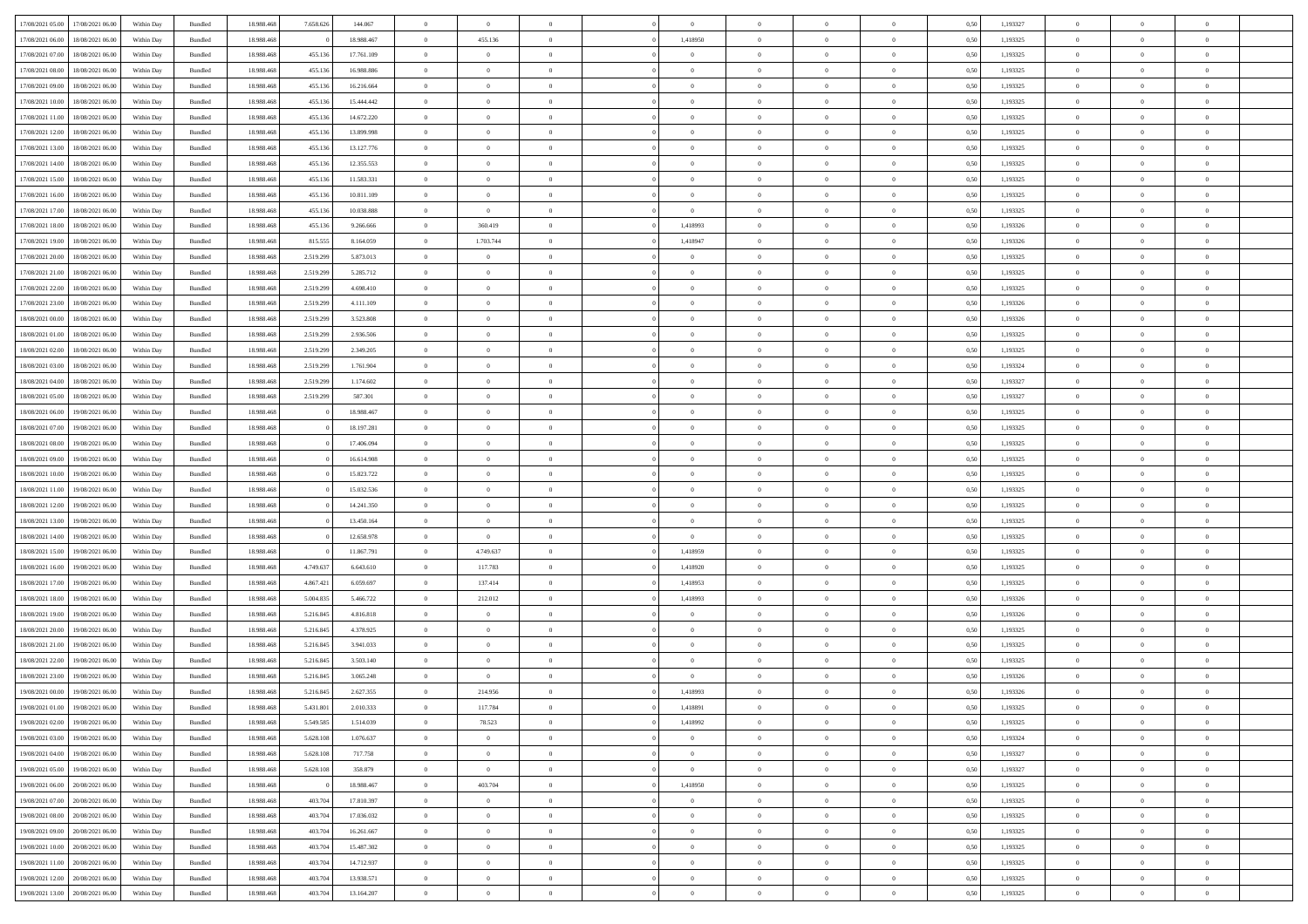| 17/08/2021 05:00                  | 17/08/2021 06:00 | Within Day | Bundled | 18.988.468 | 7.658.626 | 144.067    | $\overline{0}$ | $\theta$       |                | $\overline{0}$ | $\bf{0}$       | $\overline{0}$ | $\theta$       | 0,50 | 1,193327 | $\theta$       | $\theta$       | $\overline{0}$           |  |
|-----------------------------------|------------------|------------|---------|------------|-----------|------------|----------------|----------------|----------------|----------------|----------------|----------------|----------------|------|----------|----------------|----------------|--------------------------|--|
| 17/08/2021 06:00                  | 18/08/2021 06:00 | Within Day | Bundled | 18.988.468 |           | 18.988.467 | $\overline{0}$ | 455.136        | $\overline{0}$ | 1,418950       | $\,$ 0         | $\bf{0}$       | $\bf{0}$       | 0,50 | 1,193325 | $\,$ 0 $\,$    | $\overline{0}$ | $\overline{0}$           |  |
|                                   |                  |            |         |            |           |            |                |                |                |                |                |                |                |      |          |                |                |                          |  |
| 17/08/2021 07:00                  | 18/08/2021 06:00 | Within Day | Bundled | 18,988,468 | 455.136   | 17.761.109 | $\overline{0}$ | $\overline{0}$ | $\overline{0}$ | $\overline{0}$ | $\bf{0}$       | $\overline{0}$ | $\mathbf{0}$   | 0.50 | 1,193325 | $\bf{0}$       | $\overline{0}$ | $\overline{0}$           |  |
| 17/08/2021 08:00                  | 18/08/2021 06:00 | Within Day | Bundled | 18.988.468 | 455.136   | 16.988.886 | $\overline{0}$ | $\overline{0}$ | $\overline{0}$ | $\overline{0}$ | $\bf{0}$       | $\overline{0}$ | $\overline{0}$ | 0,50 | 1,193325 | $\,$ 0 $\,$    | $\overline{0}$ | $\overline{0}$           |  |
| 17/08/2021 09:00                  | 18/08/2021 06:00 | Within Day | Bundled | 18.988.468 | 455.136   | 16.216.664 | $\overline{0}$ | $\theta$       | $\overline{0}$ | $\overline{0}$ | $\overline{0}$ | $\overline{0}$ | $\bf{0}$       | 0,50 | 1,193325 | $\,$ 0 $\,$    | $\overline{0}$ | $\overline{0}$           |  |
| 17/08/2021 10:00                  | 18/08/2021 06:00 | Within Day | Bundled | 18,988,468 | 455.136   | 15.444.442 | $\overline{0}$ | $\overline{0}$ | $\overline{0}$ | $\overline{0}$ | $\bf{0}$       | $\overline{0}$ | $\overline{0}$ | 0.50 | 1.193325 | $\,0\,$        | $\theta$       | $\overline{0}$           |  |
| 17/08/2021 11:00                  | 18/08/2021 06:00 | Within Day | Bundled | 18.988.468 | 455.136   | 14.672.220 | $\overline{0}$ | $\overline{0}$ | $\overline{0}$ | $\overline{0}$ | $\,$ 0         | $\overline{0}$ | $\overline{0}$ | 0,50 | 1,193325 | $\,0\,$        | $\theta$       | $\overline{0}$           |  |
| 17/08/2021 12:00                  | 18/08/2021 06:00 | Within Day | Bundled | 18.988.468 | 455.136   | 13.899.998 | $\overline{0}$ | $\theta$       | $\overline{0}$ | $\overline{0}$ | $\,$ 0         | $\bf{0}$       | $\bf{0}$       | 0,50 | 1,193325 | $\,$ 0 $\,$    | $\overline{0}$ | $\overline{0}$           |  |
| 17/08/2021 13:00                  | 18/08/2021 06:00 | Within Day | Bundled | 18,988,468 | 455.136   | 13.127.776 | $\overline{0}$ | $\overline{0}$ | $\overline{0}$ | $\overline{0}$ | $\bf{0}$       | $\overline{0}$ | $\bf{0}$       | 0.50 | 1.193325 | $\,0\,$        | $\overline{0}$ | $\overline{0}$           |  |
| 17/08/2021 14:00                  | 18/08/2021 06:00 | Within Day | Bundled | 18.988.468 | 455.136   | 12.355.553 | $\overline{0}$ | $\overline{0}$ | $\overline{0}$ | $\overline{0}$ | $\,$ 0         | $\overline{0}$ | $\bf{0}$       | 0,50 | 1,193325 | $\,$ 0 $\,$    | $\overline{0}$ | $\overline{0}$           |  |
| 17/08/2021 15:00                  | 18/08/2021 06:00 | Within Day | Bundled | 18.988.468 | 455.136   | 11.583.331 | $\overline{0}$ | $\theta$       | $\overline{0}$ | $\overline{0}$ | $\,$ 0         | $\overline{0}$ | $\bf{0}$       | 0,50 | 1,193325 | $\,$ 0 $\,$    | $\overline{0}$ | $\overline{0}$           |  |
| 17/08/2021 16:00                  | 18/08/2021 06:00 | Within Day | Bundled | 18,988,468 | 455.136   | 10.811.109 | $\overline{0}$ | $\overline{0}$ | $\overline{0}$ | $\overline{0}$ | $\bf{0}$       | $\overline{0}$ | $\mathbf{0}$   | 0.50 | 1.193325 | $\bf{0}$       | $\overline{0}$ | $\overline{\phantom{a}}$ |  |
|                                   |                  |            |         |            |           |            |                | $\overline{0}$ |                |                |                |                |                |      |          |                | $\overline{0}$ |                          |  |
| 17/08/2021 17:00                  | 18/08/2021 06:00 | Within Day | Bundled | 18.988.468 | 455.136   | 10.038.888 | $\overline{0}$ |                | $\overline{0}$ | $\overline{0}$ | $\bf{0}$       | $\overline{0}$ | $\overline{0}$ | 0,50 | 1,193325 | $\,$ 0 $\,$    |                | $\overline{0}$           |  |
| 17/08/2021 18:00                  | 18/08/2021 06:00 | Within Day | Bundled | 18.988.468 | 455.136   | 9.266.666  | $\overline{0}$ | 360.419        | $\overline{0}$ | 1,418993       | $\overline{0}$ | $\overline{0}$ | $\bf{0}$       | 0,50 | 1,193326 | $\,$ 0 $\,$    | $\overline{0}$ | $\overline{0}$           |  |
| 17/08/2021 19:00                  | 18/08/2021 06:00 | Within Day | Bundled | 18,988,468 | 815.555   | 8.164.059  | $\overline{0}$ | 1.703.744      | $\overline{0}$ | 1.418947       | $\bf{0}$       | $\overline{0}$ | $\overline{0}$ | 0.50 | 1.193326 | $\theta$       | $\theta$       | $\overline{0}$           |  |
| 17/08/2021 20:00                  | 18/08/2021 06:00 | Within Day | Bundled | 18.988.468 | 2.519.299 | 5.873.013  | $\overline{0}$ | $\overline{0}$ | $\overline{0}$ | $\overline{0}$ | $\bf{0}$       | $\overline{0}$ | $\overline{0}$ | 0,50 | 1,193325 | $\,0\,$        | $\theta$       | $\overline{0}$           |  |
| 17/08/2021 21:00                  | 18/08/2021 06:00 | Within Day | Bundled | 18.988.468 | 2.519.299 | 5.285.712  | $\overline{0}$ | $\theta$       | $\overline{0}$ | $\overline{0}$ | $\bf{0}$       | $\overline{0}$ | $\bf{0}$       | 0,50 | 1,193325 | $\,$ 0 $\,$    | $\overline{0}$ | $\overline{0}$           |  |
| 17/08/2021 22:00                  | 18/08/2021 06:00 | Within Day | Bundled | 18.988.468 | 2.519.299 | 4.698.410  | $\overline{0}$ | $\overline{0}$ | $\overline{0}$ | $\overline{0}$ | $\bf{0}$       | $\overline{0}$ | $\bf{0}$       | 0.50 | 1.193325 | $\,0\,$        | $\overline{0}$ | $\overline{0}$           |  |
| 17/08/2021 23:00                  | 18/08/2021 06:00 | Within Day | Bundled | 18.988.468 | 2.519.299 | 4.111.109  | $\overline{0}$ | $\overline{0}$ | $\overline{0}$ | $\overline{0}$ | $\,$ 0         | $\overline{0}$ | $\bf{0}$       | 0,50 | 1,193326 | $\,$ 0 $\,$    | $\overline{0}$ | $\overline{0}$           |  |
| 18/08/2021 00:00                  | 18/08/2021 06:00 | Within Day | Bundled | 18.988.468 | 2.519.299 | 3.523.808  | $\overline{0}$ | $\theta$       | $\overline{0}$ | $\overline{0}$ | $\,$ 0         | $\bf{0}$       | $\bf{0}$       | 0,50 | 1,193326 | $\,$ 0 $\,$    | $\overline{0}$ | $\overline{0}$           |  |
| 18/08/2021 01:00                  | 18/08/2021 06:00 | Within Day | Bundled | 18,988,468 | 2.519.299 | 2.936.506  | $\overline{0}$ | $\overline{0}$ | $\overline{0}$ | $\overline{0}$ | $\bf{0}$       | $\overline{0}$ | $\mathbf{0}$   | 0.50 | 1.193325 | $\bf{0}$       | $\overline{0}$ | $\overline{0}$           |  |
| 18/08/2021 02:00                  | 18/08/2021 06:00 | Within Day | Bundled | 18.988.468 | 2.519.299 | 2.349.205  | $\overline{0}$ | $\overline{0}$ | $\overline{0}$ | $\overline{0}$ | $\bf{0}$       | $\overline{0}$ | $\overline{0}$ | 0,50 | 1,193325 | $\,$ 0 $\,$    | $\overline{0}$ | $\overline{0}$           |  |
|                                   | 18/08/2021 06:00 | Within Day | Bundled | 18.988.468 | 2.519.299 | 1.761.904  | $\overline{0}$ | $\theta$       | $\overline{0}$ | $\overline{0}$ | $\,$ 0         | $\overline{0}$ | $\bf{0}$       | 0,50 | 1,193324 | $\,$ 0 $\,$    | $\overline{0}$ | $\overline{0}$           |  |
| 18/08/2021 03:00                  |                  |            |         |            |           |            |                |                |                |                |                |                |                |      |          |                |                |                          |  |
| 18/08/2021 04:00                  | 18/08/2021 06:00 | Within Day | Bundled | 18.988.468 | 2.519.299 | 1.174.602  | $\overline{0}$ | $\overline{0}$ | $\overline{0}$ | $\overline{0}$ | $\bf{0}$       | $\overline{0}$ | $\bf{0}$       | 0.50 | 1.193327 | $\,0\,$        | $\theta$       | $\overline{0}$           |  |
| 18/08/2021 05:00                  | 18/08/2021 06:00 | Within Day | Bundled | 18.988.468 | 2.519.299 | 587.301    | $\overline{0}$ | $\overline{0}$ | $\overline{0}$ | $\overline{0}$ | $\bf{0}$       | $\overline{0}$ | $\overline{0}$ | 0,50 | 1,193327 | $\,0\,$        | $\theta$       | $\overline{0}$           |  |
| 18/08/2021 06:00                  | 19/08/2021 06.00 | Within Day | Bundled | 18.988.468 |           | 18.988.467 | $\overline{0}$ | $\theta$       | $\overline{0}$ |                | $\bf{0}$       | $\overline{0}$ | $\bf{0}$       | 0,50 | 1,193325 | $\,$ 0 $\,$    | $\overline{0}$ | $\overline{0}$           |  |
| 18/08/2021 07:00                  | 19/08/2021 06:00 | Within Day | Bundled | 18,988,468 |           | 18.197.281 | $\overline{0}$ | $\overline{0}$ | $\overline{0}$ | $\overline{0}$ | $\bf{0}$       | $\overline{0}$ | $\bf{0}$       | 0.50 | 1.193325 | $\,0\,$        | $\overline{0}$ | $\overline{0}$           |  |
| 18/08/2021 08:00                  | 19/08/2021 06:00 | Within Day | Bundled | 18.988.468 |           | 17.406.094 | $\overline{0}$ | $\overline{0}$ | $\overline{0}$ | $\overline{0}$ | $\bf{0}$       | $\overline{0}$ | $\bf{0}$       | 0,50 | 1,193325 | $\,$ 0 $\,$    | $\theta$       | $\overline{0}$           |  |
| 18/08/2021 09:00                  | 19/08/2021 06.00 | Within Day | Bundled | 18.988.468 |           | 16.614.908 | $\overline{0}$ | $\theta$       | $\overline{0}$ | $\overline{0}$ | $\bf{0}$       | $\bf{0}$       | $\bf{0}$       | 0,50 | 1,193325 | $\,$ 0 $\,$    | $\overline{0}$ | $\overline{0}$           |  |
| 18/08/2021 10:00                  | 19/08/2021 06:00 | Within Day | Bundled | 18,988,468 |           | 15.823.722 | $\overline{0}$ | $\overline{0}$ | $\overline{0}$ | $\overline{0}$ | $\bf{0}$       | $\overline{0}$ | $\mathbf{0}$   | 0.50 | 1.193325 | $\bf{0}$       | $\overline{0}$ | $\overline{\phantom{a}}$ |  |
| 18/08/2021 11:00                  | 19/08/2021 06:00 | Within Dav | Bundled | 18.988.468 |           | 15.032.536 | $\overline{0}$ | $\overline{0}$ | $\overline{0}$ | $\overline{0}$ | $\bf{0}$       | $\overline{0}$ | $\overline{0}$ | 0.50 | 1,193325 | $\theta$       | $\overline{0}$ | $\overline{0}$           |  |
| 18/08/2021 12:00                  | 19/08/2021 06.00 | Within Day | Bundled | 18.988.468 |           | 14.241.350 | $\overline{0}$ | $\theta$       | $\overline{0}$ | $\overline{0}$ | $\,$ 0         | $\overline{0}$ | $\bf{0}$       | 0,50 | 1,193325 | $\,$ 0 $\,$    | $\overline{0}$ | $\overline{0}$           |  |
| 18/08/2021 13:00                  | 19/08/2021 06:00 | Within Day | Bundled | 18,988,468 |           | 13.450.164 | $\overline{0}$ | $\overline{0}$ | $\overline{0}$ | $\overline{0}$ | $\,$ 0         | $\overline{0}$ | $\bf{0}$       | 0.50 | 1.193325 | $\,0\,$        | $\theta$       | $\overline{0}$           |  |
| 18/08/2021 14:00                  | 19/08/2021 06:00 | Within Dav | Bundled | 18.988.468 |           | 12.658.978 | $\overline{0}$ | $\overline{0}$ | $\Omega$       | $\overline{0}$ | $\bf{0}$       | $\overline{0}$ | $\overline{0}$ | 0.50 | 1,193325 | $\theta$       | $\overline{0}$ | $\overline{0}$           |  |
|                                   |                  |            |         |            |           |            | $\overline{0}$ |                | $\overline{0}$ |                |                | $\overline{0}$ |                |      |          |                |                | $\overline{0}$           |  |
| 18/08/2021 15:00                  | 19/08/2021 06.00 | Within Day | Bundled | 18.988.468 |           | 11.867.791 |                | 4.749.637      |                | 1,418959       | $\,$ 0         |                | $\bf{0}$       | 0,50 | 1,193325 | $\,$ 0 $\,$    | $\overline{0}$ |                          |  |
| 18/08/2021 16:00                  | 19/08/2021 06:00 | Within Day | Bundled | 18,988,468 | 4.749.637 | 6.643.610  | $\overline{0}$ | 117.783        | $\overline{0}$ | 1.418920       | $\bf{0}$       | $\overline{0}$ | $\bf{0}$       | 0.50 | 1.193325 | $\,0\,$        | $\overline{0}$ | $\overline{0}$           |  |
| 18/08/2021 17:00                  | 19/08/2021 06:00 | Within Dav | Bundled | 18.988.468 | 4.867.421 | 6.059.697  | $\overline{0}$ | 137.414        | $\overline{0}$ | 1,418953       | $\overline{0}$ | $\overline{0}$ | $\overline{0}$ | 0.50 | 1,193325 | $\theta$       | $\overline{0}$ | $\overline{0}$           |  |
| 18/08/2021 18:00                  | 19/08/2021 06.00 | Within Day | Bundled | 18.988.468 | 5.004.835 | 5.466.722  | $\overline{0}$ | 212.012        | $\overline{0}$ | 1,418993       | $\bf{0}$       | $\bf{0}$       | $\bf{0}$       | 0,50 | 1,193326 | $\,$ 0 $\,$    | $\overline{0}$ | $\overline{0}$           |  |
| 18/08/2021 19:00                  | 19/08/2021 06:00 | Within Day | Bundled | 18,988,468 | 5.216.845 | 4.816.818  | $\overline{0}$ | $\overline{0}$ | $\overline{0}$ | $\overline{0}$ | $\bf{0}$       | $\overline{0}$ | $\mathbf{0}$   | 0.50 | 1.193326 | $\bf{0}$       | $\overline{0}$ | $\overline{0}$           |  |
| 18/08/2021 20:00                  | 19/08/2021 06:00 | Within Dav | Bundled | 18.988.468 | 5.216.845 | 4.378.925  | $\overline{0}$ | $\overline{0}$ | $\Omega$       | $\overline{0}$ | $\bf{0}$       | $\overline{0}$ | $\overline{0}$ | 0.50 | 1,193325 | $\theta$       | $\overline{0}$ | $\overline{0}$           |  |
| 18/08/2021 21:00                  | 19/08/2021 06.00 | Within Day | Bundled | 18.988.468 | 5.216.845 | 3.941.033  | $\overline{0}$ | $\overline{0}$ | $\overline{0}$ | $\overline{0}$ | $\,$ 0         | $\overline{0}$ | $\bf{0}$       | 0,50 | 1,193325 | $\,$ 0 $\,$    | $\overline{0}$ | $\overline{0}$           |  |
| 18/08/2021 22:00                  | 19/08/2021 06:00 | Within Day | Bundled | 18.988.468 | 5.216.845 | 3.503.140  | $\overline{0}$ | $\overline{0}$ | $\overline{0}$ | $\overline{0}$ | $\,$ 0         | $\Omega$       | $\overline{0}$ | 0.50 | 1,193325 | $\,0\,$        | $\theta$       | $\overline{0}$           |  |
| 18/08/2021 23:00                  | 19/08/2021 06:00 | Within Dav | Bundled | 18.988.468 | 5.216.845 | 3.065.248  | $\overline{0}$ | $\overline{0}$ | $\Omega$       | $\overline{0}$ | $\bf{0}$       | $\overline{0}$ | $\overline{0}$ | 0.50 | 1,193326 | $\theta$       | $\overline{0}$ | $\overline{0}$           |  |
| 19/08/2021 00:00                  | 19/08/2021 06:00 | Within Day | Bundled | 18.988.468 | 5.216.845 | 2.627.355  | $\overline{0}$ | 214.956        | $\overline{0}$ | 1,418993       | $\,$ 0         | $\bf{0}$       | $\bf{0}$       | 0,50 | 1,193326 | $\,$ 0 $\,$    | $\overline{0}$ | $\overline{0}$           |  |
| 19/08/2021 01:00                  | 19/08/2021 06:00 | Within Day | Bundled | 18.988.468 | 5.431.801 | 2.010.333  | $\bf{0}$       | 117.784        |                | 1.418891       | $\bf{0}$       |                |                | 0,50 | 1,193325 | $\bf{0}$       | $\theta$       |                          |  |
| 19/08/2021 02:00                  | 19/08/2021 06:00 | Within Day | Bundled | 18.988.468 | 5.549.585 | 1.514.039  | $\overline{0}$ | 78.523         | $\overline{0}$ | 1,418992       | $\overline{0}$ | $\overline{0}$ | $\mathbf{0}$   | 0,50 | 1,193325 | $\theta$       | $\overline{0}$ | $\overline{0}$           |  |
|                                   |                  |            |         |            |           |            |                |                |                |                |                |                |                |      |          |                |                |                          |  |
| 19/08/2021 03:00                  | 19/08/2021 06:00 | Within Day | Bundled | 18.988.468 | 5.628.108 | 1.076.637  | $\overline{0}$ | $\bf{0}$       | $\overline{0}$ | $\bf{0}$       | $\overline{0}$ | $\overline{0}$ | $\mathbf{0}$   | 0,50 | 1,193324 | $\overline{0}$ | $\overline{0}$ | $\bf{0}$                 |  |
| 19/08/2021 04:00                  | 19/08/2021 06:00 | Within Day | Bundled | 18.988.468 | 5.628.108 | 717.758    | $\overline{0}$ | $\overline{0}$ | $\overline{0}$ | $\overline{0}$ | $\overline{0}$ | $\overline{0}$ | $\mathbf{0}$   | 0.50 | 1.193327 | $\overline{0}$ | $\bf{0}$       | $\overline{0}$           |  |
| 19/08/2021 05:00                  | 19/08/2021 06:00 | Within Dav | Bundled | 18.988.468 | 5.628.108 | 358.879    | $\overline{0}$ | $\overline{0}$ | $\overline{0}$ | $\overline{0}$ | $\overline{0}$ | $\overline{0}$ | $\mathbf{0}$   | 0.50 | 1,193327 | $\overline{0}$ | $\theta$       | $\overline{0}$           |  |
| 19/08/2021 06:00                  | 20/08/2021 06:00 | Within Day | Bundled | 18.988.468 |           | 18.988.467 | $\overline{0}$ | 403.704        | $\overline{0}$ | 1,418950       | $\bf{0}$       | $\bf{0}$       | $\bf{0}$       | 0,50 | 1,193325 | $\bf{0}$       | $\overline{0}$ | $\overline{0}$           |  |
| 19/08/2021 07:00                  | 20/08/2021 06:00 | Within Day | Bundled | 18,988,468 | 403.704   | 17.810.397 | $\overline{0}$ | $\overline{0}$ | $\overline{0}$ | $\overline{0}$ | $\bf{0}$       | $\overline{0}$ | $\mathbf{0}$   | 0.50 | 1.193325 | $\,$ 0 $\,$    | $\overline{0}$ | $\overline{0}$           |  |
| 19/08/2021 08:00                  | 20/08/2021 06:00 | Within Day | Bundled | 18.988.468 | 403.704   | 17.036.032 | $\overline{0}$ | $\overline{0}$ | $\overline{0}$ | $\overline{0}$ | $\overline{0}$ | $\overline{0}$ | $\overline{0}$ | 0,50 | 1,193325 | $\overline{0}$ | $\theta$       | $\overline{0}$           |  |
| 19/08/2021 09:00                  | 20/08/2021 06:00 | Within Day | Bundled | 18.988.468 | 403.704   | 16.261.667 | $\overline{0}$ | $\,$ 0         | $\overline{0}$ | $\bf{0}$       | $\,$ 0 $\,$    | $\overline{0}$ | $\bf{0}$       | 0,50 | 1,193325 | $\,$ 0 $\,$    | $\overline{0}$ | $\overline{0}$           |  |
| 19/08/2021 10:00                  | 20/08/2021 06:00 | Within Day | Bundled | 18,988,468 | 403,704   | 15,487,302 | $\overline{0}$ | $\overline{0}$ | $\overline{0}$ | $\overline{0}$ | $\bf{0}$       | $\overline{0}$ | $\mathbf{0}$   | 0.50 | 1.193325 | $\mathbf{0}$   | $\bf{0}$       | $\overline{0}$           |  |
| 19/08/2021 11:00                  | 20/08/2021 06:00 | Within Dav | Bundled | 18.988.468 | 403.704   | 14.712.937 | $\overline{0}$ | $\overline{0}$ | $\overline{0}$ | $\overline{0}$ | $\overline{0}$ | $\overline{0}$ | $\overline{0}$ | 0,50 | 1,193325 | $\overline{0}$ | $\theta$       | $\overline{0}$           |  |
| 19/08/2021 12:00                  | 20/08/2021 06:00 | Within Day | Bundled | 18.988.468 | 403.704   | 13.938.571 | $\overline{0}$ | $\bf{0}$       | $\overline{0}$ | $\bf{0}$       | $\bf{0}$       | $\bf{0}$       | $\bf{0}$       | 0,50 | 1,193325 | $\overline{0}$ | $\overline{0}$ | $\bf{0}$                 |  |
|                                   |                  |            |         |            |           |            |                |                |                |                |                |                |                |      |          |                |                |                          |  |
| 19/08/2021 13:00 20/08/2021 06:00 |                  | Within Day | Bundled | 18.988.468 | 403.704   | 13.164.207 | $\overline{0}$ | $\,$ 0 $\,$    | $\overline{0}$ | $\overline{0}$ | $\,$ 0 $\,$    | $\overline{0}$ | $\,$ 0 $\,$    | 0,50 | 1,193325 | $\overline{0}$ | $\,$ 0 $\,$    | $\,$ 0 $\,$              |  |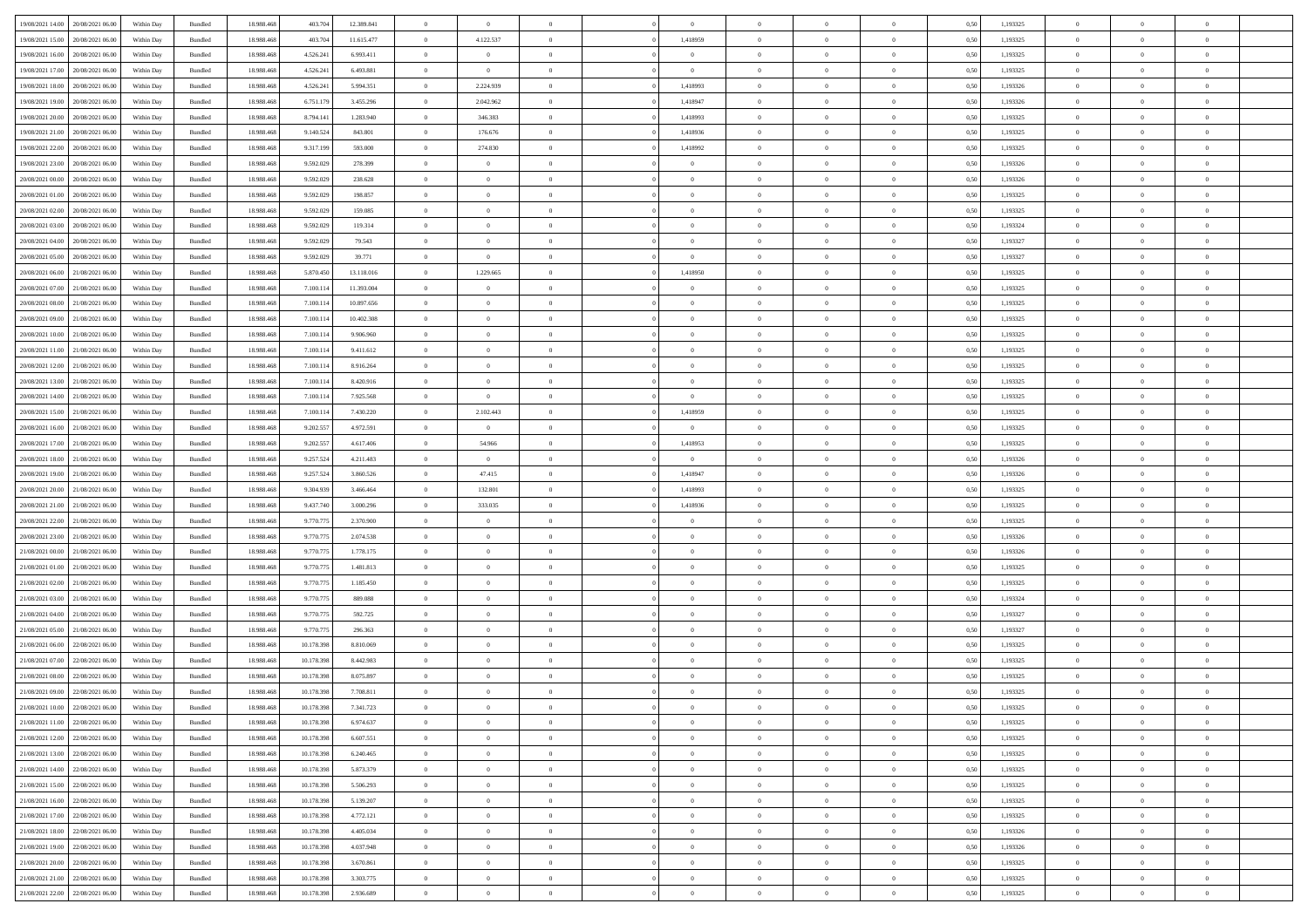| 19/08/2021 14:00                  | 20/08/2021 06:00 | Within Day | Bundled | 18.988.468 | 403.704    | 12.389.841 | $\overline{0}$ | $\overline{0}$ |                | $\overline{0}$ | $\bf{0}$       | $\overline{0}$ | $\theta$       | 0,50 | 1,193325 | $\theta$       | $\theta$       | $\sqrt{a}$               |  |
|-----------------------------------|------------------|------------|---------|------------|------------|------------|----------------|----------------|----------------|----------------|----------------|----------------|----------------|------|----------|----------------|----------------|--------------------------|--|
| 19/08/2021 15:00                  | 20/08/2021 06:00 | Within Day | Bundled | 18.988.468 | 403.704    | 11.615.477 | $\overline{0}$ | 4.122.537      | $\overline{0}$ | 1,418959       | $\,$ 0         | $\bf{0}$       | $\bf{0}$       | 0,50 | 1,193325 | $\,$ 0 $\,$    | $\overline{0}$ | $\overline{0}$           |  |
|                                   |                  |            |         |            |            |            |                |                |                |                |                |                |                |      |          |                |                |                          |  |
| 19/08/2021 16:00                  | 20/08/2021 06:00 | Within Day | Bundled | 18,988,468 | 4.526.241  | 6.993.411  | $\overline{0}$ | $\overline{0}$ | $\overline{0}$ | $\overline{0}$ | $\bf{0}$       | $\overline{0}$ | $\mathbf{0}$   | 0.50 | 1.193325 | $\bf{0}$       | $\overline{0}$ | $\overline{0}$           |  |
| 19/08/2021 17:00                  | 20/08/2021 06:00 | Within Day | Bundled | 18.988.468 | 4.526.241  | 6.493.881  | $\overline{0}$ | $\overline{0}$ | $\overline{0}$ | $\overline{0}$ | $\bf{0}$       | $\overline{0}$ | $\overline{0}$ | 0,50 | 1,193325 | $\,$ 0 $\,$    | $\overline{0}$ | $\overline{0}$           |  |
| 19/08/2021 18:00                  | 20/08/2021 06:00 | Within Day | Bundled | 18.988.468 | 4.526.241  | 5.994.351  | $\overline{0}$ | 2.224.939      | $\overline{0}$ | 1,418993       | $\overline{0}$ | $\overline{0}$ | $\bf{0}$       | 0,50 | 1,193326 | $\,$ 0 $\,$    | $\overline{0}$ | $\overline{0}$           |  |
| 19/08/2021 19:00                  | 20/08/2021 06:00 | Within Day | Bundled | 18.988.468 | 6.751.179  | 3.455.296  | $\overline{0}$ | 2.042.962      | $\overline{0}$ | 1.418947       | $\overline{0}$ | $\overline{0}$ | $\overline{0}$ | 0.50 | 1.193326 | $\,0\,$        | $\theta$       | $\overline{0}$           |  |
| 19/08/2021 20:00                  | 20/08/2021 06:00 | Within Day | Bundled | 18.988.468 | 8.794.141  | 1.283.940  | $\overline{0}$ | 346.383        | $\overline{0}$ | 1,418993       | $\bf{0}$       | $\overline{0}$ | $\overline{0}$ | 0,50 | 1,193325 | $\,0\,$        | $\theta$       | $\overline{0}$           |  |
| 19/08/2021 21:00                  | 20/08/2021 06:00 | Within Day | Bundled | 18.988.468 | 9.140.524  | 843.801    | $\overline{0}$ | 176.676        | $\overline{0}$ | 1,418936       | $\bf{0}$       | $\overline{0}$ | $\bf{0}$       | 0,50 | 1,193325 | $\,$ 0 $\,$    | $\overline{0}$ | $\overline{0}$           |  |
| 19/08/2021 22:00                  | 20/08/2021 06:00 | Within Day | Bundled | 18.988.468 | 9.317.199  | 593,000    | $\overline{0}$ | 274.830        | $\overline{0}$ | 1.418992       | $\bf{0}$       | $\overline{0}$ | $\bf{0}$       | 0.50 | 1.193325 | $\,0\,$        | $\overline{0}$ | $\overline{0}$           |  |
| 19/08/2021 23:00                  | 20/08/2021 06:00 | Within Day | Bundled | 18.988.468 | 9.592.029  | 278.399    | $\overline{0}$ | $\overline{0}$ | $\overline{0}$ | $\overline{0}$ | $\bf{0}$       | $\overline{0}$ | $\bf{0}$       | 0,50 | 1,193326 | $\,$ 0 $\,$    | $\overline{0}$ | $\overline{0}$           |  |
| 20/08/2021 00:00                  | 20/08/2021 06:00 | Within Day | Bundled | 18.988.468 | 9.592.029  | 238.628    | $\bf{0}$       | $\theta$       | $\overline{0}$ | $\overline{0}$ | $\,$ 0         | $\overline{0}$ | $\bf{0}$       | 0,50 | 1,193326 | $\,$ 0 $\,$    | $\overline{0}$ | $\overline{0}$           |  |
| 20/08/2021 01:00                  | 20/08/2021 06:00 |            | Bundled | 18,988,468 |            | 198,857    |                | $\overline{0}$ | $\overline{0}$ | $\overline{0}$ | $\bf{0}$       | $\overline{0}$ |                | 0.50 | 1.193325 | $\bf{0}$       | $\overline{0}$ | $\bf{0}$                 |  |
|                                   |                  | Within Day |         |            | 9.592.029  |            | $\overline{0}$ |                |                |                |                |                | $\mathbf{0}$   |      |          |                |                |                          |  |
| 20/08/2021 02:00                  | 20/08/2021 06:00 | Within Day | Bundled | 18.988.468 | 9.592.029  | 159.085    | $\overline{0}$ | $\overline{0}$ | $\overline{0}$ | $\overline{0}$ | $\bf{0}$       | $\overline{0}$ | $\overline{0}$ | 0,50 | 1,193325 | $\,$ 0 $\,$    | $\theta$       | $\overline{0}$           |  |
| 20/08/2021 03:00                  | 20/08/2021 06:00 | Within Day | Bundled | 18.988.468 | 9.592.029  | 119.314    | $\overline{0}$ | $\theta$       | $\overline{0}$ | $\overline{0}$ | $\overline{0}$ | $\overline{0}$ | $\bf{0}$       | 0,50 | 1,193324 | $\,$ 0 $\,$    | $\overline{0}$ | $\overline{0}$           |  |
| 20/08/2021 04:00                  | 20/08/2021 06:00 | Within Day | Bundled | 18.988.468 | 9.592.029  | 79.543     | $\overline{0}$ | $\overline{0}$ | $\overline{0}$ | $\overline{0}$ | $\,$ 0         | $\overline{0}$ | $\bf{0}$       | 0.50 | 1.193327 | $\,0\,$        | $\theta$       | $\overline{0}$           |  |
| 20/08/2021 05:00                  | 20/08/2021 06:00 | Within Day | Bundled | 18.988.468 | 9.592.029  | 39.771     | $\overline{0}$ | $\overline{0}$ | $\overline{0}$ | $\overline{0}$ | $\bf{0}$       | $\overline{0}$ | $\overline{0}$ | 0,50 | 1,193327 | $\,0\,$        | $\theta$       | $\overline{0}$           |  |
| 20/08/2021 06:00                  | 21/08/2021 06.00 | Within Day | Bundled | 18.988.468 | 5.870.450  | 13.118.016 | $\overline{0}$ | 1.229.665      | $\overline{0}$ | 1,418950       | $\bf{0}$       | $\overline{0}$ | $\bf{0}$       | 0,50 | 1,193325 | $\,$ 0 $\,$    | $\overline{0}$ | $\overline{0}$           |  |
| 20/08/2021 07:00                  | 21/08/2021 06:00 | Within Day | Bundled | 18.988.468 | 7.100.114  | 11.393.004 | $\overline{0}$ | $\overline{0}$ | $\overline{0}$ | $\overline{0}$ | $\bf{0}$       | $\overline{0}$ | $\bf{0}$       | 0.50 | 1.193325 | $\,0\,$        | $\overline{0}$ | $\overline{0}$           |  |
| 20/08/2021 08:00                  | 21/08/2021 06:00 | Within Day | Bundled | 18.988.468 | 7.100.114  | 10.897.656 | $\overline{0}$ | $\overline{0}$ | $\overline{0}$ | $\overline{0}$ | $\bf{0}$       | $\overline{0}$ | $\overline{0}$ | 0,50 | 1,193325 | $\,$ 0 $\,$    | $\overline{0}$ | $\overline{0}$           |  |
| 20/08/2021 09:00                  | 21/08/2021 06.00 | Within Day | Bundled | 18.988.468 | 7.100.11   | 10.402.308 | $\bf{0}$       | $\theta$       | $\overline{0}$ | $\overline{0}$ | $\,$ 0         | $\bf{0}$       | $\bf{0}$       | 0,50 | 1,193325 | $\,$ 0 $\,$    | $\overline{0}$ | $\overline{0}$           |  |
| 20/08/2021 10:00                  | 21/08/2021 06:00 | Within Day | Bundled | 18,988,468 | 7.100.114  | 9.906.960  | $\overline{0}$ | $\overline{0}$ | $\overline{0}$ | $\overline{0}$ | $\bf{0}$       | $\overline{0}$ | $\mathbf{0}$   | 0.50 | 1.193325 | $\bf{0}$       | $\overline{0}$ | $\overline{0}$           |  |
| 20/08/2021 11:00                  | 21/08/2021 06:00 | Within Day | Bundled | 18.988.468 | 7.100.114  | 9.411.612  | $\overline{0}$ | $\overline{0}$ | $\overline{0}$ | $\overline{0}$ | $\bf{0}$       | $\overline{0}$ | $\overline{0}$ | 0,50 | 1,193325 | $\,$ 0 $\,$    | $\overline{0}$ | $\overline{0}$           |  |
| 20/08/2021 12:00                  | 21/08/2021 06.00 | Within Day | Bundled | 18.988.468 | 7.100.11   | 8.916.264  | $\overline{0}$ | $\theta$       | $\overline{0}$ | $\overline{0}$ | $\,$ 0         | $\overline{0}$ | $\bf{0}$       | 0,50 | 1,193325 | $\,$ 0 $\,$    | $\overline{0}$ | $\overline{0}$           |  |
|                                   |                  |            |         |            |            |            |                |                |                |                |                |                |                |      |          |                |                |                          |  |
| 20/08/2021 13:00                  | 21/08/2021 06:00 | Within Day | Bundled | 18.988.468 | 7.100.114  | 8.420.916  | $\overline{0}$ | $\overline{0}$ | $\overline{0}$ | $\overline{0}$ | $\bf{0}$       | $\overline{0}$ | $\overline{0}$ | 0.50 | 1.193325 | $\,0\,$        | $\theta$       | $\overline{0}$           |  |
| 20/08/2021 14:00                  | 21/08/2021 06:00 | Within Day | Bundled | 18.988.468 | 7.100.114  | 7.925.568  | $\overline{0}$ | $\overline{0}$ | $\overline{0}$ | $\overline{0}$ | $\bf{0}$       | $\overline{0}$ | $\overline{0}$ | 0,50 | 1,193325 | $\,0\,$        | $\theta$       | $\overline{0}$           |  |
| 20/08/2021 15:00                  | 21/08/2021 06.00 | Within Day | Bundled | 18.988.468 | 7.100.11   | 7.430.220  | $\overline{0}$ | 2.102.443      | $\overline{0}$ | 1,418959       | $\bf{0}$       | $\overline{0}$ | $\bf{0}$       | 0,50 | 1,193325 | $\,$ 0 $\,$    | $\overline{0}$ | $\overline{0}$           |  |
| 20/08/2021 16:00                  | 21/08/2021 06:00 | Within Day | Bundled | 18.988.468 | 9.202.557  | 4.972.591  | $\overline{0}$ | $\overline{0}$ | $\overline{0}$ | $\overline{0}$ | $\bf{0}$       | $\overline{0}$ | $\bf{0}$       | 0.50 | 1.193325 | $\,0\,$        | $\overline{0}$ | $\overline{0}$           |  |
| 20/08/2021 17:00                  | 21/08/2021 06:00 | Within Day | Bundled | 18.988.468 | 9.202.557  | 4.617.406  | $\overline{0}$ | 54.966         | $\overline{0}$ | 1,418953       | $\bf{0}$       | $\overline{0}$ | $\bf{0}$       | 0,50 | 1,193325 | $\,$ 0 $\,$    | $\overline{0}$ | $\overline{0}$           |  |
| 20/08/2021 18:00                  | 21/08/2021 06.00 | Within Day | Bundled | 18.988.468 | 9.257.524  | 4.211.483  | $\bf{0}$       | $\overline{0}$ | $\overline{0}$ | $\overline{0}$ | $\bf{0}$       | $\bf{0}$       | $\bf{0}$       | 0,50 | 1,193326 | $\,$ 0 $\,$    | $\overline{0}$ | $\overline{0}$           |  |
| 20/08/2021 19:00                  | 21/08/2021 06:00 | Within Day | Bundled | 18,988,468 | 9.257.524  | 3.860.526  | $\overline{0}$ | 47.415         | $\overline{0}$ | 1,418947       | $\bf{0}$       | $\overline{0}$ | $\mathbf{0}$   | 0.50 | 1.193326 | $\bf{0}$       | $\overline{0}$ | $\overline{\phantom{a}}$ |  |
| 20/08/2021 20:00                  | 21/08/2021 06:00 | Within Dav | Bundled | 18.988.468 | 9.304.939  | 3.466.464  | $\overline{0}$ | 132.801        | $\overline{0}$ | 1,418993       | $\bf{0}$       | $\overline{0}$ | $\overline{0}$ | 0.50 | 1,193325 | $\theta$       | $\overline{0}$ | $\overline{0}$           |  |
| 20/08/2021 21:00                  | 21/08/2021 06.00 | Within Day | Bundled | 18.988.468 | 9.437.740  | 3.000.296  | $\overline{0}$ | 333.035        | $\overline{0}$ | 1,418936       | $\bf{0}$       | $\overline{0}$ | $\bf{0}$       | 0,50 | 1,193325 | $\,$ 0 $\,$    | $\overline{0}$ | $\overline{0}$           |  |
| 20/08/2021 22:00                  | 21/08/2021 06:00 | Within Day | Bundled | 18.988.468 | 9.770.775  | 2.370.900  | $\overline{0}$ | $\overline{0}$ | $\overline{0}$ | $\overline{0}$ | $\,$ 0         | $\overline{0}$ | $\bf{0}$       | 0.50 | 1.193325 | $\,0\,$        | $\theta$       | $\overline{0}$           |  |
| 20/08/2021 23:00                  | 21/08/2021 06:00 | Within Dav | Bundled | 18.988.468 | 9.770.775  | 2.074.538  | $\overline{0}$ | $\overline{0}$ | $\Omega$       | $\overline{0}$ | $\bf{0}$       | $\overline{0}$ | $\overline{0}$ | 0.50 | 1,193326 | $\theta$       | $\overline{0}$ | $\overline{0}$           |  |
| 21/08/2021 00:00                  | 21/08/2021 06.00 | Within Day | Bundled | 18.988.468 | 9.770.775  | 1.778.175  | $\overline{0}$ | $\theta$       | $\overline{0}$ | $\overline{0}$ | $\,$ 0         | $\overline{0}$ | $\bf{0}$       | 0,50 | 1,193326 | $\,$ 0 $\,$    | $\overline{0}$ | $\overline{0}$           |  |
|                                   | 21/08/2021 06:00 |            |         | 18.988.468 | 9.770.77   | 1.481.813  |                | $\overline{0}$ |                |                |                | $\overline{0}$ |                |      | 1.193325 |                | $\overline{0}$ |                          |  |
| 21/08/2021 01:00                  |                  | Within Day | Bundled |            |            |            | $\overline{0}$ |                | $\overline{0}$ | $\overline{0}$ | $\bf{0}$       |                | $\bf{0}$       | 0.50 |          | $\,0\,$        |                | $\overline{0}$           |  |
| 21/08/2021 02:00                  | 21/08/2021 06:00 | Within Dav | Bundled | 18.988.468 | 9.770.775  | 1.185.450  | $\overline{0}$ | $\overline{0}$ | $\overline{0}$ | $\overline{0}$ | $\overline{0}$ | $\overline{0}$ | $\overline{0}$ | 0.50 | 1,193325 | $\theta$       | $\overline{0}$ | $\overline{0}$           |  |
| 21/08/2021 03:00                  | 21/08/2021 06.00 | Within Day | Bundled | 18.988.468 | 9.770.77   | 889.088    | $\overline{0}$ | $\overline{0}$ | $\overline{0}$ | $\overline{0}$ | $\bf{0}$       | $\bf{0}$       | $\bf{0}$       | 0,50 | 1,193324 | $\,$ 0 $\,$    | $\overline{0}$ | $\overline{0}$           |  |
| 21/08/2021 04:00                  | 21/08/2021 06:00 | Within Day | Bundled | 18,988,468 | 9.770.775  | 592.725    | $\overline{0}$ | $\overline{0}$ | $\overline{0}$ | $\overline{0}$ | $\bf{0}$       | $\overline{0}$ | $\mathbf{0}$   | 0.50 | 1.193327 | $\,$ 0 $\,$    | $\overline{0}$ | $\overline{0}$           |  |
| 21/08/2021 05:00                  | 21/08/2021 06:00 | Within Dav | Bundled | 18.988.468 | 9.770.775  | 296,363    | $\overline{0}$ | $\overline{0}$ | $\Omega$       | $\overline{0}$ | $\mathbf{0}$   | $\overline{0}$ | $\overline{0}$ | 0.50 | 1,193327 | $\theta$       | $\overline{0}$ | $\overline{0}$           |  |
| 21/08/2021 06:00                  | 22/08/2021 06.00 | Within Day | Bundled | 18.988.468 | 10.178.398 | 8.810.069  | $\overline{0}$ | $\overline{0}$ | $\overline{0}$ | $\overline{0}$ | $\,$ 0         | $\overline{0}$ | $\bf{0}$       | 0,50 | 1,193325 | $\,$ 0 $\,$    | $\overline{0}$ | $\overline{0}$           |  |
| 21/08/2021 07:00                  | 22/08/2021 06:00 | Within Day | Bundled | 18.988.468 | 10.178.398 | 8.442.983  | $\overline{0}$ | $\overline{0}$ | $\overline{0}$ | $\overline{0}$ | $\bf{0}$       | $\Omega$       | $\overline{0}$ | 0.50 | 1.193325 | $\,0\,$        | $\theta$       | $\overline{0}$           |  |
| 21/08/2021 08:00                  | 22/08/2021 06:00 | Within Dav | Bundled | 18.988.468 | 10.178.398 | 8.075.897  | $\overline{0}$ | $\Omega$       | $\Omega$       | $\Omega$       | $\bf{0}$       | $\overline{0}$ | $\Omega$       | 0.50 | 1,193325 | $\theta$       | $\theta$       | $\overline{0}$           |  |
| 21/08/2021 09:00                  | 22/08/2021 06:00 | Within Day | Bundled | 18.988.468 | 10.178.398 | 7.708.811  | $\bf{0}$       | $\,$ 0 $\,$    | $\overline{0}$ | $\overline{0}$ | $\,$ 0         | $\bf{0}$       | $\bf{0}$       | 0,50 | 1,193325 | $\,$ 0 $\,$    | $\overline{0}$ | $\overline{0}$           |  |
| 21/08/2021 10:00                  | 22/08/2021 06:00 | Within Day | Bundled | 18.988.468 | 10.178.398 | 7.341.723  | $\bf{0}$       | $\Omega$       |                |                |                |                |                | 0,50 | 1,193325 | $\bf{0}$       | $\theta$       |                          |  |
| 21/08/2021 11:00 22/08/2021 06:00 |                  | Within Day | Bundled | 18.988.468 | 10.178.398 | 6.974.637  | $\Omega$       | $\overline{0}$ | $\overline{0}$ | $\Omega$       | $\mathbf{0}$   | $\overline{0}$ | $\mathbf{0}$   | 0,50 | 1,193325 | $\theta$       | $\theta$       | $\overline{0}$           |  |
| 21/08/2021 12:00                  | 22/08/2021 06:00 | Within Day | Bundled | 18.988.468 | 10.178.398 | 6.607.551  | $\bf{0}$       | $\bf{0}$       | $\overline{0}$ | $\bf{0}$       | $\overline{0}$ | $\overline{0}$ | $\mathbf{0}$   | 0,50 | 1,193325 | $\bf{0}$       | $\overline{0}$ | $\bf{0}$                 |  |
| 21/08/2021 13:00                  | 22/08/2021 06:00 | Within Day | Bundled | 18,988,468 | 10.178.398 | 6.240.465  | $\overline{0}$ | $\overline{0}$ | $\overline{0}$ | $\overline{0}$ | $\overline{0}$ | $\overline{0}$ | $\mathbf{0}$   | 0.50 | 1,193325 | $\overline{0}$ | $\bf{0}$       | $\bf{0}$                 |  |
|                                   |                  |            |         |            |            |            |                |                |                |                |                |                |                |      |          |                |                |                          |  |
| 21/08/2021 14:00                  | 22/08/2021 06:00 | Within Day | Bundled | 18.988.468 | 10.178.398 | 5.873.379  | $\overline{0}$ | $\overline{0}$ | $\overline{0}$ | $\overline{0}$ | $\overline{0}$ | $\overline{0}$ | $\mathbf{0}$   | 0.50 | 1,193325 | $\overline{0}$ | $\theta$       | $\overline{0}$           |  |
| 21/08/2021 15:00                  | 22/08/2021 06:00 | Within Day | Bundled | 18.988.468 | 10.178.398 | 5.506.293  | $\bf{0}$       | $\overline{0}$ | $\overline{0}$ | $\overline{0}$ | $\bf{0}$       | $\bf{0}$       | $\bf{0}$       | 0,50 | 1,193325 | $\bf{0}$       | $\overline{0}$ | $\overline{0}$           |  |
| 21/08/2021 16:00                  | 22/08/2021 06:00 | Within Day | Bundled | 18.988.468 | 10.178.398 | 5.139.207  | $\overline{0}$ | $\overline{0}$ | $\overline{0}$ | $\overline{0}$ | $\bf{0}$       | $\overline{0}$ | $\mathbf{0}$   | 0.50 | 1.193325 | $\,$ 0 $\,$    | $\overline{0}$ | $\overline{0}$           |  |
| 21/08/2021 17:00                  | 22/08/2021 06:00 | Within Day | Bundled | 18.988.468 | 10.178.398 | 4.772.121  | $\overline{0}$ | $\overline{0}$ | $\overline{0}$ | $\overline{0}$ | $\overline{0}$ | $\overline{0}$ | $\overline{0}$ | 0,50 | 1,193325 | $\overline{0}$ | $\theta$       | $\overline{0}$           |  |
| 21/08/2021 18:00                  | 22/08/2021 06:00 | Within Day | Bundled | 18.988.468 | 10.178.398 | 4.405.034  | $\overline{0}$ | $\,$ 0         | $\overline{0}$ | $\bf{0}$       | $\,$ 0 $\,$    | $\overline{0}$ | $\bf{0}$       | 0,50 | 1,193326 | $\,$ 0 $\,$    | $\overline{0}$ | $\overline{0}$           |  |
| 21/08/2021 19:00                  | 22/08/2021 06:00 | Within Day | Bundled | 18.988.468 | 10.178.398 | 4.037.948  | $\overline{0}$ | $\overline{0}$ | $\overline{0}$ | $\overline{0}$ | $\bf{0}$       | $\overline{0}$ | $\mathbf{0}$   | 0.50 | 1.193326 | $\mathbf{0}$   | $\bf{0}$       | $\overline{0}$           |  |
| 21/08/2021 20:00                  | 22/08/2021 06:00 | Within Dav | Bundled | 18.988.468 | 10.178.398 | 3.670.861  | $\overline{0}$ | $\overline{0}$ | $\overline{0}$ | $\overline{0}$ | $\overline{0}$ | $\overline{0}$ | $\overline{0}$ | 0,50 | 1,193325 | $\overline{0}$ | $\theta$       | $\overline{0}$           |  |
| 21/08/2021 21:00                  | 22/08/2021 06:00 | Within Day | Bundled | 18.988.468 | 10.178.398 | 3.303.775  | $\overline{0}$ | $\overline{0}$ | $\overline{0}$ | $\bf{0}$       | $\bf{0}$       | $\bf{0}$       | $\bf{0}$       | 0,50 | 1,193325 | $\overline{0}$ | $\overline{0}$ | $\bf{0}$                 |  |
| 21/08/2021 22:00 22/08/2021 06:00 |                  | Within Day | Bundled | 18.988.468 | 10.178.398 | 2.936.689  | $\overline{0}$ | $\,$ 0 $\,$    | $\overline{0}$ | $\overline{0}$ | $\,$ 0 $\,$    | $\overline{0}$ | $\,$ 0 $\,$    | 0,50 | 1,193325 | $\overline{0}$ | $\,$ 0 $\,$    | $\,$ 0 $\,$              |  |
|                                   |                  |            |         |            |            |            |                |                |                |                |                |                |                |      |          |                |                |                          |  |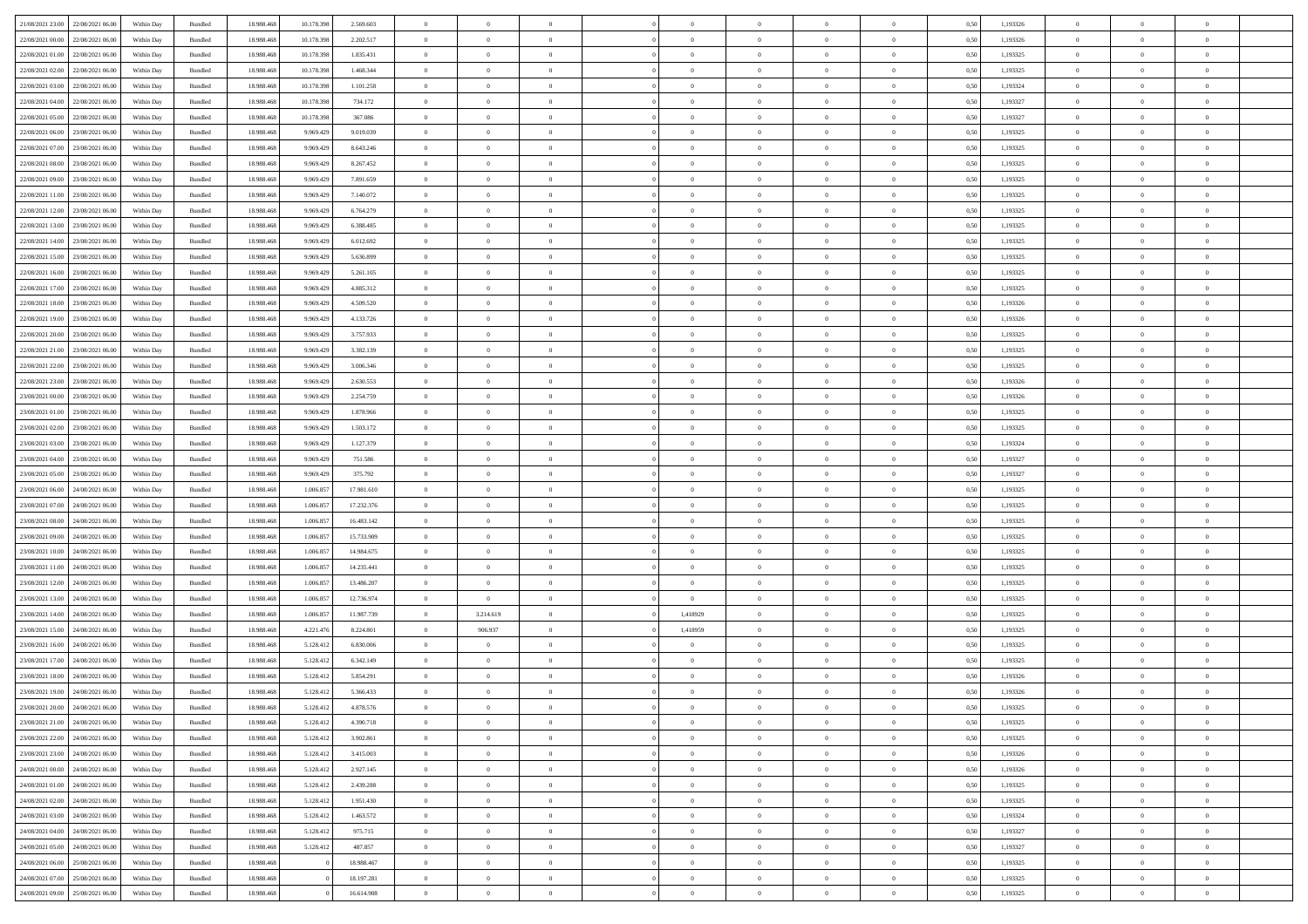| 21/08/2021 23:00 22/08/2021 06:00 |                                   | Within Day | Bundled            | 18.988.468 | 10.178.398 | 2.569.603  | $\overline{0}$ | $\theta$       |                | $\overline{0}$ | $\bf{0}$       | $\overline{0}$ | $\theta$       | 0,50 | 1,193326 | $\theta$       | $\theta$       | $\overline{0}$           |  |
|-----------------------------------|-----------------------------------|------------|--------------------|------------|------------|------------|----------------|----------------|----------------|----------------|----------------|----------------|----------------|------|----------|----------------|----------------|--------------------------|--|
|                                   |                                   |            |                    |            |            |            | $\overline{0}$ |                |                |                |                |                |                |      |          |                |                |                          |  |
| 22/08/2021 00:00                  | 22/08/2021 06.00                  | Within Day | Bundled            | 18.988.46  | 10.178.39  | 2.202.517  |                | $\overline{0}$ | $\overline{0}$ | $\overline{0}$ | $\,$ 0         | $\bf{0}$       | $\bf{0}$       | 0,50 | 1,193326 | $\,$ 0 $\,$    | $\overline{0}$ | $\overline{0}$           |  |
| 22/08/2021 01:00                  | 22/08/2021 06:00                  | Within Day | Bundled            | 18,988,468 | 10.178.398 | 1.835.431  | $\overline{0}$ | $\overline{0}$ | $\overline{0}$ | $\overline{0}$ | $\bf{0}$       | $\overline{0}$ | $\mathbf{0}$   | 0.50 | 1,193325 | $\bf{0}$       | $\overline{0}$ | $\overline{0}$           |  |
| 22/08/2021 02:00                  | 22/08/2021 06:00                  | Within Day | Bundled            | 18.988.468 | 10.178.398 | 1.468.344  | $\overline{0}$ | $\overline{0}$ | $\overline{0}$ | $\overline{0}$ | $\,$ 0         | $\overline{0}$ | $\overline{0}$ | 0,50 | 1,193325 | $\,$ 0 $\,$    | $\overline{0}$ | $\overline{0}$           |  |
| 22/08/2021 03:00                  | 22/08/2021 06.00                  | Within Day | Bundled            | 18.988.468 | 10.178.398 | 1.101.258  | $\overline{0}$ | $\theta$       | $\overline{0}$ |                | $\overline{0}$ | $\overline{0}$ | $\bf{0}$       | 0,50 | 1,193324 | $\,$ 0 $\,$    | $\overline{0}$ | $\overline{0}$           |  |
| 22/08/2021 04:00                  | 22/08/2021 06:00                  | Within Day | Bundled            | 18.988.468 | 10.178.398 | 734.172    | $\overline{0}$ | $\overline{0}$ | $\overline{0}$ | $\overline{0}$ | $\bf{0}$       | $\overline{0}$ | $\bf{0}$       | 0.50 | 1.193327 | $\,0\,$        | $\theta$       | $\overline{0}$           |  |
| 22/08/2021 05:00                  | 22/08/2021 06:00                  | Within Day | Bundled            | 18.988.468 | 10.178.398 | 367.086    | $\overline{0}$ | $\overline{0}$ | $\overline{0}$ | $\overline{0}$ | $\,$ 0         | $\overline{0}$ | $\overline{0}$ | 0,50 | 1,193327 | $\,$ 0 $\,$    | $\theta$       | $\overline{0}$           |  |
| 22/08/2021 06:00                  | 23/08/2021 06.00                  | Within Day | Bundled            | 18.988.468 | 9.969.429  | 9.019.039  | $\overline{0}$ | $\theta$       | $\overline{0}$ | $\overline{0}$ | $\,$ 0         | $\bf{0}$       | $\bf{0}$       | 0,50 | 1,193325 | $\,$ 0 $\,$    | $\overline{0}$ | $\overline{0}$           |  |
| 22/08/2021 07:00                  | 23/08/2021 06:00                  | Within Day | Bundled            | 18.988.468 | 9.969.429  | 8.643.246  | $\overline{0}$ | $\overline{0}$ | $\overline{0}$ | $\overline{0}$ | $\bf{0}$       | $\overline{0}$ | $\bf{0}$       | 0.50 | 1.193325 | $\,0\,$        | $\overline{0}$ | $\overline{0}$           |  |
|                                   |                                   |            |                    |            |            |            |                |                |                |                |                |                |                |      |          |                |                |                          |  |
| 22/08/2021 08:00                  | 23/08/2021 06:00                  | Within Day | Bundled            | 18.988.468 | 9.969.429  | 8.267.452  | $\overline{0}$ | $\overline{0}$ | $\overline{0}$ | $\overline{0}$ | $\bf{0}$       | $\overline{0}$ | $\bf{0}$       | 0,50 | 1,193325 | $\,$ 0 $\,$    | $\overline{0}$ | $\overline{0}$           |  |
| 22/08/2021 09:00                  | 23/08/2021 06.00                  | Within Day | Bundled            | 18.988.468 | 9.969.429  | 7.891.659  | $\bf{0}$       | $\theta$       | $\overline{0}$ | $\overline{0}$ | $\,$ 0         | $\overline{0}$ | $\bf{0}$       | 0,50 | 1,193325 | $\,$ 0 $\,$    | $\overline{0}$ | $\overline{0}$           |  |
| 22/08/2021 11:00                  | 23/08/2021 06:00                  | Within Day | Bundled            | 18,988,468 | 9.969.429  | 7.140.072  | $\overline{0}$ | $\overline{0}$ | $\overline{0}$ | $\overline{0}$ | $\bf{0}$       | $\overline{0}$ | $\mathbf{0}$   | 0.50 | 1.193325 | $\bf{0}$       | $\overline{0}$ | $\overline{\phantom{a}}$ |  |
| 22/08/2021 12:00                  | 23/08/2021 06:00                  | Within Day | Bundled            | 18.988.468 | 9.969.429  | 6.764.279  | $\overline{0}$ | $\overline{0}$ | $\overline{0}$ | $\overline{0}$ | $\,$ 0         | $\overline{0}$ | $\overline{0}$ | 0,50 | 1,193325 | $\,$ 0 $\,$    | $\overline{0}$ | $\overline{0}$           |  |
| 22/08/2021 13:00                  | 23/08/2021 06.00                  | Within Day | Bundled            | 18.988.468 | 9.969.429  | 6.388.485  | $\overline{0}$ | $\theta$       | $\overline{0}$ | $\overline{0}$ | $\bf{0}$       | $\overline{0}$ | $\bf{0}$       | 0,50 | 1,193325 | $\,$ 0 $\,$    | $\overline{0}$ | $\overline{0}$           |  |
| 22/08/2021 14:00                  | 23/08/2021 06:00                  | Within Day | Bundled            | 18.988.468 | 9.969.429  | 6.012.692  | $\overline{0}$ | $\overline{0}$ | $\overline{0}$ | $\overline{0}$ | $\bf{0}$       | $\overline{0}$ | $\bf{0}$       | 0.50 | 1.193325 | $\,0\,$        | $\theta$       | $\overline{0}$           |  |
| 22/08/2021 15:00                  | 23/08/2021 06:00                  | Within Day | Bundled            | 18.988.468 | 9.969.429  | 5.636.899  | $\overline{0}$ | $\overline{0}$ | $\overline{0}$ | $\overline{0}$ | $\,$ 0         | $\overline{0}$ | $\overline{0}$ | 0,50 | 1,193325 | $\,$ 0 $\,$    | $\theta$       | $\overline{0}$           |  |
|                                   |                                   |            |                    |            |            |            |                |                |                |                |                |                |                |      |          |                |                |                          |  |
| 22/08/2021 16:00                  | 23/08/2021 06.00                  | Within Day | Bundled            | 18.988.468 | 9.969.429  | 5.261.105  | $\overline{0}$ | $\theta$       | $\overline{0}$ |                | $\,$ 0         | $\overline{0}$ | $\bf{0}$       | 0,50 | 1,193325 | $\,$ 0 $\,$    | $\overline{0}$ | $\overline{0}$           |  |
| 22/08/2021 17:00                  | 23/08/2021 06:00                  | Within Day | Bundled            | 18.988.468 | 9.969.429  | 4.885.312  | $\overline{0}$ | $\overline{0}$ | $\overline{0}$ | $\overline{0}$ | $\bf{0}$       | $\overline{0}$ | $\bf{0}$       | 0.50 | 1.193325 | $\,0\,$        | $\overline{0}$ | $\overline{\phantom{a}}$ |  |
| 22/08/2021 18:00                  | 23/08/2021 06:00                  | Within Day | Bundled            | 18.988.468 | 9.969.429  | 4.509.520  | $\overline{0}$ | $\overline{0}$ | $\overline{0}$ | $\overline{0}$ | $\,$ 0         | $\overline{0}$ | $\bf{0}$       | 0,50 | 1,193326 | $\,$ 0 $\,$    | $\overline{0}$ | $\overline{0}$           |  |
| 22/08/2021 19:00                  | 23/08/2021 06.00                  | Within Day | Bundled            | 18.988.468 | 9.969.429  | 4.133.726  | $\bf{0}$       | $\overline{0}$ | $\overline{0}$ | $\overline{0}$ | $\,$ 0         | $\bf{0}$       | $\bf{0}$       | 0,50 | 1,193326 | $\,$ 0 $\,$    | $\overline{0}$ | $\overline{0}$           |  |
| 22/08/2021 20:00                  | 23/08/2021 06:00                  | Within Day | Bundled            | 18,988,468 | 9.969.429  | 3.757.933  | $\overline{0}$ | $\overline{0}$ | $\overline{0}$ | $\overline{0}$ | $\bf{0}$       | $\overline{0}$ | $\mathbf{0}$   | 0.50 | 1.193325 | $\,$ 0 $\,$    | $\overline{0}$ | $\overline{0}$           |  |
| 22/08/2021 21:00                  | 23/08/2021 06:00                  | Within Day | Bundled            | 18.988.468 | 9.969.429  | 3.382.139  | $\overline{0}$ | $\overline{0}$ | $\overline{0}$ | $\overline{0}$ | $\bf{0}$       | $\overline{0}$ | $\overline{0}$ | 0,50 | 1,193325 | $\,$ 0 $\,$    | $\overline{0}$ | $\overline{0}$           |  |
| 22/08/2021 22:00                  | 23/08/2021 06.00                  | Within Day | Bundled            | 18.988.468 | 9.969.429  | 3.006.346  | $\overline{0}$ | $\theta$       | $\overline{0}$ | $\overline{0}$ | $\,$ 0         | $\overline{0}$ | $\bf{0}$       | 0,50 | 1,193325 | $\,$ 0 $\,$    | $\overline{0}$ | $\overline{0}$           |  |
| 22/08/2021 23:00                  | 23/08/2021 06:00                  |            |                    | 18.988.468 | 9.969.429  | 2.630.553  |                | $\overline{0}$ | $\overline{0}$ | $\overline{0}$ | $\bf{0}$       | $\overline{0}$ |                | 0.50 | 1.193326 | $\,0\,$        | $\theta$       | $\overline{0}$           |  |
|                                   |                                   | Within Day | Bundled            |            |            |            | $\overline{0}$ |                |                |                |                |                | $\bf{0}$       |      |          |                |                |                          |  |
| 23/08/2021 00:00                  | 23/08/2021 06:00                  | Within Day | Bundled            | 18.988.468 | 9.969.429  | 2.254.759  | $\overline{0}$ | $\overline{0}$ | $\overline{0}$ | $\overline{0}$ | $\,$ 0         | $\overline{0}$ | $\overline{0}$ | 0,50 | 1,193326 | $\,0\,$        | $\theta$       | $\overline{0}$           |  |
| 23/08/2021 01:00                  | 23/08/2021 06.00                  | Within Day | Bundled            | 18.988.468 | 9.969.429  | 1.878.966  | $\overline{0}$ | $\theta$       | $\overline{0}$ |                | $\,$ 0         | $\overline{0}$ | $\bf{0}$       | 0,50 | 1,193325 | $\,$ 0 $\,$    | $\overline{0}$ | $\overline{0}$           |  |
| 23/08/2021 02:00                  | 23/08/2021 06:00                  | Within Day | Bundled            | 18,988,468 | 9.969.429  | 1.503.172  | $\overline{0}$ | $\overline{0}$ | $\overline{0}$ | $\overline{0}$ | $\bf{0}$       | $\overline{0}$ | $\bf{0}$       | 0.50 | 1.193325 | $\,0\,$        | $\overline{0}$ | $\overline{0}$           |  |
| 23/08/2021 03:00                  | 23/08/2021 06:00                  | Within Day | Bundled            | 18.988.468 | 9.969.429  | 1.127.379  | $\overline{0}$ | $\overline{0}$ | $\overline{0}$ | $\overline{0}$ | $\bf{0}$       | $\overline{0}$ | $\bf{0}$       | 0,50 | 1,193324 | $\,$ 0 $\,$    | $\overline{0}$ | $\overline{0}$           |  |
| 23/08/2021 04:00                  | 23/08/2021 06.00                  | Within Day | Bundled            | 18.988.468 | 9.969.429  | 751.586    | $\bf{0}$       | $\overline{0}$ | $\overline{0}$ | $\overline{0}$ | $\bf{0}$       | $\bf{0}$       | $\bf{0}$       | 0,50 | 1,193327 | $\,$ 0 $\,$    | $\overline{0}$ | $\overline{0}$           |  |
| 23/08/2021 05:00                  | 23/08/2021 06:00                  | Within Day | Bundled            | 18,988,468 | 9.969.429  | 375.792    | $\overline{0}$ | $\bf{0}$       | $\overline{0}$ | $\overline{0}$ | $\bf{0}$       | $\overline{0}$ | $\mathbf{0}$   | 0.50 | 1.193327 | $\bf{0}$       | $\overline{0}$ | $\overline{\phantom{a}}$ |  |
| 23/08/2021 06:00                  | 24/08/2021 06:00                  | Within Dav | Bundled            | 18.988.468 | 1.006.857  | 17.981.610 | $\overline{0}$ | $\overline{0}$ | $\overline{0}$ | $\overline{0}$ | $\overline{0}$ | $\overline{0}$ | $\overline{0}$ | 0.50 | 1,193325 | $\theta$       | $\overline{0}$ | $\overline{0}$           |  |
| 23/08/2021 07:00                  | 24/08/2021 06.00                  | Within Day | Bundled            | 18.988.468 | 1.006.857  | 17.232.376 | $\overline{0}$ | $\theta$       | $\overline{0}$ | $\overline{0}$ | $\,$ 0         | $\overline{0}$ | $\bf{0}$       | 0,50 | 1,193325 | $\,$ 0 $\,$    | $\overline{0}$ | $\overline{0}$           |  |
|                                   |                                   |            |                    |            |            |            |                |                |                |                |                |                |                |      |          |                |                |                          |  |
| 23/08/2021 08:00                  | 24/08/2021 06:00                  | Within Day | Bundled            | 18,988,468 | 1.006.857  | 16.483.142 | $\overline{0}$ | $\overline{0}$ | $\overline{0}$ | $\overline{0}$ | $\bf{0}$       | $\overline{0}$ | $\bf{0}$       | 0.50 | 1.193325 | $\,0\,$        | $\theta$       | $\overline{0}$           |  |
| 23/08/2021 09:00                  | 24/08/2021 06:00                  | Within Dav | Bundled            | 18.988.468 | 1.006.857  | 15.733.909 | $\overline{0}$ | $\overline{0}$ | $\Omega$       | $\Omega$       | $\mathbf{0}$   | $\overline{0}$ | $\overline{0}$ | 0.50 | 1,193325 | $\theta$       | $\overline{0}$ | $\overline{0}$           |  |
| 23/08/2021 10:00                  | 24/08/2021 06.00                  | Within Day | Bundled            | 18.988.468 | 1.006.857  | 14.984.675 | $\overline{0}$ | $\theta$       | $\overline{0}$ | $\overline{0}$ | $\,$ 0         | $\overline{0}$ | $\bf{0}$       | 0,50 | 1,193325 | $\,$ 0 $\,$    | $\overline{0}$ | $\overline{0}$           |  |
| 23/08/2021 11:00                  | 24/08/2021 06:00                  | Within Day | Bundled            | 18,988,468 | 1.006.857  | 14.235.441 | $\overline{0}$ | $\overline{0}$ | $\overline{0}$ | $\overline{0}$ | $\bf{0}$       | $\overline{0}$ | $\bf{0}$       | 0.50 | 1.193325 | $\,0\,$        | $\overline{0}$ | $\overline{0}$           |  |
| 23/08/2021 12:00                  | 24/08/2021 06:00                  | Within Dav | Bundled            | 18.988.468 | 1.006.857  | 13.486.207 | $\overline{0}$ | $\overline{0}$ | $\overline{0}$ | $\overline{0}$ | $\mathbf{0}$   | $\overline{0}$ | $\overline{0}$ | 0.50 | 1,193325 | $\theta$       | $\overline{0}$ | $\overline{0}$           |  |
| 23/08/2021 13:00                  | 24/08/2021 06.00                  | Within Day | Bundled            | 18.988.468 | 1.006.857  | 12.736.974 | $\overline{0}$ | $\bf{0}$       | $\overline{0}$ | $\bf{0}$       | $\bf{0}$       | $\bf{0}$       | $\bf{0}$       | 0,50 | 1,193325 | $\,$ 0 $\,$    | $\overline{0}$ | $\overline{0}$           |  |
| 23/08/2021 14:00                  | 24/08/2021 06:00                  | Within Day | Bundled            | 18,988,468 | 1.006.857  | 11.987.739 | $\overline{0}$ | 3.214.619      | $\overline{0}$ | 1,418929       | $\bf{0}$       | $\overline{0}$ | $\mathbf{0}$   | 0.50 | 1,193325 | $\,$ 0 $\,$    | $\overline{0}$ | $\overline{0}$           |  |
| 23/08/2021 15:00                  | 24/08/2021 06:00                  | Within Dav | Bundled            | 18.988.468 | 4.221.476  | 8.224.801  | $\overline{0}$ | 906.937        | $\Omega$       | 1,418959       | $\overline{0}$ | $\overline{0}$ | $\overline{0}$ | 0.50 | 1,193325 | $\theta$       | $\overline{0}$ | $\overline{0}$           |  |
|                                   | 24/08/2021 06.00                  | Within Day | Bundled            | 18.988.468 | 5.128.412  | 6.830.006  | $\overline{0}$ | $\theta$       | $\overline{0}$ |                | $\,$ 0         | $\overline{0}$ | $\bf{0}$       | 0,50 | 1,193325 | $\,$ 0 $\,$    | $\overline{0}$ | $\overline{0}$           |  |
| 23/08/2021 16:00                  |                                   |            |                    |            |            |            |                |                |                |                |                |                |                |      |          |                |                |                          |  |
| 23/08/2021 17:00                  | 24/08/2021 06:00                  | Within Day | Bundled            | 18.988.468 | 5.128.412  | 6.342.149  | $\overline{0}$ | $\overline{0}$ | $\overline{0}$ | $\overline{0}$ | $\,$ 0         | $\overline{0}$ | $\overline{0}$ | 0.50 | 1.193325 | $\,0\,$        | $\theta$       | $\overline{0}$           |  |
| 23/08/2021 18:00                  | 24/08/2021 06:00                  | Within Dav | Bundled            | 18.988.468 | 5.128.41   | 5.854.291  | $\overline{0}$ | $\Omega$       | $\Omega$       | $\Omega$       | $\bf{0}$       | $\overline{0}$ | $\mathbf{0}$   | 0.50 | 1,193326 | $\theta$       | $\overline{0}$ | $\overline{0}$           |  |
| 23/08/2021 19:00                  | 24/08/2021 06:00                  | Within Day | Bundled            | 18.988.468 | 5.128.412  | 5.366.433  | $\overline{0}$ | $\,$ 0 $\,$    | $\overline{0}$ | $\bf{0}$       | $\,$ 0         | $\bf{0}$       | $\bf{0}$       | 0,50 | 1,193326 | $\,$ 0 $\,$    | $\overline{0}$ | $\overline{0}$           |  |
| 23/08/2021 20:00                  | 24/08/2021 06:00                  | Within Day | $\mathbf B$ undled | 18.988.468 | 5.128.412  | 4.878,576  | $\bf{0}$       | $\theta$       |                |                |                |                |                | 0,50 | 1,193325 | $\bf{0}$       | $\theta$       |                          |  |
| 23/08/2021 21:00 24/08/2021 06:00 |                                   | Within Day | Bundled            | 18.988.468 | 5.128.412  | 4.390.718  | $\Omega$       | $\overline{0}$ | $\overline{0}$ | $\Omega$       | $\mathbf{0}$   | $\overline{0}$ | $\mathbf{0}$   | 0,50 | 1,193325 | $\theta$       | $\theta$       | $\overline{0}$           |  |
| 23/08/2021 22:00                  | 24/08/2021 06:00                  | Within Day | Bundled            | 18.988.468 | 5.128.412  | 3.902.861  | $\bf{0}$       | $\overline{0}$ | $\overline{0}$ | $\bf{0}$       | $\overline{0}$ | $\overline{0}$ | $\mathbf{0}$   | 0,50 | 1,193325 | $\bf{0}$       | $\overline{0}$ | $\bf{0}$                 |  |
| 23/08/2021 23:00                  | 24/08/2021 06:00                  | Within Day | Bundled            | 18,988,468 | 5.128.412  | 3.415.003  | $\overline{0}$ | $\overline{0}$ | $\overline{0}$ | $\overline{0}$ | $\overline{0}$ | $\overline{0}$ | $\mathbf{0}$   | 0.50 | 1,193326 | $\overline{0}$ | $\bf{0}$       | $\bf{0}$                 |  |
| 24/08/2021 00:00                  | 24/08/2021 06:00                  | Within Day | Bundled            | 18.988.468 | 5.128.412  | 2.927.145  | $\overline{0}$ | $\overline{0}$ | $\overline{0}$ | $\overline{0}$ | $\overline{0}$ | $\overline{0}$ | $\overline{0}$ | 0.50 | 1,193326 | $\overline{0}$ | $\theta$       | $\overline{0}$           |  |
|                                   |                                   |            |                    |            |            |            |                |                |                |                |                |                |                |      |          |                |                |                          |  |
| 24/08/2021 01:00                  | 24/08/2021 06:00                  | Within Day | Bundled            | 18.988.468 | 5.128.412  | 2.439.288  | $\bf{0}$       | $\overline{0}$ | $\overline{0}$ | $\overline{0}$ | $\bf{0}$       | $\overline{0}$ | $\bf{0}$       | 0,50 | 1,193325 | $\bf{0}$       | $\overline{0}$ | $\overline{0}$           |  |
| 24/08/2021 02:00                  | 24/08/2021 06:00                  | Within Day | Bundled            | 18.988.468 | 5.128.412  | 1.951.430  | $\overline{0}$ | $\overline{0}$ | $\overline{0}$ | $\overline{0}$ | $\bf{0}$       | $\overline{0}$ | $\mathbf{0}$   | 0.50 | 1.193325 | $\,$ 0 $\,$    | $\theta$       | $\overline{0}$           |  |
| 24/08/2021 03:00                  | 24/08/2021 06:00                  | Within Day | Bundled            | 18.988.468 | 5.128.412  | 1.463.572  | $\overline{0}$ | $\overline{0}$ | $\overline{0}$ | $\overline{0}$ | $\overline{0}$ | $\overline{0}$ | $\overline{0}$ | 0,50 | 1,193324 | $\overline{0}$ | $\theta$       | $\overline{0}$           |  |
| 24/08/2021 04:00                  | 24/08/2021 06:00                  | Within Day | Bundled            | 18.988.468 | 5.128.412  | 975.715    | $\overline{0}$ | $\,$ 0         | $\overline{0}$ | $\bf{0}$       | $\,$ 0 $\,$    | $\bf{0}$       | $\bf{0}$       | 0,50 | 1,193327 | $\,$ 0 $\,$    | $\overline{0}$ | $\,$ 0                   |  |
| 24/08/2021 05:00                  | 24/08/2021 06:00                  | Within Day | Bundled            | 18,988,468 | 5.128.412  | 487.857    | $\overline{0}$ | $\overline{0}$ | $\overline{0}$ | $\overline{0}$ | $\bf{0}$       | $\overline{0}$ | $\mathbf{0}$   | 0.50 | 1.193327 | $\mathbf{0}$   | $\,$ 0 $\,$    | $\overline{0}$           |  |
| 24/08/2021 06:00                  | 25/08/2021 06:00                  | Within Dav | Bundled            | 18.988.468 |            | 18.988.467 | $\overline{0}$ | $\overline{0}$ | $\overline{0}$ | $\overline{0}$ | $\overline{0}$ | $\overline{0}$ | $\overline{0}$ | 0,50 | 1,193325 | $\overline{0}$ | $\theta$       | $\overline{0}$           |  |
| 24/08/2021 07:00                  | 25/08/2021 06:00                  | Within Day | Bundled            | 18.988.468 |            | 18.197.281 | $\overline{0}$ | $\overline{0}$ | $\overline{0}$ | $\bf{0}$       | $\bf{0}$       | $\bf{0}$       | $\bf{0}$       | 0,50 | 1,193325 | $\bf{0}$       | $\overline{0}$ | $\bf{0}$                 |  |
|                                   |                                   |            |                    |            |            |            |                |                |                |                |                |                |                |      |          |                |                |                          |  |
|                                   | 24/08/2021 09:00 25/08/2021 06:00 | Within Day | Bundled            | 18.988.468 |            | 16.614.908 | $\overline{0}$ | $\,$ 0 $\,$    | $\overline{0}$ | $\overline{0}$ | $\,$ 0 $\,$    | $\overline{0}$ | $\,$ 0 $\,$    | 0,50 | 1,193325 | $\overline{0}$ | $\,$ 0 $\,$    | $\,$ 0 $\,$              |  |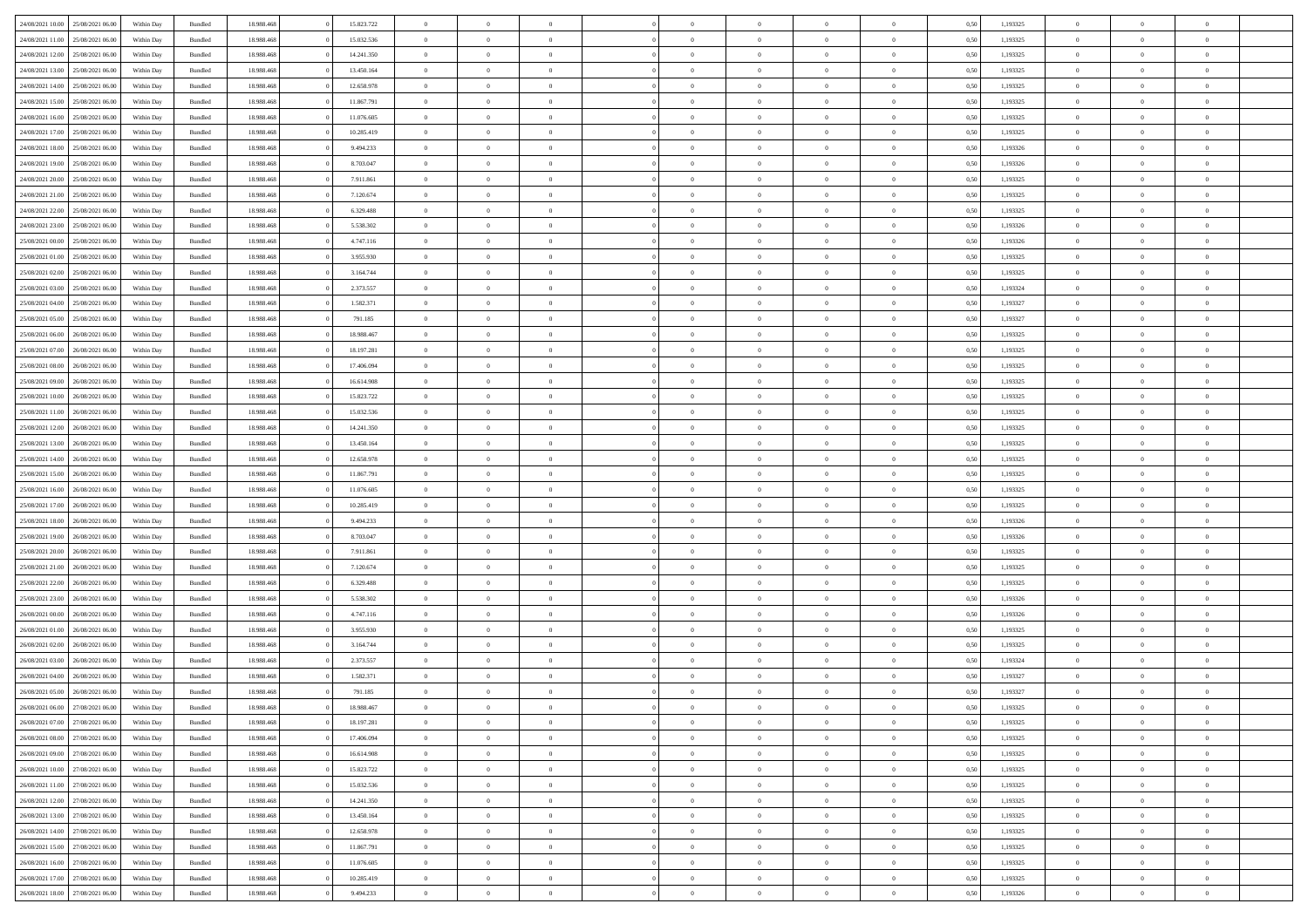| 24/08/2021 10:00                  | 25/08/2021 06:00 | Within Day | Bundled            | 18.988.468 | 15.823.722 | $\overline{0}$ | $\Omega$       |                | $\Omega$       | $\Omega$       | $\Omega$       | $\theta$       | 0.50 | 1,193325 | $\theta$       | $\theta$       | $\theta$       |  |
|-----------------------------------|------------------|------------|--------------------|------------|------------|----------------|----------------|----------------|----------------|----------------|----------------|----------------|------|----------|----------------|----------------|----------------|--|
| 24/08/2021 11:00                  | 25/08/2021 06:00 | Within Day | Bundled            | 18.988.468 | 15.032.536 | $\overline{0}$ | $\theta$       | $\overline{0}$ | $\overline{0}$ | $\bf{0}$       | $\overline{0}$ | $\overline{0}$ | 0,50 | 1,193325 | $\theta$       | $\theta$       | $\overline{0}$ |  |
| 24/08/2021 12:00                  | 25/08/2021 06:00 | Within Day | Bundled            | 18.988.468 | 14.241.350 | $\overline{0}$ | $\overline{0}$ | $\overline{0}$ | $\bf{0}$       | $\bf{0}$       | $\bf{0}$       | $\bf{0}$       | 0,50 | 1,193325 | $\bf{0}$       | $\overline{0}$ | $\overline{0}$ |  |
|                                   |                  |            |                    |            |            |                |                |                |                |                |                |                |      |          | $\theta$       |                |                |  |
| 24/08/2021 13:00                  | 25/08/2021 06:00 | Within Dav | Bundled            | 18.988.468 | 13.450.164 | $\overline{0}$ | $\theta$       | $\overline{0}$ | $\overline{0}$ | $\bf{0}$       | $\overline{0}$ | $\overline{0}$ | 0.50 | 1,193325 |                | $\theta$       | $\overline{0}$ |  |
| 24/08/2021 14:00                  | 25/08/2021 06:00 | Within Day | Bundled            | 18.988.468 | 12.658.978 | $\overline{0}$ | $\theta$       | $\overline{0}$ | $\overline{0}$ | $\bf{0}$       | $\overline{0}$ | $\bf{0}$       | 0,50 | 1,193325 | $\theta$       | $\theta$       | $\overline{0}$ |  |
| 24/08/2021 15:00                  | 25/08/2021 06:00 | Within Day | Bundled            | 18.988.468 | 11.867.791 | $\overline{0}$ | $\bf{0}$       | $\overline{0}$ | $\bf{0}$       | $\overline{0}$ | $\overline{0}$ | $\mathbf{0}$   | 0,50 | 1,193325 | $\bf{0}$       | $\overline{0}$ | $\bf{0}$       |  |
| 24/08/2021 16:00                  | 25/08/2021 06:00 | Within Dav | Bundled            | 18.988.468 | 11.076.605 | $\overline{0}$ | $\overline{0}$ | $\overline{0}$ | $\overline{0}$ | $\bf{0}$       | $\overline{0}$ | $\overline{0}$ | 0.50 | 1,193325 | $\theta$       | $\overline{0}$ | $\overline{0}$ |  |
|                                   |                  |            |                    |            |            |                |                |                |                |                |                |                |      |          |                |                |                |  |
| 24/08/2021 17:00                  | 25/08/2021 06:00 | Within Day | Bundled            | 18.988.468 | 10.285.419 | $\overline{0}$ | $\theta$       | $\overline{0}$ | $\overline{0}$ | $\bf{0}$       | $\overline{0}$ | $\bf{0}$       | 0,50 | 1,193325 | $\theta$       | $\theta$       | $\overline{0}$ |  |
| 24/08/2021 18:00                  | 25/08/2021 06:00 | Within Day | Bundled            | 18.988.468 | 9.494.233  | $\overline{0}$ | $\overline{0}$ | $\overline{0}$ | $\bf{0}$       | $\bf{0}$       | $\bf{0}$       | $\bf{0}$       | 0,50 | 1,193326 | $\,0\,$        | $\overline{0}$ | $\overline{0}$ |  |
| 24/08/2021 19:00                  | 25/08/2021 06:00 | Within Dav | Bundled            | 18.988.468 | 8.703.047  | $\overline{0}$ | $\overline{0}$ | $\overline{0}$ | $\overline{0}$ | $\overline{0}$ | $\overline{0}$ | $\overline{0}$ | 0.50 | 1,193326 | $\theta$       | $\overline{0}$ | $\overline{0}$ |  |
| 24/08/2021 20:00                  | 25/08/2021 06:00 |            | Bundled            | 18.988.468 | 7.911.861  | $\overline{0}$ | $\theta$       | $\overline{0}$ | $\overline{0}$ | $\bf{0}$       | $\overline{0}$ |                |      | 1,193325 | $\theta$       | $\theta$       | $\overline{0}$ |  |
|                                   |                  | Within Day |                    |            |            |                |                |                |                |                |                | $\bf{0}$       | 0,50 |          |                |                |                |  |
| 24/08/2021 21.00                  | 25/08/2021 06:00 | Within Day | Bundled            | 18.988.468 | 7.120.674  | $\overline{0}$ | $\overline{0}$ | $\overline{0}$ | $\bf{0}$       | $\bf{0}$       | $\bf{0}$       | $\bf{0}$       | 0,50 | 1,193325 | $\bf{0}$       | $\overline{0}$ | $\overline{0}$ |  |
| 24/08/2021 22:00                  | 25/08/2021 06:00 | Within Day | Bundled            | 18.988.468 | 6.329.488  | $\overline{0}$ | $\theta$       | $\overline{0}$ | $\overline{0}$ | $\bf{0}$       | $\overline{0}$ | $\overline{0}$ | 0.50 | 1,193325 | $\theta$       | $\theta$       | $\overline{0}$ |  |
| 24/08/2021 23:00                  | 25/08/2021 06:00 | Within Day | Bundled            | 18.988.468 | 5.538.302  | $\overline{0}$ | $\theta$       | $\overline{0}$ | $\overline{0}$ | $\bf{0}$       | $\overline{0}$ | $\overline{0}$ | 0,50 | 1,193326 | $\theta$       | $\theta$       | $\overline{0}$ |  |
|                                   |                  |            |                    |            |            |                |                |                |                |                |                |                |      |          |                |                |                |  |
| 25/08/2021 00:00                  | 25/08/2021 06:00 | Within Day | Bundled            | 18.988.468 | 4.747.116  | $\overline{0}$ | $\overline{0}$ | $\overline{0}$ | $\bf{0}$       | $\overline{0}$ | $\bf{0}$       | $\mathbf{0}$   | 0,50 | 1,193326 | $\overline{0}$ | $\overline{0}$ | $\bf{0}$       |  |
| 25/08/2021 01:00                  | 25/08/2021 06:00 | Within Dav | Bundled            | 18.988.468 | 3.955.930  | $\overline{0}$ | $\overline{0}$ | $\overline{0}$ | $\overline{0}$ | $\bf{0}$       | $\overline{0}$ | $\overline{0}$ | 0.50 | 1,193325 | $\theta$       | $\overline{0}$ | $\overline{0}$ |  |
| 25/08/2021 02:00                  | 25/08/2021 06:00 | Within Day | Bundled            | 18.988.468 | 3.164.744  | $\overline{0}$ | $\theta$       | $\overline{0}$ | $\overline{0}$ | $\bf{0}$       | $\overline{0}$ | $\bf{0}$       | 0,50 | 1,193325 | $\theta$       | $\theta$       | $\overline{0}$ |  |
| 25/08/2021 03:00                  | 25/08/2021 06:00 | Within Day | Bundled            | 18.988.468 | 2.373.557  | $\overline{0}$ | $\overline{0}$ | $\overline{0}$ | $\bf{0}$       | $\bf{0}$       | $\bf{0}$       | $\bf{0}$       | 0,50 | 1,193324 | $\,0\,$        | $\overline{0}$ | $\overline{0}$ |  |
|                                   |                  |            |                    |            |            |                | $\overline{0}$ |                |                | $\overline{0}$ |                |                |      |          | $\theta$       | $\overline{0}$ | $\overline{0}$ |  |
| 25/08/2021 04:00                  | 25/08/2021 06:00 | Within Day | Bundled            | 18.988.468 | 1.582.371  | $\overline{0}$ |                | $\overline{0}$ | $\overline{0}$ |                | $\overline{0}$ | $\overline{0}$ | 0.50 | 1,193327 |                |                |                |  |
| 25/08/2021 05:00                  | 25/08/2021 06:00 | Within Day | Bundled            | 18.988.468 | 791.185    | $\overline{0}$ | $\theta$       | $\overline{0}$ | $\overline{0}$ | $\bf{0}$       | $\overline{0}$ | $\bf{0}$       | 0,50 | 1,193327 | $\theta$       | $\theta$       | $\overline{0}$ |  |
| 25/08/2021 06:00                  | 26/08/2021 06:00 | Within Day | Bundled            | 18.988.468 | 18.988.467 | $\overline{0}$ | $\overline{0}$ | $\overline{0}$ | $\bf{0}$       | $\bf{0}$       | $\bf{0}$       | $\bf{0}$       | 0,50 | 1,193325 | $\,0\,$        | $\overline{0}$ | $\overline{0}$ |  |
| 25/08/2021 07:00                  | 26/08/2021 06:00 | Within Day | Bundled            | 18.988.468 | 18.197.281 | $\overline{0}$ | $\overline{0}$ | $\overline{0}$ | $\overline{0}$ | $\bf{0}$       | $\overline{0}$ | $\overline{0}$ | 0.50 | 1,193325 | $\theta$       | $\theta$       | $\overline{0}$ |  |
|                                   |                  |            |                    |            |            |                |                |                |                |                |                |                |      |          |                |                |                |  |
| 25/08/2021 08:00                  | 26/08/2021 06:00 | Within Day | Bundled            | 18.988.468 | 17.406.094 | $\overline{0}$ | $\theta$       | $\overline{0}$ | $\overline{0}$ | $\bf{0}$       | $\overline{0}$ | $\bf{0}$       | 0,50 | 1,193325 | $\theta$       | $\overline{0}$ | $\overline{0}$ |  |
| 25/08/2021 09:00                  | 26/08/2021 06:00 | Within Day | Bundled            | 18.988.468 | 16.614.908 | $\overline{0}$ | $\overline{0}$ | $\overline{0}$ | $\overline{0}$ | $\overline{0}$ | $\overline{0}$ | $\mathbf{0}$   | 0,50 | 1,193325 | $\bf{0}$       | $\overline{0}$ | $\bf{0}$       |  |
| 25/08/2021 10:00                  | 26/08/2021 06:00 | Within Dav | Bundled            | 18.988.468 | 15.823.722 | $\overline{0}$ | $\overline{0}$ | $\overline{0}$ | $\overline{0}$ | $\overline{0}$ | $\overline{0}$ | $\overline{0}$ | 0.50 | 1,193325 | $\theta$       | $\theta$       | $\overline{0}$ |  |
| 25/08/2021 11:00                  | 26/08/2021 06:00 | Within Day | Bundled            | 18.988.468 | 15.032.536 | $\overline{0}$ | $\theta$       | $\overline{0}$ | $\overline{0}$ | $\bf{0}$       | $\overline{0}$ | $\bf{0}$       | 0,50 | 1,193325 | $\theta$       | $\theta$       | $\overline{0}$ |  |
|                                   |                  |            |                    |            |            |                |                |                |                |                |                |                |      |          |                |                |                |  |
| 25/08/2021 12:00                  | 26/08/2021 06:00 | Within Day | Bundled            | 18.988.468 | 14.241.350 | $\overline{0}$ | $\overline{0}$ | $\overline{0}$ | $\overline{0}$ | $\bf{0}$       | $\overline{0}$ | $\bf{0}$       | 0,50 | 1,193325 | $\,0\,$        | $\overline{0}$ | $\overline{0}$ |  |
| 25/08/2021 13:00                  | 26/08/2021 06:00 | Within Day | Bundled            | 18.988.468 | 13.450.164 | $\overline{0}$ | $\overline{0}$ | $\overline{0}$ | $\overline{0}$ | $\bf{0}$       | $\overline{0}$ | $\overline{0}$ | 0.50 | 1,193325 | $\theta$       | $\overline{0}$ | $\overline{0}$ |  |
| 25/08/2021 14:00                  | 26/08/2021 06:00 | Within Day | Bundled            | 18.988.468 | 12.658.978 | $\overline{0}$ | $\theta$       | $\overline{0}$ | $\overline{0}$ | $\bf{0}$       | $\overline{0}$ | $\bf{0}$       | 0,50 | 1,193325 | $\,$ 0 $\,$    | $\theta$       | $\overline{0}$ |  |
| 25/08/2021 15:00                  | 26/08/2021 06:00 | Within Day | Bundled            | 18.988.468 | 11.867.791 | $\overline{0}$ | $\overline{0}$ | $\overline{0}$ | $\overline{0}$ | $\bf{0}$       | $\overline{0}$ | $\bf{0}$       | 0,50 | 1,193325 | $\bf{0}$       | $\overline{0}$ | $\overline{0}$ |  |
|                                   |                  |            |                    |            |            | $\overline{0}$ | $\Omega$       | $\Omega$       | $\Omega$       | $\Omega$       | $\Omega$       |                |      |          |                | $\Omega$       | $\theta$       |  |
| 25/08/2021 16:00                  | 26/08/2021 06:00 | Within Day | Bundled            | 18.988.468 | 11.076.605 |                |                |                |                |                |                | $\overline{0}$ | 0.50 | 1,193325 | $\,0\,$        |                |                |  |
| 25/08/2021 17:00                  | 26/08/2021 06:00 | Within Day | Bundled            | 18.988.468 | 10.285.419 | $\overline{0}$ | $\theta$       | $\overline{0}$ | $\overline{0}$ | $\bf{0}$       | $\overline{0}$ | $\bf{0}$       | 0,50 | 1,193325 | $\theta$       | $\theta$       | $\overline{0}$ |  |
| 25/08/2021 18:00                  | 26/08/2021 06:00 | Within Day | Bundled            | 18.988.468 | 9.494.233  | $\overline{0}$ | $\bf{0}$       | $\overline{0}$ | $\overline{0}$ | $\bf{0}$       | $\overline{0}$ | $\mathbf{0}$   | 0,50 | 1,193326 | $\bf{0}$       | $\overline{0}$ | $\bf{0}$       |  |
| 25/08/2021 19:00                  | 26/08/2021 06:00 | Within Day | Bundled            | 18.988.468 | 8,703,047  | $\overline{0}$ | $\Omega$       | $\Omega$       | $\Omega$       | $\Omega$       | $\Omega$       | $\overline{0}$ | 0.50 | 1,193326 | $\theta$       | $\theta$       | $\theta$       |  |
| 25/08/2021 20:00                  | 26/08/2021 06:00 |            |                    | 18.988.468 | 7.911.861  | $\overline{0}$ | $\theta$       | $\overline{0}$ | $\overline{0}$ | $\bf{0}$       | $\overline{0}$ |                |      | 1,193325 | $\theta$       | $\theta$       | $\overline{0}$ |  |
|                                   |                  | Within Day | Bundled            |            |            |                |                |                |                |                |                | $\bf{0}$       | 0,50 |          |                |                |                |  |
| 25/08/2021 21:00                  | 26/08/2021 06:00 | Within Day | Bundled            | 18.988.468 | 7.120.674  | $\overline{0}$ | $\overline{0}$ | $\overline{0}$ | $\overline{0}$ | $\bf{0}$       | $\overline{0}$ | $\bf{0}$       | 0,50 | 1,193325 | $\,0\,$        | $\overline{0}$ | $\overline{0}$ |  |
| 25/08/2021 22.00                  | 26/08/2021 06:00 | Within Day | Bundled            | 18.988.468 | 6.329.488  | $\overline{0}$ | $\Omega$       | $\Omega$       | $\Omega$       | $\Omega$       | $\theta$       | $\overline{0}$ | 0.50 | 1,193325 | $\theta$       | $\theta$       | $\theta$       |  |
| 25/08/2021 23:00                  | 26/08/2021 06:00 | Within Day | Bundled            | 18.988.468 | 5.538.302  | $\overline{0}$ | $\theta$       | $\overline{0}$ | $\overline{0}$ | $\bf{0}$       | $\overline{0}$ | $\bf{0}$       | 0,50 | 1,193326 | $\theta$       | $\theta$       | $\overline{0}$ |  |
|                                   |                  |            |                    |            |            |                |                |                |                |                |                |                |      |          |                |                |                |  |
| 26/08/2021 00:00                  | 26/08/2021 06:00 | Within Day | Bundled            | 18.988.468 | 4.747.116  | $\overline{0}$ | $\overline{0}$ | $\overline{0}$ | $\overline{0}$ | $\bf{0}$       | $\overline{0}$ | $\bf{0}$       | 0,50 | 1,193326 | $\,0\,$        | $\overline{0}$ | $\overline{0}$ |  |
| 26/08/2021 01:00                  | 26/08/2021 06:00 | Within Day | Bundled            | 18.988.468 | 3.955.930  | $\overline{0}$ | $\Omega$       | $\Omega$       | $\Omega$       | $\Omega$       | $\overline{0}$ | $\overline{0}$ | 0.50 | 1,193325 | $\,0\,$        | $\theta$       | $\theta$       |  |
| 26/08/2021 02:00                  | 26/08/2021 06:00 | Within Day | Bundled            | 18.988.468 | 3.164.744  | $\overline{0}$ | $\theta$       | $\overline{0}$ | $\overline{0}$ | $\bf{0}$       | $\overline{0}$ | $\bf{0}$       | 0,50 | 1,193325 | $\,$ 0 $\,$    | $\theta$       | $\overline{0}$ |  |
| 26/08/2021 03:00                  | 26/08/2021 06:00 | Within Day | Bundled            | 18.988.468 | 2.373.557  | $\overline{0}$ | $\overline{0}$ | $\overline{0}$ | $\overline{0}$ | $\bf{0}$       | $\overline{0}$ | $\mathbf{0}$   | 0,50 | 1,193324 | $\bf{0}$       | $\overline{0}$ | $\bf{0}$       |  |
| 26/08/2021 04:00                  | 26/08/2021 06:00 |            | Bundled            | 18.988.468 | 1.582.371  | $\overline{0}$ | $\Omega$       | $\Omega$       | $\Omega$       | $\Omega$       | $\Omega$       | $\overline{0}$ | 0.50 | 1,193327 | $\theta$       | $\Omega$       | $\theta$       |  |
|                                   |                  | Within Day |                    |            |            |                |                |                |                |                |                |                |      |          |                |                |                |  |
| 26/08/2021 05:00                  | 26/08/2021 06:00 | Within Day | Bundled            | 18.988.468 | 791.185    | $\overline{0}$ | $\,$ 0 $\,$    | $\overline{0}$ | $\bf{0}$       | $\,$ 0         | $\overline{0}$ | $\bf{0}$       | 0,50 | 1,193327 | $\,0\,$        | $\overline{0}$ | $\overline{0}$ |  |
| 26/08/2021 06:00                  | 27/08/2021 06:00 | Within Day | $\mathbf B$ undled | 18.988.468 | 18.988.467 | $\bf{0}$       | $\bf{0}$       |                |                |                |                |                | 0,50 | 1,193325 | $\bf{0}$       | $\overline{0}$ |                |  |
| 26/08/2021 07:00                  | 27/08/2021 06:00 | Within Day | Bundled            | 18.988.468 | 18.197.281 | $\overline{0}$ | $\Omega$       | $\overline{0}$ | $\Omega$       | $\theta$       | $\overline{0}$ | $\overline{0}$ | 0,50 | 1,193325 | $\theta$       | $\theta$       | $\theta$       |  |
| 26/08/2021 08:00                  | 27/08/2021 06:00 | Within Day | Bundled            | 18.988.468 | 17.406.094 | $\overline{0}$ | $\,$ 0         | $\overline{0}$ | $\overline{0}$ | $\,$ 0 $\,$    | $\overline{0}$ | $\mathbf{0}$   | 0,50 | 1,193325 | $\,$ 0 $\,$    | $\overline{0}$ | $\,$ 0         |  |
|                                   |                  |            |                    |            |            |                |                |                |                |                |                |                |      |          |                |                |                |  |
| 26/08/2021 09:00                  | 27/08/2021 06:00 | Within Day | Bundled            | 18.988.468 | 16.614.908 | $\overline{0}$ | $\overline{0}$ | $\overline{0}$ | $\overline{0}$ | $\overline{0}$ | $\overline{0}$ | $\mathbf{0}$   | 0,50 | 1,193325 | $\overline{0}$ | $\bf{0}$       | $\bf{0}$       |  |
| 26/08/2021 10:00                  | 27/08/2021 06:00 | Within Day | Bundled            | 18.988.468 | 15.823.722 | $\overline{0}$ | $\theta$       | $\overline{0}$ | $\Omega$       | $\overline{0}$ | $\overline{0}$ | $\bf{0}$       | 0,50 | 1,193325 | $\overline{0}$ | $\theta$       | $\overline{0}$ |  |
| 26/08/2021 11:00                  | 27/08/2021 06:00 | Within Day | Bundled            | 18.988.468 | 15.032.536 | $\overline{0}$ | $\,$ 0         | $\overline{0}$ | $\overline{0}$ | $\overline{0}$ | $\overline{0}$ | $\bf{0}$       | 0,50 | 1,193325 | $\,$ 0 $\,$    | $\overline{0}$ | $\overline{0}$ |  |
| 26/08/2021 12:00                  | 27/08/2021 06:00 | Within Day | Bundled            | 18.988.468 | 14.241.350 | $\overline{0}$ | $\overline{0}$ | $\overline{0}$ | $\overline{0}$ | $\overline{0}$ | $\overline{0}$ | $\mathbf{0}$   | 0,50 | 1,193325 | $\overline{0}$ | $\overline{0}$ | $\bf{0}$       |  |
|                                   |                  |            |                    |            |            |                |                |                |                |                |                |                |      |          |                |                |                |  |
| 26/08/2021 13:00                  | 27/08/2021 06:00 | Within Day | Bundled            | 18.988.468 | 13.450.164 | $\overline{0}$ | $\overline{0}$ | $\overline{0}$ | $\Omega$       | $\overline{0}$ | $\overline{0}$ | $\bf{0}$       | 0.50 | 1,193325 | $\overline{0}$ | $\theta$       | $\overline{0}$ |  |
| 26/08/2021 14:00                  | 27/08/2021 06:00 | Within Day | Bundled            | 18.988.468 | 12.658.978 | $\overline{0}$ | $\,$ 0         | $\overline{0}$ | $\bf{0}$       | $\bf{0}$       | $\bf{0}$       | $\bf{0}$       | 0,50 | 1,193325 | $\,$ 0 $\,$    | $\overline{0}$ | $\overline{0}$ |  |
| 26/08/2021 15:00                  | 27/08/2021 06:00 | Within Day | Bundled            | 18.988.468 | 11.867.791 | $\overline{0}$ | $\bf{0}$       | $\overline{0}$ | $\overline{0}$ | $\overline{0}$ | $\bf{0}$       | $\mathbf{0}$   | 0,50 | 1,193325 | $\overline{0}$ | $\overline{0}$ | $\bf{0}$       |  |
| 26/08/2021 16:00                  | 27/08/2021 06:00 | Within Day | Bundled            | 18,988,468 | 11.076.605 | $\overline{0}$ | $\overline{0}$ | $\overline{0}$ | $\Omega$       | $\overline{0}$ | $\overline{0}$ | $\bf{0}$       | 0.50 | 1,193325 | $\overline{0}$ | $\theta$       | $\overline{0}$ |  |
|                                   |                  |            |                    |            |            |                |                |                |                |                |                |                |      |          |                |                |                |  |
| 26/08/2021 17:00                  | 27/08/2021 06:00 | Within Day | Bundled            | 18.988.468 | 10.285.419 | $\overline{0}$ | $\,$ 0         | $\overline{0}$ | $\overline{0}$ | $\bf{0}$       | $\bf{0}$       | $\bf{0}$       | 0,50 | 1,193325 | $\,$ 0 $\,$    | $\,$ 0 $\,$    | $\overline{0}$ |  |
| 26/08/2021 18:00 27/08/2021 06:00 |                  | Within Day | Bundled            | 18.988.468 | 9.494.233  | $\overline{0}$ | $\overline{0}$ | $\overline{0}$ | $\overline{0}$ | $\bf{0}$       | $\bf{0}$       | $\mathbf{0}$   | 0,50 | 1,193326 | $\overline{0}$ | $\bf{0}$       | $\bf{0}$       |  |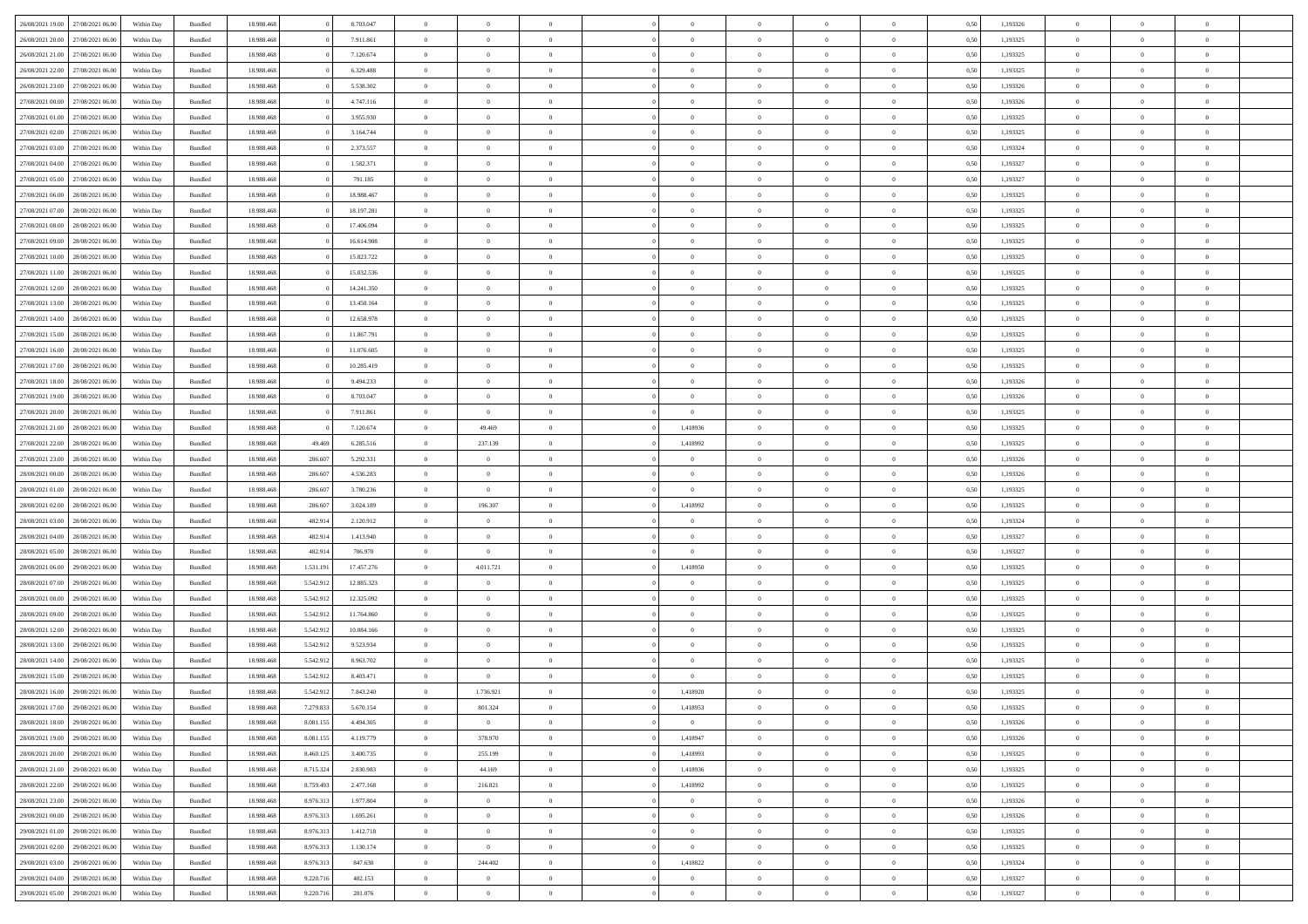|                  |                  |            |                    |            |           |            | $\Omega$       |                |                |                |                |                |                |      |          |                |                |                |  |
|------------------|------------------|------------|--------------------|------------|-----------|------------|----------------|----------------|----------------|----------------|----------------|----------------|----------------|------|----------|----------------|----------------|----------------|--|
| 26/08/2021 19:00 | 27/08/2021 06:00 | Within Day | Bundled            | 18.988.468 |           | 8.703.047  |                | $\Omega$       |                | $\Omega$       | $\Omega$       | $\Omega$       | $\theta$       | 0.50 | 1,193326 | $\theta$       | $\theta$       | $\theta$       |  |
| 26/08/2021 20:00 | 27/08/2021 06:00 | Within Day | Bundled            | 18.988.468 |           | 7.911.861  | $\overline{0}$ | $\theta$       | $\overline{0}$ | $\overline{0}$ | $\bf{0}$       | $\overline{0}$ | $\overline{0}$ | 0,50 | 1,193325 | $\theta$       | $\theta$       | $\overline{0}$ |  |
| 26/08/2021 21:00 | 27/08/2021 06:00 | Within Day | Bundled            | 18.988.468 |           | 7.120.674  | $\overline{0}$ | $\overline{0}$ | $\overline{0}$ | $\bf{0}$       | $\bf{0}$       | $\bf{0}$       | $\bf{0}$       | 0,50 | 1,193325 | $\bf{0}$       | $\overline{0}$ | $\overline{0}$ |  |
| 26/08/2021 22:00 | 27/08/2021 06:00 | Within Dav | Bundled            | 18.988.468 |           | 6.329.488  | $\overline{0}$ | $\theta$       | $\Omega$       | $\overline{0}$ | $\bf{0}$       | $\overline{0}$ | $\overline{0}$ | 0.50 | 1,193325 | $\theta$       | $\theta$       | $\overline{0}$ |  |
| 26/08/2021 23:00 | 27/08/2021 06:00 |            |                    | 18.988.468 |           | 5.538.302  | $\overline{0}$ | $\theta$       | $\overline{0}$ | $\overline{0}$ | $\bf{0}$       | $\overline{0}$ | $\overline{0}$ |      | 1,193326 | $\theta$       | $\theta$       | $\overline{0}$ |  |
|                  |                  | Within Day | Bundled            |            |           |            |                |                |                |                |                |                |                | 0,50 |          |                |                |                |  |
| 27/08/2021 00:00 | 27/08/2021 06:00 | Within Day | Bundled            | 18.988.468 |           | 4.747.116  | $\overline{0}$ | $\overline{0}$ | $\overline{0}$ | $\bf{0}$       | $\overline{0}$ | $\bf{0}$       | $\mathbf{0}$   | 0,50 | 1,193326 | $\overline{0}$ | $\overline{0}$ | $\bf{0}$       |  |
| 27/08/2021 01:00 | 27/08/2021 06:00 | Within Dav | Bundled            | 18.988.468 |           | 3.955.930  | $\overline{0}$ | $\theta$       | $\overline{0}$ | $\overline{0}$ | $\bf{0}$       | $\overline{0}$ | $\overline{0}$ | 0.50 | 1,193325 | $\theta$       | $\theta$       | $\overline{0}$ |  |
| 27/08/2021 02:00 | 27/08/2021 06:00 | Within Day | Bundled            | 18.988.468 |           | 3.164.744  | $\overline{0}$ | $\theta$       | $\overline{0}$ | $\overline{0}$ | $\bf{0}$       | $\overline{0}$ | $\overline{0}$ | 0,50 | 1,193325 | $\theta$       | $\theta$       | $\overline{0}$ |  |
| 27/08/2021 03:00 | 27/08/2021 06:00 | Within Day | Bundled            | 18.988.468 |           | 2.373.557  | $\overline{0}$ | $\overline{0}$ | $\overline{0}$ | $\bf{0}$       | $\bf{0}$       | $\bf{0}$       | $\bf{0}$       | 0,50 | 1,193324 | $\,0\,$        | $\overline{0}$ | $\overline{0}$ |  |
| 27/08/2021 04:00 | 27/08/2021 06:00 | Within Dav | Bundled            | 18.988.468 |           | 1.582.371  | $\overline{0}$ | $\overline{0}$ | $\overline{0}$ | $\overline{0}$ | $\overline{0}$ | $\overline{0}$ | $\overline{0}$ | 0.50 | 1,193327 | $\theta$       | $\overline{0}$ | $\overline{0}$ |  |
|                  |                  |            |                    |            |           |            |                |                |                |                |                |                |                |      |          |                |                |                |  |
| 27/08/2021 05:00 | 27/08/2021 06:00 | Within Day | Bundled            | 18.988.468 |           | 791.185    | $\overline{0}$ | $\theta$       | $\overline{0}$ | $\overline{0}$ | $\bf{0}$       | $\overline{0}$ | $\bf{0}$       | 0,50 | 1,193327 | $\theta$       | $\theta$       | $\overline{0}$ |  |
| 27/08/2021 06:00 | 28/08/2021 06:00 | Within Day | Bundled            | 18.988.468 |           | 18.988.467 | $\overline{0}$ | $\overline{0}$ | $\overline{0}$ | $\bf{0}$       | $\bf{0}$       | $\bf{0}$       | $\bf{0}$       | 0,50 | 1,193325 | $\,0\,$        | $\overline{0}$ | $\overline{0}$ |  |
| 27/08/2021 07:00 | 28/08/2021 06:00 | Within Dav | Bundled            | 18.988.468 |           | 18.197.281 | $\overline{0}$ | $\theta$       | $\overline{0}$ | $\overline{0}$ | $\bf{0}$       | $\overline{0}$ | $\overline{0}$ | 0.50 | 1,193325 | $\theta$       | $\theta$       | $\overline{0}$ |  |
| 27/08/2021 08:00 | 28/08/2021 06:00 | Within Day | Bundled            | 18.988.468 |           | 17.406.094 | $\overline{0}$ | $\theta$       | $\overline{0}$ | $\overline{0}$ | $\bf{0}$       | $\overline{0}$ | $\overline{0}$ | 0,50 | 1,193325 | $\theta$       | $\theta$       | $\overline{0}$ |  |
| 27/08/2021 09:00 | 28/08/2021 06:00 | Within Day | Bundled            | 18.988.468 |           | 16.614.908 | $\overline{0}$ | $\overline{0}$ | $\overline{0}$ | $\bf{0}$       | $\bf{0}$       | $\bf{0}$       | $\mathbf{0}$   | 0,50 | 1,193325 | $\overline{0}$ | $\overline{0}$ | $\bf{0}$       |  |
|                  |                  |            |                    |            |           |            |                |                |                |                |                |                |                |      |          |                |                |                |  |
| 27/08/2021 10:00 | 28/08/2021 06:00 | Within Dav | Bundled            | 18.988.468 |           | 15.823.722 | $\overline{0}$ | $\overline{0}$ | $\overline{0}$ | $\overline{0}$ | $\bf{0}$       | $\overline{0}$ | $\overline{0}$ | 0.50 | 1,193325 | $\theta$       | $\overline{0}$ | $\overline{0}$ |  |
| 27/08/2021 11:00 | 28/08/2021 06:00 | Within Day | Bundled            | 18.988.468 |           | 15.032.536 | $\overline{0}$ | $\theta$       | $\overline{0}$ | $\overline{0}$ | $\bf{0}$       | $\overline{0}$ | $\bf{0}$       | 0,50 | 1,193325 | $\theta$       | $\theta$       | $\overline{0}$ |  |
| 27/08/2021 12:00 | 28/08/2021 06:00 | Within Day | Bundled            | 18.988.468 |           | 14.241.350 | $\overline{0}$ | $\overline{0}$ | $\overline{0}$ | $\overline{0}$ | $\bf{0}$       | $\overline{0}$ | $\bf{0}$       | 0,50 | 1,193325 | $\,0\,$        | $\overline{0}$ | $\overline{0}$ |  |
| 27/08/2021 13:00 | 28/08/2021 06:00 | Within Dav | Bundled            | 18.988.468 |           | 13.450.164 | $\overline{0}$ | $\overline{0}$ | $\overline{0}$ | $\overline{0}$ | $\overline{0}$ | $\overline{0}$ | $\overline{0}$ | 0.50 | 1,193325 | $\theta$       | $\theta$       | $\overline{0}$ |  |
| 27/08/2021 14:00 | 28/08/2021 06:00 | Within Day | Bundled            | 18.988.468 |           | 12.658.978 | $\overline{0}$ | $\theta$       | $\overline{0}$ | $\overline{0}$ | $\bf{0}$       | $\overline{0}$ | $\bf{0}$       | 0,50 | 1,193325 | $\theta$       | $\theta$       | $\overline{0}$ |  |
| 27/08/2021 15:00 | 28/08/2021 06:00 | Within Day | Bundled            | 18.988.468 |           | 11.867.791 | $\overline{0}$ | $\overline{0}$ | $\overline{0}$ | $\bf{0}$       | $\bf{0}$       | $\overline{0}$ | $\bf{0}$       | 0,50 | 1,193325 | $\,0\,$        | $\overline{0}$ | $\overline{0}$ |  |
|                  |                  |            |                    |            |           |            |                |                |                |                |                |                |                |      |          | $\theta$       |                |                |  |
| 27/08/2021 16:00 | 28/08/2021 06:00 | Within Dav | Bundled            | 18.988.468 |           | 11.076.605 | $\overline{0}$ | $\theta$       | $\overline{0}$ | $\overline{0}$ | $\bf{0}$       | $\overline{0}$ | $\overline{0}$ | 0.50 | 1,193325 |                | $\theta$       | $\overline{0}$ |  |
| 27/08/2021 17:00 | 28/08/2021 06:00 | Within Day | Bundled            | 18.988.468 |           | 10.285.419 | $\overline{0}$ | $\theta$       | $\overline{0}$ | $\overline{0}$ | $\bf{0}$       | $\overline{0}$ | $\bf{0}$       | 0,50 | 1,193325 | $\theta$       | $\theta$       | $\overline{0}$ |  |
| 27/08/2021 18:00 | 28/08/2021 06:00 | Within Day | Bundled            | 18.988.468 |           | 9.494.233  | $\overline{0}$ | $\overline{0}$ | $\overline{0}$ | $\overline{0}$ | $\bf{0}$       | $\overline{0}$ | $\mathbf{0}$   | 0,50 | 1,193326 | $\bf{0}$       | $\overline{0}$ | $\bf{0}$       |  |
| 27/08/2021 19:00 | 28/08/2021 06:00 | Within Dav | Bundled            | 18.988.468 |           | 8.703.047  | $\overline{0}$ | $\overline{0}$ | $\overline{0}$ | $\overline{0}$ | $\overline{0}$ | $\overline{0}$ | $\overline{0}$ | 0.50 | 1,193326 | $\theta$       | $\theta$       | $\overline{0}$ |  |
| 27/08/2021 20:00 | 28/08/2021 06:00 | Within Day | Bundled            | 18.988.468 |           | 7.911.861  | $\overline{0}$ | $\theta$       | $\overline{0}$ | $\overline{0}$ | $\bf{0}$       | $\overline{0}$ | $\bf{0}$       | 0,50 | 1,193325 | $\theta$       | $\theta$       | $\overline{0}$ |  |
| 27/08/2021 21:00 | 28/08/2021 06:00 | Within Day | Bundled            | 18.988.468 |           | 7.120.674  | $\overline{0}$ | 49.469         | $\overline{0}$ | 1,418936       | $\bf{0}$       | $\overline{0}$ | $\bf{0}$       | 0,50 | 1,193325 | $\,0\,$        | $\overline{0}$ | $\overline{0}$ |  |
| 27/08/2021 22:00 | 28/08/2021 06:00 |            | Bundled            | 18.988.468 | 49.469    | 6.285.516  | $\overline{0}$ | 237.139        | $\overline{0}$ | 1,418992       | $\overline{0}$ | $\overline{0}$ | $\overline{0}$ | 0.50 | 1,193325 | $\theta$       | $\theta$       | $\overline{0}$ |  |
|                  |                  | Within Day |                    |            |           |            |                |                |                |                |                |                |                |      |          |                |                |                |  |
| 27/08/2021 23:00 | 28/08/2021 06:00 | Within Day | Bundled            | 18.988.468 | 286.607   | 5.292.331  | $\overline{0}$ | $\theta$       | $\overline{0}$ | $\overline{0}$ | $\bf{0}$       | $\overline{0}$ | $\bf{0}$       | 0,50 | 1,193326 | $\theta$       | $\theta$       | $\overline{0}$ |  |
| 28/08/2021 00:00 | 28/08/2021 06:00 | Within Day | Bundled            | 18.988.468 | 286.607   | 4.536.283  | $\overline{0}$ | $\overline{0}$ | $\overline{0}$ | $\overline{0}$ | $\bf{0}$       | $\overline{0}$ | $\bf{0}$       | 0,50 | 1,193326 | $\,0\,$        | $\overline{0}$ | $\overline{0}$ |  |
| 28/08/2021 01:00 | 28/08/2021 06:00 | Within Day | Bundled            | 18.988.468 | 286.60    | 3.780.236  | $\overline{0}$ | $\Omega$       | $\Omega$       | $\Omega$       | $\Omega$       | $\Omega$       | $\overline{0}$ | 0.50 | 1,193325 | $\,0\,$        | $\Omega$       | $\theta$       |  |
| 28/08/2021 02:00 | 28/08/2021 06:00 | Within Day | Bundled            | 18.988.468 | 286.607   | 3.024.189  | $\overline{0}$ | 196.307        | $\overline{0}$ | 1,418992       | $\bf{0}$       | $\overline{0}$ | $\overline{0}$ | 0,50 | 1,193325 | $\theta$       | $\theta$       | $\overline{0}$ |  |
| 28/08/2021 03:00 | 28/08/2021 06:00 | Within Day | Bundled            | 18.988.468 | 482.914   | 2.120.912  | $\overline{0}$ | $\overline{0}$ | $\overline{0}$ | $\overline{0}$ | $\bf{0}$       | $\overline{0}$ | $\mathbf{0}$   | 0,50 | 1,193324 | $\overline{0}$ | $\overline{0}$ | $\bf{0}$       |  |
| 28/08/2021 04:00 | 28/08/2021 06:00 | Within Day | Bundled            | 18.988.468 | 482.914   | 1.413.940  | $\overline{0}$ | $\Omega$       | $\Omega$       | $\Omega$       | $\Omega$       | $\Omega$       | $\overline{0}$ | 0.50 | 1,193327 | $\theta$       | $\theta$       | $\theta$       |  |
|                  |                  |            |                    |            |           |            |                |                |                |                |                |                |                |      |          |                |                |                |  |
| 28/08/2021 05:00 | 28/08/2021 06:00 | Within Day | Bundled            | 18.988.468 | 482.914   | 706.970    | $\overline{0}$ | $\overline{0}$ | $\overline{0}$ | $\overline{0}$ | $\bf{0}$       | $\overline{0}$ | $\bf{0}$       | 0,50 | 1,193327 | $\theta$       | $\theta$       | $\overline{0}$ |  |
| 28/08/2021 06:00 | 29/08/2021 06:00 | Within Day | Bundled            | 18.988.468 | 1.531.191 | 17.457.276 | $\overline{0}$ | 4.011.721      | $\overline{0}$ | 1,418950       | $\bf{0}$       | $\bf{0}$       | $\bf{0}$       | 0,50 | 1,193325 | $\,0\,$        | $\overline{0}$ | $\overline{0}$ |  |
| 28/08/2021 07:00 | 29/08/2021 06:00 | Within Day | Bundled            | 18.988.468 | 5.542.912 | 12.885.323 | $\overline{0}$ | $\Omega$       | $\Omega$       | $\Omega$       | $\Omega$       | $\Omega$       | $\overline{0}$ | 0.50 | 1,193325 | $\theta$       | $\theta$       | $\theta$       |  |
| 28/08/2021 08:00 | 29/08/2021 06:00 | Within Day | Bundled            | 18.988.468 | 5.542.912 | 12.325.092 | $\overline{0}$ | $\theta$       | $\overline{0}$ | $\overline{0}$ | $\bf{0}$       | $\overline{0}$ | $\bf{0}$       | 0,50 | 1,193325 | $\theta$       | $\theta$       | $\overline{0}$ |  |
| 28/08/2021 09:00 | 29/08/2021 06:00 | Within Day | Bundled            | 18.988.468 | 5.542.912 | 11.764.860 | $\overline{0}$ | $\overline{0}$ | $\overline{0}$ | $\bf{0}$       | $\bf{0}$       | $\bf{0}$       | $\bf{0}$       | 0,50 | 1,193325 | $\,0\,$        | $\overline{0}$ | $\overline{0}$ |  |
| 28/08/2021 12:00 | 29/08/2021 06:00 |            |                    | 18.988.468 | 5.542.912 | 10.084.166 | $\overline{0}$ | $\Omega$       | $\Omega$       | $\Omega$       | $\Omega$       | $\Omega$       | $\overline{0}$ | 0.50 | 1,193325 | $\,0\,$        | $\theta$       | $\theta$       |  |
|                  |                  | Within Day | Bundled            |            |           |            |                |                |                |                |                |                |                |      |          | $\theta$       |                |                |  |
| 28/08/2021 13:00 | 29/08/2021 06:00 | Within Day | Bundled            | 18.988.468 | 5.542.912 | 9.523.934  | $\overline{0}$ | $\theta$       | $\overline{0}$ | $\overline{0}$ | $\bf{0}$       | $\overline{0}$ | $\bf{0}$       | 0,50 | 1,193325 |                | $\theta$       | $\overline{0}$ |  |
| 28/08/2021 14:00 | 29/08/2021 06:00 | Within Day | Bundled            | 18.988.468 | 5.542.912 | 8.963.702  | $\overline{0}$ | $\overline{0}$ | $\overline{0}$ | $\bf{0}$       | $\bf{0}$       | $\bf{0}$       | $\mathbf{0}$   | 0,50 | 1,193325 | $\overline{0}$ | $\overline{0}$ | $\bf{0}$       |  |
| 28/08/2021 15:00 | 29/08/2021 06:00 | Within Day | Bundled            | 18.988.468 | 5.542.91  | 8.403.471  | $\Omega$       | $\Omega$       | $\Omega$       | $\Omega$       | $\Omega$       | $\Omega$       | $\Omega$       | 0.50 | 1,193325 | $\theta$       | $\Omega$       | $\theta$       |  |
| 28/08/2021 16:00 | 29/08/2021 06:00 | Within Day | Bundled            | 18.988.468 | 5.542.912 | 7.843.240  | $\overline{0}$ | 1.736.921      | $\overline{0}$ | 1,418920       | $\,$ 0         | $\overline{0}$ | $\bf{0}$       | 0,50 | 1,193325 | $\,0\,$        | $\overline{0}$ | $\overline{0}$ |  |
| 28/08/2021 17:00 | 29/08/2021 06:00 | Within Day | $\mathbf B$ undled | 18.988.468 | 7.279.833 | 5.670.154  | $\bf{0}$       | 801.324        |                | 1,418953       |                |                |                | 0,50 | 1,193325 | $\bf{0}$       | $\bf{0}$       |                |  |
| 28/08/2021 18:00 | 29/08/2021 06:00 | Within Day | Bundled            | 18.988.468 | 8.081.155 | 4.494.305  | $\overline{0}$ | $\overline{0}$ | $\overline{0}$ | $\Omega$       | $\overline{0}$ | $\overline{0}$ | $\overline{0}$ | 0,50 | 1,193326 | $\theta$       | $\theta$       | $\theta$       |  |
| 28/08/2021 19:00 | 29/08/2021 06:00 | Within Day | Bundled            | 18.988.468 | 8.081.155 | 4.119.779  | $\overline{0}$ | 378.970        | $\overline{0}$ | 1,418947       | $\bf{0}$       | $\overline{0}$ | $\mathbf{0}$   | 0,50 | 1,193326 | $\,$ 0 $\,$    | $\,$ 0 $\,$    | $\,$ 0         |  |
|                  |                  |            |                    |            |           |            |                |                |                |                |                |                |                |      |          |                |                |                |  |
| 28/08/2021 20:00 | 29/08/2021 06:00 | Within Day | Bundled            | 18.988.468 | 8.460.125 | 3.400.735  | $\overline{0}$ | 255.199        | $\overline{0}$ | 1,418993       | $\overline{0}$ | $\overline{0}$ | $\mathbf{0}$   | 0,50 | 1,193325 | $\overline{0}$ | $\bf{0}$       | $\bf{0}$       |  |
| 28/08/2021 21:00 | 29/08/2021 06:00 | Within Day | Bundled            | 18.988.468 | 8.715.324 | 2.830.983  | $\overline{0}$ | 44.169         | $\overline{0}$ | 1,418936       | $\overline{0}$ | $\overline{0}$ | $\overline{0}$ | 0,50 | 1,193325 | $\overline{0}$ | $\theta$       | $\overline{0}$ |  |
| 28/08/2021 22:00 | 29/08/2021 06:00 | Within Day | Bundled            | 18.988.468 | 8.759.493 | 2.477.168  | $\overline{0}$ | 216.821        | $\overline{0}$ | 1,418992       | $\,$ 0 $\,$    | $\overline{0}$ | $\mathbf{0}$   | 0,50 | 1,193325 | $\,$ 0 $\,$    | $\overline{0}$ | $\overline{0}$ |  |
| 28/08/2021 23:00 | 29/08/2021 06:00 | Within Day | Bundled            | 18.988.468 | 8.976.313 | 1.977.804  | $\overline{0}$ | $\overline{0}$ | $\overline{0}$ | $\overline{0}$ | $\overline{0}$ | $\overline{0}$ | $\mathbf{0}$   | 0,50 | 1,193326 | $\overline{0}$ | $\overline{0}$ | $\bf{0}$       |  |
| 29/08/2021 00:00 | 29/08/2021 06:00 | Within Day | Bundled            | 18.988.468 | 8.976.313 | 1.695.261  | $\overline{0}$ | $\overline{0}$ | $\overline{0}$ | $\overline{0}$ | $\overline{0}$ | $\overline{0}$ | $\bf{0}$       | 0.50 | 1,193326 | $\overline{0}$ | $\theta$       | $\overline{0}$ |  |
| 29/08/2021 01:00 | 29/08/2021 06:00 | Within Day | Bundled            | 18.988.468 | 8.976.313 | 1.412.718  | $\overline{0}$ | $\,$ 0         | $\overline{0}$ | $\bf{0}$       | $\bf{0}$       | $\bf{0}$       | $\bf{0}$       | 0,50 | 1,193325 | $\,$ 0 $\,$    | $\overline{0}$ | $\overline{0}$ |  |
|                  |                  |            |                    |            |           |            |                |                |                |                |                |                |                |      |          |                |                |                |  |
| 29/08/2021 02:00 | 29/08/2021 06:00 | Within Day | Bundled            | 18.988.468 | 8.976.313 | 1.130.174  | $\overline{0}$ | $\overline{0}$ | $\overline{0}$ | $\overline{0}$ | $\overline{0}$ | $\bf{0}$       | $\mathbf{0}$   | 0,50 | 1,193325 | $\overline{0}$ | $\overline{0}$ | $\bf{0}$       |  |
| 29/08/2021 03:00 | 29/08/2021 06:00 | Within Day | Bundled            | 18.988.468 | 8.976.313 | 847.630    | $\overline{0}$ | 244.402        | $\overline{0}$ | 1.418822       | $\overline{0}$ | $\overline{0}$ | $\bf{0}$       | 0.50 | 1,193324 | $\overline{0}$ | $\theta$       | $\overline{0}$ |  |
| 29/08/2021 04:00 | 29/08/2021 06:00 | Within Day | Bundled            | 18.988.468 | 9.220.716 | 402.153    | $\overline{0}$ | $\bf{0}$       | $\overline{0}$ | $\overline{0}$ | $\bf{0}$       | $\bf{0}$       | $\mathbf{0}$   | 0,50 | 1,193327 | $\,$ 0 $\,$    | $\,$ 0 $\,$    | $\bf{0}$       |  |
| 29/08/2021 05:00 | 29/08/2021 06:00 | Within Day | Bundled            | 18.988.468 | 9.220.716 | 201.076    | $\overline{0}$ | $\overline{0}$ | $\overline{0}$ | $\overline{0}$ | $\overline{0}$ | $\bf{0}$       | $\mathbf{0}$   | 0,50 | 1,193327 | $\overline{0}$ | $\bf{0}$       | $\bf{0}$       |  |